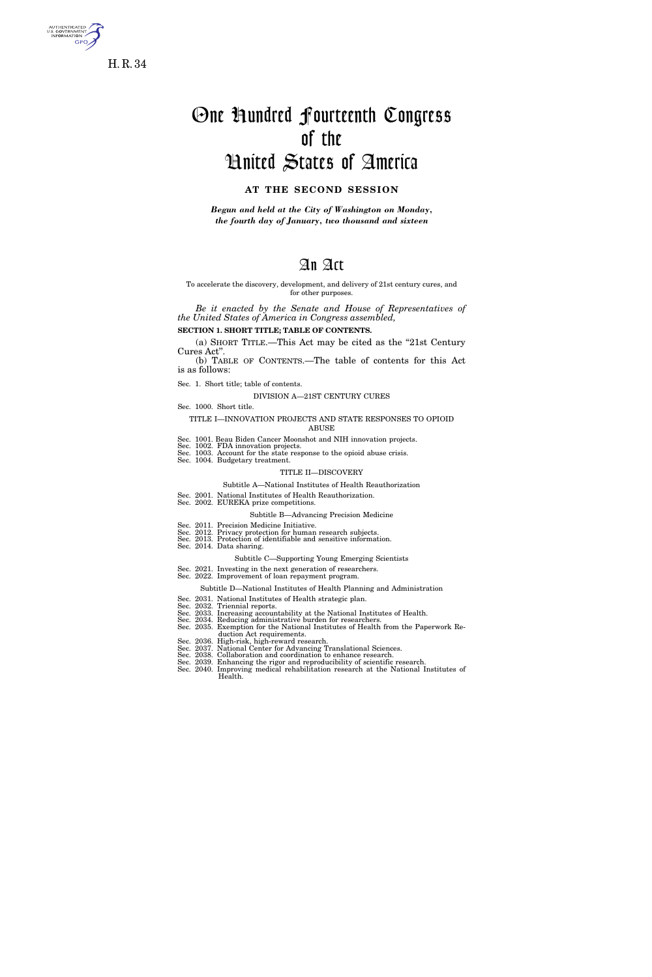

s. government<br>Information GPO

# One Hundred Fourteenth Congress of the United States of America

### **AT THE SECOND SESSION**

*Begun and held at the City of Washington on Monday, the fourth day of January, two thousand and sixteen* 

## An Act

#### To accelerate the discovery, development, and delivery of 21st century cures, and for other purposes.

*Be it enacted by the Senate and House of Representatives of the United States of America in Congress assembled,* 

### **SECTION 1. SHORT TITLE; TABLE OF CONTENTS.**

(a) SHORT TITLE.—This Act may be cited as the ''21st Century Cures Act''.

(b) TABLE OF CONTENTS.—The table of contents for this Act is as follows:

Sec. 1. Short title; table of contents.

#### DIVISION A—21ST CENTURY CURES

Sec. 1000. Short title.

#### TITLE I—INNOVATION PROJECTS AND STATE RESPONSES TO OPIOID ABUSE

- Sec. 1001. Beau Biden Cancer Moonshot and NIH innovation projects.
- Sec. 1002. FDA innovation projects. Sec. 1003. Account for the state response to the opioid abuse crisis.
- Sec. 1004. Budgetary treatment.

#### TITLE II—DISCOVERY

#### Subtitle A—National Institutes of Health Reauthorization

Sec. 2001. National Institutes of Health Reauthorization. Sec. 2002. EUREKA prize competitions.

### Subtitle B—Advancing Precision Medicine

- 
- Sec. 2011. Precision Medicine Initiative. Sec. 2012. Privacy protection for human research subjects. Sec. 2013. Protection of identifiable and sensitive information.
- Sec. 2014. Data sharing.

#### Subtitle C—Supporting Young Emerging Scientists

- Sec. 2021. Investing in the next generation of researchers. Sec. 2022. Improvement of loan repayment program.
	- - Subtitle D—National Institutes of Health Planning and Administration
	-
- Sec. 2031. National Institutes of Health strategic plan. Sec. 2032. Triennial reports. Sec. 2033. Increasing accountability at the National Institutes of Health.
- 
- Sec. 2034. Reducing administrative burden for researchers. Sec. 2035. Exemption for the National Institutes of Health from the Paperwork Reduction Act requirements.
	-
- 
- 
- Sec. 2036. High-risk, high-reward research.<br>Sec. 2037. National Center for Advancing Translational Sciences.<br>Sec. 2038. Collaboration and coordination to enhance research.<br>Sec. 2039. Enhancing the rigor and reproducibility Health.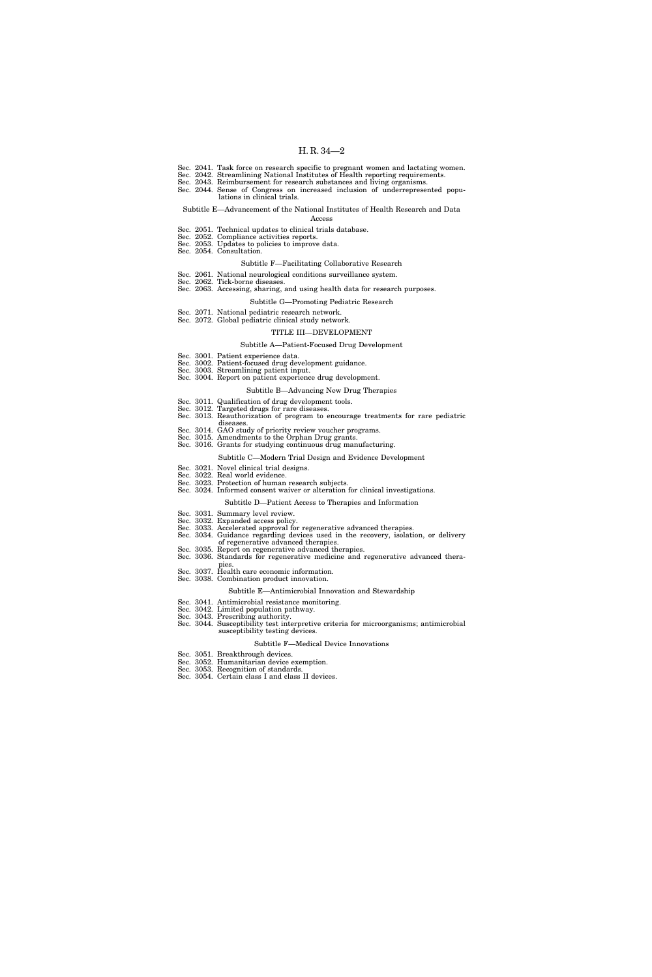- Sec. 2041. Task force on research specific to pregnant women and lactating women.
- Sec. 2042. Streamlining National Institutes of Health reporting requirements.
- Sec. 2043. Reimbursement for research substances and living organisms. Sec. 2044. Sense of Congress on increased inclusion of underrepresented populations in clinical trials.

#### Subtitle E—Advancement of the National Institutes of Health Research and Data

- Access
- Sec. 2051. Technical updates to clinical trials database. Sec. 2052. Compliance activities reports.
- Sec. 2053. Updates to policies to improve data.
- Sec. 2054. Consultation.

#### Subtitle F—Facilitating Collaborative Research

- Sec. 2061. National neurological conditions surveillance system.
- Sec. 2062. Tick-borne diseases. Sec. 2063. Accessing, sharing, and using health data for research purposes.
	- Subtitle G—Promoting Pediatric Research
- Sec. 2071. National pediatric research network.
- Sec. 2072. Global pediatric clinical study network.

#### TITLE III—DEVELOPMENT

#### Subtitle A—Patient-Focused Drug Development

- Sec. 3001. Patient experience data.
- Sec. 3002. Patient-focused drug development guidance.
- Sec. 3003. Streamlining patient input. Sec. 3004. Report on patient experience drug development.
	-

### Subtitle B—Advancing New Drug Therapies

- Sec. 3011. Qualification of drug development tools.
- Sec. 3012. Targeted drugs for rare diseases. Sec. 3013. Reauthorization of program to encourage treatments for rare pediatric
- diseases.
- Sec. 3014. GAO study of priority review voucher programs.
- Sec. 3015. Amendments to the Orphan Drug grants.
- Sec. 3016. Grants for studying continuous drug manufacturing.

#### Subtitle C—Modern Trial Design and Evidence Development

- Sec. 3021. Novel clinical trial designs.
- Sec. 3022. Real world evidence. Sec. 3023. Protection of human research subjects.
- Sec. 3024. Informed consent waiver or alteration for clinical investigations.

### Subtitle D—Patient Access to Therapies and Information

- Sec. 3031. Summary level review.
- Sec. 3032. Expanded access policy.
- Sec. 3033. Accelerated approval for regenerative advanced therapies.
- Sec. 3034. Guidance regarding devices used in the recovery, isolation, or delivery of regenerative advanced therapies.
- Sec. 3035. Report on regenerative advanced therapies.
- Sec. 3036. Standards for regenerative medicine and regenerative advanced thera-
- pies Sec. 3037. Health care economic information.
- Sec. 3038. Combination product innovation.

#### Subtitle E—Antimicrobial Innovation and Stewardship

- Sec. 3041. Antimicrobial resistance monitoring.
- Sec. 3042. Limited population pathway.
- Sec. 3043. Prescribing authority. Sec. 3044. Susceptibility test interpretive criteria for microorganisms; antimicrobial susceptibility testing devices.

#### Subtitle F—Medical Device Innovations

- Sec. 3051. Breakthrough devices.
- Sec. 3052. Humanitarian device exemption.
- Sec. 3053. Recognition of standards. Sec. 3054. Certain class I and class II devices.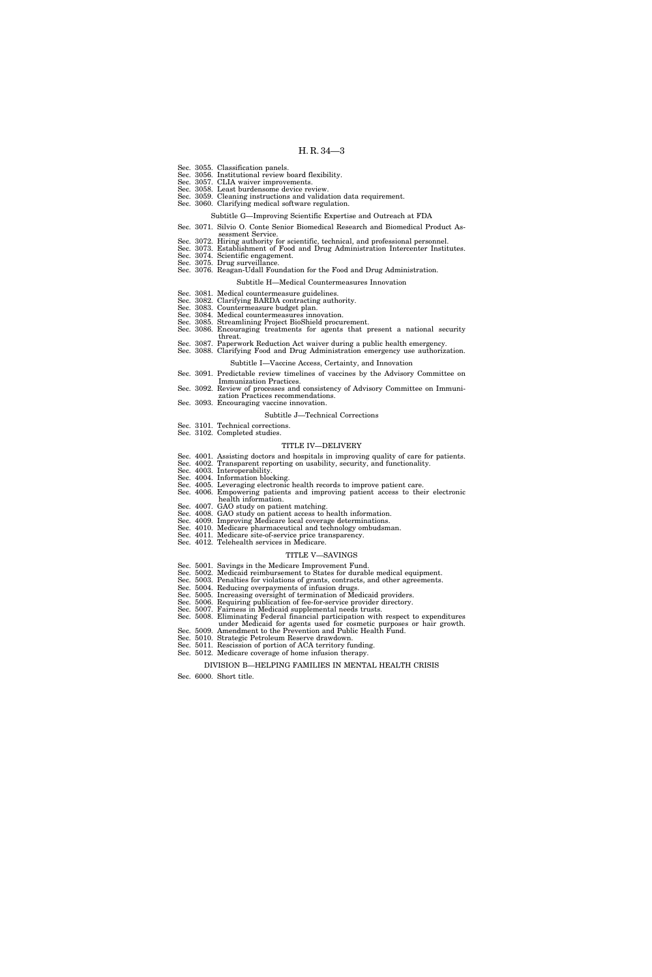- Sec. 3055. Classification panels.
- Sec. 3056. Institutional review board flexibility. Sec. 3057. CLIA waiver improvements.
- Sec. 3058. Least burdensome device revi
- Sec. 3059. Cleaning instructions and validation data requirement.
- Sec. 3060. Clarifying medical software regulation.
	- Subtitle G—Improving Scientific Expertise and Outreach at FDA
- Sec. 3071. Silvio O. Conte Senior Biomedical Research and Biomedical Product Assessment Service.
- Sec. 3072. Hiring authority for scientific, technical, and professional personnel.
- Sec. 3073. Establishment of Food and Drug Administration Intercenter Institutes.
- Sec. 3074. Scientific engagement. Sec. 3075. Drug surveillance.
- Sec. 3076. Reagan-Udall Foundation for the Food and Drug Administration.
	- Subtitle H—Medical Countermeasures Innovation
- Sec. 3081. Medical countermeasure guidelines.
- Sec. 3082. Clarifying BARDA contracting authority. Sec. 3083. Countermeasure budget plan.
- 
- Sec. 3084. Medical countermeasures innovation. Sec. 3085. Streamlining Project BioShield procurement.
- Sec. 3086. Encouraging treatments for agents that present a national security
- threat.
- Sec. 3087. Paperwork Reduction Act waiver during a public health emergency. Sec. 3088. Clarifying Food and Drug Administration emergency use authorization. Subtitle I—Vaccine Access, Certainty, and Innovation
- Sec. 3091. Predictable review timelines of vaccines by the Advisory Committee on
- Immunization Practices.
- Sec. 3092. Review of processes and consistency of Advisory Committee on Immunization Practices recommendations.
- Sec. 3093. Encouraging vaccine innovation.

#### Subtitle J—Technical Corrections

Sec. 3101. Technical corrections. Sec. 3102. Completed studies.

#### TITLE IV—DELIVERY

- Sec. 4001. Assisting doctors and hospitals in improving quality of care for patients. Sec. 4002. Transparent reporting on usability, security, and functionality.
- 
- 
- Sec. 4003. Interoperability. Sec. 4004. Information blocking. Sec. 4005. Leveraging electronic health records to improve patient care. Sec. 4006. Empowering patients and improving patient access to their electronic
- health information.
- Sec. 4007. GAO study on patient matching.
- Sec. 4008. GAO study on patient access to health information. Sec. 4009. Improving Medicare local coverage determinations.
- Sec. 4010. Medicare pharmaceutical and technology ombudsman.
- Sec. 4011. Medicare site-of-service price transparency.
- Sec. 4012. Telehealth services in Medicare.

#### TITLE V—SAVINGS

- Sec. 5001. Savings in the Medicare Improvement Fund.
- Sec. 5002. Medicaid reimbursement to States for durable medical equipment. Sec. 5003. Penalties for violations of grants, contracts, and other agreements.
- Sec. 5004. Reducing overpayments of infusion drugs.
- Sec. 5005. Increasing oversight of termination of Medicaid providers.
- Sec. 5006. Requiring publication of fee-for-service provider directory.
- Sec. 5007. Fairness in Medicaid supplemental needs trusts.
- Sec. 5008. Eliminating Federal financial participation with respect to expenditures under Medicaid for agents used for cosmetic purposes or hair growth.
- Sec. 5009. Amendment to the Prevention and Public Health Fund. Sec. 5010. Strategic Petroleum Reserve drawdown.
- Sec. 5011. Rescission of portion of ACA territory funding.
- Sec. 5012. Medicare coverage of home infusion therapy.

DIVISION B—HELPING FAMILIES IN MENTAL HEALTH CRISIS

Sec. 6000. Short title.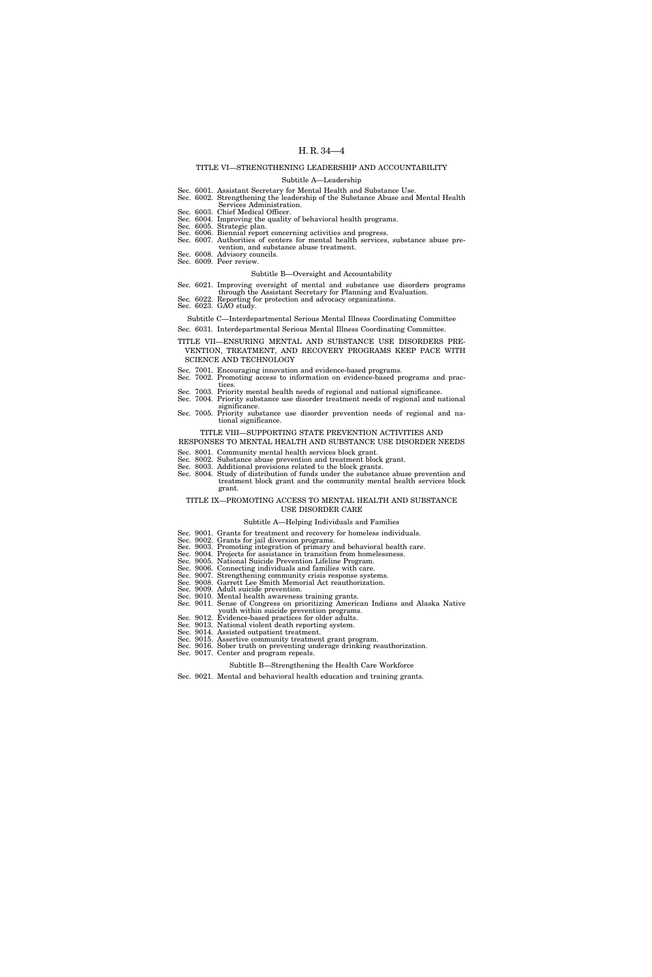### TITLE VI—STRENGTHENING LEADERSHIP AND ACCOUNTABILITY

#### Subtitle A—Leadership

- Sec. 6001. Assistant Secretary for Mental Health and Substance Use. Sec. 6002. Strengthening the leadership of the Substance Abuse and Mental Health
	- Services Administration.
- Sec. 6003. Chief Medical Officer.
- Sec. 6004. Improving the quality of behavioral health programs. Sec. 6005. Strategic plan. Sec. 6006. Biennial report concerning activities and progress.
- Sec. 6007. Authorities of centers for mental health services, substance abuse pre-
- vention, and substance abuse treatment.
- Sec. 6008. Advisory councils. Sec. 6009. Peer review.

#### Subtitle B—Oversight and Accountability

- Sec. 6021. Improving oversight of mental and substance use disorders programs through the Assistant Secretary for Planning and Evaluation.
- Sec. 6022. Reporting for protection and advocacy organizations. Sec. 6023. GAO study.
- 
- Subtitle C—Interdepartmental Serious Mental Illness Coordinating Committee
- Sec. 6031. Interdepartmental Serious Mental Illness Coordinating Committee.
- TITLE VII—ENSURING MENTAL AND SUBSTANCE USE DISORDERS PRE-VENTION, TREATMENT, AND RECOVERY PROGRAMS KEEP PACE WITH SCIENCE AND TECHNOLOGY
- Sec. 7001. Encouraging innovation and evidence-based programs. Sec. 7002. Promoting access to information on evidence-based programs and prac-
- tices
- Sec. 7003. Priority mental health needs of regional and national significance.
- Sec. 7004. Priority substance use disorder treatment needs of regional and national significance.
- Sec. 7005. Priority substance use disorder prevention needs of regional and national significance.

#### TITLE VIII—SUPPORTING STATE PREVENTION ACTIVITIES AND RESPONSES TO MENTAL HEALTH AND SUBSTANCE USE DISORDER NEEDS

- Sec. 8001. Community mental health services block grant.
- Sec. 8002. Substance abuse prevention and treatment block grant. Sec. 8003. Additional provisions related to the block grants.
- Sec. 8004. Study of distribution of funds under the substance abuse prevention and treatment block grant and the community mental health services block grant.

#### TITLE IX—PROMOTING ACCESS TO MENTAL HEALTH AND SUBSTANCE USE DISORDER CARE

#### Subtitle A—Helping Individuals and Families

- Sec. 9001. Grants for treatment and recovery for homeless individuals.
- Sec. 9002. Grants for jail diversion programs. Sec. 9003. Promoting integration of primary and behavioral health care.
- 
- 
- Sec. 9004. Projects for assistance in transition from homelessness. Sec. 9005. National Suicide Prevention Lifeline Program. Sec. 9006. Connecting individuals and families with care.
- 
- 
- 
- Sec. 9007. Strengthening community crisis response systems.<br>Sec. 9008. Garrett Lee Smith Memorial Act reauthorization.<br>Sec. 9009. Adult suicide prevention.<br>Sec. 9010. Mental health awareness training grants.<br>Sec. 9011. Sen
- youth within suicide prevention programs.
- Sec. 9012. Evidence-based practices for older adults.
- Sec. 9013. National violent death reporting system. Sec. 9014. Assisted outpatient treatment.
- 
- Sec. 9015. Assertive community treatment grant program. Sec. 9016. Sober truth on preventing underage drinking reauthorization. Sec. 9017. Center and program repeals.
- - Subtitle B—Strengthening the Health Care Workforce
- Sec. 9021. Mental and behavioral health education and training grants.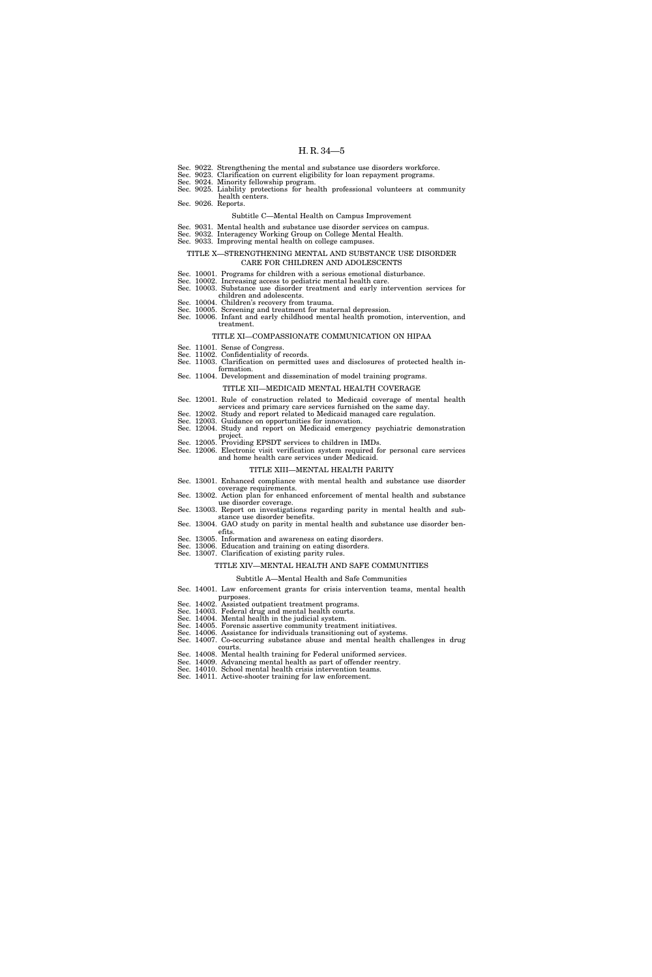- Sec. 9022. Strengthening the mental and substance use disorders workforce.
- Sec. 9023. Clarification on current eligibility for loan repayment programs. Sec. 9024. Minority fellowship program.
- 

Sec. 9025. Liability protections for health professional volunteers at community health centers.

Sec. 9026. Reports.

#### Subtitle C—Mental Health on Campus Improvement

- Sec. 9031. Mental health and substance use disorder services on campus. Sec. 9032. Interagency Working Group on College Mental Health. Sec. 9033. Improving mental health on college campuses.
- 

#### TITLE X—STRENGTHENING MENTAL AND SUBSTANCE USE DISORDER CARE FOR CHILDREN AND ADOLESCENTS

- Sec. 10001. Programs for children with a serious emotional disturbance.
- Sec. 10002. Increasing access to pediatric mental health care. Sec. 10003. Substance use disorder treatment and early intervention services for
- children and adolescents.
- 
- Sec. 10004. Children's recovery from trauma. Sec. 10005. Screening and treatment for maternal depression.
- Sec. 10006. Infant and early childhood mental health promotion, intervention, and treatment.

#### TITLE XI—COMPASSIONATE COMMUNICATION ON HIPAA

- Sec. 11001. Sense of Congress.
- Sec. 11002. Confidentiality of records. Sec. 11003. Clarification on permitted uses and disclosures of protected health in-
- formation.
- Sec. 11004. Development and dissemination of model training programs.

### TITLE XII—MEDICAID MENTAL HEALTH COVERAGE

- Sec. 12001. Rule of construction related to Medicaid coverage of mental health
- services and primary care services furnished on the same day. Sec. 12002. Study and report related to Medicaid managed care regulation.
- Sec. 12003. Guidance on opportunities for innovation.
- Sec. 12004. Study and report on Medicaid emergency psychiatric demonstration
- project.
- Sec. 12005. Providing EPSDT services to children in IMDs. Sec. 12006. Electronic visit verification system required for personal care services and home health care services under Medicaid.

#### TITLE XIII—MENTAL HEALTH PARITY

- Sec. 13001. Enhanced compliance with mental health and substance use disorder
- coverage requirements. Sec. 13002. Action plan for enhanced enforcement of mental health and substance use disorder coverage.
- Sec. 13003. Report on investigations regarding parity in mental health and substance use disorder benefits.
- Sec. 13004. GAO study on parity in mental health and substance use disorder benefits.
- Sec. 13005. Information and awareness on eating disorders.
- Sec. 13006. Education and training on eating disorders. Sec. 13007. Clarification of existing parity rules.

#### TITLE XIV—MENTAL HEALTH AND SAFE COMMUNITIES

#### Subtitle A—Mental Health and Safe Communities

- Sec. 14001. Law enforcement grants for crisis intervention teams, mental health
- purposes.
- Sec. 14002. Assisted outpatient treatment programs. Sec. 14003. Federal drug and mental health courts.
- Sec. 14004. Mental health in the judicial system.
- Sec. 14005. Forensic assertive community treatment initiatives.
- Sec. 14006. Assistance for individuals transitioning out of systems.
- Sec. 14007. Co-occurring substance abuse and mental health challenges in drug courts.
- Sec. 14008. Mental health training for Federal uniformed services.
- Sec. 14009. Advancing mental health as part of offender reentry. Sec. 14010. School mental health crisis intervention teams.
- Sec. 14011. Active-shooter training for law enforcement.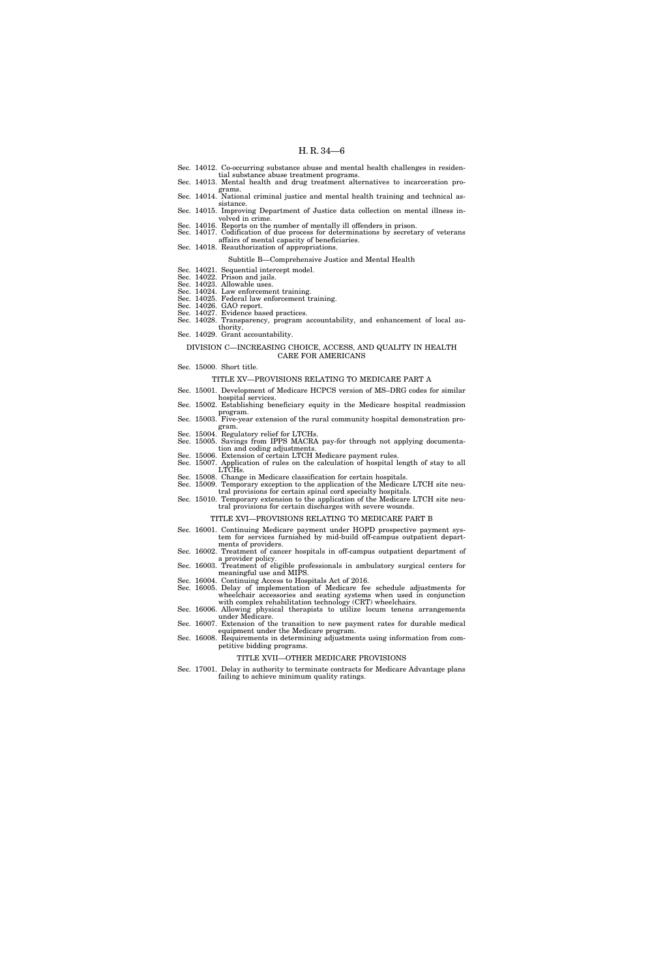- Sec. 14012. Co-occurring substance abuse and mental health challenges in residen-
- tial substance abuse treatment programs. Sec. 14013. Mental health and drug treatment alternatives to incarceration programs.
- Sec. 14014. National criminal justice and mental health training and technical assistance.
- Sec. 14015. Improving Department of Justice data collection on mental illness involved in crime. Sec. 14016. Reports on the number of mentally ill offenders in prison.
- Sec. 14017. Codification of due process for determinations by secretary of veterans affairs of mental capacity of beneficiaries.
- Sec. 14018. Reauthorization of appropriations.
	- Subtitle B—Comprehensive Justice and Mental Health
- Sec. 14021. Sequential intercept model. Sec. 14022. Prison and jails. Sec. 14023. Allowable uses.
- 
- 
- Sec. 14024. Law enforcement training. Sec. 14025. Federal law enforcement training.
- Sec. 14026. GAO report. Sec. 14027. Evidence based practices.
- Sec. 14028. Transparency, program accountability, and enhancement of local authority.
- Sec. 14029. Grant accountability.

#### DIVISION C—INCREASING CHOICE, ACCESS, AND QUALITY IN HEALTH CARE FOR AMERICANS

Sec. 15000. Short title.

#### TITLE XV—PROVISIONS RELATING TO MEDICARE PART A

- Sec. 15001. Development of Medicare HCPCS version of MS–DRG codes for similar
- hospital services. Sec. 15002. Establishing beneficiary equity in the Medicare hospital readmission
- program.
- Sec. 15003. Five-year extension of the rural community hospital demonstration program. Sec. 15004. Regulatory relief for LTCHs.
- Sec. 15005. Savings from IPPS MACRA pay-for through not applying documentation and coding adjustments.
- Sec. 15006. Extension of certain LTCH Medicare payment rules.
- Sec. 15007. Application of rules on the calculation of hospital length of stay to all LTCHs. Sec. 15008. Change in Medicare classification for certain hospitals.
- Sec. 15009. Temporary exception to the application of the Medicare LTCH site neu-
- tral provisions for certain spinal cord specialty hospitals. Sec. 15010. Temporary extension to the application of the Medicare LTCH site neu
	- tral provisions for certain discharges with severe wounds.

#### TITLE XVI—PROVISIONS RELATING TO MEDICARE PART B

- Sec. 16001. Continuing Medicare payment under HOPD prospective payment system for services furnished by mid-build off-campus outpatient departments of providers.
- Sec. 16002. Treatment of cancer hospitals in off-campus outpatient department of
- a provider policy. Sec. 16003. Treatment of eligible professionals in ambulatory surgical centers for
- meaningful use and MIPS.
- Sec. 16004. Continuing Access to Hospitals Act of 2016. Sec. 16005. Delay of implementation of Medicare fee schedule adjustments for wheelchair accessories and seating systems when used in conjunction with complex rehabilitation technology (CRT) wheelchairs.
- Sec. 16006. Allowing physical therapists to utilize locum tenens arrangements under Medicare.
- Sec. 16007. Extension of the transition to new payment rates for durable medical equipment under the Medicare program.
- Sec. 16008. Requirements in determining adjustments using information from competitive bidding programs.

#### TITLE XVII—OTHER MEDICARE PROVISIONS

Sec. 17001. Delay in authority to terminate contracts for Medicare Advantage plans failing to achieve minimum quality ratings.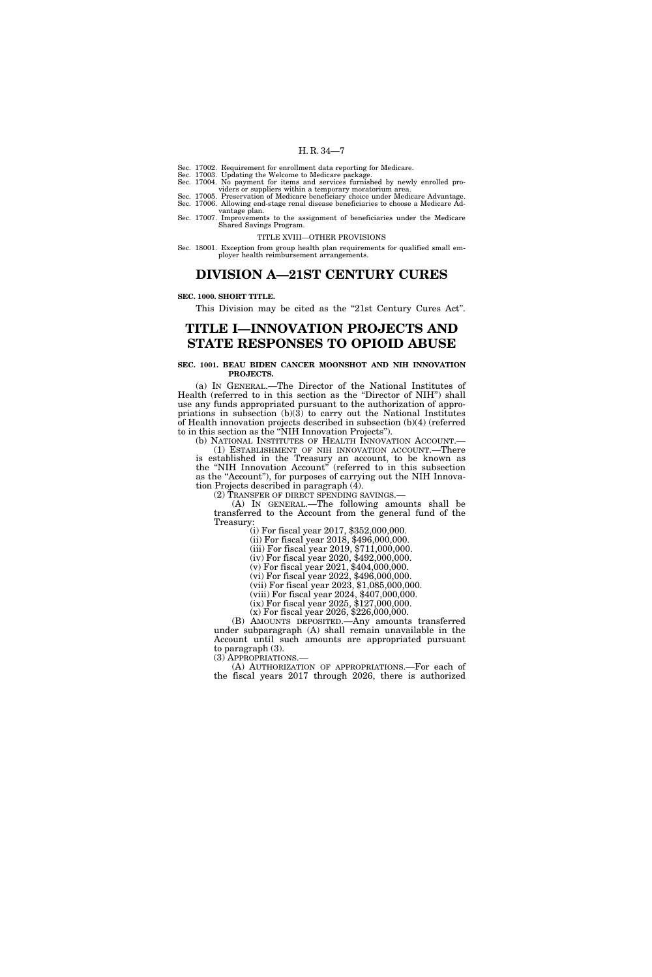Sec. 17002. Requirement for enrollment data reporting for Medicare.

- Sec. 17003. Updating the Welcome to Medicare package. Sec. 17004. No payment for items and services furnished by newly enrolled pro-
- 
- viders or suppliers within a temporary moratorium area. Sec. 17005. Preservation of Medicare beneficiary choice under Medicare Advantage. Sec. 17006. Allowing end-stage renal disease beneficiaries to choose a Medicare Ad-
- vantage plan. Sec. 17007. Improvements to the assignment of beneficiaries under the Medicare Shared Savings Program.

TITLE XVIII—OTHER PROVISIONS

Sec. 18001. Exception from group health plan requirements for qualified small employer health reimbursement arrangements.

### **DIVISION A—21ST CENTURY CURES**

#### **SEC. 1000. SHORT TITLE.**

This Division may be cited as the "21st Century Cures Act".

### **TITLE I—INNOVATION PROJECTS AND STATE RESPONSES TO OPIOID ABUSE**

#### **SEC. 1001. BEAU BIDEN CANCER MOONSHOT AND NIH INNOVATION PROJECTS.**

(a) IN GENERAL.—The Director of the National Institutes of Health (referred to in this section as the ''Director of NIH'') shall use any funds appropriated pursuant to the authorization of appropriations in subsection (b)(3) to carry out the National Institutes of Health innovation projects described in subsection (b)(4) (referred to in this section as the ''NIH Innovation Projects'').

(b) NATIONAL INSTITUTES OF HEALTH INNOVATION ACCOUNT.— (1) ESTABLISHMENT OF NIH INNOVATION ACCOUNT.—There is established in the Treasury an account, to be known as the ''NIH Innovation Account'' (referred to in this subsection as the "Account"), for purposes of carrying out the NIH Innovation Projects described in paragraph (4).<br>(2) TRANSFER OF DIRECT SPENDING SAVINGS.—

 $(A)$  In GENERAL.—The following amounts shall be transferred to the Account from the general fund of the

 $(i)$  For fiscal year 2017, \$352,000,000.

(ii) For fiscal year 2018, \$496,000,000.

(iii) For fiscal year 2019, \$711,000,000.

(iv) For fiscal year 2020, \$492,000,000. (v) For fiscal year 2021, \$404,000,000.

(vi) For fiscal year 2022, \$496,000,000.

(vii) For fiscal year 2023, \$1,085,000,000.

(viii) For fiscal year 2024, \$407,000,000.

(ix) For fiscal year 2025, \$127,000,000.

(x) For fiscal year 2026, \$226,000,000.

(B) AMOUNTS DEPOSITED.—Any amounts transferred under subparagraph (A) shall remain unavailable in the Account until such amounts are appropriated pursuant to paragraph (3).

(3) APPROPRIATIONS.— (A) AUTHORIZATION OF APPROPRIATIONS.—For each of the fiscal years 2017 through 2026, there is authorized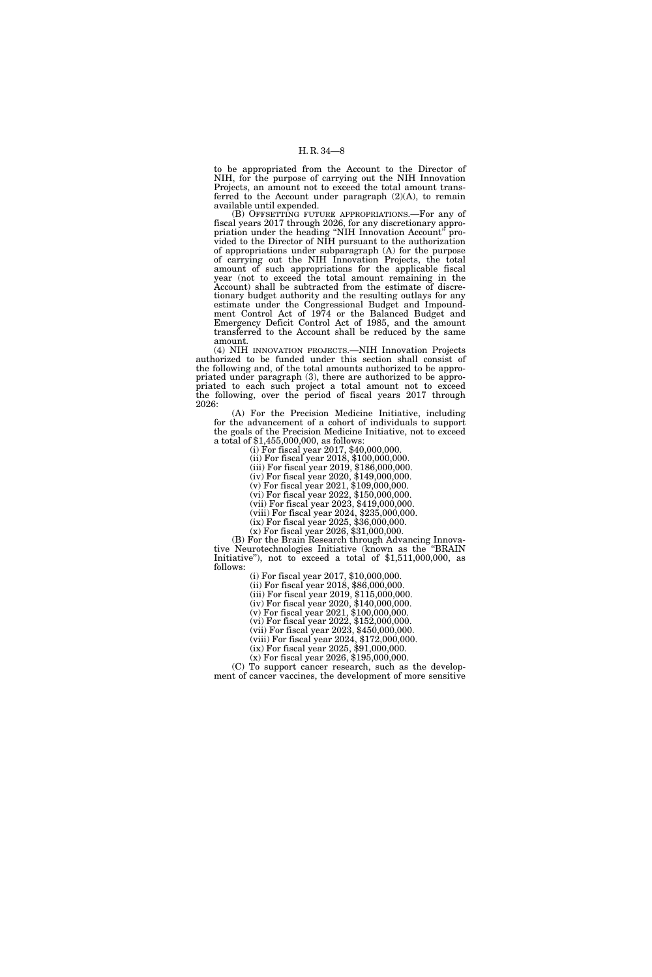to be appropriated from the Account to the Director of NIH, for the purpose of carrying out the NIH Innovation Projects, an amount not to exceed the total amount transferred to the Account under paragraph  $(2)(A)$ , to remain available until expended.

(B) OFFSETTING FUTURE APPROPRIATIONS.—For any of fiscal years 2017 through 2026, for any discretionary appropriation under the heading ''NIH Innovation Account'' provided to the Director of NIH pursuant to the authorization of appropriations under subparagraph (A) for the purpose of carrying out the NIH Innovation Projects, the total amount of such appropriations for the applicable fiscal year (not to exceed the total amount remaining in the Account) shall be subtracted from the estimate of discretionary budget authority and the resulting outlays for any estimate under the Congressional Budget and Impoundment Control Act of 1974 or the Balanced Budget and Emergency Deficit Control Act of 1985, and the amount transferred to the Account shall be reduced by the same amount.

(4) NIH INNOVATION PROJECTS.—NIH Innovation Projects authorized to be funded under this section shall consist of the following and, of the total amounts authorized to be appropriated under paragraph (3), there are authorized to be appropriated to each such project a total amount not to exceed the following, over the period of fiscal years 2017 through 2026:

(A) For the Precision Medicine Initiative, including for the advancement of a cohort of individuals to support the goals of the Precision Medicine Initiative, not to exceed a total of \$1,455,000,000, as follows:

(i) For fiscal year 2017, \$40,000,000.

(ii) For fiscal year 2018, \$100,000,000.

(iii) For fiscal year 2019, \$186,000,000.

(iv) For fiscal year 2020, \$149,000,000. (v) For fiscal year 2021, \$109,000,000.

(vi) For fiscal year 2022, \$150,000,000.

(vii) For fiscal year 2023, \$419,000,000.

(viii) For fiscal year 2024, \$235,000,000.

(ix) For fiscal year 2025, \$36,000,000.

(x) For fiscal year 2026, \$31,000,000.

(B) For the Brain Research through Advancing Innovative Neurotechnologies Initiative (known as the ''BRAIN Initiative"), not to exceed a total of  $$1,511,000,000$ , as follows:

(i) For fiscal year 2017, \$10,000,000.

(ii) For fiscal year 2018, \$86,000,000.

(iii) For fiscal year 2019, \$115,000,000.

(iv) For fiscal year 2020, \$140,000,000.

(v) For fiscal year 2021, \$100,000,000. (vi) For fiscal year 2022, \$152,000,000.

(vii) For fiscal year 2023, \$450,000,000.

(viii) For fiscal year 2024, \$172,000,000.

(ix) For fiscal year 2025, \$91,000,000.

(x) For fiscal year 2026, \$195,000,000.

(C) To support cancer research, such as the development of cancer vaccines, the development of more sensitive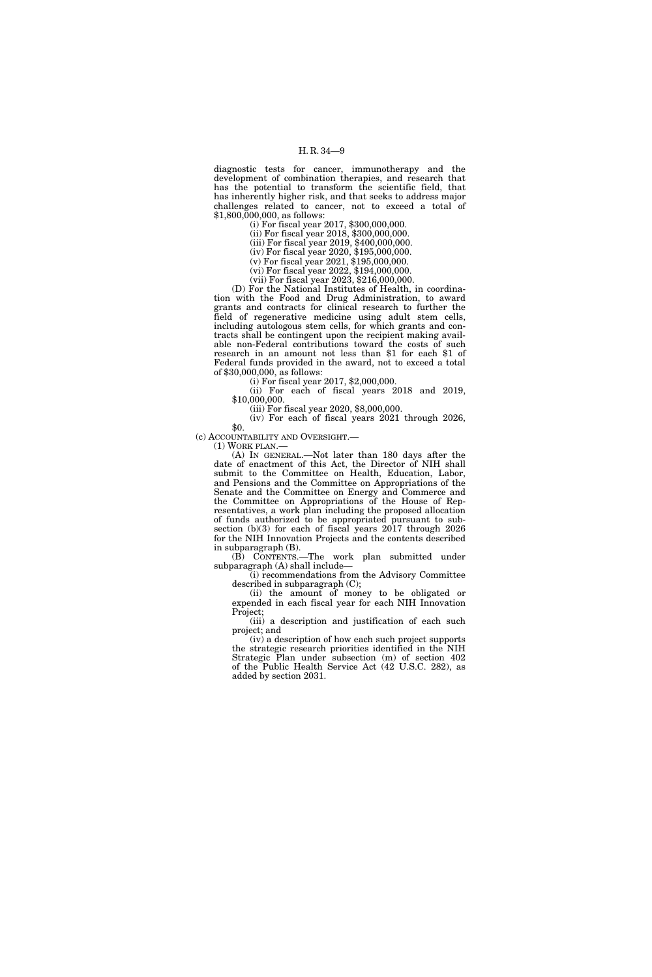diagnostic tests for cancer, immunotherapy and the development of combination therapies, and research that has the potential to transform the scientific field, that has inherently higher risk, and that seeks to address major challenges related to cancer, not to exceed a total of \$1,800,000,000, as follows:

(i) For fiscal year 2017, \$300,000,000.

(ii) For fiscal year 2018, \$300,000,000.

(iii) For fiscal year 2019, \$400,000,000. (iv) For fiscal year 2020, \$195,000,000.

(v) For fiscal year 2021, \$195,000,000.

(vi) For fiscal year 2022, \$194,000,000.

(vii) For fiscal year 2023, \$216,000,000.

(D) For the National Institutes of Health, in coordination with the Food and Drug Administration, to award grants and contracts for clinical research to further the field of regenerative medicine using adult stem cells, including autologous stem cells, for which grants and contracts shall be contingent upon the recipient making available non-Federal contributions toward the costs of such research in an amount not less than \$1 for each \$1 of Federal funds provided in the award, not to exceed a total of \$30,000,000, as follows:

(i) For fiscal year 2017, \$2,000,000.

(ii) For each of fiscal years 2018 and 2019, \$10,000,000.

(iii) For fiscal year 2020, \$8,000,000.

(iv) For each of fiscal years 2021 through 2026, \$0.

(c) ACCOUNTABILITY AND OVERSIGHT.—

(1) WORK PLAN.—

(A) IN GENERAL.—Not later than 180 days after the date of enactment of this Act, the Director of NIH shall submit to the Committee on Health, Education, Labor, and Pensions and the Committee on Appropriations of the Senate and the Committee on Energy and Commerce and the Committee on Appropriations of the House of Representatives, a work plan including the proposed allocation of funds authorized to be appropriated pursuant to subsection (b)(3) for each of fiscal years 2017 through 2026 for the NIH Innovation Projects and the contents described in subparagraph (B).

(B) CONTENTS.—The work plan submitted under subparagraph (A) shall include—

(i) recommendations from the Advisory Committee described in subparagraph (C);

(ii) the amount of money to be obligated or expended in each fiscal year for each NIH Innovation Project;

(iii) a description and justification of each such project; and

(iv) a description of how each such project supports the strategic research priorities identified in the NIH Strategic Plan under subsection (m) of section 402 of the Public Health Service Act (42 U.S.C. 282), as added by section 2031.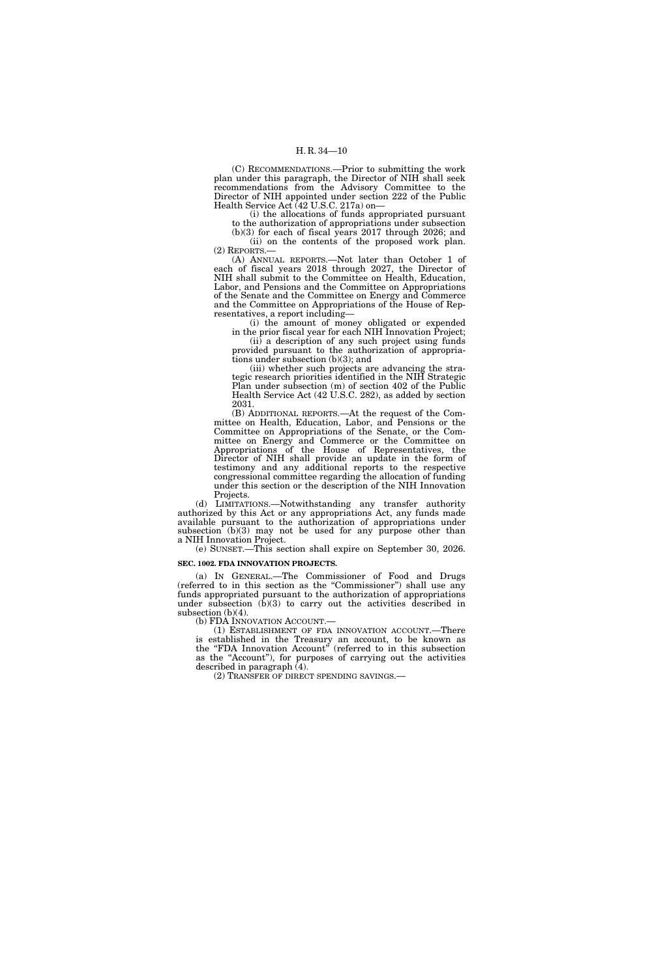(C) RECOMMENDATIONS.—Prior to submitting the work plan under this paragraph, the Director of NIH shall seek recommendations from the Advisory Committee to the Director of NIH appointed under section 222 of the Public Health Service Act (42 U.S.C. 217a) on—

(i) the allocations of funds appropriated pursuant to the authorization of appropriations under subsection

(b)(3) for each of fiscal years 2017 through 2026; and (ii) on the contents of the proposed work plan. (2) REPORTS.—

(A) ANNUAL REPORTS.—Not later than October 1 of each of fiscal years 2018 through 2027, the Director of NIH shall submit to the Committee on Health, Education, Labor, and Pensions and the Committee on Appropriations of the Senate and the Committee on Energy and Commerce and the Committee on Appropriations of the House of Representatives, a report including—

(i) the amount of money obligated or expended in the prior fiscal year for each NIH Innovation Project;

(ii) a description of any such project using funds provided pursuant to the authorization of appropriations under subsection (b)(3); and

(iii) whether such projects are advancing the strategic research priorities identified in the NIH Strategic Plan under subsection (m) of section 402 of the Public Health Service Act (42 U.S.C. 282), as added by section 2031.

(B) ADDITIONAL REPORTS.—At the request of the Committee on Health, Education, Labor, and Pensions or the Committee on Appropriations of the Senate, or the Committee on Energy and Commerce or the Committee on Appropriations of the House of Representatives, the Director of NIH shall provide an update in the form of testimony and any additional reports to the respective congressional committee regarding the allocation of funding under this section or the description of the NIH Innovation Projects.

(d) LIMITATIONS.—Notwithstanding any transfer authority authorized by this Act or any appropriations Act, any funds made available pursuant to the authorization of appropriations under subsection (b)(3) may not be used for any purpose other than a NIH Innovation Project.

(e) SUNSET.—This section shall expire on September 30, 2026. **SEC. 1002. FDA INNOVATION PROJECTS.** 

(a) IN GENERAL.—The Commissioner of Food and Drugs (referred to in this section as the ''Commissioner'') shall use any funds appropriated pursuant to the authorization of appropriations under subsection  $(\hat{b})(3)$  to carry out the activities described in subsection  $(b)(4)$ .<br>(b) FDA INNOVATION ACCOUNT.—

 $(1)$  ESTABLISHMENT OF FDA INNOVATION ACCOUNT.—There is established in the Treasury an account, to be known as the "FDA Innovation Account" (referred to in this subsection as the "Account"), for purposes of carrying out the activities described in paragraph (4).

(2) TRANSFER OF DIRECT SPENDING SAVINGS.—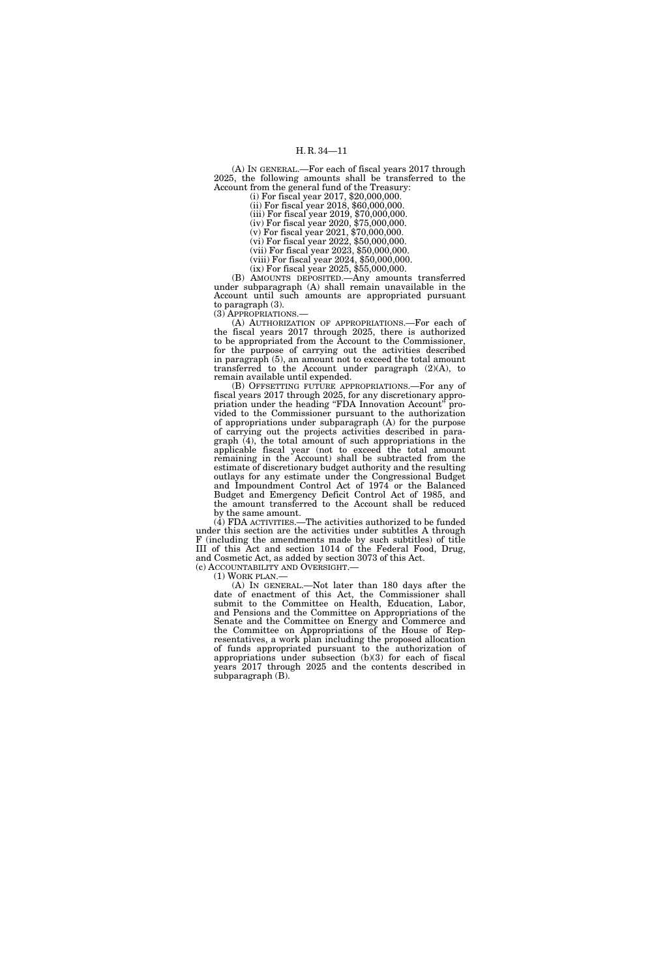(A) IN GENERAL.—For each of fiscal years 2017 through 2025, the following amounts shall be transferred to the Account from the general fund of the Treasury:

(i) For fiscal year 2017, \$20,000,000.

(ii) For fiscal year 2018, \$60,000,000. (iii) For fiscal year 2019, \$70,000,000.

(iv) For fiscal year 2020, \$75,000,000.

(v) For fiscal year 2021, \$70,000,000.

(vi) For fiscal year 2022, \$50,000,000.

(vii) For fiscal year 2023, \$50,000,000. (viii) For fiscal year 2024, \$50,000,000.

(ix) For fiscal year 2025, \$55,000,000.

(B) AMOUNTS DEPOSITED.—Any amounts transferred under subparagraph (A) shall remain unavailable in the Account until such amounts are appropriated pursuant to paragraph (3). (3) APPROPRIATIONS.—

(A) AUTHORIZATION OF APPROPRIATIONS.—For each of the fiscal years 2017 through 2025, there is authorized to be appropriated from the Account to the Commissioner, for the purpose of carrying out the activities described in paragraph (5), an amount not to exceed the total amount transferred to the Account under paragraph (2)(A), to remain available until expended.

(B) OFFSETTING FUTURE APPROPRIATIONS.—For any of fiscal years 2017 through 2025, for any discretionary appropriation under the heading "FDA Innovation Account" provided to the Commissioner pursuant to the authorization of appropriations under subparagraph (A) for the purpose of carrying out the projects activities described in paragraph (4), the total amount of such appropriations in the applicable fiscal year (not to exceed the total amount remaining in the Account) shall be subtracted from the estimate of discretionary budget authority and the resulting outlays for any estimate under the Congressional Budget and Impoundment Control Act of 1974 or the Balanced Budget and Emergency Deficit Control Act of 1985, and the amount transferred to the Account shall be reduced by the same amount.

(4) FDA ACTIVITIES.—The activities authorized to be funded under this section are the activities under subtitles A through F (including the amendments made by such subtitles) of title III of this Act and section 1014 of the Federal Food, Drug, and Cosmetic Act, as added by section 3073 of this Act.<br>(c) ACCOUNTABILITY AND OVERSIGHT.—

(1) WORK PLAN.—<br>(A) IN GENERAL.—Not later than 180 days after the date of enactment of this Act, the Commissioner shall submit to the Committee on Health, Education, Labor, and Pensions and the Committee on Appropriations of the Senate and the Committee on Energy and Commerce and the Committee on Appropriations of the House of Representatives, a work plan including the proposed allocation of funds appropriated pursuant to the authorization of appropriations under subsection (b)(3) for each of fiscal years 2017 through 2025 and the contents described in subparagraph (B).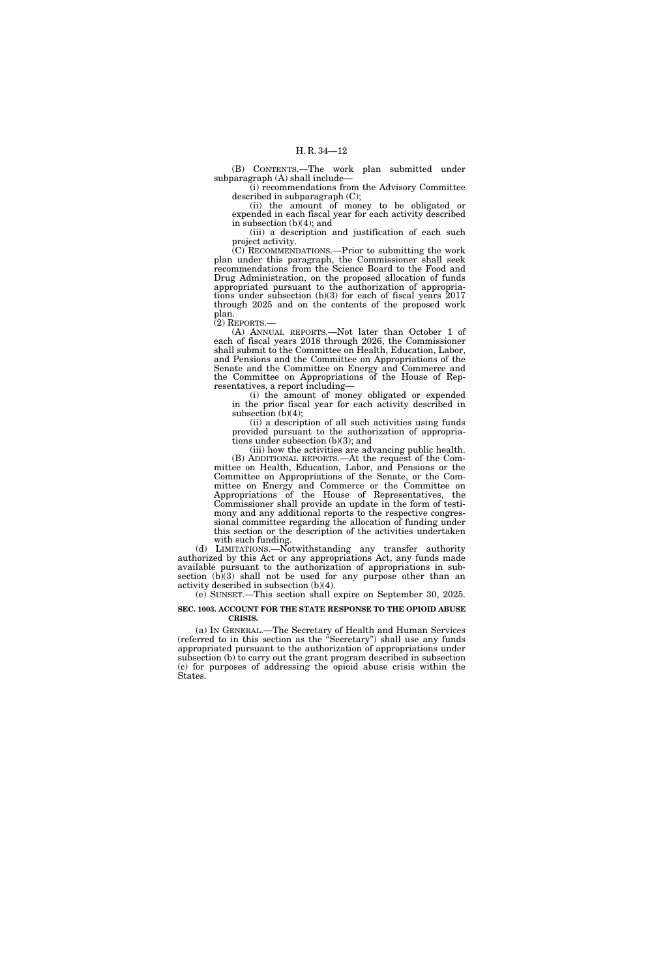(B) CONTENTS.—The work plan submitted under subparagraph (A) shall include—

(i) recommendations from the Advisory Committee described in subparagraph (C);

(ii) the amount of money to be obligated or expended in each fiscal year for each activity described in subsection (b)(4); and

(iii) a description and justification of each such project activity.

(C) RECOMMENDATIONS.—Prior to submitting the work plan under this paragraph, the Commissioner shall seek recommendations from the Science Board to the Food and Drug Administration, on the proposed allocation of funds appropriated pursuant to the authorization of appropriations under subsection (b)(3) for each of fiscal years 2017 through 2025 and on the contents of the proposed work plan.

(2) REPORTS.—

(A) ANNUAL REPORTS.—Not later than October 1 of each of fiscal years 2018 through 2026, the Commissioner shall submit to the Committee on Health, Education, Labor, and Pensions and the Committee on Appropriations of the Senate and the Committee on Energy and Commerce and the Committee on Appropriations of the House of Representatives, a report including—

(i) the amount of money obligated or expended in the prior fiscal year for each activity described in subsection  $(b)(4)$ ;

(ii) a description of all such activities using funds provided pursuant to the authorization of appropriations under subsection (b)(3); and

(iii) how the activities are advancing public health. (B) ADDITIONAL REPORTS.—At the request of the Committee on Health, Education, Labor, and Pensions or the Committee on Appropriations of the Senate, or the Committee on Energy and Commerce or the Committee on Appropriations of the House of Representatives, the Commissioner shall provide an update in the form of testimony and any additional reports to the respective congressional committee regarding the allocation of funding under this section or the description of the activities undertaken with such funding.

(d) LIMITATIONS.—Notwithstanding any transfer authority authorized by this Act or any appropriations Act, any funds made available pursuant to the authorization of appropriations in subsection  $(b)(3)$  shall not be used for any purpose other than an activity described in subsection (b)(4).

(e) SUNSET.—This section shall expire on September 30, 2025.

#### **SEC. 1003. ACCOUNT FOR THE STATE RESPONSE TO THE OPIOID ABUSE CRISIS.**

(a) IN GENERAL.—The Secretary of Health and Human Services (referred to in this section as the ''Secretary'') shall use any funds appropriated pursuant to the authorization of appropriations under subsection (b) to carry out the grant program described in subsection (c) for purposes of addressing the opioid abuse crisis within the States.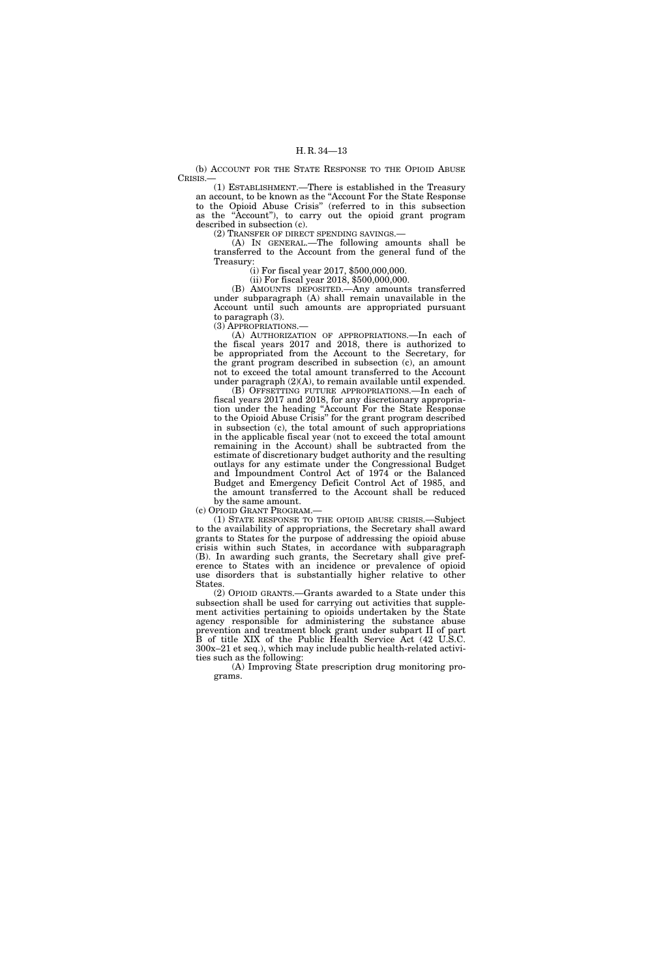(b) ACCOUNT FOR THE STATE RESPONSE TO THE OPIOID ABUSE CRISIS.—

(1) ESTABLISHMENT.—There is established in the Treasury an account, to be known as the ''Account For the State Response to the Opioid Abuse Crisis'' (referred to in this subsection as the ''Account''), to carry out the opioid grant program described in subsection (c).

(2) TRANSFER OF DIRECT SPENDING SAVINGS.—

(A) IN GENERAL.—The following amounts shall be transferred to the Account from the general fund of the Treasury:

(i) For fiscal year 2017, \$500,000,000.

(ii) For fiscal year 2018, \$500,000,000.

(B) AMOUNTS DEPOSITED.—Any amounts transferred under subparagraph (A) shall remain unavailable in the Account until such amounts are appropriated pursuant to paragraph (3).

(3) APPROPRIATIONS.—

(A) AUTHORIZATION OF APPROPRIATIONS.—In each of the fiscal years 2017 and 2018, there is authorized to be appropriated from the Account to the Secretary, for the grant program described in subsection (c), an amount not to exceed the total amount transferred to the Account under paragraph (2)(A), to remain available until expended.

(B) OFFSETTING FUTURE APPROPRIATIONS.—In each of fiscal years 2017 and 2018, for any discretionary appropriation under the heading ''Account For the State Response to the Opioid Abuse Crisis'' for the grant program described in subsection (c), the total amount of such appropriations in the applicable fiscal year (not to exceed the total amount remaining in the Account) shall be subtracted from the estimate of discretionary budget authority and the resulting outlays for any estimate under the Congressional Budget and Impoundment Control Act of 1974 or the Balanced Budget and Emergency Deficit Control Act of 1985, and the amount transferred to the Account shall be reduced

by the same amount. (c) OPIOID GRANT PROGRAM.—

(1) STATE RESPONSE TO THE OPIOID ABUSE CRISIS.—Subject to the availability of appropriations, the Secretary shall award grants to States for the purpose of addressing the opioid abuse crisis within such States, in accordance with subparagraph (B). In awarding such grants, the Secretary shall give preference to States with an incidence or prevalence of opioid use disorders that is substantially higher relative to other **States** 

(2) OPIOID GRANTS.—Grants awarded to a State under this subsection shall be used for carrying out activities that supplement activities pertaining to opioids undertaken by the State agency responsible for administering the substance abuse prevention and treatment block grant under subpart II of part B of title XIX of the Public Health Service Act (42 U.S.C. 300x–21 et seq.), which may include public health-related activities such as the following:

(A) Improving State prescription drug monitoring programs.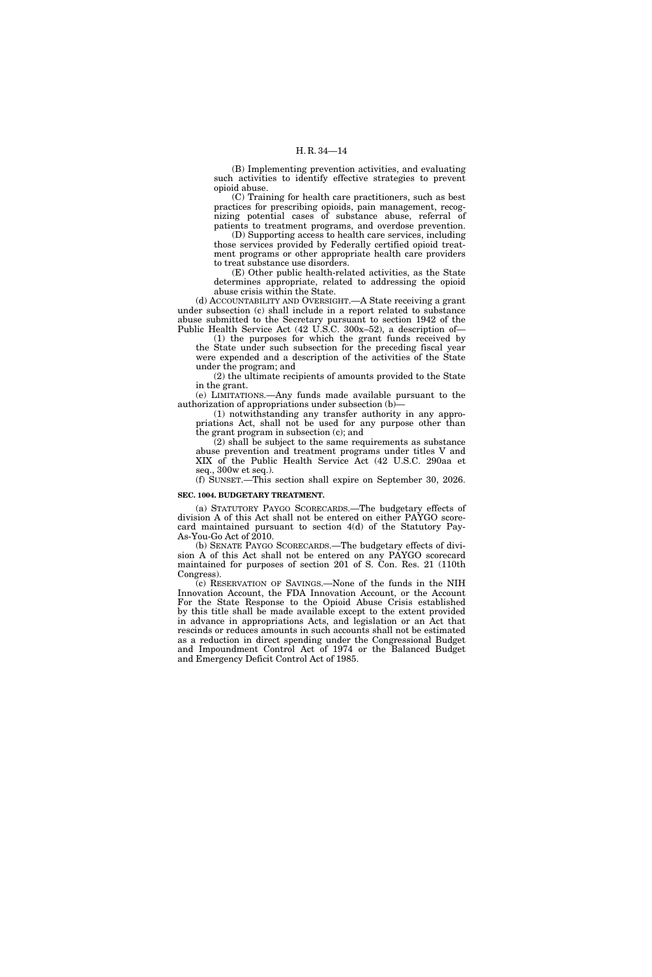(B) Implementing prevention activities, and evaluating such activities to identify effective strategies to prevent opioid abuse.

(C) Training for health care practitioners, such as best practices for prescribing opioids, pain management, recognizing potential cases of substance abuse, referral of patients to treatment programs, and overdose prevention.

(D) Supporting access to health care services, including those services provided by Federally certified opioid treatment programs or other appropriate health care providers to treat substance use disorders.

(E) Other public health-related activities, as the State determines appropriate, related to addressing the opioid abuse crisis within the State.

(d) ACCOUNTABILITY AND OVERSIGHT.—A State receiving a grant under subsection (c) shall include in a report related to substance abuse submitted to the Secretary pursuant to section 1942 of the Public Health Service Act (42 U.S.C. 300x–52), a description of—

(1) the purposes for which the grant funds received by the State under such subsection for the preceding fiscal year were expended and a description of the activities of the State under the program; and

(2) the ultimate recipients of amounts provided to the State in the grant.

(e) LIMITATIONS.—Any funds made available pursuant to the authorization of appropriations under subsection (b)—

(1) notwithstanding any transfer authority in any appropriations Act, shall not be used for any purpose other than the grant program in subsection (c); and

(2) shall be subject to the same requirements as substance abuse prevention and treatment programs under titles V and XIX of the Public Health Service Act (42 U.S.C. 290aa et seq., 300w et seq.).

(f) SUNSET.—This section shall expire on September 30, 2026.

#### **SEC. 1004. BUDGETARY TREATMENT.**

(a) STATUTORY PAYGO SCORECARDS.—The budgetary effects of division A of this Act shall not be entered on either PAYGO scorecard maintained pursuant to section 4(d) of the Statutory Pay-As-You-Go Act of 2010.

(b) SENATE PAYGO SCORECARDS.—The budgetary effects of division A of this Act shall not be entered on any PAYGO scorecard maintained for purposes of section 201 of S. Con. Res. 21 (110th Congress).

(c) RESERVATION OF SAVINGS.—None of the funds in the NIH Innovation Account, the FDA Innovation Account, or the Account For the State Response to the Opioid Abuse Crisis established by this title shall be made available except to the extent provided in advance in appropriations Acts, and legislation or an Act that rescinds or reduces amounts in such accounts shall not be estimated as a reduction in direct spending under the Congressional Budget and Impoundment Control Act of 1974 or the Balanced Budget and Emergency Deficit Control Act of 1985.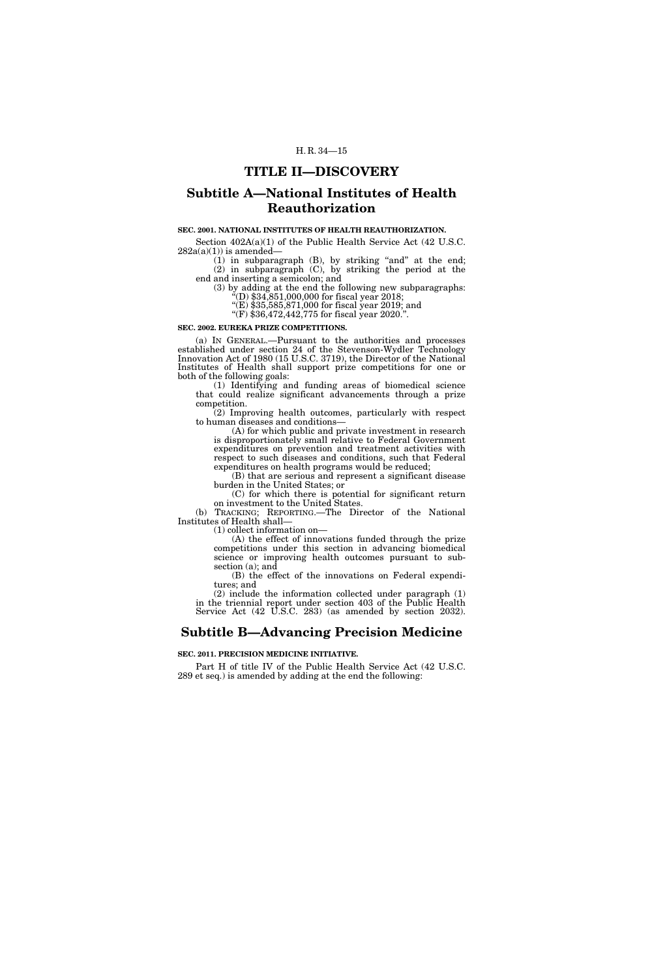### **TITLE II—DISCOVERY**

### **Subtitle A—National Institutes of Health Reauthorization**

#### **SEC. 2001. NATIONAL INSTITUTES OF HEALTH REAUTHORIZATION.**

Section 402A(a)(1) of the Public Health Service Act (42 U.S.C.  $282a(a)(1)$ ) is amended-

 $(1)$  in subparagraph  $(B)$ , by striking "and" at the end; (2) in subparagraph (C), by striking the period at the end and inserting a semicolon; and

(3) by adding at the end the following new subparagraphs:  $\text{``(D)} \$34,851,000,000$  for fiscal year 2018;

''(E) \$35,585,871,000 for fiscal year 2019; and

''(F) \$36,472,442,775 for fiscal year 2020.''.

#### **SEC. 2002. EUREKA PRIZE COMPETITIONS.**

(a) IN GENERAL.—Pursuant to the authorities and processes established under section 24 of the Stevenson-Wydler Technology Innovation Act of 1980 (15 U.S.C. 3719), the Director of the National Institutes of Health shall support prize competitions for one or both of the following goals:

(1) Identifying and funding areas of biomedical science that could realize significant advancements through a prize competition.

(2) Improving health outcomes, particularly with respect to human diseases and conditions—

(A) for which public and private investment in research is disproportionately small relative to Federal Government expenditures on prevention and treatment activities with respect to such diseases and conditions, such that Federal expenditures on health programs would be reduced;

(B) that are serious and represent a significant disease burden in the United States; or

(C) for which there is potential for significant return on investment to the United States.

(b) TRACKING; REPORTING.—The Director of the National Institutes of Health shall—

(1) collect information on—

(A) the effect of innovations funded through the prize competitions under this section in advancing biomedical science or improving health outcomes pursuant to subsection (a); and

(B) the effect of the innovations on Federal expenditures; and

(2) include the information collected under paragraph (1) in the triennial report under section 403 of the Public Health Service Act (42 U.S.C. 283) (as amended by section 2032).

## **Subtitle B—Advancing Precision Medicine**

**SEC. 2011. PRECISION MEDICINE INITIATIVE.** 

Part H of title IV of the Public Health Service Act (42 U.S.C. 289 et seq.) is amended by adding at the end the following: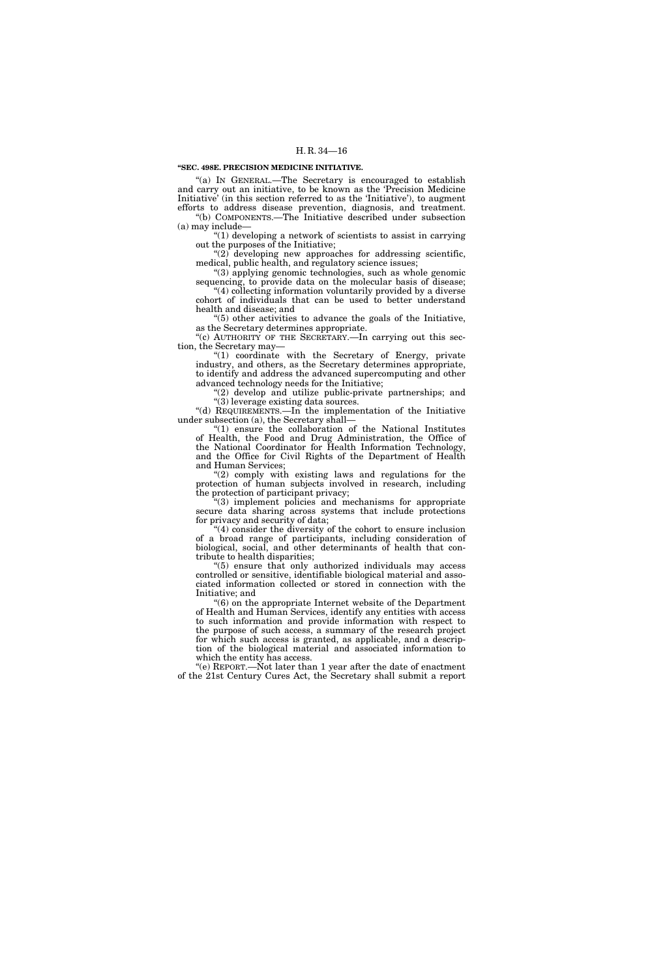#### **''SEC. 498E. PRECISION MEDICINE INITIATIVE.**

''(a) IN GENERAL.—The Secretary is encouraged to establish and carry out an initiative, to be known as the 'Precision Medicine Initiative' (in this section referred to as the 'Initiative'), to augment efforts to address disease prevention, diagnosis, and treatment. ''(b) COMPONENTS.—The Initiative described under subsection (a) may include—

''(1) developing a network of scientists to assist in carrying out the purposes of the Initiative;

 $(2)$  developing new approaches for addressing scientific, medical, public health, and regulatory science issues;

''(3) applying genomic technologies, such as whole genomic sequencing, to provide data on the molecular basis of disease; "(4) collecting information voluntarily provided by a diverse

cohort of individuals that can be used to better understand health and disease; and ''(5) other activities to advance the goals of the Initiative,

as the Secretary determines appropriate.

 $(c)$  AUTHORITY OF THE SECRETARY.—In carrying out this section, the Secretary may—

"(1) coordinate with the Secretary of Energy, private industry, and others, as the Secretary determines appropriate, to identify and address the advanced supercomputing and other advanced technology needs for the Initiative;

"(2) develop and utilize public-private partnerships; and ''(3) leverage existing data sources.

''(d) REQUIREMENTS.—In the implementation of the Initiative under subsection (a), the Secretary shall—

''(1) ensure the collaboration of the National Institutes of Health, the Food and Drug Administration, the Office of the National Coordinator for Health Information Technology, and the Office for Civil Rights of the Department of Health and Human Services;

 $''(2)$  comply with existing laws and regulations for the protection of human subjects involved in research, including the protection of participant privacy;

''(3) implement policies and mechanisms for appropriate secure data sharing across systems that include protections for privacy and security of data;

''(4) consider the diversity of the cohort to ensure inclusion of a broad range of participants, including consideration of biological, social, and other determinants of health that contribute to health disparities;

''(5) ensure that only authorized individuals may access controlled or sensitive, identifiable biological material and associated information collected or stored in connection with the Initiative; and

 $(6)$  on the appropriate Internet website of the Department of Health and Human Services, identify any entities with access to such information and provide information with respect to the purpose of such access, a summary of the research project for which such access is granted, as applicable, and a description of the biological material and associated information to which the entity has access.

''(e) REPORT.—Not later than 1 year after the date of enactment of the 21st Century Cures Act, the Secretary shall submit a report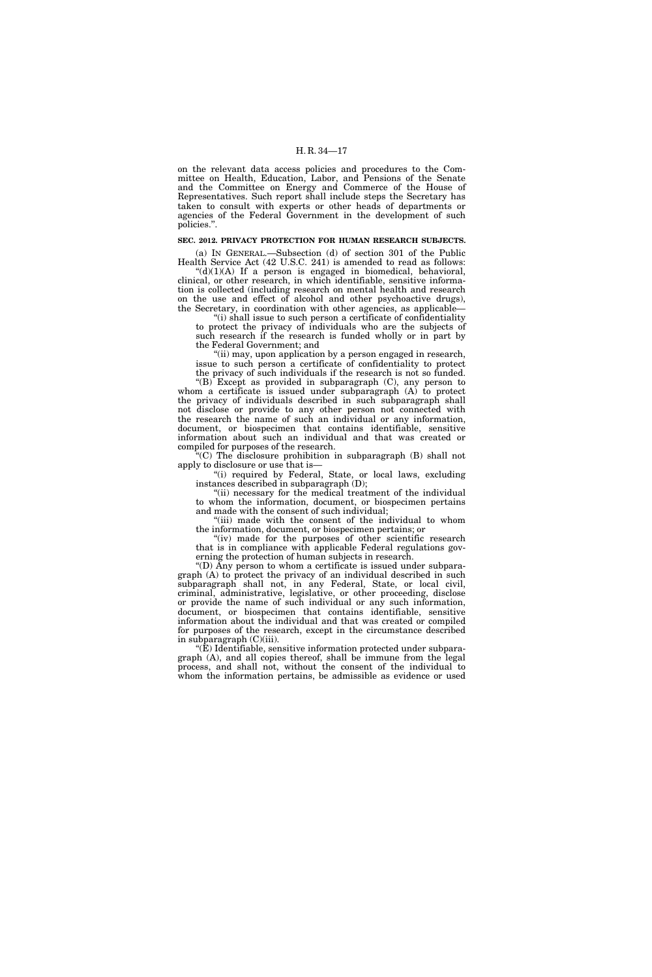on the relevant data access policies and procedures to the Committee on Health, Education, Labor, and Pensions of the Senate and the Committee on Energy and Commerce of the House of Representatives. Such report shall include steps the Secretary has taken to consult with experts or other heads of departments or agencies of the Federal Government in the development of such policies.''.

#### **SEC. 2012. PRIVACY PROTECTION FOR HUMAN RESEARCH SUBJECTS.**

(a) IN GENERAL.—Subsection (d) of section 301 of the Public Health Service Act (42 U.S.C. 241) is amended to read as follows:

 $"(d)(1)(A)$  If a person is engaged in biomedical, behavioral, clinical, or other research, in which identifiable, sensitive information is collected (including research on mental health and research on the use and effect of alcohol and other psychoactive drugs), the Secretary, in coordination with other agencies, as applicable—

''(i) shall issue to such person a certificate of confidentiality to protect the privacy of individuals who are the subjects of such research if the research is funded wholly or in part by the Federal Government; and

''(ii) may, upon application by a person engaged in research, issue to such person a certificate of confidentiality to protect the privacy of such individuals if the research is not so funded.

''(B) Except as provided in subparagraph (C), any person to whom a certificate is issued under subparagraph (A) to protect the privacy of individuals described in such subparagraph shall not disclose or provide to any other person not connected with the research the name of such an individual or any information, document, or biospecimen that contains identifiable, sensitive information about such an individual and that was created or compiled for purposes of the research.

 $(C)$  The disclosure prohibition in subparagraph  $(B)$  shall not apply to disclosure or use that is—

"(i) required by Federal, State, or local laws, excluding instances described in subparagraph (D);

"(ii) necessary for the medical treatment of the individual to whom the information, document, or biospecimen pertains and made with the consent of such individual;

''(iii) made with the consent of the individual to whom the information, document, or biospecimen pertains; or

"(iv) made for the purposes of other scientific research that is in compliance with applicable Federal regulations governing the protection of human subjects in research.

''(D) Any person to whom a certificate is issued under subparagraph (A) to protect the privacy of an individual described in such subparagraph shall not, in any Federal, State, or local civil, criminal, administrative, legislative, or other proceeding, disclose or provide the name of such individual or any such information, document, or biospecimen that contains identifiable, sensitive information about the individual and that was created or compiled for purposes of the research, except in the circumstance described in subparagraph (C)(iii).

 $\mathcal{F}(E)$  Identifiable, sensitive information protected under subparagraph (A), and all copies thereof, shall be immune from the legal process, and shall not, without the consent of the individual to whom the information pertains, be admissible as evidence or used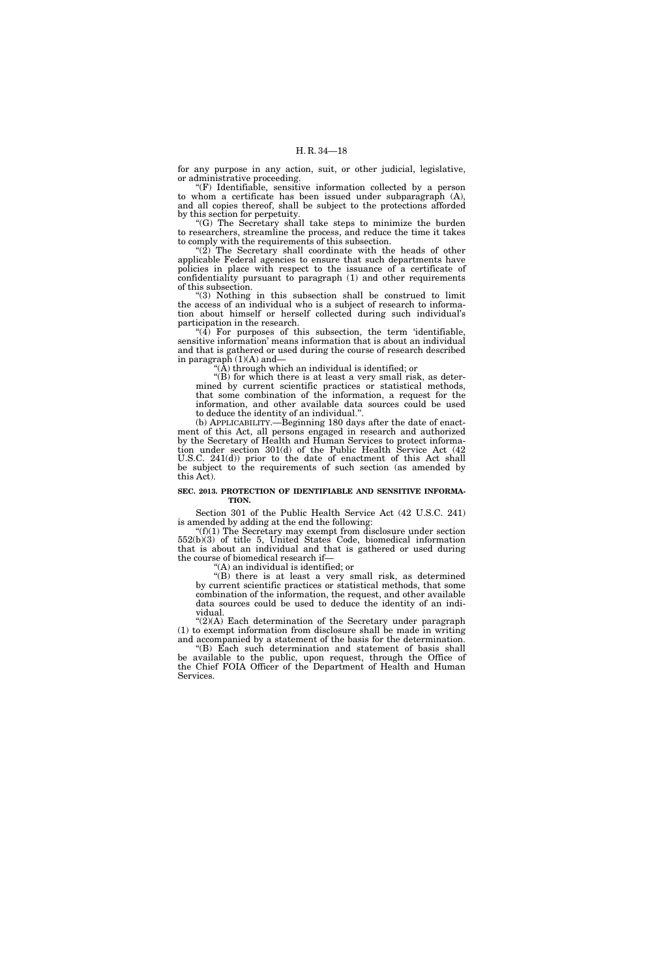for any purpose in any action, suit, or other judicial, legislative, or administrative proceeding.

"(F) Identifiable, sensitive information collected by a person to whom a certificate has been issued under subparagraph (A), and all copies thereof, shall be subject to the protections afforded by this section for perpetuity.

''(G) The Secretary shall take steps to minimize the burden to researchers, streamline the process, and reduce the time it takes to comply with the requirements of this subsection.

" $(2)$  The Secretary shall coordinate with the heads of other applicable Federal agencies to ensure that such departments have policies in place with respect to the issuance of a certificate of confidentiality pursuant to paragraph (1) and other requirements of this subsection.

''(3) Nothing in this subsection shall be construed to limit the access of an individual who is a subject of research to information about himself or herself collected during such individual's participation in the research.

" $(4)$  For purposes of this subsection, the term 'identifiable, sensitive information' means information that is about an individual and that is gathered or used during the course of research described in paragraph  $(1)(A)$  and—

''(A) through which an individual is identified; or

''(B) for which there is at least a very small risk, as determined by current scientific practices or statistical methods, that some combination of the information, a request for the information, and other available data sources could be used to deduce the identity of an individual.''.

(b) APPLICABILITY.—Beginning 180 days after the date of enactment of this Act, all persons engaged in research and authorized by the Secretary of Health and Human Services to protect information under section 301(d) of the Public Health Service Act (42 U.S.C. 241(d)) prior to the date of enactment of this Act shall be subject to the requirements of such section (as amended by this Act).

#### **SEC. 2013. PROTECTION OF IDENTIFIABLE AND SENSITIVE INFORMA-TION.**

Section 301 of the Public Health Service Act (42 U.S.C. 241) is amended by adding at the end the following:

 $f(f)(1)$  The Secretary may exempt from disclosure under section 552(b)(3) of title 5, United States Code, biomedical information that is about an individual and that is gathered or used during the course of biomedical research if—

''(A) an individual is identified; or

''(B) there is at least a very small risk, as determined by current scientific practices or statistical methods, that some combination of the information, the request, and other available data sources could be used to deduce the identity of an individual.

 $\Gamma(2)(A)$  Each determination of the Secretary under paragraph (1) to exempt information from disclosure shall be made in writing and accompanied by a statement of the basis for the determination.

''(B) Each such determination and statement of basis shall be available to the public, upon request, through the Office of the Chief FOIA Officer of the Department of Health and Human Services.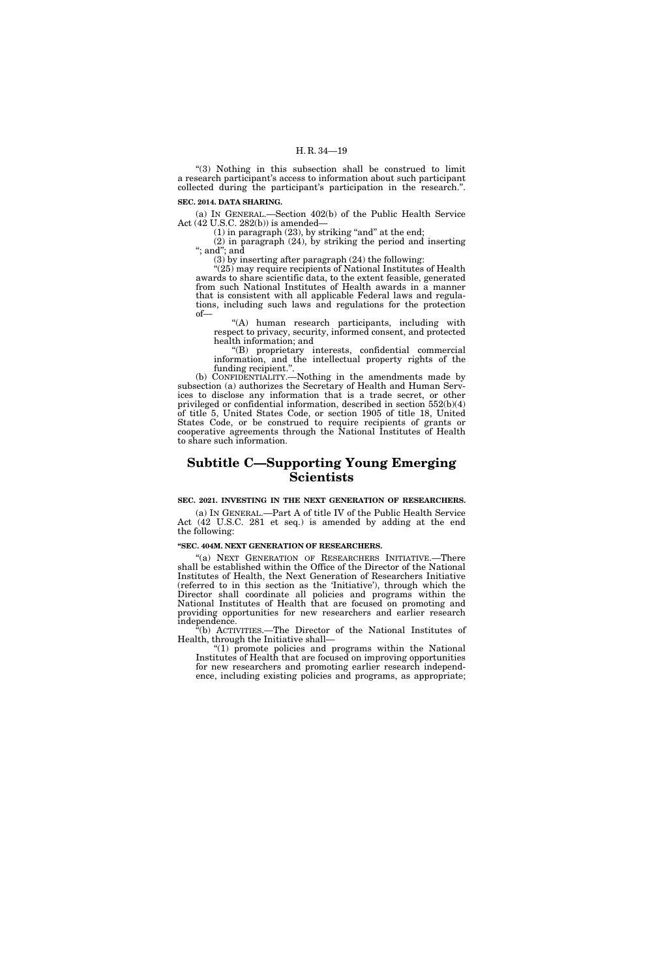"(3) Nothing in this subsection shall be construed to limit a research participant's access to information about such participant collected during the participant's participation in the research.''.

**SEC. 2014. DATA SHARING.** 

(a) IN GENERAL.—Section 402(b) of the Public Health Service Act (42 U.S.C. 282(b)) is amended—

 $(1)$  in paragraph  $(23)$ , by striking "and" at the end;

(2) in paragraph (24), by striking the period and inserting ''; and''; and

(3) by inserting after paragraph (24) the following:

"(25) may require recipients of National Institutes of Health awards to share scientific data, to the extent feasible, generated from such National Institutes of Health awards in a manner that is consistent with all applicable Federal laws and regulations, including such laws and regulations for the protection of—

"(A) human research participants, including with respect to privacy, security, informed consent, and protected health information; and

''(B) proprietary interests, confidential commercial information, and the intellectual property rights of the funding recipient.''.

(b) CONFIDENTIALITY.—Nothing in the amendments made by subsection (a) authorizes the Secretary of Health and Human Services to disclose any information that is a trade secret, or other privileged or confidential information, described in section 552(b)(4) of title 5, United States Code, or section 1905 of title 18, United States Code, or be construed to require recipients of grants or cooperative agreements through the National Institutes of Health to share such information.

### **Subtitle C—Supporting Young Emerging Scientists**

#### **SEC. 2021. INVESTING IN THE NEXT GENERATION OF RESEARCHERS.**

(a) IN GENERAL.—Part A of title IV of the Public Health Service Act (42 U.S.C. 281 et seq.) is amended by adding at the end the following:

#### **''SEC. 404M. NEXT GENERATION OF RESEARCHERS.**

"(a) NEXT GENERATION OF RESEARCHERS INITIATIVE.—There shall be established within the Office of the Director of the National Institutes of Health, the Next Generation of Researchers Initiative (referred to in this section as the 'Initiative'), through which the Director shall coordinate all policies and programs within the National Institutes of Health that are focused on promoting and providing opportunities for new researchers and earlier research independence.

''(b) ACTIVITIES.—The Director of the National Institutes of Health, through the Initiative shall—

''(1) promote policies and programs within the National Institutes of Health that are focused on improving opportunities for new researchers and promoting earlier research independence, including existing policies and programs, as appropriate;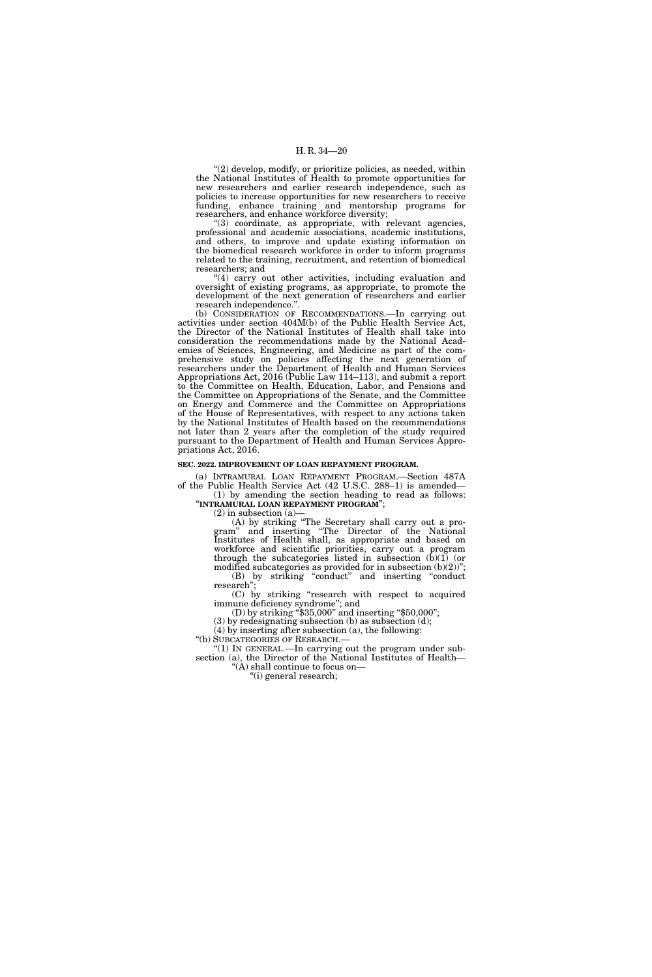''(2) develop, modify, or prioritize policies, as needed, within the National Institutes of Health to promote opportunities for new researchers and earlier research independence, such as policies to increase opportunities for new researchers to receive funding, enhance training and mentorship programs for researchers, and enhance workforce diversity;

''(3) coordinate, as appropriate, with relevant agencies, professional and academic associations, academic institutions, and others, to improve and update existing information on the biomedical research workforce in order to inform programs related to the training, recruitment, and retention of biomedical researchers; and

"(4) carry out other activities, including evaluation and oversight of existing programs, as appropriate, to promote the development of the next generation of researchers and earlier research independence.''.

(b) CONSIDERATION OF RECOMMENDATIONS.—In carrying out activities under section 404M(b) of the Public Health Service Act, the Director of the National Institutes of Health shall take into consideration the recommendations made by the National Academies of Sciences, Engineering, and Medicine as part of the comprehensive study on policies affecting the next generation of researchers under the Department of Health and Human Services Appropriations Act, 2016 (Public Law 114–113), and submit a report to the Committee on Health, Education, Labor, and Pensions and the Committee on Appropriations of the Senate, and the Committee on Energy and Commerce and the Committee on Appropriations of the House of Representatives, with respect to any actions taken by the National Institutes of Health based on the recommendations not later than 2 years after the completion of the study required pursuant to the Department of Health and Human Services Appropriations Act, 2016.

#### **SEC. 2022. IMPROVEMENT OF LOAN REPAYMENT PROGRAM.**

(a) INTRAMURAL LOAN REPAYMENT PROGRAM.—Section 487A of the Public Health Service Act (42 U.S.C. 288–1) is amended— (1) by amending the section heading to read as follows:

''**INTRAMURAL LOAN REPAYMENT PROGRAM**'';

(2) in subsection (a)—

(A) by striking ''The Secretary shall carry out a program'' and inserting ''The Director of the National Institutes of Health shall, as appropriate and based on workforce and scientific priorities, carry out a program through the subcategories listed in subsection  $(b)(1)$  (or modified subcategories as provided for in subsection  $(b)(2)$ "; (B) by striking ''conduct'' and inserting ''conduct research'';

(C) by striking ''research with respect to acquired immune deficiency syndrome''; and

(D) by striking ''\$35,000'' and inserting ''\$50,000''; (3) by redesignating subsection (b) as subsection (d);

(4) by inserting after subsection (a), the following:

"(b) SUBCATEGORIES OF RESEARCH.-

" $(1)$  In GENERAL.—In carrying out the program under subsection (a), the Director of the National Institutes of Health—  $^{\circ}\text{(A)}$  shall continue to focus on—

''(i) general research;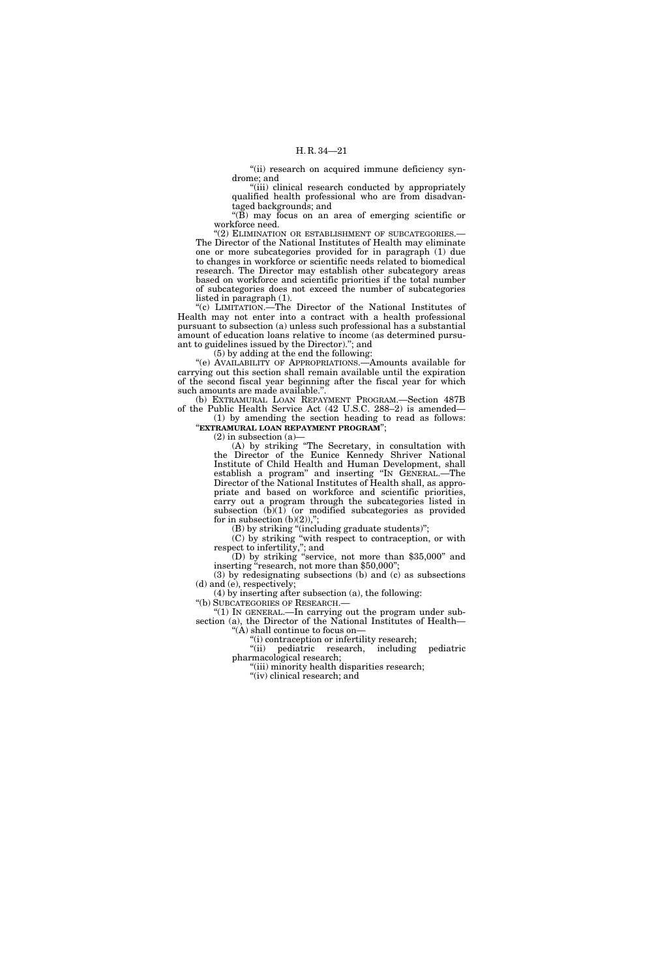"(ii) research on acquired immune deficiency syndrome; and

''(iii) clinical research conducted by appropriately qualified health professional who are from disadvantaged backgrounds; and

"(B) may focus on an area of emerging scientific or workforce need.

"(2) ELIMINATION OR ESTABLISHMENT OF SUBCATEGORIES.-The Director of the National Institutes of Health may eliminate one or more subcategories provided for in paragraph (1) due to changes in workforce or scientific needs related to biomedical research. The Director may establish other subcategory areas based on workforce and scientific priorities if the total number of subcategories does not exceed the number of subcategories listed in paragraph (1).

''(c) LIMITATION.—The Director of the National Institutes of Health may not enter into a contract with a health professional pursuant to subsection (a) unless such professional has a substantial amount of education loans relative to income (as determined pursuant to guidelines issued by the Director).''; and

(5) by adding at the end the following:

''(e) AVAILABILITY OF APPROPRIATIONS.—Amounts available for carrying out this section shall remain available until the expiration of the second fiscal year beginning after the fiscal year for which such amounts are made available."

(b) EXTRAMURAL LOAN REPAYMENT PROGRAM.—Section 487B of the Public Health Service Act (42 U.S.C. 288–2) is amended—

(1) by amending the section heading to read as follows: ''**EXTRAMURAL LOAN REPAYMENT PROGRAM**'';

 $(2)$  in subsection  $(a)$ 

(A) by striking ''The Secretary, in consultation with the Director of the Eunice Kennedy Shriver National Institute of Child Health and Human Development, shall establish a program'' and inserting ''IN GENERAL.—The Director of the National Institutes of Health shall, as appropriate and based on workforce and scientific priorities, carry out a program through the subcategories listed in subsection  $(b)(1)$  (or modified subcategories as provided for in subsection  $(b)(2)$ ,

(B) by striking ''(including graduate students)'';

(C) by striking ''with respect to contraception, or with respect to infertility,''; and

(D) by striking ''service, not more than \$35,000'' and inserting "research, not more than \$50,000";

(3) by redesignating subsections (b) and (c) as subsections (d) and (e), respectively;

(4) by inserting after subsection (a), the following:

''(b) SUBCATEGORIES OF RESEARCH.—

''(1) IN GENERAL.—In carrying out the program under subsection (a), the Director of the National Institutes of Health— '(A) shall continue to focus on-

''(i) contraception or infertility research;

''(ii) pediatric research, including pediatric pharmacological research;

''(iii) minority health disparities research; "(iv) clinical research; and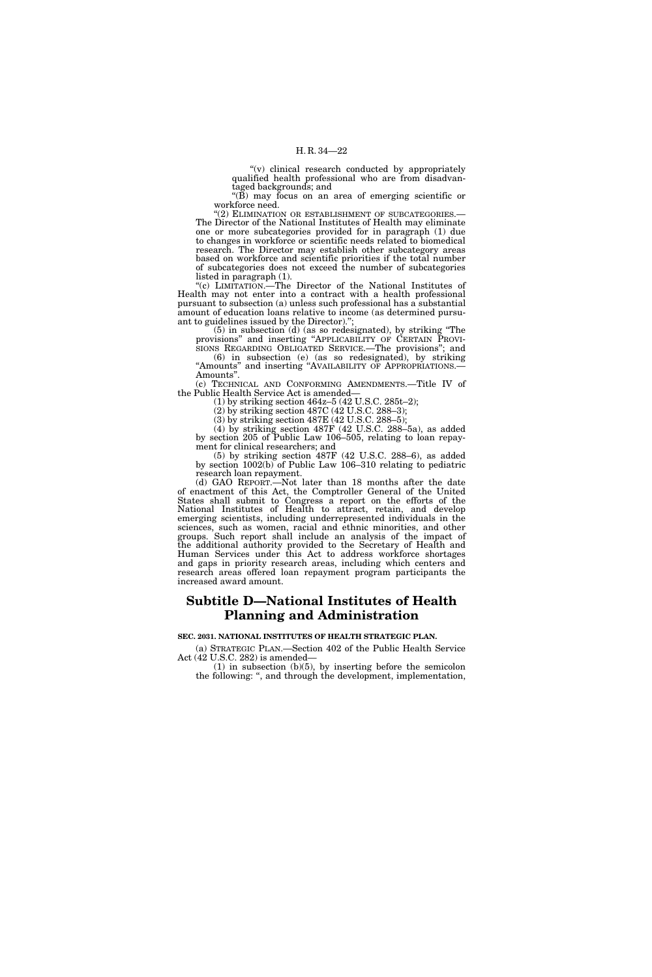''(v) clinical research conducted by appropriately qualified health professional who are from disadvantaged backgrounds; and

" $(B)$  may focus on an area of emerging scientific or workforce need.<br>"(2) ELIMINATION OR ESTABLISHMENT OF SUBCATEGORIES.—

The Director of the National Institutes of Health may eliminate one or more subcategories provided for in paragraph (1) due to changes in workforce or scientific needs related to biomedical research. The Director may establish other subcategory areas based on workforce and scientific priorities if the total number of subcategories does not exceed the number of subcategories listed in paragraph (1).

''(c) LIMITATION.—The Director of the National Institutes of Health may not enter into a contract with a health professional pursuant to subsection (a) unless such professional has a substantial amount of education loans relative to income (as determined pursuant to guidelines issued by the Director).'';

(5) in subsection (d) (as so redesignated), by striking ''The provisions'' and inserting ''APPLICABILITY OF CERTAIN PROVI- SIONS REGARDING OBLIGATED SERVICE.—The provisions''; and (6) in subsection (e) (as so redesignated), by striking

"Amounts" and inserting "AVAILABILITY OF APPROPRIATIONS.—<br>Amounts". (c) TECHNICAL AND CONFORMING AMENDMENTS.—Title IV of

the Public Health Service Act is amended—

(1) by striking section 464z–5 (42 U.S.C. 285t–2);

(2) by striking section 487C (42 U.S.C. 288–3); (3) by striking section 487E (42 U.S.C. 288–5);

(4) by striking section 487F (42 U.S.C. 288–5a), as added by section 205 of Public Law 106–505, relating to loan repayment for clinical researchers; and

(5) by striking section 487F (42 U.S.C. 288–6), as added by section 1002(b) of Public Law 106–310 relating to pediatric research loan repayment.

(d) GAO REPORT.—Not later than 18 months after the date of enactment of this Act, the Comptroller General of the United States shall submit to Congress a report on the efforts of the National Institutes of Health to attract, retain, and develop emerging scientists, including underrepresented individuals in the sciences, such as women, racial and ethnic minorities, and other groups. Such report shall include an analysis of the impact of the additional authority provided to the Secretary of Health and Human Services under this Act to address workforce shortages and gaps in priority research areas, including which centers and research areas offered loan repayment program participants the increased award amount.

### **Subtitle D—National Institutes of Health Planning and Administration**

**SEC. 2031. NATIONAL INSTITUTES OF HEALTH STRATEGIC PLAN.** 

(a) STRATEGIC PLAN.—Section 402 of the Public Health Service Act (42 U.S.C. 282) is amended—

(1) in subsection (b)(5), by inserting before the semicolon the following: '', and through the development, implementation,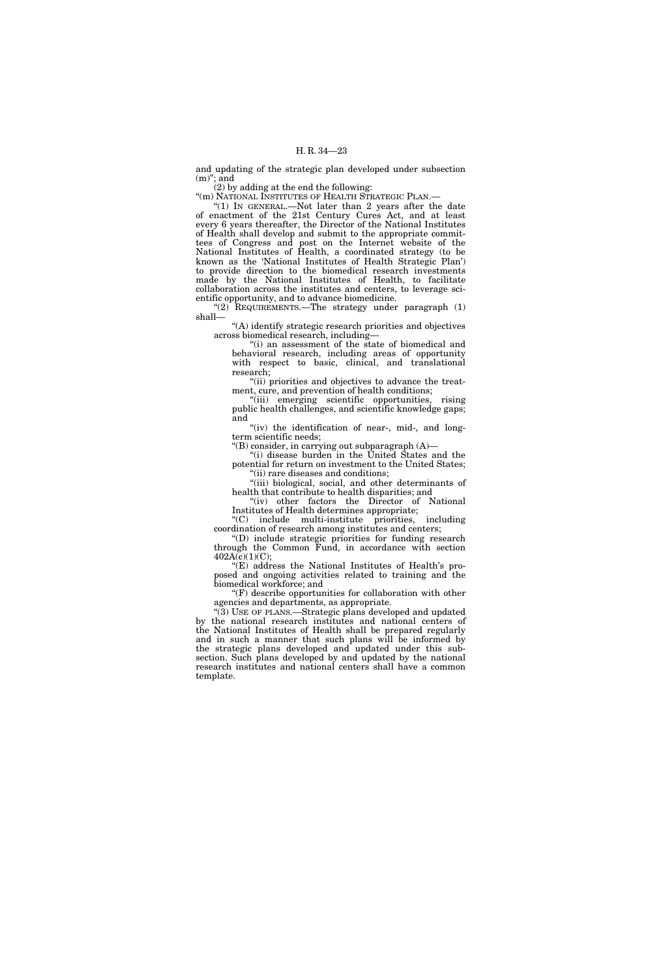and updating of the strategic plan developed under subsection  $(m)$ "; and

 $(2)$  by adding at the end the following:

"(m) NATIONAL INSTITUTES OF HEALTH STRATEGIC PLAN.

"(1) IN GENERAL.—Not later than 2 years after the date of enactment of the 21st Century Cures Act, and at least every 6 years thereafter, the Director of the National Institutes of Health shall develop and submit to the appropriate committees of Congress and post on the Internet website of the National Institutes of Health, a coordinated strategy (to be known as the 'National Institutes of Health Strategic Plan') to provide direction to the biomedical research investments made by the National Institutes of Health, to facilitate collaboration across the institutes and centers, to leverage scientific opportunity, and to advance biomedicine.

''(2) REQUIREMENTS.—The strategy under paragraph (1) shall—

''(A) identify strategic research priorities and objectives across biomedical research, including—

''(i) an assessment of the state of biomedical and behavioral research, including areas of opportunity with respect to basic, clinical, and translational research;

"(ii) priorities and objectives to advance the treatment, cure, and prevention of health conditions;

"(iii) emerging scientific opportunities, rising public health challenges, and scientific knowledge gaps; and

"(iv) the identification of near-, mid-, and longterm scientific needs;

''(B) consider, in carrying out subparagraph (A)—

''(i) disease burden in the United States and the potential for return on investment to the United States; ''(ii) rare diseases and conditions;

"(iii) biological, social, and other determinants of health that contribute to health disparities; and

''(iv) other factors the Director of National Institutes of Health determines appropriate;

''(C) include multi-institute priorities, including coordination of research among institutes and centers;

''(D) include strategic priorities for funding research through the Common Fund, in accordance with section  $402A(c)(1)(C);$ 

''(E) address the National Institutes of Health's proposed and ongoing activities related to training and the biomedical workforce; and

''(F) describe opportunities for collaboration with other agencies and departments, as appropriate.

''(3) USE OF PLANS.—Strategic plans developed and updated by the national research institutes and national centers of the National Institutes of Health shall be prepared regularly and in such a manner that such plans will be informed by the strategic plans developed and updated under this subsection. Such plans developed by and updated by the national research institutes and national centers shall have a common template.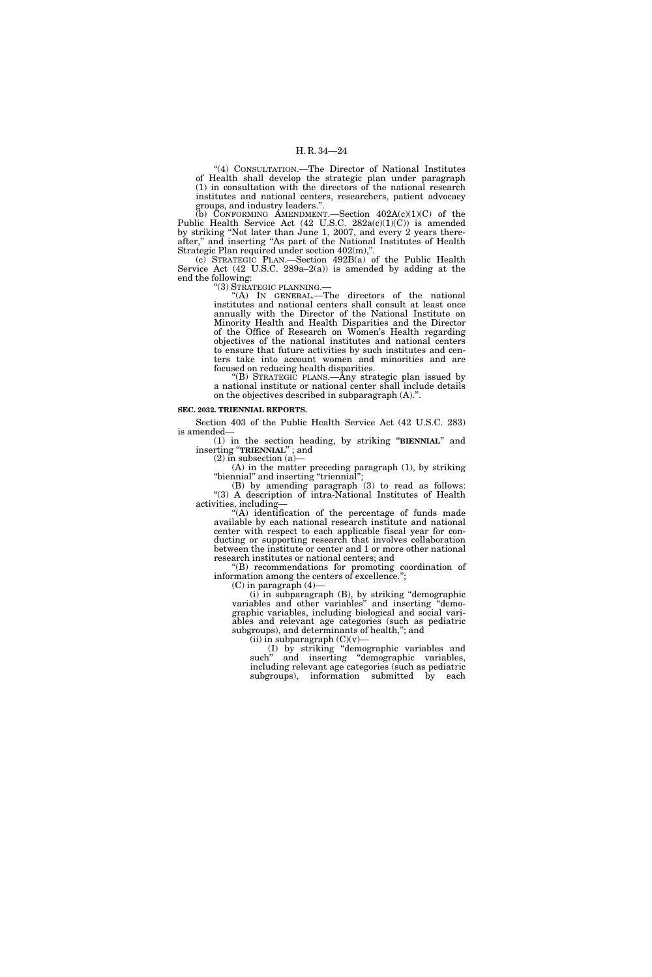''(4) CONSULTATION.—The Director of National Institutes of Health shall develop the strategic plan under paragraph (1) in consultation with the directors of the national research institutes and national centers, researchers, patient advocacy groups, and industry leaders.''.

(b) CONFORMING AMENDMENT. Section  $402A(c)(1)(C)$  of the Public Health Service Act (42 U.S.C. 282a(c)(1)(C)) is amended by striking ''Not later than June 1, 2007, and every 2 years thereafter,'' and inserting ''As part of the National Institutes of Health Strategic Plan required under section 402(m),''.

(c) STRATEGIC PLAN.—Section 492B(a) of the Public Health Service Act (42 U.S.C. 289a–2(a)) is amended by adding at the end the following:

''(3) STRATEGIC PLANNING.—

''(A) IN GENERAL.—The directors of the national institutes and national centers shall consult at least once annually with the Director of the National Institute on Minority Health and Health Disparities and the Director of the Office of Research on Women's Health regarding objectives of the national institutes and national centers to ensure that future activities by such institutes and centers take into account women and minorities and are focused on reducing health disparities.

''(B) STRATEGIC PLANS.—Any strategic plan issued by a national institute or national center shall include details on the objectives described in subparagraph (A).''.

#### **SEC. 2032. TRIENNIAL REPORTS.**

Section 403 of the Public Health Service Act (42 U.S.C. 283) is amended—

(1) in the section heading, by striking ''**BIENNIAL**'' and inserting ''**TRIENNIAL**'' ; and

 $(2)$  in subsection  $(a)$ –

(A) in the matter preceding paragraph (1), by striking ''biennial'' and inserting ''triennial'';

(B) by amending paragraph (3) to read as follows: ''(3) A description of intra-National Institutes of Health activities, including—

 $*(A)$  identification of the percentage of funds made available by each national research institute and national center with respect to each applicable fiscal year for conducting or supporting research that involves collaboration between the institute or center and 1 or more other national research institutes or national centers; and

''(B) recommendations for promoting coordination of information among the centers of excellence.'';

 $(C)$  in paragraph  $(4)$ 

(i) in subparagraph (B), by striking ''demographic variables and other variables'' and inserting ''demographic variables, including biological and social variables and relevant age categories (such as pediatric subgroups), and determinants of health,''; and

(ii) in subparagraph  $(C)(v)$ 

(I) by striking ''demographic variables and such" and inserting "demographic variables, including relevant age categories (such as pediatric subgroups), information submitted by each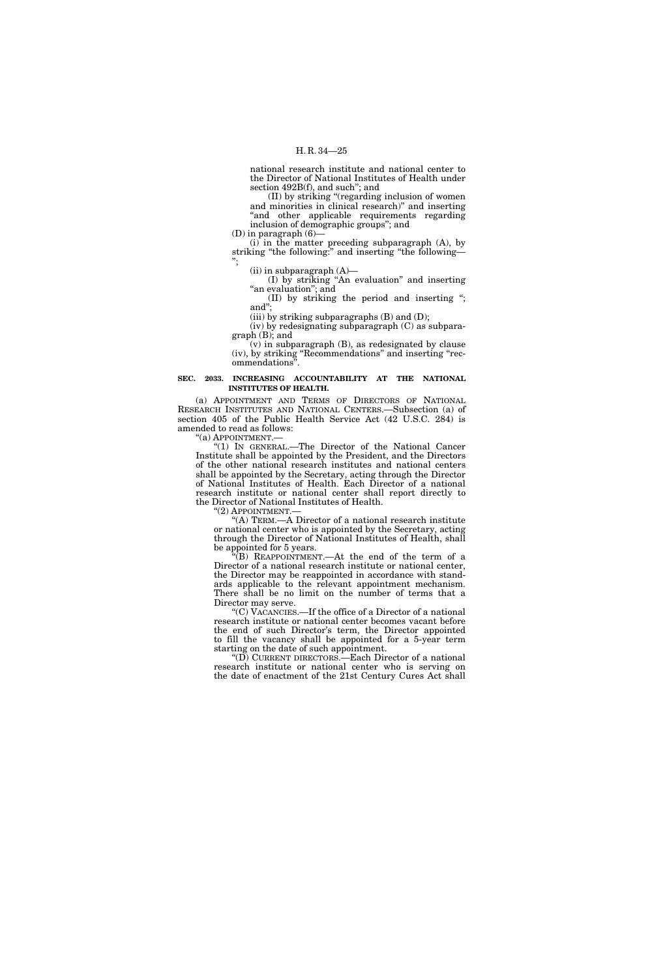national research institute and national center to the Director of National Institutes of Health under section 492B(f), and such''; and

(II) by striking ''(regarding inclusion of women and minorities in clinical research)'' and inserting "and other applicable requirements regarding inclusion of demographic groups''; and

 $(D)$  in paragraph  $(6)$ —

(i) in the matter preceding subparagraph (A), by striking "the following:" and inserting "the following— '';

 $(ii)$  in subparagraph  $(A)$ —

(I) by striking ''An evaluation'' and inserting "an evaluation"; and

(II) by striking the period and inserting ''; and'';

(iii) by striking subparagraphs  $(B)$  and  $(D)$ ;

(iv) by redesignating subparagraph (C) as subparagraph (B); and

 $(v)$  in subparagraph  $(B)$ , as redesignated by clause (iv), by striking ''Recommendations'' and inserting ''recommendations'

#### **SEC. 2033. INCREASING ACCOUNTABILITY AT THE NATIONAL INSTITUTES OF HEALTH.**

(a) APPOINTMENT AND TERMS OF DIRECTORS OF NATIONAL RESEARCH INSTITUTES AND NATIONAL CENTERS.—Subsection (a) of section 405 of the Public Health Service Act (42 U.S.C. 284) is amended to read as follows:

''(a) APPOINTMENT.—

''(1) IN GENERAL.—The Director of the National Cancer Institute shall be appointed by the President, and the Directors of the other national research institutes and national centers shall be appointed by the Secretary, acting through the Director of National Institutes of Health. Each Director of a national research institute or national center shall report directly to the Director of National Institutes of Health.

"(2) APPOINTMENT.

"(A) TERM.—A Director of a national research institute or national center who is appointed by the Secretary, acting through the Director of National Institutes of Health, shall be appointed for 5 years.

''(B) REAPPOINTMENT.—At the end of the term of a Director of a national research institute or national center, the Director may be reappointed in accordance with standards applicable to the relevant appointment mechanism. There shall be no limit on the number of terms that a Director may serve.

''(C) VACANCIES.—If the office of a Director of a national research institute or national center becomes vacant before the end of such Director's term, the Director appointed to fill the vacancy shall be appointed for a 5-year term starting on the date of such appointment.

''(D) CURRENT DIRECTORS.—Each Director of a national research institute or national center who is serving on the date of enactment of the 21st Century Cures Act shall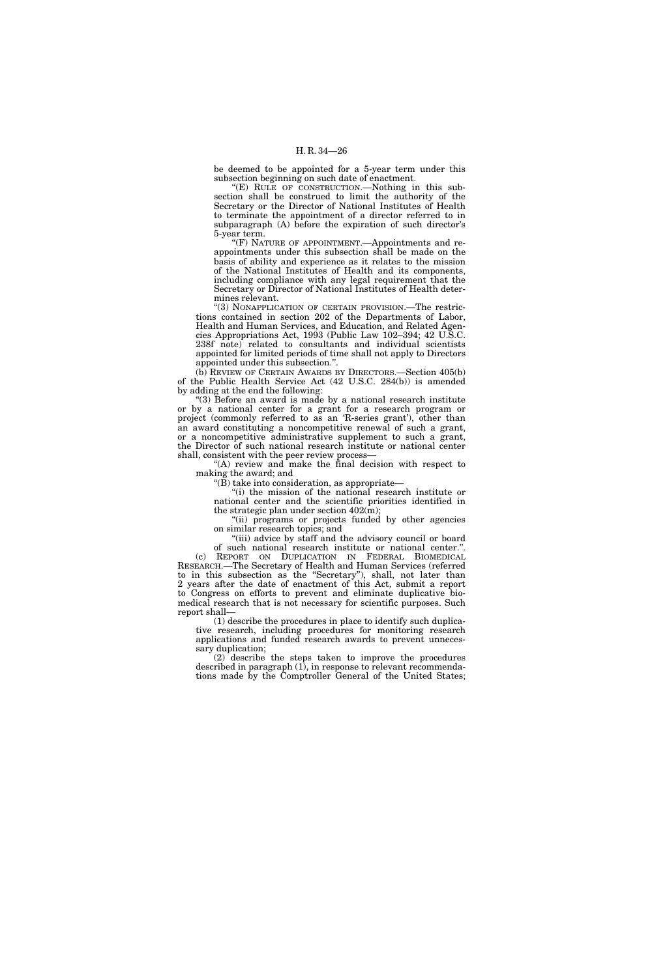be deemed to be appointed for a 5-year term under this subsection beginning on such date of enactment.

''(E) RULE OF CONSTRUCTION.—Nothing in this subsection shall be construed to limit the authority of the Secretary or the Director of National Institutes of Health to terminate the appointment of a director referred to in subparagraph (A) before the expiration of such director's 5-year term.

''(F) NATURE OF APPOINTMENT.—Appointments and reappointments under this subsection shall be made on the basis of ability and experience as it relates to the mission of the National Institutes of Health and its components, including compliance with any legal requirement that the Secretary or Director of National Institutes of Health determines relevant.

"(3) NONAPPLICATION OF CERTAIN PROVISION.—The restrictions contained in section 202 of the Departments of Labor, Health and Human Services, and Education, and Related Agencies Appropriations Act, 1993 (Public Law 102–394; 42 U.S.C. 238f note) related to consultants and individual scientists appointed for limited periods of time shall not apply to Directors appointed under this subsection.''.

(b) REVIEW OF CERTAIN AWARDS BY DIRECTORS.—Section 405(b) of the Public Health Service Act (42 U.S.C. 284(b)) is amended by adding at the end the following:

''(3) Before an award is made by a national research institute or by a national center for a grant for a research program or project (commonly referred to as an 'R-series grant'), other than an award constituting a noncompetitive renewal of such a grant, or a noncompetitive administrative supplement to such a grant, the Director of such national research institute or national center shall, consistent with the peer review process—

"(A) review and make the final decision with respect to making the award; and

" $(B)$  take into consideration, as appropriate—

''(i) the mission of the national research institute or national center and the scientific priorities identified in the strategic plan under section  $402(m)$ ;

''(ii) programs or projects funded by other agencies on similar research topics; and

"(iii) advice by staff and the advisory council or board of such national research institute or national center.''.

(c) REPORT ON DUPLICATION IN FEDERAL BIOMEDICAL RESEARCH.—The Secretary of Health and Human Services (referred to in this subsection as the ''Secretary''), shall, not later than 2 years after the date of enactment of this Act, submit a report to Congress on efforts to prevent and eliminate duplicative biomedical research that is not necessary for scientific purposes. Such report shall—

(1) describe the procedures in place to identify such duplicative research, including procedures for monitoring research applications and funded research awards to prevent unnecessary duplication;

(2) describe the steps taken to improve the procedures described in paragraph (1), in response to relevant recommendations made by the Comptroller General of the United States;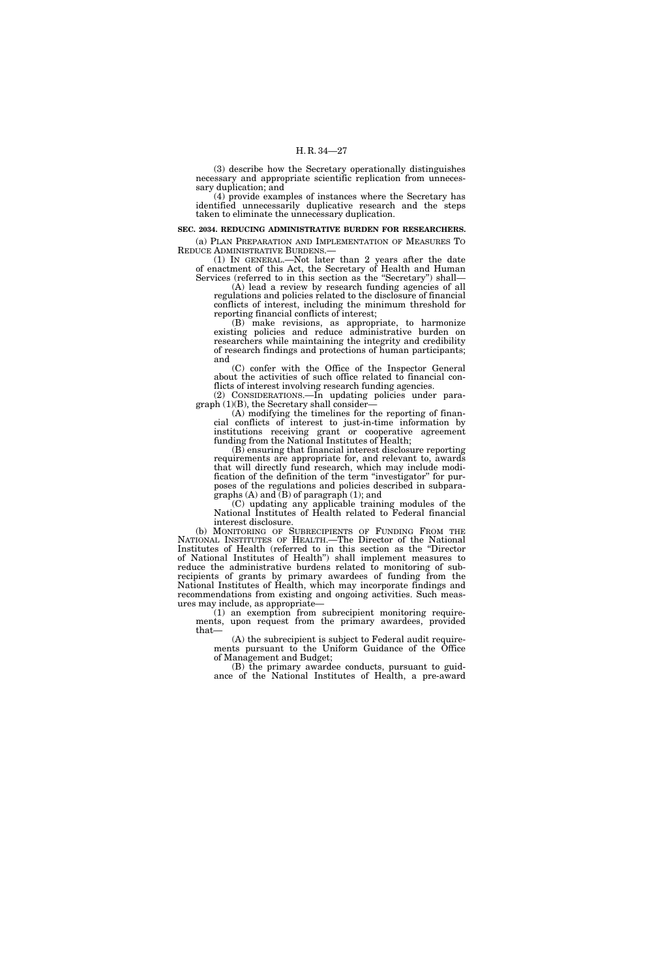(3) describe how the Secretary operationally distinguishes necessary and appropriate scientific replication from unnecessary duplication; and

(4) provide examples of instances where the Secretary has identified unnecessarily duplicative research and the steps taken to eliminate the unnecessary duplication.

#### **SEC. 2034. REDUCING ADMINISTRATIVE BURDEN FOR RESEARCHERS.**

(a) PLAN PREPARATION AND IMPLEMENTATION OF MEASURES TO REDUCE ADMINISTRATIVE BURDENS.

(1) IN GENERAL.—Not later than 2 years after the date of enactment of this Act, the Secretary of Health and Human Services (referred to in this section as the "Secretary") shall-

(A) lead a review by research funding agencies of all regulations and policies related to the disclosure of financial conflicts of interest, including the minimum threshold for reporting financial conflicts of interest;

(B) make revisions, as appropriate, to harmonize existing policies and reduce administrative burden on researchers while maintaining the integrity and credibility of research findings and protections of human participants; and

(C) confer with the Office of the Inspector General about the activities of such office related to financial conflicts of interest involving research funding agencies.

(2) CONSIDERATIONS.—In updating policies under paragraph (1)(B), the Secretary shall consider—

(A) modifying the timelines for the reporting of financial conflicts of interest to just-in-time information by institutions receiving grant or cooperative agreement funding from the National Institutes of Health;

(B) ensuring that financial interest disclosure reporting requirements are appropriate for, and relevant to, awards that will directly fund research, which may include modification of the definition of the term ''investigator'' for purposes of the regulations and policies described in subparagraphs (A) and (B) of paragraph (1); and

(C) updating any applicable training modules of the National Institutes of Health related to Federal financial interest disclosure.

(b) MONITORING OF SUBRECIPIENTS OF FUNDING FROM THE NATIONAL INSTITUTES OF HEALTH.—The Director of the National Institutes of Health (referred to in this section as the ''Director of National Institutes of Health'') shall implement measures to reduce the administrative burdens related to monitoring of subrecipients of grants by primary awardees of funding from the National Institutes of Health, which may incorporate findings and recommendations from existing and ongoing activities. Such measures may include, as appropriate—

(1) an exemption from subrecipient monitoring requirements, upon request from the primary awardees, provided that—

(A) the subrecipient is subject to Federal audit requirements pursuant to the Uniform Guidance of the Office of Management and Budget;

(B) the primary awardee conducts, pursuant to guidance of the National Institutes of Health, a pre-award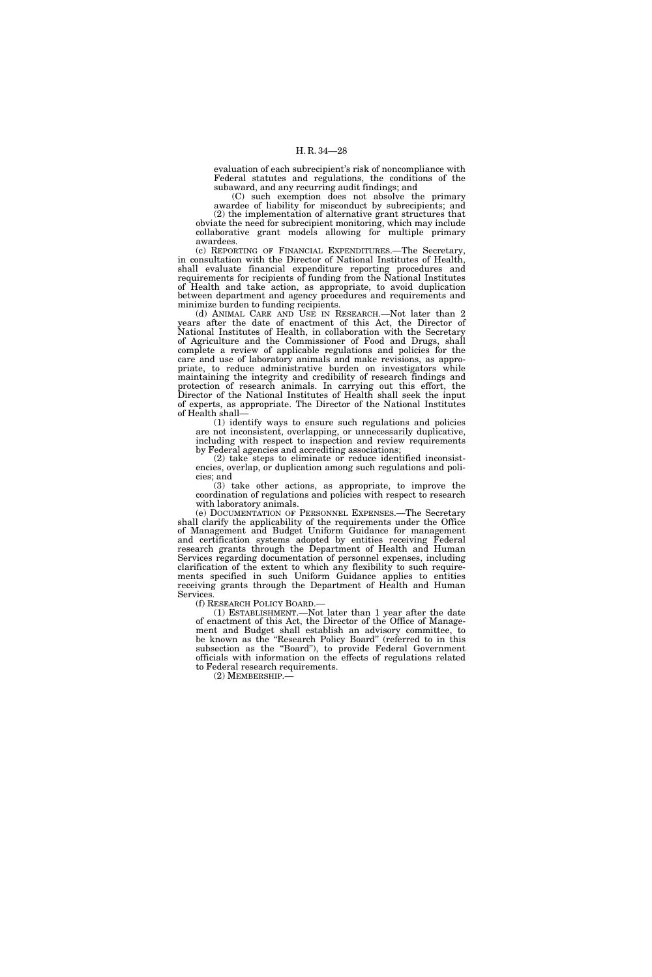evaluation of each subrecipient's risk of noncompliance with Federal statutes and regulations, the conditions of the subaward, and any recurring audit findings; and

(C) such exemption does not absolve the primary awardee of liability for misconduct by subrecipients; and (2) the implementation of alternative grant structures that obviate the need for subrecipient monitoring, which may include collaborative grant models allowing for multiple primary awardees.

(c) REPORTING OF FINANCIAL EXPENDITURES.—The Secretary, in consultation with the Director of National Institutes of Health, shall evaluate financial expenditure reporting procedures and requirements for recipients of funding from the National Institutes of Health and take action, as appropriate, to avoid duplication between department and agency procedures and requirements and minimize burden to funding recipients.

(d) ANIMAL CARE AND USE IN RESEARCH.—Not later than 2 years after the date of enactment of this Act, the Director of National Institutes of Health, in collaboration with the Secretary of Agriculture and the Commissioner of Food and Drugs, shall complete a review of applicable regulations and policies for the care and use of laboratory animals and make revisions, as appropriate, to reduce administrative burden on investigators while maintaining the integrity and credibility of research findings and protection of research animals. In carrying out this effort, the Director of the National Institutes of Health shall seek the input of experts, as appropriate. The Director of the National Institutes of Health shall—

(1) identify ways to ensure such regulations and policies are not inconsistent, overlapping, or unnecessarily duplicative, including with respect to inspection and review requirements by Federal agencies and accrediting associations;

(2) take steps to eliminate or reduce identified inconsistencies, overlap, or duplication among such regulations and policies; and

(3) take other actions, as appropriate, to improve the coordination of regulations and policies with respect to research with laboratory animals.

(e) DOCUMENTATION OF PERSONNEL EXPENSES.—The Secretary shall clarify the applicability of the requirements under the Office of Management and Budget Uniform Guidance for management and certification systems adopted by entities receiving Federal research grants through the Department of Health and Human Services regarding documentation of personnel expenses, including clarification of the extent to which any flexibility to such requirements specified in such Uniform Guidance applies to entities receiving grants through the Department of Health and Human Services.<br>
(f) RESEARCH POLICY BOARD.—

(1) ESTABLISHMENT.—Not later than 1 year after the date of enactment of this Act, the Director of the Office of Management and Budget shall establish an advisory committee, to be known as the ''Research Policy Board'' (referred to in this subsection as the ''Board''), to provide Federal Government officials with information on the effects of regulations related to Federal research requirements.

(2) MEMBERSHIP.—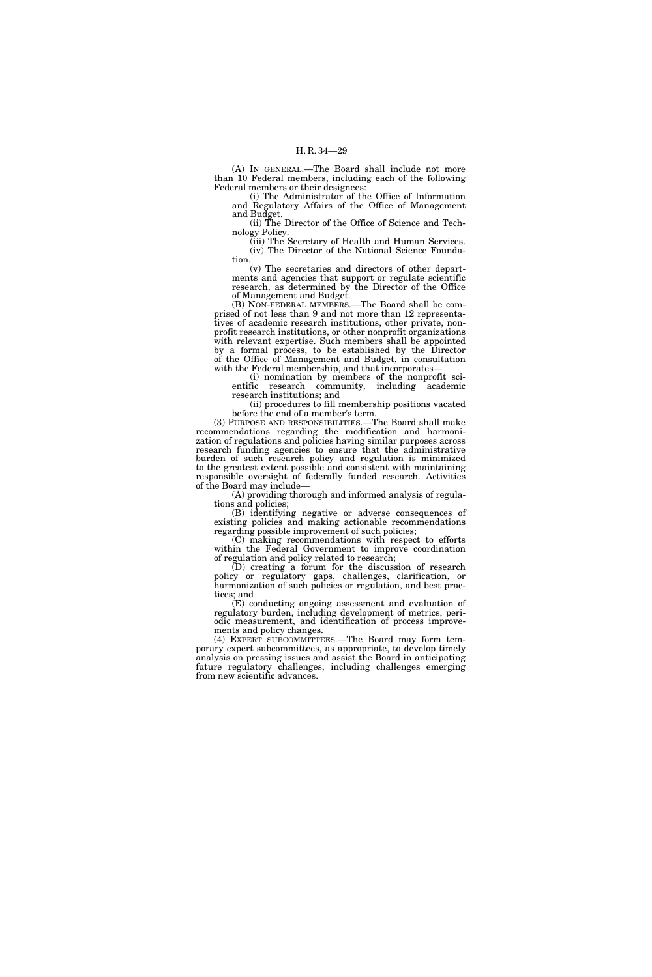(A) IN GENERAL.—The Board shall include not more than 10 Federal members, including each of the following Federal members or their designees:

(i) The Administrator of the Office of Information and Regulatory Affairs of the Office of Management and Budget.

(ii) The Director of the Office of Science and Technology Policy.

(iii) The Secretary of Health and Human Services. (iv) The Director of the National Science Foundation.

(v) The secretaries and directors of other departments and agencies that support or regulate scientific research, as determined by the Director of the Office of Management and Budget.

(B) NON-FEDERAL MEMBERS.—The Board shall be comprised of not less than 9 and not more than 12 representatives of academic research institutions, other private, nonprofit research institutions, or other nonprofit organizations with relevant expertise. Such members shall be appointed by a formal process, to be established by the Director of the Office of Management and Budget, in consultation with the Federal membership, and that incorporates

(i) nomination by members of the nonprofit scientific research community, including academic research institutions; and

(ii) procedures to fill membership positions vacated before the end of a member's term.

(3) PURPOSE AND RESPONSIBILITIES.—The Board shall make recommendations regarding the modification and harmonization of regulations and policies having similar purposes across research funding agencies to ensure that the administrative burden of such research policy and regulation is minimized to the greatest extent possible and consistent with maintaining responsible oversight of federally funded research. Activities of the Board may include—

(A) providing thorough and informed analysis of regulations and policies;

(B) identifying negative or adverse consequences of existing policies and making actionable recommendations regarding possible improvement of such policies;

(C) making recommendations with respect to efforts within the Federal Government to improve coordination of regulation and policy related to research;

(D) creating a forum for the discussion of research policy or regulatory gaps, challenges, clarification, or harmonization of such policies or regulation, and best practices; and

(E) conducting ongoing assessment and evaluation of regulatory burden, including development of metrics, periodic measurement, and identification of process improvements and policy changes.

(4) EXPERT SUBCOMMITTEES.—The Board may form temporary expert subcommittees, as appropriate, to develop timely analysis on pressing issues and assist the Board in anticipating future regulatory challenges, including challenges emerging from new scientific advances.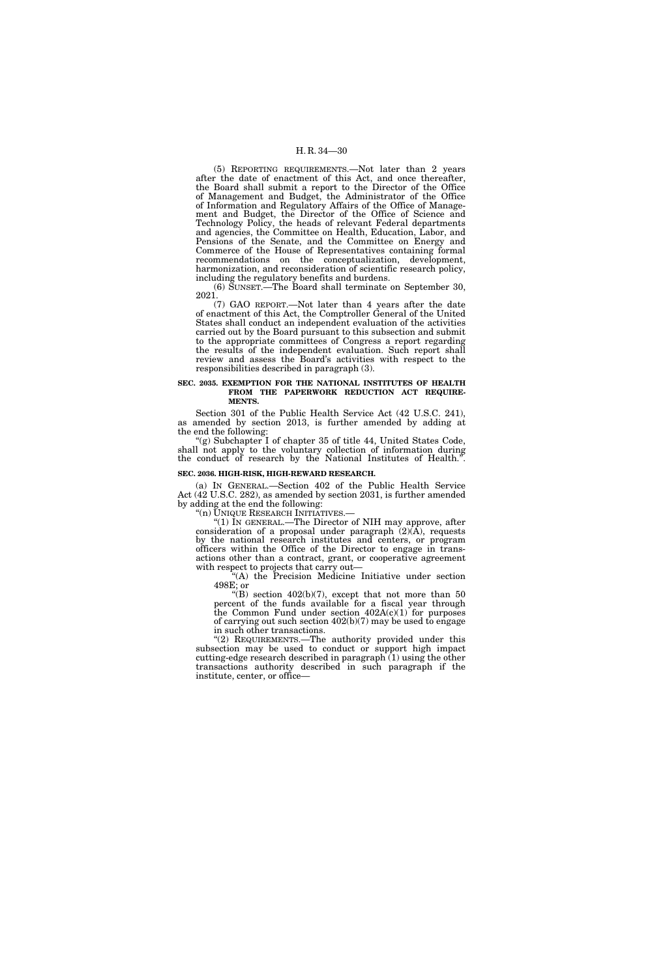(5) REPORTING REQUIREMENTS.—Not later than 2 years after the date of enactment of this Act, and once thereafter, the Board shall submit a report to the Director of the Office of Management and Budget, the Administrator of the Office of Information and Regulatory Affairs of the Office of Management and Budget, the Director of the Office of Science and Technology Policy, the heads of relevant Federal departments and agencies, the Committee on Health, Education, Labor, and Pensions of the Senate, and the Committee on Energy and Commerce of the House of Representatives containing formal recommendations on the conceptualization, development, harmonization, and reconsideration of scientific research policy, including the regulatory benefits and burdens.

(6) SUNSET.—The Board shall terminate on September 30, 2021.

(7) GAO REPORT.—Not later than 4 years after the date of enactment of this Act, the Comptroller General of the United States shall conduct an independent evaluation of the activities carried out by the Board pursuant to this subsection and submit to the appropriate committees of Congress a report regarding the results of the independent evaluation. Such report shall review and assess the Board's activities with respect to the responsibilities described in paragraph (3).

#### **SEC. 2035. EXEMPTION FOR THE NATIONAL INSTITUTES OF HEALTH FROM THE PAPERWORK REDUCTION ACT REQUIRE-MENTS.**

Section 301 of the Public Health Service Act (42 U.S.C. 241), as amended by section 2013, is further amended by adding at the end the following:

"(g) Subchapter I of chapter 35 of title 44, United States Code, shall not apply to the voluntary collection of information during the conduct of research by the National Institutes of Health.".

#### **SEC. 2036. HIGH-RISK, HIGH-REWARD RESEARCH.**

(a) IN GENERAL.—Section 402 of the Public Health Service Act (42 U.S.C. 282), as amended by section 2031, is further amended by adding at the end the following:<br>"(n) UNIQUE RESEARCH INITIATIVES.—

" $(1)$  In GENERAL.—The Director of NIH may approve, after consideration of a proposal under paragraph  $(2)(A)$ , requests by the national research institutes and centers, or program officers within the Office of the Director to engage in transactions other than a contract, grant, or cooperative agreement with respect to projects that carry out—

''(A) the Precision Medicine Initiative under section 498E; or

"(B) section  $402(b)(7)$ , except that not more than 50 percent of the funds available for a fiscal year through the Common Fund under section  $402A(c)(1)$  for purposes of carrying out such section 402(b)(7) may be used to engage in such other transactions.

"(2) REQUIREMENTS.—The authority provided under this subsection may be used to conduct or support high impact cutting-edge research described in paragraph (1) using the other transactions authority described in such paragraph if the institute, center, or office—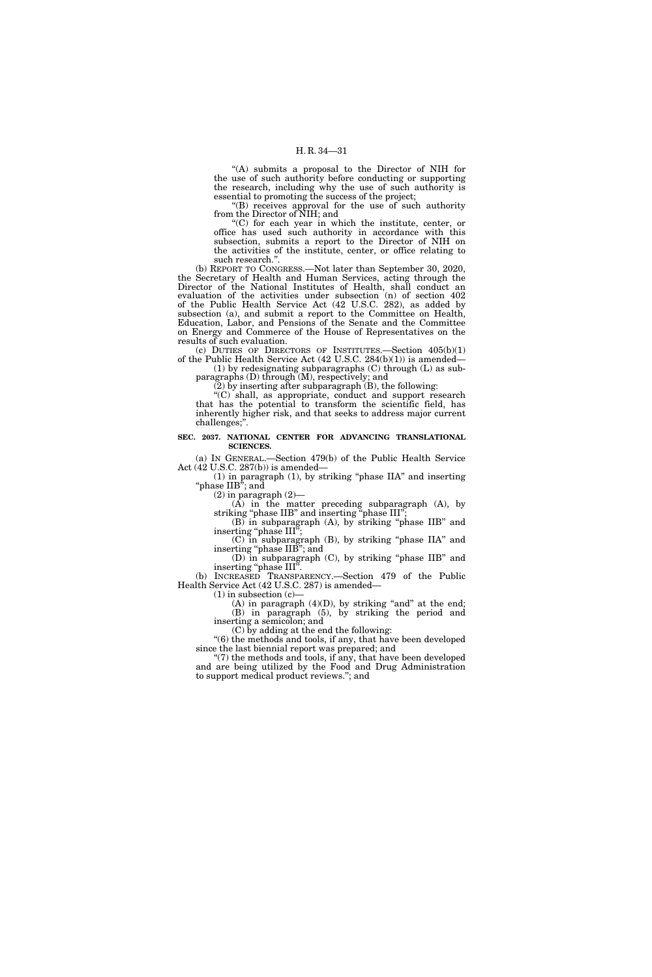''(A) submits a proposal to the Director of NIH for the use of such authority before conducting or supporting the research, including why the use of such authority is essential to promoting the success of the project;

''(B) receives approval for the use of such authority from the Director of NIH; and

 $C$ ) for each year in which the institute, center, or office has used such authority in accordance with this subsection, submits a report to the Director of NIH on the activities of the institute, center, or office relating to such research."

(b) REPORT TO CONGRESS.—Not later than September 30, 2020, the Secretary of Health and Human Services, acting through the Director of the National Institutes of Health, shall conduct an evaluation of the activities under subsection (n) of section 402 of the Public Health Service Act (42 U.S.C. 282), as added by subsection (a), and submit a report to the Committee on Health, Education, Labor, and Pensions of the Senate and the Committee on Energy and Commerce of the House of Representatives on the results of such evaluation.

(c) DUTIES OF DIRECTORS OF INSTITUTES.—Section  $405(b)(1)$ of the Public Health Service Act (42 U.S.C. 284(b)(1)) is amended—

(1) by redesignating subparagraphs (C) through (L) as subparagraphs (D) through (M), respectively; and

(2) by inserting after subparagraph (B), the following:

''(C) shall, as appropriate, conduct and support research that has the potential to transform the scientific field, has inherently higher risk, and that seeks to address major current challenges;''.

#### **SEC. 2037. NATIONAL CENTER FOR ADVANCING TRANSLATIONAL SCIENCES.**

(a) IN GENERAL.—Section 479(b) of the Public Health Service Act (42 U.S.C. 287(b)) is amended—

(1) in paragraph (1), by striking ''phase IIA'' and inserting "phase IIB"; and

(2) in paragraph (2)—

(A) in the matter preceding subparagraph (A), by striking "phase IIB" and inserting "phase III";

(B) in subparagraph (A), by striking ''phase IIB'' and inserting "phase III";

(C) in subparagraph (B), by striking ''phase IIA'' and inserting "phase IIB"; and

(D) in subparagraph (C), by striking ''phase IIB'' and inserting "phase III".

(b) INCREASED TRANSPARENCY.—Section 479 of the Public Health Service Act (42 U.S.C. 287) is amended—

(1) in subsection (c)—

 $(A)$  in paragraph  $(4)(D)$ , by striking "and" at the end; (B) in paragraph (5), by striking the period and inserting a semicolon; and

(C) by adding at the end the following:

''(6) the methods and tools, if any, that have been developed since the last biennial report was prepared; and

''(7) the methods and tools, if any, that have been developed and are being utilized by the Food and Drug Administration to support medical product reviews.''; and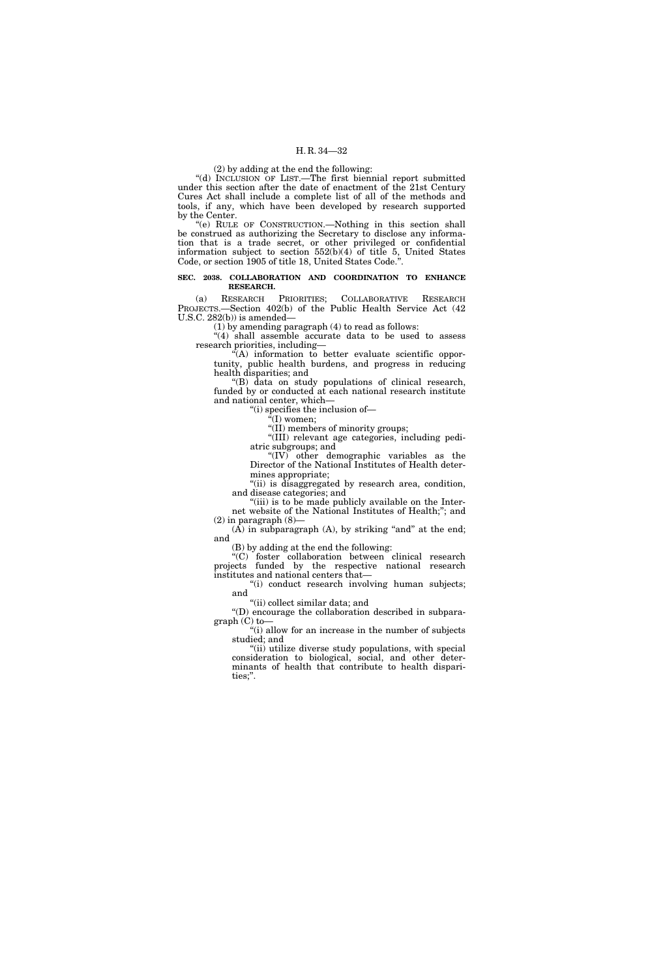#### (2) by adding at the end the following:

''(d) INCLUSION OF LIST.—The first biennial report submitted under this section after the date of enactment of the 21st Century Cures Act shall include a complete list of all of the methods and tools, if any, which have been developed by research supported by the Center.

''(e) RULE OF CONSTRUCTION.—Nothing in this section shall be construed as authorizing the Secretary to disclose any information that is a trade secret, or other privileged or confidential information subject to section 552(b)(4) of title 5, United States Code, or section 1905 of title 18, United States Code.''.

#### **SEC. 2038. COLLABORATION AND COORDINATION TO ENHANCE RESEARCH.**

(a) RESEARCH PRIORITIES; COLLABORATIVE RESEARCH PROJECTS.—Section 402(b) of the Public Health Service Act (42 U.S.C.  $282(b)$  is amended—

(1) by amending paragraph (4) to read as follows:

"(4) shall assemble accurate data to be used to assess research priorities, including—

 $\mathcal{F}(A)$  information to better evaluate scientific opportunity, public health burdens, and progress in reducing health disparities; and

''(B) data on study populations of clinical research, funded by or conducted at each national research institute and national center, which—

"(i) specifies the inclusion of-

''(I) women;

"(II) members of minority groups;

''(III) relevant age categories, including pediatric subgroups; and

''(IV) other demographic variables as the Director of the National Institutes of Health determines appropriate;

"(ii) is disaggregated by research area, condition, and disease categories; and

"(iii) is to be made publicly available on the Internet website of the National Institutes of Health;''; and  $(2)$  in paragraph  $(8)$ -

 $(A)$  in subparagraph  $(A)$ , by striking "and" at the end; and

(B) by adding at the end the following:

"(C) foster collaboration between clinical research projects funded by the respective national research institutes and national centers that—

"(i) conduct research involving human subjects; and

''(ii) collect similar data; and

''(D) encourage the collaboration described in subparagraph (C) to—

''(i) allow for an increase in the number of subjects studied; and

"(ii) utilize diverse study populations, with special consideration to biological, social, and other determinants of health that contribute to health disparities;''.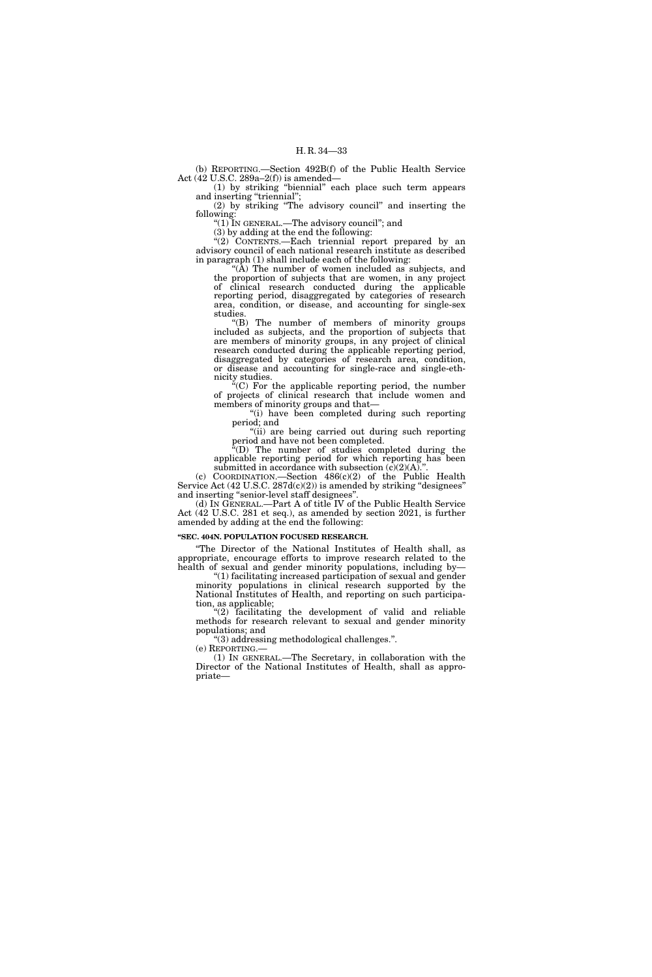(b) REPORTING.—Section 492B(f) of the Public Health Service Act (42 U.S.C. 289a–2(f)) is amended—

(1) by striking ''biennial'' each place such term appears and inserting "triennial";

(2) by striking ''The advisory council'' and inserting the following: "(1) IN GENERAL.—The advisory council"; and

(3) by adding at the end the following:

"(2) CONTENTS.-Each triennial report prepared by an advisory council of each national research institute as described in paragraph (1) shall include each of the following:

"( $\bar{A}$ ) The number of women included as subjects, and the proportion of subjects that are women, in any project of clinical research conducted during the applicable reporting period, disaggregated by categories of research area, condition, or disease, and accounting for single-sex studies.

''(B) The number of members of minority groups included as subjects, and the proportion of subjects that are members of minority groups, in any project of clinical research conducted during the applicable reporting period, disaggregated by categories of research area, condition, or disease and accounting for single-race and single-ethnicity studies.

 $\epsilon$ <sup>'</sup>(C) For the applicable reporting period, the number of projects of clinical research that include women and members of minority groups and that—

"(i) have been completed during such reporting period; and

"(ii) are being carried out during such reporting period and have not been completed.

 $\sqrt[n]{(D)}$  The number of studies completed during the applicable reporting period for which reporting has been submitted in accordance with subsection  $(c)(2)(A)$ ."

(c) COORDINATION.—Section 486(c)(2) of the Public Health Service Act  $(42 \text{ U.S.C. } 287\text{d(c)}(2))$  is amended by striking "designees" and inserting ''senior-level staff designees''.

(d) IN GENERAL.—Part A of title IV of the Public Health Service Act (42 U.S.C. 281 et seq.), as amended by section 2021, is further amended by adding at the end the following:

#### **''SEC. 404N. POPULATION FOCUSED RESEARCH.**

''The Director of the National Institutes of Health shall, as appropriate, encourage efforts to improve research related to the health of sexual and gender minority populations, including by—

''(1) facilitating increased participation of sexual and gender minority populations in clinical research supported by the National Institutes of Health, and reporting on such participation, as applicable;

''(2) facilitating the development of valid and reliable methods for research relevant to sexual and gender minority populations; and

''(3) addressing methodological challenges.''.

(e) REPORTING.— (1) IN GENERAL.—The Secretary, in collaboration with the Director of the National Institutes of Health, shall as appropriate—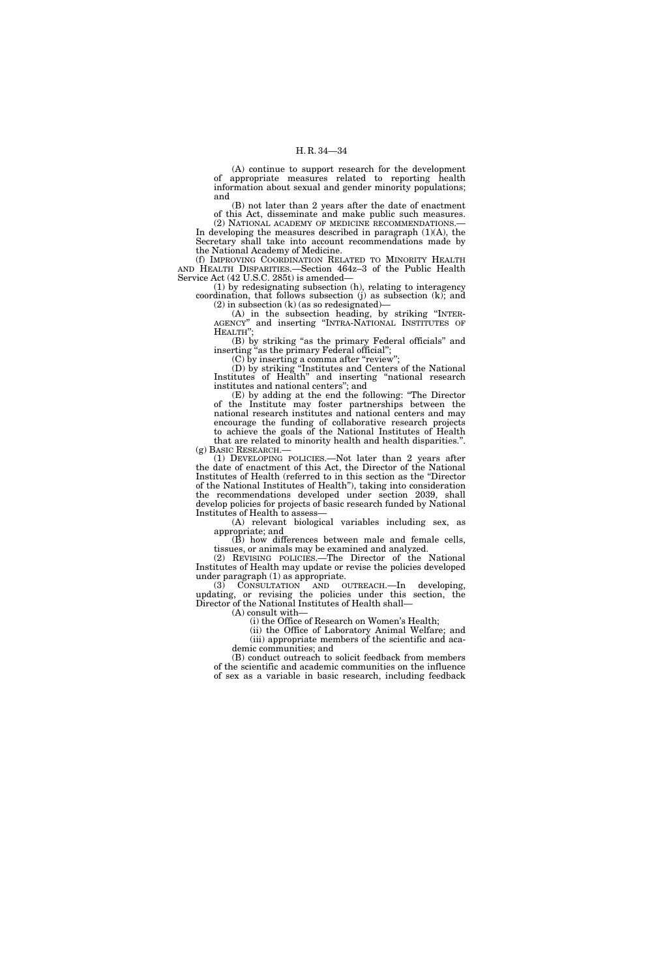(A) continue to support research for the development of appropriate measures related to reporting health information about sexual and gender minority populations; and

(B) not later than 2 years after the date of enactment of this Act, disseminate and make public such measures. (2) NATIONAL ACADEMY OF MEDICINE RECOMMENDATIONS.—

In developing the measures described in paragraph  $(1)(A)$ , the Secretary shall take into account recommendations made by the National Academy of Medicine.

(f) IMPROVING COORDINATION RELATED TO MINORITY HEALTH AND HEALTH DISPARITIES.—Section 464z–3 of the Public Health Service Act (42 U.S.C. 285t) is amended—

(1) by redesignating subsection (h), relating to interagency coordination, that follows subsection  $(j)$  as subsection  $(k)$ ; and (2) in subsection (k) (as so redesignated)—

(A) in the subsection heading, by striking ''INTER-AGENCY'' and inserting ''INTRA-NATIONAL INSTITUTES OF

HEALTH''; (B) by striking ''as the primary Federal officials'' and inserting "as the primary Federal official";

(C) by inserting a comma after ''review'';

(D) by striking ''Institutes and Centers of the National Institutes of Health" and inserting "national research institutes and national centers''; and

(E) by adding at the end the following: ''The Director of the Institute may foster partnerships between the national research institutes and national centers and may encourage the funding of collaborative research projects

to achieve the goals of the National Institutes of Health that are related to minority health and health disparities.''. (g) BASIC RESEARCH.—

(1) DEVELOPING POLICIES.—Not later than 2 years after the date of enactment of this Act, the Director of the National Institutes of Health (referred to in this section as the ''Director of the National Institutes of Health''), taking into consideration the recommendations developed under section 2039, shall develop policies for projects of basic research funded by National Institutes of Health to assess—

(A) relevant biological variables including sex, as appropriate; and

(B) how differences between male and female cells, tissues, or animals may be examined and analyzed.

(2) REVISING POLICIES.—The Director of the National Institutes of Health may update or revise the policies developed under paragraph (1) as appropriate.

(3) CONSULTATION AND OUTREACH.—In developing, updating, or revising the policies under this section, the Director of the National Institutes of Health shall—

(A) consult with—

(i) the Office of Research on Women's Health;

(ii) the Office of Laboratory Animal Welfare; and (iii) appropriate members of the scientific and academic communities; and

(B) conduct outreach to solicit feedback from members of the scientific and academic communities on the influence of sex as a variable in basic research, including feedback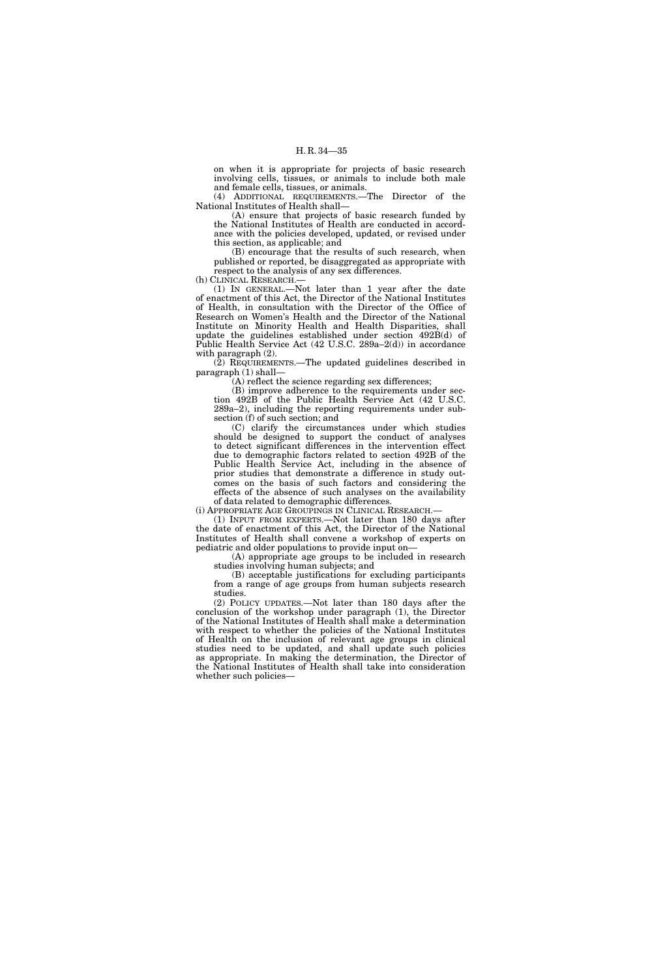on when it is appropriate for projects of basic research involving cells, tissues, or animals to include both male and female cells, tissues, or animals.

(4) ADDITIONAL REQUIREMENTS.—The Director of the National Institutes of Health shall—

(A) ensure that projects of basic research funded by the National Institutes of Health are conducted in accordance with the policies developed, updated, or revised under this section, as applicable; and

(B) encourage that the results of such research, when published or reported, be disaggregated as appropriate with respect to the analysis of any sex differences.

(h) CLINICAL RESEARCH.—

(1) IN GENERAL.—Not later than 1 year after the date of enactment of this Act, the Director of the National Institutes of Health, in consultation with the Director of the Office of Research on Women's Health and the Director of the National Institute on Minority Health and Health Disparities, shall update the guidelines established under section 492B(d) of Public Health Service Act (42 U.S.C. 289a–2(d)) in accordance with paragraph (2).

(2) REQUIREMENTS.—The updated guidelines described in paragraph (1) shall—

(A) reflect the science regarding sex differences;

(B) improve adherence to the requirements under section 492B of the Public Health Service Act (42 U.S.C. 289a–2), including the reporting requirements under subsection (f) of such section; and

(C) clarify the circumstances under which studies should be designed to support the conduct of analyses to detect significant differences in the intervention effect due to demographic factors related to section 492B of the Public Health Service Act, including in the absence of prior studies that demonstrate a difference in study outcomes on the basis of such factors and considering the effects of the absence of such analyses on the availability of data related to demographic differences.

(i) APPROPRIATE AGE GROUPINGS IN CLINICAL RESEARCH.—

(1) INPUT FROM EXPERTS.—Not later than 180 days after the date of enactment of this Act, the Director of the National Institutes of Health shall convene a workshop of experts on pediatric and older populations to provide input on—

(A) appropriate age groups to be included in research studies involving human subjects; and

(B) acceptable justifications for excluding participants from a range of age groups from human subjects research studies.

(2) POLICY UPDATES.—Not later than 180 days after the conclusion of the workshop under paragraph (1), the Director of the National Institutes of Health shall make a determination with respect to whether the policies of the National Institutes of Health on the inclusion of relevant age groups in clinical studies need to be updated, and shall update such policies as appropriate. In making the determination, the Director of the National Institutes of Health shall take into consideration whether such policies—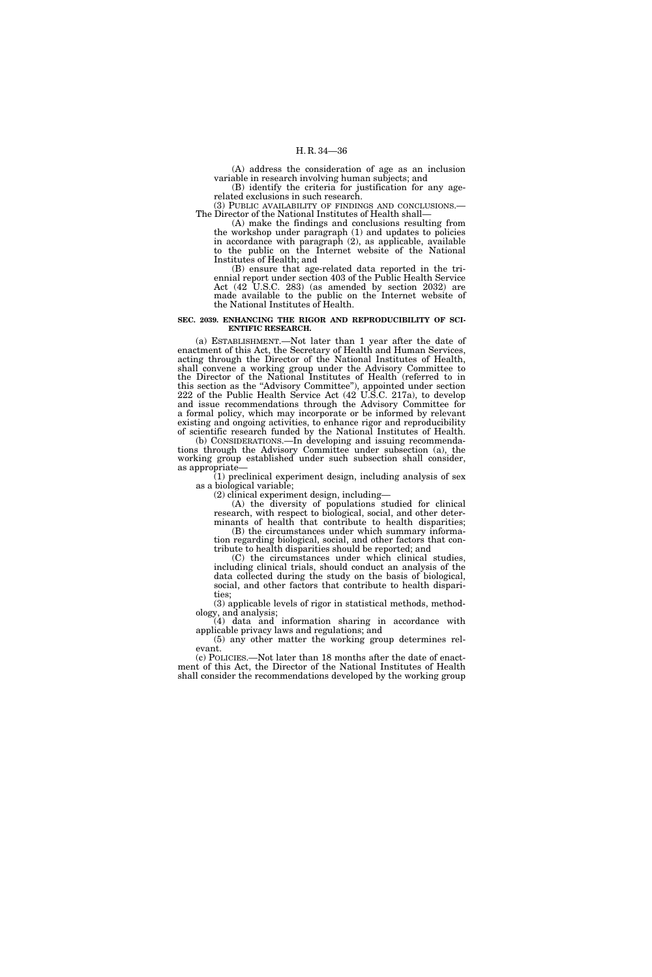(A) address the consideration of age as an inclusion variable in research involving human subjects; and

(B) identify the criteria for justification for any agerelated exclusions in such research.

(3) PUBLIC AVAILABILITY OF FINDINGS AND CONCLUSIONS.— The Director of the National Institutes of Health shall—

(A) make the findings and conclusions resulting from the workshop under paragraph (1) and updates to policies in accordance with paragraph (2), as applicable, available to the public on the Internet website of the National Institutes of Health; and

(B) ensure that age-related data reported in the triennial report under section 403 of the Public Health Service Act (42 U.S.C. 283) (as amended by section 2032) are made available to the public on the Internet website of the National Institutes of Health.

#### **SEC. 2039. ENHANCING THE RIGOR AND REPRODUCIBILITY OF SCI-ENTIFIC RESEARCH.**

(a) ESTABLISHMENT.—Not later than 1 year after the date of enactment of this Act, the Secretary of Health and Human Services, acting through the Director of the National Institutes of Health, shall convene a working group under the Advisory Committee to the Director of the National Institutes of Health (referred to in this section as the ''Advisory Committee''), appointed under section 222 of the Public Health Service Act (42 U.S.C. 217a), to develop and issue recommendations through the Advisory Committee for a formal policy, which may incorporate or be informed by relevant existing and ongoing activities, to enhance rigor and reproducibility of scientific research funded by the National Institutes of Health.

(b) CONSIDERATIONS.—In developing and issuing recommendations through the Advisory Committee under subsection (a), the working group established under such subsection shall consider, as appropriate—

(1) preclinical experiment design, including analysis of sex as a biological variable;

(2) clinical experiment design, including—

(A) the diversity of populations studied for clinical research, with respect to biological, social, and other determinants of health that contribute to health disparities;

(B) the circumstances under which summary information regarding biological, social, and other factors that contribute to health disparities should be reported; and

(C) the circumstances under which clinical studies, including clinical trials, should conduct an analysis of the data collected during the study on the basis of biological, social, and other factors that contribute to health disparities;

(3) applicable levels of rigor in statistical methods, methodology, and analysis;

(4) data and information sharing in accordance with applicable privacy laws and regulations; and

(5) any other matter the working group determines relevant.

(c) POLICIES.—Not later than 18 months after the date of enactment of this Act, the Director of the National Institutes of Health shall consider the recommendations developed by the working group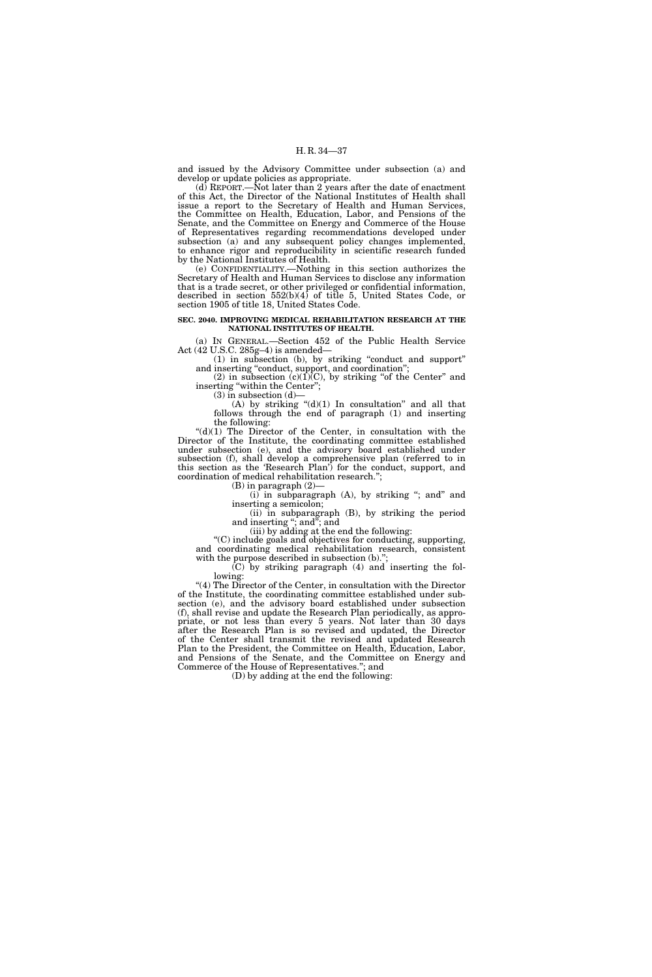and issued by the Advisory Committee under subsection (a) and develop or update policies as appropriate.

 $(d)$  REPORT.—Not later than 2 years after the date of enactment of this Act, the Director of the National Institutes of Health shall issue a report to the Secretary of Health and Human Services, the Committee on Health, Education, Labor, and Pensions of the Senate, and the Committee on Energy and Commerce of the House of Representatives regarding recommendations developed under subsection (a) and any subsequent policy changes implemented, to enhance rigor and reproducibility in scientific research funded by the National Institutes of Health.

(e) CONFIDENTIALITY.—Nothing in this section authorizes the Secretary of Health and Human Services to disclose any information that is a trade secret, or other privileged or confidential information, described in section 552(b)(4) of title 5, United States Code, or section 1905 of title 18, United States Code.

#### **SEC. 2040. IMPROVING MEDICAL REHABILITATION RESEARCH AT THE NATIONAL INSTITUTES OF HEALTH.**

(a) IN GENERAL.—Section 452 of the Public Health Service Act (42 U.S.C. 285g–4) is amended—

(1) in subsection (b), by striking ''conduct and support'' and inserting "conduct, support, and coordination";

(2) in subsection  $(c)(1)\overline{(C)}$ , by striking "of the Center" and inserting "within the Center";

 $(3)$  in subsection  $(d)$ 

(A) by striking  $\degree$ (d)(1) In consultation" and all that follows through the end of paragraph (1) and inserting the following:

 $((d)(1)$  The Director of the Center, in consultation with the Director of the Institute, the coordinating committee established under subsection (e), and the advisory board established under subsection (f), shall develop a comprehensive plan (referred to in this section as the 'Research Plan') for the conduct, support, and coordination of medical rehabilitation research.'';

(B) in paragraph (2)—

 $(i)$  in subparagraph  $(A)$ , by striking "; and" and inserting a semicolon;

(ii) in subparagraph (B), by striking the period and inserting "; and"; and

(iii) by adding at the end the following:

''(C) include goals and objectives for conducting, supporting, and coordinating medical rehabilitation research, consistent with the purpose described in subsection (b).";

(C) by striking paragraph (4) and inserting the following:

"(4) The Director of the Center, in consultation with the Director of the Institute, the coordinating committee established under subsection (e), and the advisory board established under subsection (f), shall revise and update the Research Plan periodically, as appropriate, or not less than every 5 years. Not later than 30 days after the Research Plan is so revised and updated, the Director of the Center shall transmit the revised and updated Research Plan to the President, the Committee on Health, Education, Labor, and Pensions of the Senate, and the Committee on Energy and Commerce of the House of Representatives.''; and

(D) by adding at the end the following: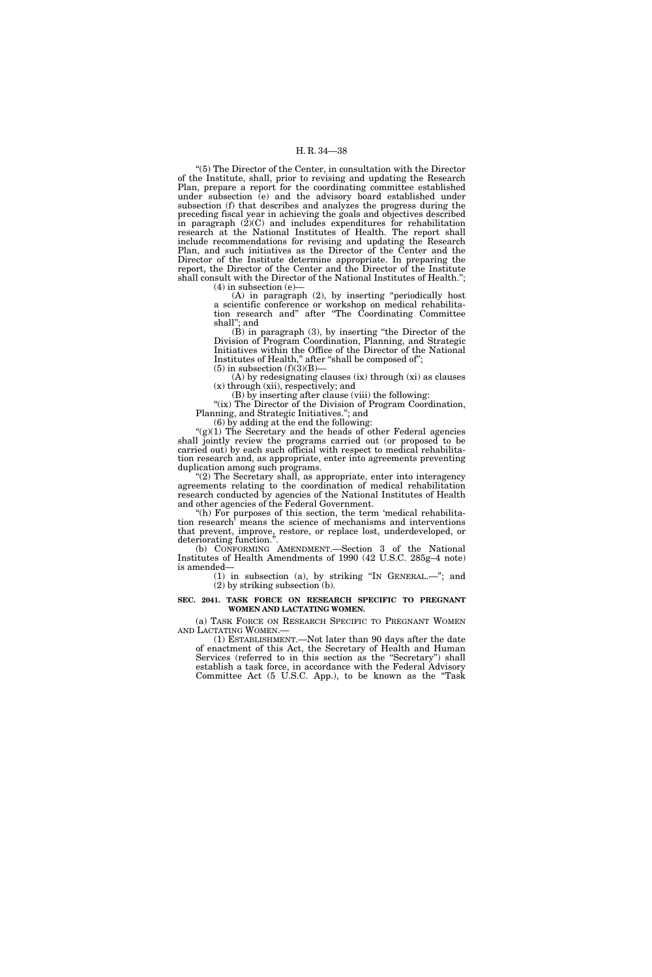''(5) The Director of the Center, in consultation with the Director of the Institute, shall, prior to revising and updating the Research Plan, prepare a report for the coordinating committee established under subsection (e) and the advisory board established under subsection (f) that describes and analyzes the progress during the preceding fiscal year in achieving the goals and objectives described in paragraph (2)(C) and includes expenditures for rehabilitation research at the National Institutes of Health. The report shall include recommendations for revising and updating the Research Plan, and such initiatives as the Director of the Center and the Director of the Institute determine appropriate. In preparing the report, the Director of the Center and the Director of the Institute shall consult with the Director of the National Institutes of Health.'';

 $(4)$  in subsection  $(e)$ 

(A) in paragraph (2), by inserting ''periodically host a scientific conference or workshop on medical rehabilitation research and'' after ''The Coordinating Committee shall''; and

(B) in paragraph (3), by inserting ''the Director of the Division of Program Coordination, Planning, and Strategic Initiatives within the Office of the Director of the National Institutes of Health," after "shall be composed of";  $(5)$  in subsection  $(f)(3)(B)$ —

(A) by redesignating clauses (ix) through (xi) as clauses (x) through (xii), respectively; and

(B) by inserting after clause (viii) the following:

"(ix) The Director of the Division of Program Coordination, Planning, and Strategic Initiatives.''; and

(6) by adding at the end the following:

" $(g)(1)$  The Secretary and the heads of other Federal agencies shall jointly review the programs carried out (or proposed to be carried out) by each such official with respect to medical rehabilitation research and, as appropriate, enter into agreements preventing duplication among such programs.

''(2) The Secretary shall, as appropriate, enter into interagency agreements relating to the coordination of medical rehabilitation research conducted by agencies of the National Institutes of Health and other agencies of the Federal Government.

"(h) For purposes of this section, the term 'medical rehabilitation research' means the science of mechanisms and interventions that prevent, improve, restore, or replace lost, underdeveloped, or deteriorating function."

(b) CONFORMING AMENDMENT.—Section 3 of the National Institutes of Health Amendments of 1990 (42 U.S.C. 285g–4 note) is amended—

(1) in subsection (a), by striking ''IN GENERAL.—''; and (2) by striking subsection (b).

# **SEC. 2041. TASK FORCE ON RESEARCH SPECIFIC TO PREGNANT WOMEN AND LACTATING WOMEN.**

(a) TASK FORCE ON RESEARCH SPECIFIC TO PREGNANT WOMEN AND LACTATING WOMEN.—

 $(1)$  ESTABLISHMENT.—Not later than 90 days after the date of enactment of this Act, the Secretary of Health and Human Services (referred to in this section as the ''Secretary'') shall establish a task force, in accordance with the Federal Advisory Committee Act (5 U.S.C. App.), to be known as the ''Task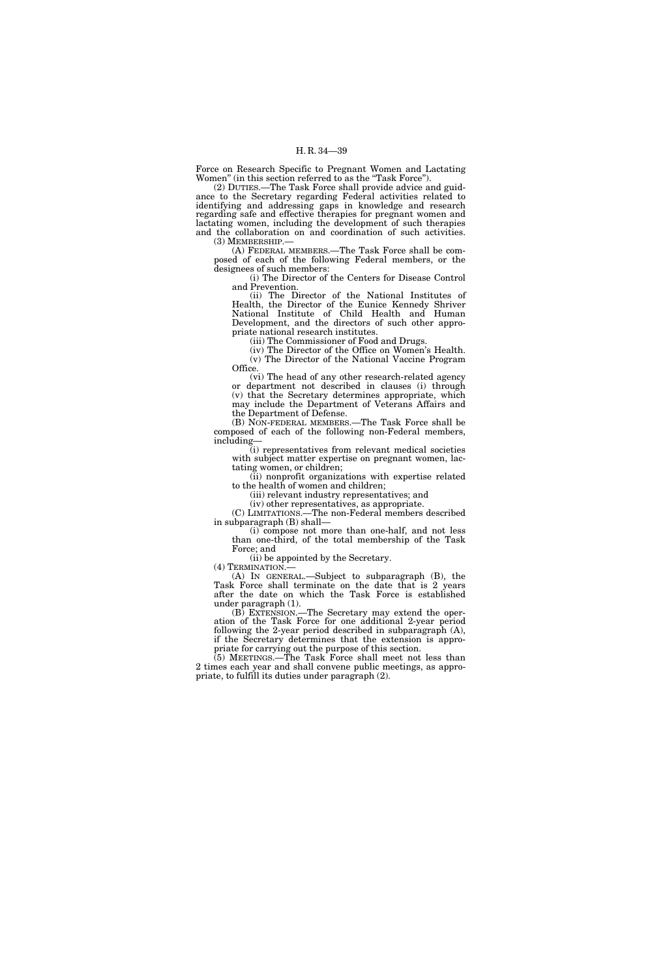Force on Research Specific to Pregnant Women and Lactating Women'' (in this section referred to as the ''Task Force'').

(2) DUTIES.—The Task Force shall provide advice and guidance to the Secretary regarding Federal activities related to identifying and addressing gaps in knowledge and research regarding safe and effective therapies for pregnant women and lactating women, including the development of such therapies and the collaboration on and coordination of such activities. (3) MEMBERSHIP.—

(A) FEDERAL MEMBERS.—The Task Force shall be composed of each of the following Federal members, or the designees of such members:

(i) The Director of the Centers for Disease Control and Prevention.

(ii) The Director of the National Institutes of Health, the Director of the Eunice Kennedy Shriver National Institute of Child Health and Human Development, and the directors of such other appropriate national research institutes.

(iii) The Commissioner of Food and Drugs.

(iv) The Director of the Office on Women's Health. (v) The Director of the National Vaccine Program Office.

(vi) The head of any other research-related agency or department not described in clauses (i) through (v) that the Secretary determines appropriate, which may include the Department of Veterans Affairs and the Department of Defense.

(B) NON-FEDERAL MEMBERS.—The Task Force shall be composed of each of the following non-Federal members, including—

(i) representatives from relevant medical societies with subject matter expertise on pregnant women, lactating women, or children;

(ii) nonprofit organizations with expertise related to the health of women and children;

(iii) relevant industry representatives; and

(iv) other representatives, as appropriate.

(C) LIMITATIONS.—The non-Federal members described in subparagraph (B) shall—

(i) compose not more than one-half, and not less than one-third, of the total membership of the Task Force; and

(ii) be appointed by the Secretary.<br>(4) TERMINATION.—

 $(A)$  IN GENERAL.—Subject to subparagraph  $(B)$ , the Task Force shall terminate on the date that is 2 years after the date on which the Task Force is established under paragraph (1).

(B) EXTENSION.—The Secretary may extend the operation of the Task Force for one additional 2-year period following the 2-year period described in subparagraph (A), if the Secretary determines that the extension is appropriate for carrying out the purpose of this section.

(5) MEETINGS.—The Task Force shall meet not less than 2 times each year and shall convene public meetings, as appropriate, to fulfill its duties under paragraph (2).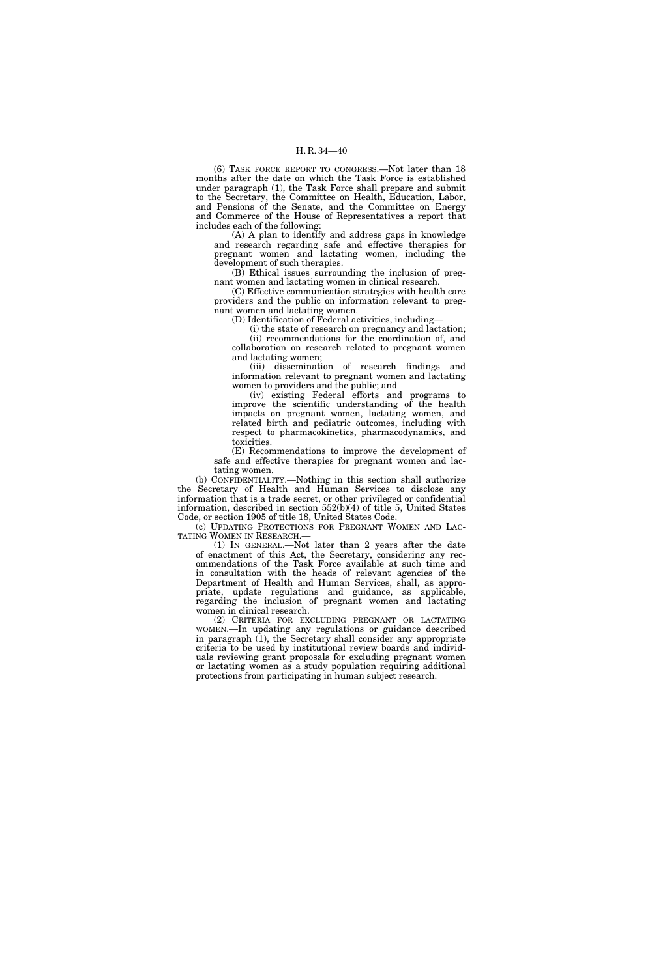(6) TASK FORCE REPORT TO CONGRESS.—Not later than 18 months after the date on which the Task Force is established under paragraph (1), the Task Force shall prepare and submit to the Secretary, the Committee on Health, Education, Labor, and Pensions of the Senate, and the Committee on Energy and Commerce of the House of Representatives a report that includes each of the following:

(A) A plan to identify and address gaps in knowledge and research regarding safe and effective therapies for pregnant women and lactating women, including the development of such therapies.

(B) Ethical issues surrounding the inclusion of pregnant women and lactating women in clinical research.

(C) Effective communication strategies with health care providers and the public on information relevant to pregnant women and lactating women.

(D) Identification of Federal activities, including—

(i) the state of research on pregnancy and lactation; (ii) recommendations for the coordination of, and collaboration on research related to pregnant women and lactating women;

(iii) dissemination of research findings and information relevant to pregnant women and lactating women to providers and the public; and

(iv) existing Federal efforts and programs to improve the scientific understanding of the health impacts on pregnant women, lactating women, and related birth and pediatric outcomes, including with respect to pharmacokinetics, pharmacodynamics, and toxicities.

(E) Recommendations to improve the development of safe and effective therapies for pregnant women and lactating women.

(b) CONFIDENTIALITY.—Nothing in this section shall authorize the Secretary of Health and Human Services to disclose any information that is a trade secret, or other privileged or confidential information, described in section 552(b)(4) of title 5, United States Code, or section 1905 of title 18, United States Code.

(c) UPDATING PROTECTIONS FOR PREGNANT WOMEN AND LAC-TATING WOMEN IN RESEARCH.—

(1) IN GENERAL.—Not later than 2 years after the date of enactment of this Act, the Secretary, considering any recommendations of the Task Force available at such time and in consultation with the heads of relevant agencies of the Department of Health and Human Services, shall, as appropriate, update regulations and guidance, as applicable, regarding the inclusion of pregnant women and lactating women in clinical research.

(2) CRITERIA FOR EXCLUDING PREGNANT OR LACTATING WOMEN.—In updating any regulations or guidance described in paragraph (1), the Secretary shall consider any appropriate criteria to be used by institutional review boards and individuals reviewing grant proposals for excluding pregnant women or lactating women as a study population requiring additional protections from participating in human subject research.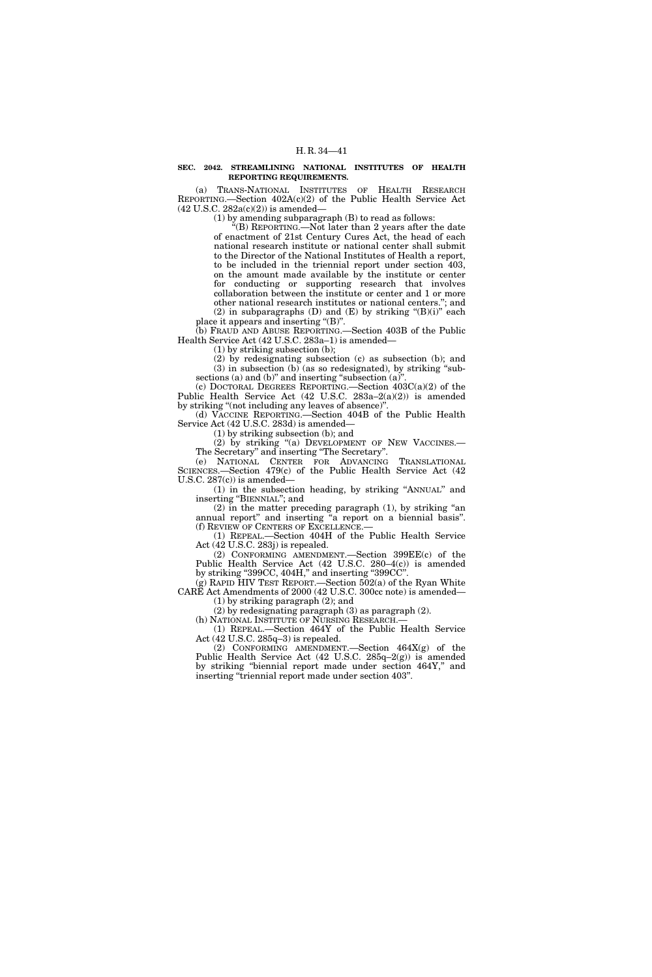## **SEC. 2042. STREAMLINING NATIONAL INSTITUTES OF HEALTH REPORTING REQUIREMENTS.**

(a) TRANS-NATIONAL INSTITUTES OF HEALTH RESEARCH REPORTING.—Section 402A(c)(2) of the Public Health Service Act  $(42 \text{ U.S.C. } 282a(c)(2))$  is amended—

(1) by amending subparagraph (B) to read as follows:

 $E(E)$  REPORTING.—Not later than 2 years after the date of enactment of 21st Century Cures Act, the head of each national research institute or national center shall submit to the Director of the National Institutes of Health a report, to be included in the triennial report under section 403, on the amount made available by the institute or center for conducting or supporting research that involves collaboration between the institute or center and 1 or more other national research institutes or national centers.''; and (2) in subparagraphs (D) and  $(E)$  by striking " $(B)(i)$ " each place it appears and inserting ''(B)''.

(b) FRAUD AND ABUSE REPORTING.—Section 403B of the Public Health Service Act (42 U.S.C. 283a–1) is amended—

(1) by striking subsection (b);

(2) by redesignating subsection (c) as subsection (b); and (3) in subsection (b) (as so redesignated), by striking ''subsections (a) and (b)" and inserting "subsection  $(a)$ "

(c) DOCTORAL DEGREES REPORTING.—Section 403C(a)(2) of the Public Health Service Act (42 U.S.C. 283a–2(a)(2)) is amended by striking "(not including any leaves of absence)".

(d) VACCINE REPORTING.—Section 404B of the Public Health Service Act (42 U.S.C. 283d) is amended—

(1) by striking subsection (b); and

(2) by striking ''(a) DEVELOPMENT OF NEW VACCINES.— The Secretary'' and inserting ''The Secretary''.

(e) NATIONAL CENTER FOR ADVANCING TRANSLATIONAL SCIENCES.—Section 479(c) of the Public Health Service Act (42 U.S.C. 287(c)) is amended—

(1) in the subsection heading, by striking ''ANNUAL'' and inserting "BIENNIAL"; and

(2) in the matter preceding paragraph (1), by striking ''an annual report'' and inserting ''a report on a biennial basis''. (f) REVIEW OF CENTERS OF EXCELLENCE.—

(1) REPEAL.—Section 404H of the Public Health Service Act (42 U.S.C. 283j) is repealed.

(2) CONFORMING AMENDMENT.—Section 399EE(c) of the Public Health Service Act (42 U.S.C. 280–4(c)) is amended by striking "399CC, 404H," and inserting "399CC"

(g) RAPID HIV TEST REPORT.—Section 502(a) of the Ryan White CARE Act Amendments of 2000 (42 U.S.C. 300cc note) is amended— (1) by striking paragraph (2); and

(2) by redesignating paragraph (3) as paragraph (2).

(h) NATIONAL INSTITUTE OF NURSING RESEARCH.—

(1) REPEAL.—Section 464Y of the Public Health Service Act (42 U.S.C. 285q–3) is repealed.

(2) CONFORMING AMENDMENT.—Section 464X(g) of the Public Health Service Act (42 U.S.C. 285q–2(g)) is amended by striking "biennial report made under section 464Y," and inserting "triennial report made under section 403".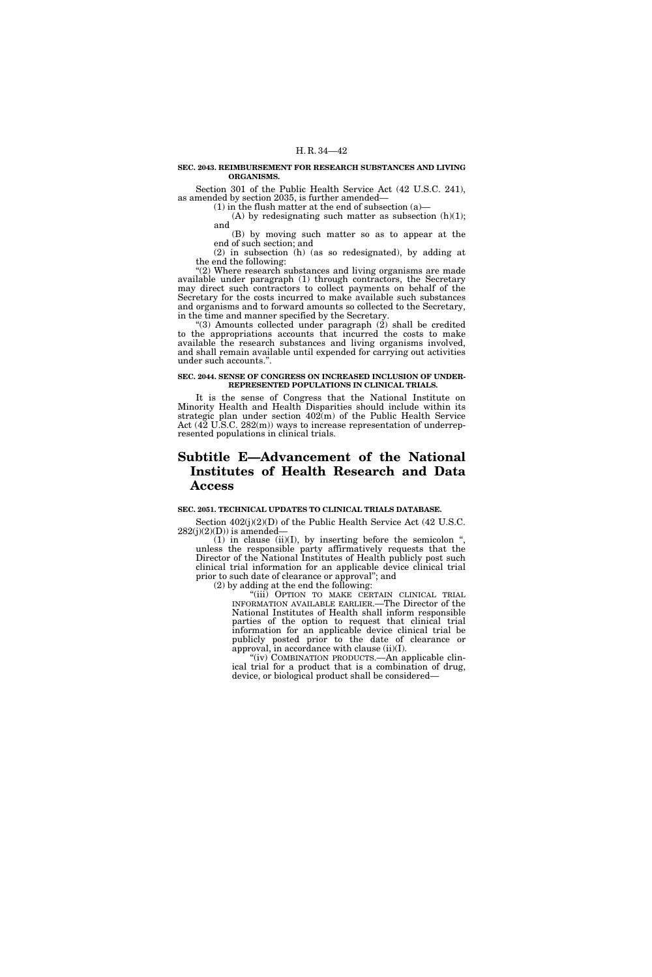## **SEC. 2043. REIMBURSEMENT FOR RESEARCH SUBSTANCES AND LIVING ORGANISMS.**

Section 301 of the Public Health Service Act (42 U.S.C. 241), as amended by section 2035, is further amended—

(1) in the flush matter at the end of subsection (a)—

(A) by redesignating such matter as subsection  $(h)(1)$ ; and

(B) by moving such matter so as to appear at the end of such section; and

(2) in subsection (h) (as so redesignated), by adding at the end the following:

"(2) Where research substances and living organisms are made available under paragraph (1) through contractors, the Secretary may direct such contractors to collect payments on behalf of the Secretary for the costs incurred to make available such substances and organisms and to forward amounts so collected to the Secretary, in the time and manner specified by the Secretary.

 $(3)$  Amounts collected under paragraph  $(2)$  shall be credited to the appropriations accounts that incurred the costs to make available the research substances and living organisms involved, and shall remain available until expended for carrying out activities under such accounts.''.

## **SEC. 2044. SENSE OF CONGRESS ON INCREASED INCLUSION OF UNDER-REPRESENTED POPULATIONS IN CLINICAL TRIALS.**

It is the sense of Congress that the National Institute on Minority Health and Health Disparities should include within its strategic plan under section  $402(m)$  of the Public Health Service Act (42 U.S.C. 282(m)) ways to increase representation of underrepresented populations in clinical trials.

# **Subtitle E—Advancement of the National Institutes of Health Research and Data Access**

# **SEC. 2051. TECHNICAL UPDATES TO CLINICAL TRIALS DATABASE.**

Section 402(j)(2)(D) of the Public Health Service Act (42 U.S.C.  $282(j)(2)(D)$ ) is amended–

 $(1)$  in clause  $(ii)(I)$ , by inserting before the semicolon ", unless the responsible party affirmatively requests that the Director of the National Institutes of Health publicly post such clinical trial information for an applicable device clinical trial prior to such date of clearance or approval"; and

(2) by adding at the end the following:

"(iii) OPTION TO MAKE CERTAIN CLINICAL TRIAL INFORMATION AVAILABLE EARLIER.—The Director of the National Institutes of Health shall inform responsible parties of the option to request that clinical trial information for an applicable device clinical trial be publicly posted prior to the date of clearance or approval, in accordance with clause (ii)(I).

"(iv) COMBINATION PRODUCTS.—An applicable clinical trial for a product that is a combination of drug, device, or biological product shall be considered—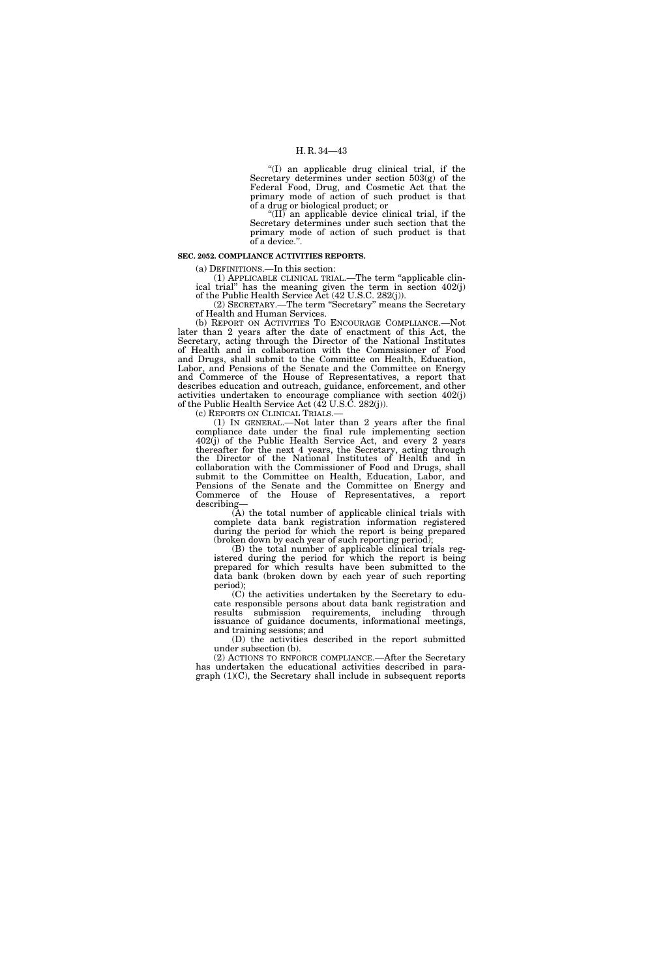''(I) an applicable drug clinical trial, if the Secretary determines under section 503(g) of the Federal Food, Drug, and Cosmetic Act that the primary mode of action of such product is that of a drug or biological product; or

''(II) an applicable device clinical trial, if the Secretary determines under such section that the primary mode of action of such product is that of a device.''.

## **SEC. 2052. COMPLIANCE ACTIVITIES REPORTS.**

(a) DEFINITIONS.—In this section:

(1) APPLICABLE CLINICAL TRIAL.—The term ''applicable clinical trial'' has the meaning given the term in section 402(j) of the Public Health Service Act (42 U.S.C. 282(j)).

(2) SECRETARY.—The term ''Secretary'' means the Secretary of Health and Human Services.

(b) REPORT ON ACTIVITIES TO ENCOURAGE COMPLIANCE.—Not later than 2 years after the date of enactment of this Act, the Secretary, acting through the Director of the National Institutes of Health and in collaboration with the Commissioner of Food and Drugs, shall submit to the Committee on Health, Education, Labor, and Pensions of the Senate and the Committee on Energy and Commerce of the House of Representatives, a report that describes education and outreach, guidance, enforcement, and other activities undertaken to encourage compliance with section 402(j) of the Public Health Service Act (42 U.S.C. 282(j)).

(c) REPORTS ON CLINICAL TRIALS.—

(1) IN GENERAL.—Not later than 2 years after the final compliance date under the final rule implementing section 402(j) of the Public Health Service Act, and every 2 years thereafter for the next 4 years, the Secretary, acting through the Director of the National Institutes of Health and in collaboration with the Commissioner of Food and Drugs, shall submit to the Committee on Health, Education, Labor, and Pensions of the Senate and the Committee on Energy and Commerce of the House of Representatives, a report describing—

(A) the total number of applicable clinical trials with complete data bank registration information registered during the period for which the report is being prepared (broken down by each year of such reporting period);

(B) the total number of applicable clinical trials registered during the period for which the report is being prepared for which results have been submitted to the data bank (broken down by each year of such reporting period);

(C) the activities undertaken by the Secretary to educate responsible persons about data bank registration and results submission requirements, including through issuance of guidance documents, informational meetings, and training sessions; and

(D) the activities described in the report submitted under subsection (b).

(2) ACTIONS TO ENFORCE COMPLIANCE.—After the Secretary has undertaken the educational activities described in paragraph (1)(C), the Secretary shall include in subsequent reports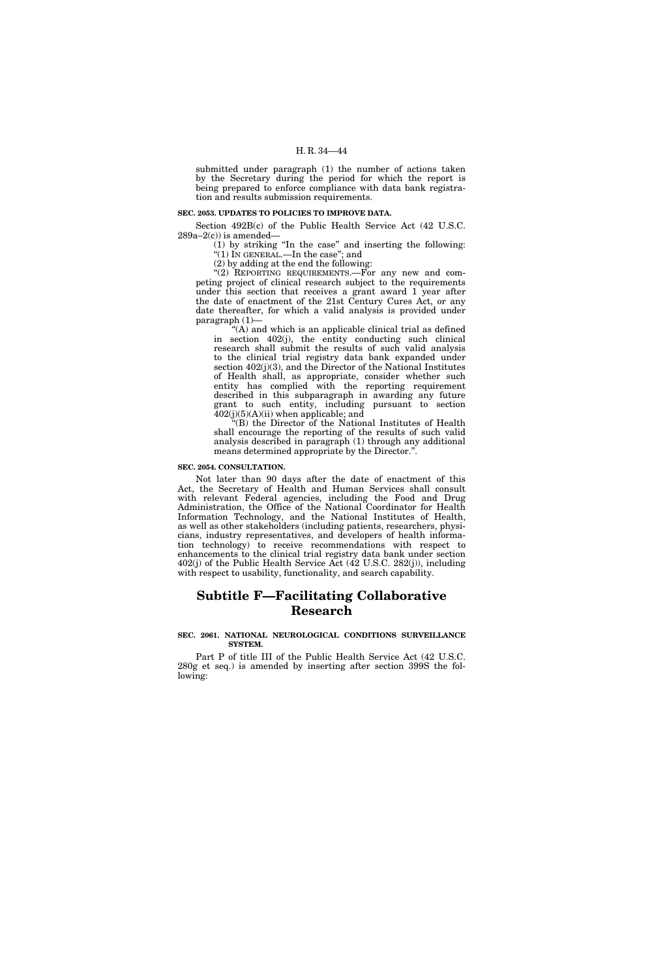submitted under paragraph (1) the number of actions taken by the Secretary during the period for which the report is being prepared to enforce compliance with data bank registration and results submission requirements.

# **SEC. 2053. UPDATES TO POLICIES TO IMPROVE DATA.**

Section 492B(c) of the Public Health Service Act (42 U.S.C.  $289a-2(c)$ ) is amended-

(1) by striking ''In the case'' and inserting the following: ''(1) IN GENERAL.—In the case''; and

(2) by adding at the end the following:

"(2) REPORTING REQUIREMENTS.—For any new and competing project of clinical research subject to the requirements under this section that receives a grant award 1 year after the date of enactment of the 21st Century Cures Act, or any date thereafter, for which a valid analysis is provided under paragraph (1)—

''(A) and which is an applicable clinical trial as defined in section 402(j), the entity conducting such clinical research shall submit the results of such valid analysis to the clinical trial registry data bank expanded under section 402(j)(3), and the Director of the National Institutes of Health shall, as appropriate, consider whether such entity has complied with the reporting requirement described in this subparagraph in awarding any future grant to such entity, including pursuant to section  $402(j)(5)(A)(ii)$  when applicable; and

 $H(B)$  the Director of the National Institutes of Health shall encourage the reporting of the results of such valid analysis described in paragraph (1) through any additional means determined appropriate by the Director.''.

# **SEC. 2054. CONSULTATION.**

Not later than 90 days after the date of enactment of this Act, the Secretary of Health and Human Services shall consult with relevant Federal agencies, including the Food and Drug Administration, the Office of the National Coordinator for Health Information Technology, and the National Institutes of Health, as well as other stakeholders (including patients, researchers, physicians, industry representatives, and developers of health information technology) to receive recommendations with respect to enhancements to the clinical trial registry data bank under section 402(j) of the Public Health Service Act (42 U.S.C. 282(j)), including with respect to usability, functionality, and search capability.

# **Subtitle F—Facilitating Collaborative Research**

## **SEC. 2061. NATIONAL NEUROLOGICAL CONDITIONS SURVEILLANCE SYSTEM.**

Part P of title III of the Public Health Service Act (42 U.S.C. 280g et seq.) is amended by inserting after section 399S the following: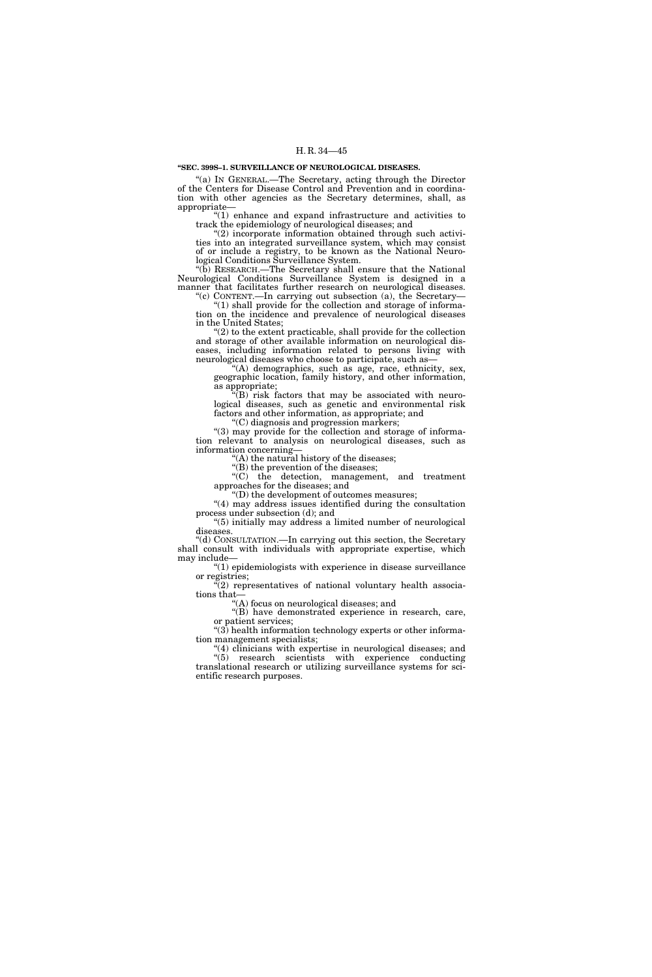### **''SEC. 399S–1. SURVEILLANCE OF NEUROLOGICAL DISEASES.**

"(a) IN GENERAL.—The Secretary, acting through the Director of the Centers for Disease Control and Prevention and in coordination with other agencies as the Secretary determines, shall, as appropriate—

''(1) enhance and expand infrastructure and activities to track the epidemiology of neurological diseases; and

 $(2)$  incorporate information obtained through such activities into an integrated surveillance system, which may consist of or include a registry, to be known as the National Neurological Conditions Surveillance System.

''(b) RESEARCH.—The Secretary shall ensure that the National Neurological Conditions Surveillance System is designed in a manner that facilitates further research on neurological diseases.

"(c) CONTENT.—In carrying out subsection (a), the Secretary— ''(1) shall provide for the collection and storage of information on the incidence and prevalence of neurological diseases in the United States;

 $(2)$  to the extent practicable, shall provide for the collection and storage of other available information on neurological diseases, including information related to persons living with neurological diseases who choose to participate, such as—

''(A) demographics, such as age, race, ethnicity, sex, geographic location, family history, and other information, as appropriate;

(B) risk factors that may be associated with neurological diseases, such as genetic and environmental risk factors and other information, as appropriate; and

''(C) diagnosis and progression markers;

''(3) may provide for the collection and storage of information relevant to analysis on neurological diseases, such as information concerning—

"(A) the natural history of the diseases; "(B) the prevention of the diseases;

''(C) the detection, management, and treatment approaches for the diseases; and

''(D) the development of outcomes measures;

''(4) may address issues identified during the consultation process under subsection (d); and

''(5) initially may address a limited number of neurological diseases.

''(d) CONSULTATION.—In carrying out this section, the Secretary shall consult with individuals with appropriate expertise, which may include—

''(1) epidemiologists with experience in disease surveillance or registries;

''(2) representatives of national voluntary health associations that—

''(A) focus on neurological diseases; and

''(B) have demonstrated experience in research, care, or patient services;

 $(3)$  health information technology experts or other information management specialists;

''(4) clinicians with expertise in neurological diseases; and  $(5)$  research scientists with experience conducting translational research or utilizing surveillance systems for scientific research purposes.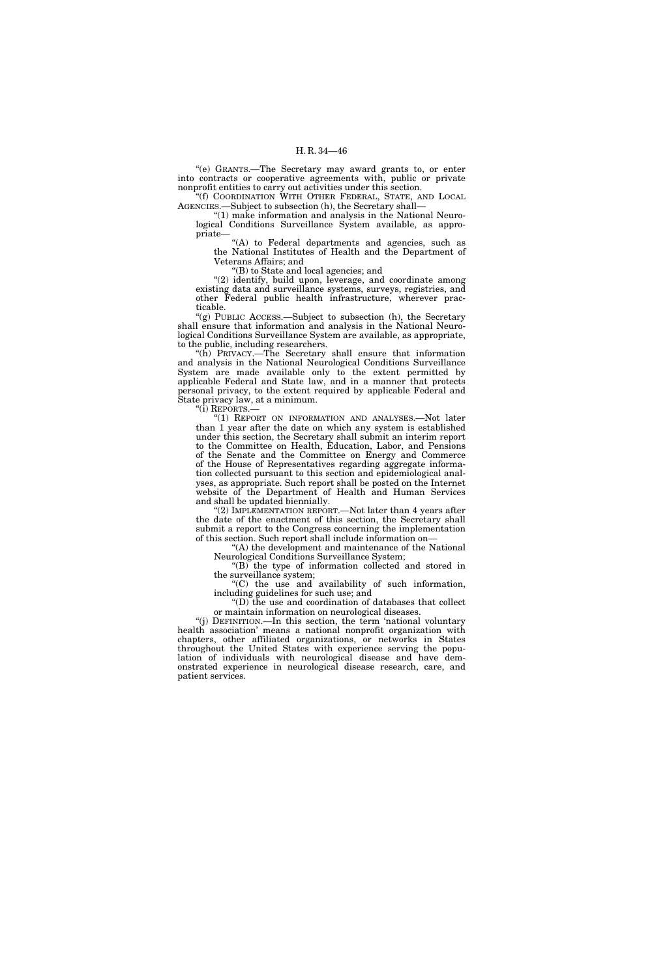''(e) GRANTS.—The Secretary may award grants to, or enter into contracts or cooperative agreements with, public or private nonprofit entities to carry out activities under this section.

''(f) COORDINATION WITH OTHER FEDERAL, STATE, AND LOCAL AGENCIES.—Subject to subsection (h), the Secretary shall—

''(1) make information and analysis in the National Neurological Conditions Surveillance System available, as appropriate—

"(A) to Federal departments and agencies, such as the National Institutes of Health and the Department of Veterans Affairs; and

''(B) to State and local agencies; and

''(2) identify, build upon, leverage, and coordinate among existing data and surveillance systems, surveys, registries, and other Federal public health infrastructure, wherever practicable.

''(g) PUBLIC ACCESS.—Subject to subsection (h), the Secretary shall ensure that information and analysis in the National Neurological Conditions Surveillance System are available, as appropriate, to the public, including researchers.

"( $\hat{h}$ ) PRIVACY.—The Secretary shall ensure that information and analysis in the National Neurological Conditions Surveillance System are made available only to the extent permitted by applicable Federal and State law, and in a manner that protects personal privacy, to the extent required by applicable Federal and State privacy law, at a minimum.

''(i) REPORTS.—

"(1) REPORT ON INFORMATION AND ANALYSES.—Not later than 1 year after the date on which any system is established under this section, the Secretary shall submit an interim report to the Committee on Health, Education, Labor, and Pensions of the Senate and the Committee on Energy and Commerce of the House of Representatives regarding aggregate information collected pursuant to this section and epidemiological analyses, as appropriate. Such report shall be posted on the Internet website of the Department of Health and Human Services and shall be updated biennially.

''(2) IMPLEMENTATION REPORT.—Not later than 4 years after the date of the enactment of this section, the Secretary shall submit a report to the Congress concerning the implementation of this section. Such report shall include information on—

"(A) the development and maintenance of the National Neurological Conditions Surveillance System;

''(B) the type of information collected and stored in the surveillance system;

''(C) the use and availability of such information, including guidelines for such use; and

''(D) the use and coordination of databases that collect or maintain information on neurological diseases.

''(j) DEFINITION.—In this section, the term 'national voluntary health association' means a national nonprofit organization with chapters, other affiliated organizations, or networks in States throughout the United States with experience serving the population of individuals with neurological disease and have demonstrated experience in neurological disease research, care, and patient services.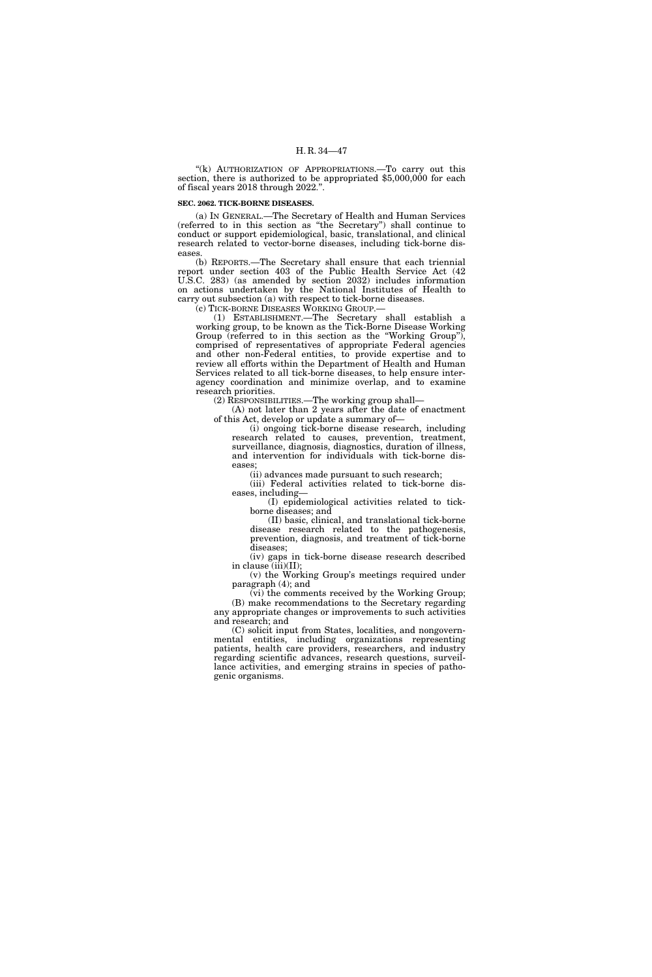"(k) AUTHORIZATION OF APPROPRIATIONS.—To carry out this section, there is authorized to be appropriated \$5,000,000 for each of fiscal years 2018 through 2022.''.

# **SEC. 2062. TICK-BORNE DISEASES.**

(a) IN GENERAL.—The Secretary of Health and Human Services (referred to in this section as ''the Secretary'') shall continue to conduct or support epidemiological, basic, translational, and clinical research related to vector-borne diseases, including tick-borne diseases.

(b) REPORTS.—The Secretary shall ensure that each triennial report under section 403 of the Public Health Service Act (42 U.S.C. 283) (as amended by section 2032) includes information on actions undertaken by the National Institutes of Health to carry out subsection (a) with respect to tick-borne diseases.

(c) TICK-BORNE DISEASES WORKING GROUP.—

(1) ESTABLISHMENT.—The Secretary shall establish a working group, to be known as the Tick-Borne Disease Working Group (referred to in this section as the ''Working Group''), comprised of representatives of appropriate Federal agencies and other non-Federal entities, to provide expertise and to review all efforts within the Department of Health and Human Services related to all tick-borne diseases, to help ensure interagency coordination and minimize overlap, and to examine research priorities.

(2) RESPONSIBILITIES.—The working group shall—

(A) not later than 2 years after the date of enactment of this Act, develop or update a summary of—

(i) ongoing tick-borne disease research, including research related to causes, prevention, treatment, surveillance, diagnosis, diagnostics, duration of illness, and intervention for individuals with tick-borne diseases;

(ii) advances made pursuant to such research;

(iii) Federal activities related to tick-borne diseases, including—

(I) epidemiological activities related to tickborne diseases; and

(II) basic, clinical, and translational tick-borne disease research related to the pathogenesis, prevention, diagnosis, and treatment of tick-borne diseases;

(iv) gaps in tick-borne disease research described in clause (iii)(II);

(v) the Working Group's meetings required under paragraph (4); and

(vi) the comments received by the Working Group; (B) make recommendations to the Secretary regarding any appropriate changes or improvements to such activities and research; and

(C) solicit input from States, localities, and nongovernmental entities, including organizations representing patients, health care providers, researchers, and industry regarding scientific advances, research questions, surveillance activities, and emerging strains in species of pathogenic organisms.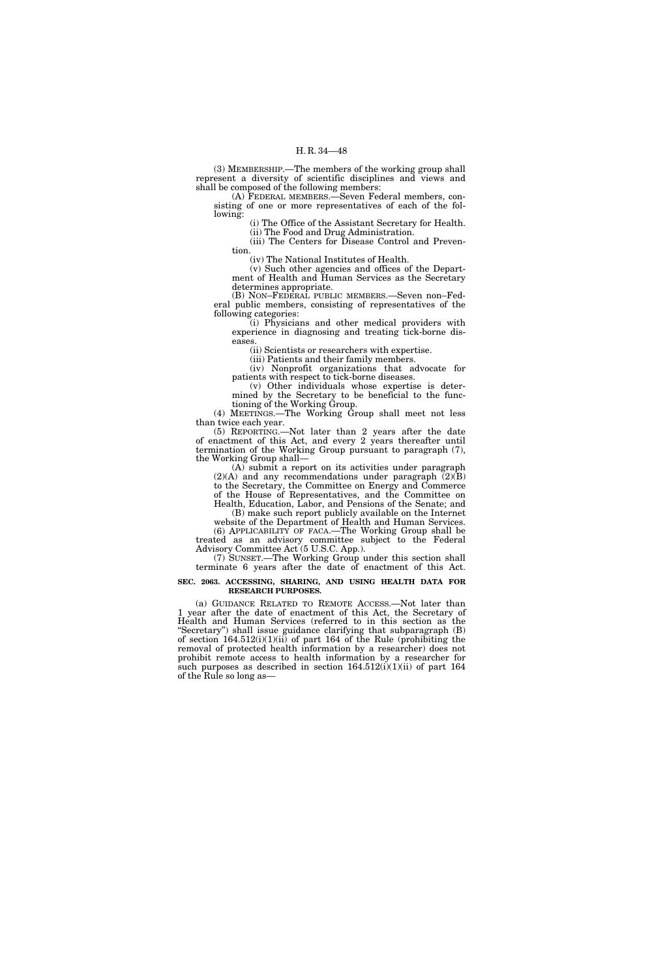(3) MEMBERSHIP.—The members of the working group shall represent a diversity of scientific disciplines and views and shall be composed of the following members:

(A) FEDERAL MEMBERS.—Seven Federal members, consisting of one or more representatives of each of the following:

(i) The Office of the Assistant Secretary for Health. (ii) The Food and Drug Administration.

(iii) The Centers for Disease Control and Prevention.

(iv) The National Institutes of Health.

(v) Such other agencies and offices of the Department of Health and Human Services as the Secretary determines appropriate.

(B) NON–FEDERAL PUBLIC MEMBERS.—Seven non–Federal public members, consisting of representatives of the following categories:

(i) Physicians and other medical providers with experience in diagnosing and treating tick-borne diseases.

(ii) Scientists or researchers with expertise.

(iii) Patients and their family members.

(iv) Nonprofit organizations that advocate for patients with respect to tick-borne diseases.

(v) Other individuals whose expertise is determined by the Secretary to be beneficial to the functioning of the Working Group.

(4) MEETINGS.—The Working Group shall meet not less than twice each year.

(5) REPORTING.—Not later than 2 years after the date of enactment of this Act, and every 2 years thereafter until termination of the Working Group pursuant to paragraph (7), the Working Group shall—

(A) submit a report on its activities under paragraph  $(2)(A)$  and any recommendations under paragraph  $(2)(B)$ to the Secretary, the Committee on Energy and Commerce of the House of Representatives, and the Committee on Health, Education, Labor, and Pensions of the Senate; and

(B) make such report publicly available on the Internet website of the Department of Health and Human Services. (6) APPLICABILITY OF FACA.—The Working Group shall be

treated as an advisory committee subject to the Federal Advisory Committee Act (5 U.S.C. App.).

(7) SUNSET.—The Working Group under this section shall terminate 6 years after the date of enactment of this Act.

### **SEC. 2063. ACCESSING, SHARING, AND USING HEALTH DATA FOR RESEARCH PURPOSES.**

(a) GUIDANCE RELATED TO REMOTE ACCESS.—Not later than 1 year after the date of enactment of this Act, the Secretary of Health and Human Services (referred to in this section as the ''Secretary'') shall issue guidance clarifying that subparagraph (B) of section  $164.512(i)(1)(ii)$  of part 164 of the Rule (prohibiting the removal of protected health information by a researcher) does not prohibit remote access to health information by a researcher for such purposes as described in section  $164.512(i)(1)(ii)$  of part  $164$ of the Rule so long as—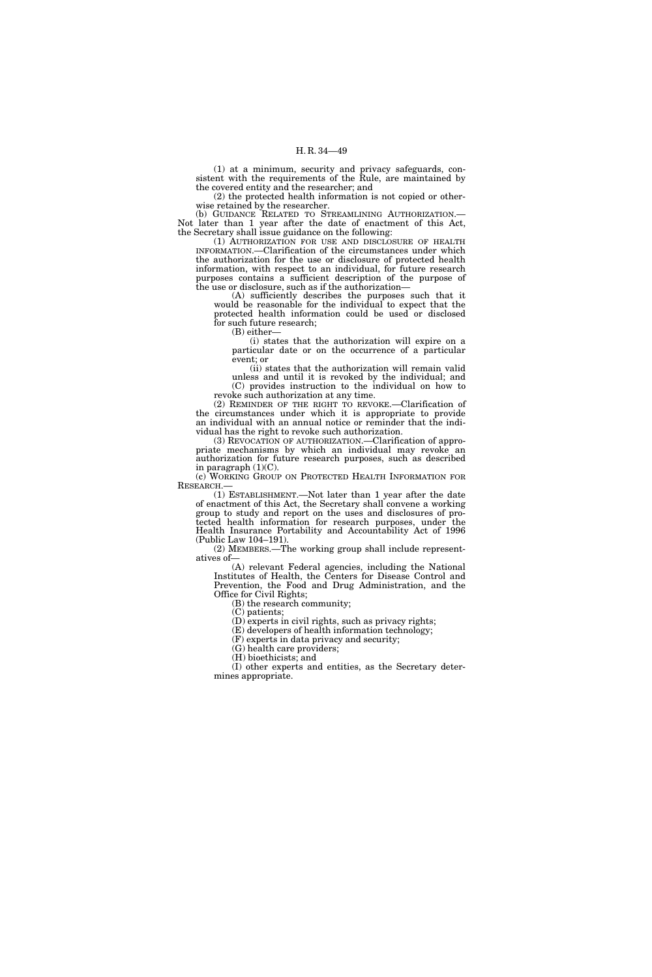(1) at a minimum, security and privacy safeguards, consistent with the requirements of the Rule, are maintained by the covered entity and the researcher; and

(2) the protected health information is not copied or otherwise retained by the researcher.

(b) GUIDANCE RELATED TO STREAMLINING AUTHORIZATION. Not later than 1 year after the date of enactment of this Act, the Secretary shall issue guidance on the following:

(1) AUTHORIZATION FOR USE AND DISCLOSURE OF HEALTH INFORMATION.—Clarification of the circumstances under which the authorization for the use or disclosure of protected health information, with respect to an individual, for future research purposes contains a sufficient description of the purpose of the use or disclosure, such as if the authorization—

(A) sufficiently describes the purposes such that it would be reasonable for the individual to expect that the protected health information could be used or disclosed for such future research;

(B) either—

(i) states that the authorization will expire on a particular date or on the occurrence of a particular event; or

(ii) states that the authorization will remain valid unless and until it is revoked by the individual; and (C) provides instruction to the individual on how to revoke such authorization at any time.

(2) REMINDER OF THE RIGHT TO REVOKE.—Clarification of the circumstances under which it is appropriate to provide an individual with an annual notice or reminder that the individual has the right to revoke such authorization.

(3) REVOCATION OF AUTHORIZATION.—Clarification of appropriate mechanisms by which an individual may revoke an authorization for future research purposes, such as described in paragraph (1)(C).

(c) WORKING GROUP ON PROTECTED HEALTH INFORMATION FOR RESEARCH.—

(1) ESTABLISHMENT.—Not later than 1 year after the date of enactment of this Act, the Secretary shall convene a working group to study and report on the uses and disclosures of protected health information for research purposes, under the Health Insurance Portability and Accountability Act of 1996 (Public Law 104–191).

(2) MEMBERS.—The working group shall include representatives of—

(A) relevant Federal agencies, including the National Institutes of Health, the Centers for Disease Control and Prevention, the Food and Drug Administration, and the Office for Civil Rights;

(B) the research community;

(C) patients;

(D) experts in civil rights, such as privacy rights;

(E) developers of health information technology;

(F) experts in data privacy and security;

(G) health care providers;

(H) bioethicists; and

(I) other experts and entities, as the Secretary determines appropriate.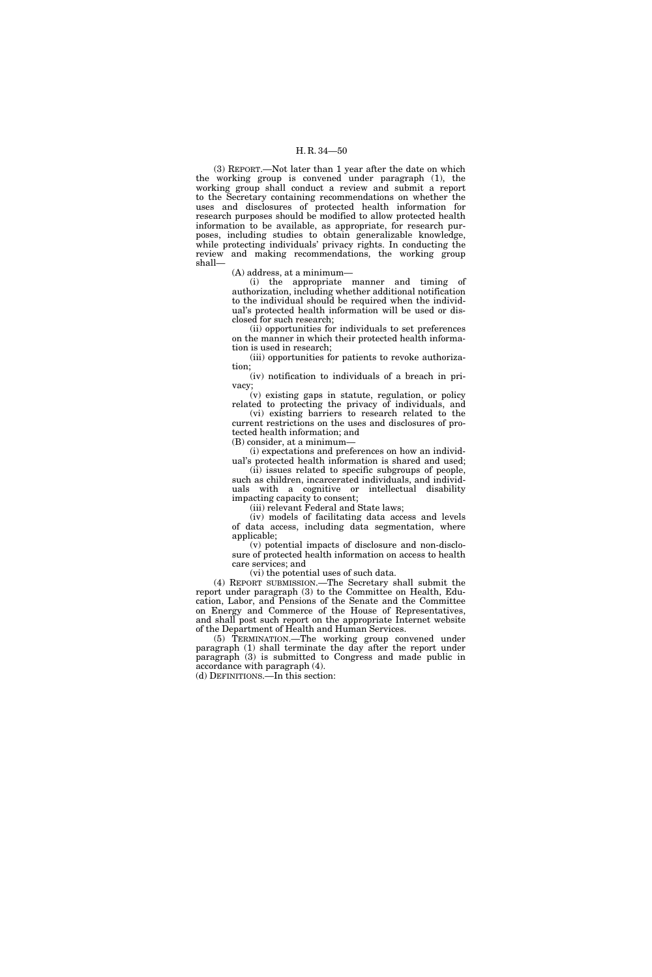(3) REPORT.—Not later than 1 year after the date on which the working group is convened under paragraph (1), the working group shall conduct a review and submit a report to the Secretary containing recommendations on whether the uses and disclosures of protected health information for research purposes should be modified to allow protected health information to be available, as appropriate, for research purposes, including studies to obtain generalizable knowledge, while protecting individuals' privacy rights. In conducting the review and making recommendations, the working group shall—

(A) address, at a minimum—

(i) the appropriate manner and timing of authorization, including whether additional notification to the individual should be required when the individual's protected health information will be used or disclosed for such research;

(ii) opportunities for individuals to set preferences on the manner in which their protected health information is used in research;

(iii) opportunities for patients to revoke authorization;

(iv) notification to individuals of a breach in privacy;

(v) existing gaps in statute, regulation, or policy related to protecting the privacy of individuals, and (vi) existing barriers to research related to the

current restrictions on the uses and disclosures of protected health information; and

(B) consider, at a minimum—

(i) expectations and preferences on how an individual's protected health information is shared and used;

(ii) issues related to specific subgroups of people, such as children, incarcerated individuals, and individuals with a cognitive or intellectual disability impacting capacity to consent;

(iii) relevant Federal and State laws;

(iv) models of facilitating data access and levels of data access, including data segmentation, where applicable;

(v) potential impacts of disclosure and non-disclosure of protected health information on access to health care services; and

(vi) the potential uses of such data.

(4) REPORT SUBMISSION.—The Secretary shall submit the report under paragraph (3) to the Committee on Health, Education, Labor, and Pensions of the Senate and the Committee on Energy and Commerce of the House of Representatives, and shall post such report on the appropriate Internet website of the Department of Health and Human Services.

(5) TERMINATION.—The working group convened under paragraph (1) shall terminate the day after the report under paragraph (3) is submitted to Congress and made public in accordance with paragraph (4).

(d) DEFINITIONS.—In this section: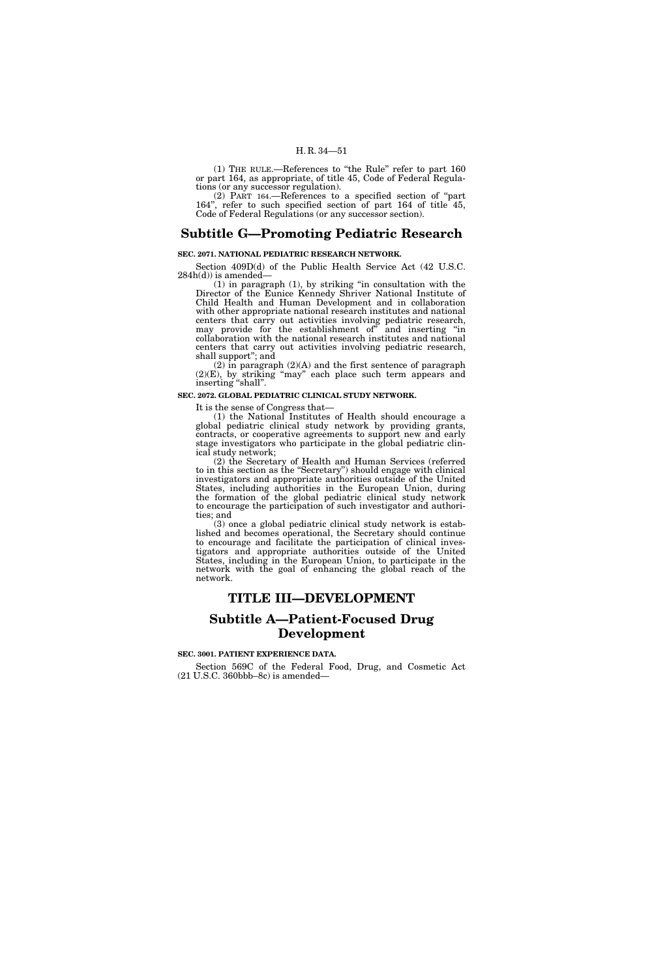(1) THE RULE.—References to ''the Rule'' refer to part 160 or part 164, as appropriate, of title 45, Code of Federal Regulations (or any successor regulation).

(2) PART 164.—References to a specified section of ''part 164'', refer to such specified section of part 164 of title 45, Code of Federal Regulations (or any successor section).

# **Subtitle G—Promoting Pediatric Research**

# **SEC. 2071. NATIONAL PEDIATRIC RESEARCH NETWORK.**

Section 409D(d) of the Public Health Service Act (42 U.S.C.  $284h(d)$  is amended–

(1) in paragraph (1), by striking ''in consultation with the Director of the Eunice Kennedy Shriver National Institute of Child Health and Human Development and in collaboration with other appropriate national research institutes and national centers that carry out activities involving pediatric research, may provide for the establishment of'' and inserting ''in collaboration with the national research institutes and national centers that carry out activities involving pediatric research, shall support''; and

 $(2)$  in paragraph  $(2)(A)$  and the first sentence of paragraph (2)(E), by striking ''may'' each place such term appears and inserting ''shall''.

#### **SEC. 2072. GLOBAL PEDIATRIC CLINICAL STUDY NETWORK.**

It is the sense of Congress that—

(1) the National Institutes of Health should encourage a global pediatric clinical study network by providing grants, contracts, or cooperative agreements to support new and early stage investigators who participate in the global pediatric clinical study network;

(2) the Secretary of Health and Human Services (referred to in this section as the ''Secretary'') should engage with clinical investigators and appropriate authorities outside of the United States, including authorities in the European Union, during the formation of the global pediatric clinical study network to encourage the participation of such investigator and authorities; and

(3) once a global pediatric clinical study network is established and becomes operational, the Secretary should continue to encourage and facilitate the participation of clinical investigators and appropriate authorities outside of the United States, including in the European Union, to participate in the network with the goal of enhancing the global reach of the network.

# **TITLE III—DEVELOPMENT**

# **Subtitle A—Patient-Focused Drug Development**

# **SEC. 3001. PATIENT EXPERIENCE DATA.**

Section 569C of the Federal Food, Drug, and Cosmetic Act (21 U.S.C. 360bbb–8c) is amended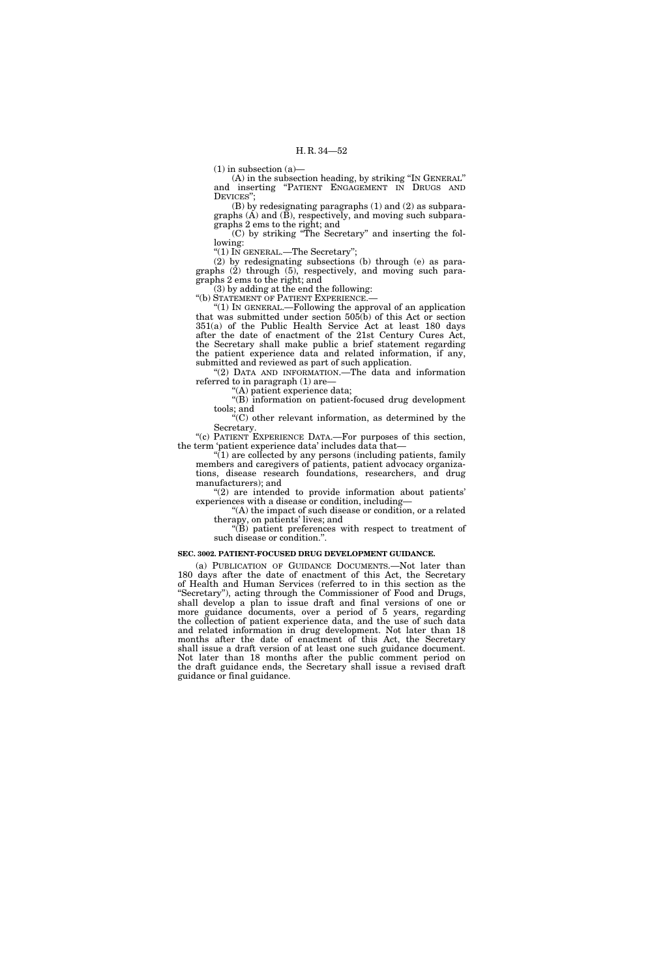$(1)$  in subsection  $(a)$ —

(A) in the subsection heading, by striking ''IN GENERAL'' and inserting ''PATIENT ENGAGEMENT IN DRUGS AND DEVICES'';

(B) by redesignating paragraphs (1) and (2) as subparagraphs  $(A)$  and  $(\breve{B})$ , respectively, and moving such subparagraphs 2 ems to the right; and

(C) by striking ''The Secretary'' and inserting the following:

''(1) IN GENERAL.—The Secretary'';

(2) by redesignating subsections (b) through (e) as paragraphs (2) through (5), respectively, and moving such paragraphs 2 ems to the right; and

(3) by adding at the end the following: ''(b) STATEMENT OF PATIENT EXPERIENCE.—

''(1) IN GENERAL.—Following the approval of an application that was submitted under section 505(b) of this Act or section 351(a) of the Public Health Service Act at least 180 days after the date of enactment of the 21st Century Cures Act, the Secretary shall make public a brief statement regarding the patient experience data and related information, if any, submitted and reviewed as part of such application.

"(2) DATA AND INFORMATION.—The data and information referred to in paragraph (1) are—

''(A) patient experience data;

''(B) information on patient-focused drug development tools; and

''(C) other relevant information, as determined by the Secretary.

''(c) PATIENT EXPERIENCE DATA.—For purposes of this section, the term 'patient experience data' includes data that—

 $(1)$  are collected by any persons (including patients, family members and caregivers of patients, patient advocacy organizations, disease research foundations, researchers, and drug manufacturers); and

"(2) are intended to provide information about patients' experiences with a disease or condition, including—

''(A) the impact of such disease or condition, or a related therapy, on patients' lives; and

''(B) patient preferences with respect to treatment of such disease or condition.''.

## **SEC. 3002. PATIENT-FOCUSED DRUG DEVELOPMENT GUIDANCE.**

(a) PUBLICATION OF GUIDANCE DOCUMENTS.—Not later than 180 days after the date of enactment of this Act, the Secretary of Health and Human Services (referred to in this section as the ''Secretary''), acting through the Commissioner of Food and Drugs, shall develop a plan to issue draft and final versions of one or more guidance documents, over a period of 5 years, regarding the collection of patient experience data, and the use of such data and related information in drug development. Not later than 18 months after the date of enactment of this Act, the Secretary shall issue a draft version of at least one such guidance document. Not later than 18 months after the public comment period on the draft guidance ends, the Secretary shall issue a revised draft guidance or final guidance.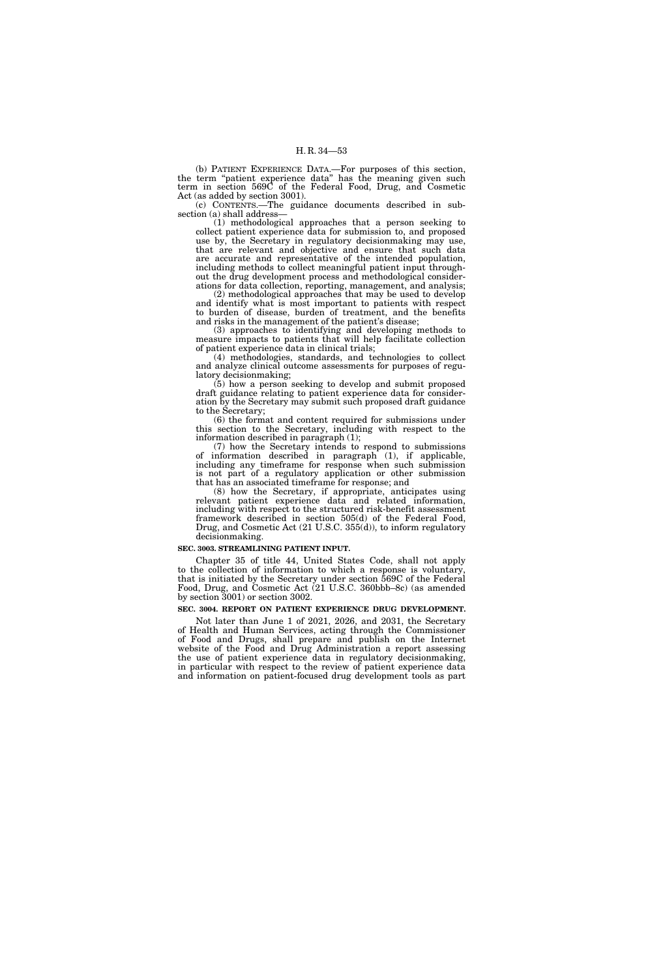(b) PATIENT EXPERIENCE DATA.—For purposes of this section, the term ''patient experience data'' has the meaning given such term in section 569C of the Federal Food, Drug, and Cosmetic Act (as added by section 3001).

(c) CONTENTS.—The guidance documents described in subsection (a) shall address—

(1) methodological approaches that a person seeking to collect patient experience data for submission to, and proposed use by, the Secretary in regulatory decisionmaking may use, that are relevant and objective and ensure that such data are accurate and representative of the intended population, including methods to collect meaningful patient input throughout the drug development process and methodological considerations for data collection, reporting, management, and analysis;

(2) methodological approaches that may be used to develop and identify what is most important to patients with respect to burden of disease, burden of treatment, and the benefits and risks in the management of the patient's disease;

(3) approaches to identifying and developing methods to measure impacts to patients that will help facilitate collection of patient experience data in clinical trials;

(4) methodologies, standards, and technologies to collect and analyze clinical outcome assessments for purposes of regulatory decisionmaking;

(5) how a person seeking to develop and submit proposed draft guidance relating to patient experience data for consideration by the Secretary may submit such proposed draft guidance to the Secretary;

(6) the format and content required for submissions under this section to the Secretary, including with respect to the information described in paragraph (1);

(7) how the Secretary intends to respond to submissions of information described in paragraph (1), if applicable, including any timeframe for response when such submission is not part of a regulatory application or other submission that has an associated timeframe for response; and

(8) how the Secretary, if appropriate, anticipates using relevant patient experience data and related information, including with respect to the structured risk-benefit assessment framework described in section 505(d) of the Federal Food, Drug, and Cosmetic Act (21 U.S.C. 355(d)), to inform regulatory decisionmaking.

#### **SEC. 3003. STREAMLINING PATIENT INPUT.**

Chapter 35 of title 44, United States Code, shall not apply to the collection of information to which a response is voluntary, that is initiated by the Secretary under section 569C of the Federal Food, Drug, and Cosmetic Act (21 U.S.C. 360bbb–8c) (as amended by section 3001) or section 3002.

## **SEC. 3004. REPORT ON PATIENT EXPERIENCE DRUG DEVELOPMENT.**

Not later than June 1 of 2021, 2026, and 2031, the Secretary of Health and Human Services, acting through the Commissioner of Food and Drugs, shall prepare and publish on the Internet website of the Food and Drug Administration a report assessing the use of patient experience data in regulatory decisionmaking, in particular with respect to the review of patient experience data and information on patient-focused drug development tools as part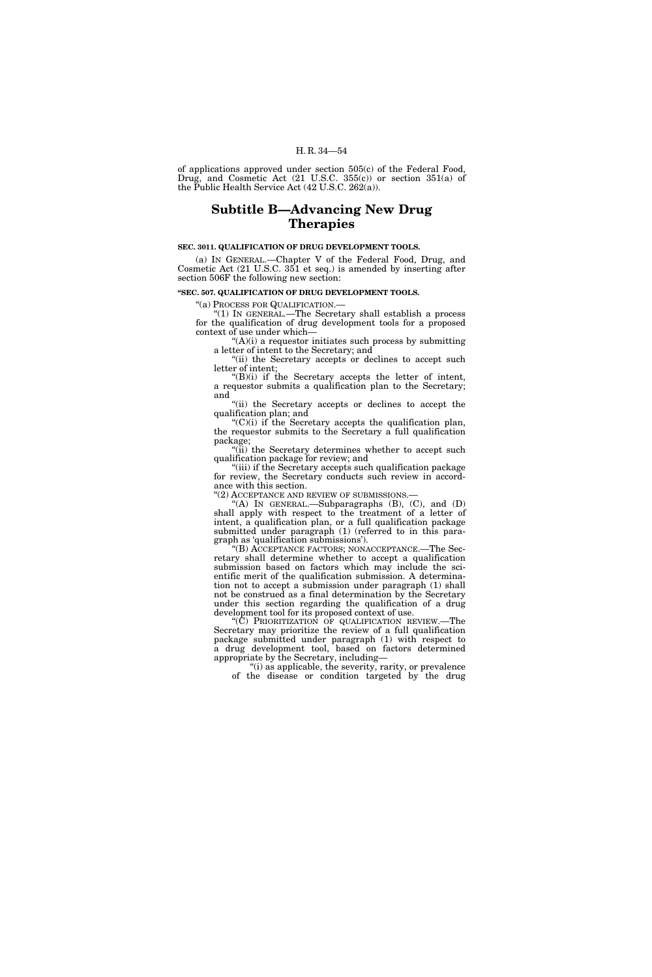of applications approved under section 505(c) of the Federal Food, Drug, and Cosmetic Act (21 U.S.C. 355(c)) or section 351(a) of the Public Health Service Act (42 U.S.C. 262(a)).

# **Subtitle B—Advancing New Drug Therapies**

# **SEC. 3011. QUALIFICATION OF DRUG DEVELOPMENT TOOLS.**

(a) IN GENERAL.—Chapter V of the Federal Food, Drug, and Cosmetic Act (21 U.S.C. 351 et seq.) is amended by inserting after section 506F the following new section:

#### **''SEC. 507. QUALIFICATION OF DRUG DEVELOPMENT TOOLS.**

''(a) PROCESS FOR QUALIFICATION.—

''(1) IN GENERAL.—The Secretary shall establish a process for the qualification of drug development tools for a proposed context of use under which—

 $(A)(i)$  a requestor initiates such process by submitting a letter of intent to the Secretary; and

''(ii) the Secretary accepts or declines to accept such letter of intent;  $H(B)(i)$  if the Secretary accepts the letter of intent,

a requestor submits a qualification plan to the Secretary; and

"(ii) the Secretary accepts or declines to accept the qualification plan; and

 $C'(C)(i)$  if the Secretary accepts the qualification plan, the requestor submits to the Secretary a full qualification package;

''(ii) the Secretary determines whether to accept such qualification package for review; and

''(iii) if the Secretary accepts such qualification package for review, the Secretary conducts such review in accordance with this section.

''(2) ACCEPTANCE AND REVIEW OF SUBMISSIONS.—

 $f(A)$  In GENERAL.—Subparagraphs  $(B)$ ,  $(C)$ , and  $(D)$ shall apply with respect to the treatment of a letter of intent, a qualification plan, or a full qualification package submitted under paragraph (1) (referred to in this paragraph as 'qualification submissions').

''(B) ACCEPTANCE FACTORS; NONACCEPTANCE.—The Secretary shall determine whether to accept a qualification submission based on factors which may include the scientific merit of the qualification submission. A determination not to accept a submission under paragraph (1) shall not be construed as a final determination by the Secretary under this section regarding the qualification of a drug development tool for its proposed context of use.

"(C) PRIORITIZATION OF QUALIFICATION REVIEW.—The Secretary may prioritize the review of a full qualification package submitted under paragraph (1) with respect to a drug development tool, based on factors determined appropriate by the Secretary, including—

"(i) as applicable, the severity, rarity, or prevalence of the disease or condition targeted by the drug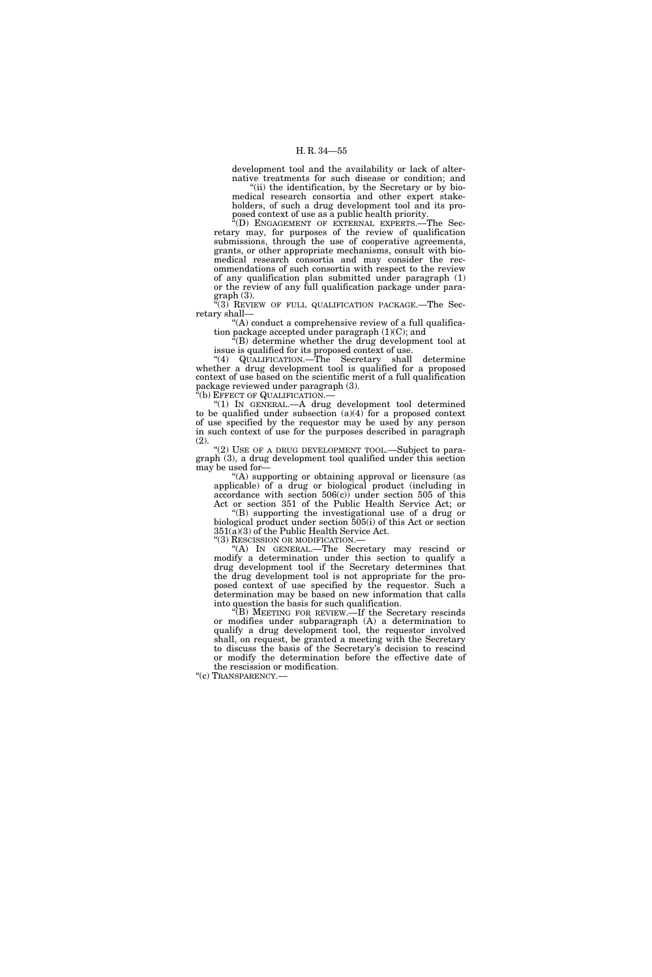development tool and the availability or lack of alternative treatments for such disease or condition; and

"(ii) the identification, by the Secretary or by biomedical research consortia and other expert stakeholders, of such a drug development tool and its proposed context of use as a public health priority.

''(D) ENGAGEMENT OF EXTERNAL EXPERTS.—The Secretary may, for purposes of the review of qualification submissions, through the use of cooperative agreements, grants, or other appropriate mechanisms, consult with biomedical research consortia and may consider the recommendations of such consortia with respect to the review of any qualification plan submitted under paragraph (1) or the review of any full qualification package under para $graph (3)$ .

 $(3)$  REVIEW OF FULL QUALIFICATION PACKAGE.—The Secretary shall—

"(A) conduct a comprehensive review of a full qualification package accepted under paragraph (1)(C); and

 ${}^{\alpha}$ (B) determine whether the drug development tool at issue is qualified for its proposed context of use.

''(4) QUALIFICATION.—The Secretary shall determine whether a drug development tool is qualified for a proposed context of use based on the scientific merit of a full qualification package reviewed under paragraph (3).

''(b) EFFECT OF QUALIFICATION.—

''(1) IN GENERAL.—A drug development tool determined to be qualified under subsection  $(a)(4)$  for a proposed context of use specified by the requestor may be used by any person in such context of use for the purposes described in paragraph (2).

"(2) USE OF A DRUG DEVELOPMENT TOOL.—Subject to paragraph (3), a drug development tool qualified under this section may be used for—

''(A) supporting or obtaining approval or licensure (as applicable) of a drug or biological product (including in accordance with section 506(c)) under section 505 of this Act or section 351 of the Public Health Service Act; or

''(B) supporting the investigational use of a drug or biological product under section 505(i) of this Act or section 351(a)(3) of the Public Health Service Act.

''(3) RESCISSION OR MODIFICATION.—

''(A) IN GENERAL.—The Secretary may rescind or modify a determination under this section to qualify a drug development tool if the Secretary determines that the drug development tool is not appropriate for the proposed context of use specified by the requestor. Such a determination may be based on new information that calls into question the basis for such qualification.

''(B) MEETING FOR REVIEW.—If the Secretary rescinds or modifies under subparagraph (A) a determination to qualify a drug development tool, the requestor involved shall, on request, be granted a meeting with the Secretary to discuss the basis of the Secretary's decision to rescind or modify the determination before the effective date of the rescission or modification.

''(c) TRANSPARENCY.—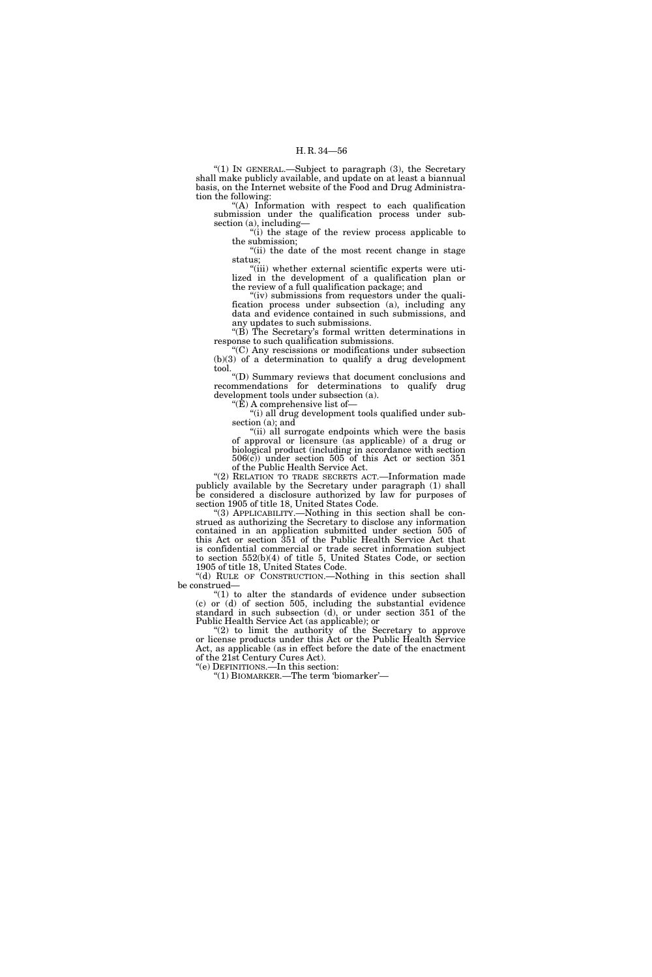''(1) IN GENERAL.—Subject to paragraph (3), the Secretary shall make publicly available, and update on at least a biannual basis, on the Internet website of the Food and Drug Administration the following:

''(A) Information with respect to each qualification submission under the qualification process under subsection (a), including—

''(i) the stage of the review process applicable to the submission;

''(ii) the date of the most recent change in stage status;

"(iii) whether external scientific experts were utilized in the development of a qualification plan or the review of a full qualification package; and

"(iv) submissions from requestors under the qualification process under subsection (a), including any data and evidence contained in such submissions, and any updates to such submissions.

''(B) The Secretary's formal written determinations in response to such qualification submissions.

''(C) Any rescissions or modifications under subsection (b)(3) of a determination to qualify a drug development tool.

''(D) Summary reviews that document conclusions and recommendations for determinations to qualify drug development tools under subsection (a). " $(\hat{E})$  A comprehensive list of-

"(i) all drug development tools qualified under subsection (a); and

"(ii) all surrogate endpoints which were the basis of approval or licensure (as applicable) of a drug or biological product (including in accordance with section  $506(c)$  under section  $505$  of this Act or section  $351$ of the Public Health Service Act.

"(2) RELATION TO TRADE SECRETS ACT.-Information made publicly available by the Secretary under paragraph (1) shall be considered a disclosure authorized by law for purposes of section 1905 of title 18, United States Code.

''(3) APPLICABILITY.—Nothing in this section shall be construed as authorizing the Secretary to disclose any information contained in an application submitted under section 505 of this Act or section 351 of the Public Health Service Act that is confidential commercial or trade secret information subject to section 552(b)(4) of title 5, United States Code, or section 1905 of title 18, United States Code.

"(d) RULE OF CONSTRUCTION.—Nothing in this section shall be construed—

 $''(1)$  to alter the standards of evidence under subsection (c) or (d) of section 505, including the substantial evidence standard in such subsection (d), or under section 351 of the Public Health Service Act (as applicable); or

"(2) to limit the authority of the Secretary to approve or license products under this Act or the Public Health Service Act, as applicable (as in effect before the date of the enactment of the 21st Century Cures Act). ''(e) DEFINITIONS.—In this section:

''(1) BIOMARKER.—The term 'biomarker'—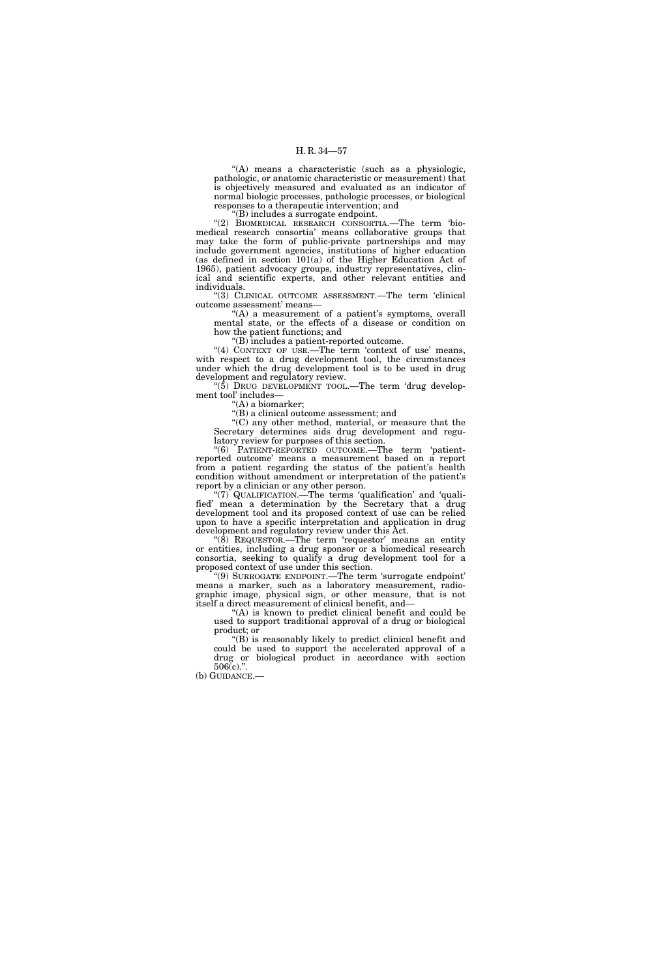''(A) means a characteristic (such as a physiologic, pathologic, or anatomic characteristic or measurement) that is objectively measured and evaluated as an indicator of normal biologic processes, pathologic processes, or biological responses to a therapeutic intervention; and

''(B) includes a surrogate endpoint.

''(2) BIOMEDICAL RESEARCH CONSORTIA.—The term 'biomedical research consortia' means collaborative groups that may take the form of public-private partnerships and may include government agencies, institutions of higher education (as defined in section 101(a) of the Higher Education Act of 1965), patient advocacy groups, industry representatives, clinical and scientific experts, and other relevant entities and individuals.

''(3) CLINICAL OUTCOME ASSESSMENT.—The term 'clinical outcome assessment' means—

"(A) a measurement of a patient's symptoms, overall mental state, or the effects of a disease or condition on how the patient functions; and

''(B) includes a patient-reported outcome.

"(4) CONTEXT OF USE.—The term 'context of use' means, with respect to a drug development tool, the circumstances under which the drug development tool is to be used in drug development and regulatory review.

''(5) DRUG DEVELOPMENT TOOL.—The term 'drug development tool' includes—

''(A) a biomarker;

''(B) a clinical outcome assessment; and

''(C) any other method, material, or measure that the Secretary determines aids drug development and regulatory review for purposes of this section.

''(6) PATIENT-REPORTED OUTCOME.—The term 'patientreported outcome' means a measurement based on a report from a patient regarding the status of the patient's health condition without amendment or interpretation of the patient's report by a clinician or any other person.

''(7) QUALIFICATION.—The terms 'qualification' and 'qualified' mean a determination by the Secretary that a drug development tool and its proposed context of use can be relied upon to have a specific interpretation and application in drug development and regulatory review under this Act.

" $(\overline{8})$  REQUESTOR.—The term 'requestor' means an entity or entities, including a drug sponsor or a biomedical research consortia, seeking to qualify a drug development tool for a proposed context of use under this section.

''(9) SURROGATE ENDPOINT.—The term 'surrogate endpoint' means a marker, such as a laboratory measurement, radiographic image, physical sign, or other measure, that is not itself a direct measurement of clinical benefit, and—

 $(A)$  is known to predict clinical benefit and could be used to support traditional approval of a drug or biological product; or

''(B) is reasonably likely to predict clinical benefit and could be used to support the accelerated approval of a drug or biological product in accordance with section  $506(c)$ .

(b) GUIDANCE.—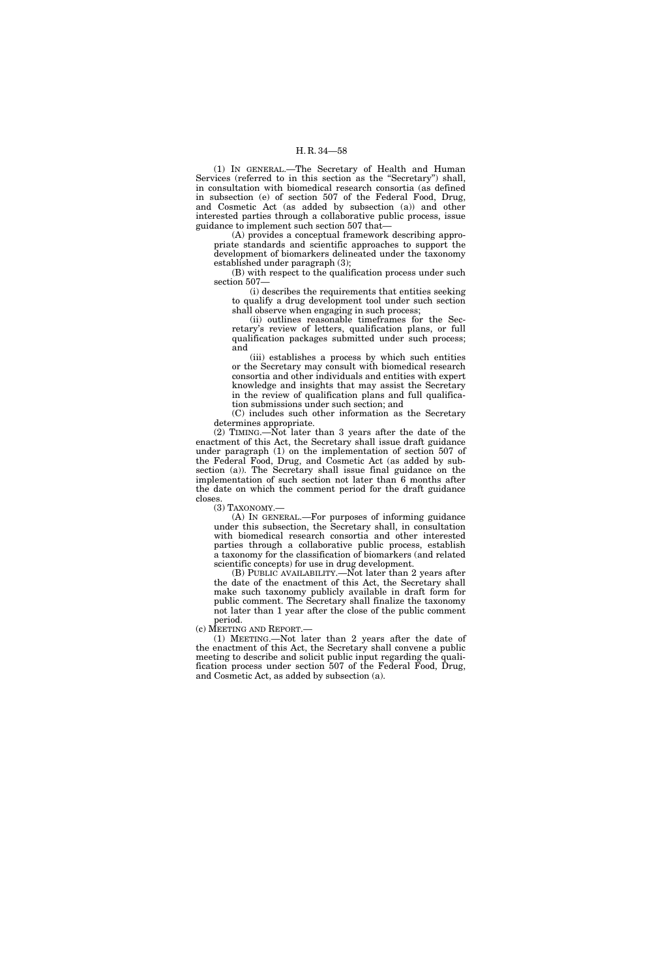(1) IN GENERAL.—The Secretary of Health and Human Services (referred to in this section as the "Secretary") shall, in consultation with biomedical research consortia (as defined in subsection (e) of section 507 of the Federal Food, Drug, and Cosmetic Act (as added by subsection (a)) and other interested parties through a collaborative public process, issue guidance to implement such section 507 that—

(A) provides a conceptual framework describing appropriate standards and scientific approaches to support the development of biomarkers delineated under the taxonomy established under paragraph (3);

(B) with respect to the qualification process under such section 507—

(i) describes the requirements that entities seeking to qualify a drug development tool under such section shall observe when engaging in such process;

(ii) outlines reasonable timeframes for the Secretary's review of letters, qualification plans, or full qualification packages submitted under such process; and

(iii) establishes a process by which such entities or the Secretary may consult with biomedical research consortia and other individuals and entities with expert knowledge and insights that may assist the Secretary in the review of qualification plans and full qualification submissions under such section; and

(C) includes such other information as the Secretary determines appropriate.

(2) TIMING.—Not later than 3 years after the date of the enactment of this Act, the Secretary shall issue draft guidance under paragraph (1) on the implementation of section 507 of the Federal Food, Drug, and Cosmetic Act (as added by subsection (a)). The Secretary shall issue final guidance on the implementation of such section not later than 6 months after the date on which the comment period for the draft guidance closes.

(3) TAXONOMY.—

(A) IN GENERAL.—For purposes of informing guidance under this subsection, the Secretary shall, in consultation with biomedical research consortia and other interested parties through a collaborative public process, establish a taxonomy for the classification of biomarkers (and related scientific concepts) for use in drug development.

(B) PUBLIC AVAILABILITY.—Not later than 2 years after the date of the enactment of this Act, the Secretary shall make such taxonomy publicly available in draft form for public comment. The Secretary shall finalize the taxonomy not later than 1 year after the close of the public comment period.

(c) MEETING AND REPORT.—

(1) MEETING.—Not later than 2 years after the date of the enactment of this Act, the Secretary shall convene a public meeting to describe and solicit public input regarding the qualification process under section 507 of the Federal Food, Drug, and Cosmetic Act, as added by subsection (a).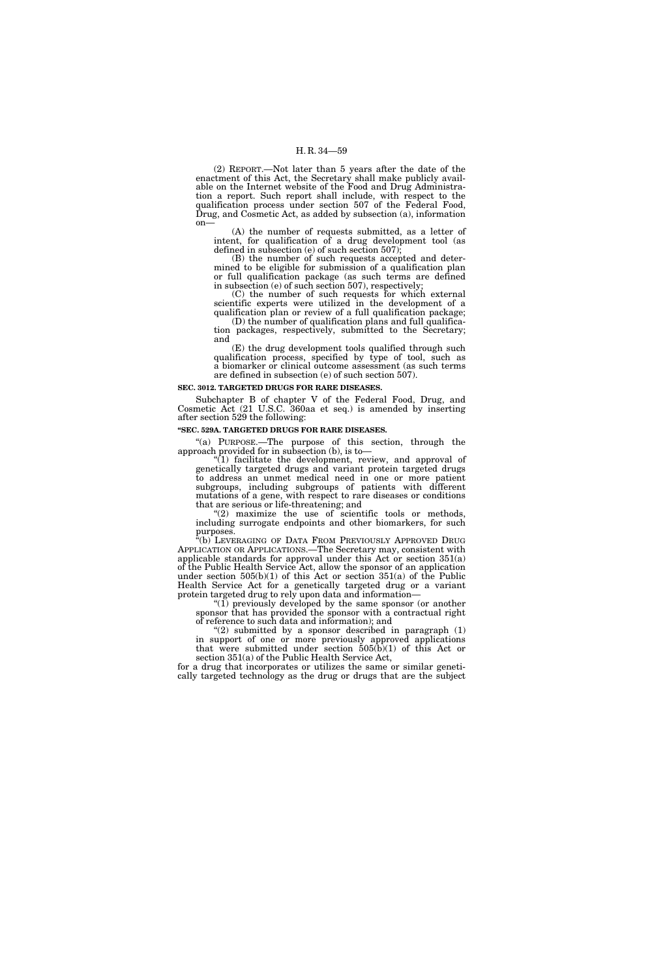(2) REPORT.—Not later than 5 years after the date of the enactment of this Act, the Secretary shall make publicly available on the Internet website of the Food and Drug Administration a report. Such report shall include, with respect to the qualification process under section 507 of the Federal Food, Drug, and Cosmetic Act, as added by subsection (a), information on—

(A) the number of requests submitted, as a letter of intent, for qualification of a drug development tool (as defined in subsection (e) of such section 507);

(B) the number of such requests accepted and determined to be eligible for submission of a qualification plan or full qualification package (as such terms are defined in subsection (e) of such section 507), respectively;

(C) the number of such requests for which external scientific experts were utilized in the development of a qualification plan or review of a full qualification package;

(D) the number of qualification plans and full qualification packages, respectively, submitted to the Secretary; and

(E) the drug development tools qualified through such qualification process, specified by type of tool, such as a biomarker or clinical outcome assessment (as such terms are defined in subsection (e) of such section 507).

### **SEC. 3012. TARGETED DRUGS FOR RARE DISEASES.**

Subchapter B of chapter V of the Federal Food, Drug, and Cosmetic Act (21 U.S.C. 360aa et seq.) is amended by inserting after section 529 the following:

#### **''SEC. 529A. TARGETED DRUGS FOR RARE DISEASES.**

"(a) PURPOSE.—The purpose of this section, through the approach provided for in subsection (b), is to—

''(1) facilitate the development, review, and approval of genetically targeted drugs and variant protein targeted drugs to address an unmet medical need in one or more patient subgroups, including subgroups of patients with different mutations of a gene, with respect to rare diseases or conditions that are serious or life-threatening; and

"(2) maximize the use of scientific tools or methods, including surrogate endpoints and other biomarkers, for such purposes.

"(b) LEVERAGING OF DATA FROM PREVIOUSLY APPROVED DRUG APPLICATION OR APPLICATIONS.—The Secretary may, consistent with applicable standards for approval under this Act or section 351(a) of the Public Health Service Act, allow the sponsor of an application under section 505(b)(1) of this Act or section 351(a) of the Public Health Service Act for a genetically targeted drug or a variant protein targeted drug to rely upon data and information—

''(1) previously developed by the same sponsor (or another sponsor that has provided the sponsor with a contractual right of reference to such data and information); and

" $(2)$  submitted by a sponsor described in paragraph  $(1)$ in support of one or more previously approved applications that were submitted under section 505(b)(1) of this Act or section 351(a) of the Public Health Service Act,

for a drug that incorporates or utilizes the same or similar genetically targeted technology as the drug or drugs that are the subject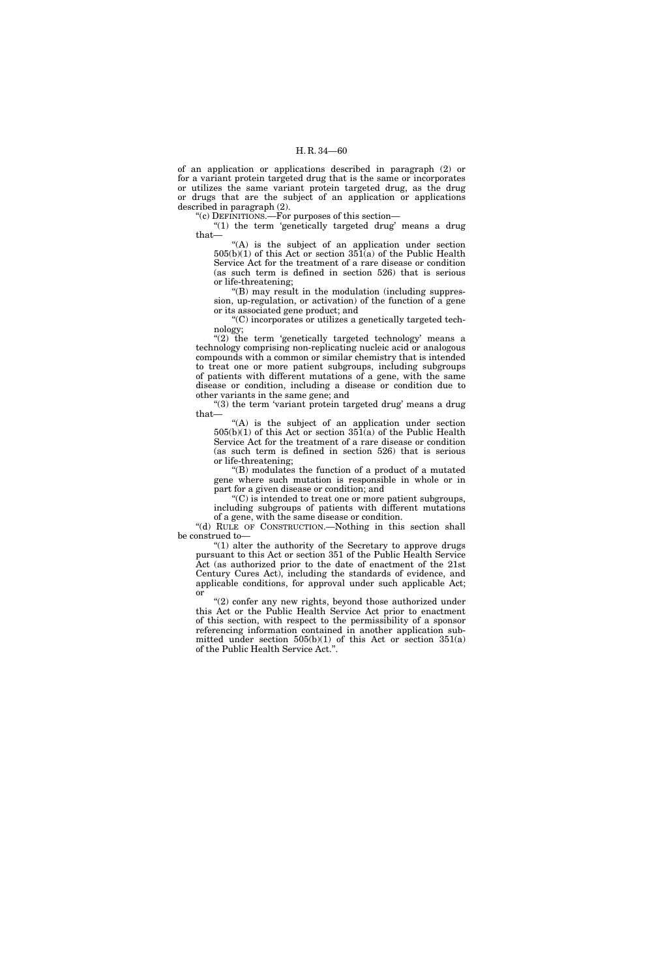of an application or applications described in paragraph (2) or for a variant protein targeted drug that is the same or incorporates or utilizes the same variant protein targeted drug, as the drug or drugs that are the subject of an application or applications described in paragraph (2).

''(c) DEFINITIONS.—For purposes of this section—

"(1) the term 'genetically targeted drug' means a drug that—

 $(A)$  is the subject of an application under section 505(b)(1) of this Act or section 351(a) of the Public Health Service Act for the treatment of a rare disease or condition (as such term is defined in section 526) that is serious or life-threatening;

''(B) may result in the modulation (including suppression, up-regulation, or activation) of the function of a gene or its associated gene product; and

''(C) incorporates or utilizes a genetically targeted technology;

" $(2)$  the term 'genetically targeted technology' means a technology comprising non-replicating nucleic acid or analogous compounds with a common or similar chemistry that is intended to treat one or more patient subgroups, including subgroups of patients with different mutations of a gene, with the same disease or condition, including a disease or condition due to other variants in the same gene; and

"(3) the term 'variant protein targeted drug' means a drug that—

 $(A)$  is the subject of an application under section  $505(b)(1)$  of this Act or section  $351(a)$  of the Public Health Service Act for the treatment of a rare disease or condition (as such term is defined in section 526) that is serious or life-threatening;

''(B) modulates the function of a product of a mutated gene where such mutation is responsible in whole or in part for a given disease or condition; and

''(C) is intended to treat one or more patient subgroups, including subgroups of patients with different mutations of a gene, with the same disease or condition.

"(d) RULE OF CONSTRUCTION.—Nothing in this section shall be construed to—

''(1) alter the authority of the Secretary to approve drugs pursuant to this Act or section 351 of the Public Health Service Act (as authorized prior to the date of enactment of the 21st Century Cures Act), including the standards of evidence, and applicable conditions, for approval under such applicable Act; or

"(2) confer any new rights, beyond those authorized under this Act or the Public Health Service Act prior to enactment of this section, with respect to the permissibility of a sponsor referencing information contained in another application submitted under section  $505(b)(1)$  of this Act or section  $351(a)$ of the Public Health Service Act.''.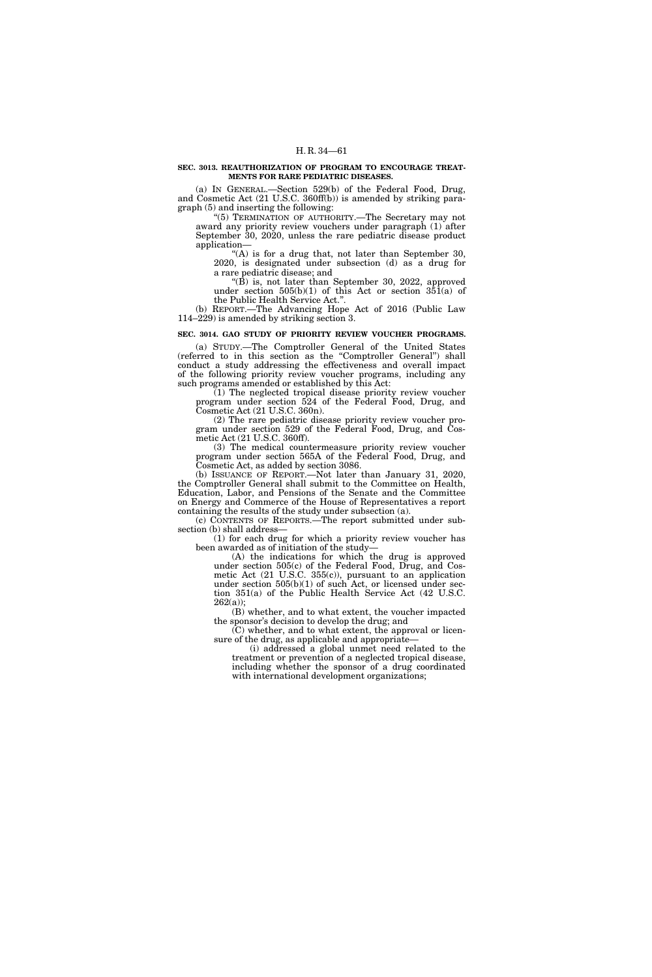### **SEC. 3013. REAUTHORIZATION OF PROGRAM TO ENCOURAGE TREAT-MENTS FOR RARE PEDIATRIC DISEASES.**

(a) IN GENERAL.—Section 529(b) of the Federal Food, Drug, and Cosmetic Act (21 U.S.C. 360ff(b)) is amended by striking paragraph (5) and inserting the following:

''(5) TERMINATION OF AUTHORITY.—The Secretary may not award any priority review vouchers under paragraph (1) after September 30, 2020, unless the rare pediatric disease product application—

''(A) is for a drug that, not later than September 30, 2020, is designated under subsection (d) as a drug for a rare pediatric disease; and

''(B) is, not later than September 30, 2022, approved under section  $505(b)(1)$  of this Act or section  $351(a)$  of the Public Health Service Act.''.

(b) REPORT.—The Advancing Hope Act of 2016 (Public Law 114–229) is amended by striking section 3.

#### **SEC. 3014. GAO STUDY OF PRIORITY REVIEW VOUCHER PROGRAMS.**

(a) STUDY.—The Comptroller General of the United States (referred to in this section as the ''Comptroller General'') shall conduct a study addressing the effectiveness and overall impact of the following priority review voucher programs, including any such programs amended or established by this Act:

(1) The neglected tropical disease priority review voucher program under section 524 of the Federal Food, Drug, and Cosmetic Act (21 U.S.C. 360n).

(2) The rare pediatric disease priority review voucher program under section 529 of the Federal Food, Drug, and Cosmetic Act (21 U.S.C. 360ff).

(3) The medical countermeasure priority review voucher program under section 565A of the Federal Food, Drug, and Cosmetic Act, as added by section 3086.

(b) ISSUANCE OF REPORT.—Not later than January 31, 2020, the Comptroller General shall submit to the Committee on Health, Education, Labor, and Pensions of the Senate and the Committee on Energy and Commerce of the House of Representatives a report containing the results of the study under subsection (a).

(c) CONTENTS OF REPORTS.—The report submitted under subsection (b) shall address—

(1) for each drug for which a priority review voucher has been awarded as of initiation of the study—

(A) the indications for which the drug is approved under section 505(c) of the Federal Food, Drug, and Cosmetic Act (21 U.S.C. 355(c)), pursuant to an application under section 505(b)(1) of such Act, or licensed under section 351(a) of the Public Health Service Act (42 U.S.C.  $262(a)$ ;

(B) whether, and to what extent, the voucher impacted the sponsor's decision to develop the drug; and

(C) whether, and to what extent, the approval or licensure of the drug, as applicable and appropriate—

(i) addressed a global unmet need related to the treatment or prevention of a neglected tropical disease, including whether the sponsor of a drug coordinated with international development organizations;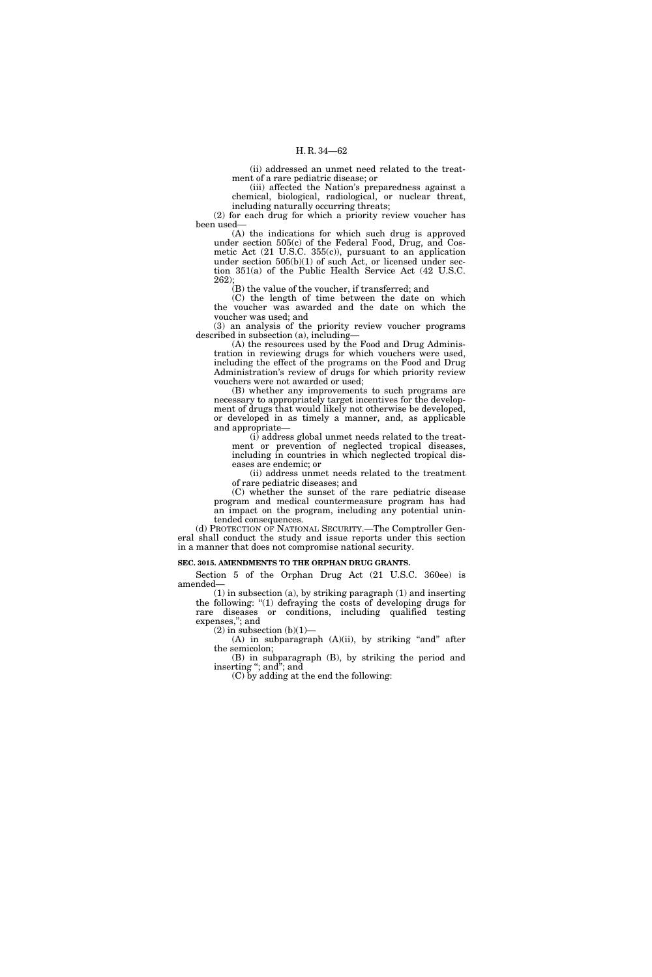(ii) addressed an unmet need related to the treatment of a rare pediatric disease; or

(iii) affected the Nation's preparedness against a chemical, biological, radiological, or nuclear threat, including naturally occurring threats;

(2) for each drug for which a priority review voucher has been used—

(A) the indications for which such drug is approved under section 505(c) of the Federal Food, Drug, and Cosmetic Act (21 U.S.C. 355(c)), pursuant to an application under section  $505(b)(1)$  of such Act, or licensed under section 351(a) of the Public Health Service Act (42 U.S.C. 262);

(B) the value of the voucher, if transferred; and

(C) the length of time between the date on which the voucher was awarded and the date on which the voucher was used; and

(3) an analysis of the priority review voucher programs described in subsection (a), including—

(A) the resources used by the Food and Drug Administration in reviewing drugs for which vouchers were used, including the effect of the programs on the Food and Drug Administration's review of drugs for which priority review vouchers were not awarded or used;

(B) whether any improvements to such programs are necessary to appropriately target incentives for the development of drugs that would likely not otherwise be developed, or developed in as timely a manner, and, as applicable and appropriate—

(i) address global unmet needs related to the treatment or prevention of neglected tropical diseases, including in countries in which neglected tropical diseases are endemic; or

(ii) address unmet needs related to the treatment of rare pediatric diseases; and

(C) whether the sunset of the rare pediatric disease program and medical countermeasure program has had an impact on the program, including any potential unintended consequences.

(d) PROTECTION OF NATIONAL SECURITY.—The Comptroller General shall conduct the study and issue reports under this section in a manner that does not compromise national security.

## **SEC. 3015. AMENDMENTS TO THE ORPHAN DRUG GRANTS.**

Section 5 of the Orphan Drug Act (21 U.S.C. 360ee) is amended—

(1) in subsection (a), by striking paragraph (1) and inserting the following: ''(1) defraying the costs of developing drugs for rare diseases or conditions, including qualified testing expenses,''; and

 $(2)$  in subsection  $(b)(1)$ —

(A) in subparagraph (A)(ii), by striking "and" after the semicolon;

(B) in subparagraph (B), by striking the period and inserting ''; and''; and

(C) by adding at the end the following: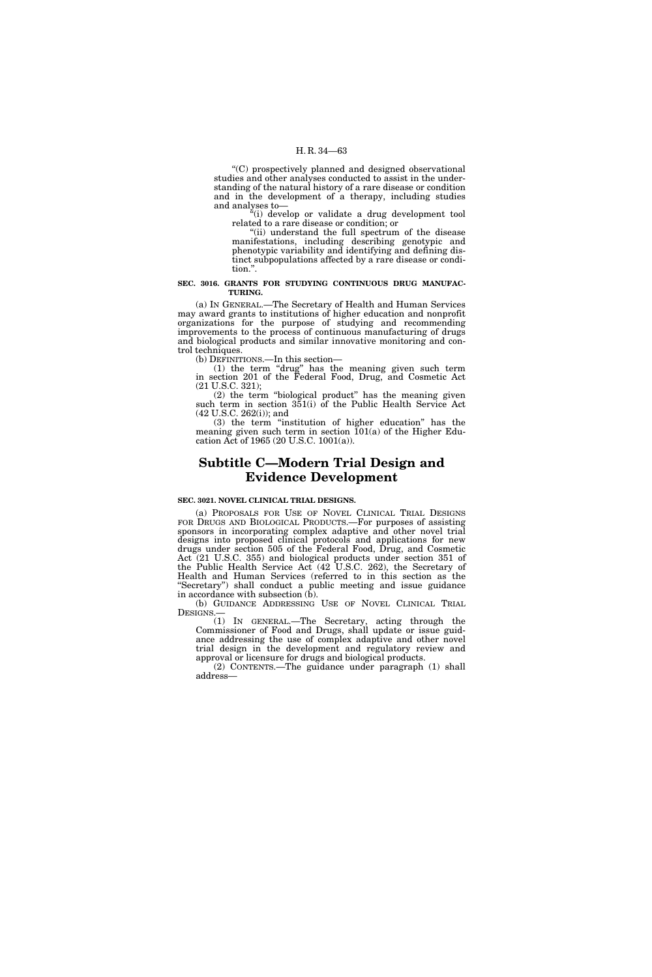''(C) prospectively planned and designed observational studies and other analyses conducted to assist in the understanding of the natural history of a rare disease or condition and in the development of a therapy, including studies and analyses to—

''(i) develop or validate a drug development tool related to a rare disease or condition; or

''(ii) understand the full spectrum of the disease manifestations, including describing genotypic and phenotypic variability and identifying and defining distinct subpopulations affected by a rare disease or condition.''.

### **SEC. 3016. GRANTS FOR STUDYING CONTINUOUS DRUG MANUFAC-TURING.**

(a) IN GENERAL.—The Secretary of Health and Human Services may award grants to institutions of higher education and nonprofit organizations for the purpose of studying and recommending improvements to the process of continuous manufacturing of drugs and biological products and similar innovative monitoring and control techniques.

(b) DEFINITIONS.—In this section—

(1) the term ''drug'' has the meaning given such term in section 201 of the Federal Food, Drug, and Cosmetic Act (21 U.S.C. 321);

(2) the term ''biological product'' has the meaning given such term in section 351(i) of the Public Health Service Act (42 U.S.C. 262(i)); and

(3) the term ''institution of higher education'' has the meaning given such term in section  $101(a)$  of the Higher Education Act of 1965 (20 U.S.C. 1001(a)).

# **Subtitle C—Modern Trial Design and Evidence Development**

# **SEC. 3021. NOVEL CLINICAL TRIAL DESIGNS.**

(a) PROPOSALS FOR USE OF NOVEL CLINICAL TRIAL DESIGNS FOR DRUGS AND BIOLOGICAL PRODUCTS.—For purposes of assisting sponsors in incorporating complex adaptive and other novel trial designs into proposed clinical protocols and applications for new drugs under section 505 of the Federal Food, Drug, and Cosmetic Act (21 U.S.C. 355) and biological products under section 351 of the Public Health Service Act (42 U.S.C. 262), the Secretary of Health and Human Services (referred to in this section as the "Secretary") shall conduct a public meeting and issue guidance in accordance with subsection  $(b)$ .

(b) GUIDANCE ADDRESSING USE OF NOVEL CLINICAL TRIAL DESIGNS.—

(1) IN GENERAL.—The Secretary, acting through the Commissioner of Food and Drugs, shall update or issue guidance addressing the use of complex adaptive and other novel trial design in the development and regulatory review and approval or licensure for drugs and biological products.

(2) CONTENTS.—The guidance under paragraph (1) shall address—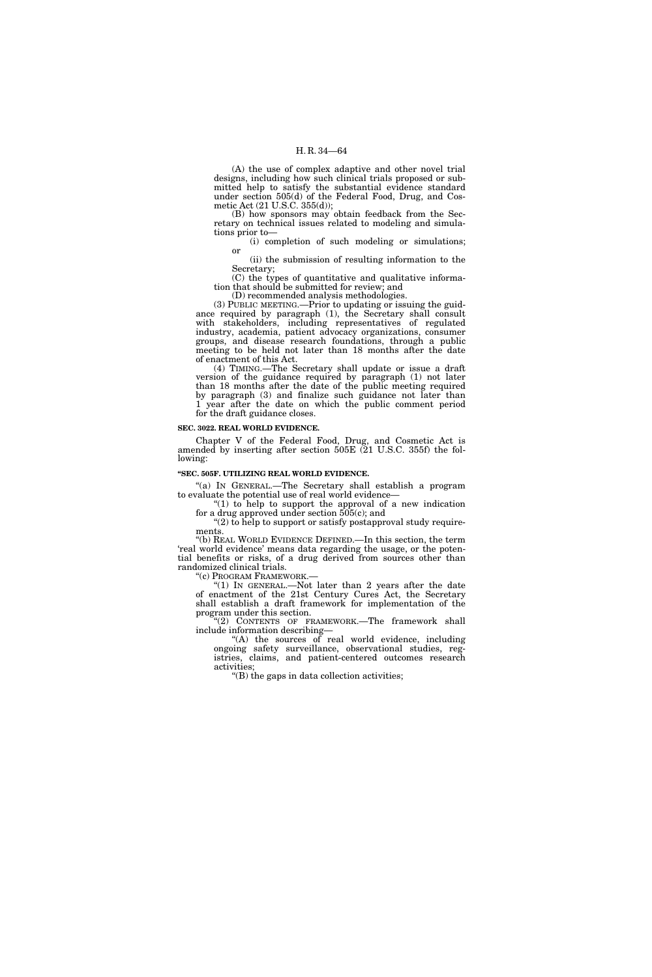(A) the use of complex adaptive and other novel trial designs, including how such clinical trials proposed or submitted help to satisfy the substantial evidence standard under section 505(d) of the Federal Food, Drug, and Cosmetic Act (21 U.S.C. 355(d));

(B) how sponsors may obtain feedback from the Secretary on technical issues related to modeling and simulations prior to—

(i) completion of such modeling or simulations; or

(ii) the submission of resulting information to the Secretary;

(C) the types of quantitative and qualitative information that should be submitted for review; and

(D) recommended analysis methodologies.

(3) PUBLIC MEETING.—Prior to updating or issuing the guidance required by paragraph (1), the Secretary shall consult with stakeholders, including representatives of regulated industry, academia, patient advocacy organizations, consumer groups, and disease research foundations, through a public meeting to be held not later than 18 months after the date of enactment of this Act.

(4) TIMING.—The Secretary shall update or issue a draft version of the guidance required by paragraph (1) not later than 18 months after the date of the public meeting required by paragraph (3) and finalize such guidance not later than 1 year after the date on which the public comment period for the draft guidance closes.

# **SEC. 3022. REAL WORLD EVIDENCE.**

Chapter V of the Federal Food, Drug, and Cosmetic Act is amended by inserting after section 505E (21 U.S.C. 355f) the following:

#### **''SEC. 505F. UTILIZING REAL WORLD EVIDENCE.**

''(a) IN GENERAL.—The Secretary shall establish a program to evaluate the potential use of real world evidence—

" $(1)$  to help to support the approval of a new indication for a drug approved under section  $505(c)$ ; and

 $(2)$  to help to support or satisfy postapproval study requirements.

''(b) REAL WORLD EVIDENCE DEFINED.—In this section, the term 'real world evidence' means data regarding the usage, or the potential benefits or risks, of a drug derived from sources other than randomized clinical trials.

"(c) PROGRAM FRAMEWORK.—<br>"(1) IN GENERAL.—Not later than 2 years after the date of enactment of the 21st Century Cures Act, the Secretary shall establish a draft framework for implementation of the program under this section.

"(2) CONTENTS OF FRAMEWORK.—The framework shall include information describing—

"(A) the sources of real world evidence, including ongoing safety surveillance, observational studies, registries, claims, and patient-centered outcomes research activities;

''(B) the gaps in data collection activities;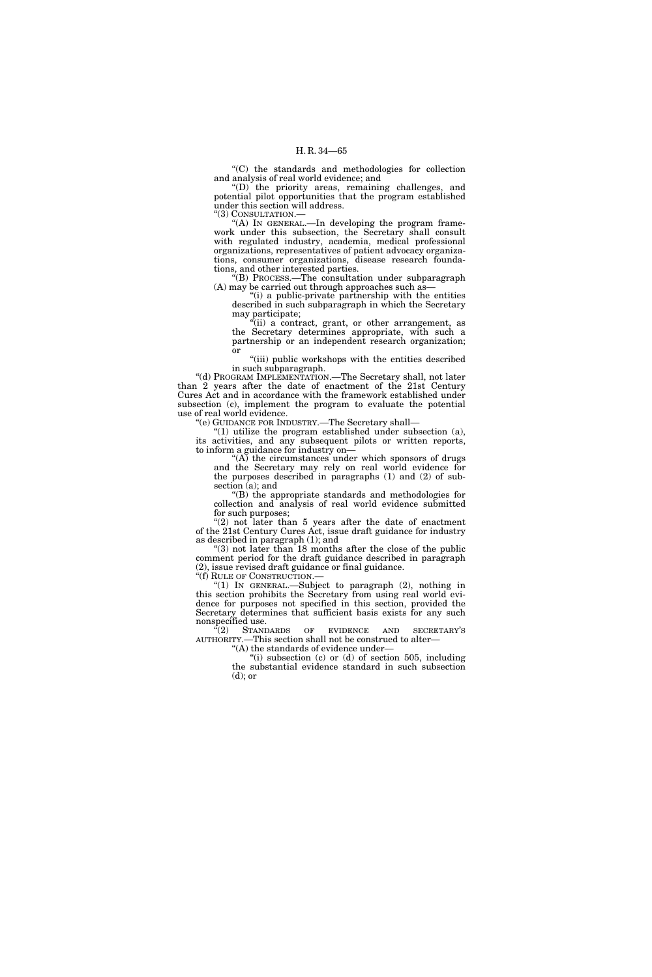''(C) the standards and methodologies for collection and analysis of real world evidence; and

''(D) the priority areas, remaining challenges, and potential pilot opportunities that the program established under this section will address.

''(3) CONSULTATION.—

"(A) In GENERAL.—In developing the program framework under this subsection, the Secretary shall consult with regulated industry, academia, medical professional organizations, representatives of patient advocacy organizations, consumer organizations, disease research foundations, and other interested parties.

''(B) PROCESS.—The consultation under subparagraph (A) may be carried out through approaches such as—

''(i) a public-private partnership with the entities described in such subparagraph in which the Secretary may participate;

"(ii) a contract, grant, or other arrangement, as the Secretary determines appropriate, with such a partnership or an independent research organization; or

"(iii) public workshops with the entities described in such subparagraph.

''(d) PROGRAM IMPLEMENTATION.—The Secretary shall, not later than 2 years after the date of enactment of the 21st Century Cures Act and in accordance with the framework established under subsection (c), implement the program to evaluate the potential use of real world evidence.

''(e) GUIDANCE FOR INDUSTRY.—The Secretary shall—

" $(1)$  utilize the program established under subsection  $(a)$ , its activities, and any subsequent pilots or written reports, to inform a guidance for industry on—

" $(A)$  the circumstances under which sponsors of drugs and the Secretary may rely on real world evidence for the purposes described in paragraphs (1) and (2) of subsection (a); and

''(B) the appropriate standards and methodologies for collection and analysis of real world evidence submitted for such purposes;

''(2) not later than 5 years after the date of enactment of the 21st Century Cures Act, issue draft guidance for industry as described in paragraph (1); and

''(3) not later than 18 months after the close of the public comment period for the draft guidance described in paragraph (2), issue revised draft guidance or final guidance.

"(1) In GENERAL.—Subject to paragraph  $(2)$ , nothing in this section prohibits the Secretary from using real world evidence for purposes not specified in this section, provided the Secretary determines that sufficient basis exists for any such nonspecified use.

"(2) STANDARDS OF EVIDENCE AND SECRETARY'S AUTHORITY.—This section shall not be construed to alter—

''(A) the standards of evidence under—

''(i) subsection (c) or (d) of section 505, including the substantial evidence standard in such subsection  $(d)$ ; or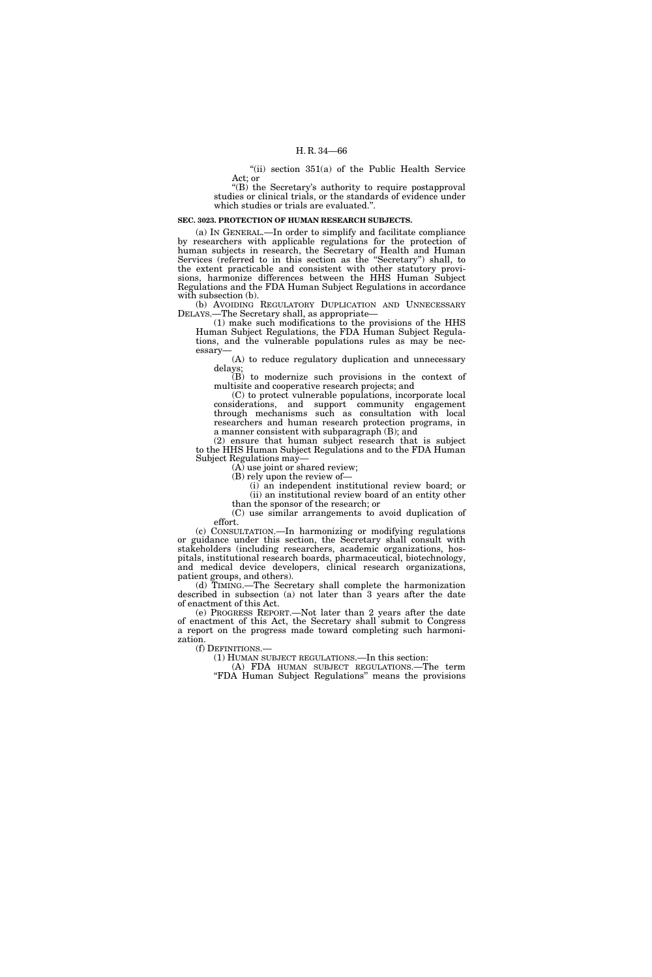"(ii) section  $351(a)$  of the Public Health Service Act; or

" $(B)$  the Secretary's authority to require postapproval studies or clinical trials, or the standards of evidence under which studies or trials are evaluated."

### **SEC. 3023. PROTECTION OF HUMAN RESEARCH SUBJECTS.**

(a) IN GENERAL.—In order to simplify and facilitate compliance by researchers with applicable regulations for the protection of human subjects in research, the Secretary of Health and Human Services (referred to in this section as the ''Secretary'') shall, to the extent practicable and consistent with other statutory provisions, harmonize differences between the HHS Human Subject Regulations and the FDA Human Subject Regulations in accordance with subsection (b).

(b) AVOIDING REGULATORY DUPLICATION AND UNNECESSARY DELAYS.—The Secretary shall, as appropriate—

(1) make such modifications to the provisions of the HHS Human Subject Regulations, the FDA Human Subject Regulations, and the vulnerable populations rules as may be necessary—

(A) to reduce regulatory duplication and unnecessary delays;

(B) to modernize such provisions in the context of multisite and cooperative research projects; and

(C) to protect vulnerable populations, incorporate local considerations, and support community engagement through mechanisms such as consultation with local researchers and human research protection programs, in a manner consistent with subparagraph (B); and

(2) ensure that human subject research that is subject to the HHS Human Subject Regulations and to the FDA Human Subject Regulations may—

(A) use joint or shared review;

(B) rely upon the review of—

(i) an independent institutional review board; or (ii) an institutional review board of an entity other

than the sponsor of the research; or

(C) use similar arrangements to avoid duplication of effort.

(c) CONSULTATION.—In harmonizing or modifying regulations or guidance under this section, the Secretary shall consult with stakeholders (including researchers, academic organizations, hospitals, institutional research boards, pharmaceutical, biotechnology, and medical device developers, clinical research organizations, patient groups, and others).

(d) TIMING.—The Secretary shall complete the harmonization described in subsection (a) not later than 3 years after the date of enactment of this Act.

(e) PROGRESS REPORT.—Not later than 2 years after the date of enactment of this Act, the Secretary shall submit to Congress a report on the progress made toward completing such harmonization.

(f) DEFINITIONS.—

(1) HUMAN SUBJECT REGULATIONS.—In this section: (A) FDA HUMAN SUBJECT REGULATIONS.—The term

''FDA Human Subject Regulations'' means the provisions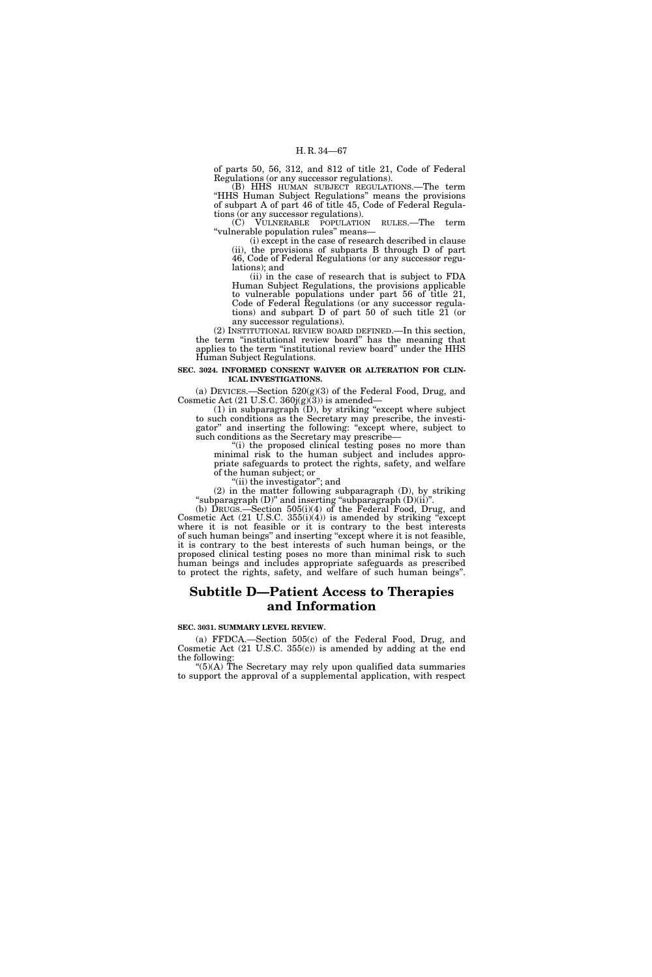of parts 50, 56, 312, and 812 of title 21, Code of Federal Regulations (or any successor regulations).

(B) HHS HUMAN SUBJECT REGULATIONS.—The term ''HHS Human Subject Regulations'' means the provisions of subpart A of part 46 of title 45, Code of Federal Regulations (or any successor regulations).

(C) VULNERABLE POPULATION RULES.—The term ''vulnerable population rules'' means—

(i) except in the case of research described in clause (ii), the provisions of subparts B through D of part 46, Code of Federal Regulations (or any successor regulations); and

(ii) in the case of research that is subject to FDA Human Subject Regulations, the provisions applicable to vulnerable populations under part 56 of title 21, Code of Federal Regulations (or any successor regulations) and subpart D of part 50 of such title 21 (or any successor regulations).

(2) INSTITUTIONAL REVIEW BOARD DEFINED.—In this section, the term ''institutional review board'' has the meaning that applies to the term ''institutional review board'' under the HHS Human Subject Regulations.

# **SEC. 3024. INFORMED CONSENT WAIVER OR ALTERATION FOR CLIN-ICAL INVESTIGATIONS.**

(a) DEVICES.—Section 520(g)(3) of the Federal Food, Drug, and Cosmetic Act (21 U.S.C. 360j(g)(3)) is amended—

 $(1)$  in subparagraph  $(D)$ , by striking "except where subject to such conditions as the Secretary may prescribe, the investigator'' and inserting the following: ''except where, subject to such conditions as the Secretary may prescribe—

"(i) the proposed clinical testing poses no more than minimal risk to the human subject and includes appropriate safeguards to protect the rights, safety, and welfare of the human subject; or

'(ii) the investigator"; and

(2) in the matter following subparagraph (D), by striking "subparagraph  $(D)$ " and inserting "subparagraph  $(D)(ii)$ ".

(b) DRUGS.—Section 505(i)(4) of the Federal Food, Drug, and Cosmetic Act (21 U.S.C. 355(i)(4)) is amended by striking ''except where it is not feasible or it is contrary to the best interests of such human beings'' and inserting ''except where it is not feasible, it is contrary to the best interests of such human beings, or the proposed clinical testing poses no more than minimal risk to such human beings and includes appropriate safeguards as prescribed to protect the rights, safety, and welfare of such human beings''.

# **Subtitle D—Patient Access to Therapies and Information**

**SEC. 3031. SUMMARY LEVEL REVIEW.** 

(a) FFDCA.—Section 505(c) of the Federal Food, Drug, and Cosmetic Act (21 U.S.C. 355(c)) is amended by adding at the end the following:

" $(5)(A)$  The Secretary may rely upon qualified data summaries to support the approval of a supplemental application, with respect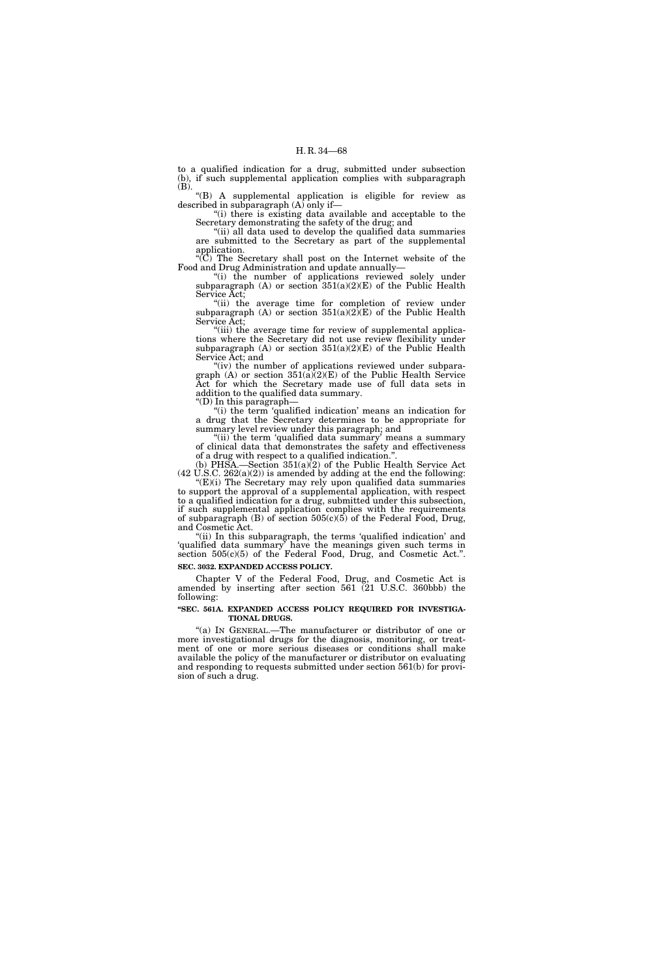to a qualified indication for a drug, submitted under subsection (b), if such supplemental application complies with subparagraph (B).

''(B) A supplemental application is eligible for review as described in subparagraph (A) only if—

''(i) there is existing data available and acceptable to the Secretary demonstrating the safety of the drug; and

''(ii) all data used to develop the qualified data summaries are submitted to the Secretary as part of the supplemental application.

 $\mathcal{C}(\overline{C})$  The Secretary shall post on the Internet website of the Food and Drug Administration and update annually—

"(i) the number of applications reviewed solely under subparagraph (A) or section  $351(a)(2)(E)$  of the Public Health Service Act;

"(ii) the average time for completion of review under subparagraph (A) or section  $351(a)(2)(E)$  of the Public Health Service Act;

"(iii) the average time for review of supplemental applications where the Secretary did not use review flexibility under subparagraph (A) or section 351(a)(2)(E) of the Public Health Service Act; and

"(iv) the number of applications reviewed under subparagraph  $(A)$  or section  $351(a)(2)(E)$  of the Public Health Service Act for which the Secretary made use of full data sets in addition to the qualified data summary. ''(D) In this paragraph—

"(i) the term 'qualified indication' means an indication for a drug that the Secretary determines to be appropriate for summary level review under this paragraph; and

"(ii) the term 'qualified data summary' means a summary of clinical data that demonstrates the safety and effectiveness of a drug with respect to a qualified indication.<sup>1</sup>

(b) PHSA.—Section  $351(a)\dot{2}$  of the Public Health Service Act  $(42 \text{ U.S.C. } 262(a)(2))$  is amended by adding at the end the following:

" $(E)(i)$  The Secretary may rely upon qualified data summaries to support the approval of a supplemental application, with respect to a qualified indication for a drug, submitted under this subsection, if such supplemental application complies with the requirements of subparagraph  $(B)$  of section  $505(c)(5)$  of the Federal Food, Drug, and Cosmetic Act.

(ii) In this subparagraph, the terms 'qualified indication' and 'qualified data summary' have the meanings given such terms in section 505(c)(5) of the Federal Food, Drug, and Cosmetic Act.". **SEC. 3032. EXPANDED ACCESS POLICY.** 

Chapter V of the Federal Food, Drug, and Cosmetic Act is amended by inserting after section 561 (21 U.S.C. 360bbb) the following:

### **''SEC. 561A. EXPANDED ACCESS POLICY REQUIRED FOR INVESTIGA-TIONAL DRUGS.**

''(a) IN GENERAL.—The manufacturer or distributor of one or more investigational drugs for the diagnosis, monitoring, or treatment of one or more serious diseases or conditions shall make available the policy of the manufacturer or distributor on evaluating and responding to requests submitted under section 561(b) for provision of such a drug.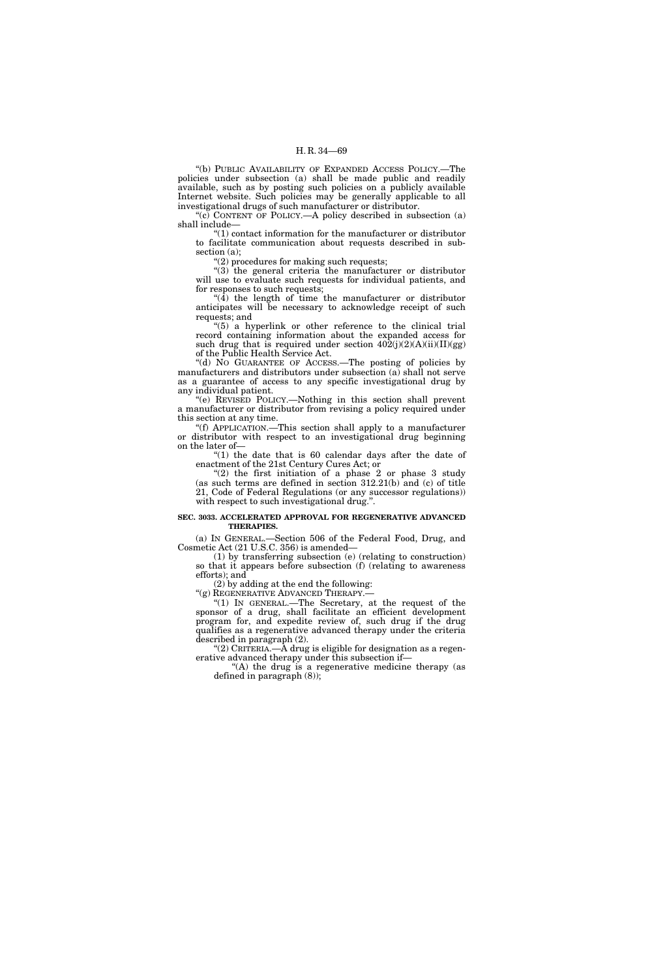''(b) PUBLIC AVAILABILITY OF EXPANDED ACCESS POLICY.—The policies under subsection (a) shall be made public and readily available, such as by posting such policies on a publicly available Internet website. Such policies may be generally applicable to all investigational drugs of such manufacturer or distributor.

"(c) CONTENT OF POLICY.—A policy described in subsection (a) shall include—

 $*(1)$  contact information for the manufacturer or distributor to facilitate communication about requests described in subsection (a);

''(2) procedures for making such requests;

''(3) the general criteria the manufacturer or distributor will use to evaluate such requests for individual patients, and for responses to such requests;

 $\mathcal{A}(\overline{4})$  the length of time the manufacturer or distributor anticipates will be necessary to acknowledge receipt of such requests; and

" $(5)$  a hyperlink or other reference to the clinical trial record containing information about the expanded access for such drug that is required under section  $402(j)(2)(A)(ii)(II)(gg)$ of the Public Health Service Act.

''(d) NO GUARANTEE OF ACCESS.—The posting of policies by manufacturers and distributors under subsection  $(a)$  shall not serve as a guarantee of access to any specific investigational drug by any individual patient.

''(e) REVISED POLICY.—Nothing in this section shall prevent a manufacturer or distributor from revising a policy required under this section at any time.

''(f) APPLICATION.—This section shall apply to a manufacturer or distributor with respect to an investigational drug beginning on the later of—

" $(1)$  the date that is 60 calendar days after the date of enactment of the 21st Century Cures Act; or

" $(2)$  the first initiation of a phase 2 or phase 3 study (as such terms are defined in section 312.21(b) and (c) of title 21, Code of Federal Regulations (or any successor regulations)) with respect to such investigational drug.".

## **SEC. 3033. ACCELERATED APPROVAL FOR REGENERATIVE ADVANCED THERAPIES.**

(a) IN GENERAL.—Section 506 of the Federal Food, Drug, and Cosmetic Act (21 U.S.C. 356) is amended—

(1) by transferring subsection (e) (relating to construction) so that it appears before subsection (f) (relating to awareness efforts); and

(2) by adding at the end the following:

"(g) REGENERATIVE ADVANCED THERAPY.-

''(1) IN GENERAL.—The Secretary, at the request of the sponsor of a drug, shall facilitate an efficient development program for, and expedite review of, such drug if the drug qualifies as a regenerative advanced therapy under the criteria described in paragraph (2).

"(2) CRITERIA.— $\overline{A}$  drug is eligible for designation as a regenerative advanced therapy under this subsection if—

''(A) the drug is a regenerative medicine therapy (as defined in paragraph (8));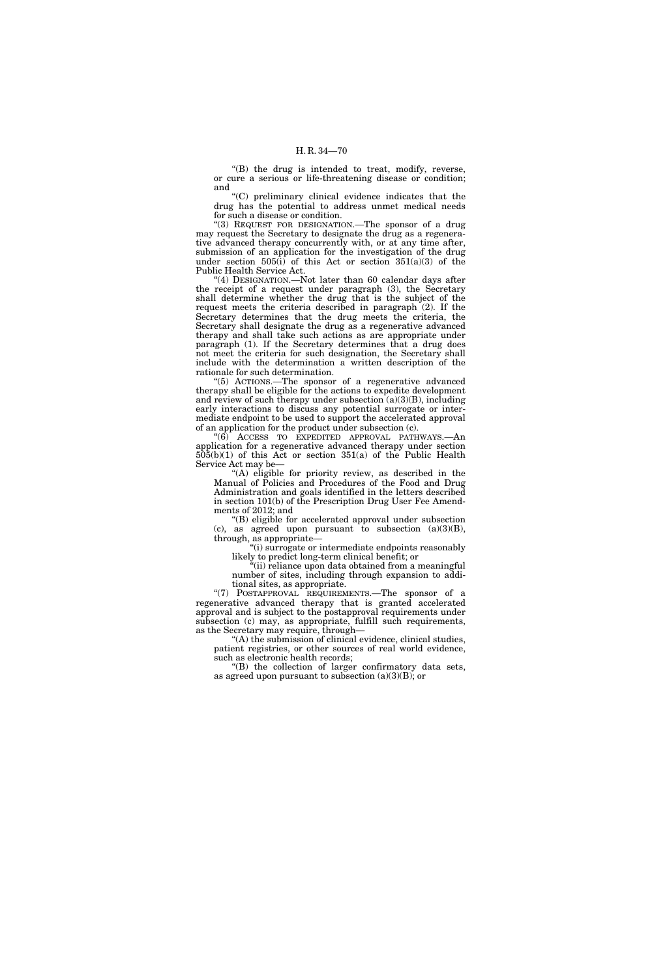''(B) the drug is intended to treat, modify, reverse, or cure a serious or life-threatening disease or condition; and

''(C) preliminary clinical evidence indicates that the drug has the potential to address unmet medical needs for such a disease or condition.

"(3) REQUEST FOR DESIGNATION.—The sponsor of a drug may request the Secretary to designate the drug as a regenerative advanced therapy concurrently with, or at any time after, submission of an application for the investigation of the drug under section  $505(i)$  of this Act or section  $351(a)(3)$  of the Public Health Service Act.

"(4) DESIGNATION.—Not later than 60 calendar days after the receipt of a request under paragraph (3), the Secretary shall determine whether the drug that is the subject of the request meets the criteria described in paragraph (2). If the Secretary determines that the drug meets the criteria, the Secretary shall designate the drug as a regenerative advanced therapy and shall take such actions as are appropriate under paragraph (1). If the Secretary determines that a drug does not meet the criteria for such designation, the Secretary shall include with the determination a written description of the rationale for such determination.

''(5) ACTIONS.—The sponsor of a regenerative advanced therapy shall be eligible for the actions to expedite development and review of such therapy under subsection  $(a)(3)(B)$ , including early interactions to discuss any potential surrogate or intermediate endpoint to be used to support the accelerated approval of an application for the product under subsection (c).

''(6) ACCESS TO EXPEDITED APPROVAL PATHWAYS.—An application for a regenerative advanced therapy under section  $505(b)(1)$  of this Act or section  $351(a)$  of the Public Health Service Act may be—

''(A) eligible for priority review, as described in the Manual of Policies and Procedures of the Food and Drug Administration and goals identified in the letters described in section 101(b) of the Prescription Drug User Fee Amendments of 2012; and

''(B) eligible for accelerated approval under subsection (c), as agreed upon pursuant to subsection  $(a)(3)(B)$ , through, as appropriate—

''(i) surrogate or intermediate endpoints reasonably likely to predict long-term clinical benefit; or

''(ii) reliance upon data obtained from a meaningful number of sites, including through expansion to additional sites, as appropriate.

"(7) POSTAPPROVAL REQUIREMENTS.—The sponsor of a regenerative advanced therapy that is granted accelerated approval and is subject to the postapproval requirements under subsection (c) may, as appropriate, fulfill such requirements, as the Secretary may require, through—

''(A) the submission of clinical evidence, clinical studies, patient registries, or other sources of real world evidence, such as electronic health records;

(B) the collection of larger confirmatory data sets, as agreed upon pursuant to subsection  $(a)(3)(B)$ ; or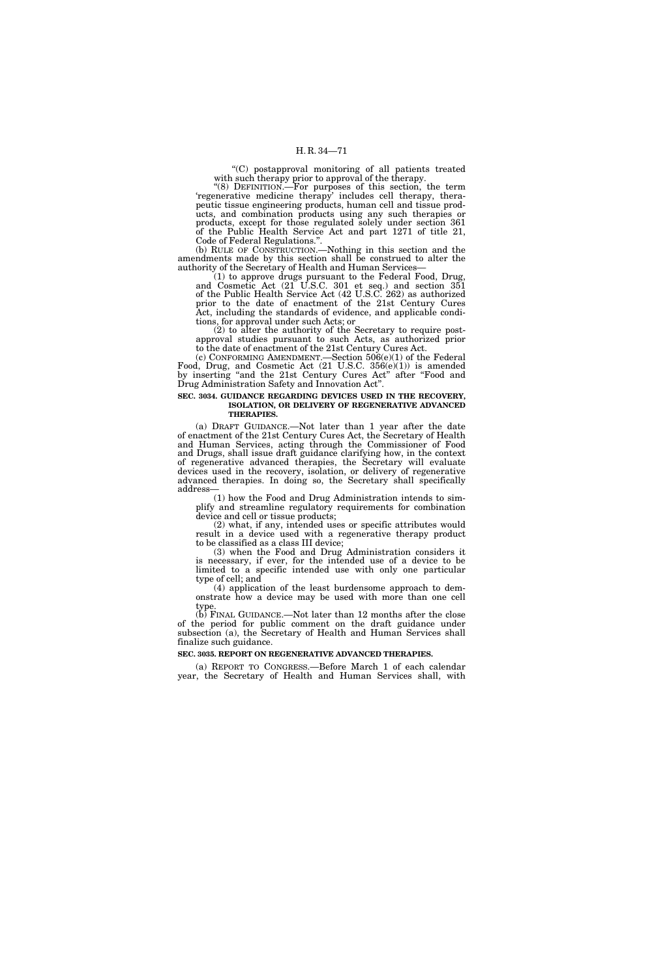''(C) postapproval monitoring of all patients treated with such therapy prior to approval of the therapy.

''(8) DEFINITION.—For purposes of this section, the term 'regenerative medicine therapy' includes cell therapy, therapeutic tissue engineering products, human cell and tissue products, and combination products using any such therapies or products, except for those regulated solely under section 361 of the Public Health Service Act and part 1271 of title 21, Code of Federal Regulations.''.

(b) RULE OF CONSTRUCTION.—Nothing in this section and the amendments made by this section shall be construed to alter the authority of the Secretary of Health and Human Services—

(1) to approve drugs pursuant to the Federal Food, Drug, and Cosmetic Act (21 U.S.C. 301 et seq.) and section 351 of the Public Health Service Act (42 U.S.C. 262) as authorized prior to the date of enactment of the 21st Century Cures Act, including the standards of evidence, and applicable conditions, for approval under such Acts; or

(2) to alter the authority of the Secretary to require postapproval studies pursuant to such Acts, as authorized prior to the date of enactment of the 21st Century Cures Act.

(c) CONFORMING AMENDMENT.—Section 506(e)(1) of the Federal Food, Drug, and Cosmetic Act (21 U.S.C. 356(e)(1)) is amended by inserting "and the 21st Century Cures Act" after "Food and Drug Administration Safety and Innovation Act''.

#### **SEC. 3034. GUIDANCE REGARDING DEVICES USED IN THE RECOVERY, ISOLATION, OR DELIVERY OF REGENERATIVE ADVANCED THERAPIES.**

(a) DRAFT GUIDANCE.—Not later than 1 year after the date of enactment of the 21st Century Cures Act, the Secretary of Health and Human Services, acting through the Commissioner of Food and Drugs, shall issue draft guidance clarifying how, in the context of regenerative advanced therapies, the Secretary will evaluate devices used in the recovery, isolation, or delivery of regenerative advanced therapies. In doing so, the Secretary shall specifically address—

(1) how the Food and Drug Administration intends to simplify and streamline regulatory requirements for combination device and cell or tissue products;

(2) what, if any, intended uses or specific attributes would result in a device used with a regenerative therapy product to be classified as a class III device;

(3) when the Food and Drug Administration considers it is necessary, if ever, for the intended use of a device to be limited to a specific intended use with only one particular type of cell; and

(4) application of the least burdensome approach to demonstrate how a device may be used with more than one cell type.

(b) FINAL GUIDANCE.—Not later than 12 months after the close of the period for public comment on the draft guidance under subsection (a), the Secretary of Health and Human Services shall finalize such guidance.

## **SEC. 3035. REPORT ON REGENERATIVE ADVANCED THERAPIES.**

(a) REPORT TO CONGRESS.—Before March 1 of each calendar year, the Secretary of Health and Human Services shall, with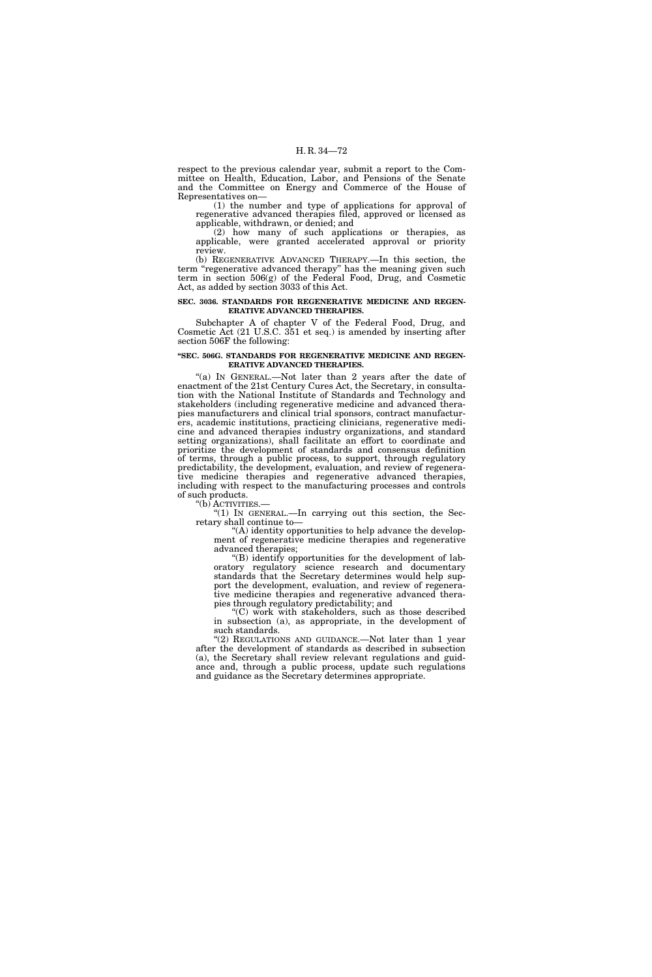respect to the previous calendar year, submit a report to the Committee on Health, Education, Labor, and Pensions of the Senate and the Committee on Energy and Commerce of the House of Representatives on—

(1) the number and type of applications for approval of regenerative advanced therapies filed, approved or licensed as applicable, withdrawn, or denied; and

(2) how many of such applications or therapies, as applicable, were granted accelerated approval or priority review.

(b) REGENERATIVE ADVANCED THERAPY.—In this section, the term "regenerative advanced therapy" has the meaning given such term in section 506(g) of the Federal Food, Drug, and Cosmetic Act, as added by section 3033 of this Act.

#### **SEC. 3036. STANDARDS FOR REGENERATIVE MEDICINE AND REGEN-ERATIVE ADVANCED THERAPIES.**

Subchapter A of chapter V of the Federal Food, Drug, and Cosmetic Act (21 U.S.C. 351 et seq.) is amended by inserting after section 506F the following:

#### **''SEC. 506G. STANDARDS FOR REGENERATIVE MEDICINE AND REGEN-ERATIVE ADVANCED THERAPIES.**

"(a) In GENERAL.—Not later than 2 years after the date of enactment of the 21st Century Cures Act, the Secretary, in consultation with the National Institute of Standards and Technology and stakeholders (including regenerative medicine and advanced therapies manufacturers and clinical trial sponsors, contract manufacturers, academic institutions, practicing clinicians, regenerative medicine and advanced therapies industry organizations, and standard setting organizations), shall facilitate an effort to coordinate and prioritize the development of standards and consensus definition of terms, through a public process, to support, through regulatory predictability, the development, evaluation, and review of regenerative medicine therapies and regenerative advanced therapies, including with respect to the manufacturing processes and controls of such products.

"(b) ACTIVITIES.—<br>"(1) IN GENERAL.—In carrying out this section, the Secretary shall continue to—

''(A) identity opportunities to help advance the development of regenerative medicine therapies and regenerative advanced therapies;

''(B) identify opportunities for the development of laboratory regulatory science research and documentary standards that the Secretary determines would help support the development, evaluation, and review of regenerative medicine therapies and regenerative advanced therapies through regulatory predictability; and

''(C) work with stakeholders, such as those described in subsection (a), as appropriate, in the development of such standards.

"(2) REGULATIONS AND GUIDANCE.—Not later than 1 year after the development of standards as described in subsection (a), the Secretary shall review relevant regulations and guidance and, through a public process, update such regulations and guidance as the Secretary determines appropriate.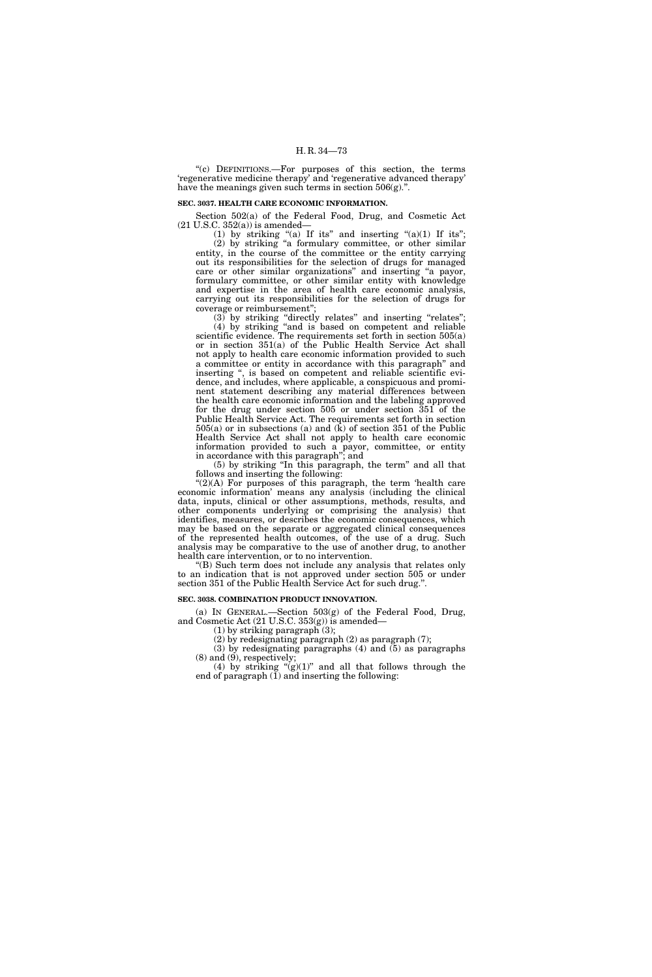''(c) DEFINITIONS.—For purposes of this section, the terms 'regenerative medicine therapy' and 'regenerative advanced therapy' have the meanings given such terms in section  $506(g)$ .".

# **SEC. 3037. HEALTH CARE ECONOMIC INFORMATION.**

Section 502(a) of the Federal Food, Drug, and Cosmetic Act  $(21$  U.S.C.  $352(a)$ ) is amended–

(1) by striking "(a) If its" and inserting " $(a)(1)$  If its"; (2) by striking ''a formulary committee, or other similar entity, in the course of the committee or the entity carrying out its responsibilities for the selection of drugs for managed care or other similar organizations'' and inserting ''a payor, formulary committee, or other similar entity with knowledge and expertise in the area of health care economic analysis, carrying out its responsibilities for the selection of drugs for coverage or reimbursement'';

(3) by striking ''directly relates'' and inserting ''relates''; (4) by striking ''and is based on competent and reliable scientific evidence. The requirements set forth in section 505(a) or in section 351(a) of the Public Health Service Act shall not apply to health care economic information provided to such a committee or entity in accordance with this paragraph'' and inserting '', is based on competent and reliable scientific evidence, and includes, where applicable, a conspicuous and prominent statement describing any material differences between the health care economic information and the labeling approved for the drug under section 505 or under section 351 of the Public Health Service Act. The requirements set forth in section  $505(a)$  or in subsections (a) and (k) of section 351 of the Public Health Service Act shall not apply to health care economic information provided to such a payor, committee, or entity in accordance with this paragraph''; and

(5) by striking ''In this paragraph, the term'' and all that follows and inserting the following:

 $C(2)(A)$  For purposes of this paragraph, the term 'health care economic information' means any analysis (including the clinical data, inputs, clinical or other assumptions, methods, results, and other components underlying or comprising the analysis) that identifies, measures, or describes the economic consequences, which may be based on the separate or aggregated clinical consequences of the represented health outcomes, of the use of a drug. Such analysis may be comparative to the use of another drug, to another health care intervention, or to no intervention.

''(B) Such term does not include any analysis that relates only to an indication that is not approved under section 505 or under section 351 of the Public Health Service Act for such drug.''.

#### **SEC. 3038. COMBINATION PRODUCT INNOVATION.**

(a) IN GENERAL.—Section  $503(g)$  of the Federal Food, Drug, and Cosmetic Act (21 U.S.C. 353(g)) is amended—

(1) by striking paragraph (3);

(2) by redesignating paragraph (2) as paragraph (7);

(3) by redesignating paragraphs (4) and (5) as paragraphs  $(8)$  and  $(9)$ , respectively;

(4) by striking " $(g)(1)$ " and all that follows through the end of paragraph  $(I)$  and inserting the following: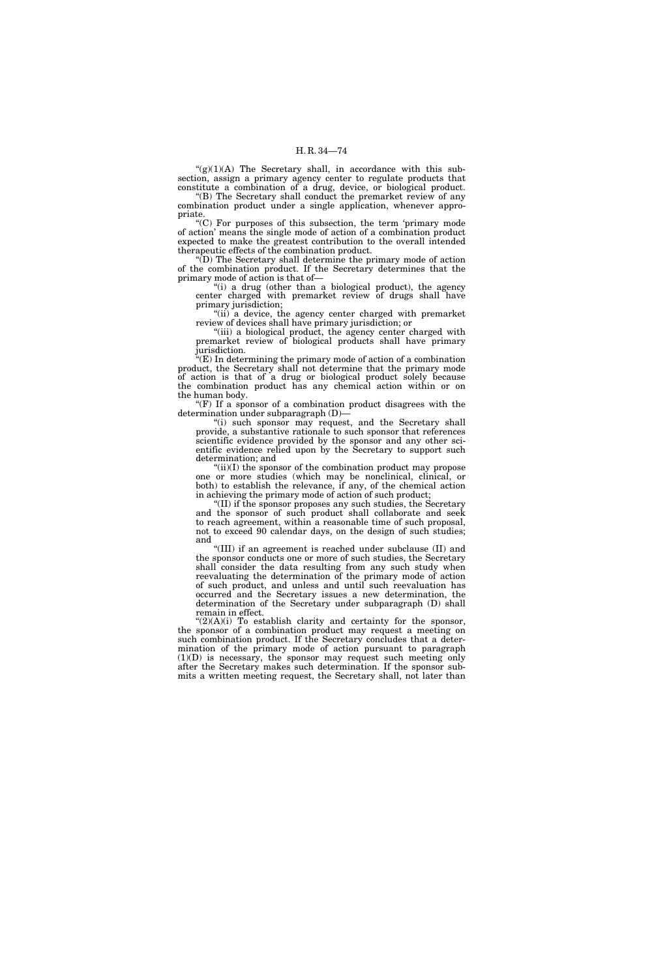" $(g)(1)(A)$  The Secretary shall, in accordance with this subsection, assign a primary agency center to regulate products that constitute a combination of a drug, device, or biological product.

"(B) The Secretary shall conduct the premarket review of any combination product under a single application, whenever appropriate.

''(C) For purposes of this subsection, the term 'primary mode of action' means the single mode of action of a combination product expected to make the greatest contribution to the overall intended therapeutic effects of the combination product.

''(D) The Secretary shall determine the primary mode of action of the combination product. If the Secretary determines that the primary mode of action is that of—

"(i) a drug (other than a biological product), the agency center charged with premarket review of drugs shall have primary jurisdiction;

''(ii) a device, the agency center charged with premarket review of devices shall have primary jurisdiction; or

"(iii) a biological product, the agency center charged with premarket review of biological products shall have primary jurisdiction.

''(E) In determining the primary mode of action of a combination product, the Secretary shall not determine that the primary mode of action is that of a drug or biological product solely because the combination product has any chemical action within or on the human body.

" $(F)$  If a sponsor of a combination product disagrees with the determination under subparagraph (D)—

'(i) such sponsor may request, and the Secretary shall provide, a substantive rationale to such sponsor that references scientific evidence provided by the sponsor and any other scientific evidence relied upon by the Secretary to support such determination; and

 $(ii)(I)$  the sponsor of the combination product may propose one or more studies (which may be nonclinical, clinical, or both) to establish the relevance, if any, of the chemical action in achieving the primary mode of action of such product;

(II) if the sponsor proposes any such studies, the Secretary and the sponsor of such product shall collaborate and seek to reach agreement, within a reasonable time of such proposal, not to exceed 90 calendar days, on the design of such studies; and

''(III) if an agreement is reached under subclause (II) and the sponsor conducts one or more of such studies, the Secretary shall consider the data resulting from any such study when reevaluating the determination of the primary mode of action of such product, and unless and until such reevaluation has occurred and the Secretary issues a new determination, the determination of the Secretary under subparagraph (D) shall remain in effect.

" $(2)(A)(i)$  To establish clarity and certainty for the sponsor, the sponsor of a combination product may request a meeting on such combination product. If the Secretary concludes that a determination of the primary mode of action pursuant to paragraph (1)(D) is necessary, the sponsor may request such meeting only after the Secretary makes such determination. If the sponsor submits a written meeting request, the Secretary shall, not later than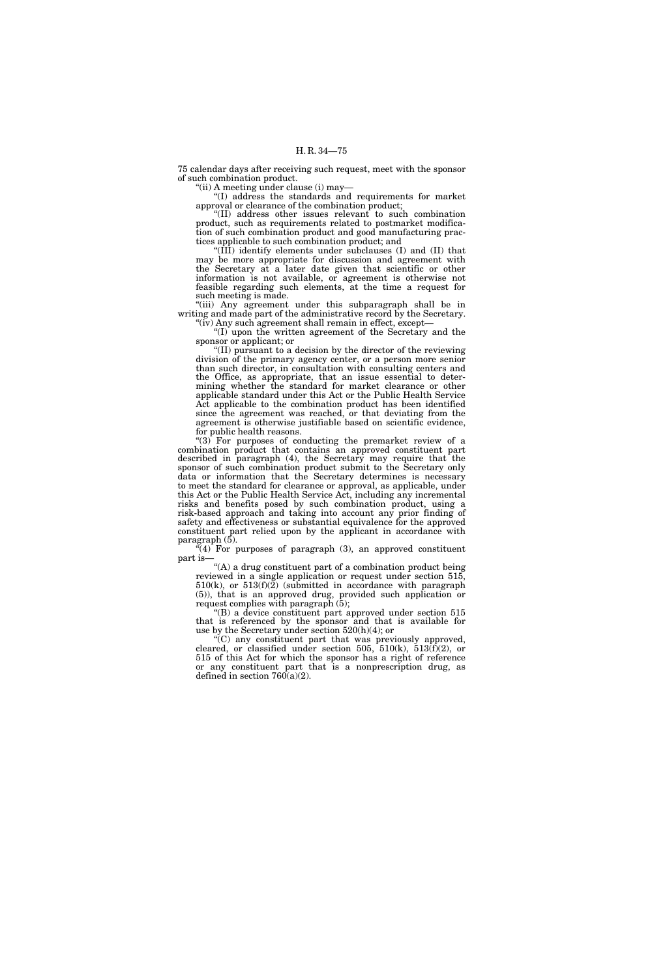75 calendar days after receiving such request, meet with the sponsor of such combination product.

''(ii) A meeting under clause (i) may—

''(I) address the standards and requirements for market approval or clearance of the combination product;

''(II) address other issues relevant to such combination product, such as requirements related to postmarket modification of such combination product and good manufacturing practices applicable to such combination product; and

''(III) identify elements under subclauses (I) and (II) that may be more appropriate for discussion and agreement with the Secretary at a later date given that scientific or other information is not available, or agreement is otherwise not feasible regarding such elements, at the time a request for such meeting is made.

"(iii) Any agreement under this subparagraph shall be in writing and made part of the administrative record by the Secretary. "(iv) Any such agreement shall remain in effect, except-

''(I) upon the written agreement of the Secretary and the sponsor or applicant; or

''(II) pursuant to a decision by the director of the reviewing division of the primary agency center, or a person more senior than such director, in consultation with consulting centers and the Office, as appropriate, that an issue essential to determining whether the standard for market clearance or other applicable standard under this Act or the Public Health Service Act applicable to the combination product has been identified since the agreement was reached, or that deviating from the agreement is otherwise justifiable based on scientific evidence, for public health reasons.

''(3) For purposes of conducting the premarket review of a combination product that contains an approved constituent part described in paragraph (4), the Secretary may require that the sponsor of such combination product submit to the Secretary only data or information that the Secretary determines is necessary to meet the standard for clearance or approval, as applicable, under this Act or the Public Health Service Act, including any incremental risks and benefits posed by such combination product, using a risk-based approach and taking into account any prior finding of safety and effectiveness or substantial equivalence for the approved constituent part relied upon by the applicant in accordance with paragraph (5).

 $\mathcal{H}(4)$  For purposes of paragraph (3), an approved constituent part is—

''(A) a drug constituent part of a combination product being reviewed in a single application or request under section 515,  $510(k)$ , or  $513(f)(2)$  (submitted in accordance with paragraph (5)), that is an approved drug, provided such application or request complies with paragraph (5);

 $E(B)$  a device constituent part approved under section 515 that is referenced by the sponsor and that is available for use by the Secretary under section 520(h)(4); or

''(C) any constituent part that was previously approved, cleared, or classified under section 505,  $510(k)$ ,  $513(f)(2)$ , or 515 of this Act for which the sponsor has a right of reference or any constituent part that is a nonprescription drug, as defined in section  $760(a)(2)$ .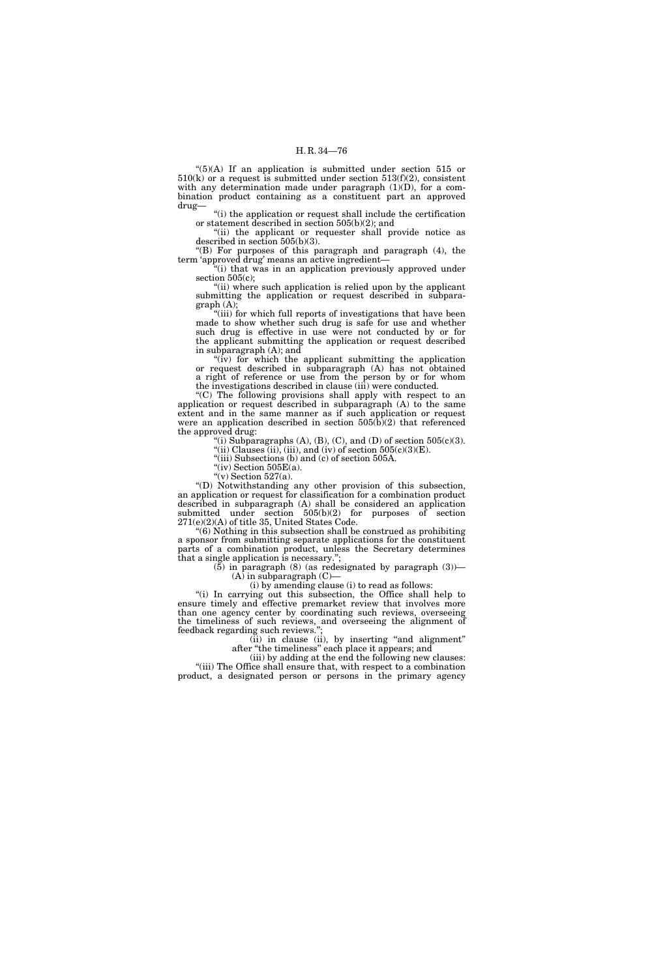$!(5)(A)$  If an application is submitted under section 515 or  $510(k)$  or a request is submitted under section  $513(f)(2)$ , consistent with any determination made under paragraph  $(1)(D)$ , for a combination product containing as a constituent part an approved drug—

''(i) the application or request shall include the certification or statement described in section 505(b)(2); and

"(ii) the applicant or requester shall provide notice as described in section 505(b)(3).

''(B) For purposes of this paragraph and paragraph (4), the term 'approved drug' means an active ingredient—

"(i) that was in an application previously approved under section 505(c);

"(ii) where such application is relied upon by the applicant submitting the application or request described in subparagraph (A);

"(iii) for which full reports of investigations that have been made to show whether such drug is safe for use and whether such drug is effective in use were not conducted by or for the applicant submitting the application or request described in subparagraph (A); and

" $(iv)$  for which the applicant submitting the application or request described in subparagraph (A) has not obtained a right of reference or use from the person by or for whom the investigations described in clause (iii) were conducted.

''(C) The following provisions shall apply with respect to an application or request described in subparagraph (A) to the same extent and in the same manner as if such application or request were an application described in section 505(b)(2) that referenced the approved drug:

(i) Subparagraphs (A), (B), (C), and (D) of section  $505(c)(3)$ .

"(ii) Clauses (ii), (iii), and (iv) of section  $505(c)(3)(E)$ .

''(iii) Subsections (b) and (c) of section 505A.

"(iv) Section  $505E(a)$ . "(v) Section 527(a).

''(D) Notwithstanding any other provision of this subsection, an application or request for classification for a combination product described in subparagraph (A) shall be considered an application submitted under section  $505(b)(2)$  for purposes of section 271(e)(2)(A) of title 35, United States Code.

''(6) Nothing in this subsection shall be construed as prohibiting a sponsor from submitting separate applications for the constituent parts of a combination product, unless the Secretary determines that a single application is necessary.'';

 $(5)$  in paragraph  $(8)$  (as redesignated by paragraph  $(3)$ )—

 $(A)$  in subparagraph  $(C)$ —

(i) by amending clause (i) to read as follows:

''(i) In carrying out this subsection, the Office shall help to ensure timely and effective premarket review that involves more than one agency center by coordinating such reviews, overseeing the timeliness of such reviews, and overseeing the alignment of feedback regarding such reviews.'

(ii) in clause (ii), by inserting "and alignment" after ''the timeliness'' each place it appears; and

(iii) by adding at the end the following new clauses: "(iii) The Office shall ensure that, with respect to a combination product, a designated person or persons in the primary agency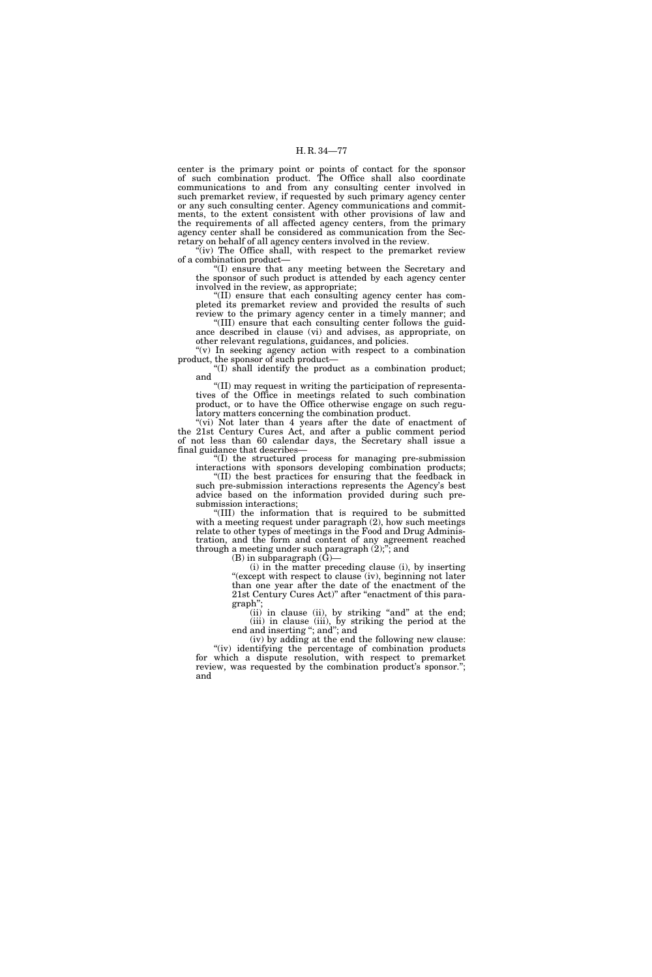center is the primary point or points of contact for the sponsor of such combination product. The Office shall also coordinate communications to and from any consulting center involved in such premarket review, if requested by such primary agency center or any such consulting center. Agency communications and commitments, to the extent consistent with other provisions of law and the requirements of all affected agency centers, from the primary agency center shall be considered as communication from the Secretary on behalf of all agency centers involved in the review.

 $\tilde{f}(iv)$  The Office shall, with respect to the premarket review of a combination product—

''(I) ensure that any meeting between the Secretary and the sponsor of such product is attended by each agency center involved in the review, as appropriate;

''(II) ensure that each consulting agency center has completed its premarket review and provided the results of such review to the primary agency center in a timely manner; and

''(III) ensure that each consulting center follows the guidance described in clause (vi) and advises, as appropriate, on other relevant regulations, guidances, and policies.

" $(v)$  In seeking agency action with respect to a combination product, the sponsor of such product—

''(I) shall identify the product as a combination product; and

''(II) may request in writing the participation of representatives of the Office in meetings related to such combination product, or to have the Office otherwise engage on such regulatory matters concerning the combination product.

"(vi) Not later than 4 years after the date of enactment of the 21st Century Cures Act, and after a public comment period of not less than 60 calendar days, the Secretary shall issue a final guidance that describes-

''(I) the structured process for managing pre-submission interactions with sponsors developing combination products;

''(II) the best practices for ensuring that the feedback in such pre-submission interactions represents the Agency's best advice based on the information provided during such presubmission interactions;

''(III) the information that is required to be submitted with a meeting request under paragraph  $(2)$ , how such meetings relate to other types of meetings in the Food and Drug Administration, and the form and content of any agreement reached through a meeting under such paragraph  $(2)$ ;"; and

 $(B)$  in subparagraph  $(G)$ —

(i) in the matter preceding clause (i), by inserting "(except with respect to clause (iv), beginning not later than one year after the date of the enactment of the 21st Century Cures Act)'' after ''enactment of this paragraph'';

(ii) in clause (ii), by striking "and" at the end; (iii) in clause (iii), by striking the period at the end and inserting "; and"; and

(iv) by adding at the end the following new clause: ''(iv) identifying the percentage of combination products for which a dispute resolution, with respect to premarket review, was requested by the combination product's sponsor.''; and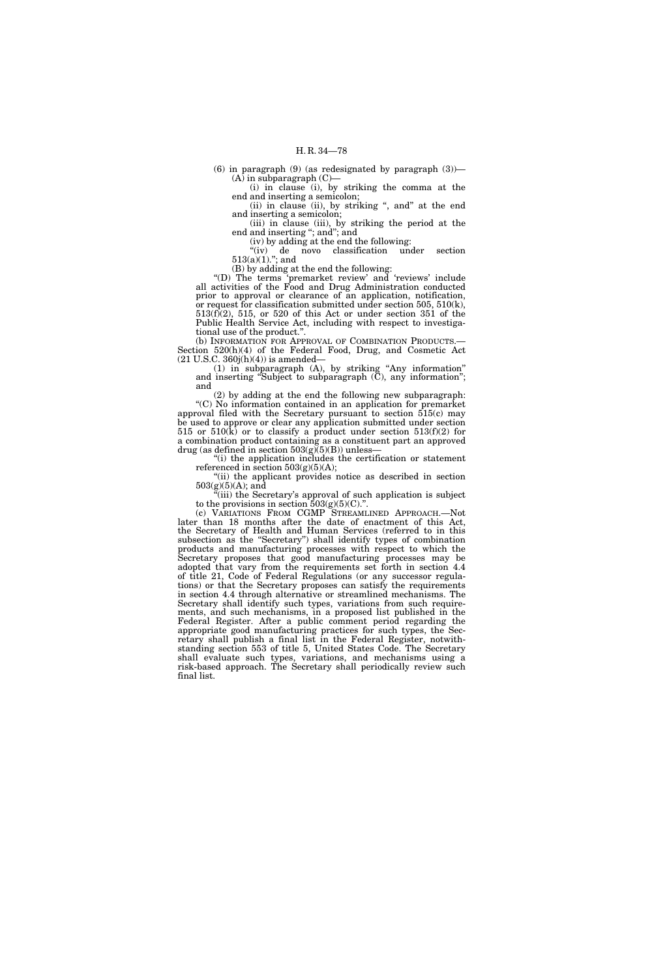(6) in paragraph  $(9)$  (as redesignated by paragraph  $(3)$ )—  $(A)$  in subparagraph  $(C)$ 

(i) in clause (i), by striking the comma at the end and inserting a semicolon; (ii) in clause (ii), by striking ", and" at the end

and inserting a semicolon; (iii) in clause (iii), by striking the period at the

end and inserting ''; and''; and (iv) by adding at the end the following:

''(iv) de novo classification under section  $513(a)(1)$ ."; and

(B) by adding at the end the following:

''(D) The terms 'premarket review' and 'reviews' include all activities of the Food and Drug Administration conducted prior to approval or clearance of an application, notification, or request for classification submitted under section 505, 510(k), 513(f)(2), 515, or 520 of this Act or under section 351 of the Public Health Service Act, including with respect to investigational use of the product.''.

(b) INFORMATION FOR APPROVAL OF COMBINATION PRODUCTS.— Section 520(h)(4) of the Federal Food, Drug, and Cosmetic Act  $(21 \text{ U.S.C. } 360j(h)(4))$  is amended–

(1) in subparagraph (A), by striking ''Any information'' and inserting "Subject to subparagraph  $(C)$ , any information"; and

(2) by adding at the end the following new subparagraph: ''(C) No information contained in an application for premarket approval filed with the Secretary pursuant to section 515(c) may be used to approve or clear any application submitted under section 515 or 510 $(k)$  or to classify a product under section 513(f)(2) for a combination product containing as a constituent part an approved drug (as defined in section  $503(g)(5)(B)$ ) unless-

''(i) the application includes the certification or statement referenced in section  $503(g)(5)(A);$ 

"(ii) the applicant provides notice as described in section  $503(g)(5)(A);$  and

(iii) the Secretary's approval of such application is subject to the provisions in section  $503(g)(5)(C)$ .".

(c) VARIATIONS FROM CGMP STREAMLINED APPROACH.—Not later than 18 months after the date of enactment of this Act, the Secretary of Health and Human Services (referred to in this subsection as the "Secretary") shall identify types of combination products and manufacturing processes with respect to which the Secretary proposes that good manufacturing processes may be adopted that vary from the requirements set forth in section 4.4 of title 21, Code of Federal Regulations (or any successor regulations) or that the Secretary proposes can satisfy the requirements in section 4.4 through alternative or streamlined mechanisms. The Secretary shall identify such types, variations from such requirements, and such mechanisms, in a proposed list published in the Federal Register. After a public comment period regarding the appropriate good manufacturing practices for such types, the Secretary shall publish a final list in the Federal Register, notwithstanding section 553 of title 5, United States Code. The Secretary shall evaluate such types, variations, and mechanisms using a risk-based approach. The Secretary shall periodically review such final list.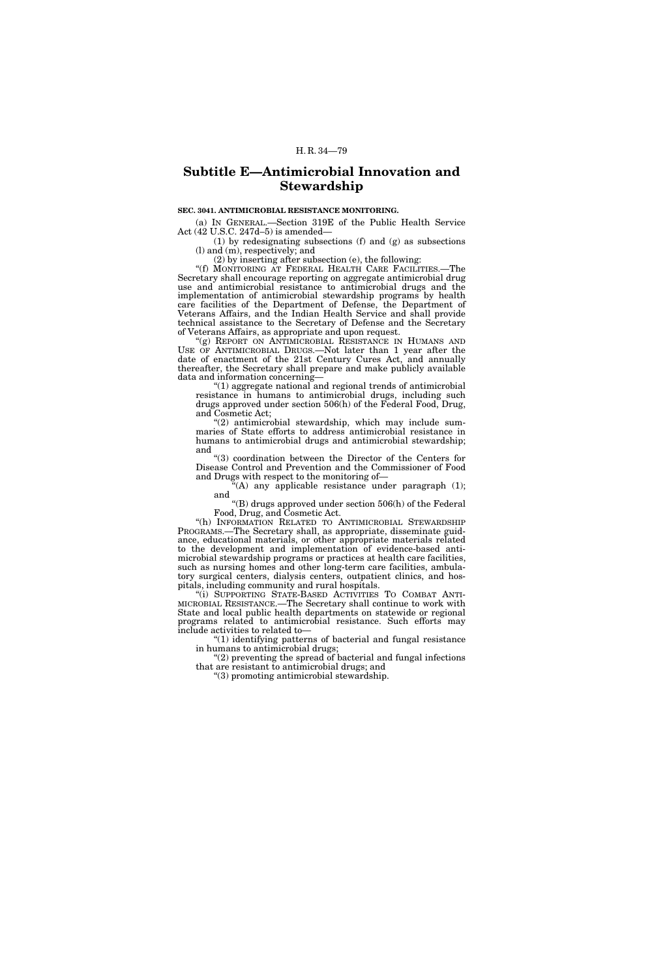# **Subtitle E—Antimicrobial Innovation and Stewardship**

## **SEC. 3041. ANTIMICROBIAL RESISTANCE MONITORING.**

(a) IN GENERAL.—Section 319E of the Public Health Service Act (42 U.S.C. 247d–5) is amended—

(1) by redesignating subsections (f) and (g) as subsections (l) and (m), respectively; and

(2) by inserting after subsection (e), the following:

"(f) MONITORING AT FEDERAL HEALTH CARE FACILITIES.—The Secretary shall encourage reporting on aggregate antimicrobial drug use and antimicrobial resistance to antimicrobial drugs and the implementation of antimicrobial stewardship programs by health care facilities of the Department of Defense, the Department of Veterans Affairs, and the Indian Health Service and shall provide technical assistance to the Secretary of Defense and the Secretary of Veterans Affairs, as appropriate and upon request.

'(g) REPORT ON ANTIMICROBIAL RESISTANCE IN HUMANS AND USE OF ANTIMICROBIAL DRUGS.—Not later than 1 year after the date of enactment of the 21st Century Cures Act, and annually thereafter, the Secretary shall prepare and make publicly available data and information concerning—

''(1) aggregate national and regional trends of antimicrobial resistance in humans to antimicrobial drugs, including such drugs approved under section 506(h) of the Federal Food, Drug, and Cosmetic Act;

"(2) antimicrobial stewardship, which may include summaries of State efforts to address antimicrobial resistance in humans to antimicrobial drugs and antimicrobial stewardship; and

''(3) coordination between the Director of the Centers for Disease Control and Prevention and the Commissioner of Food and Drugs with respect to the monitoring of—

 $^{56}(A)$  any applicable resistance under paragraph (1); and

''(B) drugs approved under section 506(h) of the Federal Food, Drug, and Cosmetic Act.

"(h) INFORMATION RELATED TO ANTIMICROBIAL STEWARDSHIP PROGRAMS.—The Secretary shall, as appropriate, disseminate guidance, educational materials, or other appropriate materials related to the development and implementation of evidence-based antimicrobial stewardship programs or practices at health care facilities, such as nursing homes and other long-term care facilities, ambulatory surgical centers, dialysis centers, outpatient clinics, and hospitals, including community and rural hospitals.

"(i) SUPPORTING STATE-BASED ACTIVITIES TO COMBAT ANTI-MICROBIAL RESISTANCE.—The Secretary shall continue to work with State and local public health departments on statewide or regional programs related to antimicrobial resistance. Such efforts may include activities to related to—

''(1) identifying patterns of bacterial and fungal resistance in humans to antimicrobial drugs;

 $(2)$  preventing the spread of bacterial and fungal infections that are resistant to antimicrobial drugs; and

''(3) promoting antimicrobial stewardship.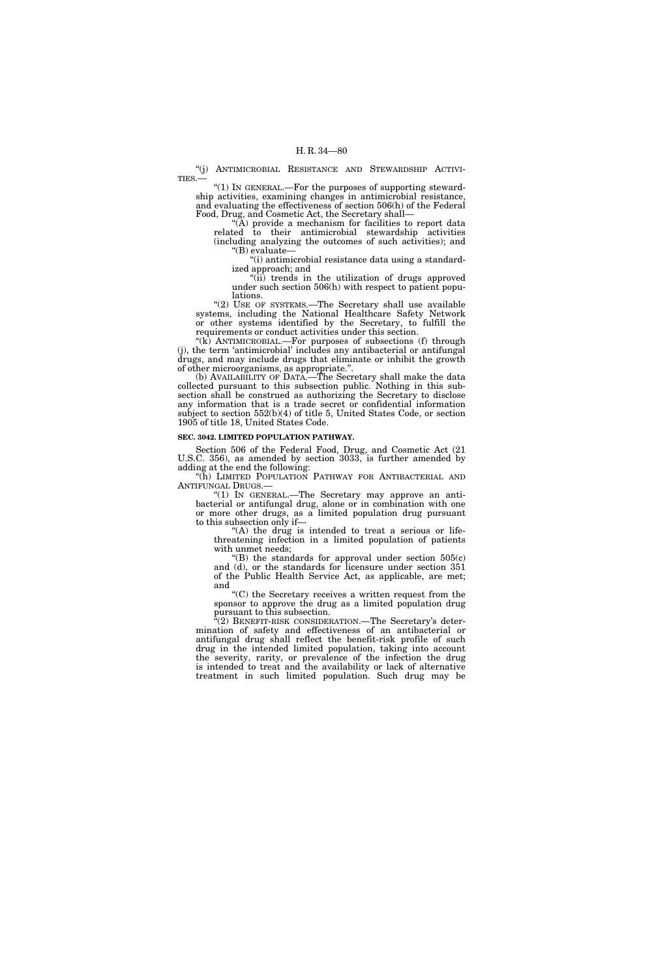''(j) ANTIMICROBIAL RESISTANCE AND STEWARDSHIP ACTIVI-TIES.—

"(1) In GENERAL.—For the purposes of supporting stewardship activities, examining changes in antimicrobial resistance, and evaluating the effectiveness of section 506(h) of the Federal Food, Drug, and Cosmetic Act, the Secretary shall—

"( $\overline{A}$ ) provide a mechanism for facilities to report data related to their antimicrobial stewardship activities (including analyzing the outcomes of such activities); and ''(B) evaluate—

''(i) antimicrobial resistance data using a standardized approach; and

"(ii) trends in the utilization of drugs approved under such section 506(h) with respect to patient populations.

"(2) USE OF SYSTEMS.—The Secretary shall use available systems, including the National Healthcare Safety Network or other systems identified by the Secretary, to fulfill the requirements or conduct activities under this section.

"(k) ANTIMICROBIAL.—For purposes of subsections (f) through (j), the term 'antimicrobial' includes any antibacterial or antifungal drugs, and may include drugs that eliminate or inhibit the growth of other microorganisms, as appropriate.''.

(b) AVAILABILITY OF DATA.—The Secretary shall make the data collected pursuant to this subsection public. Nothing in this subsection shall be construed as authorizing the Secretary to disclose any information that is a trade secret or confidential information subject to section 552(b)(4) of title 5, United States Code, or section 1905 of title 18, United States Code.

#### **SEC. 3042. LIMITED POPULATION PATHWAY.**

Section 506 of the Federal Food, Drug, and Cosmetic Act (21 U.S.C. 356), as amended by section 3033, is further amended by adding at the end the following:

''(h) LIMITED POPULATION PATHWAY FOR ANTIBACTERIAL AND ANTIFUNGAL DRUGS.—

''(1) IN GENERAL.—The Secretary may approve an antibacterial or antifungal drug, alone or in combination with one or more other drugs, as a limited population drug pursuant to this subsection only if—

"(A) the drug is intended to treat a serious or lifethreatening infection in a limited population of patients with unmet needs;

 $f(B)$  the standards for approval under section  $505(c)$ and (d), or the standards for licensure under section 351 of the Public Health Service Act, as applicable, are met; and

''(C) the Secretary receives a written request from the sponsor to approve the drug as a limited population drug pursuant to this subsection.

 $\sqrt{a}(2)$  BENEFIT-RISK CONSIDERATION.—The Secretary's determination of safety and effectiveness of an antibacterial or antifungal drug shall reflect the benefit-risk profile of such drug in the intended limited population, taking into account the severity, rarity, or prevalence of the infection the drug is intended to treat and the availability or lack of alternative treatment in such limited population. Such drug may be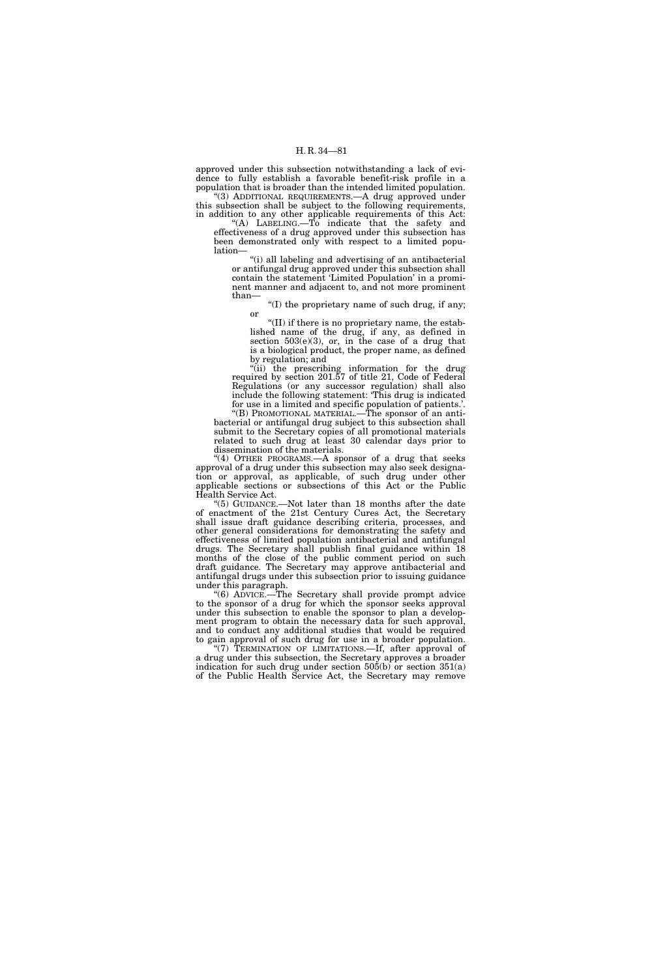approved under this subsection notwithstanding a lack of evidence to fully establish a favorable benefit-risk profile in a population that is broader than the intended limited population. ''(3) ADDITIONAL REQUIREMENTS.—A drug approved under this subsection shall be subject to the following requirements,

in addition to any other applicable requirements of this Act: ''(A) LABELING.—To indicate that the safety and effectiveness of a drug approved under this subsection has been demonstrated only with respect to a limited population—

''(i) all labeling and advertising of an antibacterial or antifungal drug approved under this subsection shall contain the statement 'Limited Population' in a prominent manner and adjacent to, and not more prominent than—

''(I) the proprietary name of such drug, if any; or

" $(II)$  if there is no proprietary name, the established name of the drug, if any, as defined in section  $503(e)(3)$ , or, in the case of a drug that is a biological product, the proper name, as defined by regulation; and

''(ii) the prescribing information for the drug required by section 201.57 of title 21, Code of Federal Regulations (or any successor regulation) shall also include the following statement: 'This drug is indicated for use in a limited and specific population of patients.'.

''(B) PROMOTIONAL MATERIAL.—The sponsor of an antibacterial or antifungal drug subject to this subsection shall submit to the Secretary copies of all promotional materials related to such drug at least 30 calendar days prior to dissemination of the materials.

"(4) OTHER PROGRAMS.—A sponsor of a drug that seeks approval of a drug under this subsection may also seek designation or approval, as applicable, of such drug under other applicable sections or subsections of this Act or the Public Health Service Act.

 $(5)$  GUIDANCE.—Not later than 18 months after the date of enactment of the 21st Century Cures Act, the Secretary shall issue draft guidance describing criteria, processes, and other general considerations for demonstrating the safety and effectiveness of limited population antibacterial and antifungal drugs. The Secretary shall publish final guidance within 18 months of the close of the public comment period on such draft guidance. The Secretary may approve antibacterial and antifungal drugs under this subsection prior to issuing guidance under this paragraph.

''(6) ADVICE.—The Secretary shall provide prompt advice to the sponsor of a drug for which the sponsor seeks approval under this subsection to enable the sponsor to plan a development program to obtain the necessary data for such approval, and to conduct any additional studies that would be required to gain approval of such drug for use in a broader population.

"(7) TERMINATION OF LIMITATIONS.—If, after approval of a drug under this subsection, the Secretary approves a broader indication for such drug under section  $50\overline{5(b)}$  or section  $351(a)$ of the Public Health Service Act, the Secretary may remove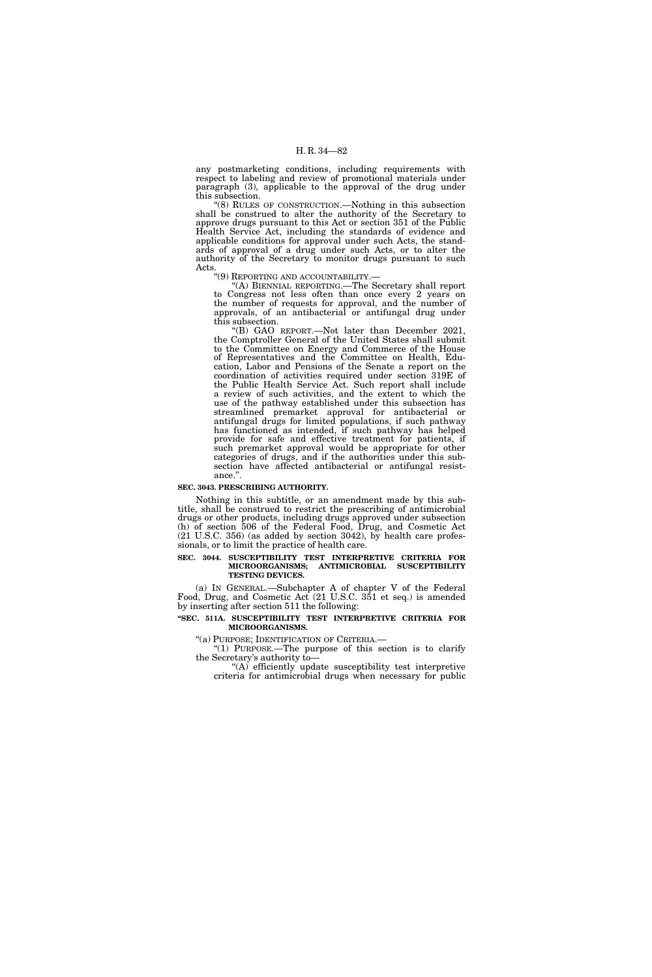any postmarketing conditions, including requirements with respect to labeling and review of promotional materials under paragraph (3), applicable to the approval of the drug under this subsection.

''(8) RULES OF CONSTRUCTION.—Nothing in this subsection shall be construed to alter the authority of the Secretary to approve drugs pursuant to this Act or section 351 of the Public Health Service Act, including the standards of evidence and applicable conditions for approval under such Acts, the standards of approval of a drug under such Acts, or to alter the authority of the Secretary to monitor drugs pursuant to such Acts.

''(9) REPORTING AND ACCOUNTABILITY.— ''(A) BIENNIAL REPORTING.—The Secretary shall report to Congress not less often than once every 2 years on the number of requests for approval, and the number of approvals, of an antibacterial or antifungal drug under this subsection.

''(B) GAO REPORT.—Not later than December 2021, the Comptroller General of the United States shall submit to the Committee on Energy and Commerce of the House of Representatives and the Committee on Health, Education, Labor and Pensions of the Senate a report on the coordination of activities required under section 319E of the Public Health Service Act. Such report shall include a review of such activities, and the extent to which the use of the pathway established under this subsection has streamlined premarket approval for antibacterial or antifungal drugs for limited populations, if such pathway has functioned as intended, if such pathway has helped provide for safe and effective treatment for patients, if such premarket approval would be appropriate for other categories of drugs, and if the authorities under this subsection have affected antibacterial or antifungal resistance.''.

#### **SEC. 3043. PRESCRIBING AUTHORITY.**

Nothing in this subtitle, or an amendment made by this subtitle, shall be construed to restrict the prescribing of antimicrobial drugs or other products, including drugs approved under subsection (h) of section 506 of the Federal Food, Drug, and Cosmetic Act (21 U.S.C. 356) (as added by section 3042), by health care professionals, or to limit the practice of health care.

## **SEC. 3044. SUSCEPTIBILITY TEST INTERPRETIVE CRITERIA FOR MICROORGANISMS; ANTIMICROBIAL SUSCEPTIBILITY TESTING DEVICES.**

(a) IN GENERAL.—Subchapter A of chapter V of the Federal Food, Drug, and Cosmetic Act (21 U.S.C. 351 et seq.) is amended by inserting after section 511 the following:

## **''SEC. 511A. SUSCEPTIBILITY TEST INTERPRETIVE CRITERIA FOR MICROORGANISMS.**

''(a) PURPOSE; IDENTIFICATION OF CRITERIA.—

''(1) PURPOSE.—The purpose of this section is to clarify the Secretary's authority to—

''(A) efficiently update susceptibility test interpretive criteria for antimicrobial drugs when necessary for public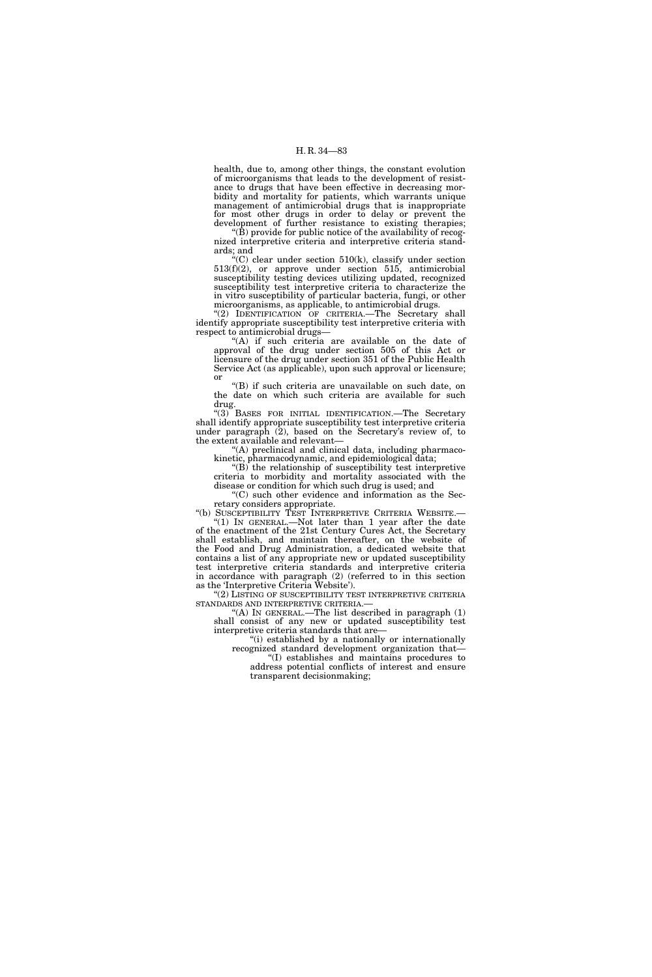health, due to, among other things, the constant evolution of microorganisms that leads to the development of resistance to drugs that have been effective in decreasing morbidity and mortality for patients, which warrants unique management of antimicrobial drugs that is inappropriate for most other drugs in order to delay or prevent the development of further resistance to existing therapies;

''(B) provide for public notice of the availability of recognized interpretive criteria and interpretive criteria standards; and

"(C) clear under section  $510(k)$ , classify under section 513(f)(2), or approve under section 515, antimicrobial susceptibility testing devices utilizing updated, recognized susceptibility test interpretive criteria to characterize the in vitro susceptibility of particular bacteria, fungi, or other microorganisms, as applicable, to antimicrobial drugs.

"(2) IDENTIFICATION OF CRITERIA.—The Secretary shall identify appropriate susceptibility test interpretive criteria with respect to antimicrobial drugs—

"(A) if such criteria are available on the date of approval of the drug under section 505 of this Act or licensure of the drug under section 351 of the Public Health Service Act (as applicable), upon such approval or licensure; or

''(B) if such criteria are unavailable on such date, on the date on which such criteria are available for such drug.

''(3) BASES FOR INITIAL IDENTIFICATION.—The Secretary shall identify appropriate susceptibility test interpretive criteria under paragraph (2), based on the Secretary's review of, to the extent available and relevant—

'(A) preclinical and clinical data, including pharmacokinetic, pharmacodynamic, and epidemiological data;

 $\mathrm{``(B)}$  the relationship of susceptibility test interpretive criteria to morbidity and mortality associated with the disease or condition for which such drug is used; and

''(C) such other evidence and information as the Secretary considers appropriate.

''(b) SUSCEPTIBILITY TEST INTERPRETIVE CRITERIA WEBSITE.—

"(1) IN GENERAL.—Not later than 1 year after the date of the enactment of the 21st Century Cures Act, the Secretary shall establish, and maintain thereafter, on the website of the Food and Drug Administration, a dedicated website that contains a list of any appropriate new or updated susceptibility test interpretive criteria standards and interpretive criteria in accordance with paragraph (2) (referred to in this section as the 'Interpretive Criteria Website').

 $\text{``(2)}$  LISTING OF SUSCEPTIBILITY TEST INTERPRETIVE CRITERIA.—

 $\hat{A}$ ) In GENERAL.—The list described in paragraph  $(1)$ shall consist of any new or updated susceptibility test interpretive criteria standards that are—

''(i) established by a nationally or internationally recognized standard development organization that— ''(I) establishes and maintains procedures to address potential conflicts of interest and ensure

transparent decisionmaking;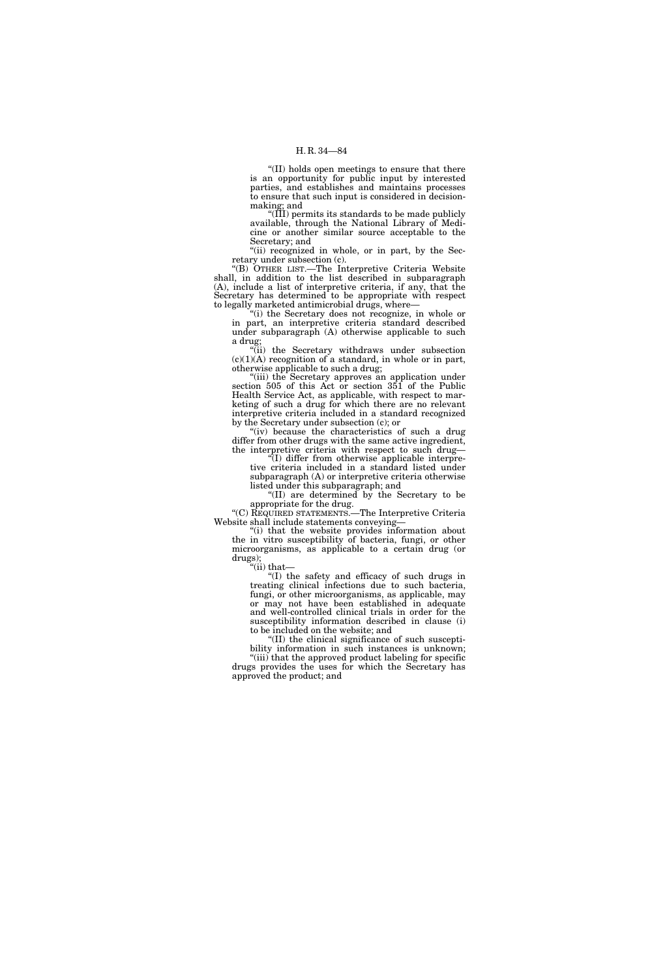''(II) holds open meetings to ensure that there is an opportunity for public input by interested parties, and establishes and maintains processes to ensure that such input is considered in decisionmaking; and

''(III) permits its standards to be made publicly available, through the National Library of Medicine or another similar source acceptable to the Secretary; and

"(ii) recognized in whole, or in part, by the Secretary under subsection (c).

''(B) OTHER LIST.—The Interpretive Criteria Website shall, in addition to the list described in subparagraph (A), include a list of interpretive criteria, if any, that the Secretary has determined to be appropriate with respect to legally marketed antimicrobial drugs, where—

''(i) the Secretary does not recognize, in whole or in part, an interpretive criteria standard described under subparagraph (A) otherwise applicable to such a drug;

''(ii) the Secretary withdraws under subsection  $(c)(1)(A)$  recognition of a standard, in whole or in part, otherwise applicable to such a drug;

''(iii) the Secretary approves an application under section 505 of this Act or section 351 of the Public Health Service Act, as applicable, with respect to marketing of such a drug for which there are no relevant interpretive criteria included in a standard recognized by the Secretary under subsection (c); or

"(iv) because the characteristics of such a drug differ from other drugs with the same active ingredient, the interpretive criteria with respect to such drug—

''(I) differ from otherwise applicable interpretive criteria included in a standard listed under subparagraph (A) or interpretive criteria otherwise listed under this subparagraph; and

''(II) are determined by the Secretary to be appropriate for the drug.

''(C) REQUIRED STATEMENTS.—The Interpretive Criteria Website shall include statements conveying—

''(i) that the website provides information about the in vitro susceptibility of bacteria, fungi, or other microorganisms, as applicable to a certain drug (or drugs);

''(ii) that—

''(I) the safety and efficacy of such drugs in treating clinical infections due to such bacteria, fungi, or other microorganisms, as applicable, may or may not have been established in adequate and well-controlled clinical trials in order for the susceptibility information described in clause (i) to be included on the website; and

''(II) the clinical significance of such susceptibility information in such instances is unknown;

"(iii) that the approved product labeling for specific drugs provides the uses for which the Secretary has approved the product; and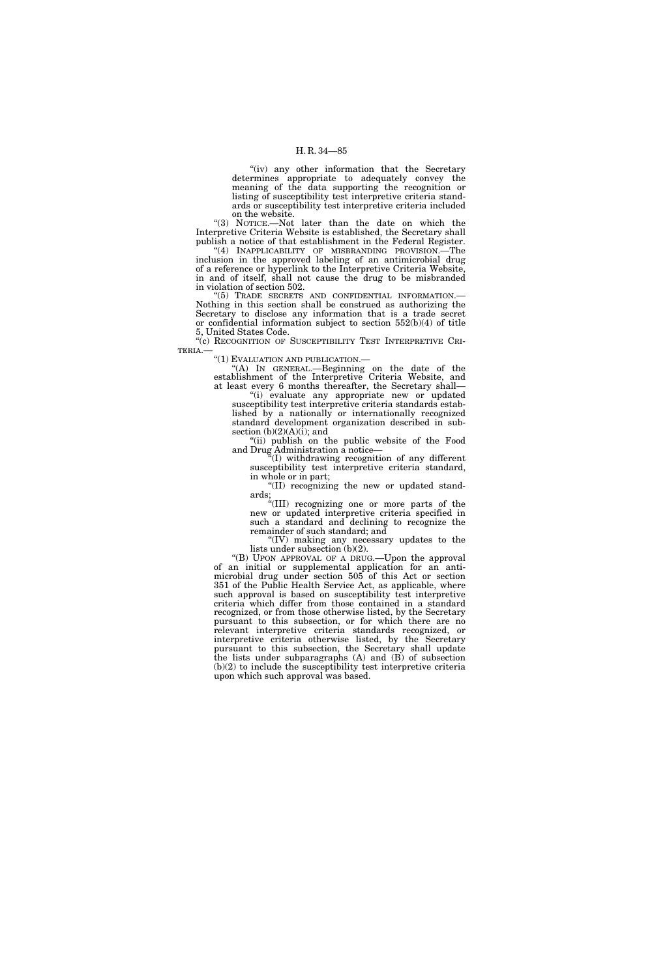"(iv) any other information that the Secretary determines appropriate to adequately convey the meaning of the data supporting the recognition or listing of susceptibility test interpretive criteria standards or susceptibility test interpretive criteria included on the website.

''(3) NOTICE.—Not later than the date on which the Interpretive Criteria Website is established, the Secretary shall publish a notice of that establishment in the Federal Register. "(4) INAPPLICABILITY OF MISBRANDING PROVISION.—The inclusion in the approved labeling of an antimicrobial drug of a reference or hyperlink to the Interpretive Criteria Website, in and of itself, shall not cause the drug to be misbranded in violation of section 502.

''(5) TRADE SECRETS AND CONFIDENTIAL INFORMATION.— Nothing in this section shall be construed as authorizing the Secretary to disclose any information that is a trade secret or confidential information subject to section 552(b)(4) of title 5, United States Code.

"(c) RECOGNITION OF SUSCEPTIBILITY TEST INTERPRETIVE CRI-TERIA.—

''(1) EVALUATION AND PUBLICATION.—

''(A) IN GENERAL.—Beginning on the date of the establishment of the Interpretive Criteria Website, and at least every 6 months thereafter, the Secretary shall—

''(i) evaluate any appropriate new or updated susceptibility test interpretive criteria standards established by a nationally or internationally recognized standard development organization described in subsection  $(b)(2)(A)(i)$ ; and

"(ii) publish on the public website of the Food and Drug Administration a notice—

 $\sqrt[n]{(I)}$  withdrawing recognition of any different susceptibility test interpretive criteria standard, in whole or in part;

''(II) recognizing the new or updated standards;

''(III) recognizing one or more parts of the new or updated interpretive criteria specified in such a standard and declining to recognize the remainder of such standard; and

''(IV) making any necessary updates to the lists under subsection (b)(2).

''(B) UPON APPROVAL OF A DRUG.—Upon the approval of an initial or supplemental application for an antimicrobial drug under section 505 of this Act or section 351 of the Public Health Service Act, as applicable, where such approval is based on susceptibility test interpretive criteria which differ from those contained in a standard recognized, or from those otherwise listed, by the Secretary pursuant to this subsection, or for which there are no relevant interpretive criteria standards recognized, or interpretive criteria otherwise listed, by the Secretary pursuant to this subsection, the Secretary shall update the lists under subparagraphs (A) and (B) of subsection (b)(2) to include the susceptibility test interpretive criteria upon which such approval was based.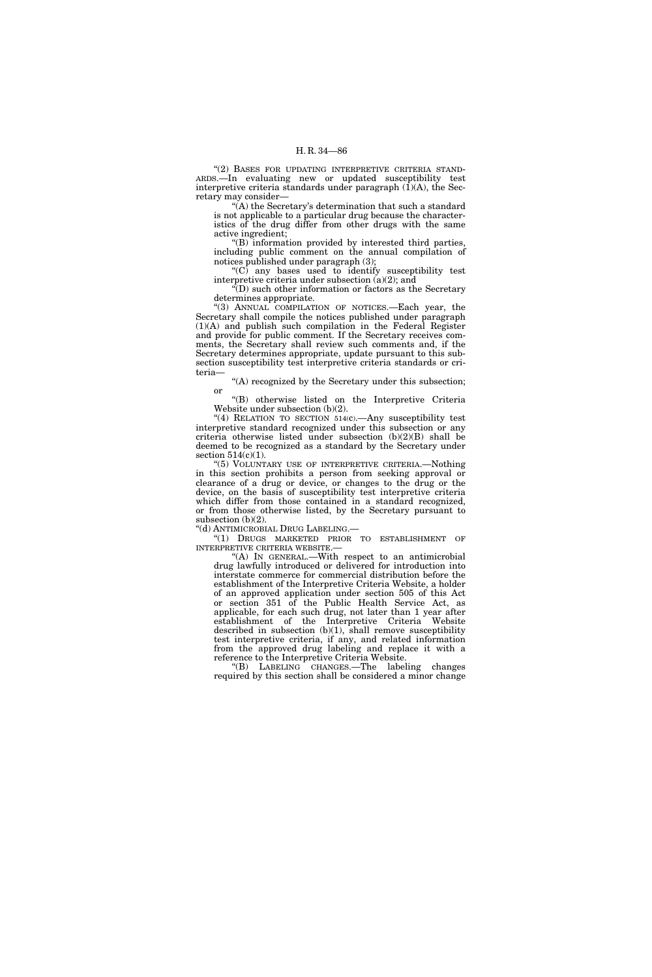"(2) BASES FOR UPDATING INTERPRETIVE CRITERIA STAND-ARDS.—In evaluating new or updated susceptibility test interpretive criteria standards under paragraph  $(1)(A)$ , the Secretary may consider—

 $(A)$  the Secretary's determination that such a standard is not applicable to a particular drug because the characteristics of the drug differ from other drugs with the same active ingredient;

''(B) information provided by interested third parties, including public comment on the annual compilation of notices published under paragraph (3);

''(C) any bases used to identify susceptibility test interpretive criteria under subsection (a)(2); and

''(D) such other information or factors as the Secretary determines appropriate.

"(3) ANNUAL COMPILATION OF NOTICES.—Each year, the Secretary shall compile the notices published under paragraph (1)(A) and publish such compilation in the Federal Register and provide for public comment. If the Secretary receives comments, the Secretary shall review such comments and, if the Secretary determines appropriate, update pursuant to this subsection susceptibility test interpretive criteria standards or criteria—

''(A) recognized by the Secretary under this subsection; or

''(B) otherwise listed on the Interpretive Criteria Website under subsection (b)(2).

"(4) RELATION TO SECTION 514(c).—Any susceptibility test interpretive standard recognized under this subsection or any criteria otherwise listed under subsection (b)(2)(B) shall be deemed to be recognized as a standard by the Secretary under section  $514(c)(1)$ .

''(5) VOLUNTARY USE OF INTERPRETIVE CRITERIA.—Nothing in this section prohibits a person from seeking approval or clearance of a drug or device, or changes to the drug or the device, on the basis of susceptibility test interpretive criteria which differ from those contained in a standard recognized, or from those otherwise listed, by the Secretary pursuant to subsection (b)(2).

''(d) ANTIMICROBIAL DRUG LABELING.—

''(1) DRUGS MARKETED PRIOR TO ESTABLISHMENT OF INTERPRETIVE CRITERIA WEBSITE.—

"(A) IN GENERAL.—With respect to an antimicrobial drug lawfully introduced or delivered for introduction into interstate commerce for commercial distribution before the establishment of the Interpretive Criteria Website, a holder of an approved application under section 505 of this Act or section 351 of the Public Health Service Act, as applicable, for each such drug, not later than 1 year after establishment of the Interpretive Criteria Website described in subsection  $(b)(1)$ , shall remove susceptibility test interpretive criteria, if any, and related information from the approved drug labeling and replace it with a reference to the Interpretive Criteria Website.

''(B) LABELING CHANGES.—The labeling changes required by this section shall be considered a minor change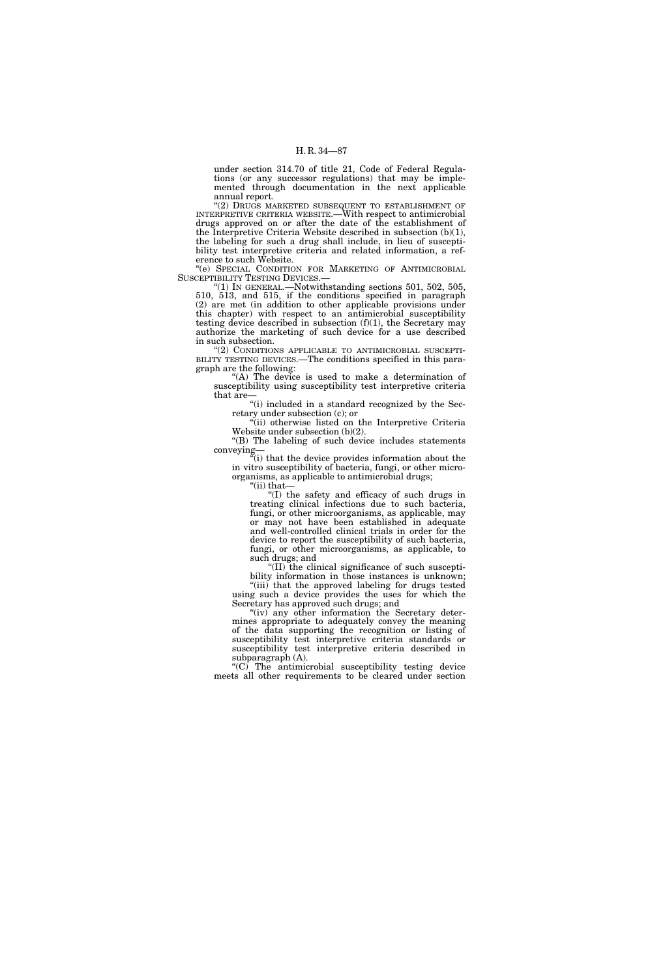under section 314.70 of title 21, Code of Federal Regulations (or any successor regulations) that may be implemented through documentation in the next applicable annual report.

''(2) DRUGS MARKETED SUBSEQUENT TO ESTABLISHMENT OF INTERPRETIVE CRITERIA WEBSITE.—With respect to antimicrobial drugs approved on or after the date of the establishment of the Interpretive Criteria Website described in subsection (b)(1), the labeling for such a drug shall include, in lieu of susceptibility test interpretive criteria and related information, a reference to such Website.

''(e) SPECIAL CONDITION FOR MARKETING OF ANTIMICROBIAL SUSCEPTIBILITY TESTING DEVICES.

 $^{\prime}\text{(1)}$  In GENERAL.—Notwithstanding sections 501, 502, 505, 510, 513, and 515, if the conditions specified in paragraph (2) are met (in addition to other applicable provisions under this chapter) with respect to an antimicrobial susceptibility testing device described in subsection (f)(1), the Secretary may authorize the marketing of such device for a use described in such subsection.

"(2) CONDITIONS APPLICABLE TO ANTIMICROBIAL SUSCEPTI-BILITY TESTING DEVICES.—The conditions specified in this paragraph are the following:

"(A) The device is used to make a determination of susceptibility using susceptibility test interpretive criteria that are

"(i) included in a standard recognized by the Secretary under subsection (c); or

''(ii) otherwise listed on the Interpretive Criteria Website under subsection (b)(2).

''(B) The labeling of such device includes statements conveying

''(i) that the device provides information about the in vitro susceptibility of bacteria, fungi, or other microorganisms, as applicable to antimicrobial drugs;

''(ii) that—

''(I) the safety and efficacy of such drugs in treating clinical infections due to such bacteria, fungi, or other microorganisms, as applicable, may or may not have been established in adequate and well-controlled clinical trials in order for the device to report the susceptibility of such bacteria, fungi, or other microorganisms, as applicable, to such drugs; and

''(II) the clinical significance of such susceptibility information in those instances is unknown; ''(iii) that the approved labeling for drugs tested

using such a device provides the uses for which the Secretary has approved such drugs; and "(iv) any other information the Secretary deter-

mines appropriate to adequately convey the meaning of the data supporting the recognition or listing of susceptibility test interpretive criteria standards or susceptibility test interpretive criteria described in subparagraph (A).

 $(C)$  The antimicrobial susceptibility testing device meets all other requirements to be cleared under section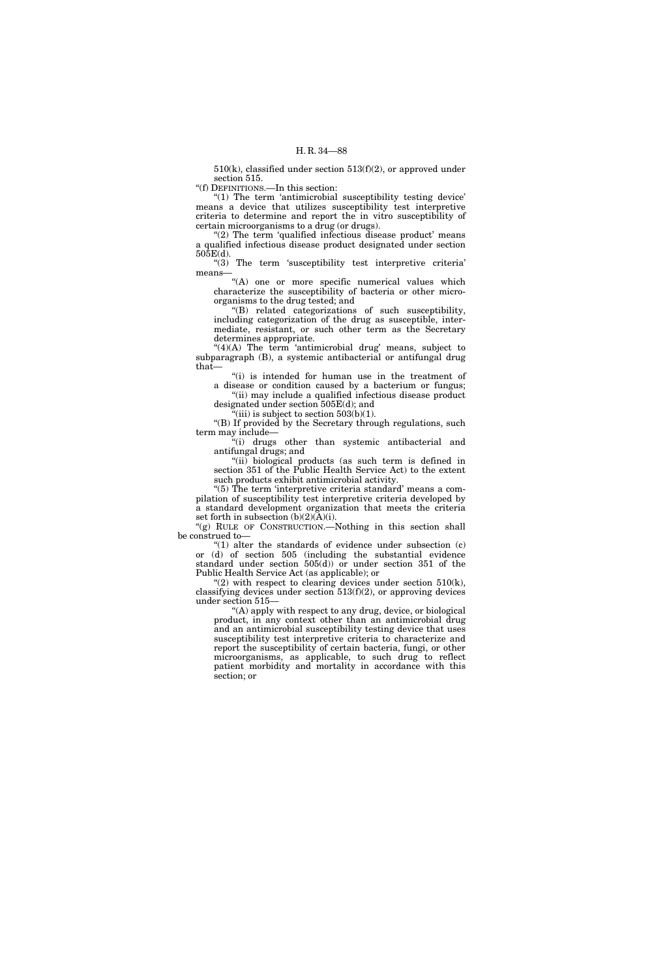510(k), classified under section 513(f)(2), or approved under section 515.

''(f) DEFINITIONS.—In this section:

''(1) The term 'antimicrobial susceptibility testing device' means a device that utilizes susceptibility test interpretive criteria to determine and report the in vitro susceptibility of certain microorganisms to a drug (or drugs).

" $(2)$  The term 'qualified infectious disease product' means a qualified infectious disease product designated under section 505E(d).

''(3) The term 'susceptibility test interpretive criteria' means—

"(A) one or more specific numerical values which characterize the susceptibility of bacteria or other microorganisms to the drug tested; and

''(B) related categorizations of such susceptibility, including categorization of the drug as susceptible, intermediate, resistant, or such other term as the Secretary determines appropriate.

 $"(4)(A)$  The term 'antimicrobial drug' means, subject to subparagraph (B), a systemic antibacterial or antifungal drug that—

"(i) is intended for human use in the treatment of a disease or condition caused by a bacterium or fungus;

''(ii) may include a qualified infectious disease product designated under section 505E(d); and

 $(iii)$  is subject to section  $503(b)(1)$ .

''(B) If provided by the Secretary through regulations, such term may include—

''(i) drugs other than systemic antibacterial and antifungal drugs; and

"(ii) biological products (as such term is defined in section 351 of the Public Health Service Act) to the extent such products exhibit antimicrobial activity.

" $(5)$  The term 'interpretive criteria standard' means a compilation of susceptibility test interpretive criteria developed by a standard development organization that meets the criteria set forth in subsection (b)(2)(A)(i).

"(g) RULE OF CONSTRUCTION.—Nothing in this section shall be construed to—

" $(1)$  alter the standards of evidence under subsection  $(c)$ or (d) of section 505 (including the substantial evidence standard under section 505(d)) or under section 351 of the Public Health Service Act (as applicable); or

" $(2)$  with respect to clearing devices under section  $510(k)$ , classifying devices under section  $513(f)(2)$ , or approving devices under section 515—

''(A) apply with respect to any drug, device, or biological product, in any context other than an antimicrobial drug and an antimicrobial susceptibility testing device that uses susceptibility test interpretive criteria to characterize and report the susceptibility of certain bacteria, fungi, or other microorganisms, as applicable, to such drug to reflect patient morbidity and mortality in accordance with this section; or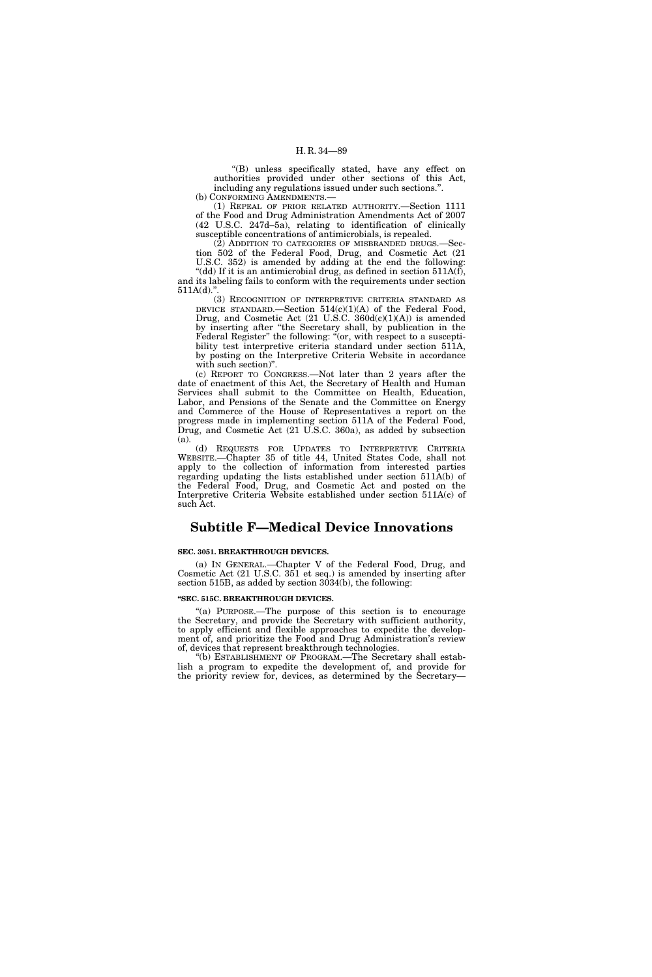''(B) unless specifically stated, have any effect on authorities provided under other sections of this Act, including any regulations issued under such sections.''. (b) CONFORMING AMENDMENTS.—

(1) REPEAL OF PRIOR RELATED AUTHORITY.—Section 1111 of the Food and Drug Administration Amendments Act of 2007 (42 U.S.C. 247d–5a), relating to identification of clinically susceptible concentrations of antimicrobials, is repealed.

 $(2)$  ADDITION TO CATEGORIES OF MISBRANDED DRUGS. $$ tion 502 of the Federal Food, Drug, and Cosmetic Act (21

U.S.C. 352) is amended by adding at the end the following: ''(dd) If it is an antimicrobial drug, as defined in section 511A(f), and its labeling fails to conform with the requirements under section 511A(d).''.

(3) RECOGNITION OF INTERPRETIVE CRITERIA STANDARD AS DEVICE STANDARD.—Section  $514(c)(1)(A)$  of the Federal Food, Drug, and Cosmetic Act  $(21 \text{ U.S.C. } 360d(c)(1)(A))$  is amended by inserting after ''the Secretary shall, by publication in the Federal Register" the following: "(or, with respect to a susceptibility test interpretive criteria standard under section 511A, by posting on the Interpretive Criteria Website in accordance with such section)''.

(c) REPORT TO CONGRESS.—Not later than 2 years after the date of enactment of this Act, the Secretary of Health and Human Services shall submit to the Committee on Health, Education, Labor, and Pensions of the Senate and the Committee on Energy and Commerce of the House of Representatives a report on the progress made in implementing section 511A of the Federal Food, Drug, and Cosmetic Act (21 U.S.C. 360a), as added by subsection (a).

(d) REQUESTS FOR UPDATES TO INTERPRETIVE CRITERIA WEBSITE.—Chapter 35 of title 44, United States Code, shall not apply to the collection of information from interested parties regarding updating the lists established under section 511A(b) of the Federal Food, Drug, and Cosmetic Act and posted on the Interpretive Criteria Website established under section 511A(c) of such Act.

# **Subtitle F—Medical Device Innovations**

## **SEC. 3051. BREAKTHROUGH DEVICES.**

(a) IN GENERAL.—Chapter V of the Federal Food, Drug, and Cosmetic Act (21 U.S.C. 351 et seq.) is amended by inserting after section 515B, as added by section 3034(b), the following:

## **''SEC. 515C. BREAKTHROUGH DEVICES.**

''(a) PURPOSE.—The purpose of this section is to encourage the Secretary, and provide the Secretary with sufficient authority, to apply efficient and flexible approaches to expedite the development of, and prioritize the Food and Drug Administration's review of, devices that represent breakthrough technologies.

''(b) ESTABLISHMENT OF PROGRAM.—The Secretary shall establish a program to expedite the development of, and provide for the priority review for, devices, as determined by the Secretary—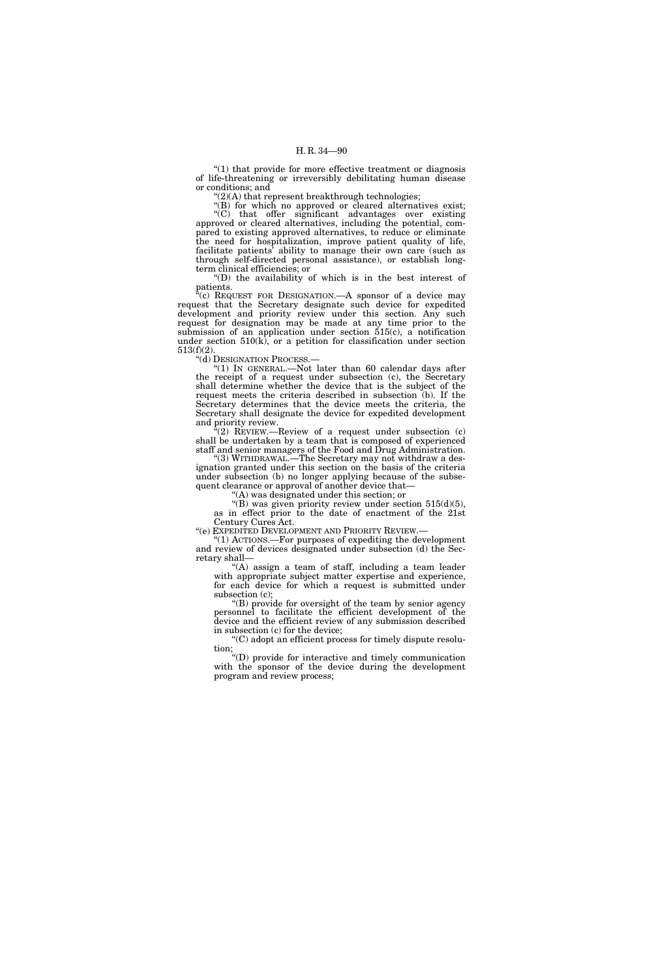$(1)$  that provide for more effective treatment or diagnosis of life-threatening or irreversibly debilitating human disease or conditions; and

 $'(2)$ (A) that represent breakthrough technologies;

"(B) for which no approved or cleared alternatives exist; ''(C) that offer significant advantages over existing approved or cleared alternatives, including the potential, compared to existing approved alternatives, to reduce or eliminate the need for hospitalization, improve patient quality of life, facilitate patients' ability to manage their own care (such as through self-directed personal assistance), or establish longterm clinical efficiencies; or

''(D) the availability of which is in the best interest of patients.

"(c) REQUEST FOR DESIGNATION.—A sponsor of a device may request that the Secretary designate such device for expedited development and priority review under this section. Any such request for designation may be made at any time prior to the submission of an application under section 515(c), a notification under section  $510(k)$ , or a petition for classification under section 513(f)(2).

''(d) DESIGNATION PROCESS.—

''(1) IN GENERAL.—Not later than 60 calendar days after the receipt of a request under subsection (c), the Secretary shall determine whether the device that is the subject of the request meets the criteria described in subsection (b). If the Secretary determines that the device meets the criteria, the Secretary shall designate the device for expedited development and priority review.

 $E^2(2)$  REVIEW.—Review of a request under subsection (c) shall be undertaken by a team that is composed of experienced staff and senior managers of the Food and Drug Administration.

"(3) WITHDRAWAL.—The Secretary may not withdraw a designation granted under this section on the basis of the criteria under subsection (b) no longer applying because of the subsequent clearance or approval of another device that-

'(A) was designated under this section; or

 $\cdot$ "(B) was given priority review under section 515(d)(5), as in effect prior to the date of enactment of the 21st Century Cures Act.

"(e) EXPEDITED DEVELOPMENT AND PRIORITY REVIEW.-

''(1) ACTIONS.—For purposes of expediting the development and review of devices designated under subsection (d) the Secretary shall—

''(A) assign a team of staff, including a team leader with appropriate subject matter expertise and experience, for each device for which a request is submitted under subsection (c);

''(B) provide for oversight of the team by senior agency personnel to facilitate the efficient development of the device and the efficient review of any submission described in subsection (c) for the device;

''(C) adopt an efficient process for timely dispute resolution;

''(D) provide for interactive and timely communication with the sponsor of the device during the development program and review process;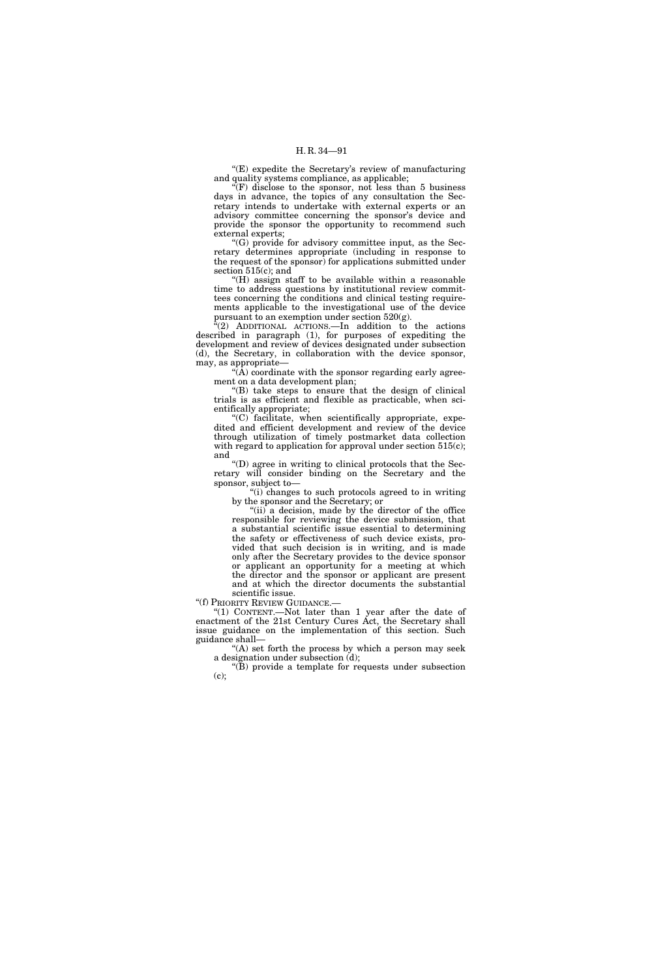''(E) expedite the Secretary's review of manufacturing and quality systems compliance, as applicable;

 $\mathcal{F}(F)$  disclose to the sponsor, not less than 5 business days in advance, the topics of any consultation the Secretary intends to undertake with external experts or an advisory committee concerning the sponsor's device and provide the sponsor the opportunity to recommend such external experts;

''(G) provide for advisory committee input, as the Secretary determines appropriate (including in response to the request of the sponsor) for applications submitted under section 515(c); and

''(H) assign staff to be available within a reasonable time to address questions by institutional review committees concerning the conditions and clinical testing requirements applicable to the investigational use of the device pursuant to an exemption under section  $520(g)$ .

(2) ADDITIONAL ACTIONS.—In addition to the actions described in paragraph (1), for purposes of expediting the development and review of devices designated under subsection (d), the Secretary, in collaboration with the device sponsor, may, as appropriate—

 $\sqrt{\tilde{A}}$  coordinate with the sponsor regarding early agreement on a data development plan;

 $'(B)$  take steps to ensure that the design of clinical trials is as efficient and flexible as practicable, when scientifically appropriate;

''(C) facilitate, when scientifically appropriate, expedited and efficient development and review of the device through utilization of timely postmarket data collection with regard to application for approval under section 515(c); and

''(D) agree in writing to clinical protocols that the Secretary will consider binding on the Secretary and the sponsor, subject to—

"(i) changes to such protocols agreed to in writing by the sponsor and the Secretary; or

"(ii) a decision, made by the director of the office" responsible for reviewing the device submission, that a substantial scientific issue essential to determining the safety or effectiveness of such device exists, provided that such decision is in writing, and is made only after the Secretary provides to the device sponsor or applicant an opportunity for a meeting at which the director and the sponsor or applicant are present and at which the director documents the substantial scientific issue.

''(f) PRIORITY REVIEW GUIDANCE.—

"(1) CONTENT.—Not later than 1 year after the date of enactment of the 21st Century Cures Act, the Secretary shall issue guidance on the implementation of this section. Such guidance shall—

"(A) set forth the process by which a person may seek a designation under subsection (d);

''(B) provide a template for requests under subsection (c);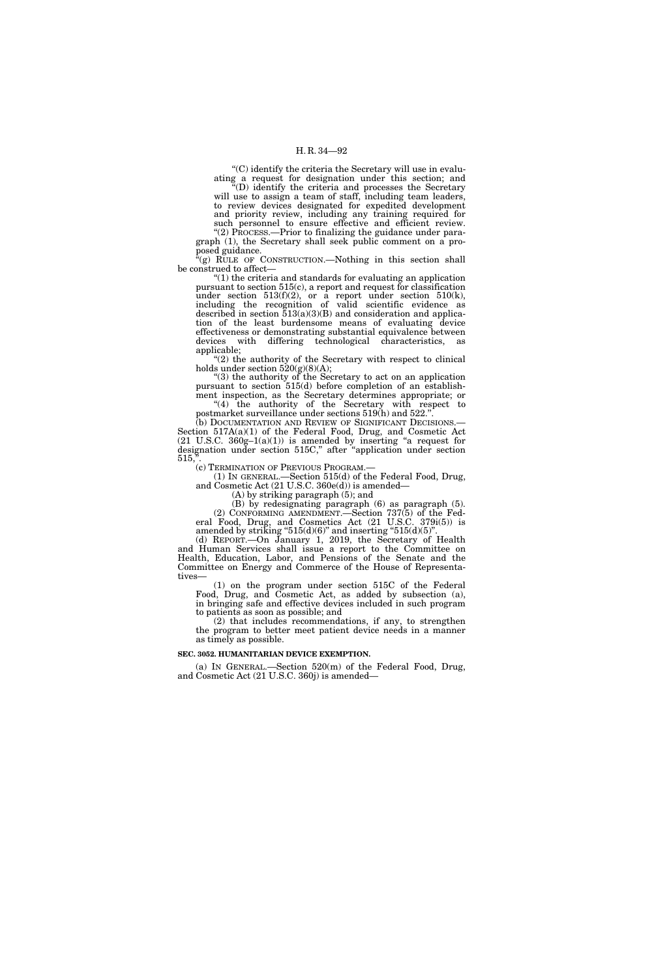''(C) identify the criteria the Secretary will use in evaluating a request for designation under this section; and

 $\sqrt[\alpha]{(D)}$  identify the criteria and processes the Secretary will use to assign a team of staff, including team leaders, to review devices designated for expedited development and priority review, including any training required for such personnel to ensure effective and efficient review.

"(2) PROCESS.—Prior to finalizing the guidance under paragraph (1), the Secretary shall seek public comment on a proposed guidance.

 $f(g)$  RULE OF CONSTRUCTION.—Nothing in this section shall be construed to affect—

''(1) the criteria and standards for evaluating an application pursuant to section 515(c), a report and request for classification under section  $513(f)(2)$ , or a report under section  $510(k)$ , including the recognition of valid scientific evidence as described in section  $\overline{5}13(a)(3)(B)$  and consideration and application of the least burdensome means of evaluating device effectiveness or demonstrating substantial equivalence between devices with differing technological characteristics, as applicable;

''(2) the authority of the Secretary with respect to clinical holds under section  $520(g)(8)(A);$ 

''(3) the authority of the Secretary to act on an application pursuant to section 515(d) before completion of an establishment inspection, as the Secretary determines appropriate; or " $(4)$  the authority of the Secretary with respect to

postmarket surveillance under sections 519(h) and 522.''. (b) DOCUMENTATION AND REVIEW OF SIGNIFICANT DECISIONS.—

Section 517A(a)(1) of the Federal Food, Drug, and Cosmetic Act  $(21 \text{ U.S.C. } 360g-1(a)(1))$  is amended by inserting "a request for designation under section 515C,'' after ''application under section 515,''.

(c) TERMINATION OF PREVIOUS PROGRAM.—

(1) IN GENERAL.—Section 515(d) of the Federal Food, Drug, and Cosmetic Act (21 U.S.C. 360e(d)) is amended—

(A) by striking paragraph (5); and

(B) by redesignating paragraph (6) as paragraph (5). (2) CONFORMING AMENDMENT.—Section 737(5) of the Federal Food, Drug, and Cosmetics Act (21 U.S.C. 379i(5)) is amended by striking " $515(d)(6)$ " and inserting " $515(d)(5)$ ".

(d) REPORT.—On January 1, 2019, the Secretary of Health and Human Services shall issue a report to the Committee on Health, Education, Labor, and Pensions of the Senate and the Committee on Energy and Commerce of the House of Representatives—

(1) on the program under section 515C of the Federal Food, Drug, and Cosmetic Act, as added by subsection (a), in bringing safe and effective devices included in such program to patients as soon as possible; and

(2) that includes recommendations, if any, to strengthen the program to better meet patient device needs in a manner as timely as possible.

## **SEC. 3052. HUMANITARIAN DEVICE EXEMPTION.**

(a) IN GENERAL.—Section 520(m) of the Federal Food, Drug, and Cosmetic Act (21 U.S.C. 360j) is amended—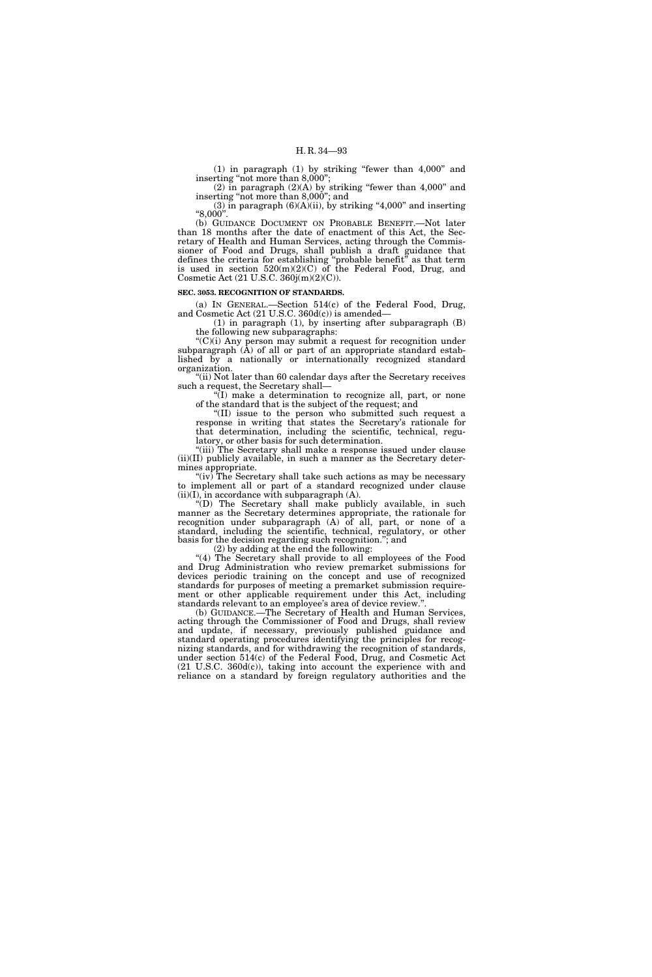(1) in paragraph (1) by striking ''fewer than 4,000'' and inserting "not more than 8,000";

(2) in paragraph  $(2)(A)$  by striking "fewer than 4,000" and inserting ''not more than 8,000''; and

(3) in paragraph  $(6)(A)(ii)$ , by striking "4,000" and inserting ''8,000''.

(b) GUIDANCE DOCUMENT ON PROBABLE BENEFIT.—Not later than 18 months after the date of enactment of this Act, the Secretary of Health and Human Services, acting through the Commissioner of Food and Drugs, shall publish a draft guidance that defines the criteria for establishing ''probable benefit'' as that term is used in section  $520(m)(2)(C)$  of the Federal Food, Drug, and Cosmetic Act (21 U.S.C. 360j(m)(2)(C)).

#### **SEC. 3053. RECOGNITION OF STANDARDS.**

(a) IN GENERAL.—Section 514(c) of the Federal Food, Drug, and Cosmetic Act (21 U.S.C. 360d(c)) is amended—

(1) in paragraph (1), by inserting after subparagraph (B) the following new subparagraphs:

 $C'(C)(i)$  Any person may submit a request for recognition under subparagraph (A) of all or part of an appropriate standard established by a nationally or internationally recognized standard organization.

"(ii) Not later than 60 calendar days after the Secretary receives such a request, the Secretary shall—

''(I) make a determination to recognize all, part, or none of the standard that is the subject of the request; and

"(II) issue to the person who submitted such request a response in writing that states the Secretary's rationale for that determination, including the scientific, technical, regulatory, or other basis for such determination.

"(iii) The Secretary shall make a response issued under clause (ii)(II) publicly available, in such a manner as the Secretary determines appropriate.

" $(iv)$  The Secretary shall take such actions as may be necessary to implement all or part of a standard recognized under clause  $(ii)(I)$ , in accordance with subparagraph  $(A)$ .

''(D) The Secretary shall make publicly available, in such manner as the Secretary determines appropriate, the rationale for recognition under subparagraph (A) of all, part, or none of a standard, including the scientific, technical, regulatory, or other basis for the decision regarding such recognition.''; and

(2) by adding at the end the following:

"(4) The Secretary shall provide to all employees of the Food and Drug Administration who review premarket submissions for devices periodic training on the concept and use of recognized standards for purposes of meeting a premarket submission requirement or other applicable requirement under this Act, including standards relevant to an employee's area of device review.''.

(b) GUIDANCE.—The Secretary of Health and Human Services, acting through the Commissioner of Food and Drugs, shall review and update, if necessary, previously published guidance and standard operating procedures identifying the principles for recognizing standards, and for withdrawing the recognition of standards, under section 514(c) of the Federal Food, Drug, and Cosmetic Act (21 U.S.C. 360d(c)), taking into account the experience with and reliance on a standard by foreign regulatory authorities and the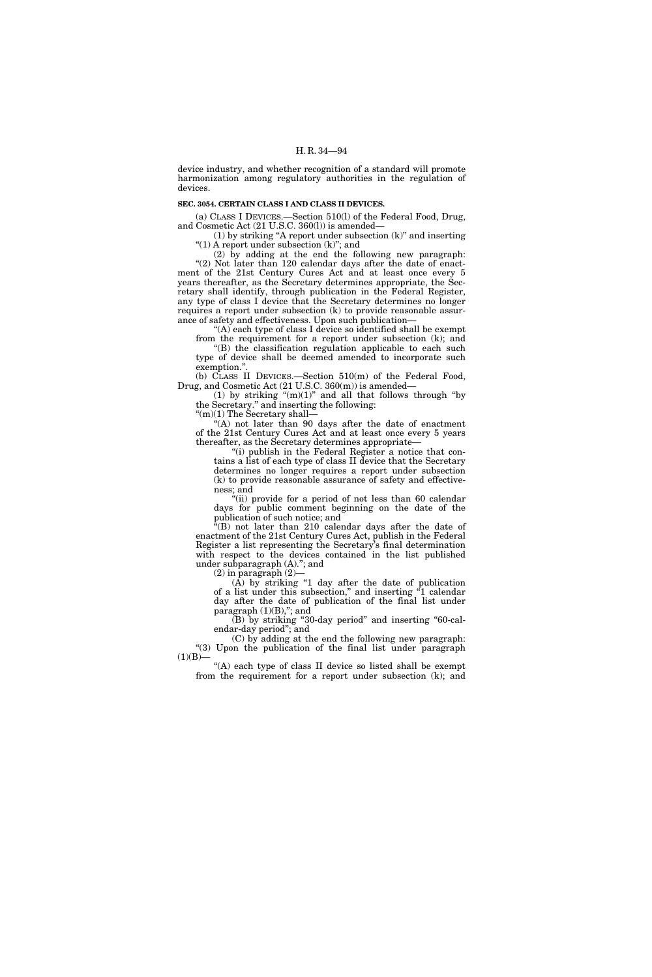device industry, and whether recognition of a standard will promote harmonization among regulatory authorities in the regulation of devices.

## **SEC. 3054. CERTAIN CLASS I AND CLASS II DEVICES.**

(a) CLASS I DEVICES.—Section 510(l) of the Federal Food, Drug, and Cosmetic Act (21 U.S.C. 360(l)) is amended—

(1) by striking ''A report under subsection (k)'' and inserting "(1) A report under subsection (k)"; and

(2) by adding at the end the following new paragraph: "(2) Not later than 120 calendar days after the date of enactment of the 21st Century Cures Act and at least once every 5 years thereafter, as the Secretary determines appropriate, the Secretary shall identify, through publication in the Federal Register, any type of class I device that the Secretary determines no longer requires a report under subsection (k) to provide reasonable assurance of safety and effectiveness. Upon such publication—

"(A) each type of class I device so identified shall be exempt from the requirement for a report under subsection (k); and

''(B) the classification regulation applicable to each such type of device shall be deemed amended to incorporate such exemption."

(b) CLASS II DEVICES.—Section 510(m) of the Federal Food, Drug, and Cosmetic Act (21 U.S.C. 360(m)) is amended—

(1) by striking  $\text{``(m)(1)}$ " and all that follows through "by the Secretary.'' and inserting the following:

 $\lq(m)(1)$  The Secretary shall-

"(A) not later than 90 days after the date of enactment of the 21st Century Cures Act and at least once every 5 years thereafter, as the Secretary determines appropriate—

"(i) publish in the Federal Register a notice that contains a list of each type of class II device that the Secretary determines no longer requires a report under subsection (k) to provide reasonable assurance of safety and effectiveness; and

''(ii) provide for a period of not less than 60 calendar days for public comment beginning on the date of the publication of such notice; and

''(B) not later than 210 calendar days after the date of enactment of the 21st Century Cures Act, publish in the Federal Register a list representing the Secretary's final determination with respect to the devices contained in the list published under subparagraph (A).''; and

(2) in paragraph (2)—

 $(A)$  by striking "1 day after the date of publication of a list under this subsection,'' and inserting ''1 calendar day after the date of publication of the final list under paragraph  $(1)(B)$ ,"; and

(B) by striking "30-day period" and inserting "60-calendar-day period''; and

(C) by adding at the end the following new paragraph: ''(3) Upon the publication of the final list under paragraph  $(1)(B)$ —

''(A) each type of class II device so listed shall be exempt from the requirement for a report under subsection (k); and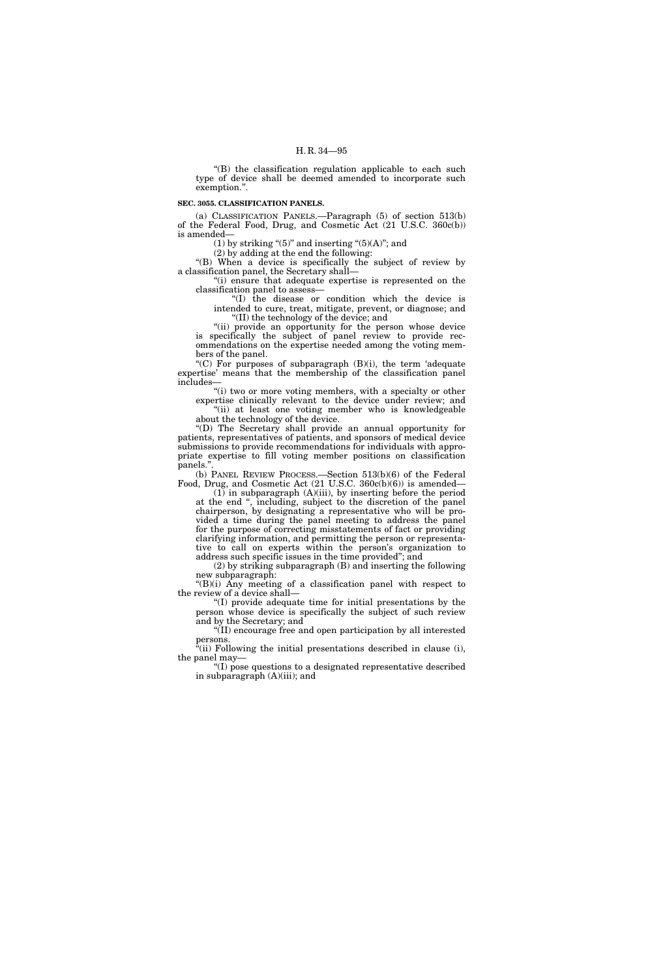''(B) the classification regulation applicable to each such type of device shall be deemed amended to incorporate such exemption.''.

## **SEC. 3055. CLASSIFICATION PANELS.**

(a) CLASSIFICATION PANELS.—Paragraph (5) of section 513(b) of the Federal Food, Drug, and Cosmetic Act (21 U.S.C. 360c(b)) is amended—

(1) by striking " $(5)$ " and inserting " $(5)(A)$ "; and

(2) by adding at the end the following:

"(B) When a device is specifically the subject of review by a classification panel, the Secretary shall—

''(i) ensure that adequate expertise is represented on the classification panel to assess—

''(I) the disease or condition which the device is intended to cure, treat, mitigate, prevent, or diagnose; and ''(II) the technology of the device; and

"(ii) provide an opportunity for the person whose device is specifically the subject of panel review to provide recommendations on the expertise needed among the voting members of the panel.

"(C) For purposes of subparagraph  $(B)(i)$ , the term 'adequate expertise' means that the membership of the classification panel includes—

"(i) two or more voting members, with a specialty or other expertise clinically relevant to the device under review; and "(ii) at least one voting member who is knowledgeable about the technology of the device.

''(D) The Secretary shall provide an annual opportunity for patients, representatives of patients, and sponsors of medical device submissions to provide recommendations for individuals with appropriate expertise to fill voting member positions on classification panels.'

(b) PANEL REVIEW PROCESS.—Section 513(b)(6) of the Federal Food, Drug, and Cosmetic Act (21 U.S.C. 360c(b)(6)) is amended—

 $(1)$  in subparagraph  $(A)(iii)$ , by inserting before the period at the end '', including, subject to the discretion of the panel chairperson, by designating a representative who will be provided a time during the panel meeting to address the panel for the purpose of correcting misstatements of fact or providing clarifying information, and permitting the person or representative to call on experts within the person's organization to address such specific issues in the time provided''; and

(2) by striking subparagraph (B) and inserting the following new subparagraph:

''(B)(i) Any meeting of a classification panel with respect to the review of a device shall—

''(I) provide adequate time for initial presentations by the person whose device is specifically the subject of such review and by the Secretary; and

''(II) encourage free and open participation by all interested persons.

 $\tilde{f}$ (ii) Following the initial presentations described in clause (i), the panel may—

"(I) pose questions to a designated representative described in subparagraph (A)(iii); and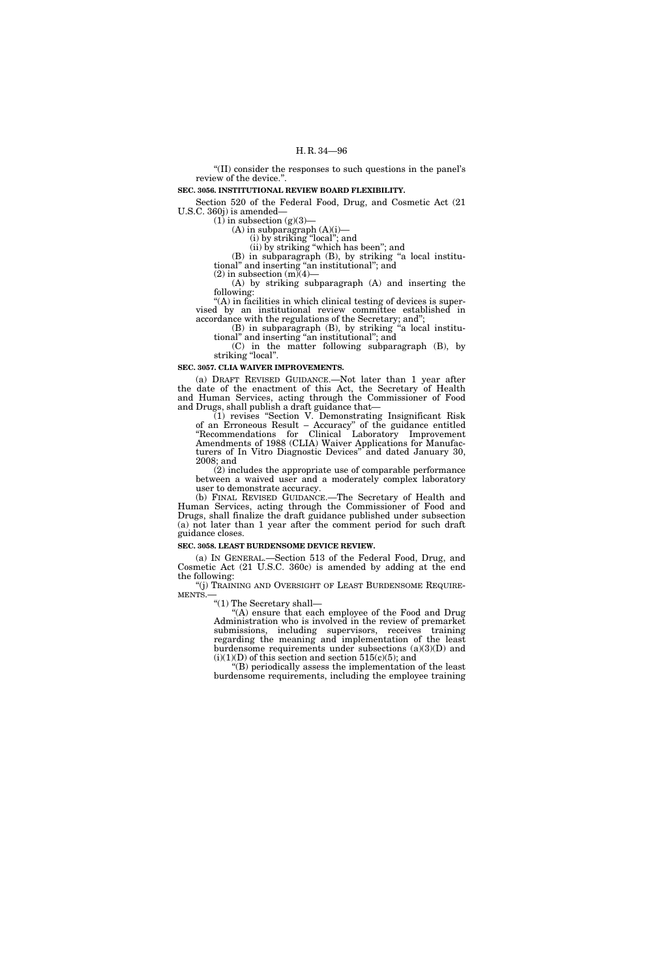''(II) consider the responses to such questions in the panel's review of the device.''.

## **SEC. 3056. INSTITUTIONAL REVIEW BOARD FLEXIBILITY.**

Section 520 of the Federal Food, Drug, and Cosmetic Act (21 U.S.C. 360j) is amended—

 $(1)$  in subsection  $(g)(3)$ –

 $(A)$  in subparagraph  $(A)(i)$ —

(i) by striking ''local''; and

(ii) by striking ''which has been''; and (B) in subparagraph (B), by striking ''a local institutional'' and inserting ''an institutional''; and

(2) in subsection  $(m)(4)$ —

(A) by striking subparagraph (A) and inserting the following:

 $<sup>4</sup>(A)$  in facilities in which clinical testing of devices is super-</sup> vised by an institutional review committee established in accordance with the regulations of the Secretary; and'';

(B) in subparagraph (B), by striking ''a local institutional'' and inserting ''an institutional''; and

(C) in the matter following subparagraph (B), by striking "local".

## **SEC. 3057. CLIA WAIVER IMPROVEMENTS.**

(a) DRAFT REVISED GUIDANCE.—Not later than 1 year after the date of the enactment of this Act, the Secretary of Health and Human Services, acting through the Commissioner of Food and Drugs, shall publish a draft guidance that—

(1) revises ''Section V. Demonstrating Insignificant Risk of an Erroneous Result – Accuracy'' of the guidance entitled ''Recommendations for Clinical Laboratory Improvement Amendments of 1988 (CLIA) Waiver Applications for Manufacturers of In Vitro Diagnostic Devices'' and dated January 30, 2008; and

(2) includes the appropriate use of comparable performance between a waived user and a moderately complex laboratory user to demonstrate accuracy.

(b) FINAL REVISED GUIDANCE.—The Secretary of Health and Human Services, acting through the Commissioner of Food and Drugs, shall finalize the draft guidance published under subsection (a) not later than 1 year after the comment period for such draft guidance closes.

## **SEC. 3058. LEAST BURDENSOME DEVICE REVIEW.**

(a) IN GENERAL.—Section 513 of the Federal Food, Drug, and Cosmetic Act (21 U.S.C. 360c) is amended by adding at the end the following:

 $\lq\lq$ ''(j) TRAINING AND OVERSIGHT OF LEAST BURDENSOME REQUIREMENTS.

''(1) The Secretary shall—

''(A) ensure that each employee of the Food and Drug Administration who is involved in the review of premarket submissions, including supervisors, receives training regarding the meaning and implementation of the least burdensome requirements under subsections (a)(3)(D) and  $(i)(1)(D)$  of this section and section 515(c)(5); and

(B) periodically assess the implementation of the least burdensome requirements, including the employee training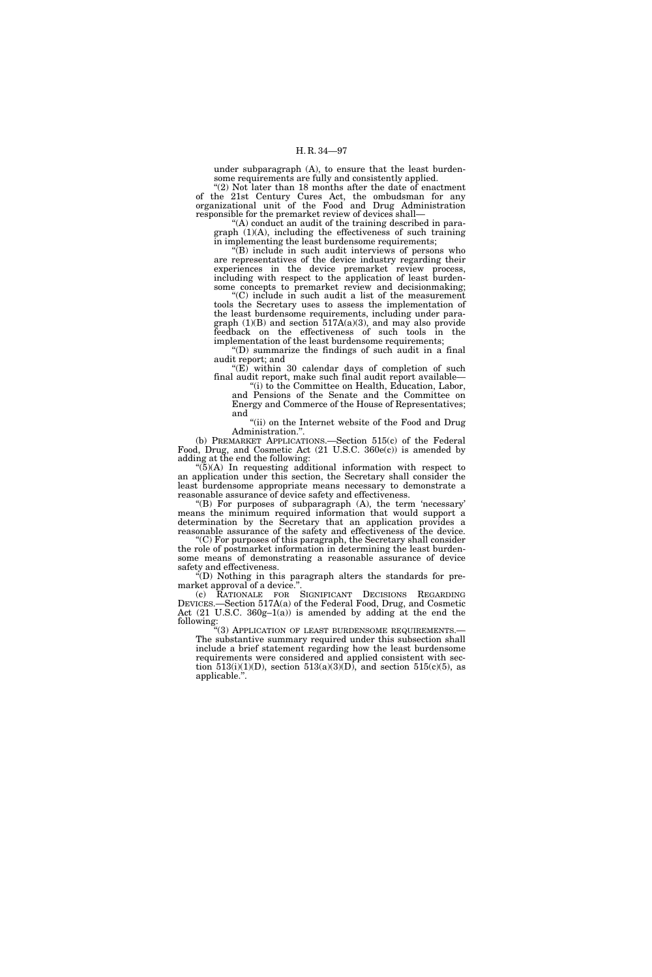under subparagraph (A), to ensure that the least burdensome requirements are fully and consistently applied.

" $(2)$  Not later than 18 months after the date of enactment of the 21st Century Cures Act, the ombudsman for any organizational unit of the Food and Drug Administration responsible for the premarket review of devices shall—

''(A) conduct an audit of the training described in paragraph  $(1)(A)$ , including the effectiveness of such training in implementing the least burdensome requirements;

''(B) include in such audit interviews of persons who are representatives of the device industry regarding their experiences in the device premarket review process, including with respect to the application of least burdensome concepts to premarket review and decisionmaking;

''(C) include in such audit a list of the measurement tools the Secretary uses to assess the implementation of the least burdensome requirements, including under paragraph (1)(B) and section 517A(a)(3), and may also provide feedback on the effectiveness of such tools in the implementation of the least burdensome requirements;

''(D) summarize the findings of such audit in a final audit report; and

" $(E)$  within 30 calendar days of completion of such final audit report, make such final audit report available—

''(i) to the Committee on Health, Education, Labor, and Pensions of the Senate and the Committee on Energy and Commerce of the House of Representatives; and

"(ii) on the Internet website of the Food and Drug Administration.''.

(b) PREMARKET APPLICATIONS.—Section 515(c) of the Federal Food, Drug, and Cosmetic Act (21 U.S.C. 360e(c)) is amended by adding at the end the following:

''(5)(A) In requesting additional information with respect to an application under this section, the Secretary shall consider the least burdensome appropriate means necessary to demonstrate a reasonable assurance of device safety and effectiveness.

 $E(B)$  For purposes of subparagraph  $(A)$ , the term 'necessary' means the minimum required information that would support a determination by the Secretary that an application provides a reasonable assurance of the safety and effectiveness of the device.

''(C) For purposes of this paragraph, the Secretary shall consider the role of postmarket information in determining the least burdensome means of demonstrating a reasonable assurance of device safety and effectiveness.

''(D) Nothing in this paragraph alters the standards for premarket approval of a device."

(c) RATIONALE FOR SIGNIFICANT DECISIONS REGARDING DEVICES.—Section 517A(a) of the Federal Food, Drug, and Cosmetic Act (21 U.S.C. 360g–1(a)) is amended by adding at the end the following:

''(3) APPLICATION OF LEAST BURDENSOME REQUIREMENTS.— The substantive summary required under this subsection shall include a brief statement regarding how the least burdensome requirements were considered and applied consistent with section  $513(i)(1)(D)$ , section  $513(a)(3)(D)$ , and section  $515(c)(5)$ , as applicable.''.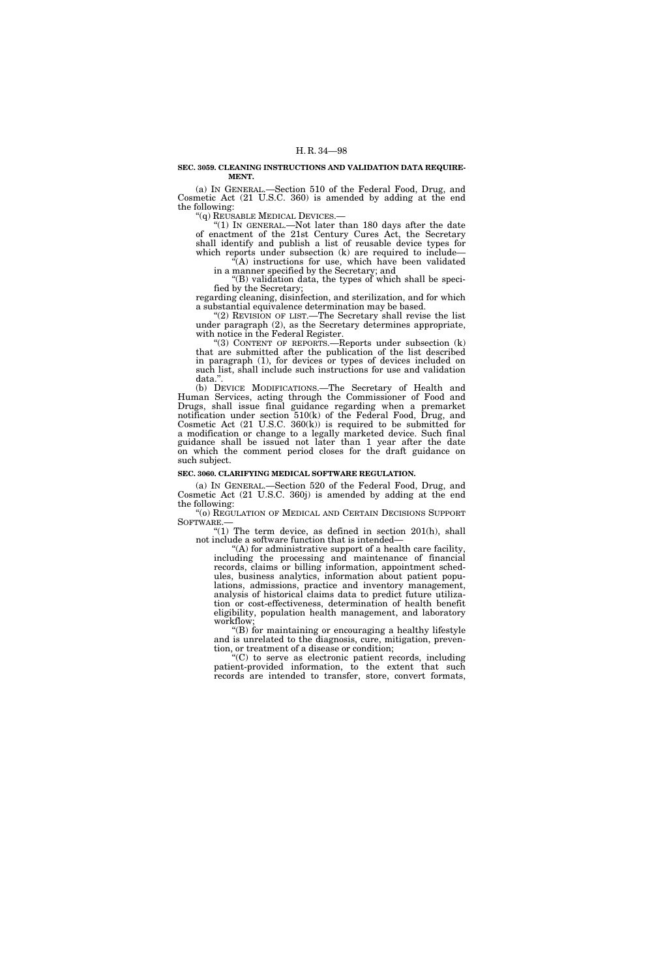## **SEC. 3059. CLEANING INSTRUCTIONS AND VALIDATION DATA REQUIRE-MENT.**

(a) IN GENERAL.—Section 510 of the Federal Food, Drug, and Cosmetic Act (21 U.S.C. 360) is amended by adding at the end the following:

''(q) REUSABLE MEDICAL DEVICES.—

" $(1)$  In GENERAL.—Not later than 180 days after the date of enactment of the 21st Century Cures Act, the Secretary shall identify and publish a list of reusable device types for which reports under subsection (k) are required to include—

 $(A)$  instructions for use, which have been validated in a manner specified by the Secretary; and

''(B) validation data, the types of which shall be specified by the Secretary;

regarding cleaning, disinfection, and sterilization, and for which a substantial equivalence determination may be based.

"(2) REVISION OF LIST.—The Secretary shall revise the list" under paragraph (2), as the Secretary determines appropriate, with notice in the Federal Register.

''(3) CONTENT OF REPORTS.—Reports under subsection (k) that are submitted after the publication of the list described in paragraph (1), for devices or types of devices included on such list, shall include such instructions for use and validation data."

(b) DEVICE MODIFICATIONS.—The Secretary of Health and Human Services, acting through the Commissioner of Food and Drugs, shall issue final guidance regarding when a premarket notification under section 510(k) of the Federal Food, Drug, and Cosmetic Act  $(21 \text{ U.S.C. } 360(k))$  is required to be submitted for a modification or change to a legally marketed device. Such final guidance shall be issued not later than 1 year after the date on which the comment period closes for the draft guidance on such subject.

# **SEC. 3060. CLARIFYING MEDICAL SOFTWARE REGULATION.**

(a) IN GENERAL.—Section 520 of the Federal Food, Drug, and Cosmetic Act (21 U.S.C. 360j) is amended by adding at the end the following:

''(o) REGULATION OF MEDICAL AND CERTAIN DECISIONS SUPPORT SOFTWARE.—

" $(1)$  The term device, as defined in section 201 $(h)$ , shall not include a software function that is intended—

''(A) for administrative support of a health care facility, including the processing and maintenance of financial records, claims or billing information, appointment schedules, business analytics, information about patient populations, admissions, practice and inventory management, analysis of historical claims data to predict future utilization or cost-effectiveness, determination of health benefit eligibility, population health management, and laboratory workflow;

''(B) for maintaining or encouraging a healthy lifestyle and is unrelated to the diagnosis, cure, mitigation, prevention, or treatment of a disease or condition;

''(C) to serve as electronic patient records, including patient-provided information, to the extent that such records are intended to transfer, store, convert formats,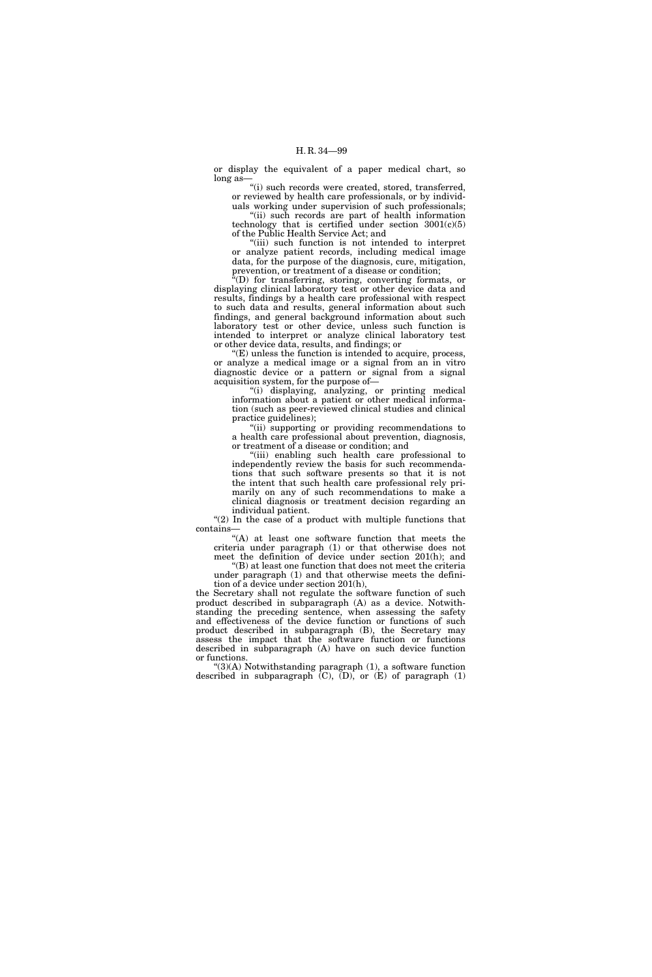or display the equivalent of a paper medical chart, so long as-

''(i) such records were created, stored, transferred, or reviewed by health care professionals, or by individ-

uals working under supervision of such professionals; "(ii) such records are part of health information technology that is certified under section  $3001(c)(5)$ of the Public Health Service Act; and

"(iii) such function is not intended to interpret or analyze patient records, including medical image data, for the purpose of the diagnosis, cure, mitigation, prevention, or treatment of a disease or condition;

 $\sqrt{a}$ (D) for transferring, storing, converting formats, or displaying clinical laboratory test or other device data and results, findings by a health care professional with respect to such data and results, general information about such findings, and general background information about such laboratory test or other device, unless such function is intended to interpret or analyze clinical laboratory test or other device data, results, and findings; or

''(E) unless the function is intended to acquire, process, or analyze a medical image or a signal from an in vitro diagnostic device or a pattern or signal from a signal acquisition system, for the purpose of—

''(i) displaying, analyzing, or printing medical information about a patient or other medical information (such as peer-reviewed clinical studies and clinical practice guidelines);

"(ii) supporting or providing recommendations to a health care professional about prevention, diagnosis, or treatment of a disease or condition; and

''(iii) enabling such health care professional to independently review the basis for such recommendations that such software presents so that it is not the intent that such health care professional rely primarily on any of such recommendations to make a clinical diagnosis or treatment decision regarding an individual patient.

"(2) In the case of a product with multiple functions that contains—

''(A) at least one software function that meets the criteria under paragraph (1) or that otherwise does not meet the definition of device under section 201(h); and

''(B) at least one function that does not meet the criteria under paragraph (1) and that otherwise meets the definition of a device under section 201(h),

the Secretary shall not regulate the software function of such product described in subparagraph (A) as a device. Notwithstanding the preceding sentence, when assessing the safety and effectiveness of the device function or functions of such product described in subparagraph (B), the Secretary may assess the impact that the software function or functions described in subparagraph (A) have on such device function or functions.

 $(3)(A)$  Notwithstanding paragraph  $(1)$ , a software function described in subparagraph  $(C)$ ,  $(D)$ , or  $(E)$  of paragraph  $(1)$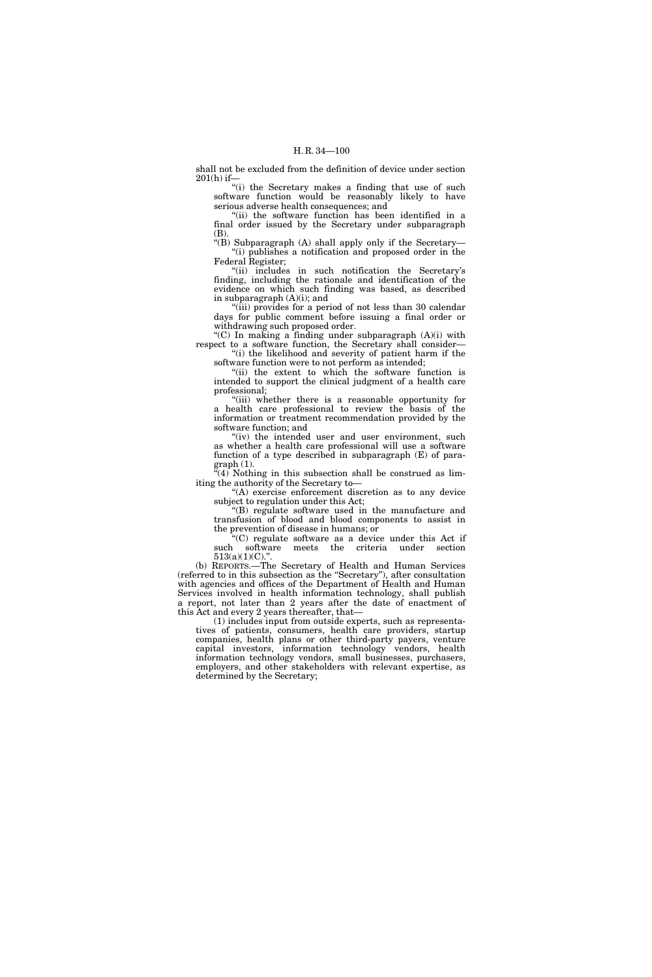shall not be excluded from the definition of device under section 201(h) if—

"(i) the Secretary makes a finding that use of such software function would be reasonably likely to have serious adverse health consequences; and

''(ii) the software function has been identified in a final order issued by the Secretary under subparagraph (B).

''(B) Subparagraph (A) shall apply only if the Secretary— ''(i) publishes a notification and proposed order in the Federal Register;

''(ii) includes in such notification the Secretary's finding, including the rationale and identification of the evidence on which such finding was based, as described in subparagraph (A)(i); and

''(iii) provides for a period of not less than 30 calendar days for public comment before issuing a final order or withdrawing such proposed order.

''(C) In making a finding under subparagraph (A)(i) with respect to a software function, the Secretary shall consider— ''(i) the likelihood and severity of patient harm if the

software function were to not perform as intended; ''(ii) the extent to which the software function is intended to support the clinical judgment of a health care

professional; ''(iii) whether there is a reasonable opportunity for a health care professional to review the basis of the information or treatment recommendation provided by the

software function; and "(iv) the intended user and user environment, such as whether a health care professional will use a software

function of a type described in subparagraph (E) of para $graph (1).$ 

 $\tilde{f}(4)$  Nothing in this subsection shall be construed as limiting the authority of the Secretary to—

"(A) exercise enforcement discretion as to any device subject to regulation under this Act;

''(B) regulate software used in the manufacture and transfusion of blood and blood components to assist in the prevention of disease in humans; or

''(C) regulate software as a device under this Act if such software meets the criteria under section 513(a)(1)(C).".

(b) REPORTS.—The Secretary of Health and Human Services (referred to in this subsection as the ''Secretary''), after consultation with agencies and offices of the Department of Health and Human Services involved in health information technology, shall publish a report, not later than 2 years after the date of enactment of this Act and every 2 years thereafter, that—

(1) includes input from outside experts, such as representatives of patients, consumers, health care providers, startup companies, health plans or other third-party payers, venture capital investors, information technology vendors, health information technology vendors, small businesses, purchasers, employers, and other stakeholders with relevant expertise, as determined by the Secretary;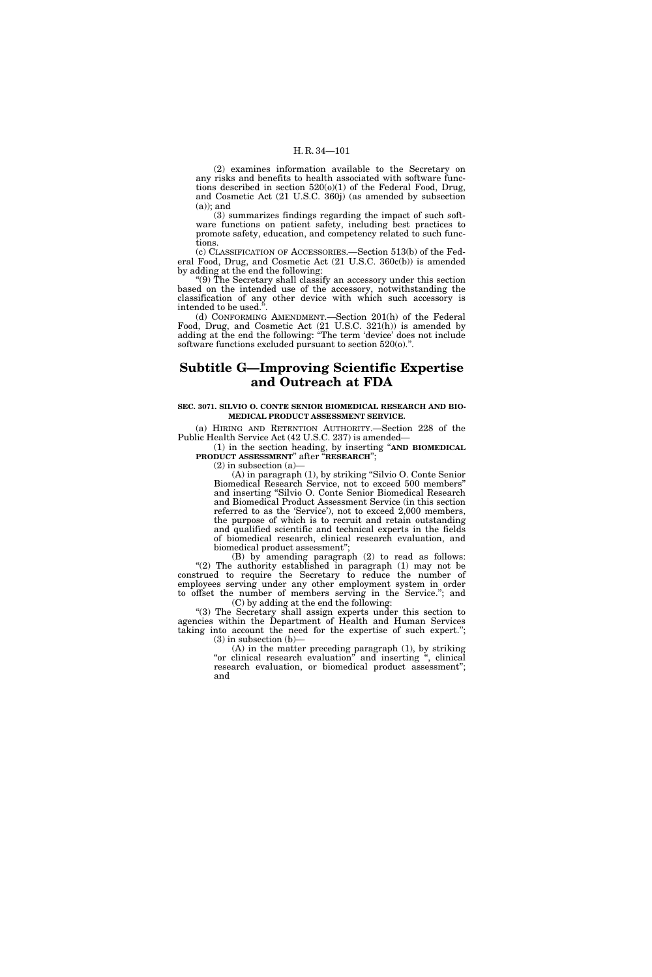(2) examines information available to the Secretary on any risks and benefits to health associated with software functions described in section  $520(0)(1)$  of the Federal Food, Drug, and Cosmetic Act (21 U.S.C. 360j) (as amended by subsection  $(a)$ ; and

(3) summarizes findings regarding the impact of such software functions on patient safety, including best practices to promote safety, education, and competency related to such functions.

(c) CLASSIFICATION OF ACCESSORIES.—Section 513(b) of the Federal Food, Drug, and Cosmetic Act (21 U.S.C. 360c(b)) is amended by adding at the end the following:

''(9) The Secretary shall classify an accessory under this section based on the intended use of the accessory, notwithstanding the classification of any other device with which such accessory is intended to be used."

(d) CONFORMING AMENDMENT.—Section 201(h) of the Federal Food, Drug, and Cosmetic Act (21 U.S.C. 321(h)) is amended by adding at the end the following: ''The term 'device' does not include software functions excluded pursuant to section 520(o).".

# **Subtitle G—Improving Scientific Expertise and Outreach at FDA**

## **SEC. 3071. SILVIO O. CONTE SENIOR BIOMEDICAL RESEARCH AND BIO-MEDICAL PRODUCT ASSESSMENT SERVICE.**

(a) HIRING AND RETENTION AUTHORITY.—Section 228 of the Public Health Service Act (42 U.S.C. 237) is amended—

(1) in the section heading, by inserting ''**AND BIOMEDICAL PRODUCT ASSESSMENT**'' after ''**RESEARCH**'';

 $(2)$  in subsection  $(a)$ 

(A) in paragraph (1), by striking ''Silvio O. Conte Senior Biomedical Research Service, not to exceed 500 members'' and inserting ''Silvio O. Conte Senior Biomedical Research and Biomedical Product Assessment Service (in this section referred to as the 'Service'), not to exceed 2,000 members, the purpose of which is to recruit and retain outstanding and qualified scientific and technical experts in the fields of biomedical research, clinical research evaluation, and biomedical product assessment'';

(B) by amending paragraph (2) to read as follows: "(2) The authority established in paragraph (1) may not be construed to require the Secretary to reduce the number of employees serving under any other employment system in order to offset the number of members serving in the Service.''; and (C) by adding at the end the following:

''(3) The Secretary shall assign experts under this section to agencies within the Department of Health and Human Services taking into account the need for the expertise of such expert.'';  $(3)$  in subsection  $(b)$ –

(A) in the matter preceding paragraph (1), by striking "or clinical research evaluation" and inserting ", clinical research evaluation, or biomedical product assessment''; and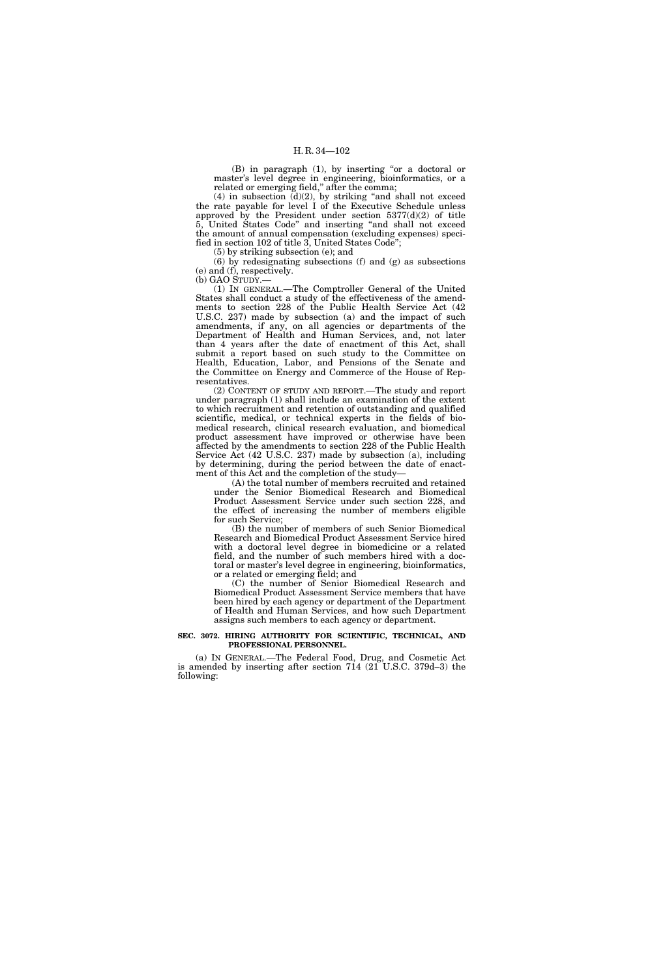(B) in paragraph (1), by inserting "or a doctoral or master's level degree in engineering, bioinformatics, or a related or emerging field," after the comma;

 $(4)$  in subsection  $(d)(2)$ , by striking "and shall not exceed the rate payable for level I of the Executive Schedule unless approved by the President under section  $5377(d)(2)$  of title 5, United States Code'' and inserting ''and shall not exceed the amount of annual compensation (excluding expenses) specified in section 102 of title 3, United States Code'';

(5) by striking subsection (e); and

(6) by redesignating subsections (f) and (g) as subsections (e) and (f), respectively.

(b) GAO STUDY.—

(1) IN GENERAL.—The Comptroller General of the United States shall conduct a study of the effectiveness of the amendments to section 228 of the Public Health Service Act (42 U.S.C. 237) made by subsection (a) and the impact of such amendments, if any, on all agencies or departments of the Department of Health and Human Services, and, not later than 4 years after the date of enactment of this Act, shall submit a report based on such study to the Committee on Health, Education, Labor, and Pensions of the Senate and the Committee on Energy and Commerce of the House of Representatives.

(2) CONTENT OF STUDY AND REPORT.—The study and report under paragraph (1) shall include an examination of the extent to which recruitment and retention of outstanding and qualified scientific, medical, or technical experts in the fields of biomedical research, clinical research evaluation, and biomedical product assessment have improved or otherwise have been affected by the amendments to section 228 of the Public Health Service Act (42 U.S.C. 237) made by subsection (a), including by determining, during the period between the date of enactment of this Act and the completion of the study—

(A) the total number of members recruited and retained under the Senior Biomedical Research and Biomedical Product Assessment Service under such section 228, and the effect of increasing the number of members eligible for such Service;

(B) the number of members of such Senior Biomedical Research and Biomedical Product Assessment Service hired with a doctoral level degree in biomedicine or a related field, and the number of such members hired with a doctoral or master's level degree in engineering, bioinformatics, or a related or emerging field; and

(C) the number of Senior Biomedical Research and Biomedical Product Assessment Service members that have been hired by each agency or department of the Department of Health and Human Services, and how such Department assigns such members to each agency or department.

## **SEC. 3072. HIRING AUTHORITY FOR SCIENTIFIC, TECHNICAL, AND PROFESSIONAL PERSONNEL.**

(a) IN GENERAL.—The Federal Food, Drug, and Cosmetic Act is amended by inserting after section 714 (21 U.S.C. 379d–3) the following: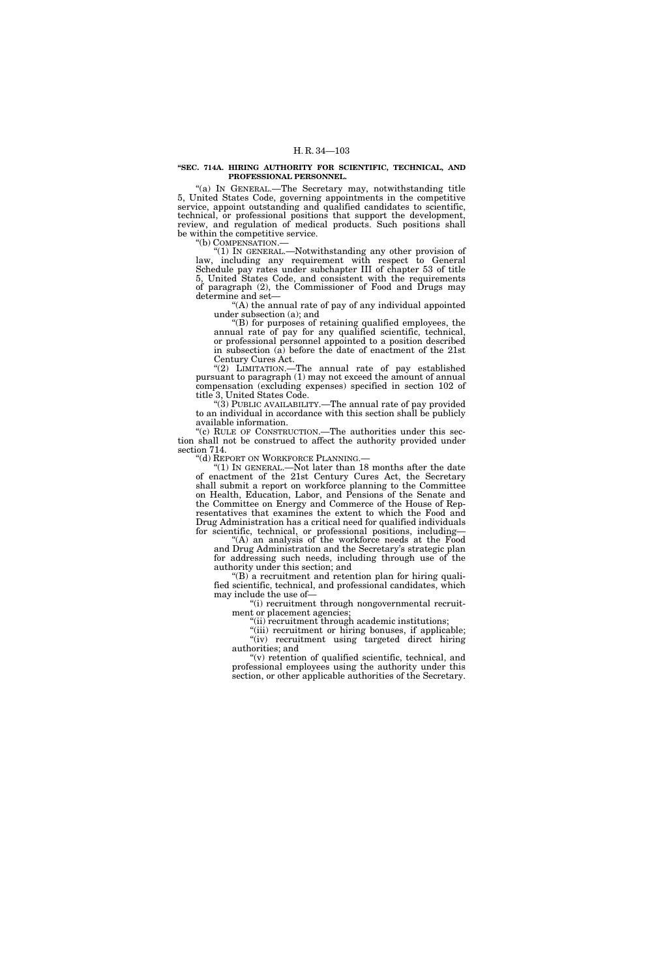## **''SEC. 714A. HIRING AUTHORITY FOR SCIENTIFIC, TECHNICAL, AND PROFESSIONAL PERSONNEL.**

"(a) IN GENERAL.-The Secretary may, notwithstanding title 5, United States Code, governing appointments in the competitive service, appoint outstanding and qualified candidates to scientific, technical, or professional positions that support the development, review, and regulation of medical products. Such positions shall be within the competitive service.<br>"(b) COMPENSATION.—

"(1) IN GENERAL.—Notwithstanding any other provision of law, including any requirement with respect to General Schedule pay rates under subchapter III of chapter 53 of title 5, United States Code, and consistent with the requirements of paragraph (2), the Commissioner of Food and Drugs may determine and set—

''(A) the annual rate of pay of any individual appointed under subsection (a); and

''(B) for purposes of retaining qualified employees, the annual rate of pay for any qualified scientific, technical, or professional personnel appointed to a position described in subsection  $(a)$  before the date of enactment of the 21st Century Cures Act.

"(2) LIMITATION.—The annual rate of pay established pursuant to paragraph (1) may not exceed the amount of annual compensation (excluding expenses) specified in section 102 of title 3, United States Code.

"(3) PUBLIC AVAILABILITY.—The annual rate of pay provided to an individual in accordance with this section shall be publicly available information.

"(c) RULE OF CONSTRUCTION.—The authorities under this section shall not be construed to affect the authority provided under section 714.

''(d) REPORT ON WORKFORCE PLANNING.—

''(1) IN GENERAL.—Not later than 18 months after the date of enactment of the 21st Century Cures Act, the Secretary shall submit a report on workforce planning to the Committee on Health, Education, Labor, and Pensions of the Senate and the Committee on Energy and Commerce of the House of Representatives that examines the extent to which the Food and Drug Administration has a critical need for qualified individuals for scientific, technical, or professional positions, including—

''(A) an analysis of the workforce needs at the Food and Drug Administration and the Secretary's strategic plan for addressing such needs, including through use of the authority under this section; and

''(B) a recruitment and retention plan for hiring qualified scientific, technical, and professional candidates, which may include the use of—

''(i) recruitment through nongovernmental recruitment or placement agencies;

"(ii) recruitment through academic institutions;

"(iii) recruitment or hiring bonuses, if applicable; "(iv) recruitment using targeted direct hiring authorities; and

 $(v)$  retention of qualified scientific, technical, and professional employees using the authority under this section, or other applicable authorities of the Secretary.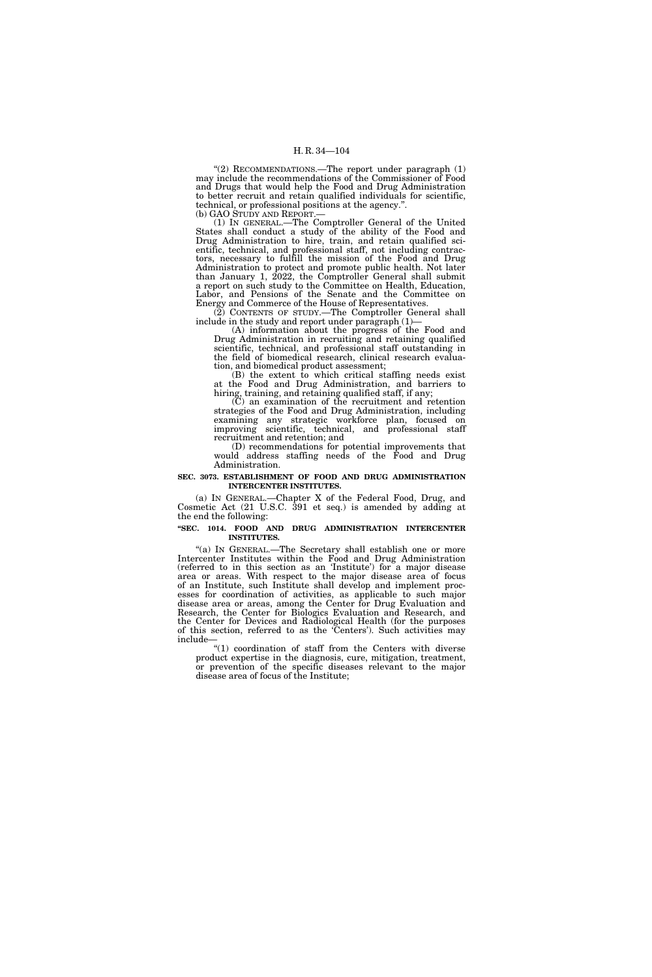"(2) RECOMMENDATIONS.—The report under paragraph (1) may include the recommendations of the Commissioner of Food and Drugs that would help the Food and Drug Administration to better recruit and retain qualified individuals for scientific, technical, or professional positions at the agency.".<br>(b) GAO STUDY AND REPORT.—

(1) IN GENERAL.—The Comptroller General of the United States shall conduct a study of the ability of the Food and Drug Administration to hire, train, and retain qualified scientific, technical, and professional staff, not including contractors, necessary to fulfill the mission of the Food and Drug Administration to protect and promote public health. Not later than January 1, 2022, the Comptroller General shall submit a report on such study to the Committee on Health, Education, Labor, and Pensions of the Senate and the Committee on Energy and Commerce of the House of Representatives.

(2) CONTENTS OF STUDY.—The Comptroller General shall include in the study and report under paragraph (1)—

(A) information about the progress of the Food and Drug Administration in recruiting and retaining qualified scientific, technical, and professional staff outstanding in the field of biomedical research, clinical research evaluation, and biomedical product assessment;

(B) the extent to which critical staffing needs exist at the Food and Drug Administration, and barriers to hiring, training, and retaining qualified staff, if any;

(C) an examination of the recruitment and retention strategies of the Food and Drug Administration, including examining any strategic workforce plan, focused on improving scientific, technical, and professional staff recruitment and retention; and

(D) recommendations for potential improvements that would address staffing needs of the Food and Drug Administration.

#### **SEC. 3073. ESTABLISHMENT OF FOOD AND DRUG ADMINISTRATION INTERCENTER INSTITUTES.**

(a) IN GENERAL.—Chapter X of the Federal Food, Drug, and Cosmetic Act (21 U.S.C. 391 et seq.) is amended by adding at the end the following:

## **''SEC. 1014. FOOD AND DRUG ADMINISTRATION INTERCENTER INSTITUTES.**

''(a) IN GENERAL.—The Secretary shall establish one or more Intercenter Institutes within the Food and Drug Administration (referred to in this section as an 'Institute') for a major disease area or areas. With respect to the major disease area of focus of an Institute, such Institute shall develop and implement processes for coordination of activities, as applicable to such major disease area or areas, among the Center for Drug Evaluation and Research, the Center for Biologics Evaluation and Research, and the Center for Devices and Radiological Health (for the purposes of this section, referred to as the 'Centers'). Such activities may include—

''(1) coordination of staff from the Centers with diverse product expertise in the diagnosis, cure, mitigation, treatment, or prevention of the specific diseases relevant to the major disease area of focus of the Institute;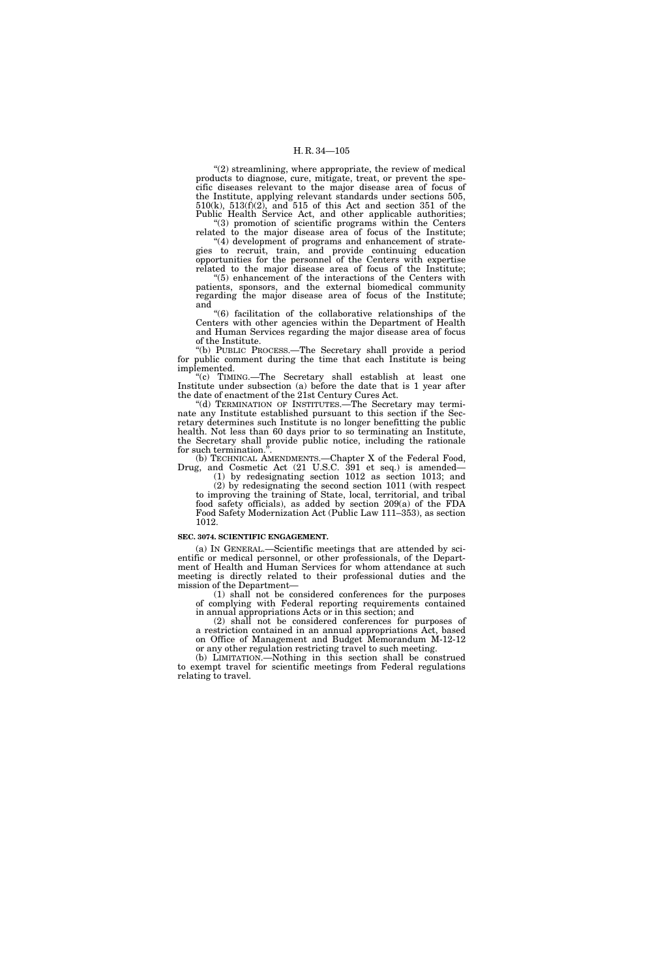$"(2)$  streamlining, where appropriate, the review of medical products to diagnose, cure, mitigate, treat, or prevent the specific diseases relevant to the major disease area of focus of the Institute, applying relevant standards under sections 505,  $510(k)$ ,  $513(f)(2)$ , and  $515$  of this Act and section  $351$  of the Public Health Service Act, and other applicable authorities; ''(3) promotion of scientific programs within the Centers

related to the major disease area of focus of the Institute; "(4) development of programs and enhancement of strate-

gies to recruit, train, and provide continuing education opportunities for the personnel of the Centers with expertise related to the major disease area of focus of the Institute;

''(5) enhancement of the interactions of the Centers with patients, sponsors, and the external biomedical community regarding the major disease area of focus of the Institute; and

''(6) facilitation of the collaborative relationships of the Centers with other agencies within the Department of Health and Human Services regarding the major disease area of focus of the Institute.

''(b) PUBLIC PROCESS.—The Secretary shall provide a period for public comment during the time that each Institute is being implemented.

''(c) TIMING.—The Secretary shall establish at least one Institute under subsection (a) before the date that is 1 year after the date of enactment of the 21st Century Cures Act.

''(d) TERMINATION OF INSTITUTES.—The Secretary may terminate any Institute established pursuant to this section if the Secretary determines such Institute is no longer benefitting the public health. Not less than 60 days prior to so terminating an Institute, the Secretary shall provide public notice, including the rationale for such termination.

(b) TECHNICAL AMENDMENTS.—Chapter X of the Federal Food, Drug, and Cosmetic Act (21 U.S.C. 391 et seq.) is amended—

(1) by redesignating section 1012 as section 1013; and (2) by redesignating the second section 1011 (with respect to improving the training of State, local, territorial, and tribal food safety officials), as added by section 209(a) of the FDA Food Safety Modernization Act (Public Law 111–353), as section 1012.

#### **SEC. 3074. SCIENTIFIC ENGAGEMENT.**

(a) IN GENERAL.—Scientific meetings that are attended by scientific or medical personnel, or other professionals, of the Department of Health and Human Services for whom attendance at such meeting is directly related to their professional duties and the mission of the Department—

(1) shall not be considered conferences for the purposes of complying with Federal reporting requirements contained in annual appropriations Acts or in this section; and

(2) shall not be considered conferences for purposes of a restriction contained in an annual appropriations Act, based on Office of Management and Budget Memorandum M-12-12 or any other regulation restricting travel to such meeting.

(b) LIMITATION.—Nothing in this section shall be construed to exempt travel for scientific meetings from Federal regulations relating to travel.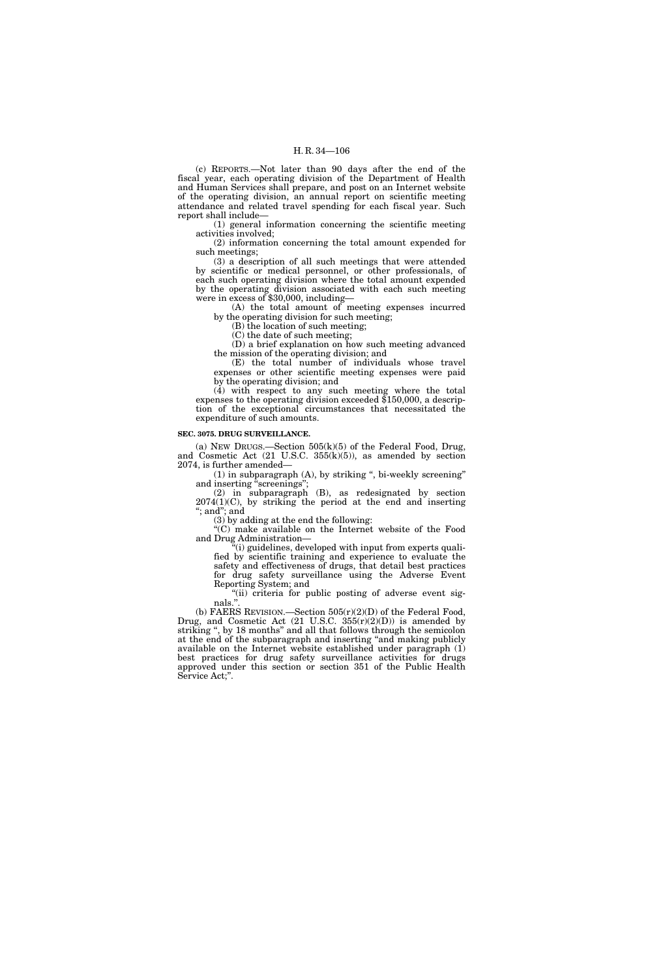(c) REPORTS.—Not later than 90 days after the end of the fiscal year, each operating division of the Department of Health and Human Services shall prepare, and post on an Internet website of the operating division, an annual report on scientific meeting attendance and related travel spending for each fiscal year. Such report shall include—

(1) general information concerning the scientific meeting activities involved;

(2) information concerning the total amount expended for such meetings;

(3) a description of all such meetings that were attended by scientific or medical personnel, or other professionals, of each such operating division where the total amount expended by the operating division associated with each such meeting were in excess of \$30,000, including—

(A) the total amount of meeting expenses incurred by the operating division for such meeting;

(B) the location of such meeting;

(C) the date of such meeting;

(D) a brief explanation on how such meeting advanced the mission of the operating division; and

(E) the total number of individuals whose travel expenses or other scientific meeting expenses were paid by the operating division; and

(4) with respect to any such meeting where the total expenses to the operating division exceeded \$150,000, a description of the exceptional circumstances that necessitated the expenditure of such amounts.

#### **SEC. 3075. DRUG SURVEILLANCE.**

(a) NEW DRUGS.—Section  $505(k)(5)$  of the Federal Food, Drug, and Cosmetic Act (21 U.S.C. 355(k)(5)), as amended by section 2074, is further amended—

 $(1)$  in subparagraph  $(A)$ , by striking ", bi-weekly screening" and inserting "screenings";

(2) in subparagraph (B), as redesignated by section  $2074(1)(C)$ , by striking the period at the end and inserting ''; and''; and

(3) by adding at the end the following:

"(C) make available on the Internet website of the Food and Drug Administration—

(i) guidelines, developed with input from experts qualified by scientific training and experience to evaluate the safety and effectiveness of drugs, that detail best practices for drug safety surveillance using the Adverse Event Reporting System; and Reporting System; and

"(ii) criteria for public posting of adverse event signals.''.

(b) FAERS REVISION.—Section 505(r)(2)(D) of the Federal Food, Drug, and Cosmetic Act  $(21 \text{ U.S.C. } 355(\text{r})(2)(\text{D}))$  is amended by striking ", by 18 months" and all that follows through the semicolon at the end of the subparagraph and inserting ''and making publicly available on the Internet website established under paragraph (1) best practices for drug safety surveillance activities for drugs approved under this section or section 351 of the Public Health Service Act;''.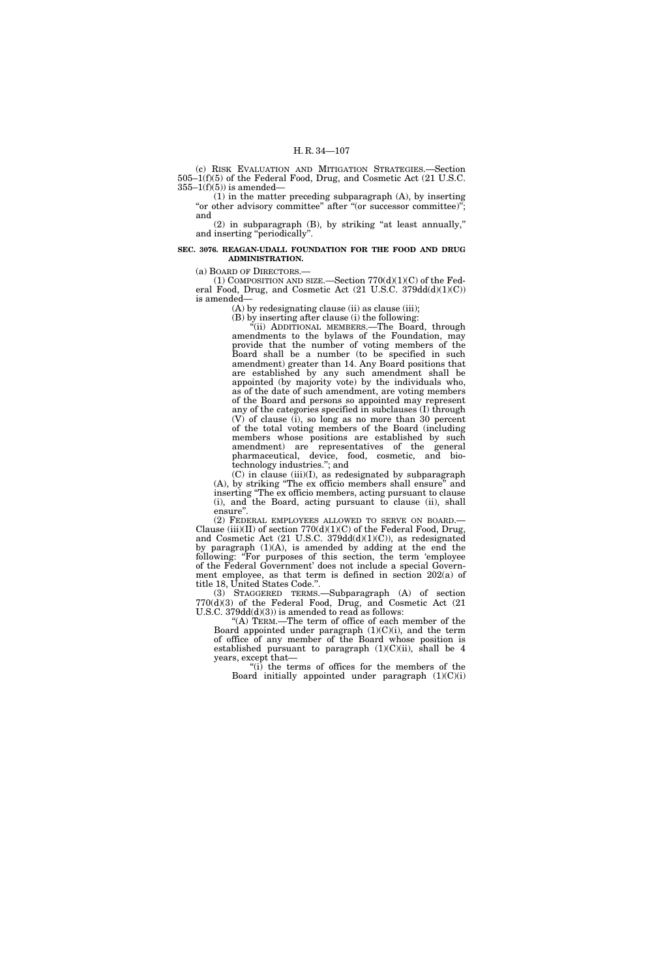(c) RISK EVALUATION AND MITIGATION STRATEGIES.—Section 505–1(f)(5) of the Federal Food, Drug, and Cosmetic Act (21 U.S.C.  $355-1(f)(5)$  is amended—

(1) in the matter preceding subparagraph (A), by inserting "or other advisory committee" after "(or successor committee)"; and

(2) in subparagraph (B), by striking ''at least annually,'' and inserting ''periodically''.

## **SEC. 3076. REAGAN-UDALL FOUNDATION FOR THE FOOD AND DRUG ADMINISTRATION.**

(a) BOARD OF DIRECTORS.—

(1) COMPOSITION AND SIZE.—Section  $770(d)(1)(C)$  of the Federal Food, Drug, and Cosmetic Act  $(21 \text{ U.S.C. } 379\text{dd}(d)(1)(C))$ is amended—

(A) by redesignating clause (ii) as clause (iii);

(B) by inserting after clause (i) the following:

''(ii) ADDITIONAL MEMBERS.—The Board, through amendments to the bylaws of the Foundation, may provide that the number of voting members of the Board shall be a number (to be specified in such amendment) greater than 14. Any Board positions that are established by any such amendment shall be appointed (by majority vote) by the individuals who, as of the date of such amendment, are voting members of the Board and persons so appointed may represent any of the categories specified in subclauses (I) through (V) of clause (i), so long as no more than 30 percent of the total voting members of the Board (including members whose positions are established by such amendment) are representatives of the general pharmaceutical, device, food, cosmetic, and biotechnology industries.''; and

 $(C)$  in clause (iii)(I), as redesignated by subparagraph (A), by striking ''The ex officio members shall ensure'' and inserting "The ex officio members, acting pursuant to clause (i), and the Board, acting pursuant to clause (ii), shall ensure''.

(2) FEDERAL EMPLOYEES ALLOWED TO SERVE ON BOARD.— Clause (iii)(II) of section  $770(d)(1)(C)$  of the Federal Food, Drug, and Cosmetic Act  $(21 \text{ U.S.C. } 379\text{dd}(d)(1)(C))$ , as redesignated by paragraph (1)(A), is amended by adding at the end the following: "For purposes of this section, the term 'employee of the Federal Government' does not include a special Government employee, as that term is defined in section 202(a) of title 18, United States Code.''.

(3) STAGGERED TERMS.—Subparagraph (A) of section 770(d)(3) of the Federal Food, Drug, and Cosmetic Act (21 U.S.C.  $379dd(d)(3)$ ) is amended to read as follows:

''(A) TERM.—The term of office of each member of the Board appointed under paragraph  $(1)(C)(i)$ , and the term of office of any member of the Board whose position is established pursuant to paragraph  $(1)(C)(ii)$ , shall be 4 years, except that—

"(i) the terms of offices for the members of the Board initially appointed under paragraph  $(1)(C)(i)$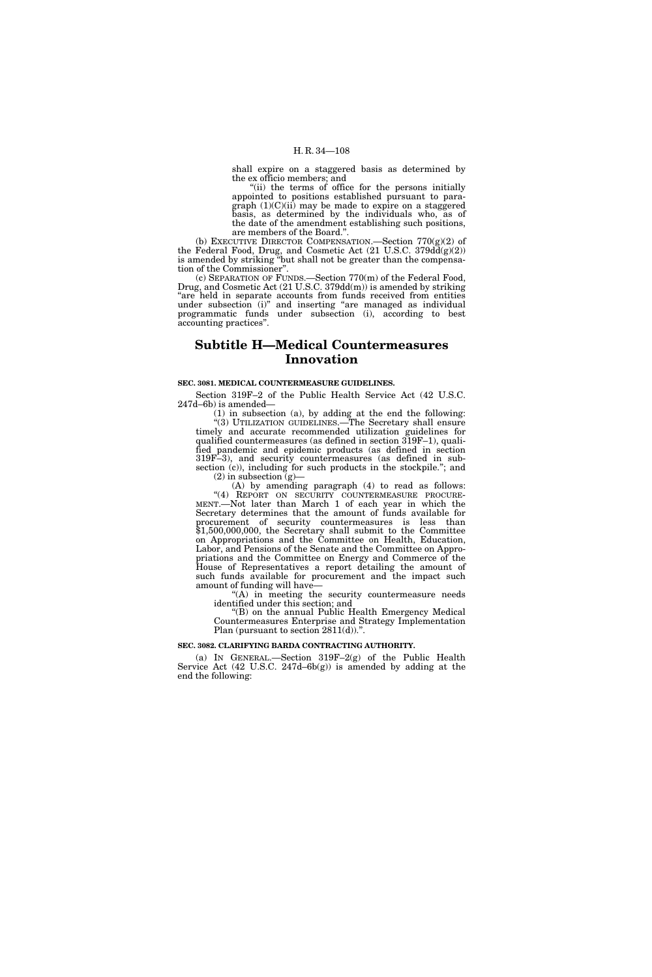shall expire on a staggered basis as determined by the ex officio members; and

"(ii) the terms of office for the persons initially appointed to positions established pursuant to paragraph (1)(C)(ii) may be made to expire on a staggered basis, as determined by the individuals who, as of the date of the amendment establishing such positions, are members of the Board.''.

(b) EXECUTIVE DIRECTOR COMPENSATION.—Section  $770(g)(2)$  of the Federal Food, Drug, and Cosmetic Act (21 U.S.C. 379dd(g)(2)) is amended by striking ''but shall not be greater than the compensation of the Commissioner''.

(c) SEPARATION OF FUNDS.—Section 770(m) of the Federal Food, Drug, and Cosmetic Act (21 U.S.C. 379dd(m)) is amended by striking "are held in separate accounts from funds received from entities under subsection (i)" and inserting "are managed as individual programmatic funds under subsection (i), according to best accounting practices''.

# **Subtitle H—Medical Countermeasures Innovation**

## **SEC. 3081. MEDICAL COUNTERMEASURE GUIDELINES.**

Section 319F–2 of the Public Health Service Act (42 U.S.C. 247d–6b) is amended—

(1) in subsection (a), by adding at the end the following: ''(3) UTILIZATION GUIDELINES.—The Secretary shall ensure timely and accurate recommended utilization guidelines for qualified countermeasures (as defined in section 319F–1), qualified pandemic and epidemic products (as defined in section 319F–3), and security countermeasures (as defined in subsection (c)), including for such products in the stockpile."; and

 $(2)$  in subsection  $(g)$ 

 $(A)$  by amending paragraph  $(A)$  to read as follows: ''(4) REPORT ON SECURITY COUNTERMEASURE PROCURE- MENT.—Not later than March 1 of each year in which the Secretary determines that the amount of funds available for procurement of security countermeasures is less than \$1,500,000,000, the Secretary shall submit to the Committee on Appropriations and the Committee on Health, Education, Labor, and Pensions of the Senate and the Committee on Appropriations and the Committee on Energy and Commerce of the House of Representatives a report detailing the amount of such funds available for procurement and the impact such amount of funding will have—

"(A) in meeting the security countermeasure needs identified under this section; and

'(B) on the annual Public Health Emergency Medical Countermeasures Enterprise and Strategy Implementation Plan (pursuant to section 2811(d)).".

## **SEC. 3082. CLARIFYING BARDA CONTRACTING AUTHORITY.**

(a) IN GENERAL.—Section 319F–2(g) of the Public Health Service Act (42 U.S.C. 247d–6b(g)) is amended by adding at the end the following: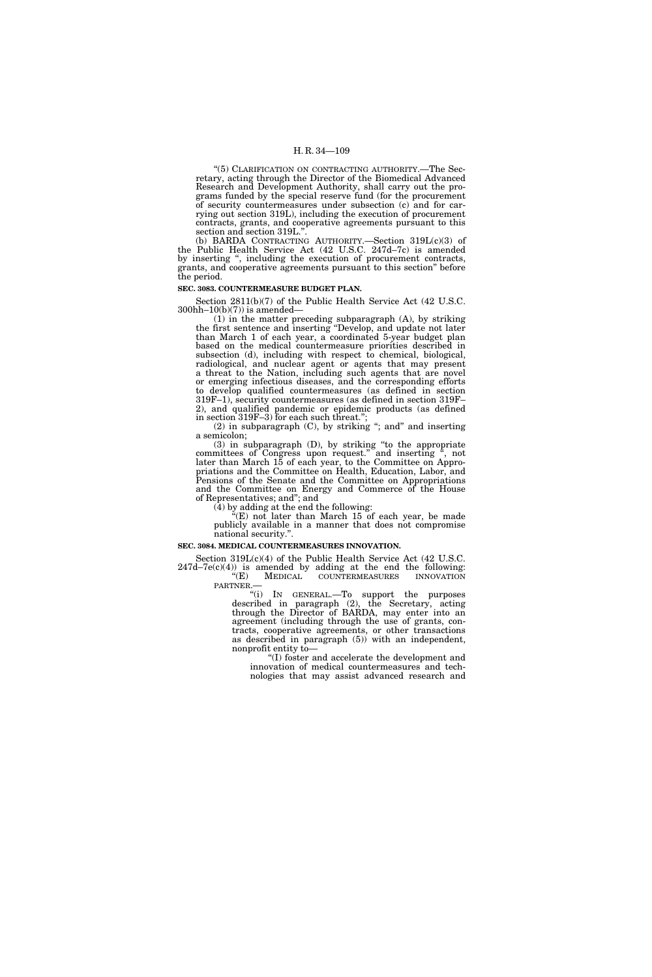"(5) CLARIFICATION ON CONTRACTING AUTHORITY.—The Secretary, acting through the Director of the Biomedical Advanced Research and Development Authority, shall carry out the programs funded by the special reserve fund (for the procurement of security countermeasures under subsection (c) and for carrying out section 319L), including the execution of procurement contracts, grants, and cooperative agreements pursuant to this section and section 319L."

(b) BARDA CONTRACTING AUTHORITY.—Section 319L(c)(3) of the Public Health Service Act (42 U.S.C. 247d–7c) is amended by inserting ", including the execution of procurement contracts, grants, and cooperative agreements pursuant to this section'' before the period.

#### **SEC. 3083. COUNTERMEASURE BUDGET PLAN.**

Section 2811(b)(7) of the Public Health Service Act (42 U.S.C.  $300hh-10(b)(7)$  is amended—

(1) in the matter preceding subparagraph (A), by striking the first sentence and inserting ''Develop, and update not later than March 1 of each year, a coordinated 5-year budget plan based on the medical countermeasure priorities described in subsection (d), including with respect to chemical, biological, radiological, and nuclear agent or agents that may present a threat to the Nation, including such agents that are novel or emerging infectious diseases, and the corresponding efforts to develop qualified countermeasures (as defined in section 319F–1), security countermeasures (as defined in section 319F– 2), and qualified pandemic or epidemic products (as defined in section 319F–3) for each such threat.'';

(2) in subparagraph (C), by striking ''; and'' and inserting a semicolon;

(3) in subparagraph (D), by striking ''to the appropriate committees of Congress upon request." and inserting ", not later than March 15 of each year, to the Committee on Appropriations and the Committee on Health, Education, Labor, and Pensions of the Senate and the Committee on Appropriations and the Committee on Energy and Commerce of the House of Representatives; and''; and

(4) by adding at the end the following:

''(E) not later than March 15 of each year, be made publicly available in a manner that does not compromise national security.''.

#### **SEC. 3084. MEDICAL COUNTERMEASURES INNOVATION.**

Section 319L(c)(4) of the Public Health Service Act (42 U.S.C.

 $247d-7e(c)(4)$  is amended by adding at the end the following: ''(E) MEDICAL COUNTERMEASURES INNOVATION PARTNER.—

''(i) IN GENERAL.—To support the purposes described in paragraph (2), the Secretary, acting through the Director of BARDA, may enter into an agreement (including through the use of grants, contracts, cooperative agreements, or other transactions as described in paragraph (5)) with an independent, nonprofit entity to—

''(I) foster and accelerate the development and innovation of medical countermeasures and technologies that may assist advanced research and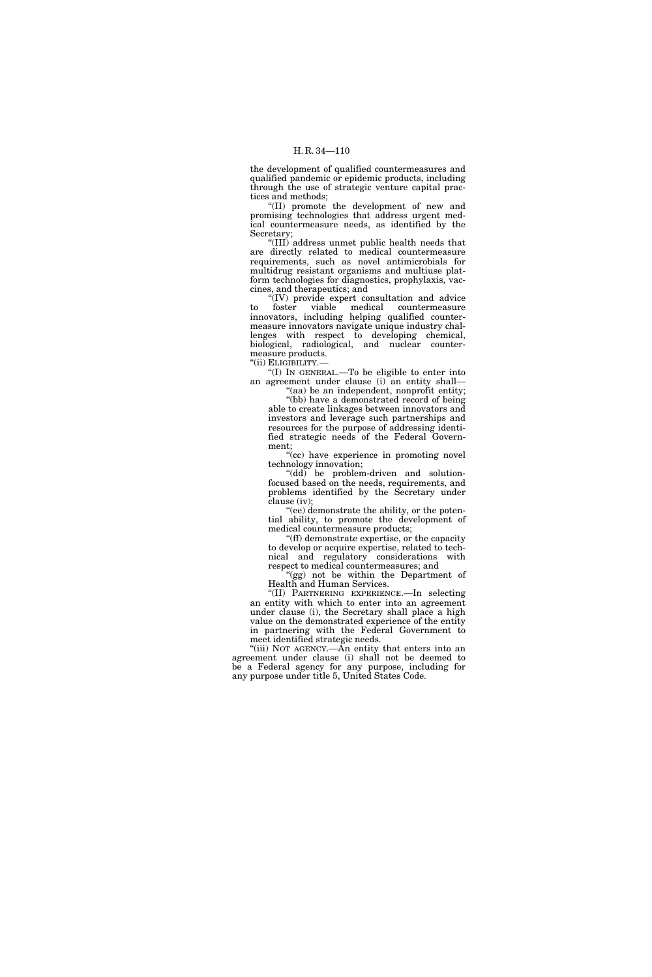the development of qualified countermeasures and qualified pandemic or epidemic products, including through the use of strategic venture capital practices and methods;

''(II) promote the development of new and promising technologies that address urgent medical countermeasure needs, as identified by the Secretary;

''(III) address unmet public health needs that are directly related to medical countermeasure requirements, such as novel antimicrobials for multidrug resistant organisms and multiuse platform technologies for diagnostics, prophylaxis, vaccines, and therapeutics; and

 $(IV)$  provide expert consultation and advice  $f_{\text{oster}}$  viable medical countermeasure to foster viable medical countermeasure innovators, including helping qualified countermeasure innovators navigate unique industry challenges with respect to developing chemical, biological, radiological, and nuclear countermeasure products.

''(ii) ELIGIBILITY.—

''(I) IN GENERAL.—To be eligible to enter into an agreement under clause (i) an entity shall— ''(aa) be an independent, nonprofit entity;

''(bb) have a demonstrated record of being able to create linkages between innovators and investors and leverage such partnerships and resources for the purpose of addressing identified strategic needs of the Federal Government;

''(cc) have experience in promoting novel technology innovation;

"(dd) be problem-driven and solutionfocused based on the needs, requirements, and problems identified by the Secretary under clause (iv);

''(ee) demonstrate the ability, or the potential ability, to promote the development of medical countermeasure products;

''(ff) demonstrate expertise, or the capacity to develop or acquire expertise, related to technical and regulatory considerations with respect to medical countermeasures; and

''(gg) not be within the Department of Health and Human Services.

''(II) PARTNERING EXPERIENCE.—In selecting an entity with which to enter into an agreement under clause (i), the Secretary shall place a high value on the demonstrated experience of the entity in partnering with the Federal Government to meet identified strategic needs.

"(iii) NOT AGENCY.—An entity that enters into an agreement under clause (i) shall not be deemed to be a Federal agency for any purpose, including for any purpose under title 5, United States Code.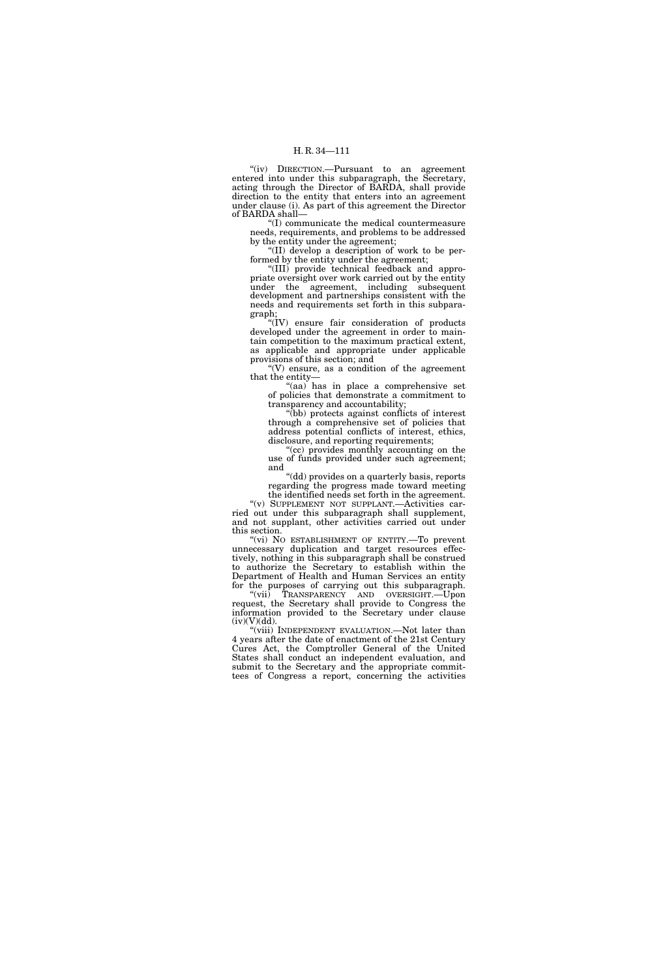"(iv) DIRECTION.--Pursuant to an agreement entered into under this subparagraph, the Secretary, acting through the Director of BARDA, shall provide direction to the entity that enters into an agreement under clause (i). As part of this agreement the Director of BARDA shall—

''(I) communicate the medical countermeasure needs, requirements, and problems to be addressed by the entity under the agreement;

''(II) develop a description of work to be performed by the entity under the agreement;

''(III) provide technical feedback and appropriate oversight over work carried out by the entity under the agreement, including subsequent development and partnerships consistent with the needs and requirements set forth in this subparagraph;

''(IV) ensure fair consideration of products developed under the agreement in order to maintain competition to the maximum practical extent, as applicable and appropriate under applicable provisions of this section; and

" $(V)$  ensure, as a condition of the agreement that the entity—

'(aa) has in place a comprehensive set of policies that demonstrate a commitment to transparency and accountability;

''(bb) protects against conflicts of interest through a comprehensive set of policies that address potential conflicts of interest, ethics, disclosure, and reporting requirements;

''(cc) provides monthly accounting on the use of funds provided under such agreement; and

"(dd) provides on a quarterly basis, reports regarding the progress made toward meeting the identified needs set forth in the agreement.

''(v) SUPPLEMENT NOT SUPPLANT.—Activities carried out under this subparagraph shall supplement, and not supplant, other activities carried out under this section.

"(vi) NO ESTABLISHMENT OF ENTITY.—To prevent unnecessary duplication and target resources effectively, nothing in this subparagraph shall be construed to authorize the Secretary to establish within the Department of Health and Human Services an entity for the purposes of carrying out this subparagraph.

''(vii) TRANSPARENCY AND OVERSIGHT.—Upon request, the Secretary shall provide to Congress the information provided to the Secretary under clause  $(iv)(V)(dd)$ .

''(viii) INDEPENDENT EVALUATION.—Not later than 4 years after the date of enactment of the 21st Century Cures Act, the Comptroller General of the United States shall conduct an independent evaluation, and submit to the Secretary and the appropriate committees of Congress a report, concerning the activities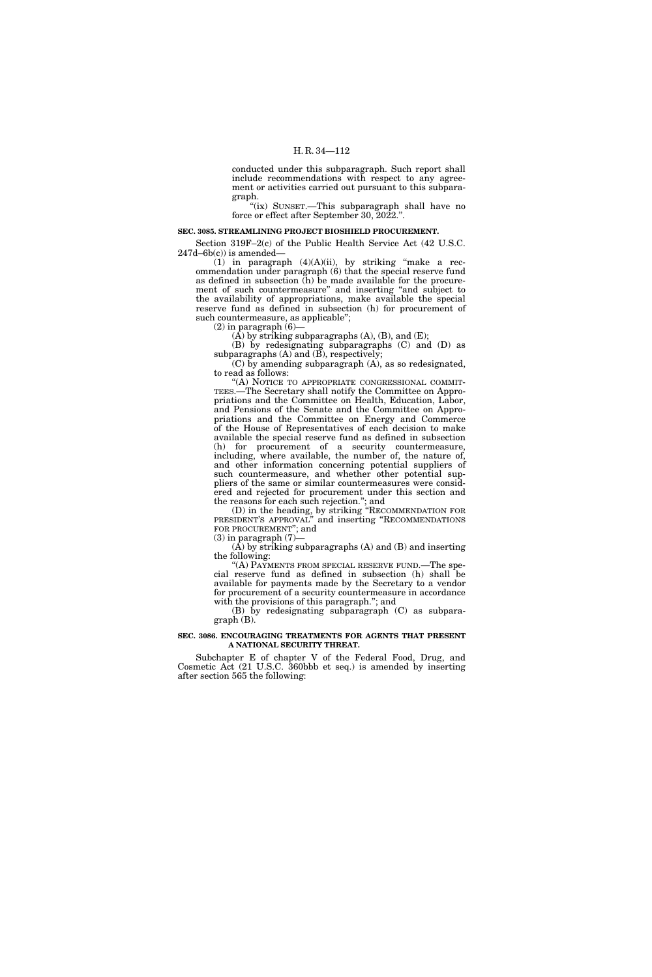conducted under this subparagraph. Such report shall include recommendations with respect to any agreement or activities carried out pursuant to this subparagraph.

''(ix) SUNSET.—This subparagraph shall have no force or effect after September 30, 2022.''.

#### **SEC. 3085. STREAMLINING PROJECT BIOSHIELD PROCUREMENT.**

Section 319F–2(c) of the Public Health Service Act (42 U.S.C.  $247d-6b(c)$ ) is amended-

(1) in paragraph  $(4)(A)(ii)$ , by striking "make a recommendation under paragraph (6) that the special reserve fund as defined in subsection (h) be made available for the procurement of such countermeasure'' and inserting ''and subject to the availability of appropriations, make available the special reserve fund as defined in subsection (h) for procurement of such countermeasure, as applicable'';

 $(2)$  in paragraph  $(6)$ -

 $(A)$  by striking subparagraphs  $(A)$ ,  $(B)$ , and  $(E)$ ;

(B) by redesignating subparagraphs (C) and (D) as subparagraphs  $(A)$  and  $(B)$ , respectively;

(C) by amending subparagraph (A), as so redesignated, to read as follows:

''(A) NOTICE TO APPROPRIATE CONGRESSIONAL COMMIT-TEES.—The Secretary shall notify the Committee on Appropriations and the Committee on Health, Education, Labor, and Pensions of the Senate and the Committee on Appropriations and the Committee on Energy and Commerce of the House of Representatives of each decision to make available the special reserve fund as defined in subsection (h) for procurement of a security countermeasure, including, where available, the number of, the nature of, and other information concerning potential suppliers of such countermeasure, and whether other potential suppliers of the same or similar countermeasures were considered and rejected for procurement under this section and the reasons for each such rejection.''; and

(D) in the heading, by striking ''RECOMMENDATION FOR PRESIDENT'S APPROVAL'' and inserting ''RECOMMENDATIONS FOR PROCUREMENT''; and

 $(3)$  in paragraph  $(7)$ –

(A) by striking subparagraphs (A) and (B) and inserting the following:

''(A) PAYMENTS FROM SPECIAL RESERVE FUND.—The special reserve fund as defined in subsection (h) shall be available for payments made by the Secretary to a vendor for procurement of a security countermeasure in accordance with the provisions of this paragraph."; and

(B) by redesignating subparagraph (C) as subparagraph (B).

## **SEC. 3086. ENCOURAGING TREATMENTS FOR AGENTS THAT PRESENT A NATIONAL SECURITY THREAT.**

Subchapter E of chapter V of the Federal Food, Drug, and Cosmetic Act (21 U.S.C. 360bbb et seq.) is amended by inserting after section 565 the following: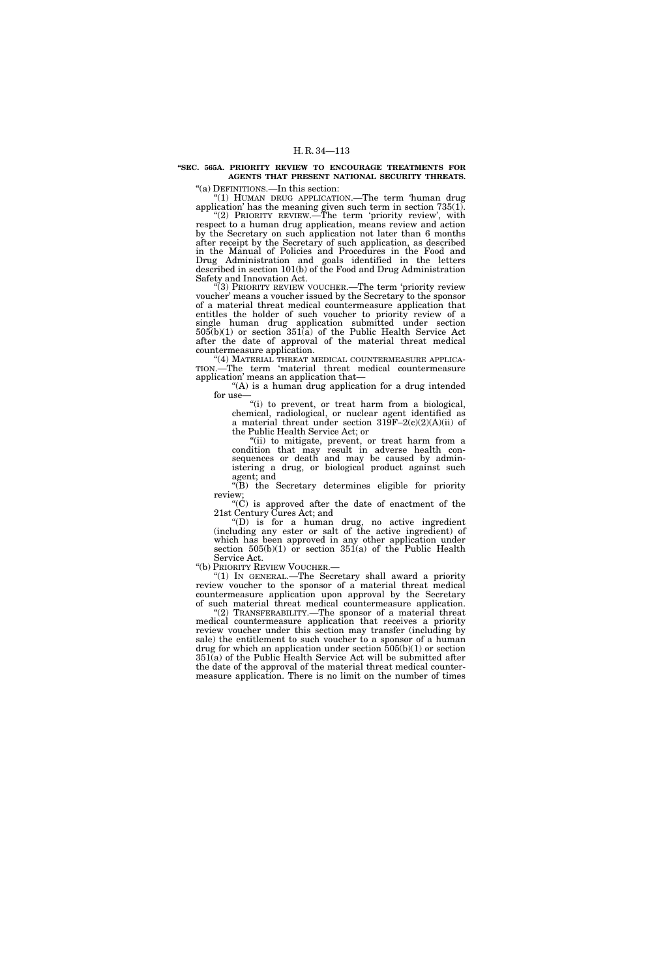# **''SEC. 565A. PRIORITY REVIEW TO ENCOURAGE TREATMENTS FOR AGENTS THAT PRESENT NATIONAL SECURITY THREATS.**

''(a) DEFINITIONS.—In this section:

''(1) HUMAN DRUG APPLICATION.—The term 'human drug application' has the meaning given such term in section 735(1). "(2) PRIORITY REVIEW.—The term 'priority review', with

respect to a human drug application, means review and action by the Secretary on such application not later than 6 months after receipt by the Secretary of such application, as described in the Manual of Policies and Procedures in the Food and Drug Administration and goals identified in the letters described in section 101(b) of the Food and Drug Administration Safety and Innovation Act.

(3) PRIORITY REVIEW VOUCHER.—The term 'priority review voucher' means a voucher issued by the Secretary to the sponsor of a material threat medical countermeasure application that entitles the holder of such voucher to priority review of a single human drug application submitted under section  $505(b)(1)$  or section  $351(a)$  of the Public Health Service Act after the date of approval of the material threat medical countermeasure application.

"(4) MATERIAL THREAT MEDICAL COUNTERMEASURE APPLICA-TION.—The term 'material threat medical countermeasure application' means an application that—

"(A) is a human drug application for a drug intended for use-

"(i) to prevent, or treat harm from a biological, chemical, radiological, or nuclear agent identified as a material threat under section  $319F-2(c)(2)(A)(ii)$  of the Public Health Service Act; or

"(ii) to mitigate, prevent, or treat harm from a condition that may result in adverse health consequences or death and may be caused by administering a drug, or biological product against such agent; and

''(B) the Secretary determines eligible for priority review;

''(C) is approved after the date of enactment of the 21st Century Cures Act; and

''(D) is for a human drug, no active ingredient (including any ester or salt of the active ingredient) of which has been approved in any other application under section  $505(b)(1)$  or section  $351(a)$  of the Public Health

Service Act.<br>"(b) Priority Review Voucher.—

"(1) In GENERAL.—The Secretary shall award a priority review voucher to the sponsor of a material threat medical countermeasure application upon approval by the Secretary of such material threat medical countermeasure application.

(2) TRANSFERABILITY.—The sponsor of a material threat medical countermeasure application that receives a priority review voucher under this section may transfer (including by sale) the entitlement to such voucher to a sponsor of a human drug for which an application under section 505(b)(1) or section 351(a) of the Public Health Service Act will be submitted after the date of the approval of the material threat medical countermeasure application. There is no limit on the number of times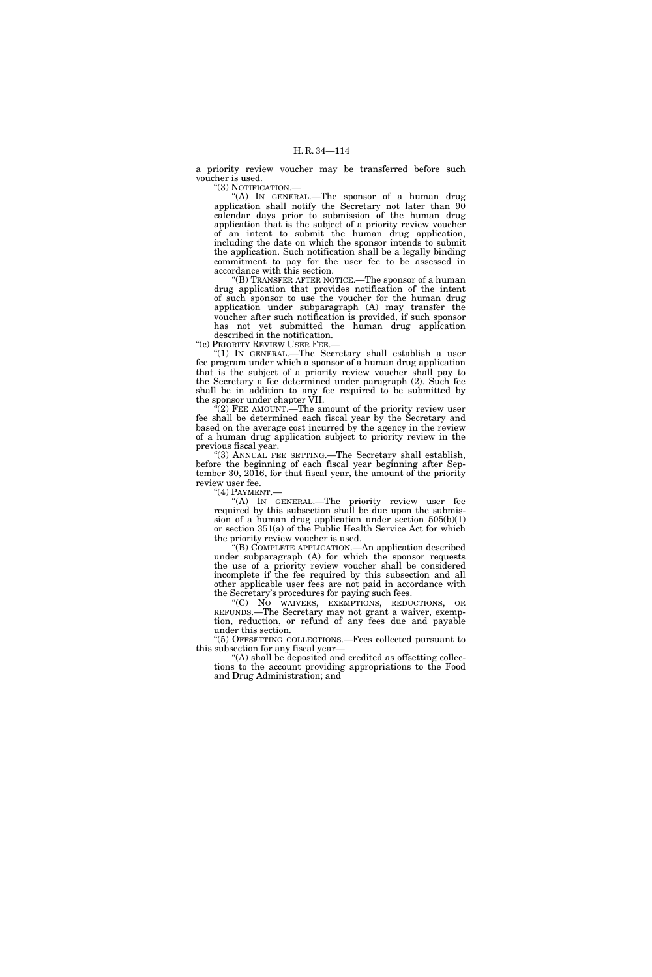a priority review voucher may be transferred before such voucher is used.

''(3) NOTIFICATION.—

"(A) In GENERAL.—The sponsor of a human drug application shall notify the Secretary not later than 90 calendar days prior to submission of the human drug application that is the subject of a priority review voucher of an intent to submit the human drug application, including the date on which the sponsor intends to submit the application. Such notification shall be a legally binding commitment to pay for the user fee to be assessed in accordance with this section.

''(B) TRANSFER AFTER NOTICE.—The sponsor of a human drug application that provides notification of the intent of such sponsor to use the voucher for the human drug application under subparagraph (A) may transfer the voucher after such notification is provided, if such sponsor has not yet submitted the human drug application

described in the notification. ''(c) PRIORITY REVIEW USER FEE.—

''(1) IN GENERAL.—The Secretary shall establish a user fee program under which a sponsor of a human drug application that is the subject of a priority review voucher shall pay to the Secretary a fee determined under paragraph (2). Such fee shall be in addition to any fee required to be submitted by the sponsor under chapter VII.

 $\tilde{f}(2)$  FEE AMOUNT.—The amount of the priority review user fee shall be determined each fiscal year by the Secretary and based on the average cost incurred by the agency in the review of a human drug application subject to priority review in the previous fiscal year.

''(3) ANNUAL FEE SETTING.—The Secretary shall establish, before the beginning of each fiscal year beginning after September 30, 2016, for that fiscal year, the amount of the priority review user fee.

"(4) PAYMENT.-

''(A) IN GENERAL.—The priority review user fee required by this subsection shall be due upon the submission of a human drug application under section  $505(b)(1)$ or section 351(a) of the Public Health Service Act for which the priority review voucher is used.

''(B) COMPLETE APPLICATION.—An application described under subparagraph (A) for which the sponsor requests the use of a priority review voucher shall be considered incomplete if the fee required by this subsection and all other applicable user fees are not paid in accordance with the Secretary's procedures for paying such fees.

''(C) NO WAIVERS, EXEMPTIONS, REDUCTIONS, OR REFUNDS.—The Secretary may not grant a waiver, exemption, reduction, or refund of any fees due and payable under this section.

''(5) OFFSETTING COLLECTIONS.—Fees collected pursuant to this subsection for any fiscal year—

''(A) shall be deposited and credited as offsetting collections to the account providing appropriations to the Food and Drug Administration; and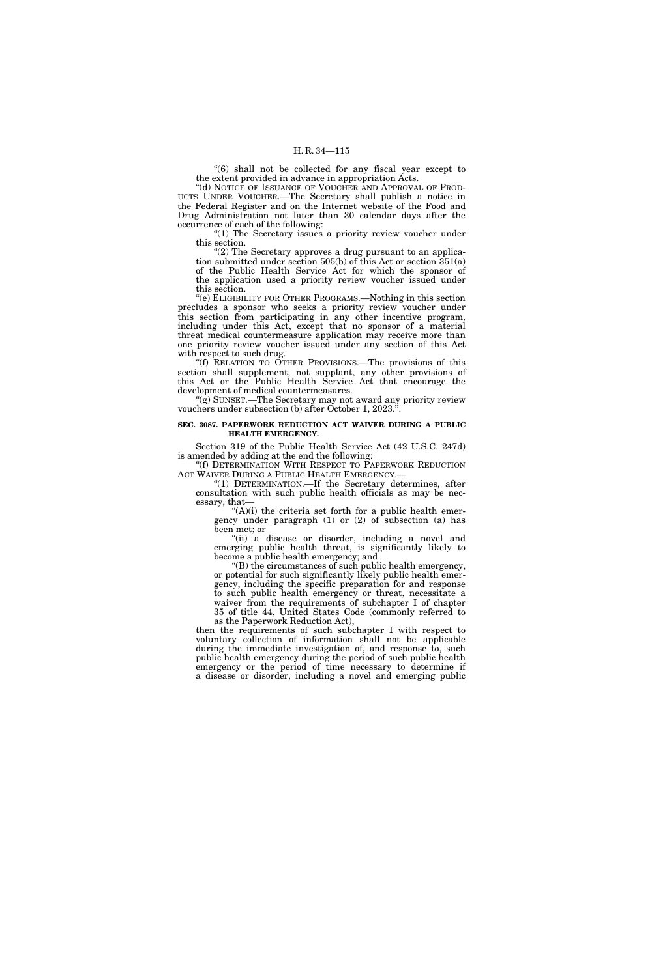"(6) shall not be collected for any fiscal year except to the extent provided in advance in appropriation Acts.

''(d) NOTICE OF ISSUANCE OF VOUCHER AND APPROVAL OF PROD-UCTS UNDER VOUCHER.—The Secretary shall publish a notice in the Federal Register and on the Internet website of the Food and Drug Administration not later than 30 calendar days after the occurrence of each of the following:

" $(1)$  The Secretary issues a priority review voucher under this section.

" $(2)$  The Secretary approves a drug pursuant to an application submitted under section 505(b) of this Act or section 351(a) of the Public Health Service Act for which the sponsor of the application used a priority review voucher issued under this section.

''(e) ELIGIBILITY FOR OTHER PROGRAMS.—Nothing in this section precludes a sponsor who seeks a priority review voucher under this section from participating in any other incentive program, including under this Act, except that no sponsor of a material threat medical countermeasure application may receive more than one priority review voucher issued under any section of this Act with respect to such drug.

''(f) RELATION TO OTHER PROVISIONS.—The provisions of this section shall supplement, not supplant, any other provisions of this Act or the Public Health Service Act that encourage the development of medical countermeasures.

"(g) SUNSET.—The Secretary may not award any priority review vouchers under subsection (b) after October 1, 2023.'

#### **SEC. 3087. PAPERWORK REDUCTION ACT WAIVER DURING A PUBLIC HEALTH EMERGENCY.**

Section 319 of the Public Health Service Act (42 U.S.C. 247d) is amended by adding at the end the following:

''(f) DETERMINATION WITH RESPECT TO PAPERWORK REDUCTION ACT WAIVER DURING A PUBLIC HEALTH EMERGENCY.-

''(1) DETERMINATION.—If the Secretary determines, after consultation with such public health officials as may be necessary, that—

" $(A)(i)$  the criteria set forth for a public health emergency under paragraph (1) or (2) of subsection (a) has been met; or

''(ii) a disease or disorder, including a novel and emerging public health threat, is significantly likely to become a public health emergency; and

''(B) the circumstances of such public health emergency, or potential for such significantly likely public health emergency, including the specific preparation for and response to such public health emergency or threat, necessitate a waiver from the requirements of subchapter I of chapter 35 of title 44, United States Code (commonly referred to as the Paperwork Reduction Act),

then the requirements of such subchapter I with respect to voluntary collection of information shall not be applicable during the immediate investigation of, and response to, such public health emergency during the period of such public health emergency or the period of time necessary to determine if a disease or disorder, including a novel and emerging public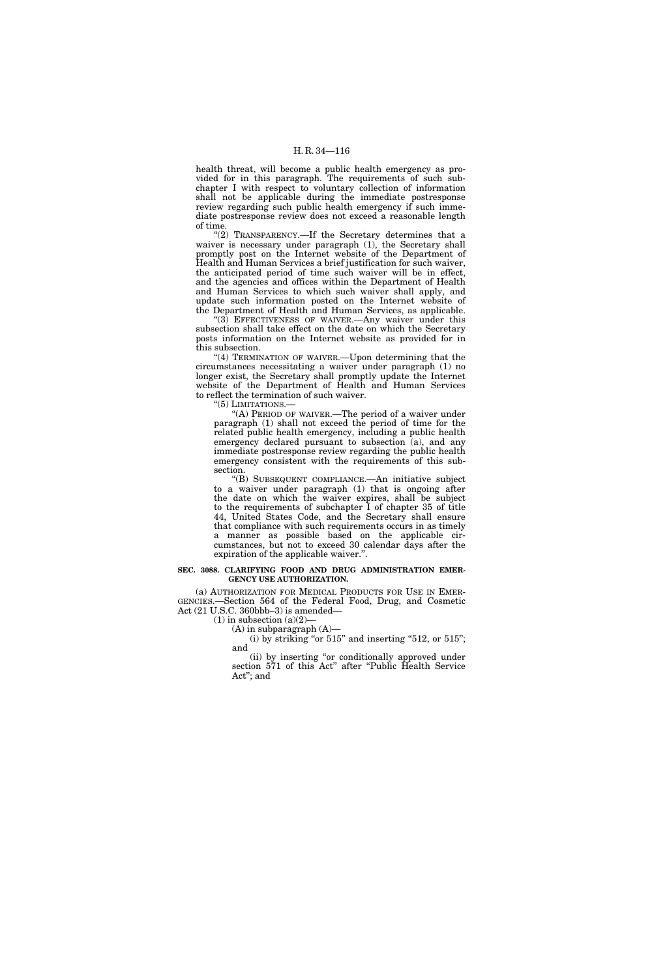health threat, will become a public health emergency as provided for in this paragraph. The requirements of such subchapter I with respect to voluntary collection of information shall not be applicable during the immediate postresponse review regarding such public health emergency if such immediate postresponse review does not exceed a reasonable length of time.

"(2) TRANSPARENCY.—If the Secretary determines that a waiver is necessary under paragraph (1), the Secretary shall promptly post on the Internet website of the Department of Health and Human Services a brief justification for such waiver, the anticipated period of time such waiver will be in effect, and the agencies and offices within the Department of Health and Human Services to which such waiver shall apply, and update such information posted on the Internet website of the Department of Health and Human Services, as applicable.

(3) EFFECTIVENESS OF WAIVER.—Any waiver under this subsection shall take effect on the date on which the Secretary posts information on the Internet website as provided for in this subsection.

"(4) TERMINATION OF WAIVER.—Upon determining that the circumstances necessitating a waiver under paragraph (1) no longer exist, the Secretary shall promptly update the Internet website of the Department of Health and Human Services to reflect the termination of such waiver.

''(5) LIMITATIONS.—

"(A) PERIOD OF WAIVER.—The period of a waiver under paragraph (1) shall not exceed the period of time for the related public health emergency, including a public health emergency declared pursuant to subsection (a), and any immediate postresponse review regarding the public health emergency consistent with the requirements of this subsection.

''(B) SUBSEQUENT COMPLIANCE.—An initiative subject to a waiver under paragraph (1) that is ongoing after the date on which the waiver expires, shall be subject to the requirements of subchapter I of chapter 35 of title 44, United States Code, and the Secretary shall ensure that compliance with such requirements occurs in as timely a manner as possible based on the applicable circumstances, but not to exceed 30 calendar days after the expiration of the applicable waiver.''.

#### **SEC. 3088. CLARIFYING FOOD AND DRUG ADMINISTRATION EMER-GENCY USE AUTHORIZATION.**

(a) AUTHORIZATION FOR MEDICAL PRODUCTS FOR USE IN EMER-GENCIES.—Section 564 of the Federal Food, Drug, and Cosmetic Act (21 U.S.C. 360bbb–3) is amended—

 $(1)$  in subsection  $(a)(2)$ –

(A) in subparagraph (A)—

(i) by striking "or  $515$ " and inserting " $512$ , or  $515$ "; and

(ii) by inserting ''or conditionally approved under section 571 of this Act" after "Public Health Service Act''; and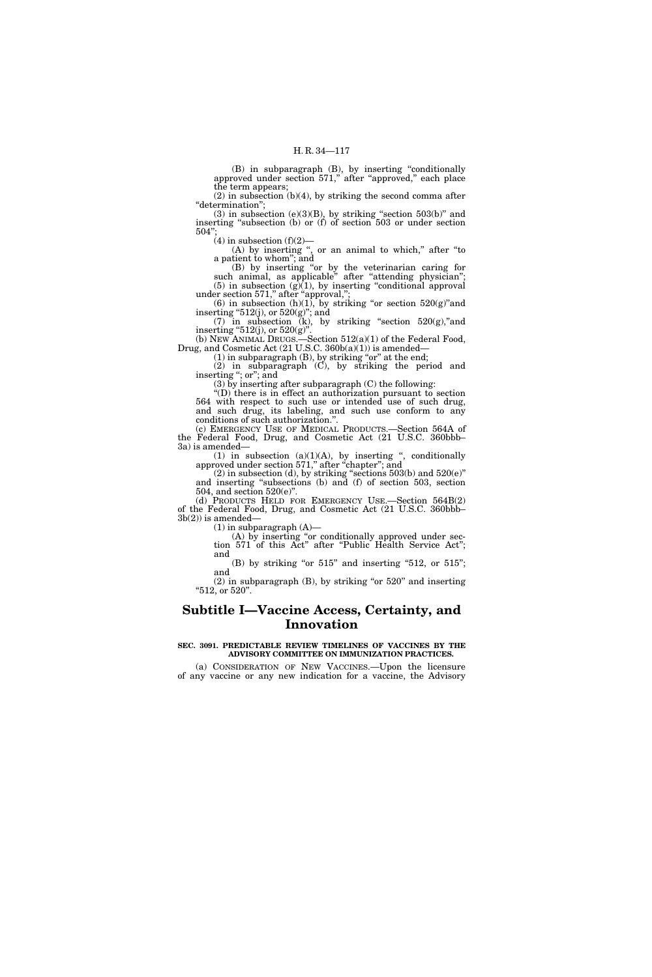(B) in subparagraph (B), by inserting ''conditionally approved under section 571,'' after ''approved,'' each place the term appears;

(2) in subsection (b)(4), by striking the second comma after "determination";

(3) in subsection (e)(3)(B), by striking "section  $503(b)$ " and inserting ''subsection (b) or (f) of section 503 or under section 504'';

 $(4)$  in subsection  $(f)(2)$ —

(A) by inserting ", or an animal to which," after "to a patient to whom''; and

(B) by inserting ''or by the veterinarian caring for such animal, as applicable" after "attending physician";  $(5)$  in subsection  $(g)(1)$ , by inserting "conditional approval under section 571," after "approval,";

(6) in subsection  $(h)(1)$ , by striking "or section  $520(g)$ " and inserting " $512(j)$ , or  $520(g)$ "; and (7) in subsection  $(k)$ , by striking "section  $520(g)$ ," and

inserting "512(j), or  $520(g)$ ". (b) NEW ANIMAL DRUGS.—Section  $512(a)(1)$  of the Federal Food,

Drug, and Cosmetic Act (21 U.S.C. 360b(a)(1)) is amended—

 $(1)$  in subparagraph  $(B)$ , by striking "or" at the end; (2) in subparagraph (C), by striking the period and inserting ''; or''; and

 $(3)$  by inserting after subparagraph  $(C)$  the following:

''(D) there is in effect an authorization pursuant to section 564 with respect to such use or intended use of such drug, and such drug, its labeling, and such use conform to any conditions of such authorization.''.

(c) EMERGENCY USE OF MEDICAL PRODUCTS.—Section 564A of the Federal Food, Drug, and Cosmetic Act (21 U.S.C. 360bbb– 3a) is amended—

 $(1)$  in subsection  $(a)(1)(A)$ , by inserting ", conditionally approved under section 571,'' after ''chapter''; and

(2) in subsection (d), by striking "sections  $503(b)$  and  $520(e)$ " and inserting ''subsections (b) and (f) of section 503, section 504, and section 520(e)''.

(d) PRODUCTS HELD FOR EMERGENCY USE.—Section 564B(2) of the Federal Food, Drug, and Cosmetic Act (21 U.S.C. 360bbb–  $3b(2)$ ) is amended–

 $(1)$  in subparagraph  $(A)$ —

(A) by inserting ''or conditionally approved under section 571 of this Act'' after ''Public Health Service Act''; and

(B) by striking "or  $515$ " and inserting " $512$ , or  $515$ "; and

 $(2)$  in subparagraph  $(B)$ , by striking "or  $520$ " and inserting "512, or 520".

# **Subtitle I—Vaccine Access, Certainty, and Innovation**

# **SEC. 3091. PREDICTABLE REVIEW TIMELINES OF VACCINES BY THE ADVISORY COMMITTEE ON IMMUNIZATION PRACTICES.**

(a) CONSIDERATION OF NEW VACCINES.—Upon the licensure of any vaccine or any new indication for a vaccine, the Advisory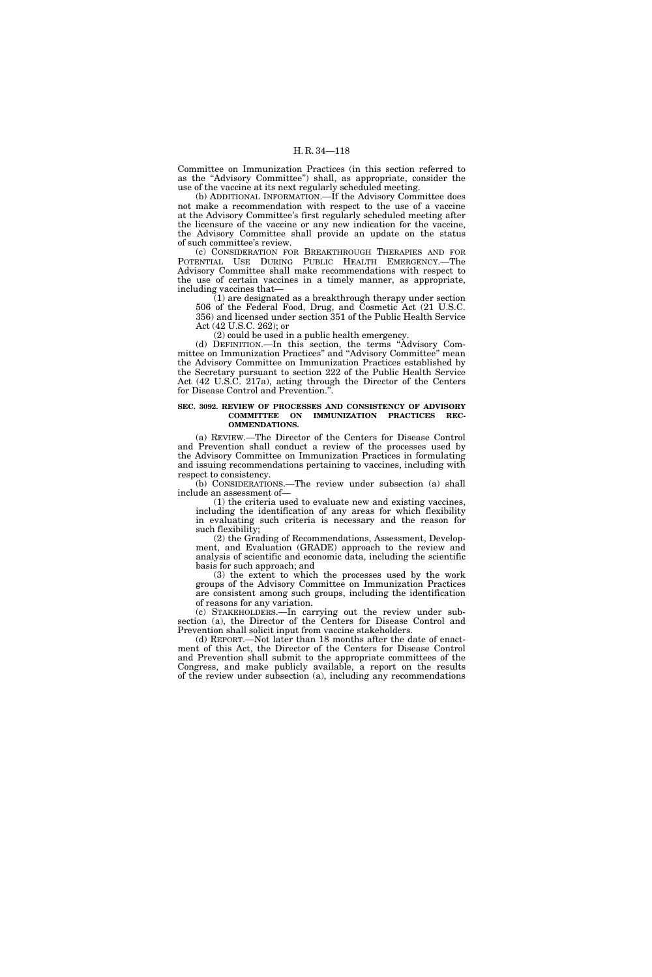Committee on Immunization Practices (in this section referred to as the ''Advisory Committee'') shall, as appropriate, consider the use of the vaccine at its next regularly scheduled meeting.

(b) ADDITIONAL INFORMATION.—If the Advisory Committee does not make a recommendation with respect to the use of a vaccine at the Advisory Committee's first regularly scheduled meeting after the licensure of the vaccine or any new indication for the vaccine, the Advisory Committee shall provide an update on the status of such committee's review.

(c) CONSIDERATION FOR BREAKTHROUGH THERAPIES AND FOR POTENTIAL USE DURING PUBLIC HEALTH EMERGENCY.—The Advisory Committee shall make recommendations with respect to the use of certain vaccines in a timely manner, as appropriate, including vaccines that—

(1) are designated as a breakthrough therapy under section 506 of the Federal Food, Drug, and Cosmetic Act (21 U.S.C. 356) and licensed under section 351 of the Public Health Service Act (42 U.S.C. 262); or

(2) could be used in a public health emergency.

(d) DEFINITION.—In this section, the terms ''Advisory Committee on Immunization Practices'' and ''Advisory Committee'' mean the Advisory Committee on Immunization Practices established by the Secretary pursuant to section 222 of the Public Health Service Act (42 U.S.C. 217a), acting through the Director of the Centers for Disease Control and Prevention."

#### **SEC. 3092. REVIEW OF PROCESSES AND CONSISTENCY OF ADVISORY COMMITTEE ON IMMUNIZATION PRACTICES REC-OMMENDATIONS.**

(a) REVIEW.—The Director of the Centers for Disease Control and Prevention shall conduct a review of the processes used by the Advisory Committee on Immunization Practices in formulating and issuing recommendations pertaining to vaccines, including with respect to consistency.

(b) CONSIDERATIONS.—The review under subsection (a) shall include an assessment of—

(1) the criteria used to evaluate new and existing vaccines, including the identification of any areas for which flexibility in evaluating such criteria is necessary and the reason for such flexibility;

(2) the Grading of Recommendations, Assessment, Development, and Evaluation (GRADE) approach to the review and analysis of scientific and economic data, including the scientific basis for such approach; and

(3) the extent to which the processes used by the work groups of the Advisory Committee on Immunization Practices are consistent among such groups, including the identification of reasons for any variation.

(c) STAKEHOLDERS.—In carrying out the review under subsection (a), the Director of the Centers for Disease Control and Prevention shall solicit input from vaccine stakeholders.

(d) REPORT.—Not later than 18 months after the date of enactment of this Act, the Director of the Centers for Disease Control and Prevention shall submit to the appropriate committees of the Congress, and make publicly available, a report on the results of the review under subsection (a), including any recommendations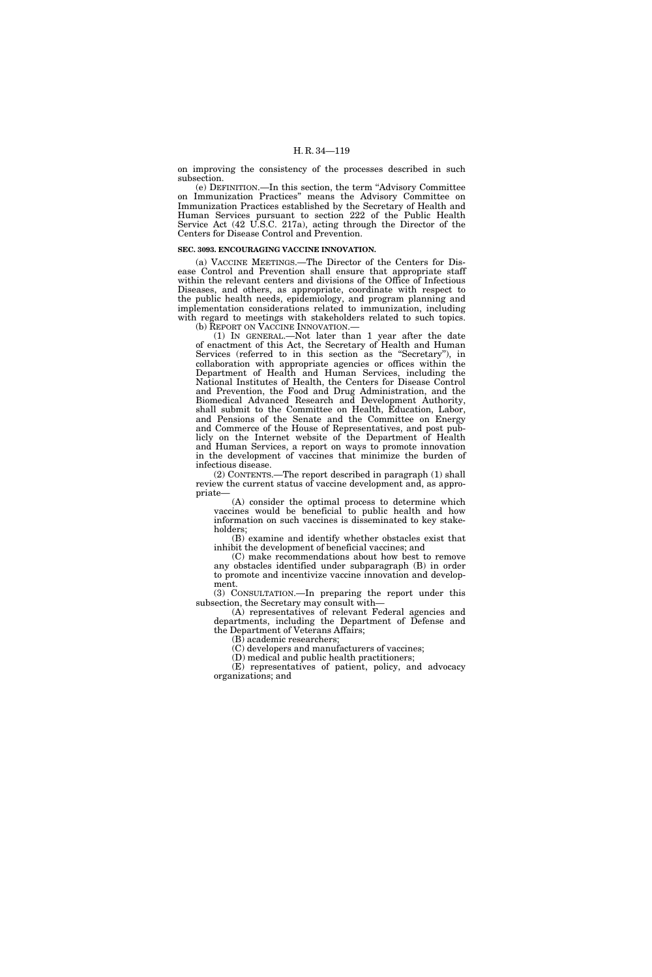on improving the consistency of the processes described in such subsection.

(e) DEFINITION.—In this section, the term ''Advisory Committee on Immunization Practices'' means the Advisory Committee on Immunization Practices established by the Secretary of Health and Human Services pursuant to section 222 of the Public Health Service Act (42 U.S.C. 217a), acting through the Director of the Centers for Disease Control and Prevention.

#### **SEC. 3093. ENCOURAGING VACCINE INNOVATION.**

(a) VACCINE MEETINGS.—The Director of the Centers for Disease Control and Prevention shall ensure that appropriate staff within the relevant centers and divisions of the Office of Infectious Diseases, and others, as appropriate, coordinate with respect to the public health needs, epidemiology, and program planning and implementation considerations related to immunization, including with regard to meetings with stakeholders related to such topics. (b) REPORT ON VACCINE INNOVATION.—

(1) IN GENERAL.—Not later than 1 year after the date of enactment of this Act, the Secretary of Health and Human Services (referred to in this section as the ''Secretary''), in collaboration with appropriate agencies or offices within the Department of Health and Human Services, including the National Institutes of Health, the Centers for Disease Control and Prevention, the Food and Drug Administration, and the Biomedical Advanced Research and Development Authority, shall submit to the Committee on Health, Education, Labor, and Pensions of the Senate and the Committee on Energy and Commerce of the House of Representatives, and post publicly on the Internet website of the Department of Health and Human Services, a report on ways to promote innovation in the development of vaccines that minimize the burden of infectious disease.

(2) CONTENTS.—The report described in paragraph (1) shall review the current status of vaccine development and, as appropriate—

(A) consider the optimal process to determine which vaccines would be beneficial to public health and how information on such vaccines is disseminated to key stakeholders;

(B) examine and identify whether obstacles exist that inhibit the development of beneficial vaccines; and

(C) make recommendations about how best to remove any obstacles identified under subparagraph (B) in order to promote and incentivize vaccine innovation and development.

(3) CONSULTATION.—In preparing the report under this subsection, the Secretary may consult with—

(A) representatives of relevant Federal agencies and departments, including the Department of Defense and the Department of Veterans Affairs;

(B) academic researchers;

(C) developers and manufacturers of vaccines; (D) medical and public health practitioners;

(E) representatives of patient, policy, and advocacy organizations; and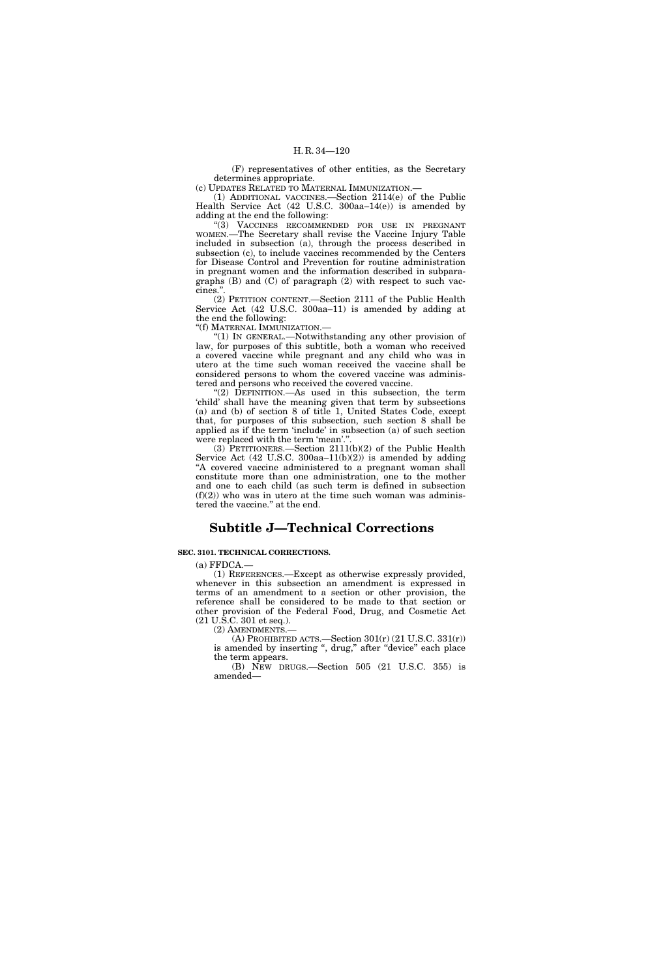(F) representatives of other entities, as the Secretary determines appropriate.

(c) UPDATES RELATED TO MATERNAL IMMUNIZATION.—

(1) ADDITIONAL VACCINES.—Section 2114(e) of the Public Health Service Act (42 U.S.C. 300aa–14(e)) is amended by adding at the end the following:

''(3) VACCINES RECOMMENDED FOR USE IN PREGNANT WOMEN.—The Secretary shall revise the Vaccine Injury Table included in subsection (a), through the process described in subsection (c), to include vaccines recommended by the Centers for Disease Control and Prevention for routine administration in pregnant women and the information described in subparagraphs (B) and (C) of paragraph (2) with respect to such vaccines."

(2) PETITION CONTENT.—Section 2111 of the Public Health Service Act (42 U.S.C. 300aa–11) is amended by adding at the end the following:

''(f) MATERNAL IMMUNIZATION.—

''(1) IN GENERAL.—Notwithstanding any other provision of law, for purposes of this subtitle, both a woman who received a covered vaccine while pregnant and any child who was in utero at the time such woman received the vaccine shall be considered persons to whom the covered vaccine was administered and persons who received the covered vaccine.

''(2) DEFINITION.—As used in this subsection, the term 'child' shall have the meaning given that term by subsections (a) and (b) of section 8 of title 1, United States Code, except that, for purposes of this subsection, such section 8 shall be applied as if the term 'include' in subsection (a) of such section were replaced with the term 'mean'.

(3) PETITIONERS.—Section 2111(b)(2) of the Public Health Service Act  $(42 \text{ U.S.C. } 300 \text{aa} - 11 \text{ (b)} \text{ (2)})$  is amended by adding A covered vaccine administered to a pregnant woman shall constitute more than one administration, one to the mother and one to each child (as such term is defined in subsection  $(f)(2)$  who was in utero at the time such woman was administered the vaccine.'' at the end.

# **Subtitle J—Technical Corrections**

# **SEC. 3101. TECHNICAL CORRECTIONS.**

 $(a)$  FFDCA. $-$ 

(1) REFERENCES.—Except as otherwise expressly provided, whenever in this subsection an amendment is expressed in terms of an amendment to a section or other provision, the reference shall be considered to be made to that section or other provision of the Federal Food, Drug, and Cosmetic Act (21 U.S.C. 301 et seq.).

(2) AMENDMENTS.—

(A) PROHIBITED ACTS.—Section  $301(r)$  (21 U.S.C.  $331(r)$ ) is amended by inserting ", drug," after "device" each place the term appears.

(B) NEW DRUGS.—Section 505 (21 U.S.C. 355) is amended—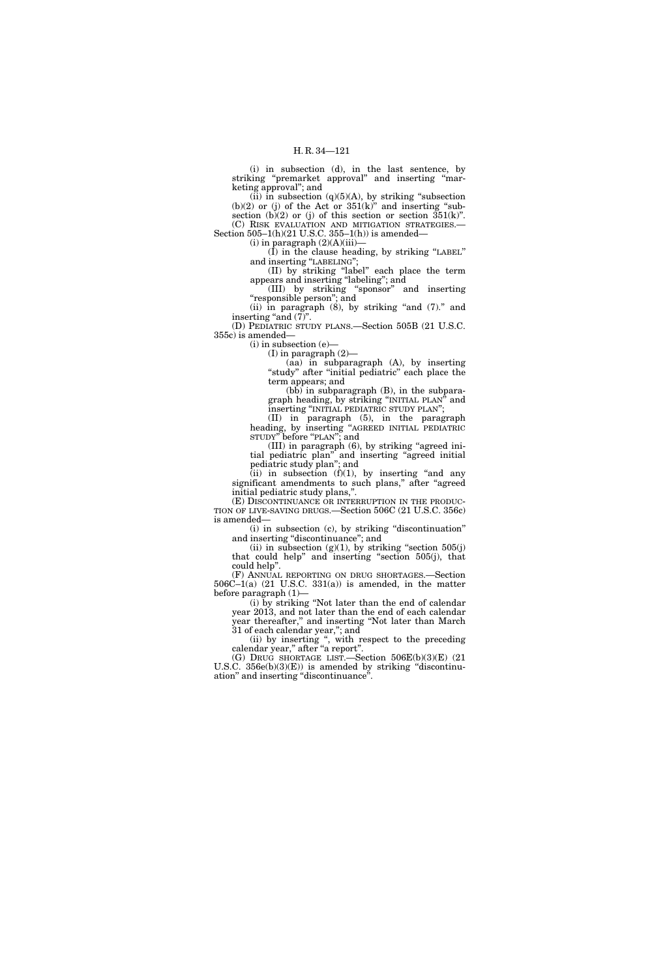(i) in subsection (d), in the last sentence, by striking ''premarket approval'' and inserting ''marketing approval''; and

(ii) in subsection  $(q)(5)(A)$ , by striking "subsection  $(b)(2)$  or (j) of the Act or  $351(k)$ " and inserting "subsection (b)(2) or (j) of this section or section  $351(k)$ ". (C) RISK EVALUATION AND MITIGATION STRATEGIES.— Section 505–1(h)(21 U.S.C. 355–1(h)) is amended—

 $(i)$  in paragraph  $(2)(A)(iii)$ 

 $(\hat{I})$  in the clause heading, by striking "LABEL"

and inserting "LABELING"; (II) by striking ''label'' each place the term

appears and inserting ''labeling''; and (III) by striking ''sponsor'' and inserting

''responsible person''; and (ii) in paragraph  $(8)$ , by striking "and  $(7)$ ." and

inserting "and  $(7)$ ". (D) PEDIATRIC STUDY PLANS.—Section 505B (21 U.S.C.

355c) is amended— (i) in subsection (e)—

(I) in paragraph (2)—

(aa) in subparagraph (A), by inserting "study" after "initial pediatric" each place the term appears; and

 $(b\bar{b})$  in subparagraph  $(B)$ , in the subparagraph heading, by striking ''INITIAL PLAN'' and inserting ''INITIAL PEDIATRIC STUDY PLAN'';

(II) in paragraph (5), in the paragraph heading, by inserting ''AGREED INITIAL PEDIATRIC STUDY'' before ''PLAN''; and

(III) in paragraph (6), by striking ''agreed initial pediatric plan'' and inserting ''agreed initial pediatric study plan''; and

(ii) in subsection  $(f)(1)$ , by inserting "and any significant amendments to such plans," after "agreed initial pediatric study plans,''.

(E) DISCONTINUANCE OR INTERRUPTION IN THE PRODUC-TION OF LIVE-SAVING DRUGS.—Section 506C (21 U.S.C. 356c) is amended—

(i) in subsection (c), by striking ''discontinuation'' and inserting "discontinuance"; and

(ii) in subsection  $(g)(1)$ , by striking "section 505(j) that could help'' and inserting ''section 505(j), that could help''.

(F) ANNUAL REPORTING ON DRUG SHORTAGES.—Section 506C–1(a) (21 U.S.C. 331(a)) is amended, in the matter before paragraph (1)—

(i) by striking ''Not later than the end of calendar year 2013, and not later than the end of each calendar year thereafter,'' and inserting ''Not later than March 31 of each calendar year,"; and

(ii) by inserting '', with respect to the preceding calendar year,'' after ''a report''.

(G) DRUG SHORTAGE LIST.—Section 506E(b)(3)(E) (21 U.S.C. 356e(b)(3)(E)) is amended by striking "discontinuation'' and inserting ''discontinuance''.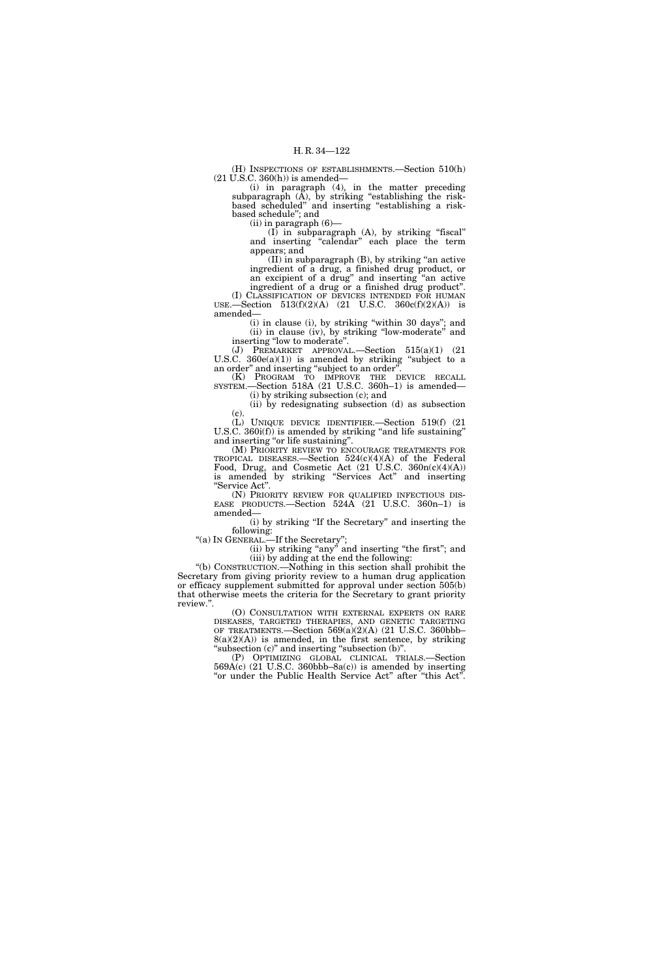(H) INSPECTIONS OF ESTABLISHMENTS.—Section 510(h)  $(21 \text{ U.S.C. } 360(\text{h}))$  is amended—

(i) in paragraph (4), in the matter preceding subparagraph  $(A)$ , by striking "establishing the riskbased scheduled" and inserting "establishing a riskbased schedule''; and

(ii) in paragraph (6)—

 $(I)$  in subparagraph  $(A)$ , by striking "fiscal" and inserting "calendar" each place the term appears; and

 $(II)$  in subparagraph  $(B)$ , by striking "an active ingredient of a drug, a finished drug product, or an excipient of a drug'' and inserting ''an active ingredient of a drug or a finished drug product''.

(I) CLASSIFICATION OF DEVICES INTENDED FOR HUMAN USE.—Section 513(f)(2)(A) (21 U.S.C. 360c(f)(2)(A)) is amended—

(i) in clause (i), by striking ''within 30 days''; and (ii) in clause (iv), by striking ''low-moderate'' and inserting ''low to moderate''.

(J) PREMARKET APPROVAL.—Section 515(a)(1) (21 U.S.C.  $360e(a)(1)$ ) is amended by striking "subject to a an order" and inserting "subject to an order"

(K) PROGRAM TO IMPROVE THE DEVICE RECALL SYSTEM.—Section 518A (21 U.S.C. 360h–1) is amended— (i) by striking subsection (c); and

(ii) by redesignating subsection (d) as subsection

(c). (L) UNIQUE DEVICE IDENTIFIER.—Section 519(f) (21

U.S.C. 360i(f)) is amended by striking "and life sustaining" and inserting ''or life sustaining''.

(M) PRIORITY REVIEW TO ENCOURAGE TREATMENTS FOR TROPICAL DISEASES.—Section 524(c)(4)(A) of the Federal Food, Drug, and Cosmetic Act  $(21 \text{ U.S.C. } 360n(c)(4)(A))$ is amended by striking ''Services Act'' and inserting ''Service Act''.

(N) PRIORITY REVIEW FOR QUALIFIED INFECTIOUS DISEASE PRODUCTS.—Section  $524A$  (21 U.S.C. 360n–1) is amended—

(i) by striking ''If the Secretary'' and inserting the following:

''(a) IN GENERAL.—If the Secretary'';

(ii) by striking "any" and inserting "the first"; and (iii) by adding at the end the following:

''(b) CONSTRUCTION.—Nothing in this section shall prohibit the Secretary from giving priority review to a human drug application or efficacy supplement submitted for approval under section 505(b) that otherwise meets the criteria for the Secretary to grant priority review.''.

(O) CONSULTATION WITH EXTERNAL EXPERTS ON RARE DISEASES, TARGETED THERAPIES, AND GENETIC TARGETING OF TREATMENTS.—Section 569(a)(2)(A) (21 U.S.C. 360bbb–  $8(a)(2)(A)$  is amended, in the first sentence, by striking "subsection (c)" and inserting "subsection (b)".

(P) OPTIMIZING GLOBAL CLINICAL TRIALS.—Section  $569A(c)$  (21 U.S.C. 360bbb–8a(c)) is amended by inserting "or under the Public Health Service Act" after "this Act".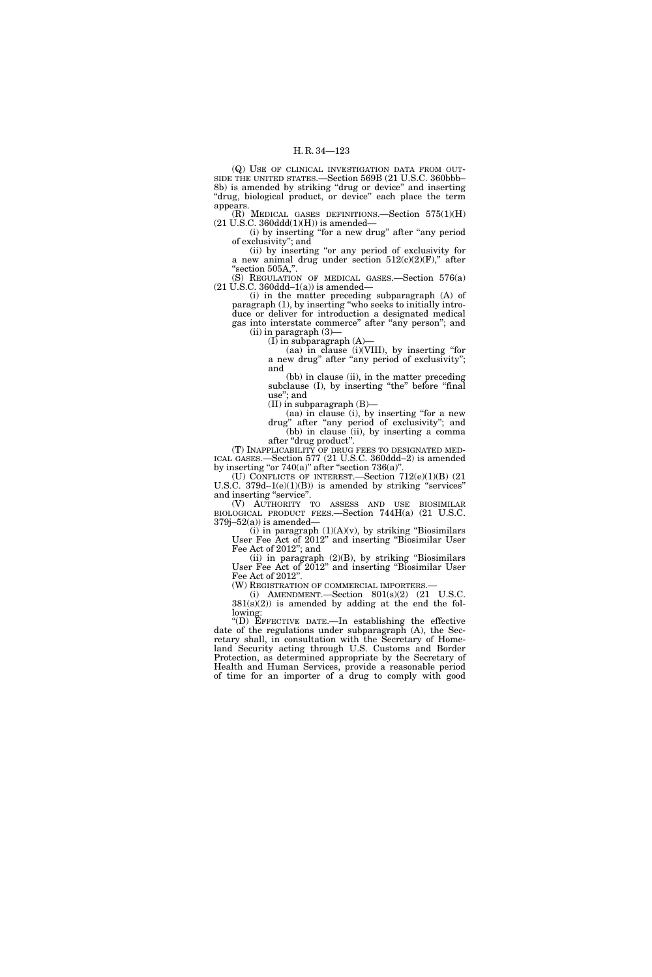(Q) USE OF CLINICAL INVESTIGATION DATA FROM OUT-SIDE THE UNITED STATES.—Section 569B (21 U.S.C. 360bbb– 8b) is amended by striking ''drug or device'' and inserting "drug, biological product, or device" each place the term appears.

(R) MEDICAL GASES DEFINITIONS.—Section 575(1)(H)  $(21$  U.S.C. 360ddd $(1)(H)$ ) is amended—

(i) by inserting ''for a new drug'' after ''any period of exclusivity''; and

(ii) by inserting ''or any period of exclusivity for a new animal drug under section  $512(c)(2)(F)$ ," after ''section 505A,''.

(S) REGULATION OF MEDICAL GASES.—Section 576(a)  $(21 \text{ U.S.C. } 360 \text{ddd} - 1(a))$  is amended–

(i) in the matter preceding subparagraph (A) of paragraph (1), by inserting ''who seeks to initially introduce or deliver for introduction a designated medical gas into interstate commerce" after "any person"; and  $(ii)$  in paragraph  $(3)$ 

 $(I)$  in subparagraph  $(A)$ 

(aa) in clause (i)(VIII), by inserting ''for a new drug" after "any period of exclusivity"; and

(bb) in clause (ii), in the matter preceding subclause (I), by inserting "the" before "final use''; and

(II) in subparagraph (B)—

(aa) in clause (i), by inserting ''for a new drug'' after ''any period of exclusivity''; and (bb) in clause (ii), by inserting a comma after ''drug product''.

(T) INAPPLICABILITY OF DRUG FEES TO DESIGNATED MED-ICAL GASES.—Section 577 (21 U.S.C. 360ddd–2) is amended by inserting "or  $740(a)$ " after "section  $736(a)$ ".

(U) CONFLICTS OF INTEREST.—Section 712(e)(1)(B) (21 U.S.C.  $379d-1(e)(1)(B)$  is amended by striking "services" and inserting "service".

(V) AUTHORITY TO ASSESS AND USE BIOSIMILAR BIOLOGICAL PRODUCT FEES.—Section 744H(a) (21 U.S.C.  $379j-52(a)$  is amended-

(i) in paragraph  $(1)(A)(v)$ , by striking "Biosimilars" User Fee Act of 2012'' and inserting ''Biosimilar User Fee Act of 2012''; and

(ii) in paragraph  $(2)(B)$ , by striking "Biosimilars" User Fee Act of 2012'' and inserting ''Biosimilar User Fee Act of 2012''.

(W) REGISTRATION OF COMMERCIAL IMPORTERS.— (i) AMENDMENT.—Section 801(s)(2) (21 U.S.C.

 $381(s)(2)$ ) is amended by adding at the end the following:

''(D) EFFECTIVE DATE.—In establishing the effective date of the regulations under subparagraph (A), the Secretary shall, in consultation with the Secretary of Homeland Security acting through U.S. Customs and Border Protection, as determined appropriate by the Secretary of Health and Human Services, provide a reasonable period of time for an importer of a drug to comply with good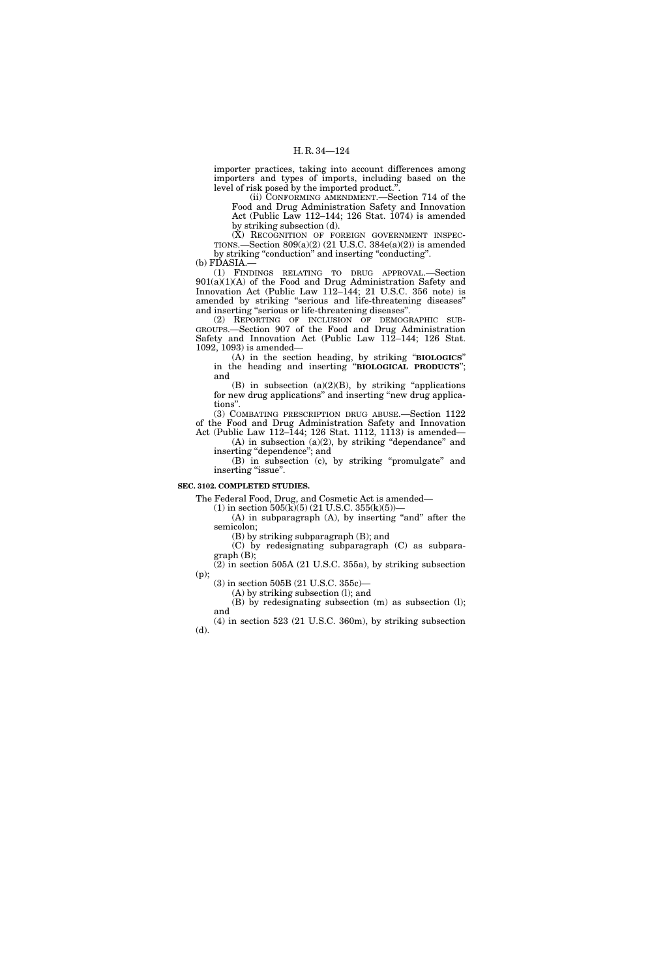importer practices, taking into account differences among importers and types of imports, including based on the level of risk posed by the imported product.'

(ii) CONFORMING AMENDMENT.—Section 714 of the Food and Drug Administration Safety and Innovation Act (Public Law 112–144; 126 Stat. 1074) is amended by striking subsection (d).

(X) RECOGNITION OF FOREIGN GOVERNMENT INSPEC-TIONS.—Section 809(a)(2) (21 U.S.C. 384e(a)(2)) is amended by striking "conduction" and inserting "conducting".

(b) FDASIA.—

(1) FINDINGS RELATING TO DRUG APPROVAL.—Section  $901(a)(1)(A)$  of the Food and Drug Administration Safety and Innovation Act (Public Law 112–144; 21 U.S.C. 356 note) is amended by striking ''serious and life-threatening diseases'' and inserting ''serious or life-threatening diseases''.

(2) REPORTING OF INCLUSION OF DEMOGRAPHIC SUB-GROUPS.—Section 907 of the Food and Drug Administration Safety and Innovation Act (Public Law 112–144; 126 Stat. 1092, 1093) is amended—

(A) in the section heading, by striking ''**BIOLOGICS**'' in the heading and inserting ''**BIOLOGICAL PRODUCTS**''; and

(B) in subsection  $(a)(2)(B)$ , by striking "applications" for new drug applications'' and inserting ''new drug applications''.

(3) COMBATING PRESCRIPTION DRUG ABUSE.—Section 1122 of the Food and Drug Administration Safety and Innovation Act (Public Law 112–144; 126 Stat. 1112, 1113) is amended—

 $(A)$  in subsection  $(a)(2)$ , by striking "dependance" and inserting ''dependence''; and

(B) in subsection (c), by striking ''promulgate'' and inserting "issue".

# **SEC. 3102. COMPLETED STUDIES.**

The Federal Food, Drug, and Cosmetic Act is amended—

(1) in section  $505(k)(5)$  (21 U.S.C. 355(k)(5))-(A) in subparagraph (A), by inserting "and" after the semicolon;

(B) by striking subparagraph (B); and

(C) by redesignating subparagraph (C) as subparagraph (B);

 $(2)$  in section 505A (21 U.S.C. 355a), by striking subsection (p);

(3) in section 505B (21 U.S.C. 355c)—

(A) by striking subsection (l); and

(B) by redesignating subsection (m) as subsection (l); and

(4) in section 523 (21 U.S.C. 360m), by striking subsection (d).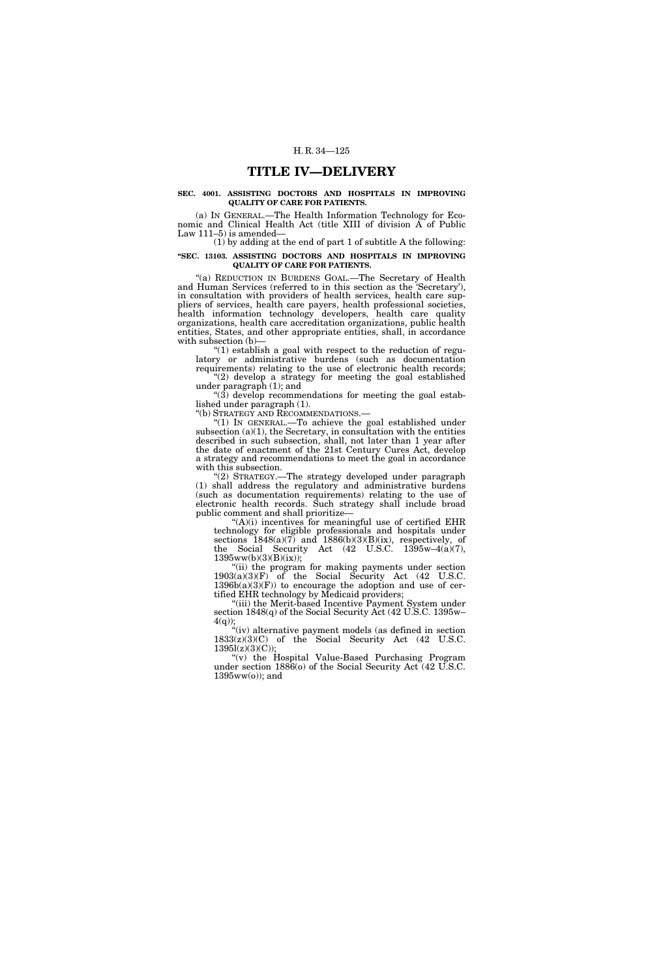# **TITLE IV—DELIVERY**

# **SEC. 4001. ASSISTING DOCTORS AND HOSPITALS IN IMPROVING QUALITY OF CARE FOR PATIENTS.**

(a) IN GENERAL.—The Health Information Technology for Economic and Clinical Health Act (title XIII of division A of Public Law 111–5) is amended—

# (1) by adding at the end of part 1 of subtitle A the following: **''SEC. 13103. ASSISTING DOCTORS AND HOSPITALS IN IMPROVING QUALITY OF CARE FOR PATIENTS.**

"(a) REDUCTION IN BURDENS GOAL.—The Secretary of Health and Human Services (referred to in this section as the 'Secretary'), in consultation with providers of health services, health care suppliers of services, health care payers, health professional societies, health information technology developers, health care quality organizations, health care accreditation organizations, public health entities, States, and other appropriate entities, shall, in accordance with subsection (b)—

''(1) establish a goal with respect to the reduction of regulatory or administrative burdens (such as documentation requirements) relating to the use of electronic health records;

"(2) develop a strategy for meeting the goal established under paragraph (1); and

 $\degree$ (3) develop recommendations for meeting the goal established under paragraph (1).

''(b) STRATEGY AND RECOMMENDATIONS.—

" $(1)$  In GENERAL.—To achieve the goal established under subsection  $(a)(1)$ , the Secretary, in consultation with the entities described in such subsection, shall, not later than 1 year after the date of enactment of the 21st Century Cures Act, develop a strategy and recommendations to meet the goal in accordance with this subsection.

''(2) STRATEGY.—The strategy developed under paragraph (1) shall address the regulatory and administrative burdens (such as documentation requirements) relating to the use of electronic health records. Such strategy shall include broad public comment and shall prioritize—

 $H(A)(i)$  incentives for meaningful use of certified EHR technology for eligible professionals and hospitals under sections  $1848(a)(7)$  and  $1886(b)(3)(B)(ix)$ , respectively, of the Social Security Act  $(42 \text{ U.S.C. } 1395\text{w}-4(a)(7)),$ 1395ww(b)(3)(B)(ix));

''(ii) the program for making payments under section  $1903(a)(3)(F)$  of the Social Security Act (42 U.S.C.  $1396b(a)(3)(F)$  to encourage the adoption and use of certified EHR technology by Medicaid providers;

"(iii) the Merit-based Incentive Payment System under section 1848(q) of the Social Security Act (42 U.S.C. 1395w–  $4(q)$ ;

"(iv) alternative payment models (as defined in section 1833(z)(3)(C) of the Social Security Act (42 U.S.C.  $1395l(z)(3)(C);$ 

''(v) the Hospital Value-Based Purchasing Program under section 1886(o) of the Social Security Act (42 U.S.C.  $1395ww(o)$ ; and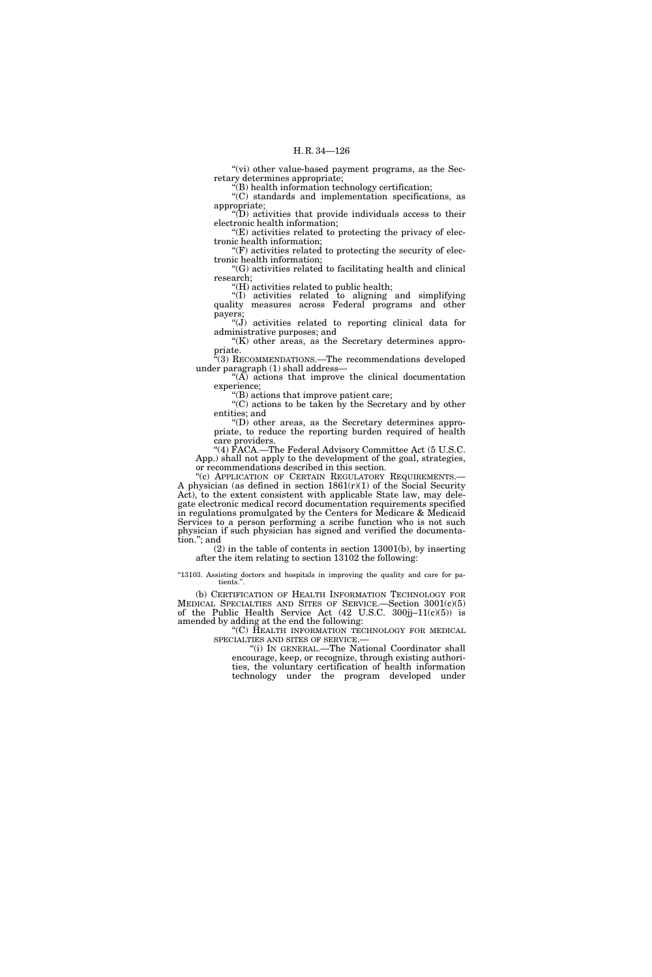"(vi) other value-based payment programs, as the Secretary determines appropriate;

''(B) health information technology certification;

''(C) standards and implementation specifications, as appropriate;

''(D) activities that provide individuals access to their electronic health information;

''(E) activities related to protecting the privacy of electronic health information;

''(F) activities related to protecting the security of electronic health information;

''(G) activities related to facilitating health and clinical research;

''(H) activities related to public health;

''(I) activities related to aligning and simplifying quality measures across Federal programs and other payers;

" $(J)$  activities related to reporting clinical data for administrative purposes; and " $(K)$  other areas, as the Secretary determines appro-

priate. ''(3) RECOMMENDATIONS.—The recommendations developed

under paragraph (1) shall address— " $(A)$  actions that improve the clinical documentation

experience;

''(B) actions that improve patient care;

''(C) actions to be taken by the Secretary and by other entities; and

''(D) other areas, as the Secretary determines appropriate, to reduce the reporting burden required of health care providers.

''(4) FACA.—The Federal Advisory Committee Act (5 U.S.C. App.) shall not apply to the development of the goal, strategies, or recommendations described in this section.

"(c) APPLICATION OF CERTAIN REGULATORY REQUIREMENTS.— A physician (as defined in section  $1861(r)(1)$  of the Social Security Act), to the extent consistent with applicable State law, may delegate electronic medical record documentation requirements specified in regulations promulgated by the Centers for Medicare & Medicaid Services to a person performing a scribe function who is not such physician if such physician has signed and verified the documentation.''; and

(2) in the table of contents in section 13001(b), by inserting after the item relating to section 13102 the following:

"13103. Assisting doctors and hospitals in improving the quality and care for patients."

(b) CERTIFICATION OF HEALTH INFORMATION TECHNOLOGY FOR MEDICAL SPECIALTIES AND SITES OF SERVICE.—Section 3001(c)(5) of the Public Health Service Act  $(42 \text{ U.S.C. } 300\text{jj}-11\text{(c)(5)})$  is amended by adding at the end the following:

''(C) HEALTH INFORMATION TECHNOLOGY FOR MEDICAL SPECIALTIES AND SITES OF SERVICE.

''(i) IN GENERAL.—The National Coordinator shall encourage, keep, or recognize, through existing authorities, the voluntary certification of health information technology under the program developed under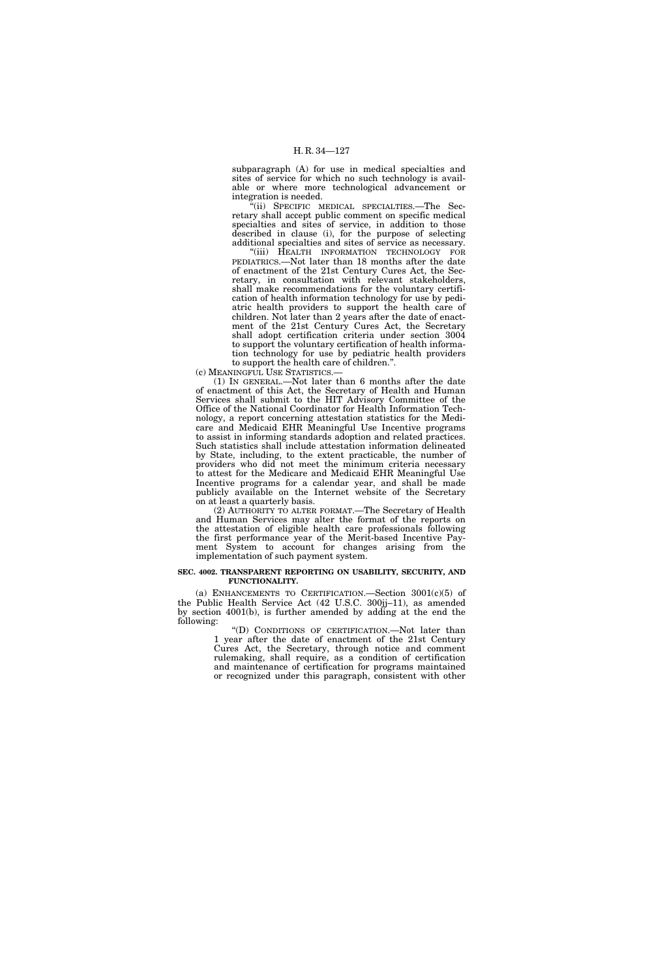subparagraph (A) for use in medical specialties and sites of service for which no such technology is available or where more technological advancement or integration is needed.

'(ii) SPECIFIC MEDICAL SPECIALTIES.—The Secretary shall accept public comment on specific medical specialties and sites of service, in addition to those described in clause (i), for the purpose of selecting additional specialties and sites of service as necessary.

''(iii) HEALTH INFORMATION TECHNOLOGY FOR PEDIATRICS.—Not later than 18 months after the date of enactment of the 21st Century Cures Act, the Secretary, in consultation with relevant stakeholders, shall make recommendations for the voluntary certification of health information technology for use by pediatric health providers to support the health care of children. Not later than 2 years after the date of enactment of the 21st Century Cures Act, the Secretary shall adopt certification criteria under section 3004 to support the voluntary certification of health information technology for use by pediatric health providers to support the health care of children.''.

(c) MEANINGFUL USE STATISTICS.—

(1) IN GENERAL.—Not later than 6 months after the date of enactment of this Act, the Secretary of Health and Human Services shall submit to the HIT Advisory Committee of the Office of the National Coordinator for Health Information Technology, a report concerning attestation statistics for the Medicare and Medicaid EHR Meaningful Use Incentive programs to assist in informing standards adoption and related practices. Such statistics shall include attestation information delineated by State, including, to the extent practicable, the number of providers who did not meet the minimum criteria necessary to attest for the Medicare and Medicaid EHR Meaningful Use Incentive programs for a calendar year, and shall be made publicly available on the Internet website of the Secretary on at least a quarterly basis.

(2) AUTHORITY TO ALTER FORMAT.—The Secretary of Health and Human Services may alter the format of the reports on the attestation of eligible health care professionals following the first performance year of the Merit-based Incentive Payment System to account for changes arising from the implementation of such payment system.

#### **SEC. 4002. TRANSPARENT REPORTING ON USABILITY, SECURITY, AND FUNCTIONALITY.**

(a) ENHANCEMENTS TO CERTIFICATION.—Section  $3001(c)(5)$  of the Public Health Service Act (42 U.S.C. 300jj–11), as amended by section 4001(b), is further amended by adding at the end the following:

''(D) CONDITIONS OF CERTIFICATION.—Not later than 1 year after the date of enactment of the 21st Century Cures Act, the Secretary, through notice and comment rulemaking, shall require, as a condition of certification and maintenance of certification for programs maintained or recognized under this paragraph, consistent with other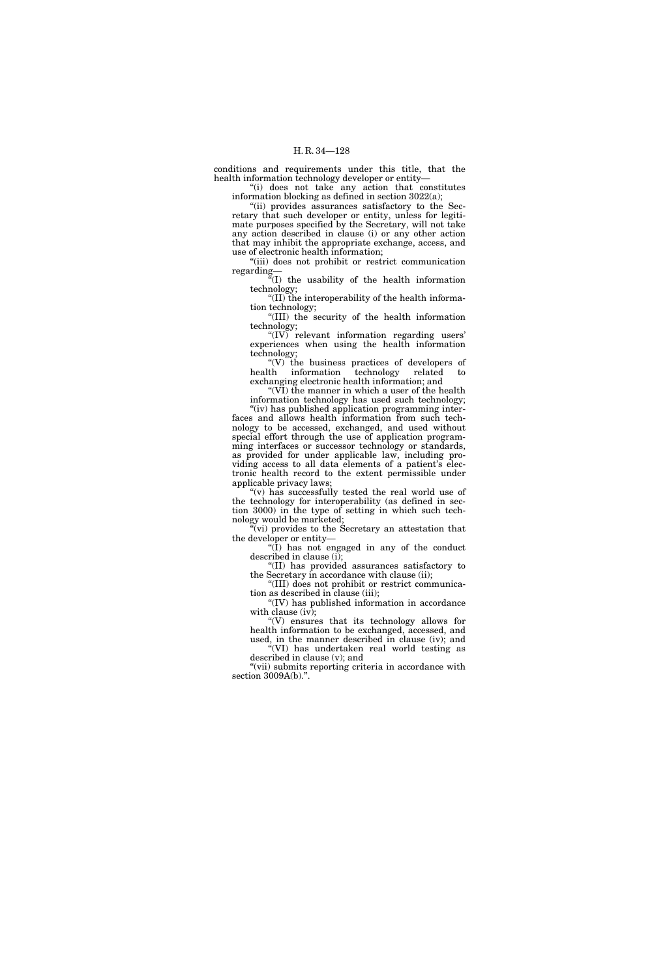conditions and requirements under this title, that the health information technology developer or entity—

''(i) does not take any action that constitutes information blocking as defined in section 3022(a);

''(ii) provides assurances satisfactory to the Secretary that such developer or entity, unless for legitimate purposes specified by the Secretary, will not take any action described in clause (i) or any other action that may inhibit the appropriate exchange, access, and use of electronic health information;

"(iii) does not prohibit or restrict communication regarding—

 $\mathbb{F}(I)$  the usability of the health information technology;

''(II) the interoperability of the health information technology;

''(III) the security of the health information technology;

"(IV) relevant information regarding users' experiences when using the health information technology;

 $\text{``(V)}$  the business practices of developers of the information technology related to health information technology related to exchanging electronic health information; and

" $(VI)$  the manner in which a user of the health" information technology has used such technology;

"(iv) has published application programming interfaces and allows health information from such technology to be accessed, exchanged, and used without special effort through the use of application programming interfaces or successor technology or standards, as provided for under applicable law, including providing access to all data elements of a patient's electronic health record to the extent permissible under applicable privacy laws;

 $(y)$  has successfully tested the real world use of the technology for interoperability (as defined in section 3000) in the type of setting in which such technology would be marketed;

"(vi) provides to the Secretary an attestation that the developer or entity—

''(I) has not engaged in any of the conduct described in clause (i);

''(II) has provided assurances satisfactory to the Secretary in accordance with clause (ii); ''(III) does not prohibit or restrict communica-

tion as described in clause (iii); ''(IV) has published information in accordance

with clause (iv);

" $(V)$  ensures that its technology allows for health information to be exchanged, accessed, and used, in the manner described in clause (iv); and ''(VI) has undertaken real world testing as

described in clause (v); and

"(vii) submits reporting criteria in accordance with section 3009A(b).''.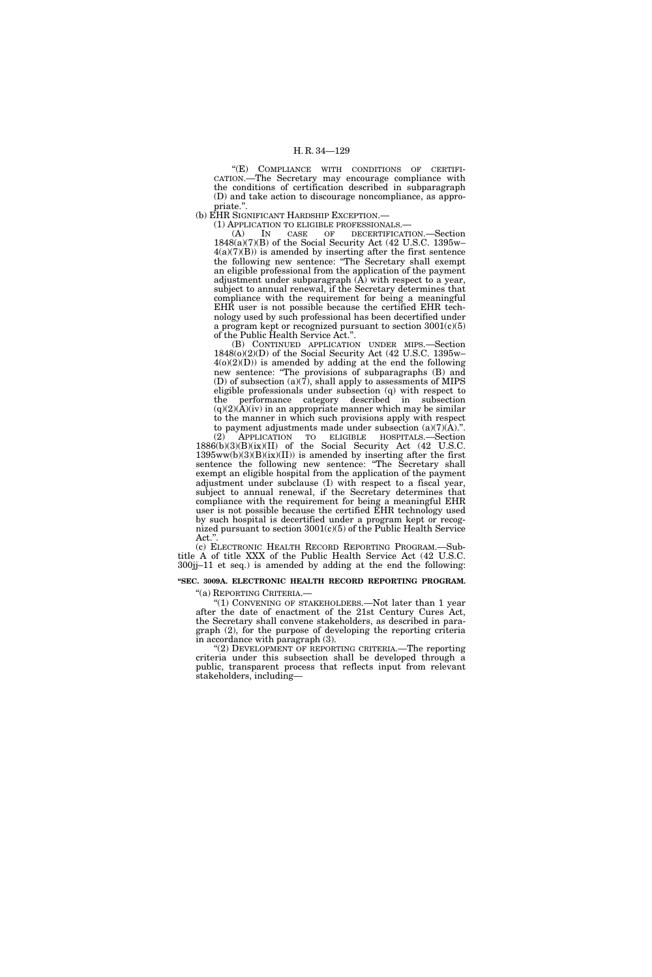"(E) COMPLIANCE WITH CONDITIONS OF CERTIFI-CATION.—The Secretary may encourage compliance with the conditions of certification described in subparagraph (D) and take action to discourage noncompliance, as appropriate.''.

(b) EHR SIGNIFICANT HARDSHIP EXCEPTION.—

(1) APPLICATION TO ELIGIBLE PROFESSIONALS.—

(A) IN CASE OF DECERTIFICATION.—Section 1848(a)(7)(B) of the Social Security Act (42 U.S.C. 1395w–  $4(a)(7)(B)$  is amended by inserting after the first sentence the following new sentence: ''The Secretary shall exempt an eligible professional from the application of the payment adjustment under subparagraph (A) with respect to a year, subject to annual renewal, if the Secretary determines that compliance with the requirement for being a meaningful EHR user is not possible because the certified EHR technology used by such professional has been decertified under a program kept or recognized pursuant to section 3001(c)(5) of the Public Health Service Act.''.

(B) CONTINUED APPLICATION UNDER MIPS.—Section 1848(o)(2)(D) of the Social Security Act (42 U.S.C. 1395w–  $4(0)(2)(D)$  is amended by adding at the end the following new sentence: "The provisions of subparagraphs (B) and (D) of subsection (a)(7), shall apply to assessments of MIPS eligible professionals under subsection (q) with respect to the performance category described in subsection  $(q)(2)(A)(iv)$  in an appropriate manner which may be similar to the manner in which such provisions apply with respect to payment adjustments made under subsection  $(a)(7)(A)$ .".

(2) APPLICATION TO ELIGIBLE HOSPITALS.—Section 1886(b)(3)(B)(ix)(II) of the Social Security Act (42 U.S.C.  $1395ww(b)(3)(B)(ix)(II))$  is amended by inserting after the first sentence the following new sentence: "The Secretary shall exempt an eligible hospital from the application of the payment adjustment under subclause (I) with respect to a fiscal year, subject to annual renewal, if the Secretary determines that compliance with the requirement for being a meaningful EHR user is not possible because the certified EHR technology used by such hospital is decertified under a program kept or recognized pursuant to section 3001(c)(5) of the Public Health Service Act.'

(c) ELECTRONIC HEALTH RECORD REPORTING PROGRAM.—Subtitle A of title XXX of the Public Health Service Act (42 U.S.C. 300jj–11 et seq.) is amended by adding at the end the following:

# **''SEC. 3009A. ELECTRONIC HEALTH RECORD REPORTING PROGRAM.**

''(a) REPORTING CRITERIA.—

''(1) CONVENING OF STAKEHOLDERS.—Not later than 1 year after the date of enactment of the 21st Century Cures Act, the Secretary shall convene stakeholders, as described in paragraph (2), for the purpose of developing the reporting criteria in accordance with paragraph (3).

''(2) DEVELOPMENT OF REPORTING CRITERIA.—The reporting criteria under this subsection shall be developed through a public, transparent process that reflects input from relevant stakeholders, including—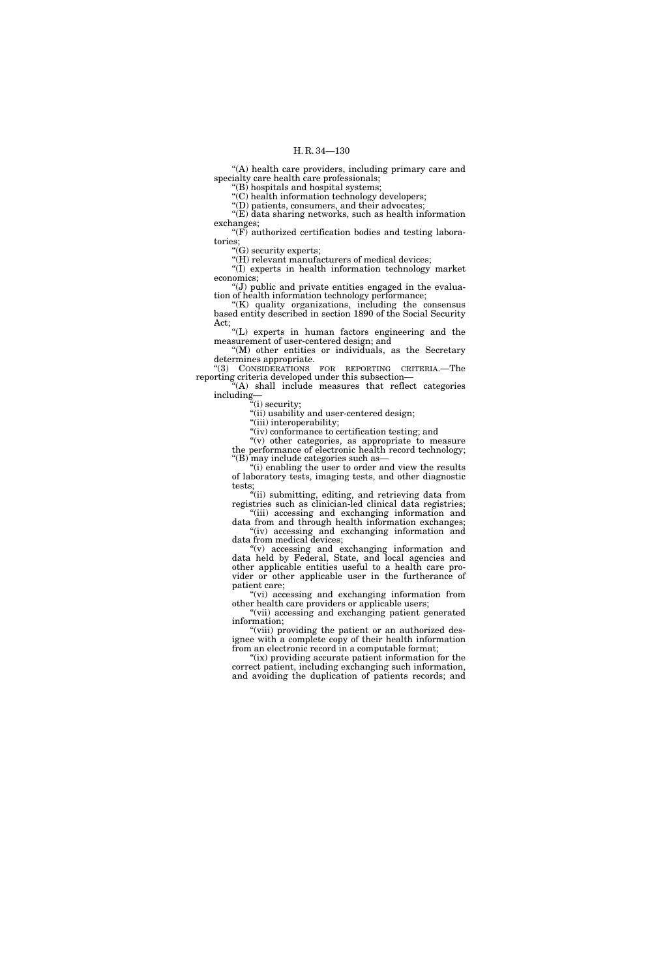"(A) health care providers, including primary care and specialty care health care professionals;

''(B) hospitals and hospital systems;

''(C) health information technology developers;

"(D) patients, consumers, and their advocates; ''(E) data sharing networks, such as health information

exchanges;  $F(F)$  authorized certification bodies and testing laboratories;

" $(G)$  security experts;

"(H) relevant manufacturers of medical devices;

''(I) experts in health information technology market economics;

 $'(J)$  public and private entities engaged in the evaluation of health information technology performance;

"(K) quality organizations, including the consensus based entity described in section 1890 of the Social Security Act;

''(L) experts in human factors engineering and the measurement of user-centered design; and

''(M) other entities or individuals, as the Secretary determines appropriate.

''(3) CONSIDERATIONS FOR REPORTING CRITERIA.—The reporting criteria developed under this subsection—

''(A) shall include measures that reflect categories including—

''(i) security;

''(ii) usability and user-centered design;

"(iii) interoperability; ''(iv) conformance to certification testing; and

''(v) other categories, as appropriate to measure

the performance of electronic health record technology; ''(B) may include categories such as—

"(i) enabling the user to order and view the results of laboratory tests, imaging tests, and other diagnostic tests;

''(ii) submitting, editing, and retrieving data from registries such as clinician-led clinical data registries; "(iii) accessing and exchanging information and

data from and through health information exchanges; "(iv) accessing and exchanging information and data from medical devices;

''(v) accessing and exchanging information and data held by Federal, State, and local agencies and other applicable entities useful to a health care provider or other applicable user in the furtherance of patient care;

"(vi) accessing and exchanging information from other health care providers or applicable users;

"(vii) accessing and exchanging patient generated information;

"(viii) providing the patient or an authorized designee with a complete copy of their health information from an electronic record in a computable format;

"(ix) providing accurate patient information for the correct patient, including exchanging such information, and avoiding the duplication of patients records; and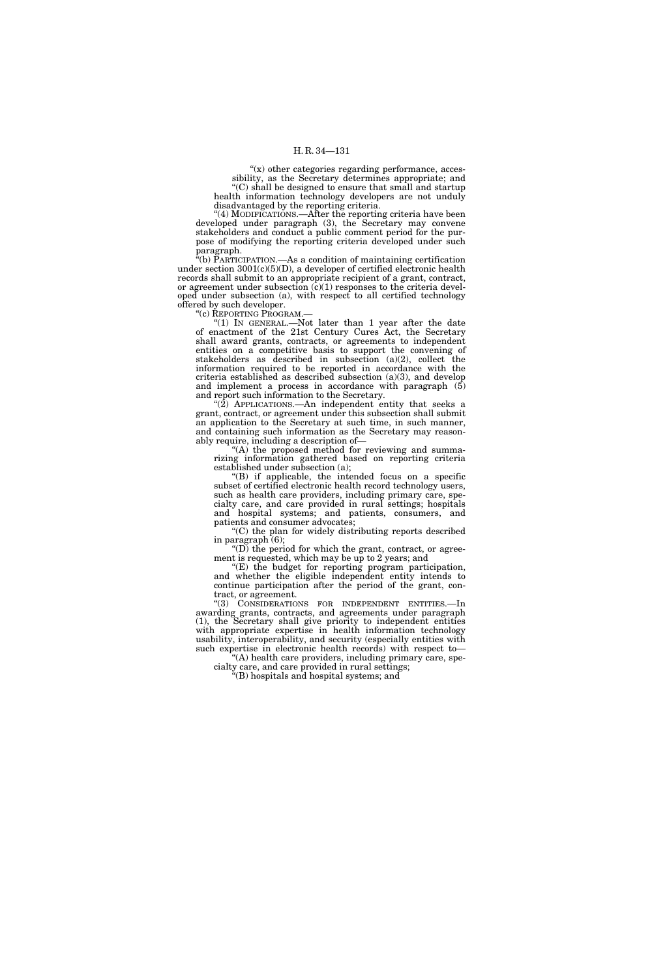" $(x)$  other categories regarding performance, accessibility, as the Secretary determines appropriate; and ''(C) shall be designed to ensure that small and startup health information technology developers are not unduly disadvantaged by the reporting criteria.

''(4) MODIFICATIONS.—After the reporting criteria have been developed under paragraph (3), the Secretary may convene stakeholders and conduct a public comment period for the purpose of modifying the reporting criteria developed under such paragraph.

 $\tilde{f}(b)$  PARTICIPATION.—As a condition of maintaining certification under section  $3001(c)(5)(D)$ , a developer of certified electronic health records shall submit to an appropriate recipient of a grant, contract, or agreement under subsection  $(c)(1)$  responses to the criteria developed under subsection (a), with respect to all certified technology offered by such developer.

''(c) REPORTING PROGRAM.—

"(1) IN GENERAL.-Not later than 1 year after the date of enactment of the 21st Century Cures Act, the Secretary shall award grants, contracts, or agreements to independent entities on a competitive basis to support the convening of stakeholders as described in subsection (a)(2), collect the information required to be reported in accordance with the criteria established as described subsection (a)(3), and develop and implement a process in accordance with paragraph (5) and report such information to the Secretary.

" $(2)$  APPLICATIONS.—An independent entity that seeks a grant, contract, or agreement under this subsection shall submit an application to the Secretary at such time, in such manner, and containing such information as the Secretary may reasonably require, including a description of—

'(A) the proposed method for reviewing and summarizing information gathered based on reporting criteria established under subsection (a);

''(B) if applicable, the intended focus on a specific subset of certified electronic health record technology users, such as health care providers, including primary care, specialty care, and care provided in rural settings; hospitals and hospital systems; and patients, consumers, and patients and consumer advocates;

''(C) the plan for widely distributing reports described in paragraph (6);

 $f(D)$  the period for which the grant, contract, or agreement is requested, which may be up to 2 years; and

''(E) the budget for reporting program participation, and whether the eligible independent entity intends to continue participation after the period of the grant, contract, or agreement.

''(3) CONSIDERATIONS FOR INDEPENDENT ENTITIES.—In awarding grants, contracts, and agreements under paragraph (1), the Secretary shall give priority to independent entities with appropriate expertise in health information technology usability, interoperability, and security (especially entities with such expertise in electronic health records) with respect to—

'(A) health care providers, including primary care, specialty care, and care provided in rural settings;

 $E(E)$  hospitals and hospital systems; and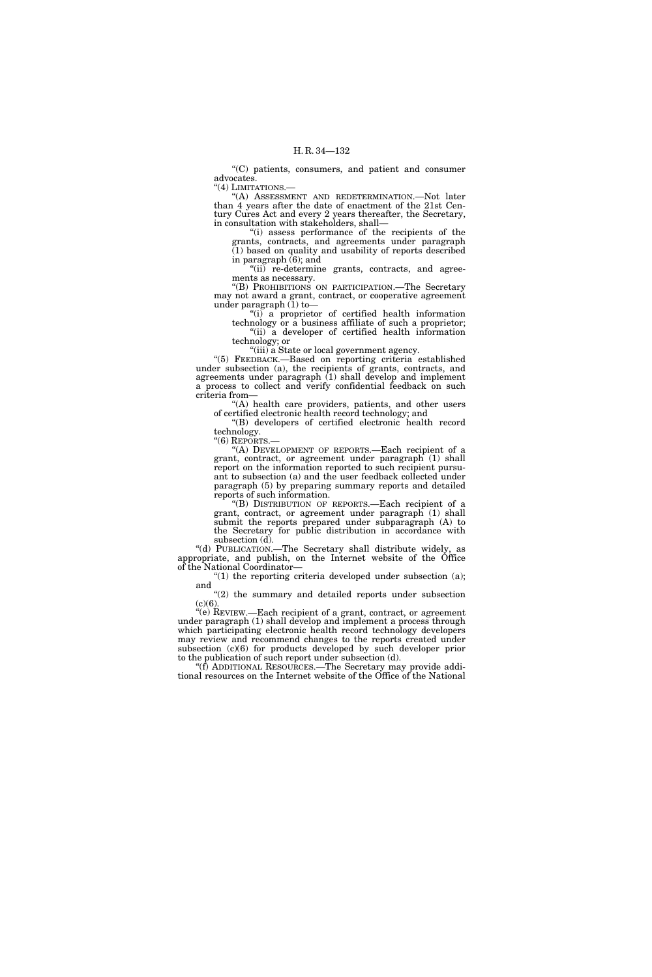''(C) patients, consumers, and patient and consumer advocates. "(4) LIMITATIONS.-

''(A) ASSESSMENT AND REDETERMINATION.—Not later than 4 years after the date of enactment of the 21st Century Cures Act and every 2 years thereafter, the Secretary, in consultation with stakeholders, shall—

''(i) assess performance of the recipients of the grants, contracts, and agreements under paragraph (1) based on quality and usability of reports described in paragraph (6); and

"(ii) re-determine grants, contracts, and agreements as necessary.

''(B) PROHIBITIONS ON PARTICIPATION.—The Secretary may not award a grant, contract, or cooperative agreement under paragraph  $(1)$  to-

"(i) a proprietor of certified health information technology or a business affiliate of such a proprietor; "(ii) a developer of certified health information technology; or

''(iii) a State or local government agency.

"(5) FEEDBACK.-Based on reporting criteria established under subsection (a), the recipients of grants, contracts, and agreements under paragraph (1) shall develop and implement a process to collect and verify confidential feedback on such criteria from—

"(A) health care providers, patients, and other users of certified electronic health record technology; and

''(B) developers of certified electronic health record technology.

"(6) REPORTS.-

''(A) DEVELOPMENT OF REPORTS.—Each recipient of a grant, contract, or agreement under paragraph (1) shall report on the information reported to such recipient pursuant to subsection (a) and the user feedback collected under paragraph (5) by preparing summary reports and detailed reports of such information.

''(B) DISTRIBUTION OF REPORTS.—Each recipient of a grant, contract, or agreement under paragraph (1) shall submit the reports prepared under subparagraph (A) to the Secretary for public distribution in accordance with subsection (d).

''(d) PUBLICATION.—The Secretary shall distribute widely, as appropriate, and publish, on the Internet website of the Office of the National Coordinator—

" $(1)$  the reporting criteria developed under subsection  $(a)$ ; and

"(2) the summary and detailed reports under subsection  $(c)(6)$ .

''(e) REVIEW.—Each recipient of a grant, contract, or agreement under paragraph (1) shall develop and implement a process through which participating electronic health record technology developers may review and recommend changes to the reports created under subsection (c)(6) for products developed by such developer prior to the publication of such report under subsection (d).

''(f) ADDITIONAL RESOURCES.—The Secretary may provide additional resources on the Internet website of the Office of the National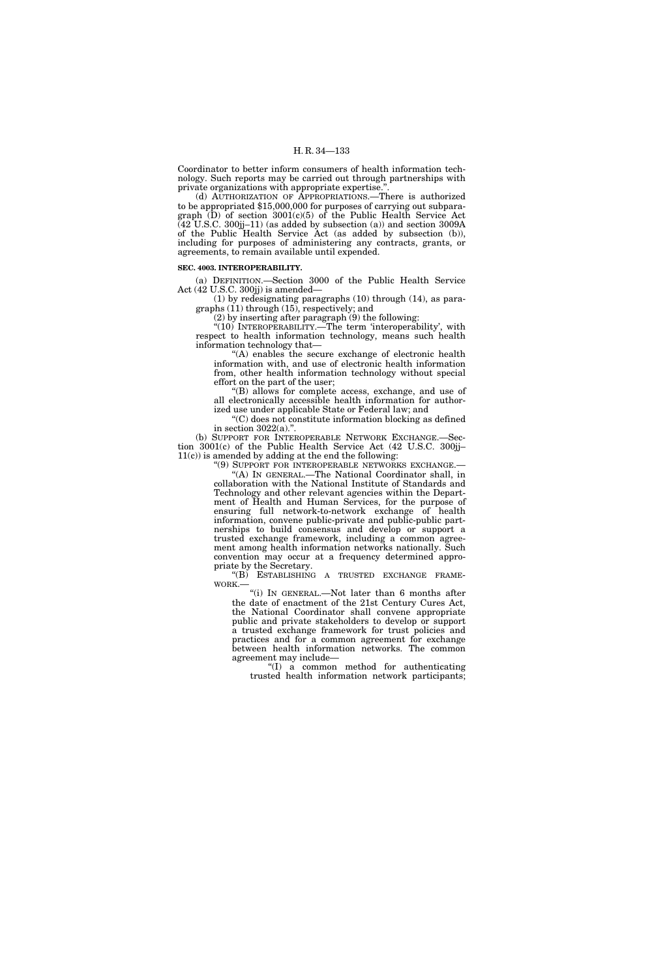Coordinator to better inform consumers of health information technology. Such reports may be carried out through partnerships with private organizations with appropriate expertise.''.

(d) AUTHORIZATION OF APPROPRIATIONS.—There is authorized to be appropriated \$15,000,000 for purposes of carrying out subparagraph (D) of section 3001(c)(5) of the Public Health Service Act  $(42$  U.S.C. 300jj-11) (as added by subsection (a)) and section 3009A of the Public Health Service Act (as added by subsection (b)), including for purposes of administering any contracts, grants, or agreements, to remain available until expended.

#### **SEC. 4003. INTEROPERABILITY.**

(a) DEFINITION.—Section 3000 of the Public Health Service Act (42 U.S.C. 300jj) is amended—

(1) by redesignating paragraphs (10) through (14), as paragraphs (11) through (15), respectively; and

(2) by inserting after paragraph (9) the following:

"(10) INTEROPERABILITY.—The term 'interoperability', with respect to health information technology, means such health information technology that—

''(A) enables the secure exchange of electronic health information with, and use of electronic health information from, other health information technology without special effort on the part of the user;

''(B) allows for complete access, exchange, and use of all electronically accessible health information for authorized use under applicable State or Federal law; and

''(C) does not constitute information blocking as defined in section  $3022(a)$ .".

(b) SUPPORT FOR INTEROPERABLE NETWORK EXCHANGE.—Section 3001(c) of the Public Health Service Act (42 U.S.C. 300jj– 11(c)) is amended by adding at the end the following:

''(9) SUPPORT FOR INTEROPERABLE NETWORKS EXCHANGE.— ''(A) IN GENERAL.—The National Coordinator shall, in collaboration with the National Institute of Standards and Technology and other relevant agencies within the Department of Health and Human Services, for the purpose of ensuring full network-to-network exchange of health information, convene public-private and public-public partnerships to build consensus and develop or support a trusted exchange framework, including a common agreement among health information networks nationally. Such convention may occur at a frequency determined appropriate by the Secretary.

"(B) ESTABLISHING A TRUSTED EXCHANGE FRAME-WORK.—

''(i) IN GENERAL.—Not later than 6 months after the date of enactment of the 21st Century Cures Act, the National Coordinator shall convene appropriate public and private stakeholders to develop or support a trusted exchange framework for trust policies and practices and for a common agreement for exchange between health information networks. The common agreement may include—

''(I) a common method for authenticating trusted health information network participants;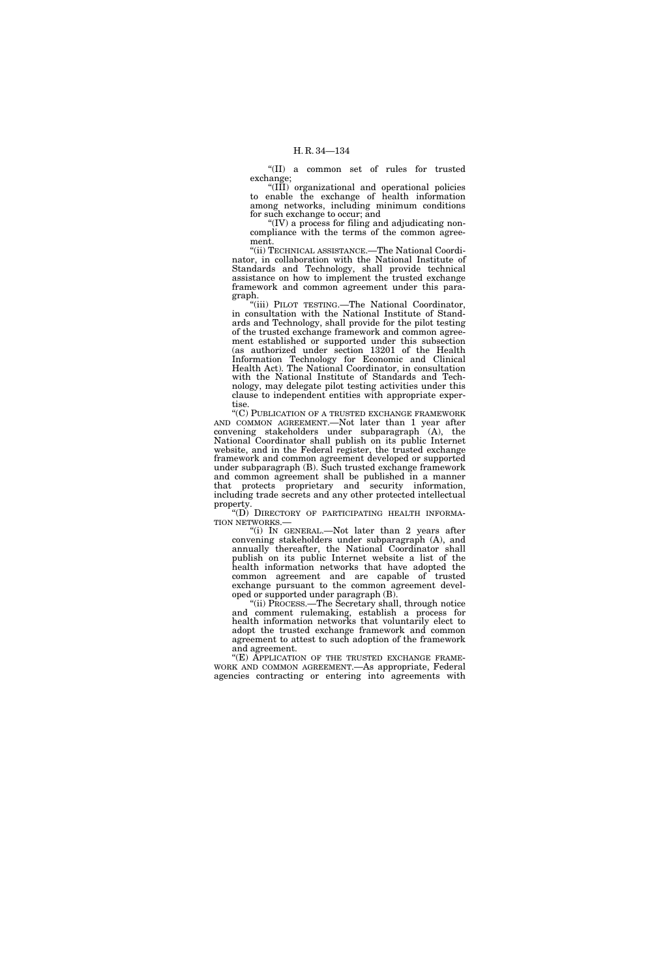''(II) a common set of rules for trusted exchange;

''(III) organizational and operational policies to enable the exchange of health information among networks, including minimum conditions for such exchange to occur; and

 $f(IV)$  a process for filing and adjudicating noncompliance with the terms of the common agreement.

''(ii) TECHNICAL ASSISTANCE.—The National Coordinator, in collaboration with the National Institute of Standards and Technology, shall provide technical assistance on how to implement the trusted exchange framework and common agreement under this paragraph.

''(iii) PILOT TESTING.—The National Coordinator, in consultation with the National Institute of Standards and Technology, shall provide for the pilot testing of the trusted exchange framework and common agreement established or supported under this subsection (as authorized under section 13201 of the Health Information Technology for Economic and Clinical Health Act). The National Coordinator, in consultation with the National Institute of Standards and Technology, may delegate pilot testing activities under this clause to independent entities with appropriate expertise.

''(C) PUBLICATION OF A TRUSTED EXCHANGE FRAMEWORK AND COMMON AGREEMENT.—Not later than 1 year after convening stakeholders under subparagraph (A), the National Coordinator shall publish on its public Internet website, and in the Federal register, the trusted exchange framework and common agreement developed or supported under subparagraph (B). Such trusted exchange framework and common agreement shall be published in a manner that protects proprietary and security information, including trade secrets and any other protected intellectual property.<br>"(D) DIRECTORY OF PARTICIPATING HEALTH INFORMA-

TION NETWORKS.—<br>"(i) IN GENERAL.—Not later than 2 years after

convening stakeholders under subparagraph (A), and annually thereafter, the National Coordinator shall publish on its public Internet website a list of the health information networks that have adopted the common agreement and are capable of trusted exchange pursuant to the common agreement developed or supported under paragraph (B).

''(ii) PROCESS.—The Secretary shall, through notice and comment rulemaking, establish a process for health information networks that voluntarily elect to adopt the trusted exchange framework and common agreement to attest to such adoption of the framework and agreement.

''(E) APPLICATION OF THE TRUSTED EXCHANGE FRAME-WORK AND COMMON AGREEMENT.—As appropriate, Federal agencies contracting or entering into agreements with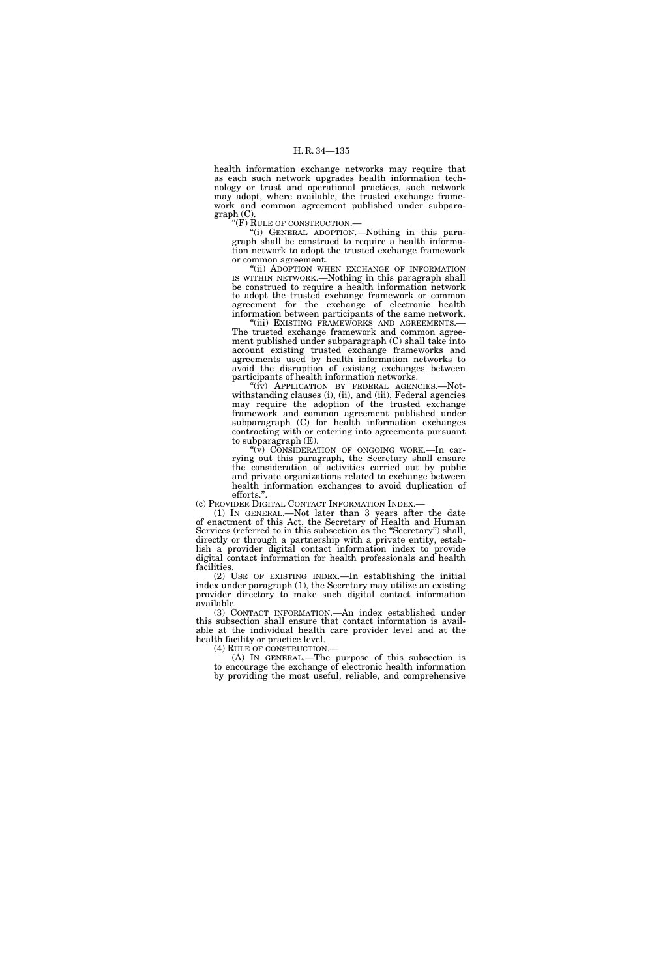health information exchange networks may require that as each such network upgrades health information technology or trust and operational practices, such network may adopt, where available, the trusted exchange framework and common agreement published under subparagraph (C).

''(F) RULE OF CONSTRUCTION.—

''(i) GENERAL ADOPTION.—Nothing in this paragraph shall be construed to require a health information network to adopt the trusted exchange framework or common agreement.

"(ii) ADOPTION WHEN EXCHANGE OF INFORMATION IS WITHIN NETWORK.—Nothing in this paragraph shall be construed to require a health information network to adopt the trusted exchange framework or common agreement for the exchange of electronic health information between participants of the same network.

"(iii) EXISTING FRAMEWORKS AND AGREEMENTS.-The trusted exchange framework and common agreement published under subparagraph (C) shall take into account existing trusted exchange frameworks and agreements used by health information networks to avoid the disruption of existing exchanges between participants of health information networks.

"(iv) APPLICATION BY FEDERAL AGENCIES.—Notwithstanding clauses (i), (ii), and (iii), Federal agencies may require the adoption of the trusted exchange framework and common agreement published under subparagraph (C) for health information exchanges contracting with or entering into agreements pursuant to subparagraph (E).

''(v) CONSIDERATION OF ONGOING WORK.—In carrying out this paragraph, the Secretary shall ensure the consideration of activities carried out by public and private organizations related to exchange between health information exchanges to avoid duplication of efforts."

(c) PROVIDER DIGITAL CONTACT INFORMATION INDEX.— (1) IN GENERAL.—Not later than 3 years after the date of enactment of this Act, the Secretary of Health and Human Services (referred to in this subsection as the ''Secretary'') shall, directly or through a partnership with a private entity, establish a provider digital contact information index to provide digital contact information for health professionals and health facilities.

(2) USE OF EXISTING INDEX.—In establishing the initial index under paragraph (1), the Secretary may utilize an existing provider directory to make such digital contact information available.

(3) CONTACT INFORMATION.—An index established under this subsection shall ensure that contact information is available at the individual health care provider level and at the health facility or practice level.<br>(4) RULE OF CONSTRUCTION.

(4) RULE OF CONSTRUCTION.— (A) IN GENERAL.—The purpose of this subsection is to encourage the exchange of electronic health information by providing the most useful, reliable, and comprehensive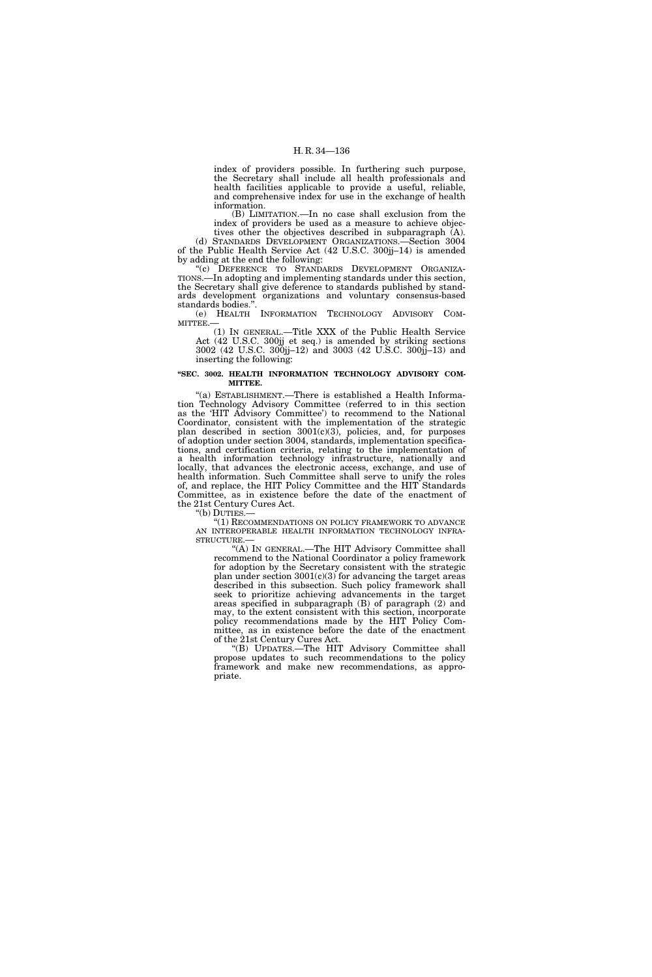index of providers possible. In furthering such purpose, the Secretary shall include all health professionals and health facilities applicable to provide a useful, reliable, and comprehensive index for use in the exchange of health information.

(B) LIMITATION.—In no case shall exclusion from the index of providers be used as a measure to achieve objec-

tives other the objectives described in subparagraph (A). (d) STANDARDS DEVELOPMENT ORGANIZATIONS.—Section 3004 of the Public Health Service Act (42 U.S.C. 300jj–14) is amended by adding at the end the following:

"(c) DEFERENCE TO STANDARDS DEVELOPMENT ORGANIZA-TIONS.—In adopting and implementing standards under this section, the Secretary shall give deference to standards published by standards development organizations and voluntary consensus-based standards bodies.''.

(e) HEALTH INFORMATION TECHNOLOGY ADVISORY COM-MITTEE.—

(1) IN GENERAL.—Title XXX of the Public Health Service Act (42 U.S.C. 300jj et seq.) is amended by striking sections 3002 (42 U.S.C. 300jj–12) and 3003 (42 U.S.C. 300jj–13) and inserting the following:

#### **''SEC. 3002. HEALTH INFORMATION TECHNOLOGY ADVISORY COM-MITTEE.**

"(a) ESTABLISHMENT.—There is established a Health Information Technology Advisory Committee (referred to in this section as the 'HIT Advisory Committee') to recommend to the National Coordinator, consistent with the implementation of the strategic plan described in section 3001(c)(3), policies, and, for purposes of adoption under section 3004, standards, implementation specifications, and certification criteria, relating to the implementation of a health information technology infrastructure, nationally and locally, that advances the electronic access, exchange, and use of health information. Such Committee shall serve to unify the roles of, and replace, the HIT Policy Committee and the HIT Standards Committee, as in existence before the date of the enactment of the 21st Century Cures Act.

''(b) DUTIES.—

''(1) RECOMMENDATIONS ON POLICY FRAMEWORK TO ADVANCE AN INTEROPERABLE HEALTH INFORMATION TECHNOLOGY INFRA-STRUCTURE.

''(A) IN GENERAL.—The HIT Advisory Committee shall recommend to the National Coordinator a policy framework for adoption by the Secretary consistent with the strategic plan under section  $3001(c)(3)$  for advancing the target areas described in this subsection. Such policy framework shall seek to prioritize achieving advancements in the target areas specified in subparagraph (B) of paragraph (2) and may, to the extent consistent with this section, incorporate policy recommendations made by the HIT Policy Committee, as in existence before the date of the enactment of the 21st Century Cures Act.

''(B) UPDATES.—The HIT Advisory Committee shall propose updates to such recommendations to the policy framework and make new recommendations, as appropriate.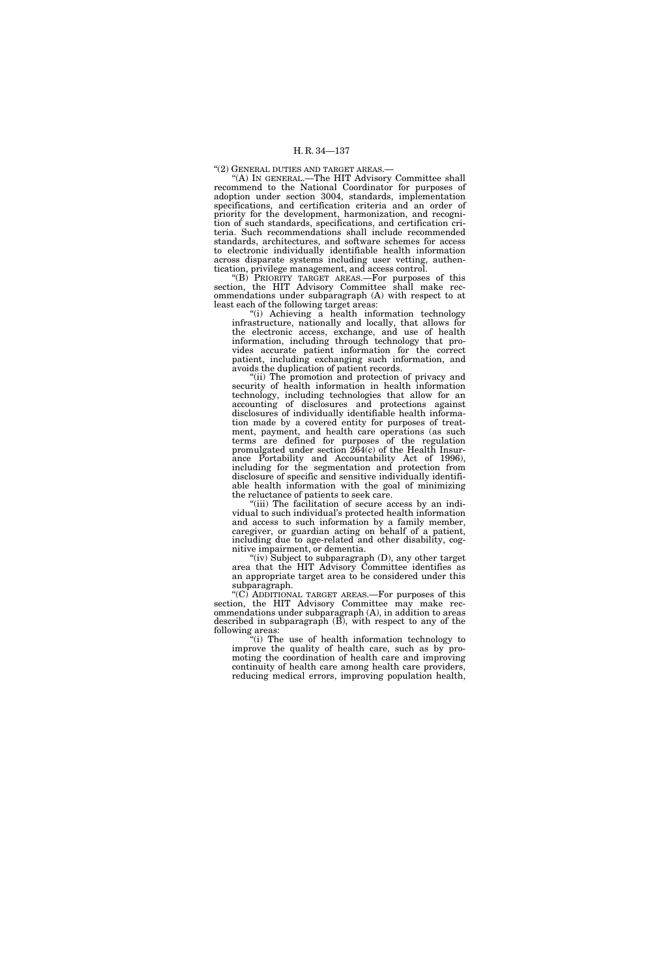# ''(2) GENERAL DUTIES AND TARGET AREAS.—

''(A) IN GENERAL.—The HIT Advisory Committee shall recommend to the National Coordinator for purposes of adoption under section 3004, standards, implementation specifications, and certification criteria and an order of priority for the development, harmonization, and recognition of such standards, specifications, and certification criteria. Such recommendations shall include recommended standards, architectures, and software schemes for access to electronic individually identifiable health information across disparate systems including user vetting, authentication, privilege management, and access control.

''(B) PRIORITY TARGET AREAS.—For purposes of this section, the HIT Advisory Committee shall make recommendations under subparagraph (A) with respect to at least each of the following target areas:

''(i) Achieving a health information technology infrastructure, nationally and locally, that allows for the electronic access, exchange, and use of health information, including through technology that provides accurate patient information for the correct patient, including exchanging such information, and avoids the duplication of patient records.

"(ii) The promotion and protection of privacy and security of health information in health information technology, including technologies that allow for an accounting of disclosures and protections against disclosures of individually identifiable health information made by a covered entity for purposes of treatment, payment, and health care operations (as such terms are defined for purposes of the regulation promulgated under section 264(c) of the Health Insurance Portability and Accountability Act of 1996), including for the segmentation and protection from disclosure of specific and sensitive individually identifiable health information with the goal of minimizing the reluctance of patients to seek care.

 $^{\prime}$ (iii) The facilitation of secure access by an individual to such individual's protected health information and access to such information by a family member, caregiver, or guardian acting on behalf of a patient, including due to age-related and other disability, cognitive impairment, or dementia.

(iv) Subject to subparagraph (D), any other target area that the HIT Advisory Committee identifies as an appropriate target area to be considered under this subparagraph.

''(C) ADDITIONAL TARGET AREAS.—For purposes of this section, the HIT Advisory Committee may make recommendations under subparagraph (A), in addition to areas described in subparagraph (B), with respect to any of the following areas:

''(i) The use of health information technology to improve the quality of health care, such as by promoting the coordination of health care and improving continuity of health care among health care providers, reducing medical errors, improving population health,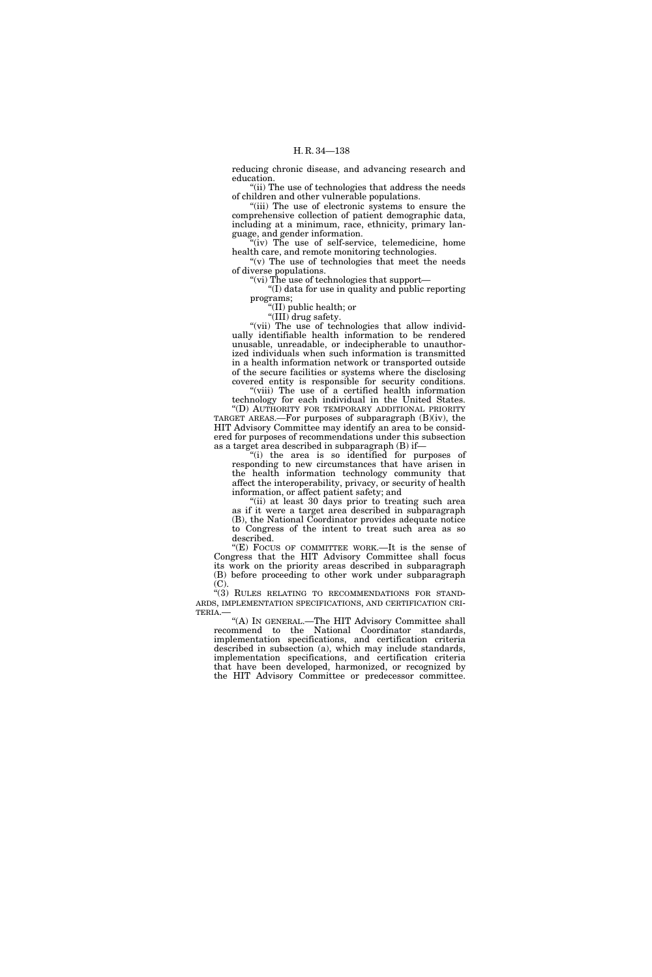reducing chronic disease, and advancing research and education.

"(ii) The use of technologies that address the needs" of children and other vulnerable populations.

"(iii) The use of electronic systems to ensure the comprehensive collection of patient demographic data, including at a minimum, race, ethnicity, primary language, and gender information.

"(iv) The use of self-service, telemedicine, home health care, and remote monitoring technologies. "(v) The use of technologies that meet the needs

of diverse populations.

''(vi) The use of technologies that support— ''(I) data for use in quality and public reporting programs;

''(II) public health; or

"(III) drug safety.

"(vii) The use of technologies that allow individually identifiable health information to be rendered unusable, unreadable, or indecipherable to unauthorized individuals when such information is transmitted in a health information network or transported outside of the secure facilities or systems where the disclosing covered entity is responsible for security conditions.

"(viii) The use of a certified health information technology for each individual in the United States. ''(D) AUTHORITY FOR TEMPORARY ADDITIONAL PRIORITY

TARGET AREAS.—For purposes of subparagraph (B)(iv), the HIT Advisory Committee may identify an area to be considered for purposes of recommendations under this subsection as a target area described in subparagraph (B) if—

''(i) the area is so identified for purposes of responding to new circumstances that have arisen in the health information technology community that affect the interoperability, privacy, or security of health information, or affect patient safety; and

''(ii) at least 30 days prior to treating such area as if it were a target area described in subparagraph (B), the National Coordinator provides adequate notice to Congress of the intent to treat such area as so described.

"(E) FOCUS OF COMMITTEE WORK.—It is the sense of Congress that the HIT Advisory Committee shall focus its work on the priority areas described in subparagraph (B) before proceeding to other work under subparagraph  $(C).$ 

"(3) RULES RELATING TO RECOMMENDATIONS FOR STAND-ARDS, IMPLEMENTATION SPECIFICATIONS, AND CERTIFICATION CRI-TERIA.—

''(A) IN GENERAL.—The HIT Advisory Committee shall recommend to the National Coordinator standards, implementation specifications, and certification criteria described in subsection (a), which may include standards, implementation specifications, and certification criteria that have been developed, harmonized, or recognized by the HIT Advisory Committee or predecessor committee.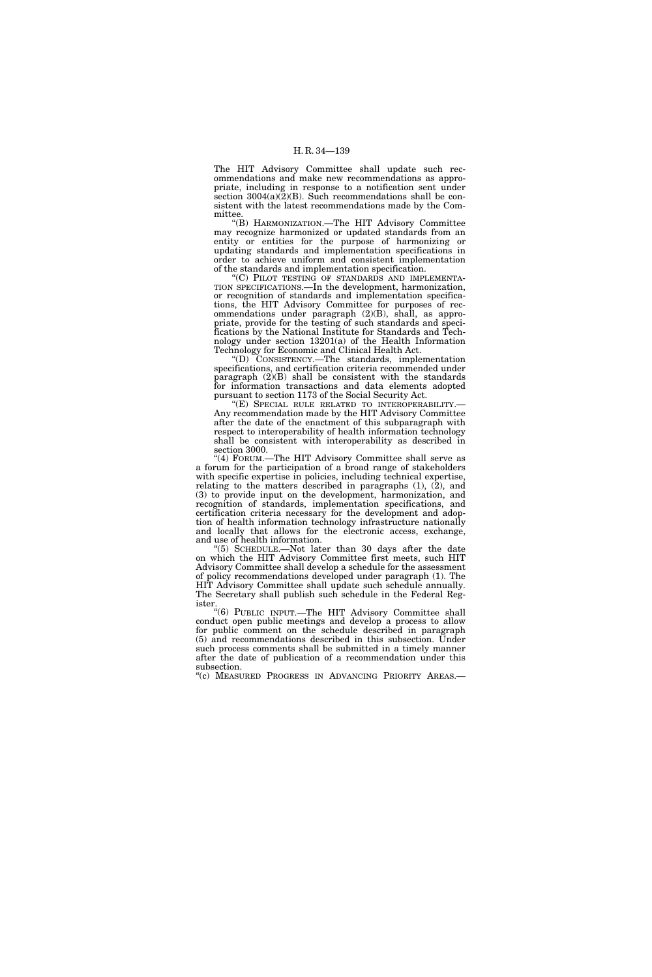The HIT Advisory Committee shall update such recommendations and make new recommendations as appropriate, including in response to a notification sent under section  $3004(a)(2)(B)$ . Such recommendations shall be consistent with the latest recommendations made by the Committee.

''(B) HARMONIZATION.—The HIT Advisory Committee may recognize harmonized or updated standards from an entity or entities for the purpose of harmonizing or updating standards and implementation specifications in order to achieve uniform and consistent implementation of the standards and implementation specification.

'(C) PILOT TESTING OF STANDARDS AND IMPLEMENTA-TION SPECIFICATIONS.—In the development, harmonization, or recognition of standards and implementation specifications, the HIT Advisory Committee for purposes of recommendations under paragraph (2)(B), shall, as appropriate, provide for the testing of such standards and specifications by the National Institute for Standards and Technology under section 13201(a) of the Health Information Technology for Economic and Clinical Health Act.

''(D) CONSISTENCY.—The standards, implementation specifications, and certification criteria recommended under paragraph (2)(B) shall be consistent with the standards for information transactions and data elements adopted pursuant to section 1173 of the Social Security Act.

''(E) SPECIAL RULE RELATED TO INTEROPERABILITY.— Any recommendation made by the HIT Advisory Committee after the date of the enactment of this subparagraph with respect to interoperability of health information technology shall be consistent with interoperability as described in section 3000.

''(4) FORUM.—The HIT Advisory Committee shall serve as a forum for the participation of a broad range of stakeholders with specific expertise in policies, including technical expertise, relating to the matters described in paragraphs (1), (2), and (3) to provide input on the development, harmonization, and recognition of standards, implementation specifications, and certification criteria necessary for the development and adoption of health information technology infrastructure nationally and locally that allows for the electronic access, exchange, and use of health information.

''(5) SCHEDULE.—Not later than 30 days after the date on which the HIT Advisory Committee first meets, such HIT Advisory Committee shall develop a schedule for the assessment of policy recommendations developed under paragraph (1). The HIT Advisory Committee shall update such schedule annually. The Secretary shall publish such schedule in the Federal Register.

''(6) PUBLIC INPUT.—The HIT Advisory Committee shall conduct open public meetings and develop a process to allow for public comment on the schedule described in paragraph (5) and recommendations described in this subsection. Under such process comments shall be submitted in a timely manner after the date of publication of a recommendation under this subsection.

"(c) MEASURED PROGRESS IN ADVANCING PRIORITY AREAS.—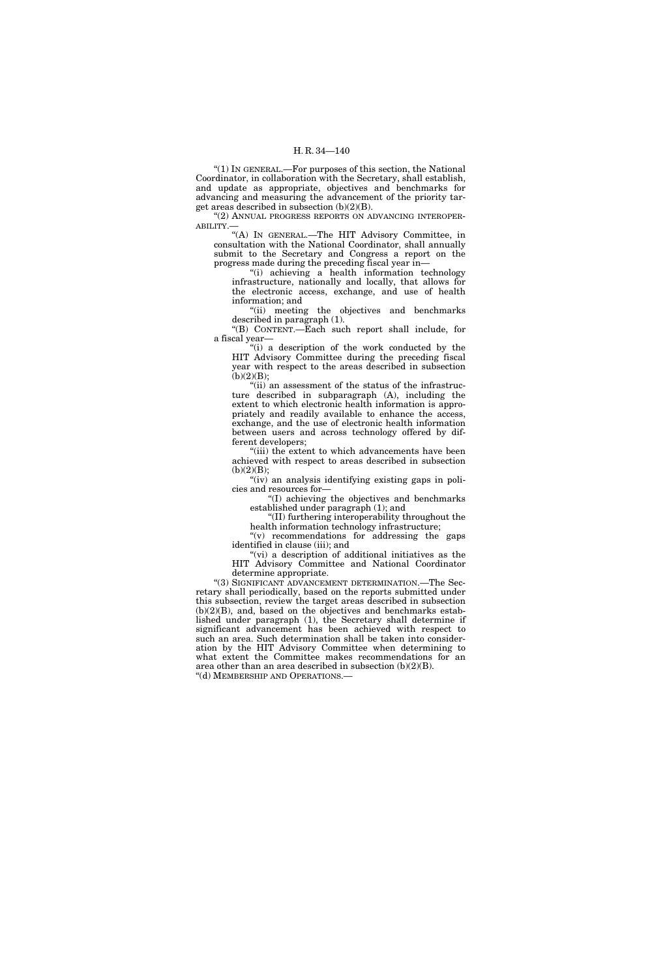''(1) IN GENERAL.—For purposes of this section, the National Coordinator, in collaboration with the Secretary, shall establish, and update as appropriate, objectives and benchmarks for advancing and measuring the advancement of the priority target areas described in subsection (b)(2)(B).

''(2) ANNUAL PROGRESS REPORTS ON ADVANCING INTEROPER-ABILITY.—

''(A) IN GENERAL.—The HIT Advisory Committee, in consultation with the National Coordinator, shall annually submit to the Secretary and Congress a report on the progress made during the preceding fiscal year in—

''(i) achieving a health information technology infrastructure, nationally and locally, that allows for the electronic access, exchange, and use of health information; and

"(ii) meeting the objectives and benchmarks described in paragraph (1).

''(B) CONTENT.—Each such report shall include, for a fiscal year—

''(i) a description of the work conducted by the HIT Advisory Committee during the preceding fiscal year with respect to the areas described in subsection  $(b)(2)(B);$ 

''(ii) an assessment of the status of the infrastructure described in subparagraph (A), including the extent to which electronic health information is appropriately and readily available to enhance the access, exchange, and the use of electronic health information between users and across technology offered by different developers;

"(iii) the extent to which advancements have been achieved with respect to areas described in subsection  $(b)(2)(B);$ 

''(iv) an analysis identifying existing gaps in policies and resources for—

''(I) achieving the objectives and benchmarks established under paragraph (1); and

''(II) furthering interoperability throughout the health information technology infrastructure;

''(v) recommendations for addressing the gaps identified in clause (iii); and

"(vi) a description of additional initiatives as the HIT Advisory Committee and National Coordinator determine appropriate.

''(3) SIGNIFICANT ADVANCEMENT DETERMINATION.—The Secretary shall periodically, based on the reports submitted under this subsection, review the target areas described in subsection  $(b)(2)(B)$ , and, based on the objectives and benchmarks established under paragraph (1), the Secretary shall determine if significant advancement has been achieved with respect to such an area. Such determination shall be taken into consideration by the HIT Advisory Committee when determining to what extent the Committee makes recommendations for an area other than an area described in subsection (b)(2)(B). ''(d) MEMBERSHIP AND OPERATIONS.—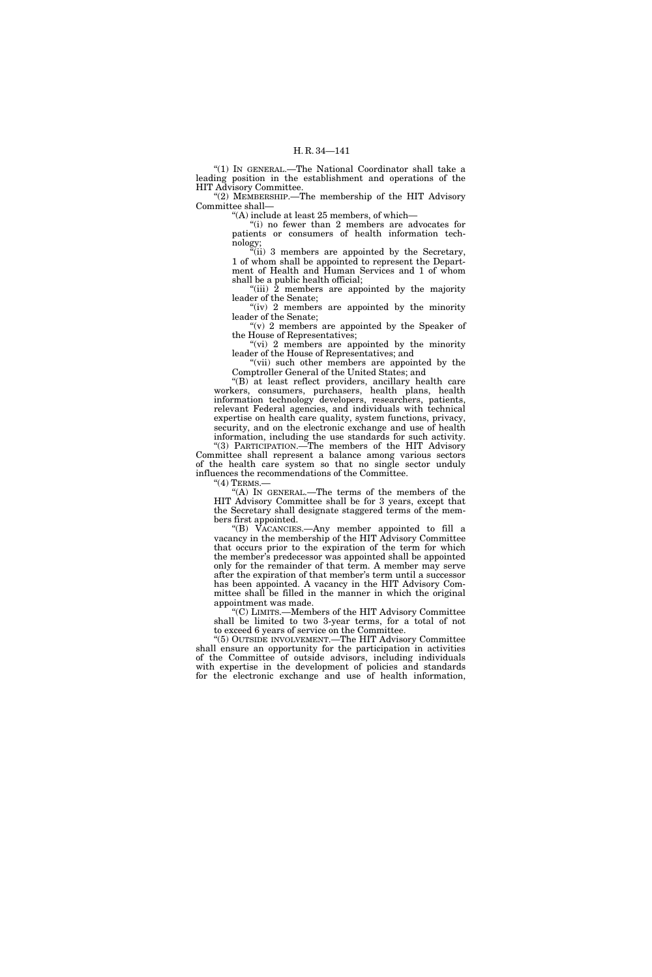''(1) IN GENERAL.—The National Coordinator shall take a leading position in the establishment and operations of the HIT Advisory Committee.

"(2) MEMBERSHIP.—The membership of the HIT Advisory Committee shall—

''(A) include at least 25 members, of which—

''(i) no fewer than 2 members are advocates for patients or consumers of health information technology;

"(ii) 3 members are appointed by the Secretary, 1 of whom shall be appointed to represent the Department of Health and Human Services and 1 of whom shall be a public health official;

"(iii) 2 members are appointed by the majority leader of the Senate;

"(iv) 2 members are appointed by the minority leader of the Senate;

" $(v)$  2 members are appointed by the Speaker of the House of Representatives;

" $(vi)$  2 members are appointed by the minority leader of the House of Representatives; and

''(vii) such other members are appointed by the Comptroller General of the United States; and

''(B) at least reflect providers, ancillary health care workers, consumers, purchasers, health plans, health information technology developers, researchers, patients, relevant Federal agencies, and individuals with technical expertise on health care quality, system functions, privacy, security, and on the electronic exchange and use of health information, including the use standards for such activity.

"(3) PARTICIPATION.<sup>The</sup> members of the HIT Advisory Committee shall represent a balance among various sectors of the health care system so that no single sector unduly influences the recommendations of the Committee.

 $"(4)$  TERMS.-

''(A) IN GENERAL.—The terms of the members of the HIT Advisory Committee shall be for 3 years, except that the Secretary shall designate staggered terms of the members first appointed.

''(B) VACANCIES.—Any member appointed to fill a vacancy in the membership of the HIT Advisory Committee that occurs prior to the expiration of the term for which the member's predecessor was appointed shall be appointed only for the remainder of that term. A member may serve after the expiration of that member's term until a successor has been appointed. A vacancy in the HIT Advisory Committee shall be filled in the manner in which the original appointment was made.

''(C) LIMITS.—Members of the HIT Advisory Committee shall be limited to two 3-year terms, for a total of not to exceed 6 years of service on the Committee.

''(5) OUTSIDE INVOLVEMENT.—The HIT Advisory Committee shall ensure an opportunity for the participation in activities of the Committee of outside advisors, including individuals with expertise in the development of policies and standards for the electronic exchange and use of health information,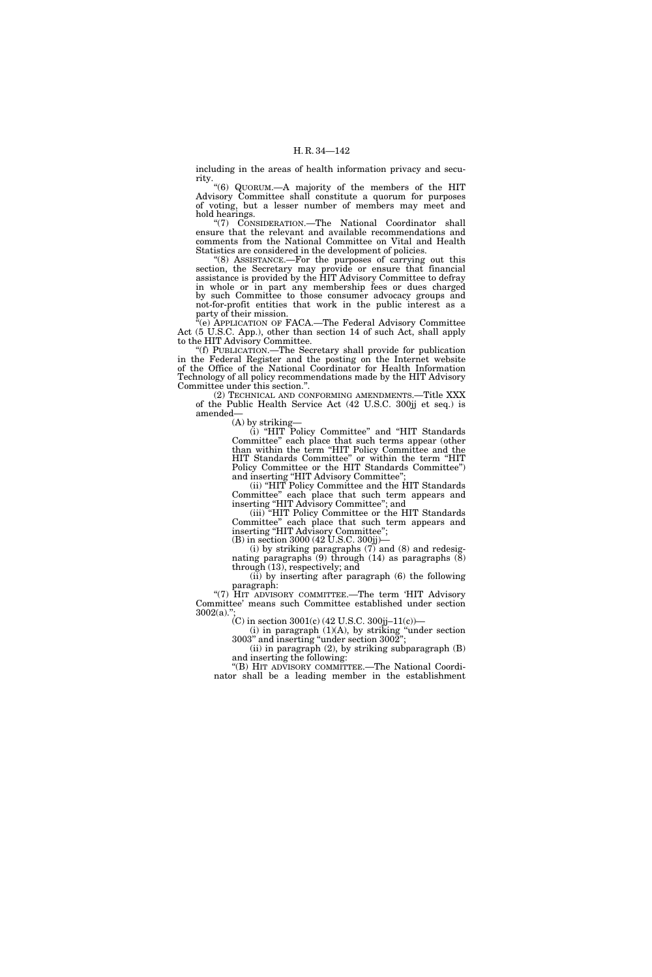including in the areas of health information privacy and security.

''(6) QUORUM.—A majority of the members of the HIT Advisory Committee shall constitute a quorum for purposes of voting, but a lesser number of members may meet and hold hearings.

''(7) CONSIDERATION.—The National Coordinator shall ensure that the relevant and available recommendations and comments from the National Committee on Vital and Health Statistics are considered in the development of policies.

"(8) ASSISTANCE.—For the purposes of carrying out this section, the Secretary may provide or ensure that financial assistance is provided by the HIT Advisory Committee to defray in whole or in part any membership fees or dues charged by such Committee to those consumer advocacy groups and not-for-profit entities that work in the public interest as a party of their mission.

<sup>"</sup>(e) APPLICATION OF FACA.—The Federal Advisory Committee Act (5 U.S.C. App.), other than section 14 of such Act, shall apply to the HIT Advisory Committee.

''(f) PUBLICATION.—The Secretary shall provide for publication in the Federal Register and the posting on the Internet website of the Office of the National Coordinator for Health Information Technology of all policy recommendations made by the HIT Advisory Committee under this section.''.

(2) TECHNICAL AND CONFORMING AMENDMENTS.—Title XXX of the Public Health Service Act (42 U.S.C. 300jj et seq.) is amended—

(A) by striking—

(i) ''HIT Policy Committee'' and ''HIT Standards Committee'' each place that such terms appear (other than within the term ''HIT Policy Committee and the HIT Standards Committee'' or within the term ''HIT Policy Committee or the HIT Standards Committee'') and inserting "HIT Advisory Committee"

(ii) ''HIT Policy Committee and the HIT Standards Committee'' each place that such term appears and inserting ''HIT Advisory Committee''; and

(iii) ''HIT Policy Committee or the HIT Standards Committee'' each place that such term appears and inserting ''HIT Advisory Committee''; (B) in section 3000 (42 U.S.C. 300jj)—

(i) by striking paragraphs  $(7)$  and  $(8)$  and redesignating paragraphs  $(9)$  through  $(14)$  as paragraphs  $(\bar{8})$ through (13), respectively; and

(ii) by inserting after paragraph (6) the following paragraph:

"(7) HIT ADVISORY COMMITTEE.—The term 'HIT Advisory Committee' means such Committee established under section  $3002(a)$ ."

(C) in section 3001(c) (42 U.S.C. 300jj-11(c))-

 $(i)$  in paragraph  $(1)(A)$ , by striking "under section 3003'' and inserting ''under section 3002''; (ii) in paragraph (2), by striking subparagraph (B)

and inserting the following: ''(B) HIT ADVISORY COMMITTEE.—The National Coordi-

nator shall be a leading member in the establishment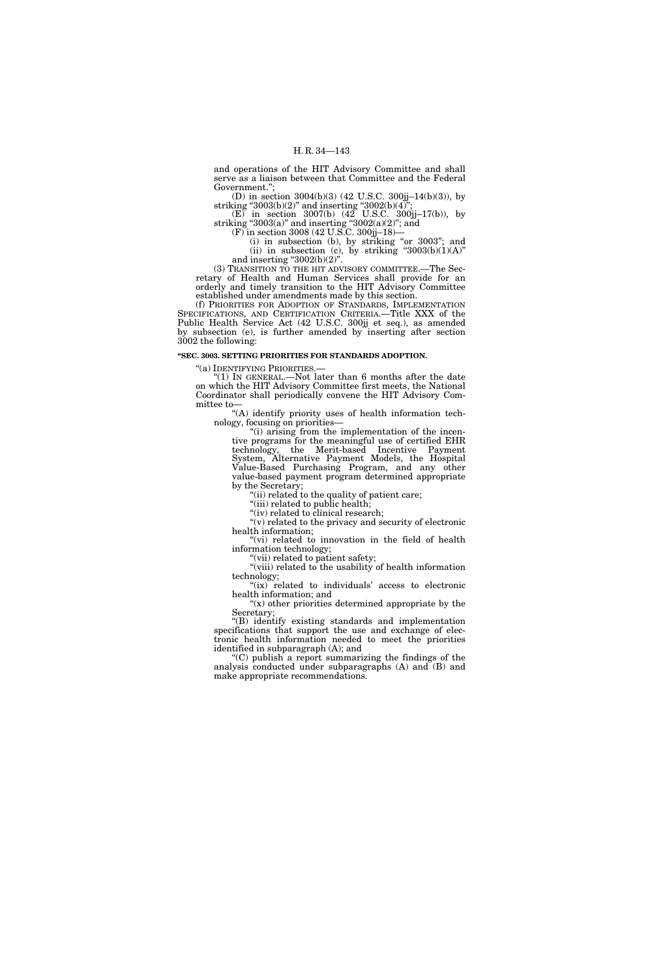and operations of the HIT Advisory Committee and shall serve as a liaison between that Committee and the Federal Government.'';

(D) in section 3004(b)(3) (42 U.S.C. 300jj–14(b)(3)), by striking "3003(b)(2)" and inserting "3002(b)(4)";

(E) in section 3007(b) (42 U.S.C. 300jj–17(b)), by striking "3003(a)" and inserting "3002(a)(2)"; and

(F) in section 3008 (42 U.S.C. 300jj–18)—

(i) in subsection (b), by striking "or 3003"; and (ii) in subsection (c), by striking " $3003(b)(1)(A)$ " and inserting " $3002(b)(2)$ ".

(3) TRANSITION TO THE HIT ADVISORY COMMITTEE.—The Secretary of Health and Human Services shall provide for an orderly and timely transition to the HIT Advisory Committee established under amendments made by this section.

(f) PRIORITIES FOR ADOPTION OF STANDARDS, IMPLEMENTATION SPECIFICATIONS, AND CERTIFICATION CRITERIA.—Title XXX of the Public Health Service Act (42 U.S.C. 300jj et seq.), as amended by subsection (e), is further amended by inserting after section 3002 the following:

#### **''SEC. 3003. SETTING PRIORITIES FOR STANDARDS ADOPTION.**

"(a) IDENTIFYING PRIORITIES.

"(1) In GENERAL.—Not later than 6 months after the date on which the HIT Advisory Committee first meets, the National Coordinator shall periodically convene the HIT Advisory Committee to—

"(A) identify priority uses of health information technology, focusing on priorities—

''(i) arising from the implementation of the incentive programs for the meaningful use of certified EHR technology, the Merit-based Incentive Payment System, Alternative Payment Models, the Hospital Value-Based Purchasing Program, and any other value-based payment program determined appropriate by the Secretary;

"(ii) related to the quality of patient care;

''(iii) related to public health; "(iv) related to clinical research;

"(v) related to the privacy and security of electronic health information;

"(vi) related to innovation in the field of health information technology;

 $\lq$ (vii) related to patient safety;

"(viii) related to the usability of health information technology;

"(ix) related to individuals' access to electronic health information; and

" $(x)$  other priorities determined appropriate by the Secretary;

''(B) identify existing standards and implementation specifications that support the use and exchange of electronic health information needed to meet the priorities identified in subparagraph (A); and

''(C) publish a report summarizing the findings of the analysis conducted under subparagraphs (A) and (B) and make appropriate recommendations.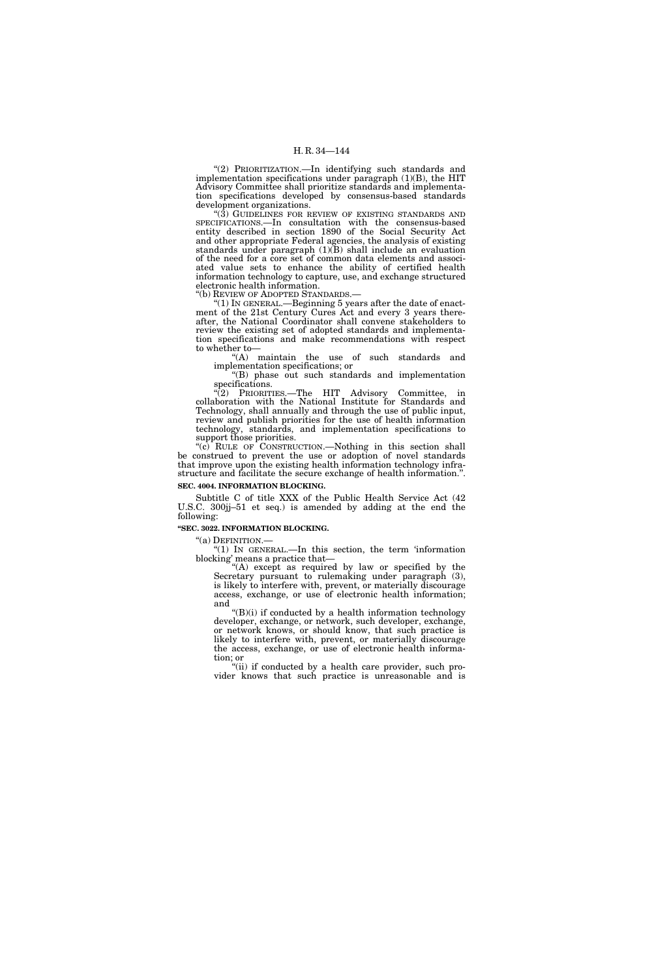"(2) PRIORITIZATION.—In identifying such standards and implementation specifications under paragraph (1)(B), the HIT Advisory Committee shall prioritize standards and implementation specifications developed by consensus-based standards development organizations.

"(3) GUIDELINES FOR REVIEW OF EXISTING STANDARDS AND SPECIFICATIONS.—In consultation with the consensus-based entity described in section 1890 of the Social Security Act and other appropriate Federal agencies, the analysis of existing standards under paragraph (1)(B) shall include an evaluation of the need for a core set of common data elements and associated value sets to enhance the ability of certified health information technology to capture, use, and exchange structured electronic health information.<br>"(b) REVIEW OF ADOPTED STANDARDS.—

" $(1)$  In GENERAL.—Beginning 5 years after the date of enactment of the 21st Century Cures Act and every 3 years thereafter, the National Coordinator shall convene stakeholders to review the existing set of adopted standards and implementation specifications and make recommendations with respect to whether to—

"(A) maintain the use of such standards and implementation specifications; or

''(B) phase out such standards and implementation specifications.

 $\sqrt{\frac{2}{2}}$  PRIORITIES.—The HIT Advisory Committee, in collaboration with the National Institute for Standards and Technology, shall annually and through the use of public input, review and publish priorities for the use of health information technology, standards, and implementation specifications to support those priorities.

"(c) RULE OF CONSTRUCTION.—Nothing in this section shall be construed to prevent the use or adoption of novel standards that improve upon the existing health information technology infrastructure and facilitate the secure exchange of health information.''. **SEC. 4004. INFORMATION BLOCKING.** 

Subtitle C of title XXX of the Public Health Service Act (42 U.S.C. 300jj–51 et seq.) is amended by adding at the end the following:

**''SEC. 3022. INFORMATION BLOCKING.** 

"(a) DEFINITION.—<br>"(1) IN GENERAL.—In this section, the term 'information blocking' means a practice that—

"(A) except as required by law or specified by the Secretary pursuant to rulemaking under paragraph (3), is likely to interfere with, prevent, or materially discourage access, exchange, or use of electronic health information; and

''(B)(i) if conducted by a health information technology developer, exchange, or network, such developer, exchange, or network knows, or should know, that such practice is likely to interfere with, prevent, or materially discourage the access, exchange, or use of electronic health information; or

''(ii) if conducted by a health care provider, such provider knows that such practice is unreasonable and is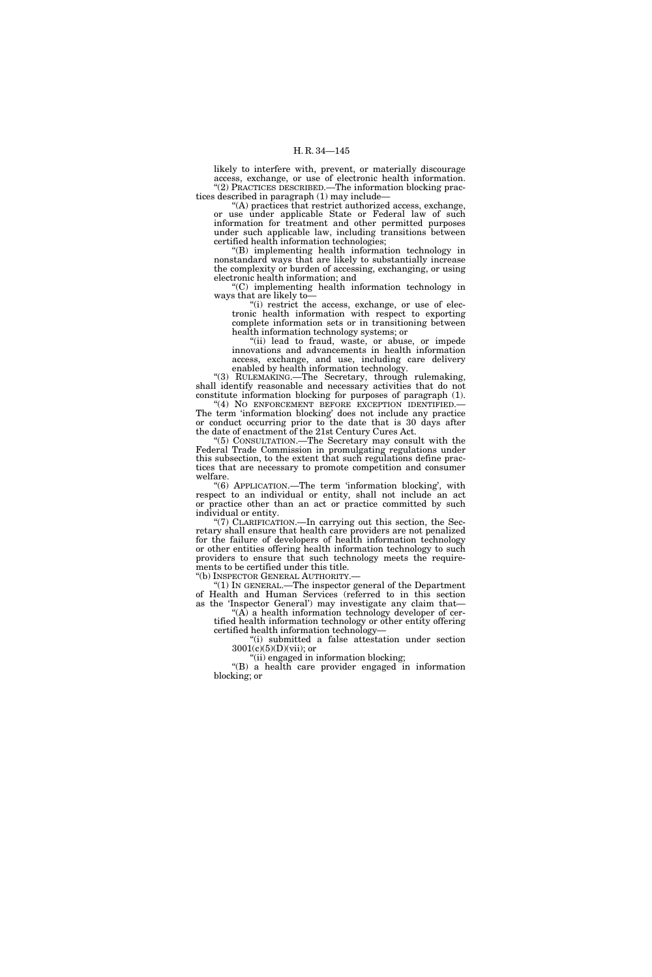likely to interfere with, prevent, or materially discourage access, exchange, or use of electronic health information. ''(2) PRACTICES DESCRIBED.—The information blocking practices described in paragraph (1) may include—

''(A) practices that restrict authorized access, exchange, or use under applicable State or Federal law of such information for treatment and other permitted purposes under such applicable law, including transitions between certified health information technologies;

''(B) implementing health information technology in nonstandard ways that are likely to substantially increase the complexity or burden of accessing, exchanging, or using electronic health information; and

''(C) implementing health information technology in ways that are likely to—

''(i) restrict the access, exchange, or use of electronic health information with respect to exporting complete information sets or in transitioning between health information technology systems; or

''(ii) lead to fraud, waste, or abuse, or impede innovations and advancements in health information access, exchange, and use, including care delivery enabled by health information technology.

''(3) RULEMAKING.—The Secretary, through rulemaking, shall identify reasonable and necessary activities that do not constitute information blocking for purposes of paragraph (1).

"(4) NO ENFORCEMENT BEFORE EXCEPTION IDENTIFIED. The term 'information blocking' does not include any practice or conduct occurring prior to the date that is 30 days after the date of enactment of the 21st Century Cures Act.

''(5) CONSULTATION.—The Secretary may consult with the Federal Trade Commission in promulgating regulations under this subsection, to the extent that such regulations define practices that are necessary to promote competition and consumer welfare.

"(6) APPLICATION.—The term 'information blocking', with respect to an individual or entity, shall not include an act or practice other than an act or practice committed by such individual or entity.

''(7) CLARIFICATION.—In carrying out this section, the Secretary shall ensure that health care providers are not penalized for the failure of developers of health information technology or other entities offering health information technology to such providers to ensure that such technology meets the requirements to be certified under this title.

''(b) INSPECTOR GENERAL AUTHORITY.— ''(1) IN GENERAL.—The inspector general of the Department of Health and Human Services (referred to in this section as the 'Inspector General') may investigate any claim that—

 $f(A)$  a health information technology developer of certified health information technology or other entity offering

certified health information technology— ''(i) submitted a false attestation under section  $3001(c)(5)(D)(vii)$ ; or

''(ii) engaged in information blocking;

''(B) a health care provider engaged in information blocking; or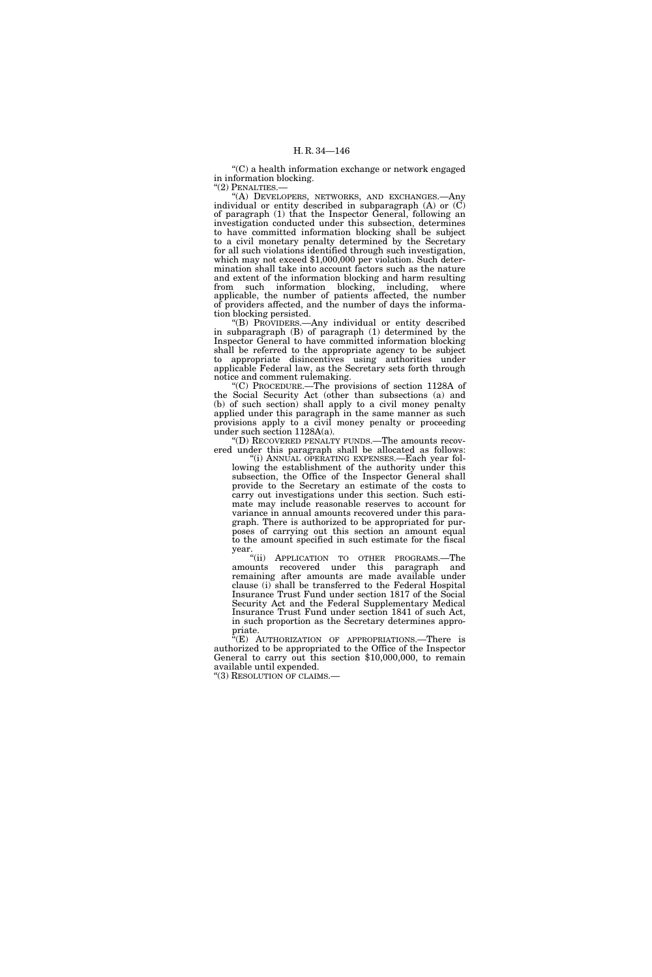''(C) a health information exchange or network engaged in information blocking.  $''(2)$  PENALTIES. $-$ 

''(A) DEVELOPERS, NETWORKS, AND EXCHANGES.—Any individual or entity described in subparagraph (A) or (C) of paragraph (1) that the Inspector General, following an investigation conducted under this subsection, determines to have committed information blocking shall be subject to a civil monetary penalty determined by the Secretary for all such violations identified through such investigation, which may not exceed \$1,000,000 per violation. Such determination shall take into account factors such as the nature and extent of the information blocking and harm resulting from such information blocking, including, where applicable, the number of patients affected, the number of providers affected, and the number of days the information blocking persisted.

''(B) PROVIDERS.—Any individual or entity described in subparagraph (B) of paragraph (1) determined by the Inspector General to have committed information blocking shall be referred to the appropriate agency to be subject to appropriate disincentives using authorities under applicable Federal law, as the Secretary sets forth through notice and comment rulemaking.

''(C) PROCEDURE.—The provisions of section 1128A of the Social Security Act (other than subsections (a) and (b) of such section) shall apply to a civil money penalty applied under this paragraph in the same manner as such provisions apply to a civil money penalty or proceeding under such section 1128A(a).

'(D) RECOVERED PENALTY FUNDS.—The amounts recovered under this paragraph shall be allocated as follows:

''(i) ANNUAL OPERATING EXPENSES.—Each year following the establishment of the authority under this subsection, the Office of the Inspector General shall provide to the Secretary an estimate of the costs to carry out investigations under this section. Such estimate may include reasonable reserves to account for variance in annual amounts recovered under this paragraph. There is authorized to be appropriated for purposes of carrying out this section an amount equal to the amount specified in such estimate for the fiscal year.

''(ii) APPLICATION TO OTHER PROGRAMS.—The amounts recovered under this paragraph and remaining after amounts are made available under clause (i) shall be transferred to the Federal Hospital Insurance Trust Fund under section 1817 of the Social Security Act and the Federal Supplementary Medical Insurance Trust Fund under section 1841 of such Act, in such proportion as the Secretary determines appropriate.

''(E) AUTHORIZATION OF APPROPRIATIONS.—There is authorized to be appropriated to the Office of the Inspector General to carry out this section \$10,000,000, to remain available until expended.

"(3) RESOLUTION OF CLAIMS.-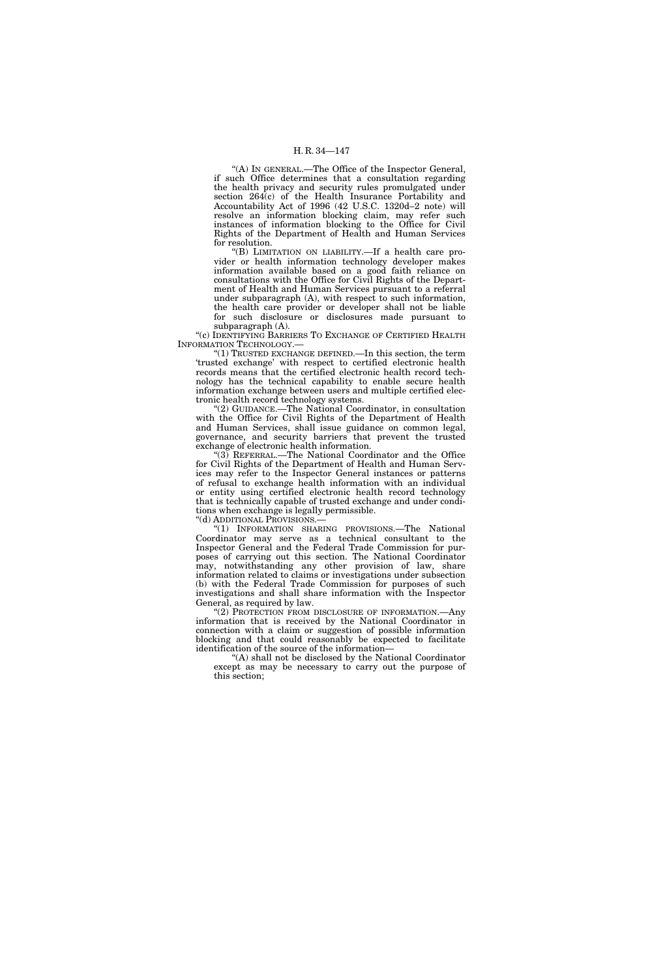''(A) IN GENERAL.—The Office of the Inspector General, if such Office determines that a consultation regarding the health privacy and security rules promulgated under section 264(c) of the Health Insurance Portability and Accountability Act of 1996 (42 U.S.C. 1320d–2 note) will resolve an information blocking claim, may refer such instances of information blocking to the Office for Civil Rights of the Department of Health and Human Services for resolution.

''(B) LIMITATION ON LIABILITY.—If a health care provider or health information technology developer makes information available based on a good faith reliance on consultations with the Office for Civil Rights of the Department of Health and Human Services pursuant to a referral under subparagraph (A), with respect to such information, the health care provider or developer shall not be liable for such disclosure or disclosures made pursuant to subparagraph (A).

''(c) IDENTIFYING BARRIERS TO EXCHANGE OF CERTIFIED HEALTH INFORMATION TECHNOLOGY.—

''(1) TRUSTED EXCHANGE DEFINED.—In this section, the term 'trusted exchange' with respect to certified electronic health records means that the certified electronic health record technology has the technical capability to enable secure health information exchange between users and multiple certified electronic health record technology systems.

''(2) GUIDANCE.—The National Coordinator, in consultation with the Office for Civil Rights of the Department of Health and Human Services, shall issue guidance on common legal, governance, and security barriers that prevent the trusted exchange of electronic health information.

''(3) REFERRAL.—The National Coordinator and the Office for Civil Rights of the Department of Health and Human Services may refer to the Inspector General instances or patterns of refusal to exchange health information with an individual or entity using certified electronic health record technology that is technically capable of trusted exchange and under conditions when exchange is legally permissible.

''(d) ADDITIONAL PROVISIONS.—

''(1) INFORMATION SHARING PROVISIONS.—The National Coordinator may serve as a technical consultant to the Inspector General and the Federal Trade Commission for purposes of carrying out this section. The National Coordinator may, notwithstanding any other provision of law, share information related to claims or investigations under subsection (b) with the Federal Trade Commission for purposes of such investigations and shall share information with the Inspector General, as required by law.

''(2) PROTECTION FROM DISCLOSURE OF INFORMATION.—Any information that is received by the National Coordinator in connection with a claim or suggestion of possible information blocking and that could reasonably be expected to facilitate identification of the source of the information—

''(A) shall not be disclosed by the National Coordinator except as may be necessary to carry out the purpose of this section;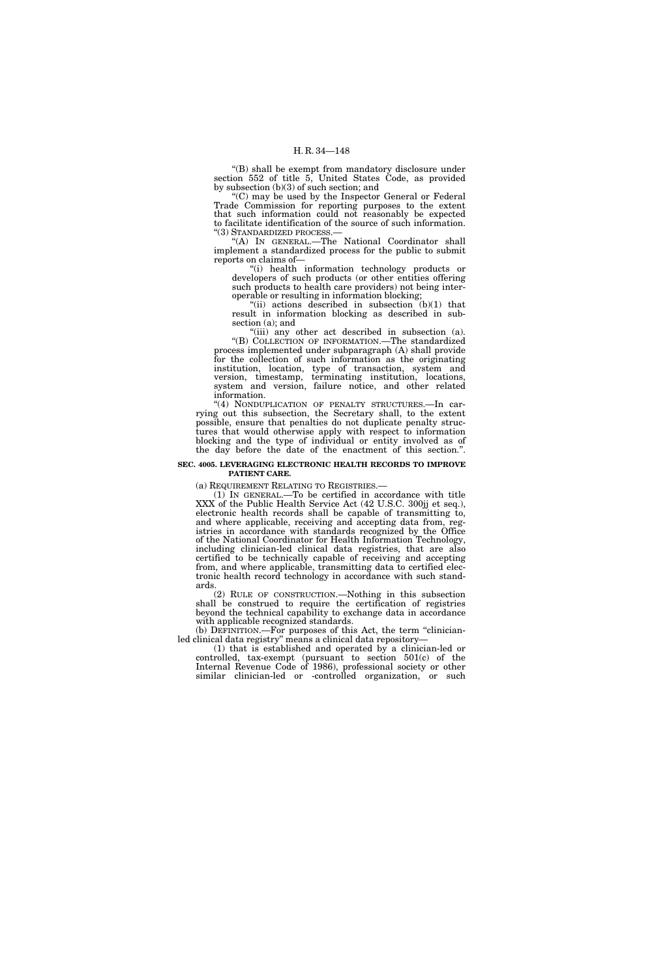''(B) shall be exempt from mandatory disclosure under section 552 of title 5, United States Code, as provided by subsection (b)(3) of such section; and

''(C) may be used by the Inspector General or Federal Trade Commission for reporting purposes to the extent that such information could not reasonably be expected to facilitate identification of the source of such information. ''(3) STANDARDIZED PROCESS.—

''(A) IN GENERAL.—The National Coordinator shall implement a standardized process for the public to submit reports on claims of—

''(i) health information technology products or developers of such products (or other entities offering such products to health care providers) not being interoperable or resulting in information blocking;

"(ii) actions described in subsection  $(b)(1)$  that result in information blocking as described in subsection (a); and

"(iii) any other act described in subsection (a). ''(B) COLLECTION OF INFORMATION.—The standardized process implemented under subparagraph (A) shall provide for the collection of such information as the originating institution, location, type of transaction, system and version, timestamp, terminating institution, locations, system and version, failure notice, and other related information.

"(4) NONDUPLICATION OF PENALTY STRUCTURES.—In carrying out this subsection, the Secretary shall, to the extent possible, ensure that penalties do not duplicate penalty structures that would otherwise apply with respect to information blocking and the type of individual or entity involved as of the day before the date of the enactment of this section.''.

## **SEC. 4005. LEVERAGING ELECTRONIC HEALTH RECORDS TO IMPROVE PATIENT CARE.**

(a) REQUIREMENT RELATING TO REGISTRIES.—

(1) IN GENERAL.—To be certified in accordance with title XXX of the Public Health Service Act (42 U.S.C. 300jj et seq.), electronic health records shall be capable of transmitting to, and where applicable, receiving and accepting data from, registries in accordance with standards recognized by the Office of the National Coordinator for Health Information Technology, including clinician-led clinical data registries, that are also certified to be technically capable of receiving and accepting from, and where applicable, transmitting data to certified electronic health record technology in accordance with such standards.

(2) RULE OF CONSTRUCTION.—Nothing in this subsection shall be construed to require the certification of registries beyond the technical capability to exchange data in accordance with applicable recognized standards.

(b) DEFINITION.—For purposes of this Act, the term ''clinicianled clinical data registry'' means a clinical data repository—

(1) that is established and operated by a clinician-led or controlled, tax-exempt (pursuant to section 501(c) of the Internal Revenue Code of 1986), professional society or other similar clinician-led or -controlled organization, or such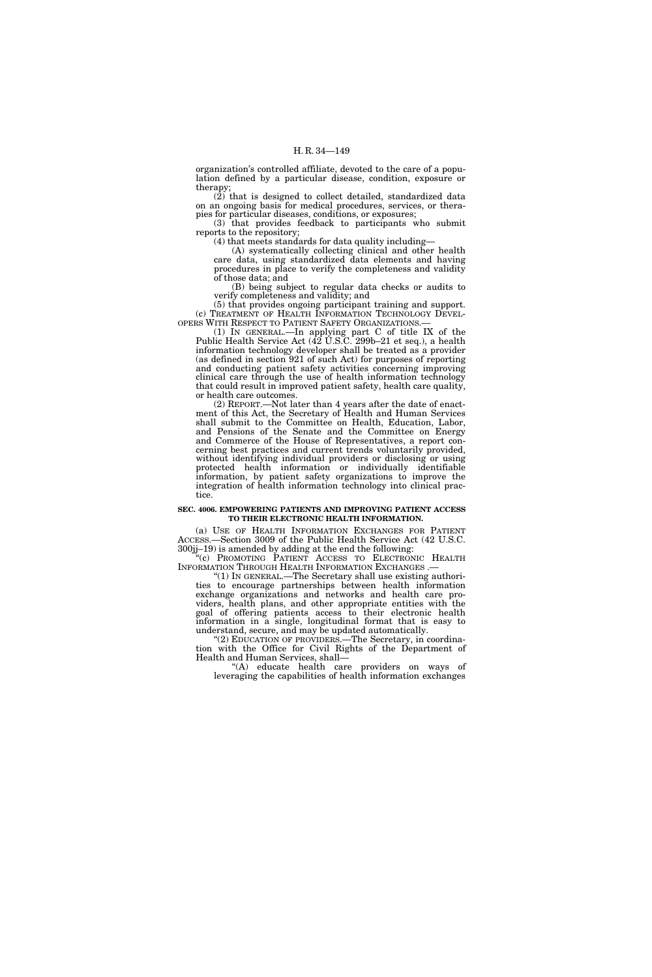organization's controlled affiliate, devoted to the care of a population defined by a particular disease, condition, exposure or therapy;

(2) that is designed to collect detailed, standardized data on an ongoing basis for medical procedures, services, or therapies for particular diseases, conditions, or exposures;

(3) that provides feedback to participants who submit reports to the repository;

(4) that meets standards for data quality including—

(A) systematically collecting clinical and other health care data, using standardized data elements and having procedures in place to verify the completeness and validity of those data; and

(B) being subject to regular data checks or audits to verify completeness and validity; and

(5) that provides ongoing participant training and support. (c) TREATMENT OF HEALTH INFORMATION TECHNOLOGY DEVEL-OPERS WITH RESPECT TO PATIENT SAFETY ORGANIZATIONS.—

(1) IN GENERAL.—In applying part C of title IX of the Public Health Service Act (42 U.S.C. 299b–21 et seq.), a health information technology developer shall be treated as a provider (as defined in section 921 of such Act) for purposes of reporting and conducting patient safety activities concerning improving clinical care through the use of health information technology that could result in improved patient safety, health care quality, or health care outcomes.

(2) REPORT.—Not later than 4 years after the date of enactment of this Act, the Secretary of Health and Human Services shall submit to the Committee on Health, Education, Labor, and Pensions of the Senate and the Committee on Energy and Commerce of the House of Representatives, a report concerning best practices and current trends voluntarily provided, without identifying individual providers or disclosing or using protected health information or individually identifiable information, by patient safety organizations to improve the integration of health information technology into clinical practice.

## **SEC. 4006. EMPOWERING PATIENTS AND IMPROVING PATIENT ACCESS TO THEIR ELECTRONIC HEALTH INFORMATION.**

(a) USE OF HEALTH INFORMATION EXCHANGES FOR PATIENT ACCESS.—Section 3009 of the Public Health Service Act (42 U.S.C.  $300j-19$ ) is amended by adding at the end the following:

''(c) PROMOTING PATIENT ACCESS TO ELECTRONIC HEALTH INFORMATION THROUGH HEALTH INFORMATION EXCHANGES .— ''(1) IN GENERAL.—The Secretary shall use existing authori-

ties to encourage partnerships between health information exchange organizations and networks and health care providers, health plans, and other appropriate entities with the goal of offering patients access to their electronic health information in a single, longitudinal format that is easy to understand, secure, and may be updated automatically.

''(2) EDUCATION OF PROVIDERS.—The Secretary, in coordination with the Office for Civil Rights of the Department of Health and Human Services, shall—

''(A) educate health care providers on ways of leveraging the capabilities of health information exchanges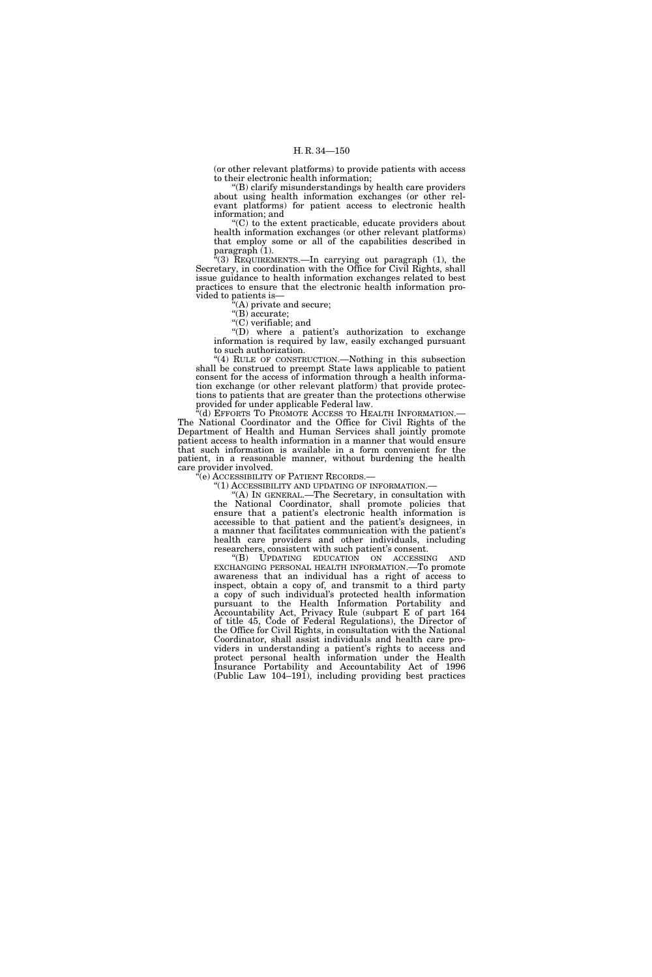(or other relevant platforms) to provide patients with access to their electronic health information;

''(B) clarify misunderstandings by health care providers about using health information exchanges (or other relevant platforms) for patient access to electronic health information; and

'(C) to the extent practicable, educate providers about health information exchanges (or other relevant platforms) that employ some or all of the capabilities described in paragraph (1).

 $^{4}(3)$  REQUIREMENTS.—In carrying out paragraph (1), the Secretary, in coordination with the Office for Civil Rights, shall issue guidance to health information exchanges related to best practices to ensure that the electronic health information provided to patients is—

 $(A)$  private and secure;

 $\sqrt{\text{B}}$  accurate;

''(C) verifiable; and

''(D) where a patient's authorization to exchange information is required by law, easily exchanged pursuant to such authorization.

''(4) RULE OF CONSTRUCTION.—Nothing in this subsection shall be construed to preempt State laws applicable to patient consent for the access of information through a health information exchange (or other relevant platform) that provide protections to patients that are greater than the protections otherwise provided for under applicable Federal law.

(d) EFFORTS TO PROMOTE ACCESS TO HEALTH INFORMATION. The National Coordinator and the Office for Civil Rights of the Department of Health and Human Services shall jointly promote patient access to health information in a manner that would ensure that such information is available in a form convenient for the patient, in a reasonable manner, without burdening the health care provider involved.

 $\tilde{f}$ (e) ACCESSIBILITY OF PATIENT RECORDS.–

''(1) ACCESSIBILITY AND UPDATING OF INFORMATION.—

'(A) IN GENERAL.—The Secretary, in consultation with the National Coordinator, shall promote policies that ensure that a patient's electronic health information is accessible to that patient and the patient's designees, in a manner that facilitates communication with the patient's health care providers and other individuals, including researchers, consistent with such patient's consent.

''(B) UPDATING EDUCATION ON ACCESSING AND EXCHANGING PERSONAL HEALTH INFORMATION.—To promote awareness that an individual has a right of access to inspect, obtain a copy of, and transmit to a third party a copy of such individual's protected health information pursuant to the Health Information Portability and Accountability Act, Privacy Rule (subpart E of part 164 of title 45, Code of Federal Regulations), the Director of the Office for Civil Rights, in consultation with the National Coordinator, shall assist individuals and health care providers in understanding a patient's rights to access and protect personal health information under the Health Insurance Portability and Accountability Act of 1996 (Public Law 104–191), including providing best practices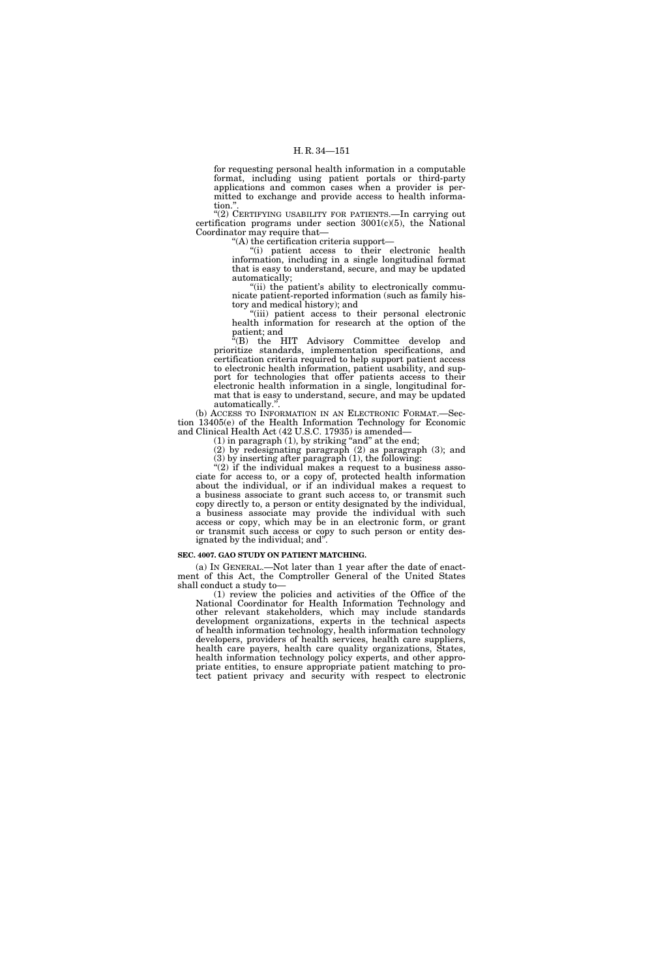for requesting personal health information in a computable format, including using patient portals or third-party applications and common cases when a provider is permitted to exchange and provide access to health information."

"(2) CERTIFYING USABILITY FOR PATIENTS.—In carrying out certification programs under section  $3001(c)(5)$ , the National Coordinator may require that—

''(A) the certification criteria support—

''(i) patient access to their electronic health information, including in a single longitudinal format that is easy to understand, secure, and may be updated automatically;

"(ii) the patient's ability to electronically communicate patient-reported information (such as family history and medical history); and

''(iii) patient access to their personal electronic health information for research at the option of the patient; and

"(B) the HIT Advisory Committee develop and prioritize standards, implementation specifications, and certification criteria required to help support patient access to electronic health information, patient usability, and support for technologies that offer patients access to their electronic health information in a single, longitudinal format that is easy to understand, secure, and may be updated automatically.''.

(b) ACCESS TO INFORMATION IN AN ELECTRONIC FORMAT.—Section 13405(e) of the Health Information Technology for Economic and Clinical Health Act (42 U.S.C. 17935) is amended—

 $(1)$  in paragraph  $(1)$ , by striking "and" at the end;

(2) by redesignating paragraph (2) as paragraph (3); and (3) by inserting after paragraph (1), the following:

"(2) if the individual makes a request to a business associate for access to, or a copy of, protected health information about the individual, or if an individual makes a request to a business associate to grant such access to, or transmit such copy directly to, a person or entity designated by the individual, a business associate may provide the individual with such access or copy, which may be in an electronic form, or grant or transmit such access or copy to such person or entity designated by the individual; and''.

## **SEC. 4007. GAO STUDY ON PATIENT MATCHING.**

(a) IN GENERAL.—Not later than 1 year after the date of enactment of this Act, the Comptroller General of the United States shall conduct a study to—

(1) review the policies and activities of the Office of the National Coordinator for Health Information Technology and other relevant stakeholders, which may include standards development organizations, experts in the technical aspects of health information technology, health information technology developers, providers of health services, health care suppliers, health care payers, health care quality organizations, States, health information technology policy experts, and other appropriate entities, to ensure appropriate patient matching to protect patient privacy and security with respect to electronic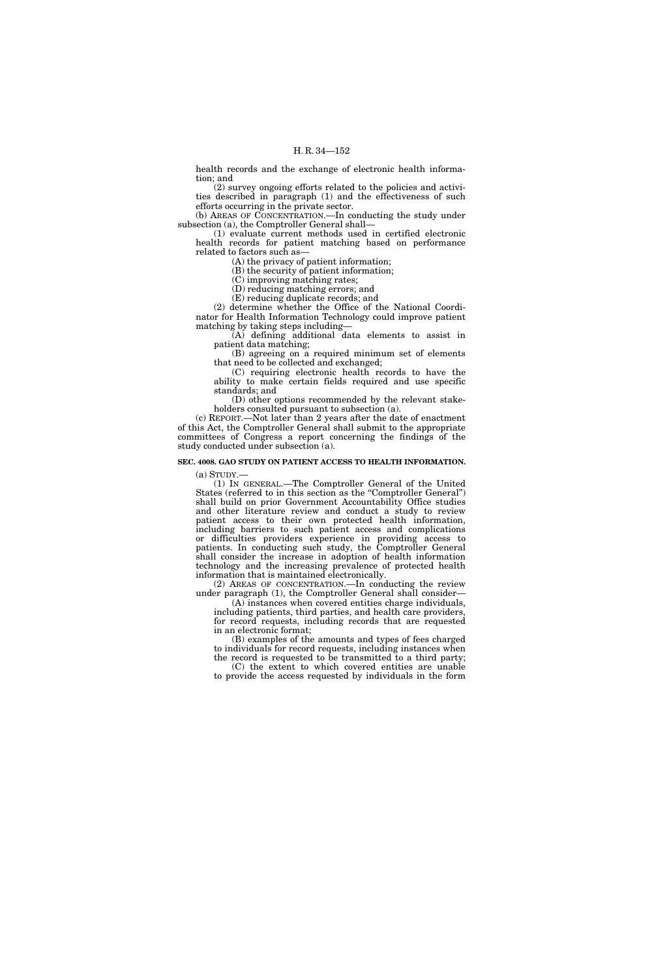health records and the exchange of electronic health information; and

(2) survey ongoing efforts related to the policies and activities described in paragraph (1) and the effectiveness of such efforts occurring in the private sector.

(b) AREAS OF CONCENTRATION.—In conducting the study under subsection (a), the Comptroller General shall-

(1) evaluate current methods used in certified electronic health records for patient matching based on performance related to factors such as—

(A) the privacy of patient information;

(B) the security of patient information;

(C) improving matching rates;

(D) reducing matching errors; and

(E) reducing duplicate records; and

(2) determine whether the Office of the National Coordinator for Health Information Technology could improve patient matching by taking steps including—

(A) defining additional data elements to assist in patient data matching;

(B) agreeing on a required minimum set of elements that need to be collected and exchanged;

(C) requiring electronic health records to have the ability to make certain fields required and use specific standards; and

(D) other options recommended by the relevant stakeholders consulted pursuant to subsection (a).

(c) REPORT.—Not later than 2 years after the date of enactment of this Act, the Comptroller General shall submit to the appropriate committees of Congress a report concerning the findings of the study conducted under subsection (a).

# **SEC. 4008. GAO STUDY ON PATIENT ACCESS TO HEALTH INFORMATION.**

 $(a)$  STUDY. $-$ 

(1) IN GENERAL.—The Comptroller General of the United States (referred to in this section as the "Comptroller General") shall build on prior Government Accountability Office studies and other literature review and conduct a study to review patient access to their own protected health information, including barriers to such patient access and complications or difficulties providers experience in providing access to patients. In conducting such study, the Comptroller General shall consider the increase in adoption of health information technology and the increasing prevalence of protected health information that is maintained electronically.

(2) AREAS OF CONCENTRATION.—In conducting the review under paragraph (1), the Comptroller General shall consider—

(A) instances when covered entities charge individuals, including patients, third parties, and health care providers, for record requests, including records that are requested in an electronic format;

(B) examples of the amounts and types of fees charged to individuals for record requests, including instances when the record is requested to be transmitted to a third party;

(C) the extent to which covered entities are unable to provide the access requested by individuals in the form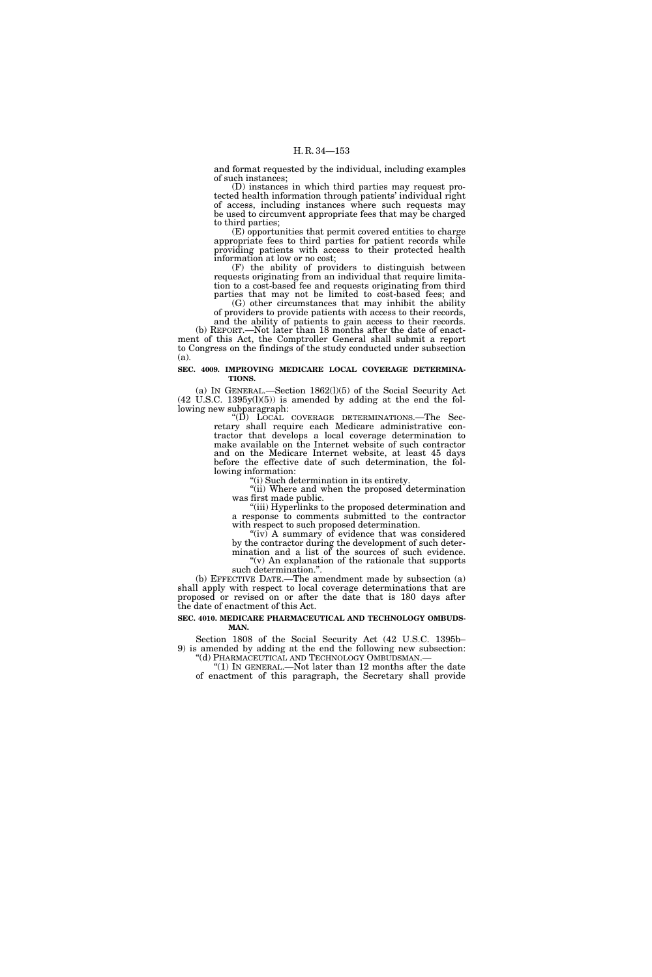and format requested by the individual, including examples of such instances;

(D) instances in which third parties may request protected health information through patients' individual right of access, including instances where such requests may be used to circumvent appropriate fees that may be charged to third parties;

(E) opportunities that permit covered entities to charge appropriate fees to third parties for patient records while providing patients with access to their protected health information at low or no cost;

(F) the ability of providers to distinguish between requests originating from an individual that require limitation to a cost-based fee and requests originating from third parties that may not be limited to cost-based fees; and

(G) other circumstances that may inhibit the ability of providers to provide patients with access to their records, and the ability of patients to gain access to their records.

(b) REPORT.—Not later than 18 months after the date of enactment of this Act, the Comptroller General shall submit a report to Congress on the findings of the study conducted under subsection (a).

# **SEC. 4009. IMPROVING MEDICARE LOCAL COVERAGE DETERMINA-TIONS.**

(a) IN GENERAL.—Section 1862(l)(5) of the Social Security Act  $(42 \text{ U.S.C. } 1395 \text{y}(l)(5))$  is amended by adding at the end the following new subparagraph:

''(D) LOCAL COVERAGE DETERMINATIONS.—The Secretary shall require each Medicare administrative contractor that develops a local coverage determination to make available on the Internet website of such contractor and on the Medicare Internet website, at least 45 days before the effective date of such determination, the following information:

''(i) Such determination in its entirety.

"(ii) Where and when the proposed determination was first made public.

''(iii) Hyperlinks to the proposed determination and a response to comments submitted to the contractor with respect to such proposed determination.

" $(iv)$  A summary of evidence that was considered by the contractor during the development of such determination and a list of the sources of such evidence. ''(v) An explanation of the rationale that supports

such determination.''. (b) EFFECTIVE DATE.—The amendment made by subsection (a) shall apply with respect to local coverage determinations that are proposed or revised on or after the date that is 180 days after the date of enactment of this Act.

## **SEC. 4010. MEDICARE PHARMACEUTICAL AND TECHNOLOGY OMBUDS-MAN.**

Section 1808 of the Social Security Act (42 U.S.C. 1395b– 9) is amended by adding at the end the following new subsection: ''(d) PHARMACEUTICAL AND TECHNOLOGY OMBUDSMAN.—

 $(1)$  In GENERAL.—Not later than 12 months after the date of enactment of this paragraph, the Secretary shall provide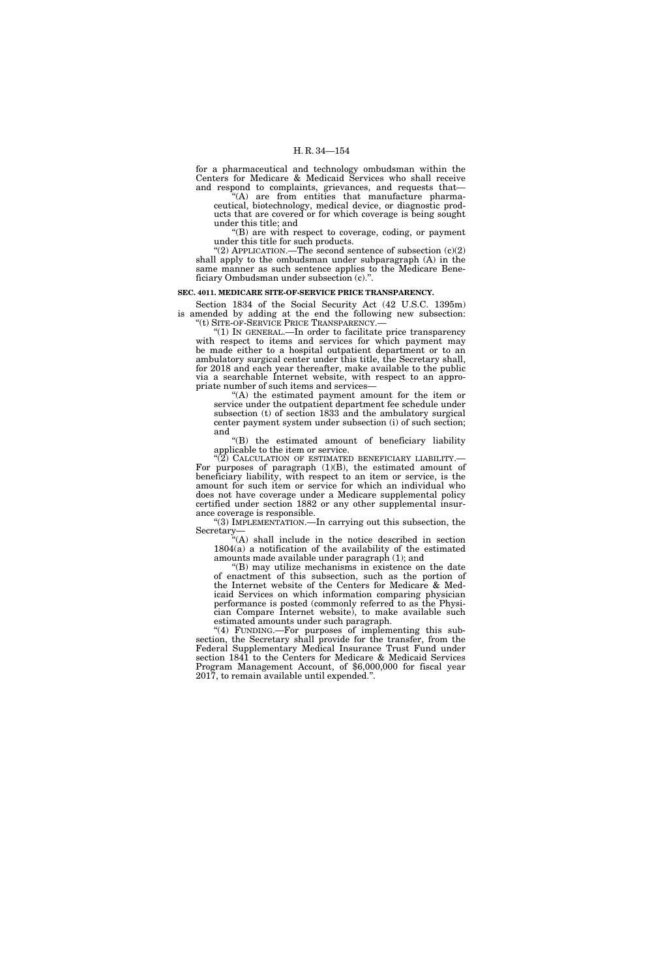for a pharmaceutical and technology ombudsman within the Centers for Medicare & Medicaid Services who shall receive and respond to complaints, grievances, and requests that—

''(A) are from entities that manufacture pharmaceutical, biotechnology, medical device, or diagnostic products that are covered or for which coverage is being sought under this title; and

 $( B )$  are with respect to coverage, coding, or payment under this title for such products.

 $(2)$  APPLICATION.—The second sentence of subsection  $(c)(2)$ shall apply to the ombudsman under subparagraph (A) in the same manner as such sentence applies to the Medicare Beneficiary Ombudsman under subsection (c).".

#### **SEC. 4011. MEDICARE SITE-OF-SERVICE PRICE TRANSPARENCY.**

Section 1834 of the Social Security Act (42 U.S.C. 1395m) is amended by adding at the end the following new subsection: ''(t) SITE-OF-SERVICE PRICE TRANSPARENCY.—

''(1) IN GENERAL.—In order to facilitate price transparency with respect to items and services for which payment may be made either to a hospital outpatient department or to an ambulatory surgical center under this title, the Secretary shall, for 2018 and each year thereafter, make available to the public via a searchable Internet website, with respect to an appropriate number of such items and services—

''(A) the estimated payment amount for the item or service under the outpatient department fee schedule under subsection (t) of section 1833 and the ambulatory surgical center payment system under subsection (i) of such section; and

''(B) the estimated amount of beneficiary liability applicable to the item or service.

 $\cdot$ <sup>(2)</sup> CALCULATION OF ESTIMATED BENEFICIARY LIABILITY.— For purposes of paragraph (1)(B), the estimated amount of beneficiary liability, with respect to an item or service, is the amount for such item or service for which an individual who does not have coverage under a Medicare supplemental policy certified under section 1882 or any other supplemental insurance coverage is responsible.

"(3) IMPLEMENTATION.—In carrying out this subsection, the Secretary—

''(A) shall include in the notice described in section 1804(a) a notification of the availability of the estimated amounts made available under paragraph (1); and

''(B) may utilize mechanisms in existence on the date of enactment of this subsection, such as the portion of the Internet website of the Centers for Medicare & Medicaid Services on which information comparing physician performance is posted (commonly referred to as the Physician Compare Internet website), to make available such estimated amounts under such paragraph.

"(4) FUNDING.—For purposes of implementing this subsection, the Secretary shall provide for the transfer, from the Federal Supplementary Medical Insurance Trust Fund under section 1841 to the Centers for Medicare & Medicaid Services Program Management Account, of \$6,000,000 for fiscal year 2017, to remain available until expended.''.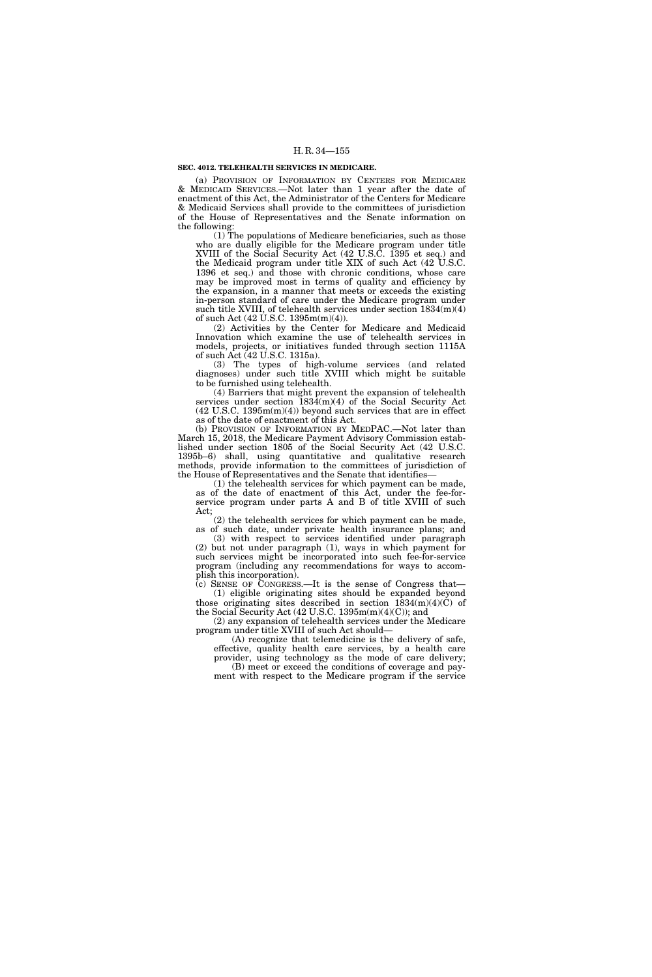## **SEC. 4012. TELEHEALTH SERVICES IN MEDICARE.**

(a) PROVISION OF INFORMATION BY CENTERS FOR MEDICARE & MEDICAID SERVICES.—Not later than 1 year after the date of enactment of this Act, the Administrator of the Centers for Medicare & Medicaid Services shall provide to the committees of jurisdiction of the House of Representatives and the Senate information on the following:

(1) The populations of Medicare beneficiaries, such as those who are dually eligible for the Medicare program under title XVIII of the Social Security Act (42 U.S.C. 1395 et seq.) and the Medicaid program under title XIX of such Act (42 U.S.C. 1396 et seq.) and those with chronic conditions, whose care may be improved most in terms of quality and efficiency by the expansion, in a manner that meets or exceeds the existing in-person standard of care under the Medicare program under such title XVIII, of telehealth services under section 1834(m)(4) of such Act  $(42 \text{ U.S.C. } 1395 \text{m(m)}(4))$ .

(2) Activities by the Center for Medicare and Medicaid Innovation which examine the use of telehealth services in models, projects, or initiatives funded through section 1115A of such Act (42 U.S.C. 1315a).

(3) The types of high-volume services (and related diagnoses) under such title XVIII which might be suitable to be furnished using telehealth.

(4) Barriers that might prevent the expansion of telehealth services under section  $1834(m)(4)$  of the Social Security Act (42 U.S.C. 1395m(m)(4)) beyond such services that are in effect as of the date of enactment of this Act.

(b) PROVISION OF INFORMATION BY MEDPAC.—Not later than March 15, 2018, the Medicare Payment Advisory Commission established under section 1805 of the Social Security Act (42 U.S.C. 1395b–6) shall, using quantitative and qualitative research methods, provide information to the committees of jurisdiction of the House of Representatives and the Senate that identifies—

(1) the telehealth services for which payment can be made, as of the date of enactment of this Act, under the fee-forservice program under parts A and B of title XVIII of such Act;

(2) the telehealth services for which payment can be made, as of such date, under private health insurance plans; and

(3) with respect to services identified under paragraph (2) but not under paragraph (1), ways in which payment for such services might be incorporated into such fee-for-service program (including any recommendations for ways to accomplish this incorporation).

(c) SENSE OF CONGRESS.—It is the sense of Congress that— (1) eligible originating sites should be expanded beyond those originating sites described in section  $1834(m)(4)(C)$  of the Social Security Act (42 U.S.C. 1395m(m)(4)(C)); and

(2) any expansion of telehealth services under the Medicare program under title XVIII of such Act should—

(A) recognize that telemedicine is the delivery of safe, effective, quality health care services, by a health care provider, using technology as the mode of care delivery;

(B) meet or exceed the conditions of coverage and payment with respect to the Medicare program if the service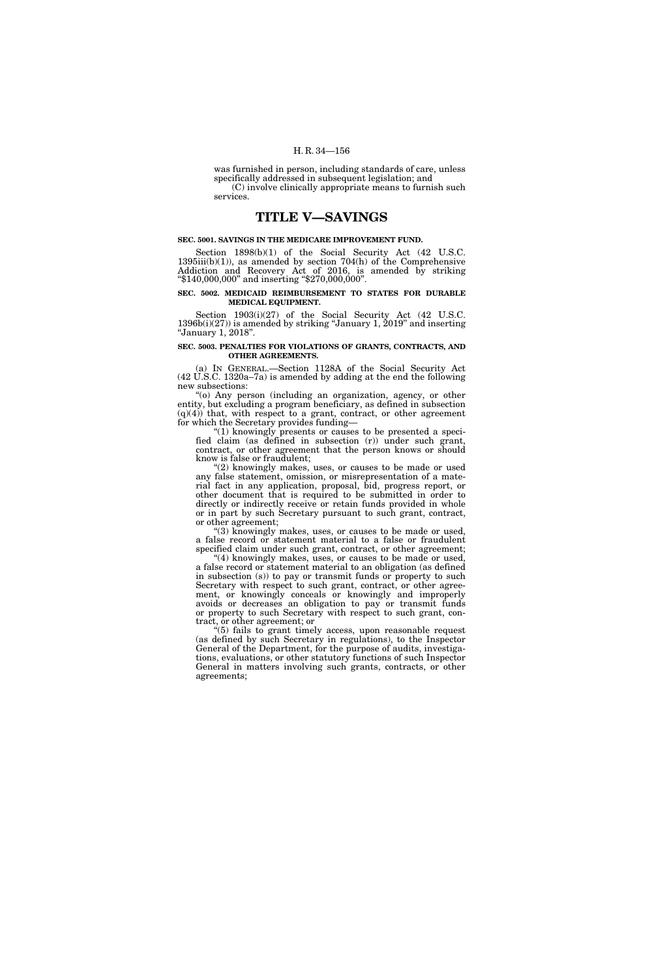was furnished in person, including standards of care, unless specifically addressed in subsequent legislation; and (C) involve clinically appropriate means to furnish such

services.

# **TITLE V—SAVINGS**

# **SEC. 5001. SAVINGS IN THE MEDICARE IMPROVEMENT FUND.**

Section 1898(b)(1) of the Social Security Act (42 U.S.C.  $1395iii(b)(1)$ , as amended by section  $704(h)$  of the Comprehensive Addiction and Recovery Act of 2016, is amended by striking ''\$140,000,000'' and inserting ''\$270,000,000''.

## **SEC. 5002. MEDICAID REIMBURSEMENT TO STATES FOR DURABLE MEDICAL EQUIPMENT.**

Section 1903(i)(27) of the Social Security Act (42 U.S.C. 1396b(i)(27)) is amended by striking ''January 1, 2019'' and inserting ''January 1, 2018''.

## **SEC. 5003. PENALTIES FOR VIOLATIONS OF GRANTS, CONTRACTS, AND OTHER AGREEMENTS.**

(a) IN GENERAL.—Section 1128A of the Social Security Act (42 U.S.C. 1320a–7a) is amended by adding at the end the following new subsections:

''(o) Any person (including an organization, agency, or other entity, but excluding a program beneficiary, as defined in subsection  $(q)(4)$  that, with respect to a grant, contract, or other agreement for which the Secretary provides funding—

''(1) knowingly presents or causes to be presented a specified claim (as defined in subsection (r)) under such grant, contract, or other agreement that the person knows or should know is false or fraudulent;

(2) knowingly makes, uses, or causes to be made or used any false statement, omission, or misrepresentation of a material fact in any application, proposal, bid, progress report, or other document that is required to be submitted in order to directly or indirectly receive or retain funds provided in whole or in part by such Secretary pursuant to such grant, contract, or other agreement;

''(3) knowingly makes, uses, or causes to be made or used, a false record or statement material to a false or fraudulent specified claim under such grant, contract, or other agreement;

 $^{\prime}\!$ (4) knowingly makes, uses, or causes to be made or used, a false record or statement material to an obligation (as defined in subsection (s)) to pay or transmit funds or property to such Secretary with respect to such grant, contract, or other agreement, or knowingly conceals or knowingly and improperly avoids or decreases an obligation to pay or transmit funds or property to such Secretary with respect to such grant, contract, or other agreement; or

''(5) fails to grant timely access, upon reasonable request (as defined by such Secretary in regulations), to the Inspector General of the Department, for the purpose of audits, investigations, evaluations, or other statutory functions of such Inspector General in matters involving such grants, contracts, or other agreements;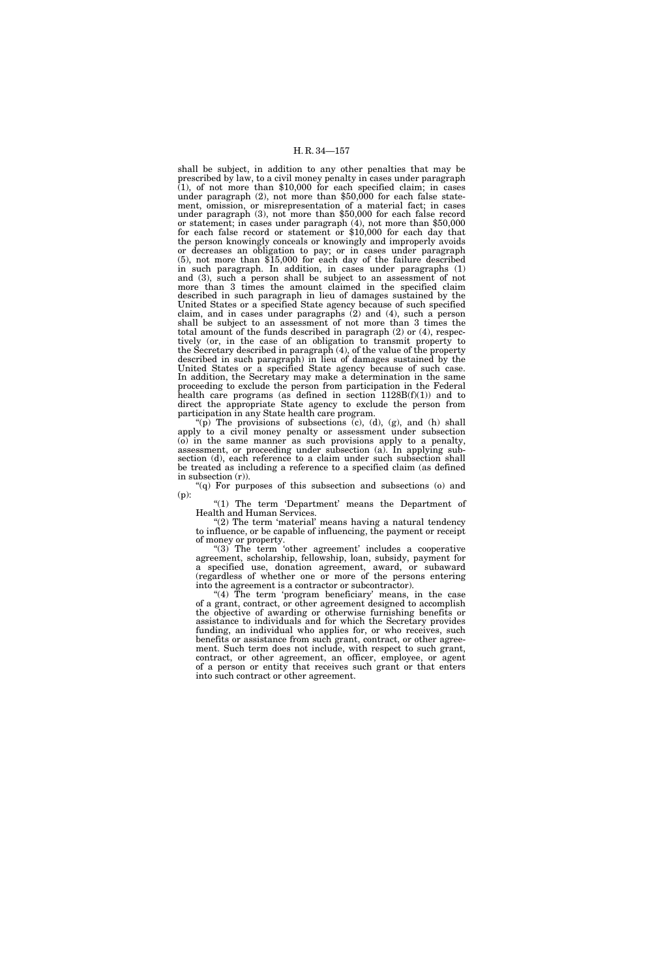shall be subject, in addition to any other penalties that may be prescribed by law, to a civil money penalty in cases under paragraph  $(1)$ , of not more than \$10,000 for each specified claim; in cases under paragraph (2), not more than \$50,000 for each false statement, omission, or misrepresentation of a material fact; in cases under paragraph (3), not more than \$50,000 for each false record or statement; in cases under paragraph (4), not more than \$50,000 for each false record or statement or \$10,000 for each day that the person knowingly conceals or knowingly and improperly avoids or decreases an obligation to pay; or in cases under paragraph (5), not more than \$15,000 for each day of the failure described in such paragraph. In addition, in cases under paragraphs (1) and (3), such a person shall be subject to an assessment of not more than 3 times the amount claimed in the specified claim described in such paragraph in lieu of damages sustained by the United States or a specified State agency because of such specified claim, and in cases under paragraphs (2) and (4), such a person shall be subject to an assessment of not more than 3 times the total amount of the funds described in paragraph (2) or (4), respectively (or, in the case of an obligation to transmit property to the Secretary described in paragraph (4), of the value of the property described in such paragraph) in lieu of damages sustained by the United States or a specified State agency because of such case. In addition, the Secretary may make a determination in the same proceeding to exclude the person from participation in the Federal health care programs (as defined in section  $1128B(f)(1)$ ) and to direct the appropriate State agency to exclude the person from participation in any State health care program.

 $'(p)$  The provisions of subsections (c), (d), (g), and (h) shall apply to a civil money penalty or assessment under subsection (o) in the same manner as such provisions apply to a penalty, assessment, or proceeding under subsection (a). In applying subsection (d), each reference to a claim under such subsection shall be treated as including a reference to a specified claim (as defined in subsection  $(r)$ ).

''(q) For purposes of this subsection and subsections (o) and (p):

" $(1)$  The term 'Department' means the Department of Health and Human Services.

"(2) The term 'material' means having a natural tendency to influence, or be capable of influencing, the payment or receipt of money or property.

"(3) The term 'other agreement' includes a cooperative agreement, scholarship, fellowship, loan, subsidy, payment for a specified use, donation agreement, award, or subaward (regardless of whether one or more of the persons entering into the agreement is a contractor or subcontractor).

"(4) The term 'program beneficiary' means, in the case of a grant, contract, or other agreement designed to accomplish the objective of awarding or otherwise furnishing benefits or assistance to individuals and for which the Secretary provides funding, an individual who applies for, or who receives, such benefits or assistance from such grant, contract, or other agreement. Such term does not include, with respect to such grant, contract, or other agreement, an officer, employee, or agent of a person or entity that receives such grant or that enters into such contract or other agreement.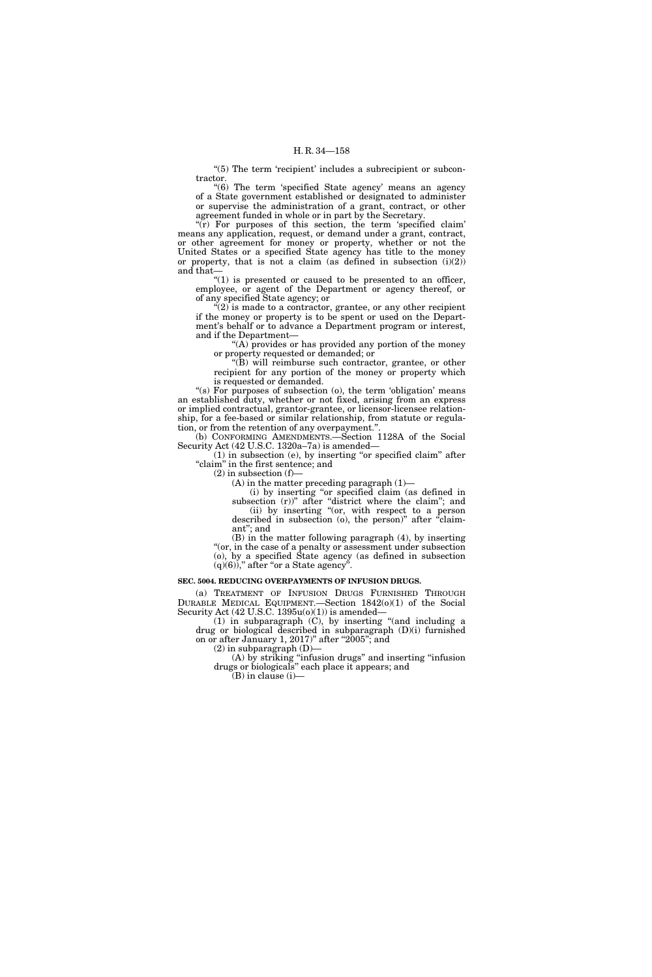"(5) The term 'recipient' includes a subrecipient or subcontractor.

"(6) The term 'specified State agency' means an agency of a State government established or designated to administer or supervise the administration of a grant, contract, or other agreement funded in whole or in part by the Secretary.

" $(r)$  For purposes of this section, the term 'specified claim' means any application, request, or demand under a grant, contract, or other agreement for money or property, whether or not the United States or a specified State agency has title to the money or property, that is not a claim (as defined in subsection  $(i)(2)$ ) and that—

" $(1)$  is presented or caused to be presented to an officer, employee, or agent of the Department or agency thereof, or of any specified State agency; or

 $C^{(2)}$  is made to a contractor, grantee, or any other recipient if the money or property is to be spent or used on the Department's behalf or to advance a Department program or interest, and if the Department—

''(A) provides or has provided any portion of the money or property requested or demanded; or

''(B) will reimburse such contractor, grantee, or other recipient for any portion of the money or property which is requested or demanded.

"(s) For purposes of subsection (o), the term 'obligation' means an established duty, whether or not fixed, arising from an express or implied contractual, grantor-grantee, or licensor-licensee relationship, for a fee-based or similar relationship, from statute or regulation, or from the retention of any overpayment."

(b) CONFORMING AMENDMENTS.—Section 1128A of the Social Security Act (42 U.S.C. 1320a–7a) is amended—

 $(1)$  in subsection  $(e)$ , by inserting "or specified claim" after "claim" in the first sentence; and

 $(2)$  in subsection  $(f)$ 

 $(A)$  in the matter preceding paragraph  $(1)$ —

(i) by inserting ''or specified claim (as defined in subsection (r))" after "district where the claim"; and (ii) by inserting ''(or, with respect to a person described in subsection (o), the person)" after "claimant''; and

(B) in the matter following paragraph (4), by inserting "(or, in the case of a penalty or assessment under subsection (o), by a specified State agency (as defined in subsection  $(q)(6)$ ," after "or a State agency".

#### **SEC. 5004. REDUCING OVERPAYMENTS OF INFUSION DRUGS.**

(a) TREATMENT OF INFUSION DRUGS FURNISHED THROUGH DURABLE MEDICAL EQUIPMENT.—Section 1842(o)(1) of the Social Security Act  $(42 \text{ U.S.C. } 1395u(o)(1))$  is amended-

(1) in subparagraph (C), by inserting ''(and including a drug or biological described in subparagraph (D)(i) furnished on or after January 1, 2017)" after "2005"; and  $(2)$  in subparagraph  $(D)$ -

(A) by striking ''infusion drugs'' and inserting ''infusion drugs or biologicals'' each place it appears; and

(B) in clause (i)—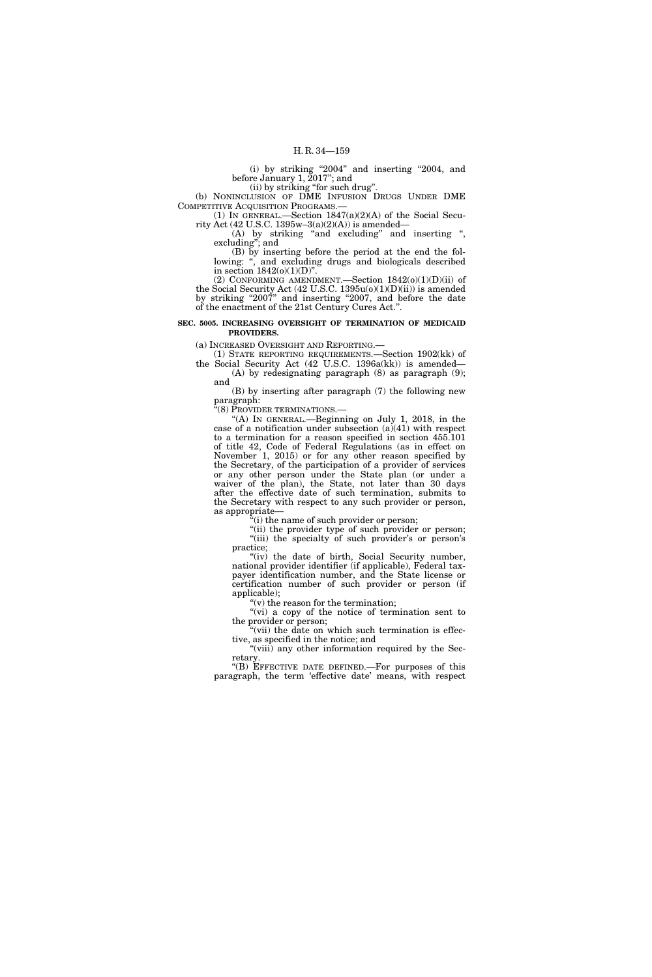(i) by striking "2004" and inserting "2004, and before January 1, 2017''; and

(ii) by striking "for such drug".

(b) NONINCLUSION OF DME INFUSION DRUGS UNDER DME COMPETITIVE ACQUISITION PROGRAMS.—

(1) IN GENERAL.—Section 1847(a)(2)(A) of the Social Security Act (42 U.S.C. 1395w-3(a)(2)(A)) is amended-

(A) by striking "and excluding" and inserting ", excluding''; and

(B) by inserting before the period at the end the following: ", and excluding drugs and biologicals described in section  $1842(o)(1)(D)$ ".

(2) CONFORMING AMENDMENT.—Section  $1842(0)(1)(D)(ii)$  of the Social Security Act (42 U.S.C. 1395u(o)(1)(D)(ii)) is amended by striking "2007" and inserting "2007, and before the date of the enactment of the 21st Century Cures Act.''.

# **SEC. 5005. INCREASING OVERSIGHT OF TERMINATION OF MEDICAID PROVIDERS.**

(a) INCREASED OVERSIGHT AND REPORTING.—

(1) STATE REPORTING REQUIREMENTS.—Section 1902(kk) of the Social Security Act (42 U.S.C. 1396a(kk)) is amended— (A) by redesignating paragraph (8) as paragraph (9);

and

(B) by inserting after paragraph (7) the following new paragraph:

''(8) PROVIDER TERMINATIONS.—

''(A) IN GENERAL.—Beginning on July 1, 2018, in the case of a notification under subsection  $(a)(41)$  with respect to a termination for a reason specified in section 455.101 of title 42, Code of Federal Regulations (as in effect on November 1, 2015) or for any other reason specified by the Secretary, of the participation of a provider of services or any other person under the State plan (or under a waiver of the plan), the State, not later than 30 days after the effective date of such termination, submits to the Secretary with respect to any such provider or person, as appropriate—

(i) the name of such provider or person;

"(ii) the provider type of such provider or person; "(iii) the specialty of such provider's or person's practice;

"(iv) the date of birth, Social Security number, national provider identifier (if applicable), Federal taxpayer identification number, and the State license or certification number of such provider or person (if applicable);

 $f(y)$  the reason for the termination;

''(vi) a copy of the notice of termination sent to the provider or person;

"(vii) the date on which such termination is effective, as specified in the notice; and

"(viii) any other information required by the Secretary.

''(B) EFFECTIVE DATE DEFINED.—For purposes of this paragraph, the term 'effective date' means, with respect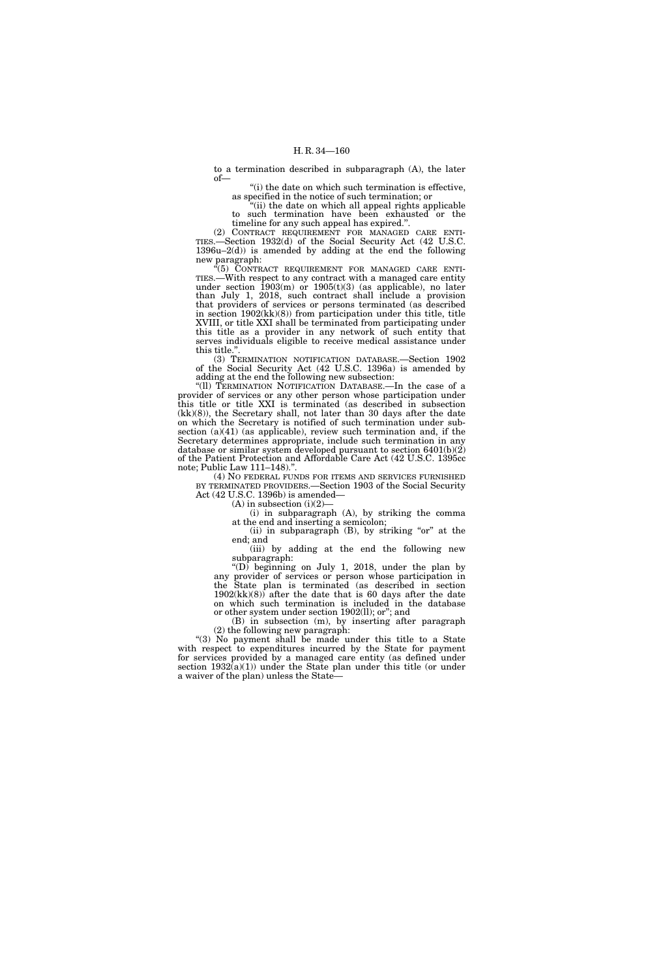to a termination described in subparagraph (A), the later of—

"(i) the date on which such termination is effective, as specified in the notice of such termination; or

''(ii) the date on which all appeal rights applicable to such termination have been exhausted or the timeline for any such appeal has expired.''.

(2) CONTRACT REQUIREMENT FOR MANAGED CARE ENTI-TIES.—Section 1932(d) of the Social Security Act (42 U.S.C.  $1396u-2(d)$  is amended by adding at the end the following new paragraph:

"(5) CONTRACT REQUIREMENT FOR MANAGED CARE ENTI-TIES.—With respect to any contract with a managed care entity under section  $1903(m)$  or  $1905(t)(3)$  (as applicable), no later than July 1, 2018, such contract shall include a provision that providers of services or persons terminated (as described in section 1902(kk)(8)) from participation under this title, title XVIII, or title XXI shall be terminated from participating under this title as a provider in any network of such entity that serves individuals eligible to receive medical assistance under this title.''.

(3) TERMINATION NOTIFICATION DATABASE.—Section 1902 of the Social Security Act (42 U.S.C. 1396a) is amended by adding at the end the following new subsection:

''(ll) TERMINATION NOTIFICATION DATABASE.—In the case of a provider of services or any other person whose participation under this title or title XXI is terminated (as described in subsection (kk)(8)), the Secretary shall, not later than 30 days after the date on which the Secretary is notified of such termination under subsection (a)(41) (as applicable), review such termination and, if the Secretary determines appropriate, include such termination in any database or similar system developed pursuant to section 6401(b)(2) of the Patient Protection and Affordable Care Act (42 U.S.C. 1395cc note; Public Law 111–148).''.

(4) NO FEDERAL FUNDS FOR ITEMS AND SERVICES FURNISHED BY TERMINATED PROVIDERS.—Section 1903 of the Social Security Act (42 U.S.C. 1396b) is amended—

 $(A)$  in subsection  $(i)(2)$ 

(i) in subparagraph (A), by striking the comma at the end and inserting a semicolon;

(ii) in subparagraph (B), by striking "or" at the end; and

(iii) by adding at the end the following new subparagraph:

"(D) beginning on July 1, 2018, under the plan by any provider of services or person whose participation in the State plan is terminated (as described in section  $1902(kk)(8)$  after the date that is 60 days after the date on which such termination is included in the database or other system under section 1902(ll); or''; and

(B) in subsection (m), by inserting after paragraph (2) the following new paragraph:

''(3) No payment shall be made under this title to a State with respect to expenditures incurred by the State for payment for services provided by a managed care entity (as defined under section 1932(a)(1)) under the State plan under this title (or under a waiver of the plan) unless the State—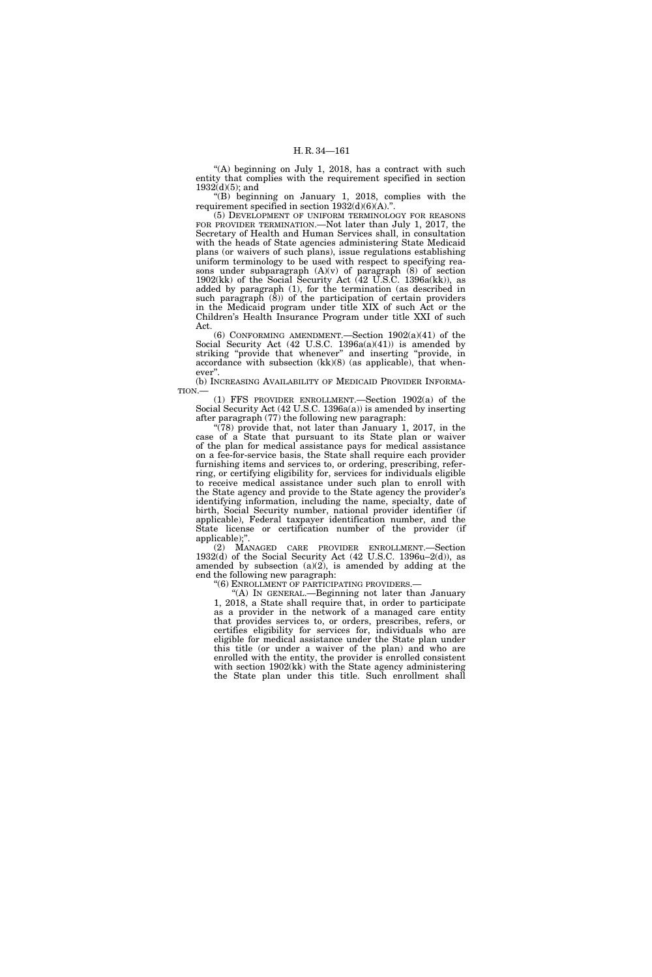"(A) beginning on July 1, 2018, has a contract with such entity that complies with the requirement specified in section  $1932(d)(5)$ ; and

" $(B)$  beginning on January 1, 2018, complies with the requirement specified in section  $1932(d)(6)(A)$ .".

(5) DEVELOPMENT OF UNIFORM TERMINOLOGY FOR REASONS FOR PROVIDER TERMINATION.—Not later than July 1, 2017, the Secretary of Health and Human Services shall, in consultation with the heads of State agencies administering State Medicaid plans (or waivers of such plans), issue regulations establishing uniform terminology to be used with respect to specifying reasons under subparagraph  $(A)(v)$  of paragraph  $(8)$  of section  $1902(kk)$  of the Social Security Act (42 U.S.C. 1396a(kk)), as added by paragraph (1), for the termination (as described in such paragraph  $(\overline{8})$  of the participation of certain providers in the Medicaid program under title XIX of such Act or the Children's Health Insurance Program under title XXI of such Act.

(6) CONFORMING AMENDMENT.—Section 1902(a)(41) of the Social Security Act (42 U.S.C. 1396a(a)(41)) is amended by striking "provide that whenever" and inserting "provide, in accordance with subsection (kk)(8) (as applicable), that whenever''.

(b) INCREASING AVAILABILITY OF MEDICAID PROVIDER INFORMA-TION.—

(1) FFS PROVIDER ENROLLMENT.—Section 1902(a) of the Social Security Act (42 U.S.C. 1396a(a)) is amended by inserting after paragraph (77) the following new paragraph:

 $(78)$  provide that, not later than January 1, 2017, in the case of a State that pursuant to its State plan or waiver of the plan for medical assistance pays for medical assistance on a fee-for-service basis, the State shall require each provider furnishing items and services to, or ordering, prescribing, referring, or certifying eligibility for, services for individuals eligible to receive medical assistance under such plan to enroll with the State agency and provide to the State agency the provider's identifying information, including the name, specialty, date of birth, Social Security number, national provider identifier (if applicable), Federal taxpayer identification number, and the State license or certification number of the provider (if applicable);''.

(2) MANAGED CARE PROVIDER ENROLLMENT.—Section 1932(d) of the Social Security Act (42 U.S.C. 1396u–2(d)), as amended by subsection (a)(2), is amended by adding at the end the following new paragraph:

"(6) ENROLLMENT OF PARTICIPATING PROVIDERS.-

''(A) IN GENERAL.—Beginning not later than January 1, 2018, a State shall require that, in order to participate as a provider in the network of a managed care entity that provides services to, or orders, prescribes, refers, or certifies eligibility for services for, individuals who are eligible for medical assistance under the State plan under this title (or under a waiver of the plan) and who are enrolled with the entity, the provider is enrolled consistent with section 1902(kk) with the State agency administering the State plan under this title. Such enrollment shall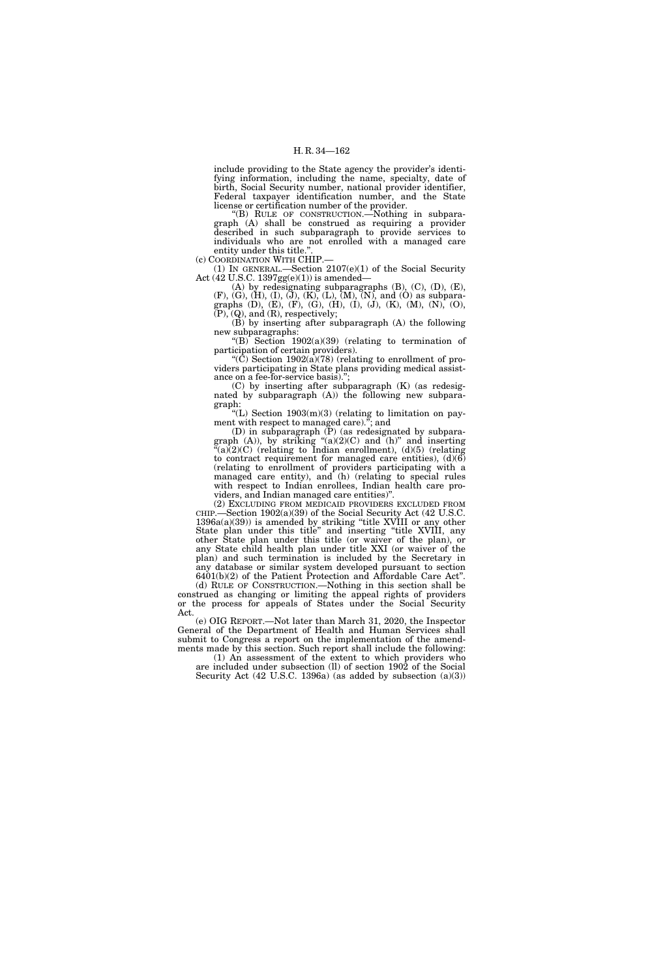include providing to the State agency the provider's identifying information, including the name, specialty, date of birth, Social Security number, national provider identifier, Federal taxpayer identification number, and the State license or certification number of the provider.

''(B) RULE OF CONSTRUCTION.—Nothing in subparagraph (A) shall be construed as requiring a provider described in such subparagraph to provide services to individuals who are not enrolled with a managed care entity under this title.

(c) COORDINATION WITH CHIP.—

(1) IN GENERAL.—Section 2107(e)(1) of the Social Security Act (42 U.S.C. 1397gg(e)(1)) is amended—

(A) by redesignating subparagraphs (B), (C), (D), (E), (F), (G), (H), (I), (J), (K), (L), (M), (N), and (O) as subparagraphs (D), (E), (F), (G), (H), (I), (J), (K), (M), (N), (O),  $(P)$ ,  $(Q)$ , and  $(R)$ , respectively;

(B) by inserting after subparagraph (A) the following new subparagraphs:

"(B) Section  $1902(a)(39)$  (relating to termination of participation of certain providers). ''(C) Section 1902(a)(78) (relating to enrollment of pro-

viders participating in State plans providing medical assistance on a fee-for-service basis).'';

(C) by inserting after subparagraph (K) (as redesignated by subparagraph (A)) the following new subparagraph:

"(L) Section  $1903(m)(3)$  (relating to limitation on payment with respect to managed care).''; and

(D) in subparagraph (P) (as redesignated by subparagraph  $(A)$ ), by striking " $(a)(2)(C)$  and  $(h)$ " and inserting  $\mathcal{C}(a)(2)(C)$  (relating to Indian enrollment), (d)(5) (relating to contract requirement for managed care entities),  $(d)(6)$ (relating to enrollment of providers participating with a managed care entity), and (h) (relating to special rules with respect to Indian enrollees, Indian health care providers, and Indian managed care entities)''.

(2) EXCLUDING FROM MEDICAID PROVIDERS EXCLUDED FROM CHIP.—Section 1902(a)(39) of the Social Security Act (42 U.S.C.  $1396a(a)(39)$  is amended by striking "title XVIII or any other State plan under this title'' and inserting ''title XVIII, any other State plan under this title (or waiver of the plan), or any State child health plan under title XXI (or waiver of the plan) and such termination is included by the Secretary in any database or similar system developed pursuant to section 6401(b)(2) of the Patient Protection and Affordable Care Act''.

(d) RULE OF CONSTRUCTION.—Nothing in this section shall be construed as changing or limiting the appeal rights of providers or the process for appeals of States under the Social Security Act.

(e) OIG REPORT.—Not later than March 31, 2020, the Inspector General of the Department of Health and Human Services shall submit to Congress a report on the implementation of the amendments made by this section. Such report shall include the following:

(1) An assessment of the extent to which providers who are included under subsection (ll) of section 1902 of the Social Security Act (42 U.S.C. 1396a) (as added by subsection (a)(3))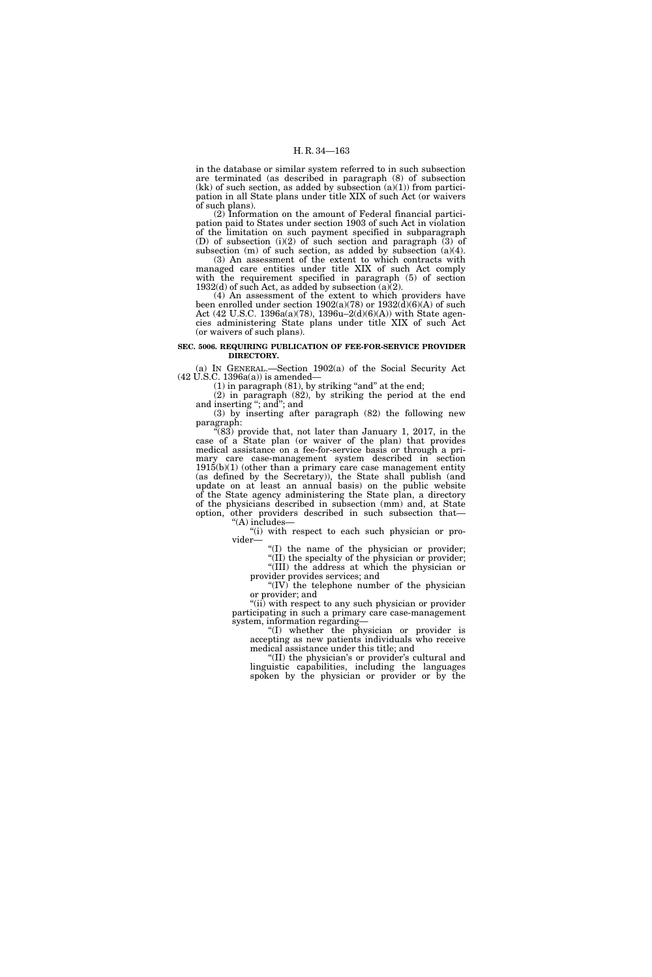in the database or similar system referred to in such subsection are terminated (as described in paragraph (8) of subsection  $(kk)$  of such section, as added by subsection  $(a)(1)$  from participation in all State plans under title XIX of such Act (or waivers of such plans).

(2) Information on the amount of Federal financial participation paid to States under section 1903 of such Act in violation of the limitation on such payment specified in subparagraph (D) of subsection (i)(2) of such section and paragraph (3) of subsection (m) of such section, as added by subsection (a)(4).

(3) An assessment of the extent to which contracts with managed care entities under title XIX of such Act comply with the requirement specified in paragraph (5) of section  $1932(d)$  of such Act, as added by subsection (a)(2).

(4) An assessment of the extent to which providers have been enrolled under section  $1902(a)(78)$  or  $1932(\tilde{d})(6)(A)$  of such Act (42 U.S.C. 1396a(a)(78), 1396u–2(d)(6)(A)) with State agencies administering State plans under title XIX of such Act (or waivers of such plans).

## **SEC. 5006. REQUIRING PUBLICATION OF FEE-FOR-SERVICE PROVIDER DIRECTORY.**

(a) IN GENERAL.—Section 1902(a) of the Social Security Act (42 U.S.C. 1396a(a)) is amended—

 $(1)$  in paragraph  $(81)$ , by striking "and" at the end;

(2) in paragraph (82), by striking the period at the end and inserting ''; and''; and

(3) by inserting after paragraph (82) the following new paragraph:

" $(83)$  provide that, not later than January 1, 2017, in the case of a State plan (or waiver of the plan) that provides medical assistance on a fee-for-service basis or through a primary care case-management system described in section  $1915(b)(1)$  (other than a primary care case management entity (as defined by the Secretary)), the State shall publish (and update on at least an annual basis) on the public website of the State agency administering the State plan, a directory of the physicians described in subsection (mm) and, at State option, other providers described in such subsection that— ''(A) includes—

''(i) with respect to each such physician or provider—

''(I) the name of the physician or provider;

''(II) the specialty of the physician or provider; ''(III) the address at which the physician or provider provides services; and

" $(IV)^T$  the telephone number of the physician or provider; and

"(ii) with respect to any such physician or provider participating in such a primary care case-management system, information regarding—

''(I) whether the physician or provider is accepting as new patients individuals who receive medical assistance under this title; and

"(II) the physician's or provider's cultural and linguistic capabilities, including the languages spoken by the physician or provider or by the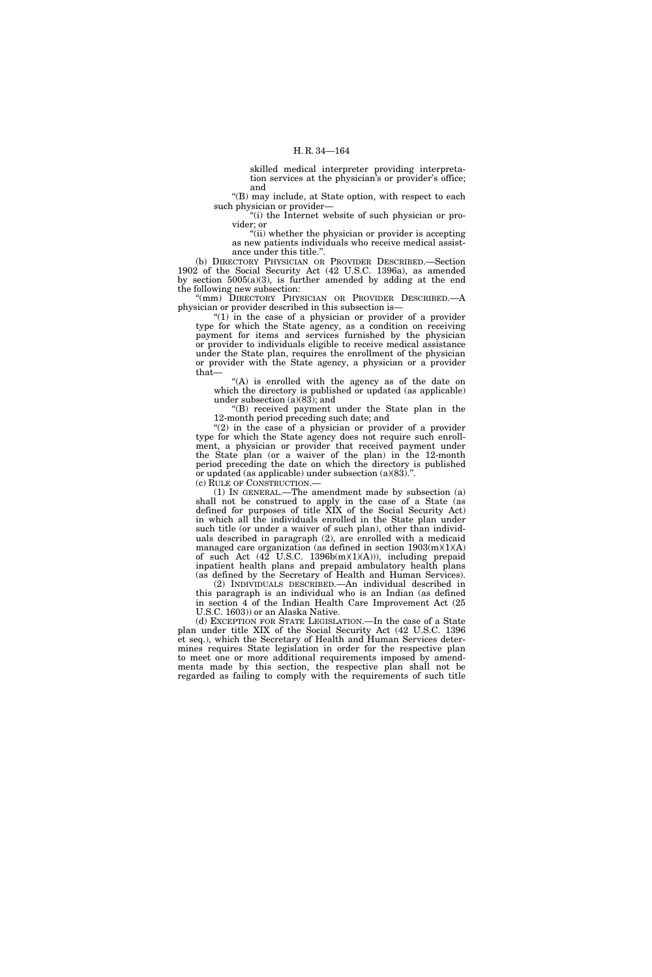skilled medical interpreter providing interpretation services at the physician's or provider's office; and

''(B) may include, at State option, with respect to each such physician or provider—

"(i) the Internet website of such physician or provider; or

"(ii) whether the physician or provider is accepting as new patients individuals who receive medical assistance under this title.''.

(b) DIRECTORY PHYSICIAN OR PROVIDER DESCRIBED.—Section 1902 of the Social Security Act (42 U.S.C. 1396a), as amended by section  $5005(a)(3)$ , is further amended by adding at the end the following new subsection:

'(mm) DIRECTORY PHYSICIAN OR PROVIDER DESCRIBED.—A physician or provider described in this subsection is—

" $(1)$  in the case of a physician or provider of a provider type for which the State agency, as a condition on receiving payment for items and services furnished by the physician or provider to individuals eligible to receive medical assistance under the State plan, requires the enrollment of the physician or provider with the State agency, a physician or a provider that—

''(A) is enrolled with the agency as of the date on which the directory is published or updated (as applicable) under subsection  $(a)(83)$ ; and

''(B) received payment under the State plan in the 12-month period preceding such date; and

"(2) in the case of a physician or provider of a provider type for which the State agency does not require such enrollment, a physician or provider that received payment under the State plan (or a waiver of the plan) in the 12-month period preceding the date on which the directory is published or updated (as applicable) under subsection (a)(83).''.

(c) RULE OF CONSTRUCTION.—

(1) IN GENERAL.—The amendment made by subsection (a) shall not be construed to apply in the case of a State (as defined for purposes of title  $XIX$  of the Social Security Act) in which all the individuals enrolled in the State plan under such title (or under a waiver of such plan), other than individuals described in paragraph (2), are enrolled with a medicaid managed care organization (as defined in section  $1903(m)(1)(A)$ of such Act  $(42$  U.S.C. 1396b $(m)(1)(A))$ , including prepaid inpatient health plans and prepaid ambulatory health plans (as defined by the Secretary of Health and Human Services).

(2) INDIVIDUALS DESCRIBED.—An individual described in this paragraph is an individual who is an Indian (as defined in section 4 of the Indian Health Care Improvement Act (25 U.S.C. 1603)) or an Alaska Native.

(d) EXCEPTION FOR STATE LEGISLATION.—In the case of a State plan under title XIX of the Social Security Act (42 U.S.C. 1396 et seq.), which the Secretary of Health and Human Services determines requires State legislation in order for the respective plan to meet one or more additional requirements imposed by amendments made by this section, the respective plan shall not be regarded as failing to comply with the requirements of such title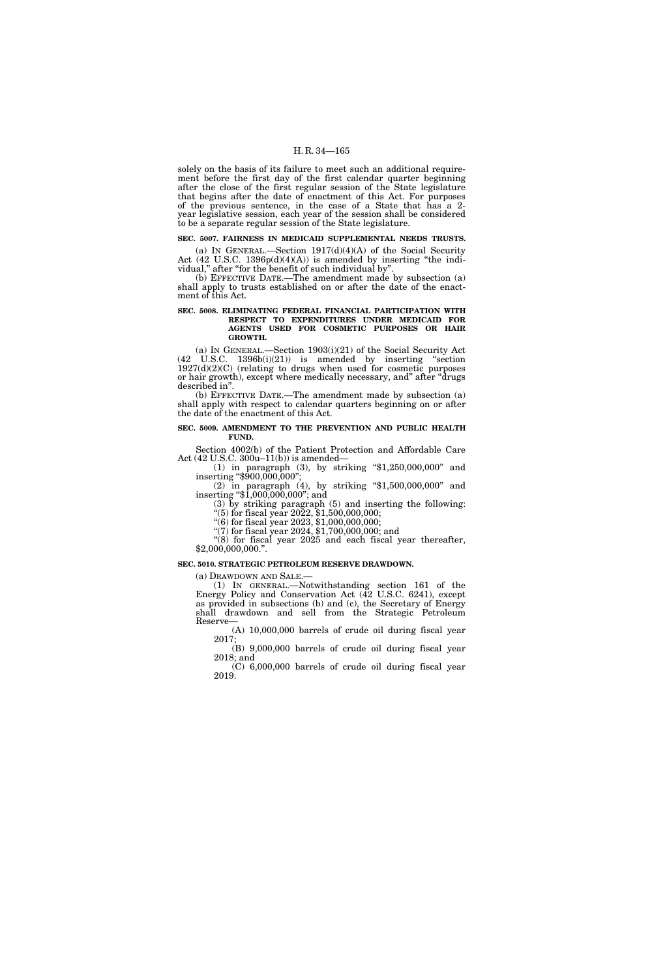solely on the basis of its failure to meet such an additional requirement before the first day of the first calendar quarter beginning after the close of the first regular session of the State legislature that begins after the date of enactment of this Act. For purposes of the previous sentence, in the case of a State that has a 2 year legislative session, each year of the session shall be considered to be a separate regular session of the State legislature.

# **SEC. 5007. FAIRNESS IN MEDICAID SUPPLEMENTAL NEEDS TRUSTS.**

(a) IN GENERAL.—Section  $1917(d)(4)(A)$  of the Social Security Act (42 U.S.C. 1396p(d)(4)(A)) is amended by inserting "the individual,'' after ''for the benefit of such individual by''.

(b) EFFECTIVE DATE.—The amendment made by subsection (a) shall apply to trusts established on or after the date of the enactment of this Act.

## **SEC. 5008. ELIMINATING FEDERAL FINANCIAL PARTICIPATION WITH RESPECT TO EXPENDITURES UNDER MEDICAID FOR AGENTS USED FOR COSMETIC PURPOSES OR HAIR GROWTH.**

(a) IN GENERAL.—Section 1903(i)(21) of the Social Security Act  $(42 \text{ U.S.C. } 1396b(i)(21))$  is amended by inserting "section  $1927(d)(2)(C)$  (relating to drugs when used for cosmetic purposes or hair growth), except where medically necessary, and'' after ''drugs described in''.

(b) EFFECTIVE DATE.—The amendment made by subsection (a) shall apply with respect to calendar quarters beginning on or after the date of the enactment of this Act.

# **SEC. 5009. AMENDMENT TO THE PREVENTION AND PUBLIC HEALTH FUND.**

Section 4002(b) of the Patient Protection and Affordable Care Act (42 U.S.C. 300u–11(b)) is amended—

(1) in paragraph (3), by striking ''\$1,250,000,000'' and inserting ''\$900,000,000'';

(2) in paragraph (4), by striking ''\$1,500,000,000'' and inserting ''\$1,000,000,000''; and (3) by striking paragraph (5) and inserting the following:

"(5) for fiscal year  $20\overline{2}2$ ,  $$1,500,000,000;$ 

''(6) for fiscal year 2023, \$1,000,000,000;

''(7) for fiscal year 2024, \$1,700,000,000; and

"(8) for fiscal year 2025 and each fiscal year thereafter, \$2,000,000,000.''.

## **SEC. 5010. STRATEGIC PETROLEUM RESERVE DRAWDOWN.**

(a) DRAWDOWN AND SALE.—

(1) IN GENERAL.—Notwithstanding section 161 of the Energy Policy and Conservation Act (42 U.S.C. 6241), except as provided in subsections (b) and (c), the Secretary of Energy shall drawdown and sell from the Strategic Petroleum Reserve—

(A) 10,000,000 barrels of crude oil during fiscal year 2017;

(B) 9,000,000 barrels of crude oil during fiscal year 2018; and

(C) 6,000,000 barrels of crude oil during fiscal year 2019.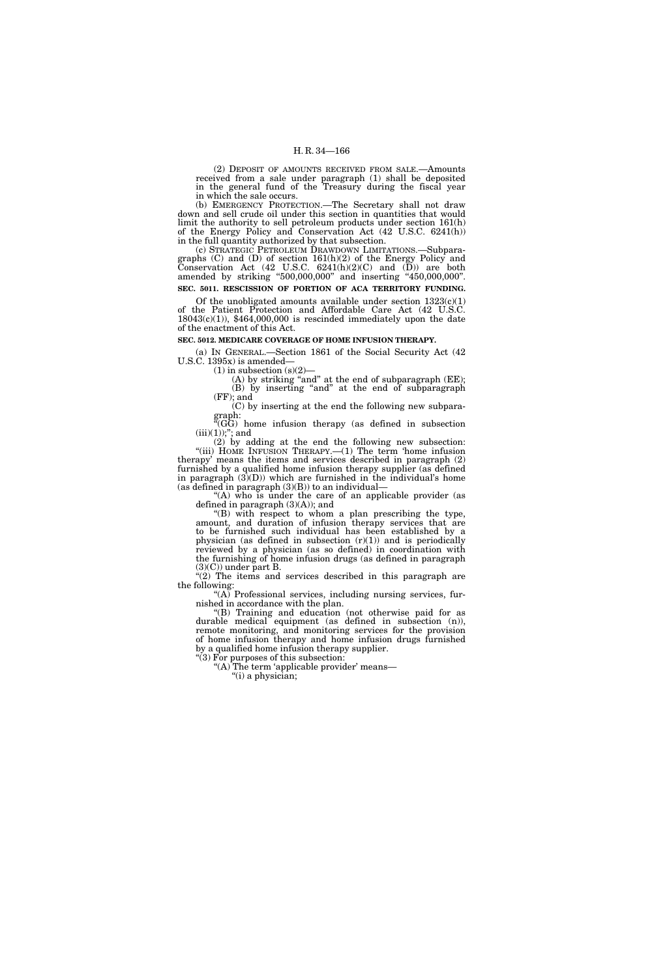(2) DEPOSIT OF AMOUNTS RECEIVED FROM SALE.—Amounts received from a sale under paragraph (1) shall be deposited in the general fund of the Treasury during the fiscal year in which the sale occurs.

(b) EMERGENCY PROTECTION.—The Secretary shall not draw down and sell crude oil under this section in quantities that would limit the authority to sell petroleum products under section 161(h) of the Energy Policy and Conservation Act (42 U.S.C. 6241(h)) in the full quantity authorized by that subsection.

(c) STRATEGIC PETROLEUM DRAWDOWN LIMITATIONS.—Subparagraphs (C) and (D) of section 161(h)(2) of the Energy Policy and Conservation Act  $(42 \text{ U.S.C. } 6241(h)(2)(\text{C})$  and  $(\text{D}))$  are both amended by striking ''500,000,000'' and inserting ''450,000,000''. **SEC. 5011. RESCISSION OF PORTION OF ACA TERRITORY FUNDING.** 

Of the unobligated amounts available under section  $1323(c)(1)$ of the Patient Protection and Affordable Care Act (42 U.S.C.  $18043(c)(1)$ , \$464,000,000 is rescinded immediately upon the date

# **SEC. 5012. MEDICARE COVERAGE OF HOME INFUSION THERAPY.**

(a) IN GENERAL.—Section 1861 of the Social Security Act (42 U.S.C. 1395x) is amended—

 $(1)$  in subsection  $(s)(2)$ 

of the enactment of this Act.

(A) by striking "and" at the end of subparagraph (EE); (B) by inserting ''and'' at the end of subparagraph (FF); and

(C) by inserting at the end the following new subparagraph:

''(GG) home infusion therapy (as defined in subsection  $(iii)(1));$ "; and

(2) by adding at the end the following new subsection: "(iii) HOME INFUSION THERAPY.—(1) The term 'home infusion therapy' means the items and services described in paragraph (2) furnished by a qualified home infusion therapy supplier (as defined in paragraph  $(3)(D)$ ) which are furnished in the individual's home (as defined in paragraph  $(3)(B)$ ) to an individual-

"(A) who is under the care of an applicable provider (as defined in paragraph (3)(A)); and

''(B) with respect to whom a plan prescribing the type, amount, and duration of infusion therapy services that are to be furnished such individual has been established by a physician (as defined in subsection  $(r)(1)$ ) and is periodically reviewed by a physician (as so defined) in coordination with the furnishing of home infusion drugs (as defined in paragraph  $(3)(C)$  under part B.

 $\sqrt{\hat{f}(2)}$  The items and services described in this paragraph are the following:

"(A) Professional services, including nursing services, furnished in accordance with the plan.

''(B) Training and education (not otherwise paid for as durable medical equipment (as defined in subsection (n)), remote monitoring, and monitoring services for the provision of home infusion therapy and home infusion drugs furnished by a qualified home infusion therapy supplier.

''(3) For purposes of this subsection: "(A) The term 'applicable provider' means—

''(i) a physician;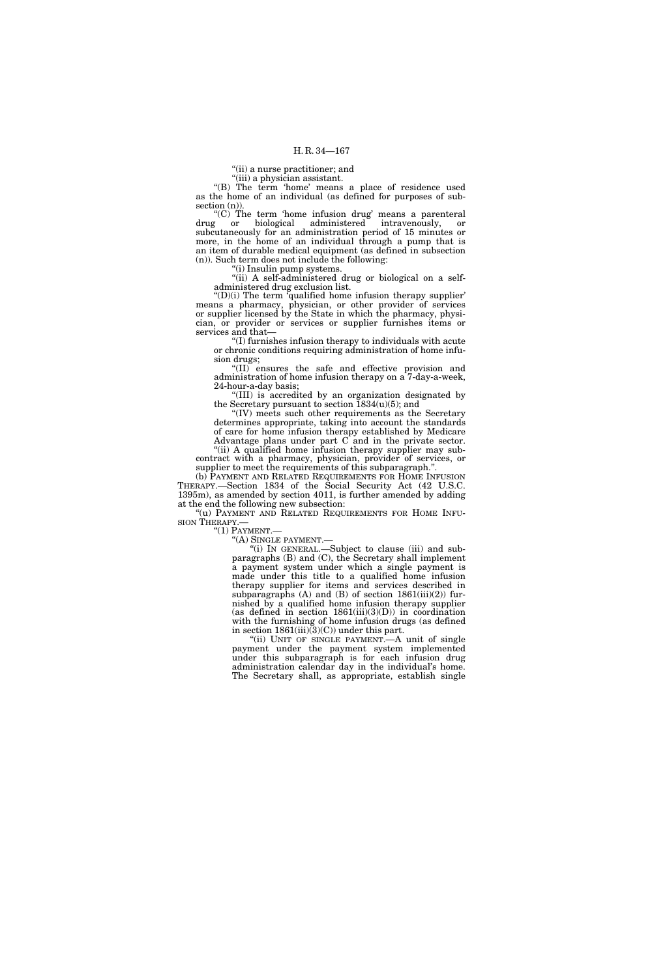"(ii) a nurse practitioner; and

''(iii) a physician assistant.

"(B) The term 'home' means a place of residence used as the home of an individual (as defined for purposes of subsection  $(n)$ ).

''(C) The term 'home infusion drug' means a parenteral drug or biological administered intravenously, or subcutaneously for an administration period of 15 minutes or more, in the home of an individual through a pump that is an item of durable medical equipment (as defined in subsection (n)). Such term does not include the following:

''(i) Insulin pump systems.

''(ii) A self-administered drug or biological on a selfadministered drug exclusion list.

 $f(D)(i)$  The term 'qualified home infusion therapy supplier' means a pharmacy, physician, or other provider of services or supplier licensed by the State in which the pharmacy, physician, or provider or services or supplier furnishes items or services and that—

'(I) furnishes infusion therapy to individuals with acute or chronic conditions requiring administration of home infusion drugs;

''(II) ensures the safe and effective provision and administration of home infusion therapy on a 7-day-a-week, 24-hour-a-day basis;

''(III) is accredited by an organization designated by the Secretary pursuant to section  $\text{I}834(u)(5)$ ; and

''(IV) meets such other requirements as the Secretary determines appropriate, taking into account the standards of care for home infusion therapy established by Medicare Advantage plans under part C and in the private sector. ''(ii) A qualified home infusion therapy supplier may sub-

contract with a pharmacy, physician, provider of services, or supplier to meet the requirements of this subparagraph.''.

(b) PAYMENT AND RELATED REQUIREMENTS FOR HOME INFUSION THERAPY.—Section 1834 of the Social Security Act (42 U.S.C. 1395m), as amended by section 4011, is further amended by adding at the end the following new subsection:

"(u) PAYMENT AND RELATED REQUIREMENTS FOR HOME INFU-SION THERAPY.—<br>"(1) PAYMENT.—

''(A) SINGLE PAYMENT.—

''(i) IN GENERAL.—Subject to clause (iii) and subparagraphs (B) and (C), the Secretary shall implement a payment system under which a single payment is made under this title to a qualified home infusion therapy supplier for items and services described in subparagraphs  $(A)$  and  $(B)$  of section 1861(iii)(2)) furnished by a qualified home infusion therapy supplier (as defined in section  $1861(iii)(3)(D)$ ) in coordination with the furnishing of home infusion drugs (as defined in section 1861(iii)(3)(C)) under this part.

"(ii) UNIT OF SINGLE PAYMENT. A unit of single payment under the payment system implemented under this subparagraph is for each infusion drug administration calendar day in the individual's home. The Secretary shall, as appropriate, establish single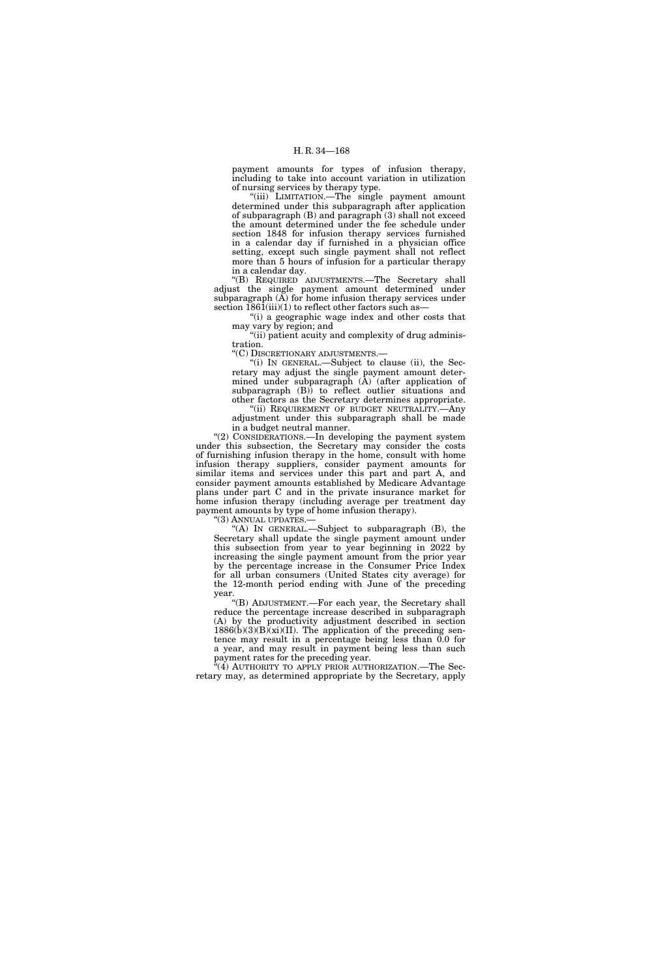payment amounts for types of infusion therapy, including to take into account variation in utilization of nursing services by therapy type.

''(iii) LIMITATION.—The single payment amount determined under this subparagraph after application of subparagraph (B) and paragraph (3) shall not exceed the amount determined under the fee schedule under section 1848 for infusion therapy services furnished in a calendar day if furnished in a physician office setting, except such single payment shall not reflect more than 5 hours of infusion for a particular therapy in a calendar day.

''(B) REQUIRED ADJUSTMENTS.—The Secretary shall adjust the single payment amount determined under subparagraph  $(A)$  for home infusion therapy services under section  $1861(iii)(1)$  to reflect other factors such as

''(i) a geographic wage index and other costs that may vary by region; and

''(ii) patient acuity and complexity of drug administration.

''(C) DISCRETIONARY ADJUSTMENTS.—

(i) IN GENERAL.—Subject to clause (ii), the Secretary may adjust the single payment amount determined under subparagraph (A) (after application of subparagraph (B)) to reflect outlier situations and other factors as the Secretary determines appropriate.

"(ii) REQUIREMENT OF BUDGET NEUTRALITY.—Any adjustment under this subparagraph shall be made in a budget neutral manner.

"(2) CONSIDERATIONS.—In developing the payment system under this subsection, the Secretary may consider the costs of furnishing infusion therapy in the home, consult with home infusion therapy suppliers, consider payment amounts for similar items and services under this part and part A, and consider payment amounts established by Medicare Advantage plans under part C and in the private insurance market for home infusion therapy (including average per treatment day payment amounts by type of home infusion therapy).

''(3) ANNUAL UPDATES.—

"(A) IN GENERAL.—Subject to subparagraph  $(B)$ , the Secretary shall update the single payment amount under this subsection from year to year beginning in 2022 by increasing the single payment amount from the prior year by the percentage increase in the Consumer Price Index for all urban consumers (United States city average) for the 12-month period ending with June of the preceding year.

''(B) ADJUSTMENT.—For each year, the Secretary shall reduce the percentage increase described in subparagraph (A) by the productivity adjustment described in section  $1886(b)(3)(B)(xi)(II)$ . The application of the preceding sentence may result in a percentage being less than 0.0 for a year, and may result in payment being less than such payment rates for the preceding year.

''(4) AUTHORITY TO APPLY PRIOR AUTHORIZATION.—The Secretary may, as determined appropriate by the Secretary, apply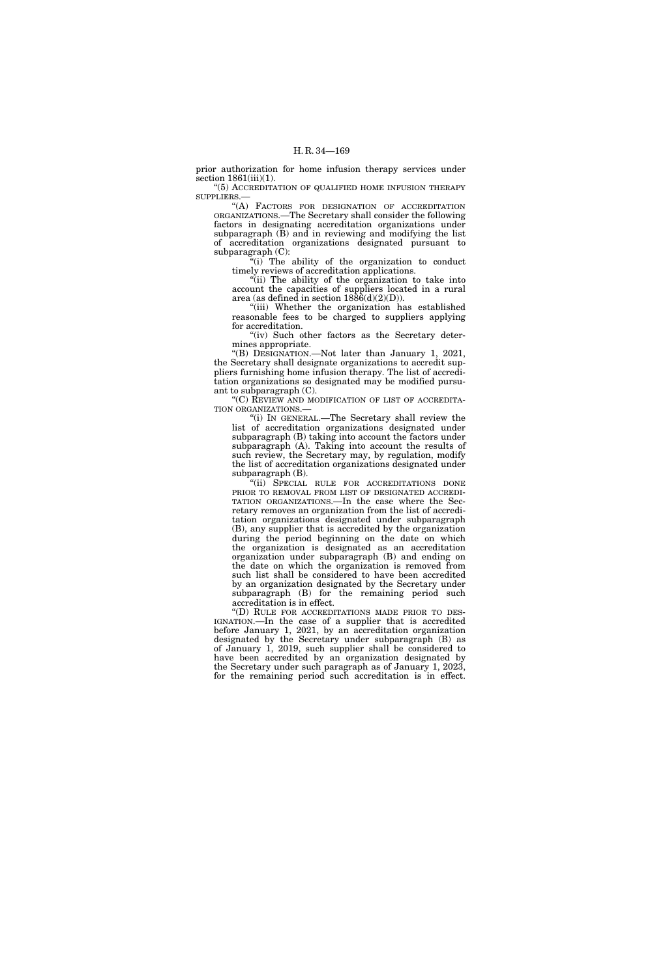prior authorization for home infusion therapy services under section  $1861(iii)(1)$ .

"(5) ACCREDITATION OF QUALIFIED HOME INFUSION THERAPY SUPPLIERS.—

''(A) FACTORS FOR DESIGNATION OF ACCREDITATION ORGANIZATIONS.—The Secretary shall consider the following factors in designating accreditation organizations under subparagraph  $(\bar{B})$  and in reviewing and modifying the list of accreditation organizations designated pursuant to subparagraph (C):

''(i) The ability of the organization to conduct timely reviews of accreditation applications.

"(ii) The ability of the organization to take into account the capacities of suppliers located in a rural area (as defined in section  $1886(d)(2)(D)$ ).

''(iii) Whether the organization has established reasonable fees to be charged to suppliers applying for accreditation.

"(iv) Such other factors as the Secretary determines appropriate.

''(B) DESIGNATION.—Not later than January 1, 2021, the Secretary shall designate organizations to accredit suppliers furnishing home infusion therapy. The list of accreditation organizations so designated may be modified pursuant to subparagraph (C).

"(C) REVIEW AND MODIFICATION OF LIST OF ACCREDITA-TION ORGANIZATIONS.—

''(i) IN GENERAL.—The Secretary shall review the list of accreditation organizations designated under subparagraph (B) taking into account the factors under subparagraph (A). Taking into account the results of such review, the Secretary may, by regulation, modify the list of accreditation organizations designated under subparagraph (B).

"(ii) SPECIAL RULE FOR ACCREDITATIONS DONE PRIOR TO REMOVAL FROM LIST OF DESIGNATED ACCREDI-TATION ORGANIZATIONS.—In the case where the Secretary removes an organization from the list of accreditation organizations designated under subparagraph (B), any supplier that is accredited by the organization during the period beginning on the date on which the organization is designated as an accreditation organization under subparagraph (B) and ending on the date on which the organization is removed from such list shall be considered to have been accredited by an organization designated by the Secretary under subparagraph (B) for the remaining period such accreditation is in effect.

''(D) RULE FOR ACCREDITATIONS MADE PRIOR TO DES-IGNATION.—In the case of a supplier that is accredited before January 1, 2021, by an accreditation organization designated by the Secretary under subparagraph (B) as of January 1, 2019, such supplier shall be considered to have been accredited by an organization designated by the Secretary under such paragraph as of January 1, 2023, for the remaining period such accreditation is in effect.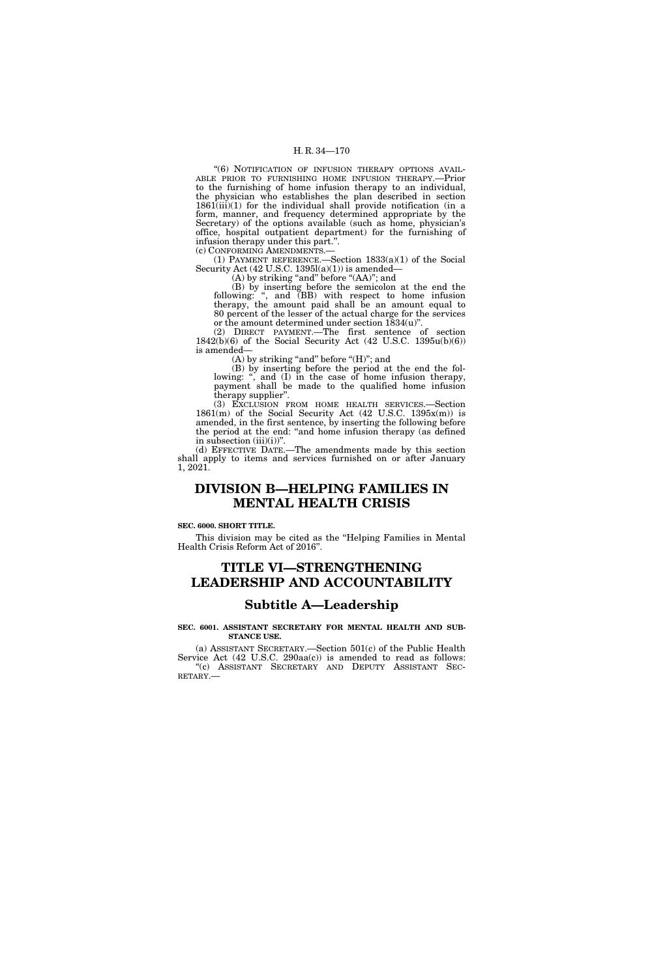"(6) NOTIFICATION OF INFUSION THERAPY OPTIONS AVAIL-ABLE PRIOR TO FURNISHING HOME INFUSION THERAPY.—Prior to the furnishing of home infusion therapy to an individual, the physician who establishes the plan described in section  $1861(iii)(1)$  for the individual shall provide notification (in a form, manner, and frequency determined appropriate by the Secretary) of the options available (such as home, physician's office, hospital outpatient department) for the furnishing of infusion therapy under this part.''. (c) CONFORMING AMENDMENTS.—

(1) PAYMENT REFERENCE.—Section 1833(a)(1) of the Social Security Act (42 U.S.C. 1395l(a)(1)) is amended—

(A) by striking "and" before "(AA)"; and

(B) by inserting before the semicolon at the end the following: ", and (BB) with respect to home infusion therapy, the amount paid shall be an amount equal to 80 percent of the lesser of the actual charge for the services or the amount determined under section 1834(u)''.

(2) DIRECT PAYMENT.—The first sentence of section 1842(b)(6) of the Social Security Act (42 U.S.C. 1395u(b)(6)) is amended—

(A) by striking "and" before "(H)"; and

(B) by inserting before the period at the end the following: ", and (I) in the case of home infusion therapy, payment shall be made to the qualified home infusion therapy supplier''.

(3) EXCLUSION FROM HOME HEALTH SERVICES.—Section  $1861(m)$  of the Social Security Act  $(42 \text{ U.S.C. } 1395x(m))$  is amended, in the first sentence, by inserting the following before the period at the end: ''and home infusion therapy (as defined in subsection  $(iii)(i)$ ".

(d) EFFECTIVE DATE.—The amendments made by this section shall apply to items and services furnished on or after January 1, 2021.

# **DIVISION B—HELPING FAMILIES IN MENTAL HEALTH CRISIS**

## **SEC. 6000. SHORT TITLE.**

This division may be cited as the ''Helping Families in Mental Health Crisis Reform Act of 2016''.

# **TITLE VI—STRENGTHENING LEADERSHIP AND ACCOUNTABILITY**

# **Subtitle A—Leadership**

# **SEC. 6001. ASSISTANT SECRETARY FOR MENTAL HEALTH AND SUB-STANCE USE.**

(a) ASSISTANT SECRETARY.—Section 501(c) of the Public Health Service Act (42 U.S.C. 290aa(c)) is amended to read as follows: "(c) ASSISTANT SECRETARY AND DEPUTY ASSISTANT SECRETARY.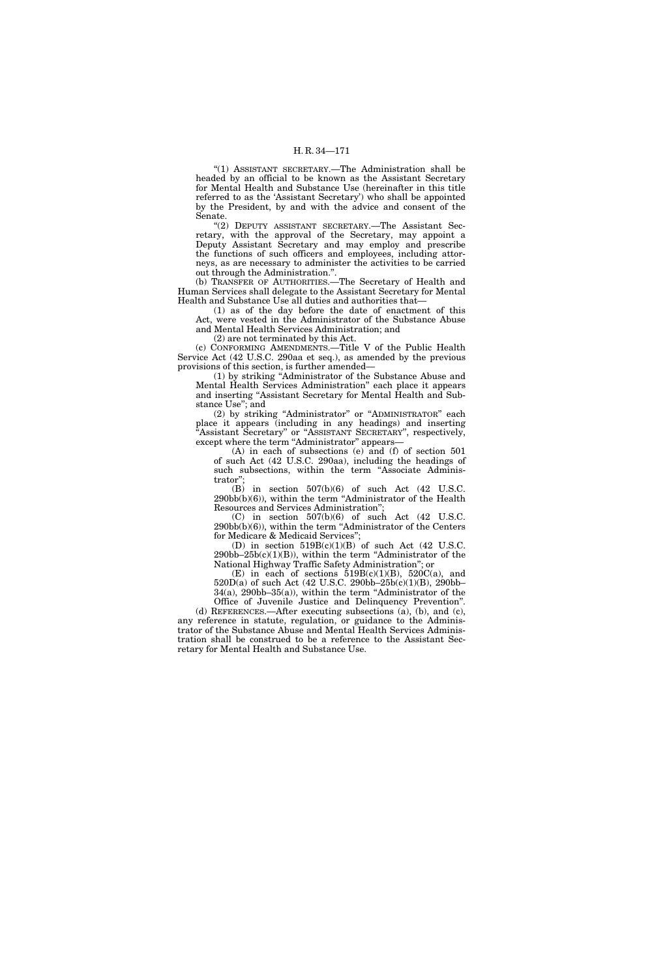''(1) ASSISTANT SECRETARY.—The Administration shall be headed by an official to be known as the Assistant Secretary for Mental Health and Substance Use (hereinafter in this title referred to as the 'Assistant Secretary') who shall be appointed by the President, by and with the advice and consent of the Senate.

''(2) DEPUTY ASSISTANT SECRETARY.—The Assistant Secretary, with the approval of the Secretary, may appoint a Deputy Assistant Secretary and may employ and prescribe the functions of such officers and employees, including attorneys, as are necessary to administer the activities to be carried out through the Administration.''.

(b) TRANSFER OF AUTHORITIES.—The Secretary of Health and Human Services shall delegate to the Assistant Secretary for Mental Health and Substance Use all duties and authorities that—

(1) as of the day before the date of enactment of this Act, were vested in the Administrator of the Substance Abuse and Mental Health Services Administration; and

(2) are not terminated by this Act.

(c) CONFORMING AMENDMENTS.—Title V of the Public Health Service Act (42 U.S.C. 290aa et seq.), as amended by the previous provisions of this section, is further amended—

(1) by striking ''Administrator of the Substance Abuse and Mental Health Services Administration'' each place it appears and inserting ''Assistant Secretary for Mental Health and Substance Use''; and

(2) by striking ''Administrator'' or ''ADMINISTRATOR'' each place it appears (including in any headings) and inserting ''Assistant Secretary'' or ''ASSISTANT SECRETARY'', respectively, except where the term "Administrator" appears—

(A) in each of subsections (e) and (f) of section 501 of such Act (42 U.S.C. 290aa), including the headings of such subsections, within the term "Associate Administrator'';

(B) in section 507(b)(6) of such Act (42 U.S.C.  $290\text{bb}(b)(6)$ , within the term "Administrator of the Health Resources and Services Administration'';

 $(C)$  in section  $507(b)(6)$  of such Act  $(42 \text{ U.S.C.})$ 290bb(b)(6)), within the term ''Administrator of the Centers for Medicare & Medicaid Services'';

(D) in section  $519B(c)(1)(B)$  of such Act (42 U.S.C. 290bb–25b(c)(1)(B)), within the term ''Administrator of the National Highway Traffic Safety Administration''; or

(E) in each of sections  $\check{5}19B(c)(1)(B)$ ,  $520C(a)$ , and 520D(a) of such Act (42 U.S.C. 290bb–25b(c)(1)(B), 290bb– 34(a), 290bb–35(a)), within the term ''Administrator of the

Office of Juvenile Justice and Delinquency Prevention''. (d) REFERENCES.—After executing subsections (a), (b), and (c), any reference in statute, regulation, or guidance to the Administrator of the Substance Abuse and Mental Health Services Administration shall be construed to be a reference to the Assistant Secretary for Mental Health and Substance Use.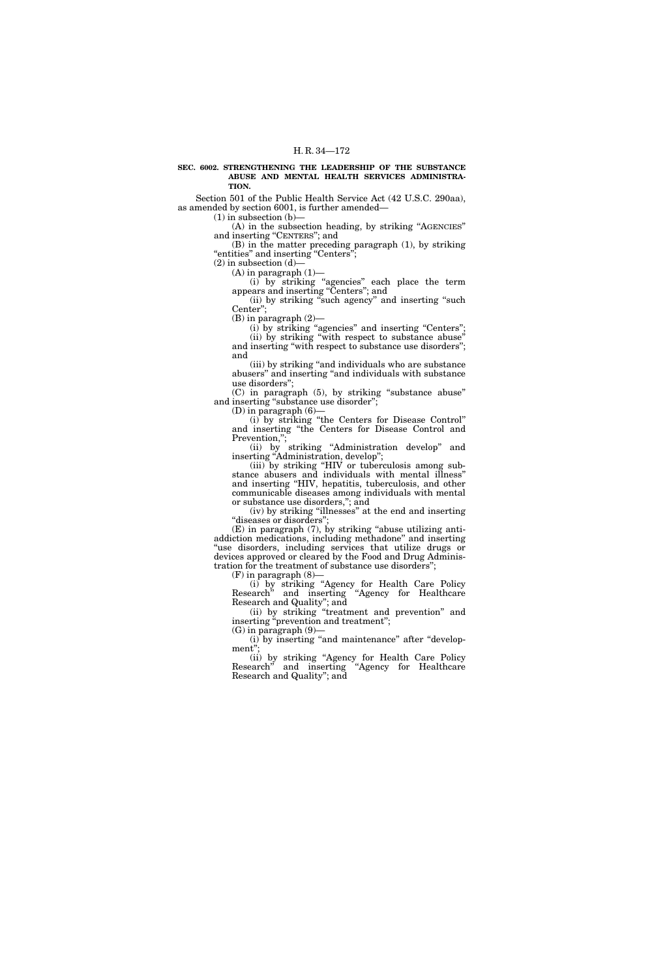#### **SEC. 6002. STRENGTHENING THE LEADERSHIP OF THE SUBSTANCE ABUSE AND MENTAL HEALTH SERVICES ADMINISTRA-TION.**

Section 501 of the Public Health Service Act (42 U.S.C. 290aa), as amended by section 6001, is further amended—

(1) in subsection (b)—

(A) in the subsection heading, by striking "AGENCIES" and inserting "CENTERS"; and

(B) in the matter preceding paragraph (1), by striking "entities" and inserting "Centers";

(2) in subsection (d)— (A) in paragraph (1)—

(i) by striking ''agencies'' each place the term

appears and inserting ''Centers''; and (ii) by striking ''such agency'' and inserting ''such

Center''; (B) in paragraph (2)—

(i) by striking "agencies" and inserting "Centers"; (ii) by striking ''with respect to substance abuse'' and inserting "with respect to substance use disorders"; and

(iii) by striking ''and individuals who are substance abusers'' and inserting ''and individuals with substance use disorders'';

(C) in paragraph (5), by striking ''substance abuse'' and inserting "substance use disorder";

(D) in paragraph  $(6)$ —

(i) by striking ''the Centers for Disease Control'' and inserting ''the Centers for Disease Control and Prevention,";

(ii) by striking ''Administration develop'' and inserting "Administration, develop";

(iii) by striking ''HIV or tuberculosis among substance abusers and individuals with mental illness'' and inserting ''HIV, hepatitis, tuberculosis, and other communicable diseases among individuals with mental or substance use disorders,''; and

(iv) by striking ''illnesses'' at the end and inserting "diseases or disorders"

(E) in paragraph (7), by striking ''abuse utilizing antiaddiction medications, including methadone'' and inserting ''use disorders, including services that utilize drugs or devices approved or cleared by the Food and Drug Administration for the treatment of substance use disorders'';

 $(F)$  in paragraph  $(8)$ -

(i) by striking ''Agency for Health Care Policy Research'' and inserting ''Agency for Healthcare Research and Quality''; and

(ii) by striking ''treatment and prevention'' and inserting "prevention and treatment"; (G) in paragraph (9)—

(i) by inserting "and maintenance" after "development'';

(ii) by striking ''Agency for Health Care Policy Research'' and inserting ''Agency for Healthcare Research and Quality''; and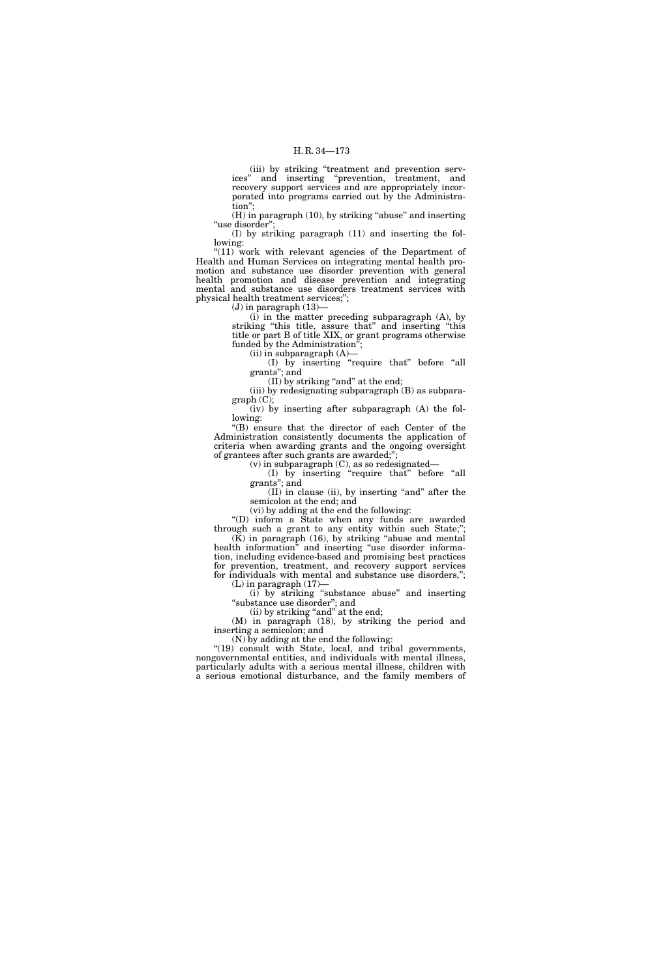(iii) by striking ''treatment and prevention services'' and inserting ''prevention, treatment, and recovery support services and are appropriately incorporated into programs carried out by the Administration'';

(H) in paragraph (10), by striking "abuse" and inserting "use disorder";

(I) by striking paragraph (11) and inserting the following:

"(11) work with relevant agencies of the Department of Health and Human Services on integrating mental health promotion and substance use disorder prevention with general health promotion and disease prevention and integrating mental and substance use disorders treatment services with physical health treatment services;'';

 $(J)$  in paragraph  $(13)$ —

(i) in the matter preceding subparagraph (A), by striking ''this title, assure that'' and inserting ''this title or part B of title XIX, or grant programs otherwise funded by the Administration'';

(ii) in subparagraph (A)—

(I) by inserting ''require that'' before ''all grants''; and

(II) by striking "and" at the end;

(iii) by redesignating subparagraph (B) as subparagraph (C);

(iv) by inserting after subparagraph (A) the following:

''(B) ensure that the director of each Center of the Administration consistently documents the application of criteria when awarding grants and the ongoing oversight of grantees after such grants are awarded;'';

(v) in subparagraph (C), as so redesignated—

(I) by inserting ''require that'' before ''all grants''; and

(II) in clause (ii), by inserting ''and'' after the semicolon at the end; and

(vi) by adding at the end the following:

''(D) inform a State when any funds are awarded through such a grant to any entity within such State;'';  $(K)$  in paragraph (16), by striking "abuse and mental health information'' and inserting ''use disorder informa-

tion, including evidence-based and promising best practices for prevention, treatment, and recovery support services for individuals with mental and substance use disorders,''; (L) in paragraph (17)—

(i) by striking ''substance abuse'' and inserting ''substance use disorder''; and

(ii) by striking "and" at the end;

(M) in paragraph (18), by striking the period and inserting a semicolon; and

(N) by adding at the end the following:

"(19) consult with State, local, and tribal governments, nongovernmental entities, and individuals with mental illness, particularly adults with a serious mental illness, children with a serious emotional disturbance, and the family members of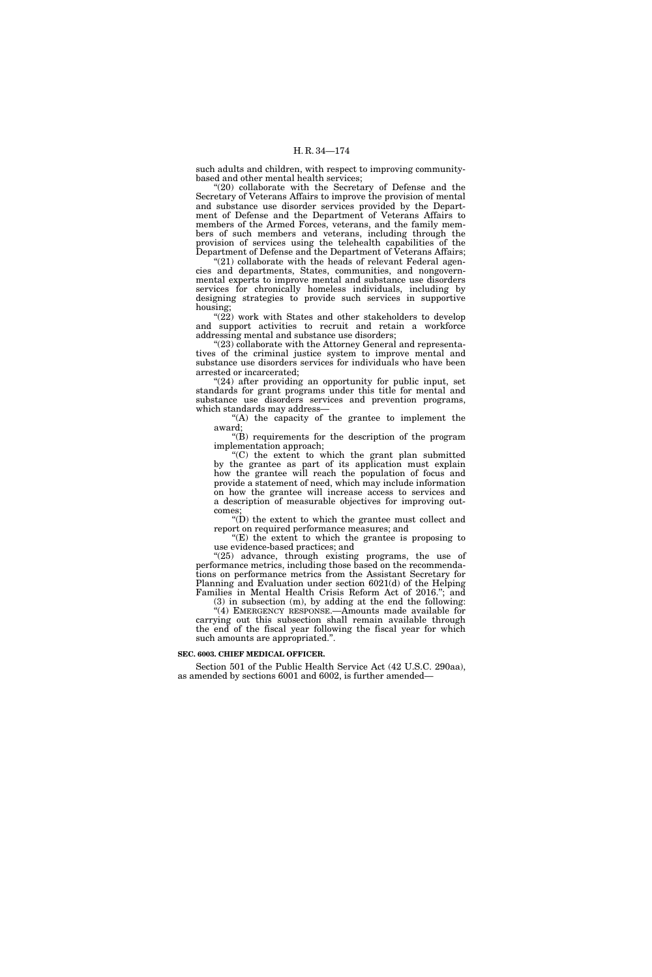such adults and children, with respect to improving communitybased and other mental health services;

"(20) collaborate with the Secretary of Defense and the Secretary of Veterans Affairs to improve the provision of mental and substance use disorder services provided by the Department of Defense and the Department of Veterans Affairs to members of the Armed Forces, veterans, and the family members of such members and veterans, including through the provision of services using the telehealth capabilities of the Department of Defense and the Department of Veterans Affairs;

 $"(21)$  collaborate with the heads of relevant Federal agencies and departments, States, communities, and nongovernmental experts to improve mental and substance use disorders services for chronically homeless individuals, including by designing strategies to provide such services in supportive housing;

" $(22)$  work with States and other stakeholders to develop and support activities to recruit and retain a workforce addressing mental and substance use disorders;

"(23) collaborate with the Attorney General and representatives of the criminal justice system to improve mental and substance use disorders services for individuals who have been arrested or incarcerated;

"(24) after providing an opportunity for public input, set standards for grant programs under this title for mental and substance use disorders services and prevention programs, which standards may address-

''(A) the capacity of the grantee to implement the award;

''(B) requirements for the description of the program implementation approach;

''(C) the extent to which the grant plan submitted by the grantee as part of its application must explain how the grantee will reach the population of focus and provide a statement of need, which may include information on how the grantee will increase access to services and a description of measurable objectives for improving outcomes;

 $\sqrt{\text{m}}$ ) the extent to which the grantee must collect and report on required performance measures; and

 $E(E)$  the extent to which the grantee is proposing to use evidence-based practices; and

"(25) advance, through existing programs, the use of performance metrics, including those based on the recommendations on performance metrics from the Assistant Secretary for Planning and Evaluation under section 6021(d) of the Helping Families in Mental Health Crisis Reform Act of 2016."; and

(3) in subsection (m), by adding at the end the following: "(4) EMERGENCY RESPONSE.—Amounts made available for carrying out this subsection shall remain available through the end of the fiscal year following the fiscal year for which such amounts are appropriated.''.

## **SEC. 6003. CHIEF MEDICAL OFFICER.**

Section 501 of the Public Health Service Act (42 U.S.C. 290aa), as amended by sections 6001 and 6002, is further amended—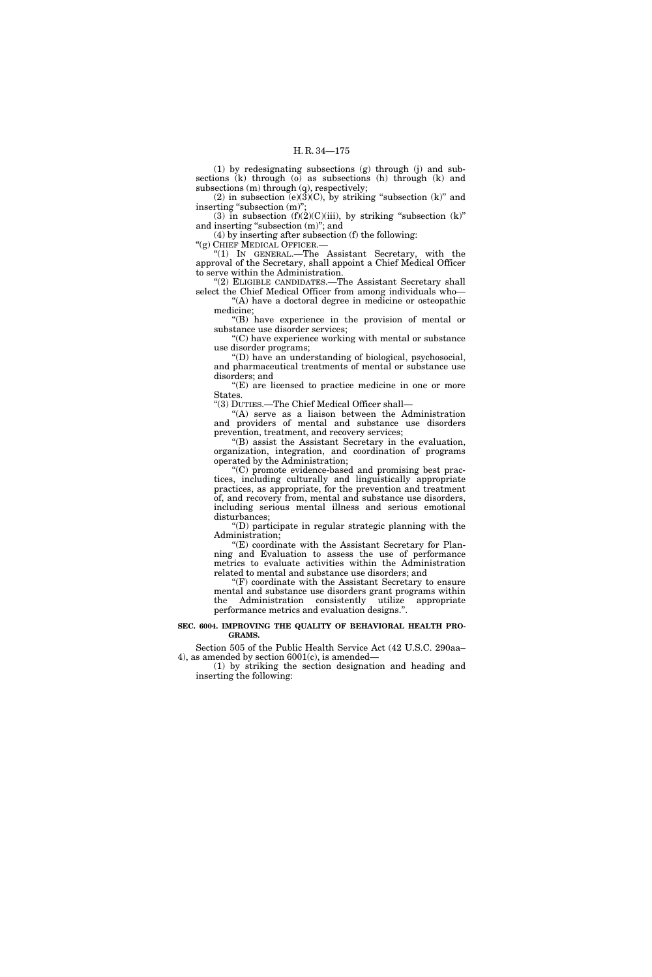(1) by redesignating subsections (g) through (j) and subsections (k) through (o) as subsections (h) through (k) and subsections (m) through (q), respectively;

(2) in subsection  $(e)(3)(C)$ , by striking "subsection (k)" and inserting "subsection (m)";

(3) in subsection  $(f)(2)(C)(iii)$ , by striking "subsection  $(k)$ " and inserting "subsection  $(m)$ "; and

(4) by inserting after subsection (f) the following:

''(g) CHIEF MEDICAL OFFICER.—

''(1) IN GENERAL.—The Assistant Secretary, with the approval of the Secretary, shall appoint a Chief Medical Officer to serve within the Administration.

"(2) ELIGIBLE CANDIDATES.—The Assistant Secretary shall select the Chief Medical Officer from among individuals who—

"(A) have a doctoral degree in medicine or osteopathic medicine;

''(B) have experience in the provision of mental or substance use disorder services;

''(C) have experience working with mental or substance use disorder programs;

''(D) have an understanding of biological, psychosocial, and pharmaceutical treatments of mental or substance use disorders; and

 $E(E)$  are licensed to practice medicine in one or more States.

''(3) DUTIES.—The Chief Medical Officer shall—

''(A) serve as a liaison between the Administration and providers of mental and substance use disorders prevention, treatment, and recovery services;

''(B) assist the Assistant Secretary in the evaluation, organization, integration, and coordination of programs operated by the Administration;

''(C) promote evidence-based and promising best practices, including culturally and linguistically appropriate practices, as appropriate, for the prevention and treatment of, and recovery from, mental and substance use disorders, including serious mental illness and serious emotional disturbances;

''(D) participate in regular strategic planning with the Administration;

''(E) coordinate with the Assistant Secretary for Planning and Evaluation to assess the use of performance metrics to evaluate activities within the Administration related to mental and substance use disorders; and

''(F) coordinate with the Assistant Secretary to ensure mental and substance use disorders grant programs within the Administration consistently utilize appropriate performance metrics and evaluation designs.''.

# **SEC. 6004. IMPROVING THE QUALITY OF BEHAVIORAL HEALTH PRO-GRAMS.**

Section 505 of the Public Health Service Act (42 U.S.C. 290aa– 4), as amended by section 6001(c), is amended—

(1) by striking the section designation and heading and inserting the following: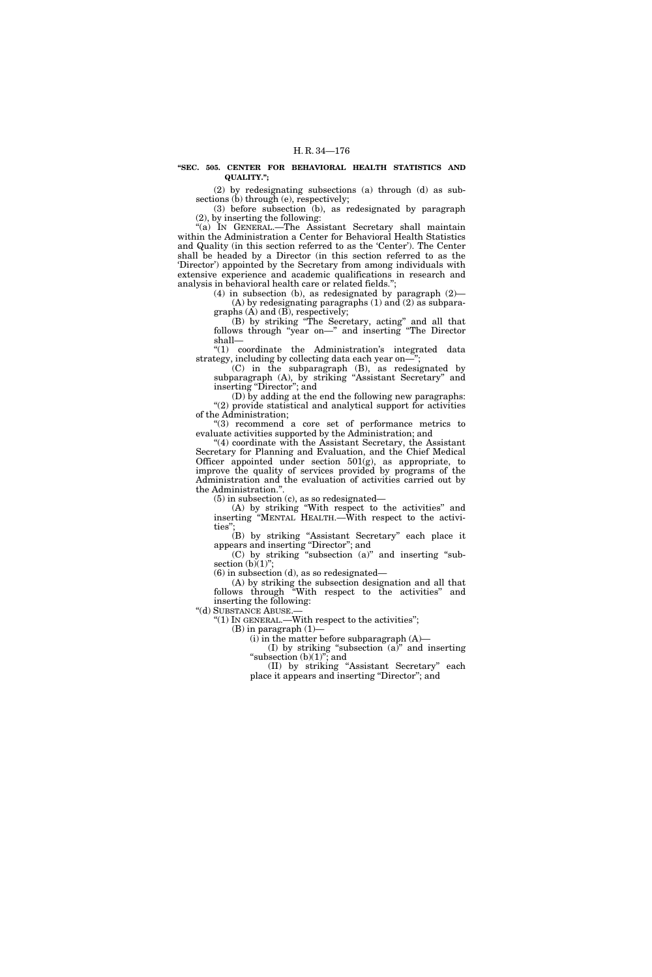## **''SEC. 505. CENTER FOR BEHAVIORAL HEALTH STATISTICS AND QUALITY.'';**

(2) by redesignating subsections (a) through (d) as subsections (b) through (e), respectively;

(3) before subsection (b), as redesignated by paragraph (2), by inserting the following:

''(a) IN GENERAL.—The Assistant Secretary shall maintain within the Administration a Center for Behavioral Health Statistics and Quality (in this section referred to as the 'Center'). The Center shall be headed by a Director (in this section referred to as the 'Director') appointed by the Secretary from among individuals with extensive experience and academic qualifications in research and analysis in behavioral health care or related fields.'';

(4) in subsection (b), as redesignated by paragraph (2)— (A) by redesignating paragraphs (1) and (2) as subparagraphs  $(A)$  and  $(B)$ , respectively;

(B) by striking ''The Secretary, acting'' and all that follows through "year on—" and inserting "The Director shall—

''(1) coordinate the Administration's integrated data strategy, including by collecting data each year on—";

(C) in the subparagraph (B), as redesignated by subparagraph (A), by striking ''Assistant Secretary'' and inserting "Director"; and

(D) by adding at the end the following new paragraphs: "(2) provide statistical and analytical support for activities of the Administration;

''(3) recommend a core set of performance metrics to evaluate activities supported by the Administration; and

''(4) coordinate with the Assistant Secretary, the Assistant Secretary for Planning and Evaluation, and the Chief Medical Officer appointed under section 501(g), as appropriate, to improve the quality of services provided by programs of the Administration and the evaluation of activities carried out by the Administration.''.

(5) in subsection (c), as so redesignated—

(A) by striking ''With respect to the activities'' and inserting ''MENTAL HEALTH.—With respect to the activities'';

(B) by striking ''Assistant Secretary'' each place it appears and inserting ''Director''; and

(C) by striking ''subsection (a)'' and inserting ''subsection  $(b)(1)$ ";

(6) in subsection (d), as so redesignated—

(A) by striking the subsection designation and all that follows through ''With respect to the activities'' and inserting the following:

''(d) SUBSTANCE ABUSE.—

''(1) IN GENERAL.—With respect to the activities'';

 $(B)$  in paragraph  $(1)$ –

(i) in the matter before subparagraph (A)— (I) by striking "subsection  $(a)^{\prime\prime}$  and inserting "subsection  $(b)(1)$ "; and

(II) by striking ''Assistant Secretary'' each place it appears and inserting "Director"; and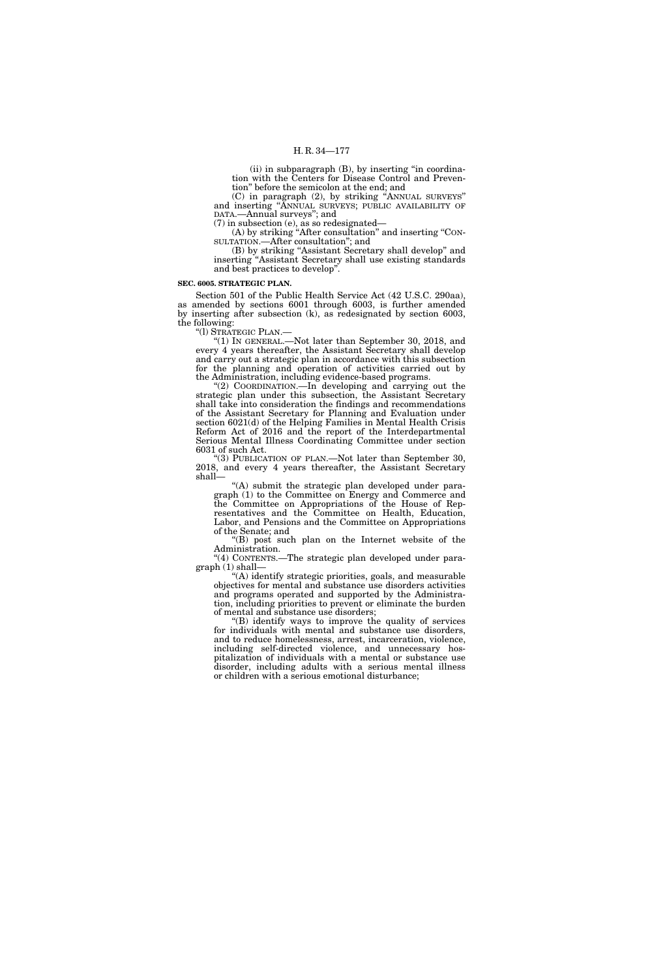(ii) in subparagraph (B), by inserting ''in coordination with the Centers for Disease Control and Prevention'' before the semicolon at the end; and

(C) in paragraph (2), by striking ''ANNUAL SURVEYS'' and inserting ''ANNUAL SURVEYS; PUBLIC AVAILABILITY OF DATA.—Annual surveys''; and

(7) in subsection (e), as so redesignated—

(A) by striking ''After consultation'' and inserting ''CON-SULTATION.—After consultation''; and

(B) by striking ''Assistant Secretary shall develop'' and inserting ''Assistant Secretary shall use existing standards and best practices to develop''.

## **SEC. 6005. STRATEGIC PLAN.**

Section 501 of the Public Health Service Act (42 U.S.C. 290aa), as amended by sections 6001 through 6003, is further amended by inserting after subsection (k), as redesignated by section 6003, the following:

''(l) STRATEGIC PLAN.—

''(1) IN GENERAL.—Not later than September 30, 2018, and every 4 years thereafter, the Assistant Secretary shall develop and carry out a strategic plan in accordance with this subsection for the planning and operation of activities carried out by the Administration, including evidence-based programs.

''(2) COORDINATION.—In developing and carrying out the strategic plan under this subsection, the Assistant Secretary shall take into consideration the findings and recommendations of the Assistant Secretary for Planning and Evaluation under section 6021(d) of the Helping Families in Mental Health Crisis Reform Act of 2016 and the report of the Interdepartmental Serious Mental Illness Coordinating Committee under section 6031 of such Act.

''(3) PUBLICATION OF PLAN.—Not later than September 30, 2018, and every 4 years thereafter, the Assistant Secretary shall—

''(A) submit the strategic plan developed under paragraph (1) to the Committee on Energy and Commerce and the Committee on Appropriations of the House of Representatives and the Committee on Health, Education, Labor, and Pensions and the Committee on Appropriations of the Senate; and

''(B) post such plan on the Internet website of the Administration.

''(4) CONTENTS.—The strategic plan developed under paragraph (1) shall—

''(A) identify strategic priorities, goals, and measurable objectives for mental and substance use disorders activities and programs operated and supported by the Administration, including priorities to prevent or eliminate the burden of mental and substance use disorders;

''(B) identify ways to improve the quality of services for individuals with mental and substance use disorders, and to reduce homelessness, arrest, incarceration, violence, including self-directed violence, and unnecessary hospitalization of individuals with a mental or substance use disorder, including adults with a serious mental illness or children with a serious emotional disturbance;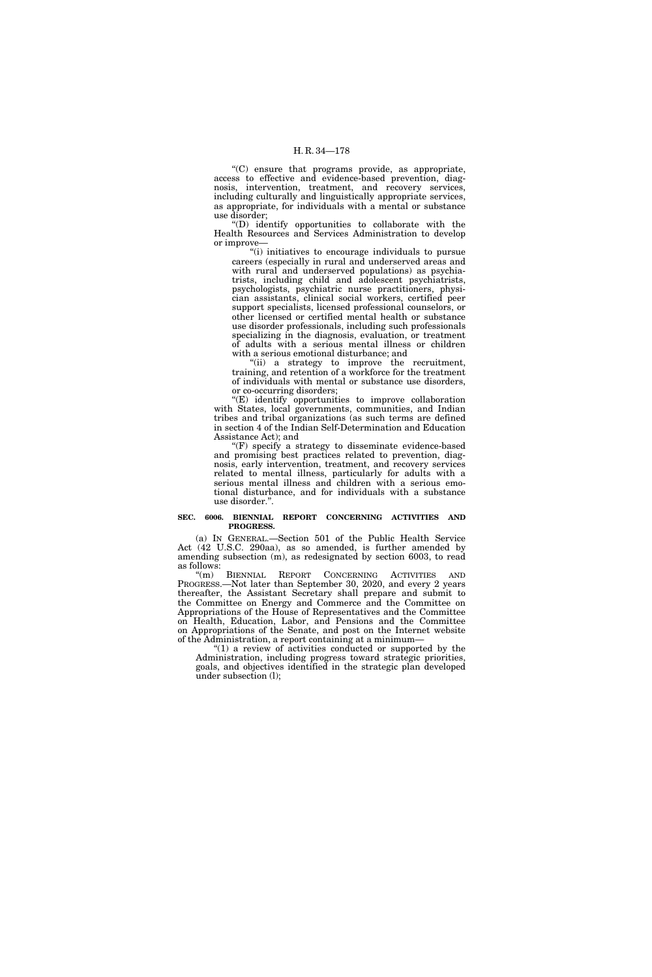''(C) ensure that programs provide, as appropriate, access to effective and evidence-based prevention, diagnosis, intervention, treatment, and recovery services, including culturally and linguistically appropriate services, as appropriate, for individuals with a mental or substance use disorder;

''(D) identify opportunities to collaborate with the Health Resources and Services Administration to develop or improve—

''(i) initiatives to encourage individuals to pursue careers (especially in rural and underserved areas and with rural and underserved populations) as psychiatrists, including child and adolescent psychiatrists, psychologists, psychiatric nurse practitioners, physician assistants, clinical social workers, certified peer support specialists, licensed professional counselors, or other licensed or certified mental health or substance use disorder professionals, including such professionals specializing in the diagnosis, evaluation, or treatment of adults with a serious mental illness or children with a serious emotional disturbance; and

"(ii) a strategy to improve the recruitment, training, and retention of a workforce for the treatment of individuals with mental or substance use disorders, or co-occurring disorders;

''(E) identify opportunities to improve collaboration with States, local governments, communities, and Indian tribes and tribal organizations (as such terms are defined in section 4 of the Indian Self-Determination and Education Assistance Act); and

''(F) specify a strategy to disseminate evidence-based and promising best practices related to prevention, diagnosis, early intervention, treatment, and recovery services related to mental illness, particularly for adults with a serious mental illness and children with a serious emotional disturbance, and for individuals with a substance use disorder.''.

## **SEC. 6006. BIENNIAL REPORT CONCERNING ACTIVITIES AND PROGRESS.**

(a) IN GENERAL.—Section 501 of the Public Health Service Act (42 U.S.C. 290aa), as so amended, is further amended by amending subsection (m), as redesignated by section 6003, to read as follows:

''(m) BIENNIAL REPORT CONCERNING ACTIVITIES AND PROGRESS.—Not later than September 30, 2020, and every 2 years thereafter, the Assistant Secretary shall prepare and submit to the Committee on Energy and Commerce and the Committee on Appropriations of the House of Representatives and the Committee on Health, Education, Labor, and Pensions and the Committee on Appropriations of the Senate, and post on the Internet website of the Administration, a report containing at a minimum—

" $(1)$  a review of activities conducted or supported by the Administration, including progress toward strategic priorities, goals, and objectives identified in the strategic plan developed under subsection (l);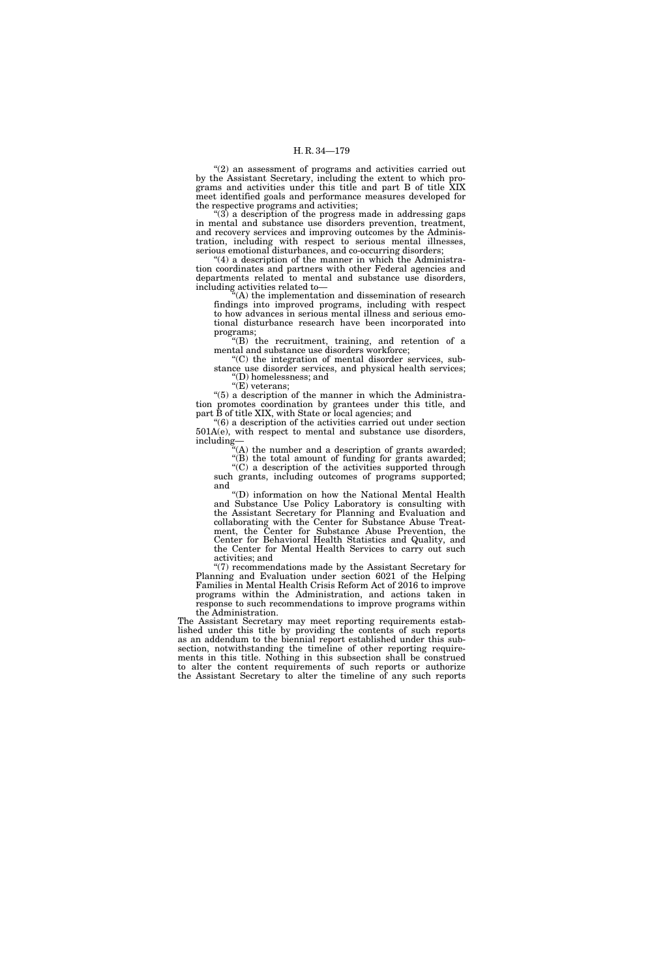''(2) an assessment of programs and activities carried out by the Assistant Secretary, including the extent to which programs and activities under this title and part B of title XIX meet identified goals and performance measures developed for the respective programs and activities;

''(3) a description of the progress made in addressing gaps in mental and substance use disorders prevention, treatment, and recovery services and improving outcomes by the Administration, including with respect to serious mental illnesses, serious emotional disturbances, and co-occurring disorders;

 $(4)$  a description of the manner in which the Administration coordinates and partners with other Federal agencies and departments related to mental and substance use disorders, including activities related to—

 $\mathcal{H}(A)$  the implementation and dissemination of research findings into improved programs, including with respect to how advances in serious mental illness and serious emotional disturbance research have been incorporated into programs;

'(B) the recruitment, training, and retention of a mental and substance use disorders workforce;

''(C) the integration of mental disorder services, substance use disorder services, and physical health services; ''(D) homelessness; and

"(E) veterans;

''(5) a description of the manner in which the Administration promotes coordination by grantees under this title, and part B of title XIX, with State or local agencies; and

''(6) a description of the activities carried out under section 501A(e), with respect to mental and substance use disorders, including—

''(A) the number and a description of grants awarded;

''(B) the total amount of funding for grants awarded; ''(C) a description of the activities supported through such grants, including outcomes of programs supported; and

''(D) information on how the National Mental Health and Substance Use Policy Laboratory is consulting with the Assistant Secretary for Planning and Evaluation and collaborating with the Center for Substance Abuse Treatment, the Center for Substance Abuse Prevention, the Center for Behavioral Health Statistics and Quality, and the Center for Mental Health Services to carry out such activities; and

''(7) recommendations made by the Assistant Secretary for Planning and Evaluation under section 6021 of the Helping Families in Mental Health Crisis Reform Act of 2016 to improve programs within the Administration, and actions taken in response to such recommendations to improve programs within the Administration.

The Assistant Secretary may meet reporting requirements established under this title by providing the contents of such reports as an addendum to the biennial report established under this subsection, notwithstanding the timeline of other reporting requirements in this title. Nothing in this subsection shall be construed to alter the content requirements of such reports or authorize the Assistant Secretary to alter the timeline of any such reports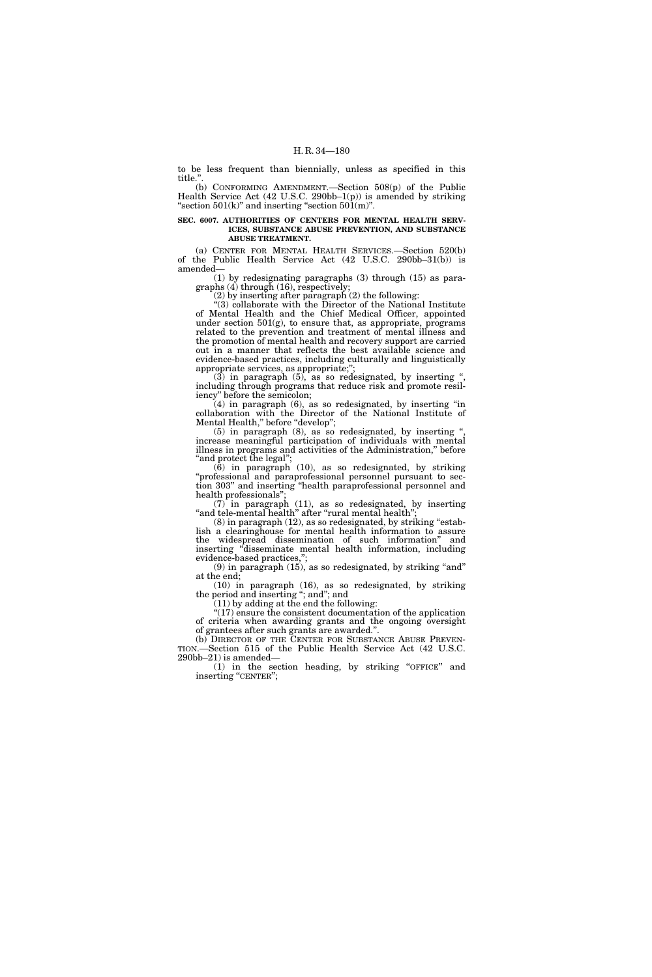to be less frequent than biennially, unless as specified in this title.''.

(b) CONFORMING AMENDMENT.—Section 508(p) of the Public Health Service Act (42 U.S.C. 290bb–1(p)) is amended by striking "section  $501(k)$ " and inserting "section  $50\overline{1}(m)$ ".

## **SEC. 6007. AUTHORITIES OF CENTERS FOR MENTAL HEALTH SERV-ICES, SUBSTANCE ABUSE PREVENTION, AND SUBSTANCE ABUSE TREATMENT.**

(a) CENTER FOR MENTAL HEALTH SERVICES.—Section 520(b) of the Public Health Service Act (42 U.S.C. 290bb–31(b)) is amended—

(1) by redesignating paragraphs (3) through (15) as paragraphs (4) through (16), respectively;

(2) by inserting after paragraph (2) the following:

''(3) collaborate with the Director of the National Institute of Mental Health and the Chief Medical Officer, appointed under section 501(g), to ensure that, as appropriate, programs related to the prevention and treatment of mental illness and the promotion of mental health and recovery support are carried out in a manner that reflects the best available science and evidence-based practices, including culturally and linguistically appropriate services, as appropriate;"

 $(3)$  in paragraph  $(5)$ , as so redesignated, by inserting " including through programs that reduce risk and promote resiliency'' before the semicolon;

(4) in paragraph (6), as so redesignated, by inserting ''in collaboration with the Director of the National Institute of Mental Health,'' before ''develop'';

(5) in paragraph (8), as so redesignated, by inserting '', increase meaningful participation of individuals with mental illness in programs and activities of the Administration,'' before ''and protect the legal'';

(6) in paragraph (10), as so redesignated, by striking ''professional and paraprofessional personnel pursuant to section 303'' and inserting ''health paraprofessional personnel and health professionals'';

 $(7)$  in paragraph  $(11)$ , as so redesignated, by inserting "and tele-mental health" after "rural mental health"

 $(8)$  in paragraph  $(12)$ , as so redesignated, by striking "establish a clearinghouse for mental health information to assure the widespread dissemination of such information'' and inserting ''disseminate mental health information, including evidence-based practices,'';

 $(9)$  in paragraph  $(15)$ , as so redesignated, by striking "and" at the end;

(10) in paragraph (16), as so redesignated, by striking the period and inserting "; and"; and

(11) by adding at the end the following: ''(17) ensure the consistent documentation of the application

of criteria when awarding grants and the ongoing oversight of grantees after such grants are awarded.''. (b) DIRECTOR OF THE CENTER FOR SUBSTANCE ABUSE PREVEN-

TION.—Section 515 of the Public Health Service Act (42 U.S.C. 290bb–21) is amended—

(1) in the section heading, by striking ''OFFICE'' and inserting "CENTER";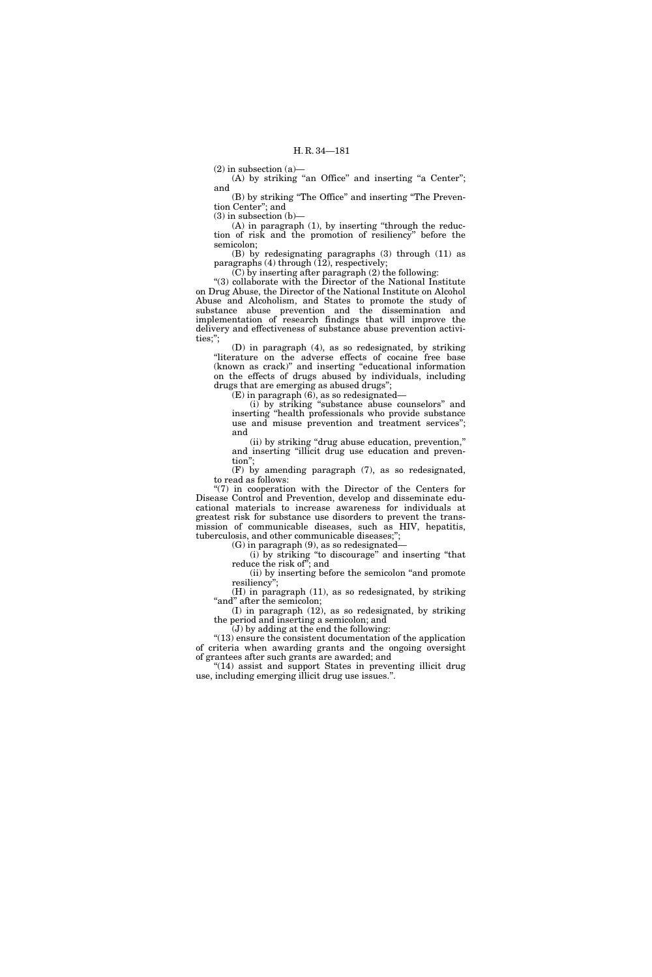$(2)$  in subsection  $(a)$ —

(A) by striking "an Office" and inserting "a Center"; and

(B) by striking ''The Office'' and inserting ''The Prevention Center''; and

 $(3)$  in subsection  $(b)$ 

(A) in paragraph (1), by inserting ''through the reduction of risk and the promotion of resiliency'' before the semicolon;

(B) by redesignating paragraphs (3) through (11) as paragraphs (4) through  $(12)$ , respectively;

(C) by inserting after paragraph (2) the following:

''(3) collaborate with the Director of the National Institute on Drug Abuse, the Director of the National Institute on Alcohol Abuse and Alcoholism, and States to promote the study of substance abuse prevention and the dissemination and implementation of research findings that will improve the delivery and effectiveness of substance abuse prevention activities;'';

(D) in paragraph (4), as so redesignated, by striking "literature on the adverse effects of cocaine free base (known as crack)'' and inserting ''educational information on the effects of drugs abused by individuals, including drugs that are emerging as abused drugs'';

(E) in paragraph (6), as so redesignated—

(i) by striking ''substance abuse counselors'' and inserting ''health professionals who provide substance use and misuse prevention and treatment services''; and

(ii) by striking ''drug abuse education, prevention,'' and inserting ''illicit drug use education and prevention'';

(F) by amending paragraph (7), as so redesignated, to read as follows:

 $\degree$ (7) in cooperation with the Director of the Centers for Disease Control and Prevention, develop and disseminate educational materials to increase awareness for individuals at greatest risk for substance use disorders to prevent the transmission of communicable diseases, such as HIV, hepatitis, tuberculosis, and other communicable diseases;'

(G) in paragraph  $(9)$ , as so redesignated—

(i) by striking ''to discourage'' and inserting ''that reduce the risk of''; and

(ii) by inserting before the semicolon ''and promote resiliency'';

(H) in paragraph (11), as so redesignated, by striking "and" after the semicolon;

(I) in paragraph (12), as so redesignated, by striking the period and inserting a semicolon; and

(J) by adding at the end the following:

''(13) ensure the consistent documentation of the application of criteria when awarding grants and the ongoing oversight of grantees after such grants are awarded; and

"(14) assist and support States in preventing illicit drug use, including emerging illicit drug use issues.''.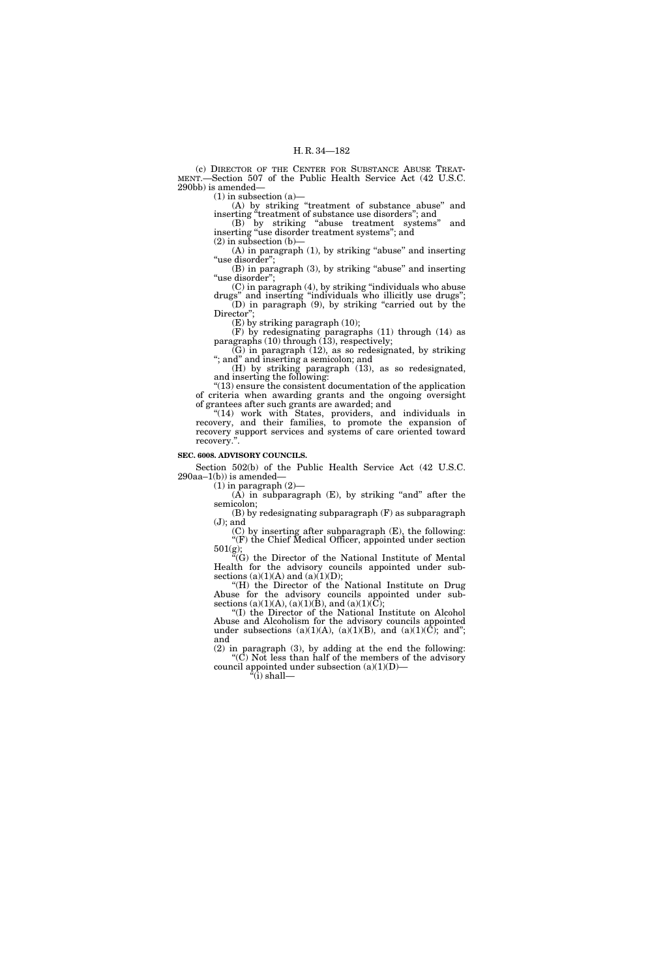(c) DIRECTOR OF THE CENTER FOR SUBSTANCE ABUSE TREAT-MENT.—Section 507 of the Public Health Service Act (42 U.S.C. 290bb) is amended—

 $(1)$  in subsection  $(a)$ —

(A) by striking ''treatment of substance abuse'' and inserting "treatment of substance use disorders"; and

(B) by striking ''abuse treatment systems'' and inserting ''use disorder treatment systems''; and

(2) in subsection (b)—

 $(A)$  in paragraph  $(1)$ , by striking "abuse" and inserting "use disorder";

 $(B)$  in paragraph  $(3)$ , by striking "abuse" and inserting "use disorder";

(C) in paragraph (4), by striking ''individuals who abuse drugs'' and inserting ''individuals who illicitly use drugs''; (D) in paragraph (9), by striking ''carried out by the Director";

(E) by striking paragraph (10);

(F) by redesignating paragraphs (11) through (14) as paragraphs (10) through (13), respectively;

 $(G)$  in paragraph  $(12)$ , as so redesignated, by striking ''; and'' and inserting a semicolon; and

(H) by striking paragraph (13), as so redesignated, and inserting the following:

''(13) ensure the consistent documentation of the application of criteria when awarding grants and the ongoing oversight of grantees after such grants are awarded; and

"(14) work with States, providers, and individuals in recovery, and their families, to promote the expansion of recovery support services and systems of care oriented toward recovery.''.

#### **SEC. 6008. ADVISORY COUNCILS.**

Section 502(b) of the Public Health Service Act (42 U.S.C.  $290aa-1(b)$  is amended-

 $(1)$  in paragraph  $(2)$ -

 $(\hat{A})$  in subparagraph  $(E)$ , by striking "and" after the semicolon;

(B) by redesignating subparagraph (F) as subparagraph (J); and

(C) by inserting after subparagraph (E), the following: ''(F) the Chief Medical Officer, appointed under section 501(g);

''(G) the Director of the National Institute of Mental Health for the advisory councils appointed under subsections (a)(1)(A) and (a)(1)(D);

''(H) the Director of the National Institute on Drug Abuse for the advisory councils appointed under subsections (a)(1)(A), (a)(1)(B), and (a)(1)( $\overline{\text{C}}$ );

"(I) the Director of the National Institute on Alcohol Abuse and Alcoholism for the advisory councils appointed under subsections (a)(1)(A), (a)(1)(B), and (a)(1)( $\overline{C}$ ); and"; and

(2) in paragraph (3), by adding at the end the following: ''(C) Not less than half of the members of the advisory council appointed under subsection  $(a)(1)(D)$ 

''(i) shall—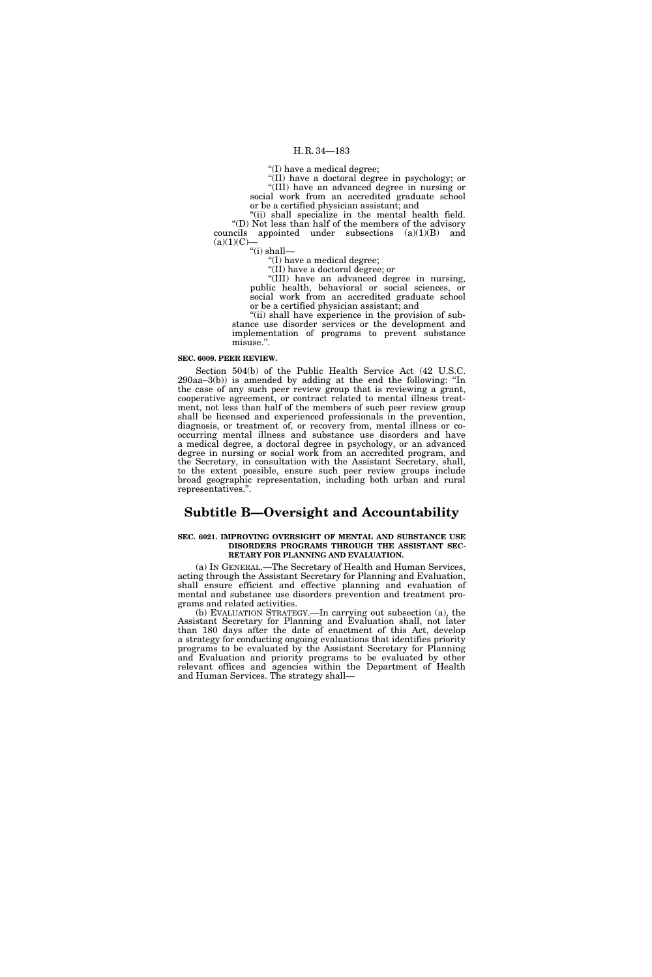''(I) have a medical degree;

''(II) have a doctoral degree in psychology; or ''(III) have an advanced degree in nursing or

social work from an accredited graduate school or be a certified physician assistant; and

"(ii) shall specialize in the mental health field. ''(D) Not less than half of the members of the advisory councils appointed under subsections (a)(1)(B) and  $(a)(1)(C)$ 

''(i) shall—

''(I) have a medical degree;

''(II) have a doctoral degree; or ''(III) have an advanced degree in nursing, public health, behavioral or social sciences, or social work from an accredited graduate school or be a certified physician assistant; and

"(ii) shall have experience in the provision of substance use disorder services or the development and implementation of programs to prevent substance misuse.''.

## **SEC. 6009. PEER REVIEW.**

Section 504(b) of the Public Health Service Act (42 U.S.C. 290aa–3(b)) is amended by adding at the end the following: ''In the case of any such peer review group that is reviewing a grant, cooperative agreement, or contract related to mental illness treatment, not less than half of the members of such peer review group shall be licensed and experienced professionals in the prevention, diagnosis, or treatment of, or recovery from, mental illness or cooccurring mental illness and substance use disorders and have a medical degree, a doctoral degree in psychology, or an advanced degree in nursing or social work from an accredited program, and the Secretary, in consultation with the Assistant Secretary, shall, to the extent possible, ensure such peer review groups include broad geographic representation, including both urban and rural representatives.''.

## **Subtitle B—Oversight and Accountability**

#### **SEC. 6021. IMPROVING OVERSIGHT OF MENTAL AND SUBSTANCE USE DISORDERS PROGRAMS THROUGH THE ASSISTANT SEC-RETARY FOR PLANNING AND EVALUATION.**

(a) IN GENERAL.—The Secretary of Health and Human Services, acting through the Assistant Secretary for Planning and Evaluation, shall ensure efficient and effective planning and evaluation of mental and substance use disorders prevention and treatment programs and related activities.

(b) EVALUATION STRATEGY.—In carrying out subsection (a), the Assistant Secretary for Planning and Evaluation shall, not later than 180 days after the date of enactment of this Act, develop a strategy for conducting ongoing evaluations that identifies priority programs to be evaluated by the Assistant Secretary for Planning and Evaluation and priority programs to be evaluated by other relevant offices and agencies within the Department of Health and Human Services. The strategy shall—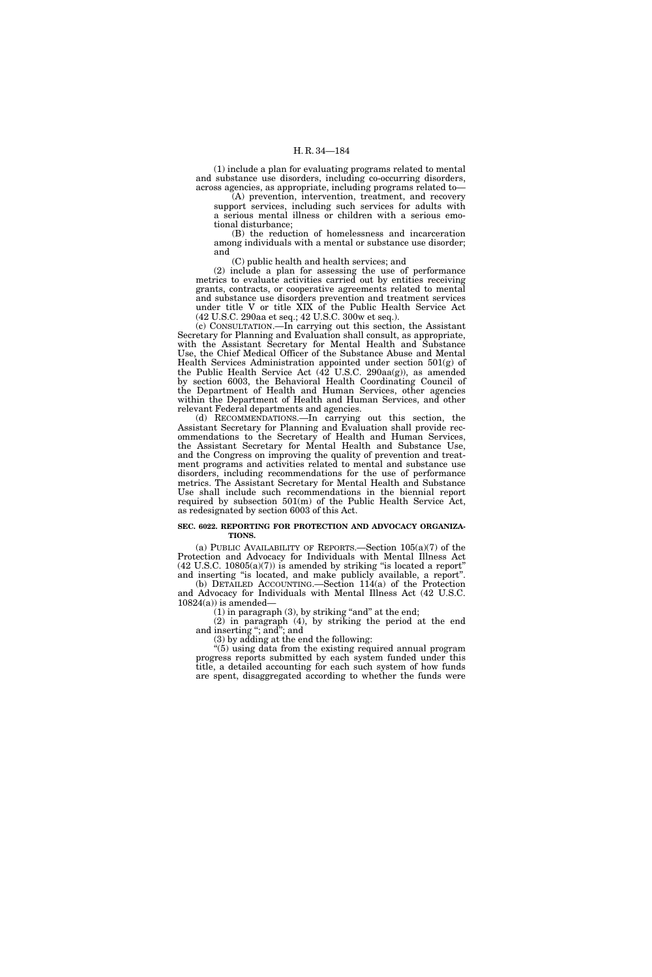(1) include a plan for evaluating programs related to mental and substance use disorders, including co-occurring disorders, across agencies, as appropriate, including programs related to—

(A) prevention, intervention, treatment, and recovery support services, including such services for adults with a serious mental illness or children with a serious emotional disturbance;

(B) the reduction of homelessness and incarceration among individuals with a mental or substance use disorder; and

(C) public health and health services; and

(2) include a plan for assessing the use of performance metrics to evaluate activities carried out by entities receiving grants, contracts, or cooperative agreements related to mental and substance use disorders prevention and treatment services under title V or title XIX of the Public Health Service Act (42 U.S.C. 290aa et seq.; 42 U.S.C. 300w et seq.).

(c) CONSULTATION.—In carrying out this section, the Assistant Secretary for Planning and Evaluation shall consult, as appropriate, with the Assistant Secretary for Mental Health and Substance Use, the Chief Medical Officer of the Substance Abuse and Mental Health Services Administration appointed under section 501(g) of the Public Health Service Act  $(42 \text{ U.S.C. } 290 \text{aa(g)})$ , as amended by section 6003, the Behavioral Health Coordinating Council of the Department of Health and Human Services, other agencies within the Department of Health and Human Services, and other relevant Federal departments and agencies.

(d) RECOMMENDATIONS.—In carrying out this section, the Assistant Secretary for Planning and Evaluation shall provide recommendations to the Secretary of Health and Human Services, the Assistant Secretary for Mental Health and Substance Use, and the Congress on improving the quality of prevention and treatment programs and activities related to mental and substance use disorders, including recommendations for the use of performance metrics. The Assistant Secretary for Mental Health and Substance Use shall include such recommendations in the biennial report required by subsection 501(m) of the Public Health Service Act, as redesignated by section 6003 of this Act.

## **SEC. 6022. REPORTING FOR PROTECTION AND ADVOCACY ORGANIZA-TIONS.**

(a) PUBLIC AVAILABILITY OF REPORTS.—Section 105(a)(7) of the Protection and Advocacy for Individuals with Mental Illness Act  $(42 \text{ U.S.C. } 10805(a)(7))$  is amended by striking "is located a report" and inserting ''is located, and make publicly available, a report''.

(b) DETAILED ACCOUNTING.—Section 114(a) of the Protection and Advocacy for Individuals with Mental Illness Act (42 U.S.C.  $10824(a)$ ) is amended-

 $(1)$  in paragraph  $(3)$ , by striking "and" at the end;

(2) in paragraph (4), by striking the period at the end and inserting ''; and''; and

(3) by adding at the end the following:

''(5) using data from the existing required annual program progress reports submitted by each system funded under this title, a detailed accounting for each such system of how funds are spent, disaggregated according to whether the funds were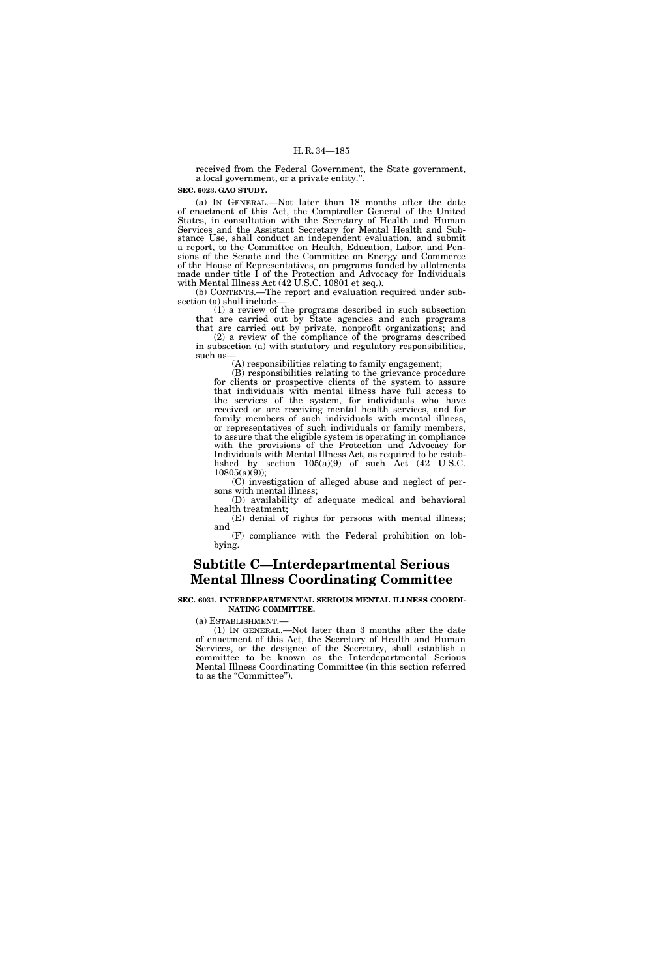received from the Federal Government, the State government, a local government, or a private entity.''.

**SEC. 6023. GAO STUDY.** 

(a) IN GENERAL.—Not later than 18 months after the date of enactment of this Act, the Comptroller General of the United States, in consultation with the Secretary of Health and Human Services and the Assistant Secretary for Mental Health and Substance Use, shall conduct an independent evaluation, and submit a report, to the Committee on Health, Education, Labor, and Pensions of the Senate and the Committee on Energy and Commerce of the House of Representatives, on programs funded by allotments made under title I of the Protection and Advocacy for Individuals with Mental Illness Act (42 U.S.C. 10801 et seq.).

(b) CONTENTS.—The report and evaluation required under subsection (a) shall include—

(1) a review of the programs described in such subsection that are carried out by State agencies and such programs that are carried out by private, nonprofit organizations; and

(2) a review of the compliance of the programs described in subsection (a) with statutory and regulatory responsibilities, such as-

(A) responsibilities relating to family engagement;

(B) responsibilities relating to the grievance procedure for clients or prospective clients of the system to assure that individuals with mental illness have full access to the services of the system, for individuals who have received or are receiving mental health services, and for family members of such individuals with mental illness, or representatives of such individuals or family members, to assure that the eligible system is operating in compliance with the provisions of the Protection and Advocacy for Individuals with Mental Illness Act, as required to be established by section  $105(a)(9)$  of such Act  $(42 \text{ U.S.C.})$  $10805(a)(9)$ ;

(C) investigation of alleged abuse and neglect of persons with mental illness;

(D) availability of adequate medical and behavioral health treatment;

(E) denial of rights for persons with mental illness; and

(F) compliance with the Federal prohibition on lobbying.

## **Subtitle C—Interdepartmental Serious Mental Illness Coordinating Committee**

#### **SEC. 6031. INTERDEPARTMENTAL SERIOUS MENTAL ILLNESS COORDI-NATING COMMITTEE.**

(a) ESTABLISHMENT.—  $(1)$  In GENERAL.—Not later than 3 months after the date of enactment of this Act, the Secretary of Health and Human Services, or the designee of the Secretary, shall establish a committee to be known as the Interdepartmental Serious Mental Illness Coordinating Committee (in this section referred to as the "Committee").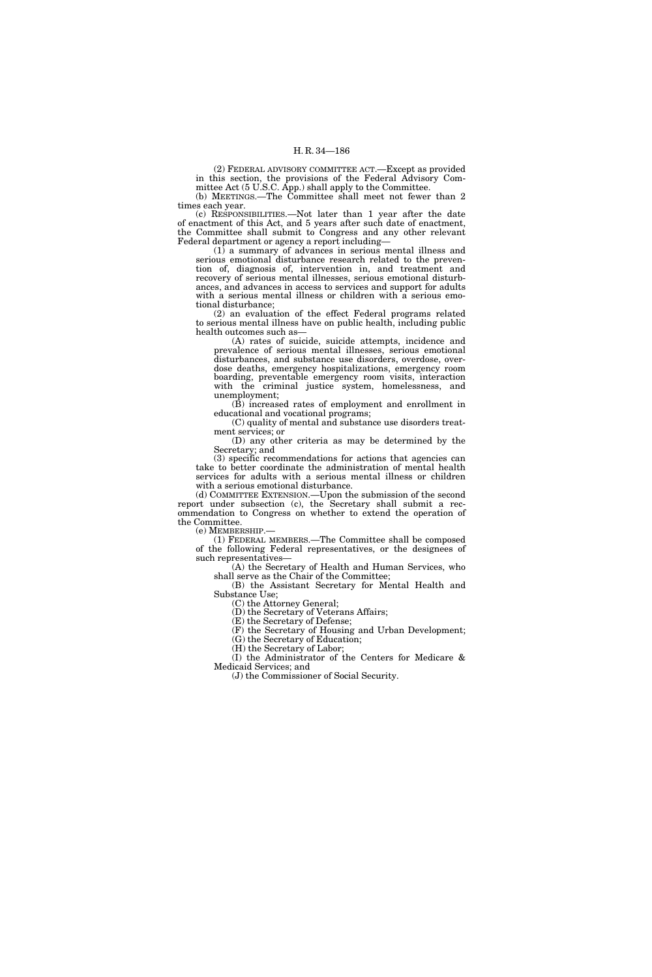(2) FEDERAL ADVISORY COMMITTEE ACT.—Except as provided in this section, the provisions of the Federal Advisory Committee Act (5 U.S.C. App.) shall apply to the Committee.

(b) MEETINGS.—The Committee shall meet not fewer than 2 times each year.

(c) RESPONSIBILITIES.—Not later than 1 year after the date of enactment of this Act, and 5 years after such date of enactment, the Committee shall submit to Congress and any other relevant Federal department or agency a report including—

(1) a summary of advances in serious mental illness and serious emotional disturbance research related to the prevention of, diagnosis of, intervention in, and treatment and recovery of serious mental illnesses, serious emotional disturbances, and advances in access to services and support for adults with a serious mental illness or children with a serious emotional disturbance;

(2) an evaluation of the effect Federal programs related to serious mental illness have on public health, including public health outcomes such as—

(A) rates of suicide, suicide attempts, incidence and prevalence of serious mental illnesses, serious emotional disturbances, and substance use disorders, overdose, overdose deaths, emergency hospitalizations, emergency room boarding, preventable emergency room visits, interaction with the criminal justice system, homelessness, and unemployment;

(B) increased rates of employment and enrollment in educational and vocational programs;

(C) quality of mental and substance use disorders treatment services; or

(D) any other criteria as may be determined by the Secretary; and

(3) specific recommendations for actions that agencies can take to better coordinate the administration of mental health services for adults with a serious mental illness or children with a serious emotional disturbance.

(d) COMMITTEE EXTENSION.—Upon the submission of the second report under subsection (c), the Secretary shall submit a recommendation to Congress on whether to extend the operation of the Committee.

(e) MEMBERSHIP.—

(1) FEDERAL MEMBERS.—The Committee shall be composed of the following Federal representatives, or the designees of such representatives—

(A) the Secretary of Health and Human Services, who shall serve as the Chair of the Committee; (B) the Assistant Secretary for Mental Health and

Substance Use;

(C) the Attorney General;

(D) the Secretary of Veterans Affairs; (E) the Secretary of Defense;

(F) the Secretary of Housing and Urban Development;

(G) the Secretary of Education; (H) the Secretary of Labor;

(I) the Administrator of the Centers for Medicare & Medicaid Services; and

(J) the Commissioner of Social Security.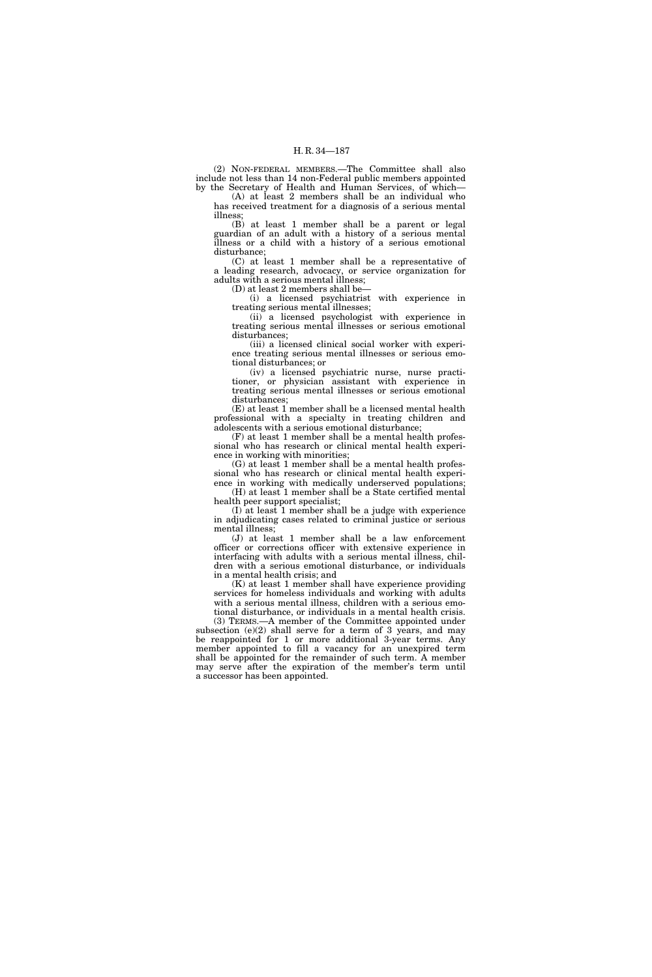(2) NON-FEDERAL MEMBERS.—The Committee shall also include not less than 14 non-Federal public members appointed by the Secretary of Health and Human Services, of which—

(A) at least 2 members shall be an individual who has received treatment for a diagnosis of a serious mental illness;

(B) at least 1 member shall be a parent or legal guardian of an adult with a history of a serious mental illness or a child with a history of a serious emotional disturbance;

(C) at least 1 member shall be a representative of a leading research, advocacy, or service organization for adults with a serious mental illness;

(D) at least 2 members shall be—

(i) a licensed psychiatrist with experience in treating serious mental illnesses;

(ii) a licensed psychologist with experience in treating serious mental illnesses or serious emotional disturbances;

(iii) a licensed clinical social worker with experience treating serious mental illnesses or serious emotional disturbances; or

(iv) a licensed psychiatric nurse, nurse practitioner, or physician assistant with experience in treating serious mental illnesses or serious emotional disturbances;

(E) at least 1 member shall be a licensed mental health professional with a specialty in treating children and adolescents with a serious emotional disturbance;

(F) at least 1 member shall be a mental health professional who has research or clinical mental health experience in working with minorities;

(G) at least 1 member shall be a mental health professional who has research or clinical mental health experience in working with medically underserved populations; (H) at least 1 member shall be a State certified mental

health peer support specialist;

(I) at least 1 member shall be a judge with experience in adjudicating cases related to criminal justice or serious mental illness;

(J) at least 1 member shall be a law enforcement officer or corrections officer with extensive experience in interfacing with adults with a serious mental illness, children with a serious emotional disturbance, or individuals in a mental health crisis; and

(K) at least 1 member shall have experience providing services for homeless individuals and working with adults with a serious mental illness, children with a serious emotional disturbance, or individuals in a mental health crisis.

(3) TERMS.—A member of the Committee appointed under subsection (e)(2) shall serve for a term of 3 years, and may be reappointed for 1 or more additional 3-year terms. Any member appointed to fill a vacancy for an unexpired term shall be appointed for the remainder of such term. A member may serve after the expiration of the member's term until a successor has been appointed.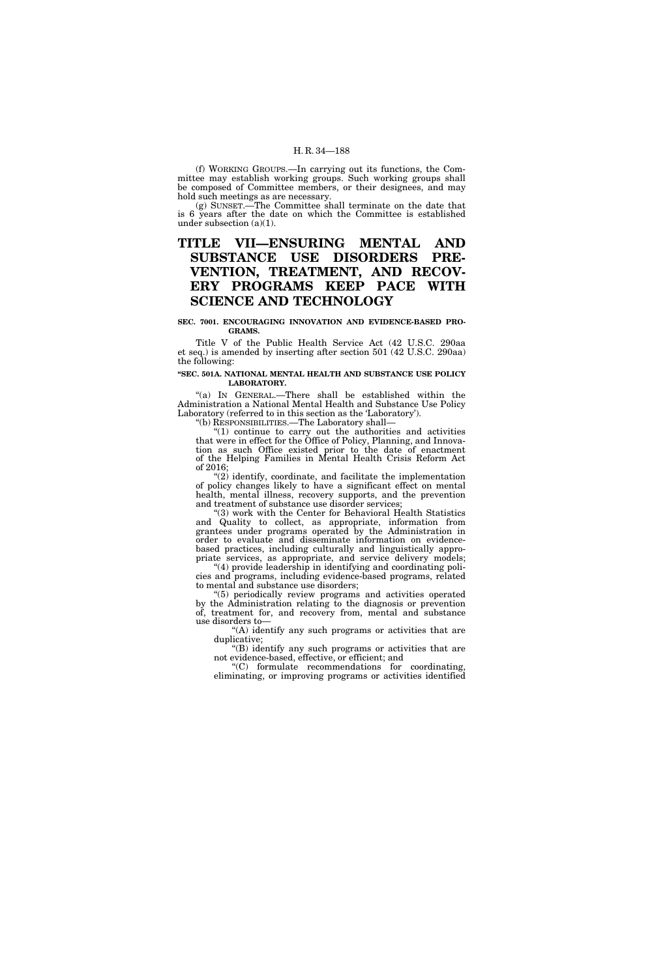(f) WORKING GROUPS.—In carrying out its functions, the Committee may establish working groups. Such working groups shall be composed of Committee members, or their designees, and may hold such meetings as are necessary.

(g) SUNSET.—The Committee shall terminate on the date that is 6 years after the date on which the Committee is established under subsection (a)(1).

# **TITLE VII—ENSURING MENTAL AND SUBSTANCE USE DISORDERS PRE-VENTION, TREATMENT, AND RECOV-ERY PROGRAMS KEEP PACE WITH SCIENCE AND TECHNOLOGY**

#### **SEC. 7001. ENCOURAGING INNOVATION AND EVIDENCE-BASED PRO-GRAMS.**

Title V of the Public Health Service Act (42 U.S.C. 290aa et seq.) is amended by inserting after section 501 (42 U.S.C. 290aa) the following:

#### **''SEC. 501A. NATIONAL MENTAL HEALTH AND SUBSTANCE USE POLICY LABORATORY.**

"(a) In GENERAL.—There shall be established within the Administration a National Mental Health and Substance Use Policy Laboratory (referred to in this section as the 'Laboratory').

''(b) RESPONSIBILITIES.—The Laboratory shall—

" $(1)$  continue to carry out the authorities and activities that were in effect for the Office of Policy, Planning, and Innovation as such Office existed prior to the date of enactment of the Helping Families in Mental Health Crisis Reform Act of 2016;

"(2) identify, coordinate, and facilitate the implementation of policy changes likely to have a significant effect on mental health, mental illness, recovery supports, and the prevention and treatment of substance use disorder services;

''(3) work with the Center for Behavioral Health Statistics and Quality to collect, as appropriate, information from grantees under programs operated by the Administration in order to evaluate and disseminate information on evidencebased practices, including culturally and linguistically appropriate services, as appropriate, and service delivery models;

''(4) provide leadership in identifying and coordinating policies and programs, including evidence-based programs, related to mental and substance use disorders;

''(5) periodically review programs and activities operated by the Administration relating to the diagnosis or prevention of, treatment for, and recovery from, mental and substance use disorders to—

"(A) identify any such programs or activities that are duplicative;

''(B) identify any such programs or activities that are not evidence-based, effective, or efficient; and

''(C) formulate recommendations for coordinating, eliminating, or improving programs or activities identified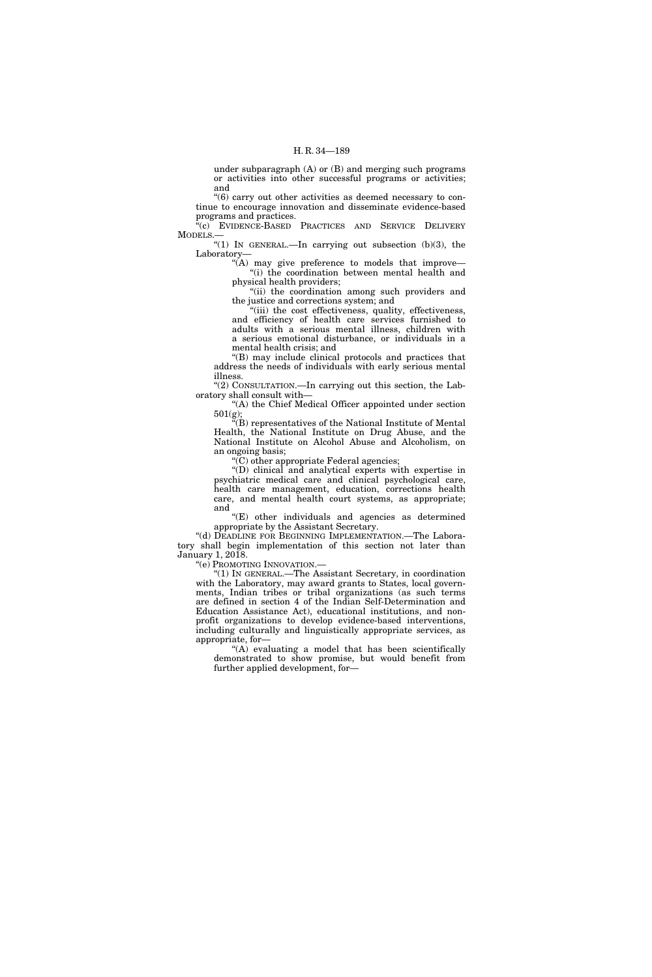under subparagraph (A) or (B) and merging such programs or activities into other successful programs or activities; and

''(6) carry out other activities as deemed necessary to continue to encourage innovation and disseminate evidence-based programs and practices.

"(c) EVIDENCE-BASED PRACTICES AND SERVICE DELIVERY MODELS.—

"(1) IN GENERAL.—In carrying out subsection  $(b)(3)$ , the Laboratory—

"(A) may give preference to models that improve-"(i) the coordination between mental health and physical health providers;

"(ii) the coordination among such providers and the justice and corrections system; and

"(iii) the cost effectiveness, quality, effectiveness, and efficiency of health care services furnished to adults with a serious mental illness, children with a serious emotional disturbance, or individuals in a mental health crisis; and

''(B) may include clinical protocols and practices that address the needs of individuals with early serious mental illness.

''(2) CONSULTATION.—In carrying out this section, the Laboratory shall consult with—

''(A) the Chief Medical Officer appointed under section 501(g);

''(B) representatives of the National Institute of Mental Health, the National Institute on Drug Abuse, and the National Institute on Alcohol Abuse and Alcoholism, on an ongoing basis;

"(C) other appropriate Federal agencies;

''(D) clinical and analytical experts with expertise in psychiatric medical care and clinical psychological care, health care management, education, corrections health care, and mental health court systems, as appropriate; and

''(E) other individuals and agencies as determined appropriate by the Assistant Secretary.

"(d) DEADLINE FOR BEGINNING IMPLEMENTATION.—The Laboratory shall begin implementation of this section not later than January 1, 2018.

''(e) PROMOTING INNOVATION.—

''(1) IN GENERAL.—The Assistant Secretary, in coordination with the Laboratory, may award grants to States, local governments, Indian tribes or tribal organizations (as such terms are defined in section 4 of the Indian Self-Determination and Education Assistance Act), educational institutions, and nonprofit organizations to develop evidence-based interventions, including culturally and linguistically appropriate services, as appropriate, for—

" $(A)$  evaluating a model that has been scientifically demonstrated to show promise, but would benefit from further applied development, for—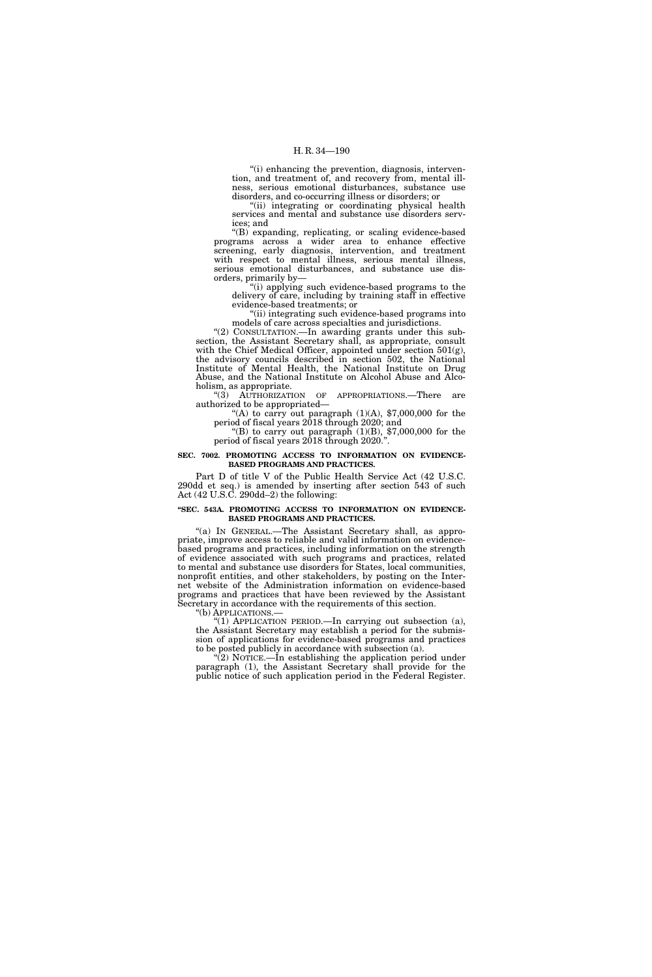''(i) enhancing the prevention, diagnosis, intervention, and treatment of, and recovery from, mental illness, serious emotional disturbances, substance use disorders, and co-occurring illness or disorders; or

''(ii) integrating or coordinating physical health services and mental and substance use disorders services; and

''(B) expanding, replicating, or scaling evidence-based programs across a wider area to enhance effective screening, early diagnosis, intervention, and treatment with respect to mental illness, serious mental illness, serious emotional disturbances, and substance use disorders, primarily by—

''(i) applying such evidence-based programs to the delivery of care, including by training staff in effective evidence-based treatments; or

''(ii) integrating such evidence-based programs into models of care across specialties and jurisdictions.

"(2) CONSULTATION.—In awarding grants under this subsection, the Assistant Secretary shall, as appropriate, consult with the Chief Medical Officer, appointed under section 501(g), the advisory councils described in section 502, the National Institute of Mental Health, the National Institute on Drug Abuse, and the National Institute on Alcohol Abuse and Alcoholism, as appropriate.

''(3) AUTHORIZATION OF APPROPRIATIONS.—There are authorized to be appropriated—

"(A) to carry out paragraph  $(1)(A)$ , \$7,000,000 for the period of fiscal years 2018 through 2020; and

"(B) to carry out paragraph  $(1)(B)$ , \$7,000,000 for the period of fiscal years 2018 through 2020.''.

#### **SEC. 7002. PROMOTING ACCESS TO INFORMATION ON EVIDENCE-BASED PROGRAMS AND PRACTICES.**

Part D of title V of the Public Health Service Act (42 U.S.C. 290dd et seq.) is amended by inserting after section 543 of such Act (42 U.S.C. 290dd–2) the following:

#### **''SEC. 543A. PROMOTING ACCESS TO INFORMATION ON EVIDENCE-BASED PROGRAMS AND PRACTICES.**

"(a) IN GENERAL.—The Assistant Secretary shall, as appropriate, improve access to reliable and valid information on evidencebased programs and practices, including information on the strength of evidence associated with such programs and practices, related to mental and substance use disorders for States, local communities, nonprofit entities, and other stakeholders, by posting on the Internet website of the Administration information on evidence-based programs and practices that have been reviewed by the Assistant Secretary in accordance with the requirements of this section.

''(b) APPLICATIONS.—

"(1) APPLICATION PERIOD.—In carrying out subsection (a), the Assistant Secretary may establish a period for the submission of applications for evidence-based programs and practices to be posted publicly in accordance with subsection (a).

''(2) NOTICE.—In establishing the application period under paragraph (1), the Assistant Secretary shall provide for the public notice of such application period in the Federal Register.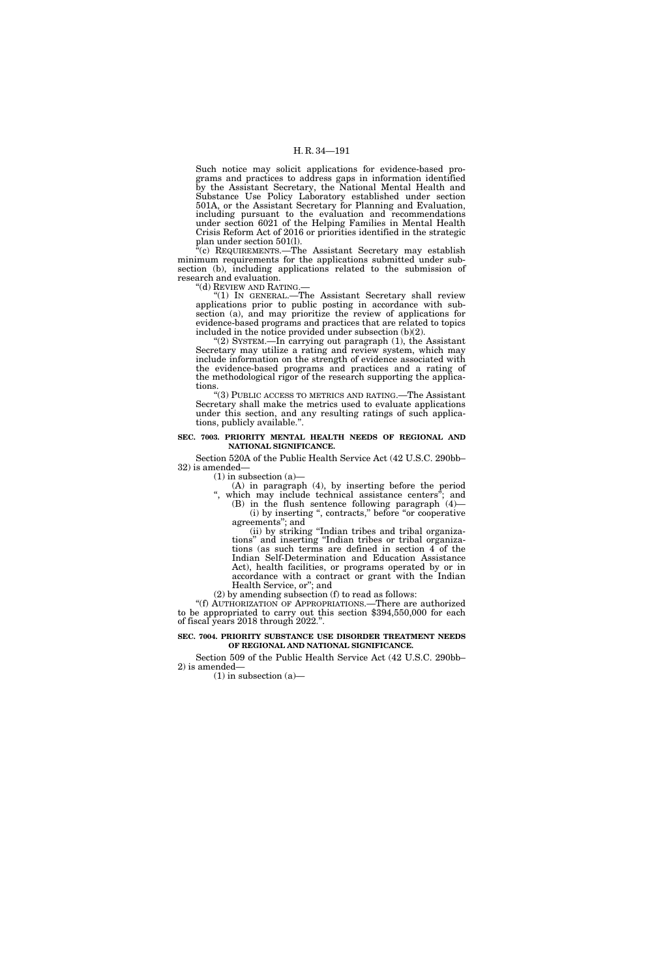Such notice may solicit applications for evidence-based programs and practices to address gaps in information identified by the Assistant Secretary, the National Mental Health and Substance Use Policy Laboratory established under section 501A, or the Assistant Secretary for Planning and Evaluation, including pursuant to the evaluation and recommendations under section 6021 of the Helping Families in Mental Health Crisis Reform Act of 2016 or priorities identified in the strategic plan under section 501(l).

(c) REQUIREMENTS.—The Assistant Secretary may establish minimum requirements for the applications submitted under subsection (b), including applications related to the submission of research and evaluation.

''(d) REVIEW AND RATING.—

"(1) IN GENERAL.—The Assistant Secretary shall review applications prior to public posting in accordance with subsection (a), and may prioritize the review of applications for evidence-based programs and practices that are related to topics included in the notice provided under subsection (b)(2).

(2) SYSTEM.—In carrying out paragraph (1), the Assistant Secretary may utilize a rating and review system, which may include information on the strength of evidence associated with the evidence-based programs and practices and a rating of the methodological rigor of the research supporting the applications.

''(3) PUBLIC ACCESS TO METRICS AND RATING.—The Assistant Secretary shall make the metrics used to evaluate applications under this section, and any resulting ratings of such applications, publicly available.''.

#### **SEC. 7003. PRIORITY MENTAL HEALTH NEEDS OF REGIONAL AND NATIONAL SIGNIFICANCE.**

Section 520A of the Public Health Service Act (42 U.S.C. 290bb– 32) is amended—

 $(1)$  in subsection  $(a)$ 

(A) in paragraph (4), by inserting before the period ", which may include technical assistance centers"; and

(B) in the flush sentence following paragraph (4)— (i) by inserting '', contracts,'' before ''or cooperative agreements''; and

(ii) by striking ''Indian tribes and tribal organizations'' and inserting ''Indian tribes or tribal organizations (as such terms are defined in section 4 of the Indian Self-Determination and Education Assistance Act), health facilities, or programs operated by or in accordance with a contract or grant with the Indian Health Service, or''; and

(2) by amending subsection (f) to read as follows:

''(f) AUTHORIZATION OF APPROPRIATIONS.—There are authorized to be appropriated to carry out this section \$394,550,000 for each of fiscal years 2018 through 2022.''.

## **SEC. 7004. PRIORITY SUBSTANCE USE DISORDER TREATMENT NEEDS OF REGIONAL AND NATIONAL SIGNIFICANCE.**

Section 509 of the Public Health Service Act (42 U.S.C. 290bb– 2) is amended—

 $(1)$  in subsection  $(a)$ —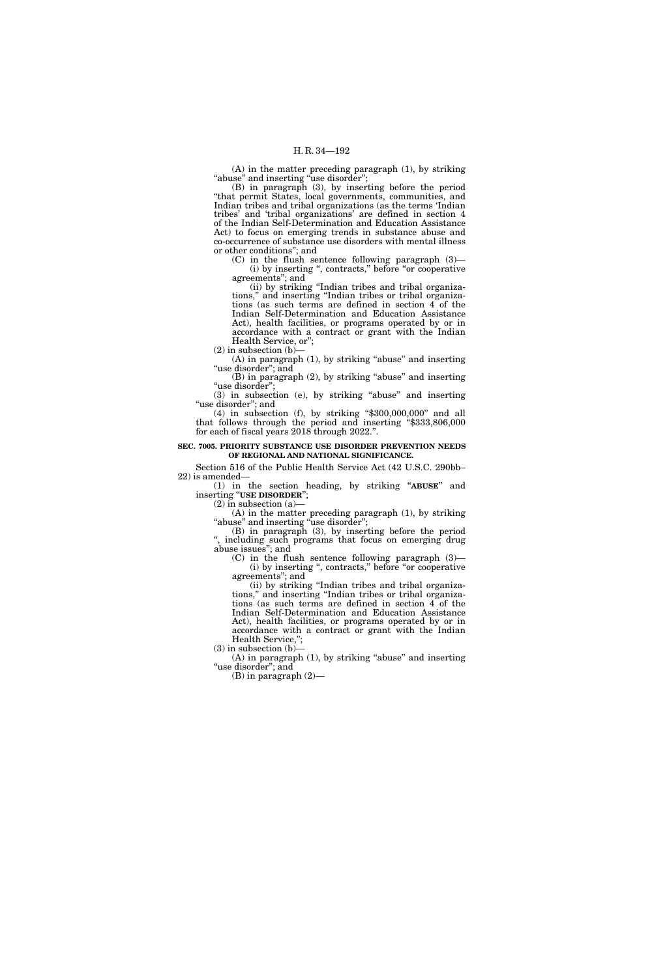(A) in the matter preceding paragraph (1), by striking "abuse" and inserting "use disorder";

(B) in paragraph (3), by inserting before the period ''that permit States, local governments, communities, and Indian tribes and tribal organizations (as the terms 'Indian tribes' and 'tribal organizations' are defined in section 4 of the Indian Self-Determination and Education Assistance Act) to focus on emerging trends in substance abuse and co-occurrence of substance use disorders with mental illness or other conditions''; and

 $(C)$  in the flush sentence following paragraph  $(3)$ -(i) by inserting '', contracts,'' before ''or cooperative agreements''; and

(ii) by striking ''Indian tribes and tribal organizations,'' and inserting ''Indian tribes or tribal organizations (as such terms are defined in section 4 of the Indian Self-Determination and Education Assistance Act), health facilities, or programs operated by or in accordance with a contract or grant with the Indian Health Service, or'';

 $(2)$  in subsection  $(b)$ - $(A)$  in paragraph  $(1)$ , by striking "abuse" and inserting

"use disorder"; and  $(B)$  in paragraph  $(2)$ , by striking "abuse" and inserting "use disorder";

(3) in subsection (e), by striking ''abuse'' and inserting "use disorder"; and

 $(4)$  in subsection  $(f)$ , by striking "\$300,000,000" and all that follows through the period and inserting ''\$333,806,000 for each of fiscal years 2018 through 2022.''.

## **SEC. 7005. PRIORITY SUBSTANCE USE DISORDER PREVENTION NEEDS OF REGIONAL AND NATIONAL SIGNIFICANCE.**

Section 516 of the Public Health Service Act (42 U.S.C. 290bb– 22) is amended—

(1) in the section heading, by striking ''**ABUSE**'' and inserting "USE DISORDER";

 $(2)$  in subsection  $(a)$ 

(A) in the matter preceding paragraph (1), by striking "abuse" and inserting "use disorder";

(B) in paragraph (3), by inserting before the period '', including such programs that focus on emerging drug abuse issues''; and

(C) in the flush sentence following paragraph (3)— (i) by inserting '', contracts,'' before ''or cooperative agreements''; and

(ii) by striking ''Indian tribes and tribal organizations,'' and inserting ''Indian tribes or tribal organizations (as such terms are defined in section 4 of the Indian Self-Determination and Education Assistance Act), health facilities, or programs operated by or in accordance with a contract or grant with the Indian Health Service,'';

 $(3)$  in subsection  $(b)$ 

 $(A)$  in paragraph  $(1)$ , by striking "abuse" and inserting ''use disorder''; and

(B) in paragraph (2)—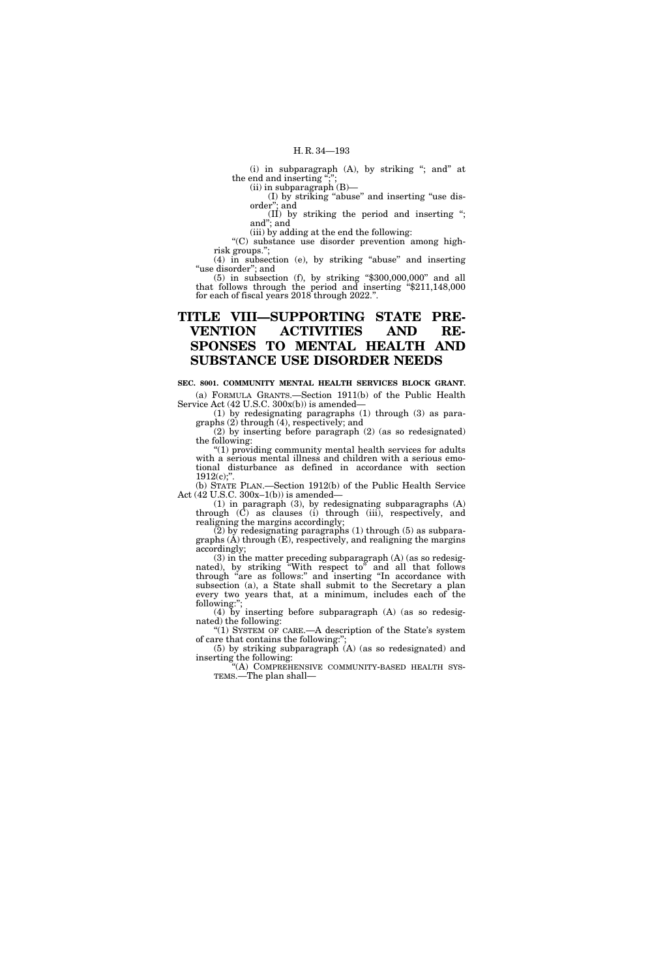(i) in subparagraph  $(A)$ , by striking "; and" at the end and inserting ";";

(ii) in subparagraph (B)—

(I) by striking ''abuse'' and inserting ''use disorder''; and

(II) by striking the period and inserting ''; and''; and

(iii) by adding at the end the following: ''(C) substance use disorder prevention among high-

risk groups.''; (4) in subsection (e), by striking ''abuse'' and inserting

"use disorder"; and  $(5)$  in subsection  $(f)$ , by striking "\$300,000,000" and all

that follows through the period and inserting ''\$211,148,000 for each of fiscal years 2018 through 2022.''.

# **TITLE VIII—SUPPORTING STATE PRE-VENTION ACTIVITIES AND RE-SPONSES TO MENTAL HEALTH AND SUBSTANCE USE DISORDER NEEDS**

**SEC. 8001. COMMUNITY MENTAL HEALTH SERVICES BLOCK GRANT.**  (a) FORMULA GRANTS.—Section 1911(b) of the Public Health

Service Act (42 U.S.C. 300x(b)) is amended— (1) by redesignating paragraphs (1) through (3) as paragraphs (2) through (4), respectively; and

(2) by inserting before paragraph (2) (as so redesignated) the following:

"(1) providing community mental health services for adults with a serious mental illness and children with a serious emotional disturbance as defined in accordance with section  $1912(c)$ ;

(b) STATE PLAN.—Section 1912(b) of the Public Health Service Act (42 U.S.C. 300x–1(b)) is amended—

(1) in paragraph (3), by redesignating subparagraphs (A) through (C) as clauses (i) through (iii), respectively, and realigning the margins accordingly;

(2) by redesignating paragraphs (1) through (5) as subparagraphs (A) through (E), respectively, and realigning the margins accordingly;

(3) in the matter preceding subparagraph (A) (as so redesignated), by striking "With respect to" and all that follows through "are as follows:" and inserting "In accordance with subsection (a), a State shall submit to the Secretary a plan every two years that, at a minimum, includes each of the following:'';

(4) by inserting before subparagraph (A) (as so redesignated) the following:

"(1) SYSTEM OF CARE.—A description of the State's system of care that contains the following:"

(5) by striking subparagraph (A) (as so redesignated) and inserting the following:

"(A) COMPREHENSIVE COMMUNITY-BASED HEALTH SYSTEMS.—The plan shall—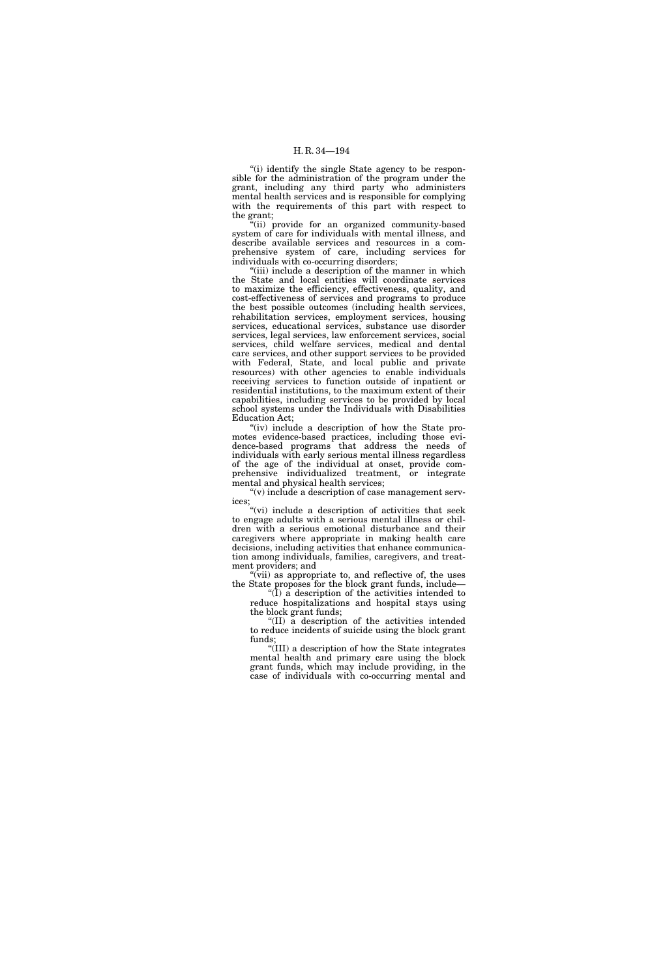"(i) identify the single State agency to be responsible for the administration of the program under the grant, including any third party who administers mental health services and is responsible for complying with the requirements of this part with respect to the grant;

"(ii) provide for an organized community-based system of care for individuals with mental illness, and describe available services and resources in a comprehensive system of care, including services for individuals with co-occurring disorders;

"(iii) include a description of the manner in which the State and local entities will coordinate services to maximize the efficiency, effectiveness, quality, and cost-effectiveness of services and programs to produce the best possible outcomes (including health services, rehabilitation services, employment services, housing services, educational services, substance use disorder services, legal services, law enforcement services, social services, child welfare services, medical and dental care services, and other support services to be provided with Federal, State, and local public and private resources) with other agencies to enable individuals receiving services to function outside of inpatient or residential institutions, to the maximum extent of their capabilities, including services to be provided by local school systems under the Individuals with Disabilities Education Act;

"(iv) include a description of how the State promotes evidence-based practices, including those evidence-based programs that address the needs of individuals with early serious mental illness regardless of the age of the individual at onset, provide comprehensive individualized treatment, or integrate mental and physical health services;

''(v) include a description of case management services;

''(vi) include a description of activities that seek to engage adults with a serious mental illness or children with a serious emotional disturbance and their caregivers where appropriate in making health care decisions, including activities that enhance communication among individuals, families, caregivers, and treatment providers; and

"(vii) as appropriate to, and reflective of, the uses the State proposes for the block grant funds, include—

" $(I)$  a description of the activities intended to reduce hospitalizations and hospital stays using the block grant funds;

''(II) a description of the activities intended to reduce incidents of suicide using the block grant funds;

''(III) a description of how the State integrates mental health and primary care using the block grant funds, which may include providing, in the case of individuals with co-occurring mental and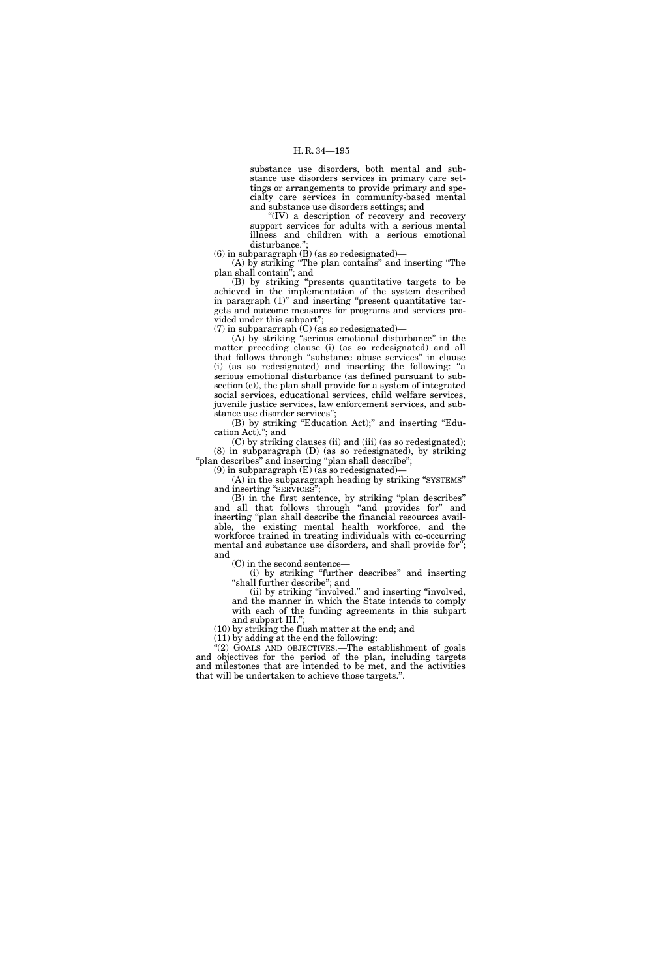substance use disorders, both mental and substance use disorders services in primary care settings or arrangements to provide primary and specialty care services in community-based mental and substance use disorders settings; and

"(IV) a description of recovery and recovery support services for adults with a serious mental illness and children with a serious emotional disturbance."

(6) in subparagraph  $(B)$  (as so redesignated)—

(A) by striking ''The plan contains'' and inserting ''The plan shall contain''; and

(B) by striking ''presents quantitative targets to be achieved in the implementation of the system described in paragraph  $(1)$ " and inserting "present quantitative targets and outcome measures for programs and services provided under this subpart'';

(7) in subparagraph  $(C)$  (as so redesignated)—

(A) by striking ''serious emotional disturbance'' in the matter preceding clause (i) (as so redesignated) and all that follows through ''substance abuse services'' in clause (i) (as so redesignated) and inserting the following: ''a serious emotional disturbance (as defined pursuant to subsection (c)), the plan shall provide for a system of integrated social services, educational services, child welfare services, juvenile justice services, law enforcement services, and substance use disorder services'';

(B) by striking ''Education Act);'' and inserting ''Education Act).''; and

(C) by striking clauses (ii) and (iii) (as so redesignated); (8) in subparagraph (D) (as so redesignated), by striking ''plan describes'' and inserting ''plan shall describe'';

(9) in subparagraph (E) (as so redesignated)—

(A) in the subparagraph heading by striking ''SYSTEMS'' and inserting "SERVICES";

(B) in the first sentence, by striking ''plan describes'' and all that follows through ''and provides for'' and inserting "plan shall describe the financial resources available, the existing mental health workforce, and the workforce trained in treating individuals with co-occurring mental and substance use disorders, and shall provide for"; and

(C) in the second sentence—

(i) by striking ''further describes'' and inserting ''shall further describe''; and

(ii) by striking ''involved.'' and inserting ''involved, and the manner in which the State intends to comply with each of the funding agreements in this subpart and subpart III.'';

(10) by striking the flush matter at the end; and

(11) by adding at the end the following:

"(2) GOALS AND OBJECTIVES.—The establishment of goals and objectives for the period of the plan, including targets and milestones that are intended to be met, and the activities that will be undertaken to achieve those targets.''.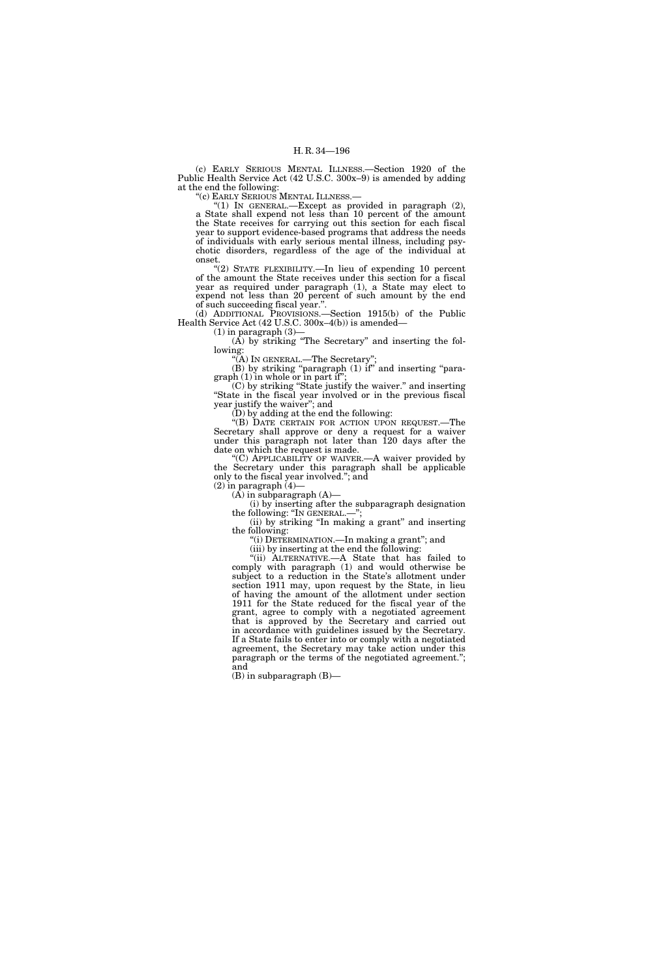(c) EARLY SERIOUS MENTAL ILLNESS.—Section 1920 of the Public Health Service Act (42 U.S.C. 300x–9) is amended by adding at the end the following:

''(c) EARLY SERIOUS MENTAL ILLNESS.—

"(1) IN GENERAL.—Except as provided in paragraph (2), a State shall expend not less than 10 percent of the amount the State receives for carrying out this section for each fiscal year to support evidence-based programs that address the needs of individuals with early serious mental illness, including psychotic disorders, regardless of the age of the individual at onset.

"(2) STATE FLEXIBILITY.—In lieu of expending 10 percent of the amount the State receives under this section for a fiscal year as required under paragraph (1), a State may elect to expend not less than 20 percent of such amount by the end of such succeeding fiscal year.''.

(d) ADDITIONAL PROVISIONS.—Section 1915(b) of the Public Health Service Act (42 U.S.C. 300x–4(b)) is amended—

 $(1)$  in paragraph  $(3)$ -

 $(A)$  by striking "The Secretary" and inserting the following:

''(A) IN GENERAL.—The Secretary''; (B) by striking ''paragraph (1) if'' and inserting ''paragraph (1) in whole or in part if'';

(C) by striking ''State justify the waiver.'' and inserting ''State in the fiscal year involved or in the previous fiscal year justify the waiver''; and

(D) by adding at the end the following:

"(B) DATE CERTAIN FOR ACTION UPON REQUEST.—The Secretary shall approve or deny a request for a waiver under this paragraph not later than 120 days after the date on which the request is made.

"(C) APPLICABILITY OF WAIVER.—A waiver provided by the Secretary under this paragraph shall be applicable only to the fiscal year involved.''; and

 $(2)$  in paragraph  $(4)$ —

 $(A)$  in subparagraph  $(A)$ —

(i) by inserting after the subparagraph designation the following: ''IN GENERAL.—'';

(ii) by striking ''In making a grant'' and inserting the following:

"(i) DETERMINATION.—In making a grant"; and

(iii) by inserting at the end the following:

''(ii) ALTERNATIVE.—A State that has failed to comply with paragraph (1) and would otherwise be subject to a reduction in the State's allotment under section 1911 may, upon request by the State, in lieu of having the amount of the allotment under section 1911 for the State reduced for the fiscal year of the grant, agree to comply with a negotiated agreement that is approved by the Secretary and carried out in accordance with guidelines issued by the Secretary. If a State fails to enter into or comply with a negotiated agreement, the Secretary may take action under this paragraph or the terms of the negotiated agreement.''; and

(B) in subparagraph (B)—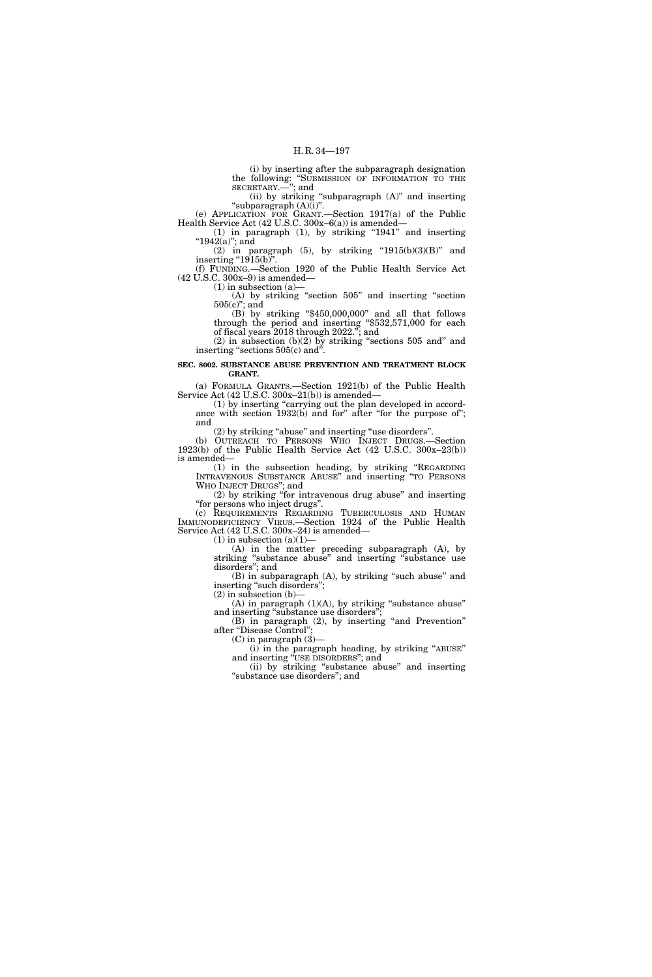(i) by inserting after the subparagraph designation the following: ''SUBMISSION OF INFORMATION TO THE SECRETARY.—''; and

(ii) by striking ''subparagraph (A)'' and inserting ''subparagraph (A)(i)''. (e) APPLICATION FOR GRANT.—Section 1917(a) of the Public

Health Service Act (42 U.S.C. 300x–6(a)) is amended—  $(1)$  in paragraph  $(1)$ , by striking "1941" and inserting

" $1942(a)$ "; and (2) in paragraph (5), by striking " $1915(b)(3)(B)$ " and inserting " $1915(b)$ "

(f) FUNDING.—Section 1920 of the Public Health Service Act (42 U.S.C. 300x–9) is amended—

 $(1)$  in subsection  $(a)$ 

(A) by striking ''section 505'' and inserting ''section 505(c)''; and

(B) by striking ''\$450,000,000'' and all that follows through the period and inserting ''\$532,571,000 for each of fiscal years 2018 through 2022.''; and

 $(2)$  in subsection  $(b)(2)$  by striking "sections 505 and" and inserting "sections 505(c) and".

## **SEC. 8002. SUBSTANCE ABUSE PREVENTION AND TREATMENT BLOCK GRANT.**

(a) FORMULA GRANTS.—Section 1921(b) of the Public Health Service Act (42 U.S.C. 300x–21(b)) is amended—

(1) by inserting "carrying out the plan developed in accordance with section 1932(b) and for" after "for the purpose of"; and

(2) by striking ''abuse'' and inserting ''use disorders''.

(b) OUTREACH TO PERSONS WHO INJECT DRUGS.—Section 1923(b) of the Public Health Service Act (42 U.S.C. 300x–23(b)) is amended—

(1) in the subsection heading, by striking ''REGARDING INTRAVENOUS SUBSTANCE ABUSE'' and inserting ''TO PERSONS WHO INJECT DRUGS''; and

(2) by striking ''for intravenous drug abuse'' and inserting ''for persons who inject drugs''.

(c) REQUIREMENTS REGARDING TUBERCULOSIS AND HUMAN IMMUNODEFICIENCY VIRUS.—Section 1924 of the Public Health Service Act (42 U.S.C. 300x–24) is amended—  $(1)$  in subsection  $(a)(1)$ —

(A) in the matter preceding subparagraph (A), by

striking ''substance abuse'' and inserting ''substance use disorders''; and

(B) in subparagraph (A), by striking "such abuse" and inserting "such disorders"; (2) in subsection (b)—

 $(A)$  in paragraph  $(1)(A)$ , by striking "substance abuse" and inserting "substance use disorders";

(B) in paragraph (2), by inserting "and Prevention" after "Disease Control"

(C) in paragraph (3)—

(i) in the paragraph heading, by striking ''ABUSE'' and inserting ''USE DISORDERS''; and

(ii) by striking ''substance abuse'' and inserting ''substance use disorders''; and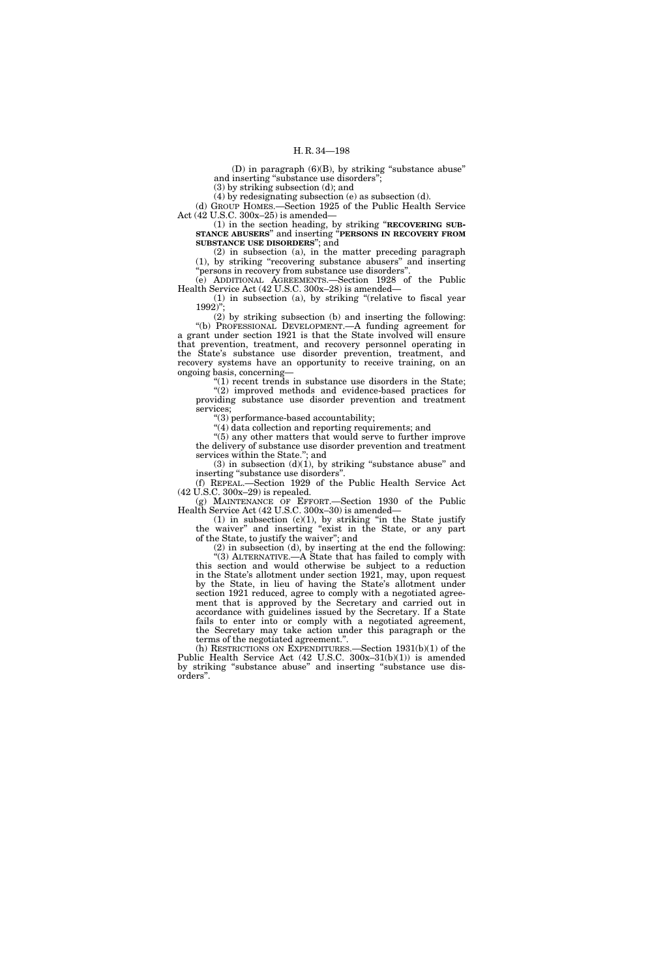(D) in paragraph  $(6)(B)$ , by striking "substance abuse" and inserting "substance use disorders";

(3) by striking subsection (d); and

(4) by redesignating subsection (e) as subsection (d).

(d) GROUP HOMES.—Section 1925 of the Public Health Service Act (42 U.S.C. 300x–25) is amended—

(1) in the section heading, by striking ''**RECOVERING SUB-STANCE ABUSERS**'' and inserting ''**PERSONS IN RECOVERY FROM SUBSTANCE USE DISORDERS**''; and

(2) in subsection (a), in the matter preceding paragraph (1), by striking ''recovering substance abusers'' and inserting 'persons in recovery from substance use disorders'

(e) ADDITIONAL AGREEMENTS.—Section 1928 of the Public Health Service Act (42 U.S.C. 300x–28) is amended—

(1) in subsection (a), by striking ''(relative to fiscal year  $1992$ "

(2) by striking subsection (b) and inserting the following: ''(b) PROFESSIONAL DEVELOPMENT.—A funding agreement for a grant under section 1921 is that the State involved will ensure that prevention, treatment, and recovery personnel operating in the State's substance use disorder prevention, treatment, and recovery systems have an opportunity to receive training, on an ongoing basis, concerning—

''(1) recent trends in substance use disorders in the State; "(2) improved methods and evidence-based practices for providing substance use disorder prevention and treatment services;

 $'(3)$  performance-based accountability;

''(4) data collection and reporting requirements; and

''(5) any other matters that would serve to further improve the delivery of substance use disorder prevention and treatment services within the State.''; and

 $(3)$  in subsection  $(d)(1)$ , by striking "substance abuse" and inserting ''substance use disorders''. (f) REPEAL.—Section 1929 of the Public Health Service Act

(42 U.S.C. 300x–29) is repealed. (g) MAINTENANCE OF EFFORT.—Section 1930 of the Public

Health Service Act (42 U.S.C. 300x–30) is amended—

 $(1)$  in subsection  $(c)(1)$ , by striking "in the State justify the waiver'' and inserting ''exist in the State, or any part of the State, to justify the waiver''; and

(2) in subsection (d), by inserting at the end the following: ''(3) ALTERNATIVE.—A State that has failed to comply with this section and would otherwise be subject to a reduction in the State's allotment under section 1921, may, upon request by the State, in lieu of having the State's allotment under section 1921 reduced, agree to comply with a negotiated agreement that is approved by the Secretary and carried out in accordance with guidelines issued by the Secretary. If a State fails to enter into or comply with a negotiated agreement, the Secretary may take action under this paragraph or the terms of the negotiated agreement.''.

(h) RESTRICTIONS ON EXPENDITURES.—Section 1931(b)(1) of the Public Health Service Act (42 U.S.C. 300x–31(b)(1)) is amended by striking ''substance abuse'' and inserting ''substance use disorders''.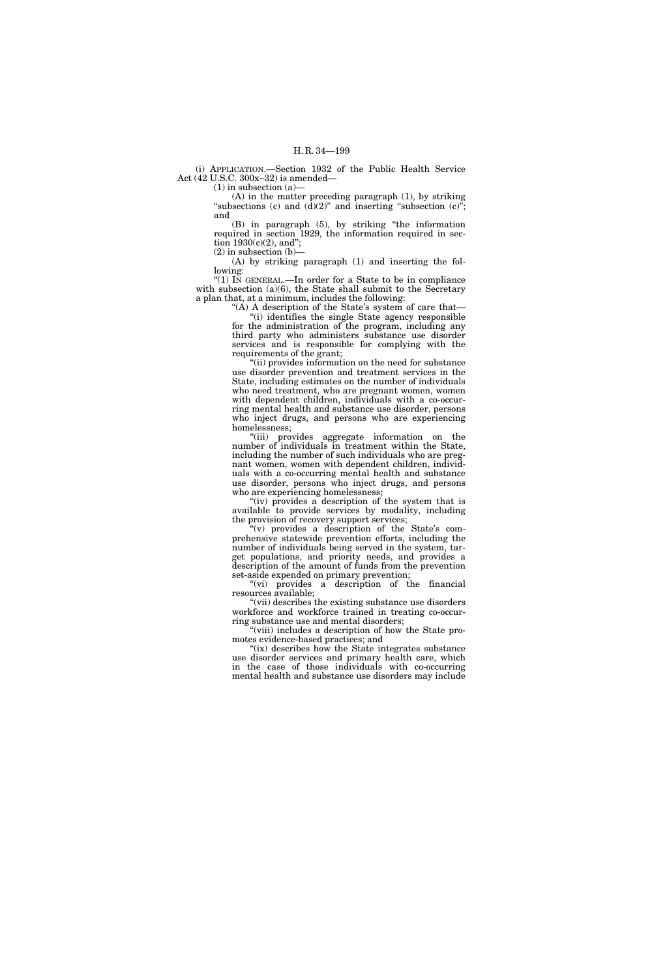(i) APPLICATION.—Section 1932 of the Public Health Service Act (42 U.S.C. 300x–32) is amended—

(1) in subsection (a)—

(A) in the matter preceding paragraph (1), by striking "subsections  $(c)$  and  $(d)(2)$ " and inserting "subsection  $(c)$ "; and

(B) in paragraph (5), by striking ''the information required in section 1929, the information required in section  $1930(c)(2)$ , and";

 $(2)$  in subsection  $(b)$ —

(A) by striking paragraph (1) and inserting the following: ''(1) IN GENERAL.—In order for a State to be in compliance

with subsection (a)(6), the State shall submit to the Secretary a plan that, at a minimum, includes the following:

"(A) A description of the State's system of care that— ''(i) identifies the single State agency responsible for the administration of the program, including any third party who administers substance use disorder services and is responsible for complying with the requirements of the grant;

''(ii) provides information on the need for substance use disorder prevention and treatment services in the State, including estimates on the number of individuals who need treatment, who are pregnant women, women with dependent children, individuals with a co-occurring mental health and substance use disorder, persons who inject drugs, and persons who are experiencing homelessness;

''(iii) provides aggregate information on the number of individuals in treatment within the State, including the number of such individuals who are pregnant women, women with dependent children, individuals with a co-occurring mental health and substance use disorder, persons who inject drugs, and persons who are experiencing homelessness;

"(iv) provides a description of the system that is available to provide services by modality, including the provision of recovery support services;

 $(y)$  provides a description of the State's comprehensive statewide prevention efforts, including the number of individuals being served in the system, target populations, and priority needs, and provides a description of the amount of funds from the prevention set-aside expended on primary prevention;

"(vi) provides a description of the financial resources available;

"(vii) describes the existing substance use disorders workforce and workforce trained in treating co-occurring substance use and mental disorders;

"(viii) includes a description of how the State promotes evidence-based practices; and

"(ix) describes how the State integrates substance" use disorder services and primary health care, which in the case of those individuals with co-occurring mental health and substance use disorders may include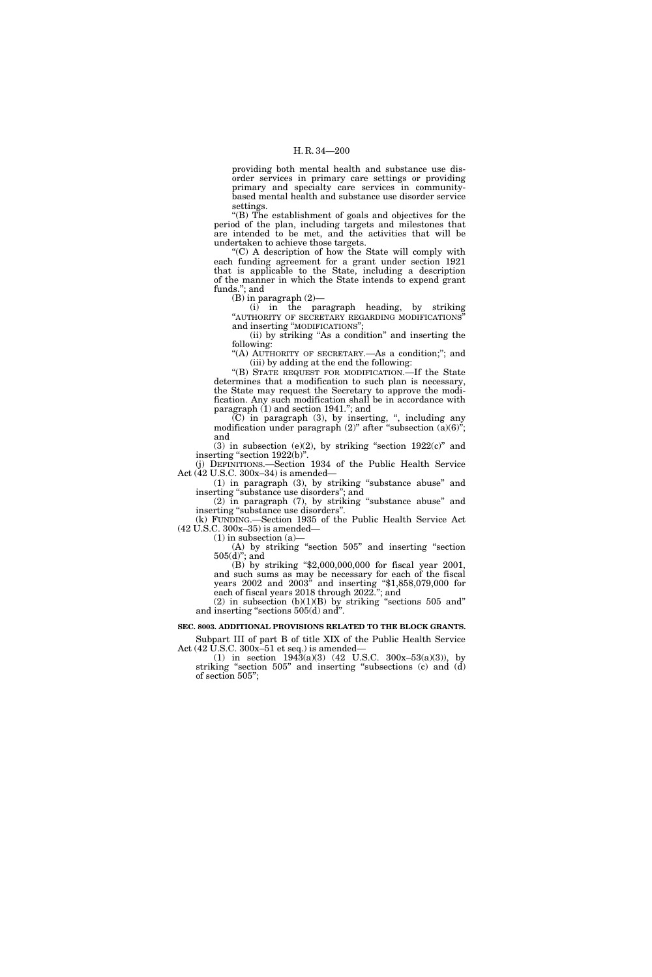providing both mental health and substance use disorder services in primary care settings or providing primary and specialty care services in communitybased mental health and substance use disorder service settings.

''(B) The establishment of goals and objectives for the period of the plan, including targets and milestones that are intended to be met, and the activities that will be undertaken to achieve those targets.

''(C) A description of how the State will comply with each funding agreement for a grant under section 1921 that is applicable to the State, including a description of the manner in which the State intends to expend grant funds.''; and

(B) in paragraph (2)—

(i) in the paragraph heading, by striking "AUTHORITY OF SECRETARY REGARDING MODIFICATIONS" and inserting ''MODIFICATIONS'';

(ii) by striking ''As a condition'' and inserting the following:

"(A) AUTHORITY OF SECRETARY.—As a condition;"; and (iii) by adding at the end the following:

''(B) STATE REQUEST FOR MODIFICATION.—If the State determines that a modification to such plan is necessary, the State may request the Secretary to approve the modification. Any such modification shall be in accordance with paragraph (1) and section 1941.''; and

(C) in paragraph (3), by inserting, '', including any modification under paragraph  $(2)$ " after "subsection  $(a)(6)$ "; and

(3) in subsection (e)(2), by striking "section  $1922(c)$ " and inserting "section 1922(b)". (j) DEFINITIONS.—Section 1934 of the Public Health Service

Act (42 U.S.C. 300x–34) is amended—

(1) in paragraph (3), by striking ''substance abuse'' and inserting "substance use disorders"; and (2) in paragraph (7), by striking ''substance abuse'' and

inserting ''substance use disorders''. (k) FUNDING.—Section 1935 of the Public Health Service Act

(42 U.S.C. 300x–35) is amended—

 $(1)$  in subsection  $(a)$ —

(A) by striking ''section 505'' and inserting ''section 505(d)''; and

(B) by striking ''\$2,000,000,000 for fiscal year 2001, and such sums as may be necessary for each of the fiscal years 2002 and 2003'' and inserting ''\$1,858,079,000 for each of fiscal years 2018 through 2022.''; and

(2) in subsection  $(b)(1)(B)$  by striking "sections 505 and" and inserting "sections 505(d) and".

**SEC. 8003. ADDITIONAL PROVISIONS RELATED TO THE BLOCK GRANTS.** 

Subpart III of part B of title XIX of the Public Health Service Act  $(42 \text{ U.S.C. } 300x-51 \text{ et seq.})$  is amended—

(1) in section  $1943(a)(3)$  (42 U.S.C.  $300x-53(a)(3)$ ), by striking "section 505" and inserting "subsections (c) and (d) of section 505'';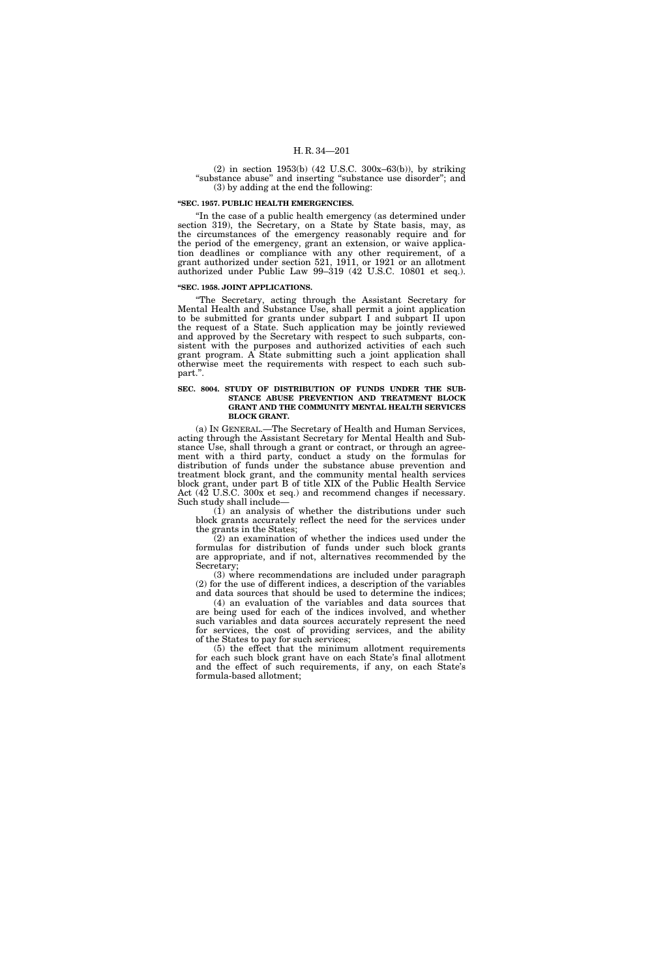(2) in section 1953(b) (42 U.S.C. 300x–63(b)), by striking ''substance abuse'' and inserting ''substance use disorder''; and (3) by adding at the end the following:

## **''SEC. 1957. PUBLIC HEALTH EMERGENCIES.**

"In the case of a public health emergency (as determined under section 319), the Secretary, on a State by State basis, may, as the circumstances of the emergency reasonably require and for the period of the emergency, grant an extension, or waive application deadlines or compliance with any other requirement, of a grant authorized under section 521, 1911, or 1921 or an allotment authorized under Public Law 99–319 (42 U.S.C. 10801 et seq.).

#### **''SEC. 1958. JOINT APPLICATIONS.**

''The Secretary, acting through the Assistant Secretary for Mental Health and Substance Use, shall permit a joint application to be submitted for grants under subpart I and subpart II upon the request of a State. Such application may be jointly reviewed and approved by the Secretary with respect to such subparts, consistent with the purposes and authorized activities of each such grant program. A State submitting such a joint application shall otherwise meet the requirements with respect to each such subpart.''.

## **SEC. 8004. STUDY OF DISTRIBUTION OF FUNDS UNDER THE SUB-STANCE ABUSE PREVENTION AND TREATMENT BLOCK GRANT AND THE COMMUNITY MENTAL HEALTH SERVICES BLOCK GRANT.**

(a) IN GENERAL.—The Secretary of Health and Human Services, acting through the Assistant Secretary for Mental Health and Substance Use, shall through a grant or contract, or through an agreement with a third party, conduct a study on the formulas for distribution of funds under the substance abuse prevention and treatment block grant, and the community mental health services block grant, under part B of title XIX of the Public Health Service Act (42 U.S.C. 300x et seq.) and recommend changes if necessary. Such study shall include—

(1) an analysis of whether the distributions under such block grants accurately reflect the need for the services under the grants in the States;

(2) an examination of whether the indices used under the formulas for distribution of funds under such block grants are appropriate, and if not, alternatives recommended by the Secretary;

(3) where recommendations are included under paragraph (2) for the use of different indices, a description of the variables and data sources that should be used to determine the indices;

(4) an evaluation of the variables and data sources that are being used for each of the indices involved, and whether such variables and data sources accurately represent the need for services, the cost of providing services, and the ability of the States to pay for such services;

(5) the effect that the minimum allotment requirements for each such block grant have on each State's final allotment and the effect of such requirements, if any, on each State's formula-based allotment;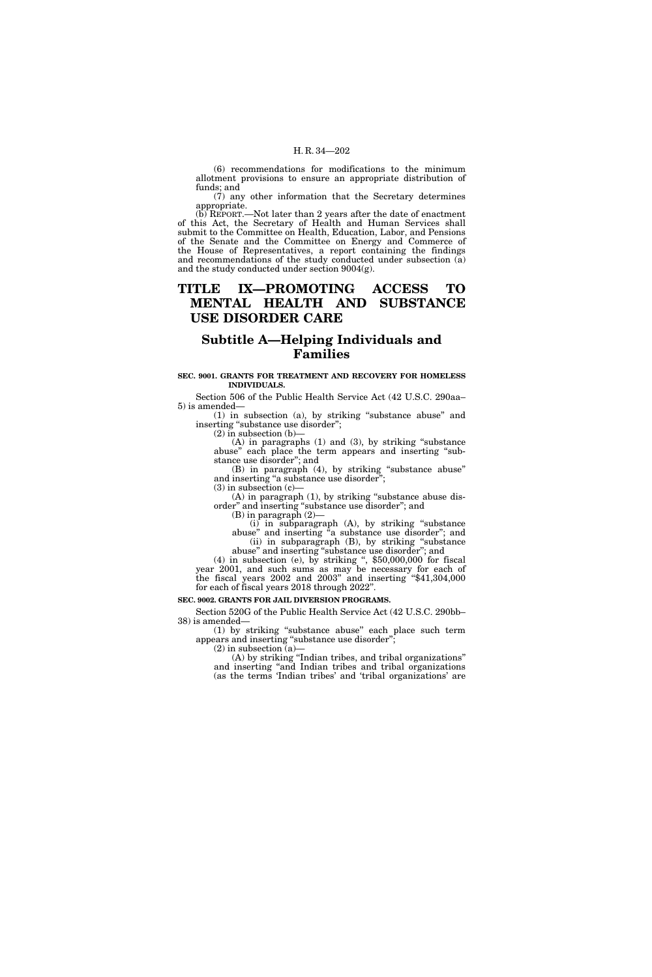(6) recommendations for modifications to the minimum allotment provisions to ensure an appropriate distribution of funds; and

(7) any other information that the Secretary determines appropriate.

(b) REPORT.—Not later than 2 years after the date of enactment of this Act, the Secretary of Health and Human Services shall submit to the Committee on Health, Education, Labor, and Pensions of the Senate and the Committee on Energy and Commerce of the House of Representatives, a report containing the findings and recommendations of the study conducted under subsection (a) and the study conducted under section 9004(g).

## **TITLE IX—PROMOTING ACCESS TO MENTAL HEALTH AND SUBSTANCE USE DISORDER CARE**

# **Subtitle A—Helping Individuals and Families**

## **SEC. 9001. GRANTS FOR TREATMENT AND RECOVERY FOR HOMELESS INDIVIDUALS.**

Section 506 of the Public Health Service Act (42 U.S.C. 290aa– 5) is amended—

(1) in subsection (a), by striking ''substance abuse'' and inserting "substance use disorder";

 $(2)$  in subsection  $(b)$ 

(A) in paragraphs (1) and (3), by striking ''substance abuse" each place the term appears and inserting "substance use disorder''; and

(B) in paragraph (4), by striking ''substance abuse'' and inserting "a substance use disorder";  $(3)$  in subsection  $(c)$ 

(A) in paragraph (1), by striking ''substance abuse disorder'' and inserting ''substance use disorder''; and

 $(B)$  in paragraph  $(2)$ 

(i) in subparagraph (A), by striking ''substance abuse" and inserting "a substance use disorder"; and (ii) in subparagraph (B), by striking ''substance abuse'' and inserting ''substance use disorder''; and

 $(4)$  in subsection (e), by striking ", \$50,000,000 for fiscal year 2001, and such sums as may be necessary for each of the fiscal years 2002 and 2003'' and inserting ''\$41,304,000 for each of fiscal years 2018 through 2022''.

#### **SEC. 9002. GRANTS FOR JAIL DIVERSION PROGRAMS.**

Section 520G of the Public Health Service Act (42 U.S.C. 290bb– 38) is amended—

(1) by striking ''substance abuse'' each place such term appears and inserting ''substance use disorder''; (2) in subsection  $(a)$ —

(A) by striking ''Indian tribes, and tribal organizations'' and inserting ''and Indian tribes and tribal organizations (as the terms 'Indian tribes' and 'tribal organizations' are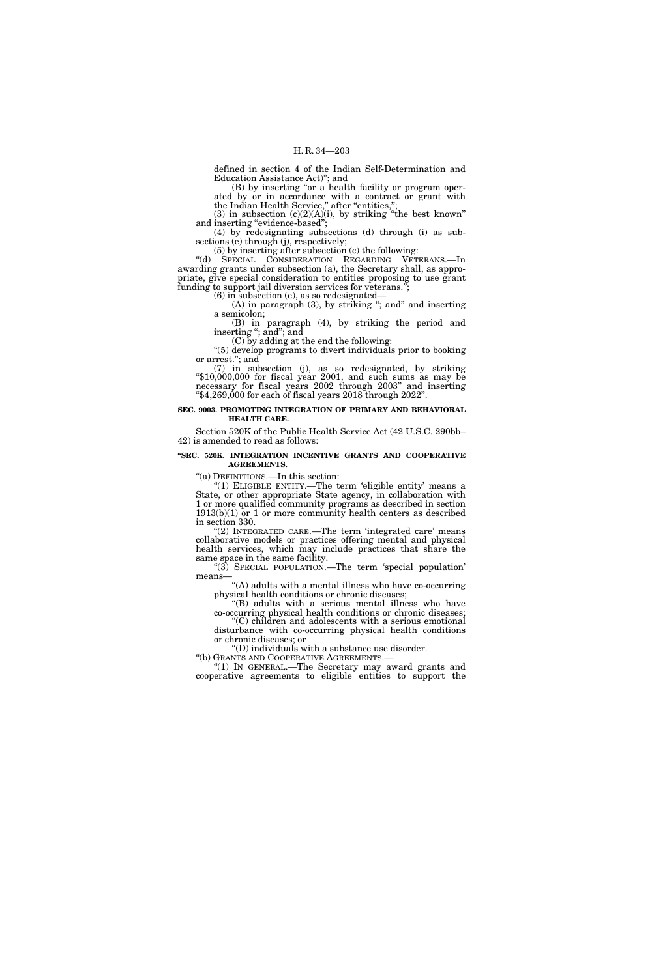defined in section 4 of the Indian Self-Determination and Education Assistance Act)''; and

(B) by inserting "or a health facility or program operated by or in accordance with a contract or grant with the Indian Health Service," after "entities,";

(3) in subsection  $(c)(2)(A)(i)$ , by striking "the best known" and inserting "evidence-based";

(4) by redesignating subsections (d) through (i) as subsections (e) through (j), respectively;

(5) by inserting after subsection (c) the following:

''(d) SPECIAL CONSIDERATION REGARDING VETERANS.—In awarding grants under subsection (a), the Secretary shall, as appropriate, give special consideration to entities proposing to use grant funding to support jail diversion services for veterans.'';

(6) in subsection (e), as so redesignated—

(A) in paragraph (3), by striking "; and" and inserting a semicolon;

(B) in paragraph (4), by striking the period and inserting "; and"; and (C) by adding at the end the following:

''(5) develop programs to divert individuals prior to booking or arrest.''; and

(7) in subsection (j), as so redesignated, by striking ''\$10,000,000 for fiscal year 2001, and such sums as may be necessary for fiscal years 2002 through 2003'' and inserting ''\$4,269,000 for each of fiscal years 2018 through 2022''.

## **SEC. 9003. PROMOTING INTEGRATION OF PRIMARY AND BEHAVIORAL HEALTH CARE.**

Section 520K of the Public Health Service Act (42 U.S.C. 290bb– 42) is amended to read as follows:

#### **''SEC. 520K. INTEGRATION INCENTIVE GRANTS AND COOPERATIVE AGREEMENTS.**

''(a) DEFINITIONS.—In this section:

"(1) ELIGIBLE ENTITY.—The term 'eligible entity' means a State, or other appropriate State agency, in collaboration with 1 or more qualified community programs as described in section 1913(b)(1) or 1 or more community health centers as described in section 330.

"(2) INTEGRATED CARE.—The term 'integrated care' means collaborative models or practices offering mental and physical health services, which may include practices that share the same space in the same facility.

"(3) SPECIAL POPULATION.—The term 'special population' means—

 $\lq\lq$  adults with a mental illness who have co-occurring physical health conditions or chronic diseases;

''(B) adults with a serious mental illness who have co-occurring physical health conditions or chronic diseases; ''(C) children and adolescents with a serious emotional

disturbance with co-occurring physical health conditions or chronic diseases; or

''(D) individuals with a substance use disorder. ''(b) GRANTS AND COOPERATIVE AGREEMENTS.—

''(1) IN GENERAL.—The Secretary may award grants and cooperative agreements to eligible entities to support the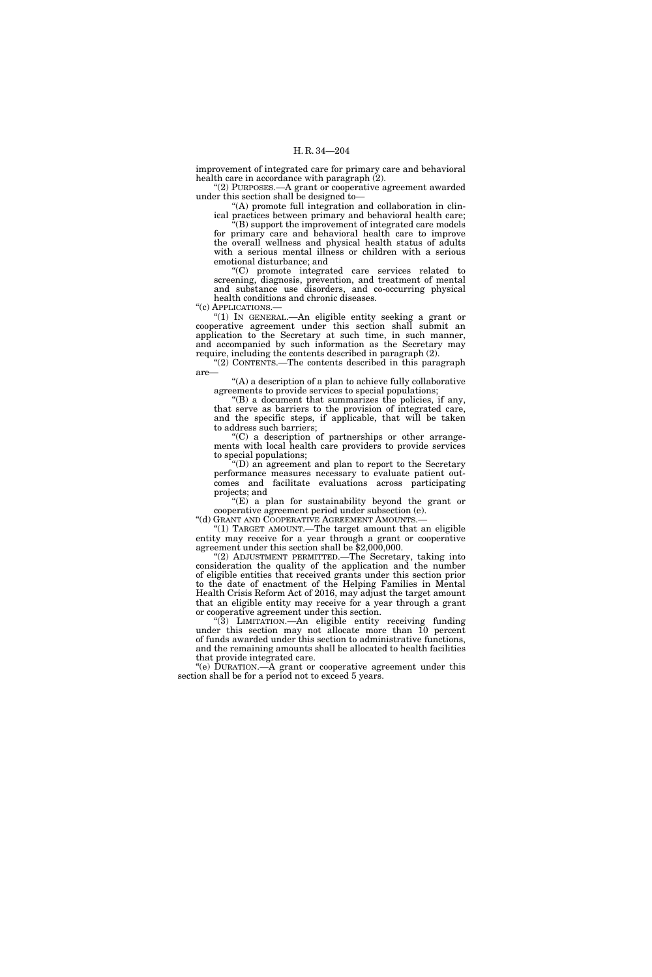improvement of integrated care for primary care and behavioral health care in accordance with paragraph (2).

''(2) PURPOSES.—A grant or cooperative agreement awarded under this section shall be designed to—

''(A) promote full integration and collaboration in clinical practices between primary and behavioral health care;

(B) support the improvement of integrated care models for primary care and behavioral health care to improve the overall wellness and physical health status of adults with a serious mental illness or children with a serious emotional disturbance; and

''(C) promote integrated care services related to screening, diagnosis, prevention, and treatment of mental and substance use disorders, and co-occurring physical health conditions and chronic diseases.

"(c) APPLICATIONS.-

''(1) IN GENERAL.—An eligible entity seeking a grant or cooperative agreement under this section shall submit an application to the Secretary at such time, in such manner, and accompanied by such information as the Secretary may require, including the contents described in paragraph (2).

''(2) CONTENTS.—The contents described in this paragraph are—

''(A) a description of a plan to achieve fully collaborative agreements to provide services to special populations;

''(B) a document that summarizes the policies, if any, that serve as barriers to the provision of integrated care, and the specific steps, if applicable, that will be taken to address such barriers;

 $(C)$  a description of partnerships or other arrangements with local health care providers to provide services to special populations;

''(D) an agreement and plan to report to the Secretary performance measures necessary to evaluate patient outcomes and facilitate evaluations across participating projects; and

 $E(E)$  a plan for sustainability beyond the grant or cooperative agreement period under subsection (e).

"(d) GRANT AND COOPERATIVE AGREEMENT AMOUNTS.-

"(1) TARGET AMOUNT.—The target amount that an eligible entity may receive for a year through a grant or cooperative agreement under this section shall be \$2,000,000.

"(2) ADJUSTMENT PERMITTED.—The Secretary, taking into consideration the quality of the application and the number of eligible entities that received grants under this section prior to the date of enactment of the Helping Families in Mental Health Crisis Reform Act of 2016, may adjust the target amount that an eligible entity may receive for a year through a grant or cooperative agreement under this section.

''(3) LIMITATION.—An eligible entity receiving funding under this section may not allocate more than 10 percent of funds awarded under this section to administrative functions, and the remaining amounts shall be allocated to health facilities that provide integrated care.

''(e) DURATION.—A grant or cooperative agreement under this section shall be for a period not to exceed 5 years.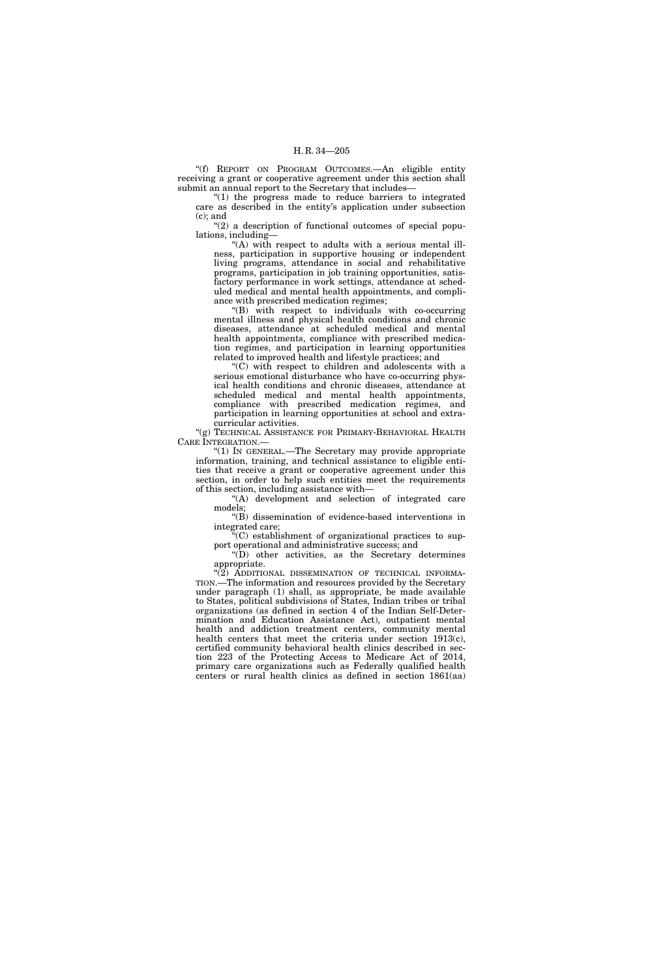''(f) REPORT ON PROGRAM OUTCOMES.—An eligible entity receiving a grant or cooperative agreement under this section shall submit an annual report to the Secretary that includes—

"(1) the progress made to reduce barriers to integrated care as described in the entity's application under subsection (c); and

 $''(2)$  a description of functional outcomes of special populations, including—

''(A) with respect to adults with a serious mental illness, participation in supportive housing or independent living programs, attendance in social and rehabilitative programs, participation in job training opportunities, satisfactory performance in work settings, attendance at scheduled medical and mental health appointments, and compliance with prescribed medication regimes;

''(B) with respect to individuals with co-occurring mental illness and physical health conditions and chronic diseases, attendance at scheduled medical and mental health appointments, compliance with prescribed medication regimes, and participation in learning opportunities related to improved health and lifestyle practices; and

''(C) with respect to children and adolescents with a serious emotional disturbance who have co-occurring physical health conditions and chronic diseases, attendance at scheduled medical and mental health appointments, compliance with prescribed medication regimes, and participation in learning opportunities at school and extracurricular activities.

"(g) TECHNICAL ASSISTANCE FOR PRIMARY-BEHAVIORAL HEALTH CARE INTEGRATION.—

''(1) IN GENERAL.—The Secretary may provide appropriate information, training, and technical assistance to eligible entities that receive a grant or cooperative agreement under this section, in order to help such entities meet the requirements of this section, including assistance with—

"(A) development and selection of integrated care models;

''(B) dissemination of evidence-based interventions in integrated care;

''(C) establishment of organizational practices to support operational and administrative success; and

''(D) other activities, as the Secretary determines appropriate.

 $\cdot$ (2) ADDITIONAL DISSEMINATION OF TECHNICAL INFORMA-TION.—The information and resources provided by the Secretary under paragraph (1) shall, as appropriate, be made available to States, political subdivisions of States, Indian tribes or tribal organizations (as defined in section 4 of the Indian Self-Determination and Education Assistance Act), outpatient mental health and addiction treatment centers, community mental health centers that meet the criteria under section 1913(c), certified community behavioral health clinics described in section 223 of the Protecting Access to Medicare Act of 2014, primary care organizations such as Federally qualified health centers or rural health clinics as defined in section 1861(aa)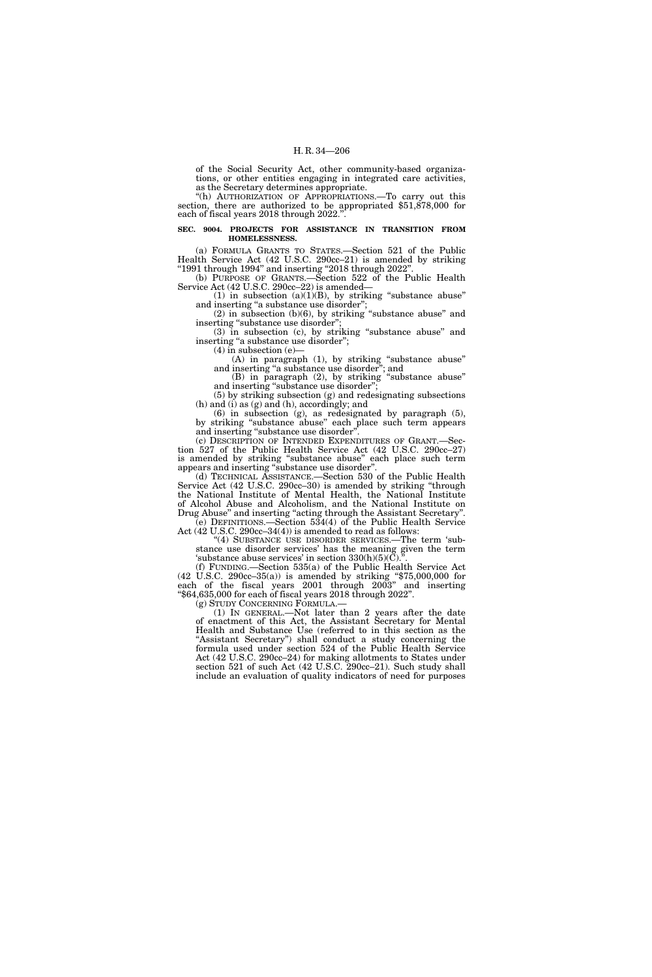of the Social Security Act, other community-based organizations, or other entities engaging in integrated care activities, as the Secretary determines appropriate.

''(h) AUTHORIZATION OF APPROPRIATIONS.—To carry out this section, there are authorized to be appropriated \$51,878,000 for each of fiscal years 2018 through 2022.'

#### **SEC. 9004. PROJECTS FOR ASSISTANCE IN TRANSITION FROM HOMELESSNESS.**

(a) FORMULA GRANTS TO STATES.—Section 521 of the Public Health Service Act (42 U.S.C. 290cc–21) is amended by striking ''1991 through 1994'' and inserting ''2018 through 2022''.

(b) PURPOSE OF GRANTS.—Section 522 of the Public Health Service Act (42 U.S.C. 290cc–22) is amended—

(1) in subsection  $(a)(1)(B)$ , by striking "substance abuse" and inserting "a substance use disorder";

(2) in subsection (b)(6), by striking ''substance abuse'' and inserting "substance use disorder";

(3) in subsection (c), by striking ''substance abuse'' and inserting "a substance use disorder";

(4) in subsection (e)—

(A) in paragraph (1), by striking ''substance abuse'' and inserting "a substance use disorder"; and

(B) in paragraph (2), by striking ''substance abuse'' and inserting "substance use disorder";

(5) by striking subsection (g) and redesignating subsections (h) and (i) as (g) and (h), accordingly; and

(6) in subsection (g), as redesignated by paragraph (5), by striking ''substance abuse'' each place such term appears and inserting ''substance use disorder''.

(c) DESCRIPTION OF INTENDED EXPENDITURES OF GRANT.—Section 527 of the Public Health Service Act (42 U.S.C. 290cc–27) is amended by striking ''substance abuse'' each place such term appears and inserting "substance use disorder"

(d) TECHNICAL ASSISTANCE.—Section 530 of the Public Health Service Act (42 U.S.C. 290cc–30) is amended by striking "through the National Institute of Mental Health, the National Institute of Alcohol Abuse and Alcoholism, and the National Institute on Drug Abuse" and inserting "acting through the Assistant Secretary".

(e) DEFINITIONS.—Section 534(4) of the Public Health Service Act (42 U.S.C. 290cc–34(4)) is amended to read as follows:

"(4) SUBSTANCE USE DISORDER SERVICES.—The term 'substance use disorder services' has the meaning given the term 'substance abuse services' in section  $330(h)(5)(C)$ .".

(f) FUNDING.—Section 535(a) of the Public Health Service Act (42 U.S.C. 290cc–35(a)) is amended by striking ''\$75,000,000 for each of the fiscal years 2001 through 2003'' and inserting ''\$64,635,000 for each of fiscal years 2018 through 2022''.

(g) STUDY CONCERNING FORMULA.—

(1) IN GENERAL.—Not later than 2 years after the date of enactment of this Act, the Assistant Secretary for Mental Health and Substance Use (referred to in this section as the "Assistant Secretary") shall conduct a study concerning the formula used under section 524 of the Public Health Service Act (42 U.S.C. 290cc–24) for making allotments to States under section 521 of such Act (42 U.S.C. 290cc–21). Such study shall include an evaluation of quality indicators of need for purposes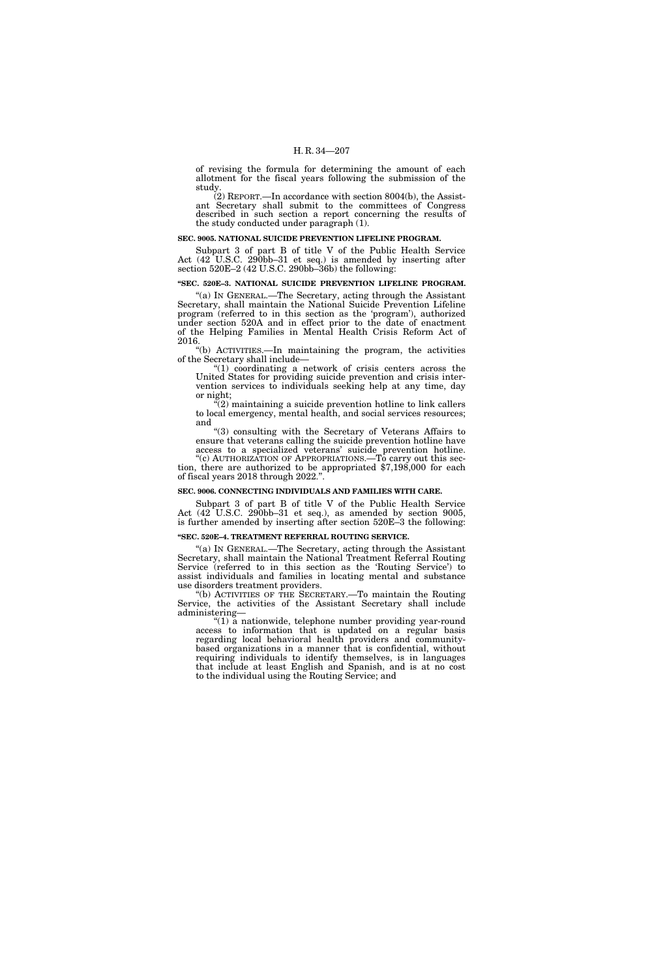of revising the formula for determining the amount of each allotment for the fiscal years following the submission of the study.

(2) REPORT.—In accordance with section 8004(b), the Assistant Secretary shall submit to the committees of Congress described in such section a report concerning the results of the study conducted under paragraph (1).

#### **SEC. 9005. NATIONAL SUICIDE PREVENTION LIFELINE PROGRAM.**

Subpart 3 of part B of title V of the Public Health Service Act (42 U.S.C. 290bb–31 et seq.) is amended by inserting after section 520E–2 (42 U.S.C. 290bb–36b) the following:

### **''SEC. 520E–3. NATIONAL SUICIDE PREVENTION LIFELINE PROGRAM.**

''(a) IN GENERAL.—The Secretary, acting through the Assistant Secretary, shall maintain the National Suicide Prevention Lifeline program (referred to in this section as the 'program'), authorized under section 520A and in effect prior to the date of enactment of the Helping Families in Mental Health Crisis Reform Act of 2016.

''(b) ACTIVITIES.—In maintaining the program, the activities of the Secretary shall include—

" $(1)$  coordinating a network of crisis centers across the United States for providing suicide prevention and crisis intervention services to individuals seeking help at any time, day or night;

 $''(2)$  maintaining a suicide prevention hotline to link callers to local emergency, mental health, and social services resources; and

''(3) consulting with the Secretary of Veterans Affairs to ensure that veterans calling the suicide prevention hotline have access to a specialized veterans' suicide prevention hotline.

"(c) AUTHORIZATION OF APPROPRIATIONS.—To carry out this section, there are authorized to be appropriated \$7,198,000 for each of fiscal years 2018 through 2022.''.

## **SEC. 9006. CONNECTING INDIVIDUALS AND FAMILIES WITH CARE.**

Subpart 3 of part B of title V of the Public Health Service Act (42 U.S.C. 290bb–31 et seq.), as amended by section 9005, is further amended by inserting after section 520E–3 the following:

#### **''SEC. 520E–4. TREATMENT REFERRAL ROUTING SERVICE.**

''(a) IN GENERAL.—The Secretary, acting through the Assistant Secretary, shall maintain the National Treatment Referral Routing Service (referred to in this section as the 'Routing Service') to assist individuals and families in locating mental and substance use disorders treatment providers.

''(b) ACTIVITIES OF THE SECRETARY.—To maintain the Routing Service, the activities of the Assistant Secretary shall include administering—

''(1) a nationwide, telephone number providing year-round access to information that is updated on a regular basis regarding local behavioral health providers and communitybased organizations in a manner that is confidential, without requiring individuals to identify themselves, is in languages that include at least English and Spanish, and is at no cost to the individual using the Routing Service; and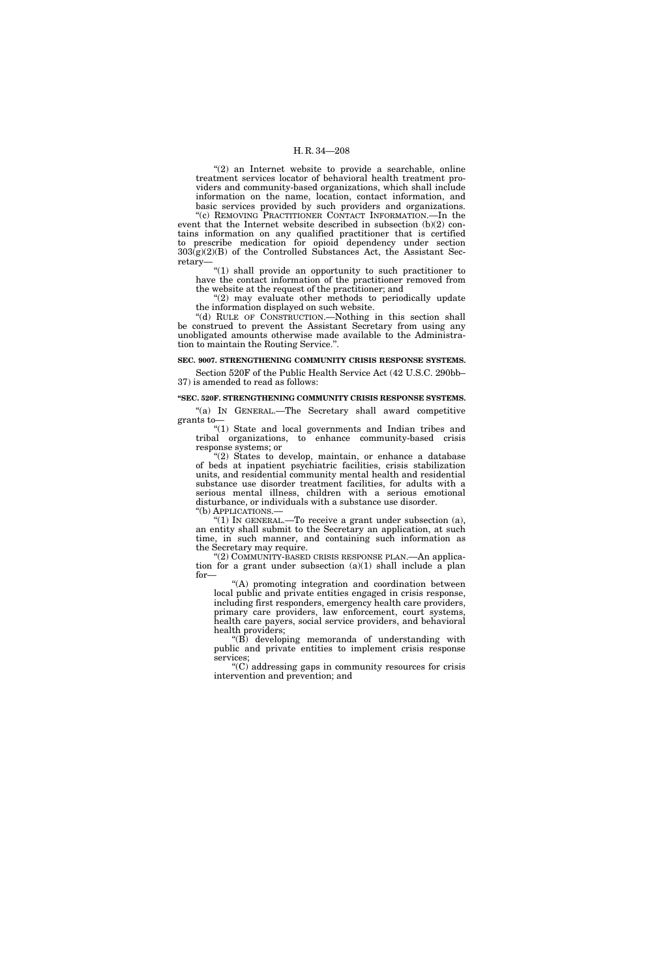"(2) an Internet website to provide a searchable, online treatment services locator of behavioral health treatment providers and community-based organizations, which shall include information on the name, location, contact information, and basic services provided by such providers and organizations.

"(c) REMOVING PRACTITIONER CONTACT INFORMATION.—In the event that the Internet website described in subsection (b)(2) contains information on any qualified practitioner that is certified to prescribe medication for opioid dependency under section  $303(g)(2)(B)$  of the Controlled Substances Act, the Assistant Secretary—

''(1) shall provide an opportunity to such practitioner to have the contact information of the practitioner removed from the website at the request of the practitioner; and

 $(2)$  may evaluate other methods to periodically update the information displayed on such website.

"(d) RULE OF CONSTRUCTION.—Nothing in this section shall be construed to prevent the Assistant Secretary from using any unobligated amounts otherwise made available to the Administration to maintain the Routing Service.''.

## **SEC. 9007. STRENGTHENING COMMUNITY CRISIS RESPONSE SYSTEMS.**

Section 520F of the Public Health Service Act (42 U.S.C. 290bb– 37) is amended to read as follows:

#### **''SEC. 520F. STRENGTHENING COMMUNITY CRISIS RESPONSE SYSTEMS.**

"(a) IN GENERAL.—The Secretary shall award competitive grants to—

''(1) State and local governments and Indian tribes and tribal organizations, to enhance community-based crisis response systems; or

''(2) States to develop, maintain, or enhance a database of beds at inpatient psychiatric facilities, crisis stabilization units, and residential community mental health and residential substance use disorder treatment facilities, for adults with a serious mental illness, children with a serious emotional disturbance, or individuals with a substance use disorder.

''(b) APPLICATIONS.—

"(1) In GENERAL.—To receive a grant under subsection  $(a)$ , an entity shall submit to the Secretary an application, at such time, in such manner, and containing such information as the Secretary may require.

"(2) COMMUNITY-BASED CRISIS RESPONSE PLAN.—An application for a grant under subsection  $(a)(1)$  shall include a plan for—

''(A) promoting integration and coordination between local public and private entities engaged in crisis response, including first responders, emergency health care providers, primary care providers, law enforcement, court systems, health care payers, social service providers, and behavioral health providers;

''(B) developing memoranda of understanding with public and private entities to implement crisis response services;

''(C) addressing gaps in community resources for crisis intervention and prevention; and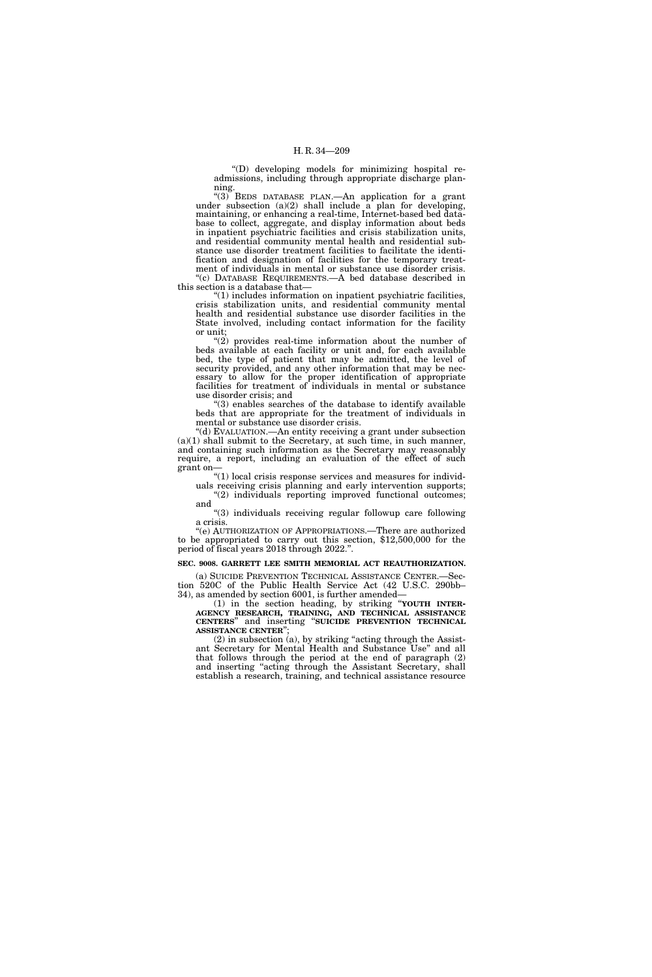''(D) developing models for minimizing hospital readmissions, including through appropriate discharge planning.

''(3) BEDS DATABASE PLAN.—An application for a grant under subsection  $(a)(2)$  shall include a plan for developing, maintaining, or enhancing a real-time, Internet-based bed database to collect, aggregate, and display information about beds in inpatient psychiatric facilities and crisis stabilization units, and residential community mental health and residential substance use disorder treatment facilities to facilitate the identification and designation of facilities for the temporary treatment of individuals in mental or substance use disorder crisis. ''(c) DATABASE REQUIREMENTS.—A bed database described in

this section is a database that—

" $(1)$  includes information on inpatient psychiatric facilities, crisis stabilization units, and residential community mental health and residential substance use disorder facilities in the State involved, including contact information for the facility or unit;

" $(2)$  provides real-time information about the number of beds available at each facility or unit and, for each available bed, the type of patient that may be admitted, the level of security provided, and any other information that may be necessary to allow for the proper identification of appropriate facilities for treatment of individuals in mental or substance use disorder crisis; and

 $(3)$  enables searches of the database to identify available beds that are appropriate for the treatment of individuals in mental or substance use disorder crisis.

''(d) EVALUATION.—An entity receiving a grant under subsection (a)(1) shall submit to the Secretary, at such time, in such manner, and containing such information as the Secretary may reasonably require, a report, including an evaluation of the effect of such grant on—

 $"(1)$  local crisis response services and measures for individ-

uals receiving crisis planning and early intervention supports; "(2) individuals reporting improved functional outcomes; and

''(3) individuals receiving regular followup care following a crisis.

'(e) AUTHORIZATION OF APPROPRIATIONS.—There are authorized to be appropriated to carry out this section, \$12,500,000 for the period of fiscal years 2018 through 2022.''.

## **SEC. 9008. GARRETT LEE SMITH MEMORIAL ACT REAUTHORIZATION.**

(a) SUICIDE PREVENTION TECHNICAL ASSISTANCE CENTER.—Section 520C of the Public Health Service Act (42 U.S.C. 290bb– 34), as amended by section 6001, is further amended—

(1) in the section heading, by striking ''**YOUTH INTER-AGENCY RESEARCH, TRAINING, AND TECHNICAL ASSISTANCE CENTERS**'' and inserting ''**SUICIDE PREVENTION TECHNICAL ASSISTANCE CENTER**'';

 $(2)$  in subsection  $(a)$ , by striking "acting through the Assistant Secretary for Mental Health and Substance Use'' and all that follows through the period at the end of paragraph (2) and inserting "acting through the Assistant Secretary, shall establish a research, training, and technical assistance resource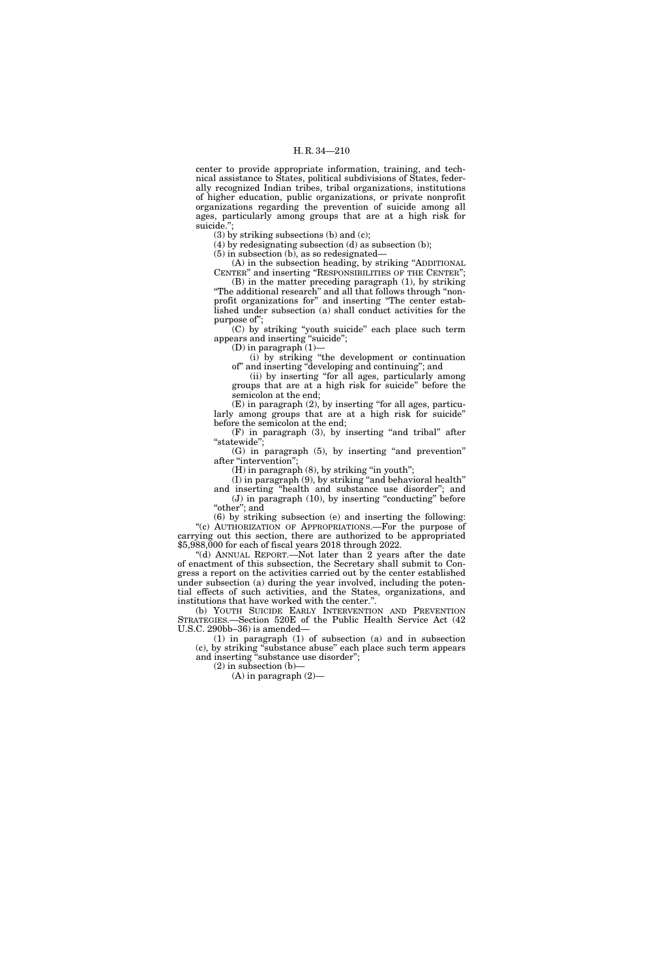center to provide appropriate information, training, and technical assistance to States, political subdivisions of States, federally recognized Indian tribes, tribal organizations, institutions of higher education, public organizations, or private nonprofit organizations regarding the prevention of suicide among all ages, particularly among groups that are at a high risk for suicide.'';

(3) by striking subsections (b) and (c);

(4) by redesignating subsection (d) as subsection (b);

(5) in subsection (b), as so redesignated—

(A) in the subsection heading, by striking ''ADDITIONAL CENTER'' and inserting ''RESPONSIBILITIES OF THE CENTER'';

(B) in the matter preceding paragraph (1), by striking ''The additional research'' and all that follows through ''nonprofit organizations for'' and inserting ''The center established under subsection (a) shall conduct activities for the purpose of'';

(C) by striking ''youth suicide'' each place such term appears and inserting "suicide";

(D) in paragraph  $(1)$ -

(i) by striking ''the development or continuation of'' and inserting ''developing and continuing''; and

(ii) by inserting ''for all ages, particularly among groups that are at a high risk for suicide'' before the semicolon at the end;

(E) in paragraph (2), by inserting ''for all ages, particularly among groups that are at a high risk for suicide'' before the semicolon at the end;

(F) in paragraph (3), by inserting "and tribal" after "statewide";

(G) in paragraph (5), by inserting ''and prevention'' after "intervention";

(H) in paragraph (8), by striking ''in youth'';

(I) in paragraph (9), by striking ''and behavioral health''

and inserting ''health and substance use disorder''; and (J) in paragraph (10), by inserting ''conducting'' before "other"; and

(6) by striking subsection (e) and inserting the following: "(c) AUTHORIZATION OF APPROPRIATIONS.—For the purpose of carrying out this section, there are authorized to be appropriated \$5,988,000 for each of fiscal years 2018 through 2022.

''(d) ANNUAL REPORT.—Not later than 2 years after the date of enactment of this subsection, the Secretary shall submit to Congress a report on the activities carried out by the center established under subsection (a) during the year involved, including the potential effects of such activities, and the States, organizations, and institutions that have worked with the center."

(b) YOUTH SUICIDE EARLY INTERVENTION AND PREVENTION STRATEGIES.—Section 520E of the Public Health Service Act (42 U.S.C. 290bb–36) is amended—

(1) in paragraph (1) of subsection (a) and in subsection (c), by striking ''substance abuse'' each place such term appears and inserting "substance use disorder";

 $(2)$  in subsection  $(b)$ –

(A) in paragraph (2)—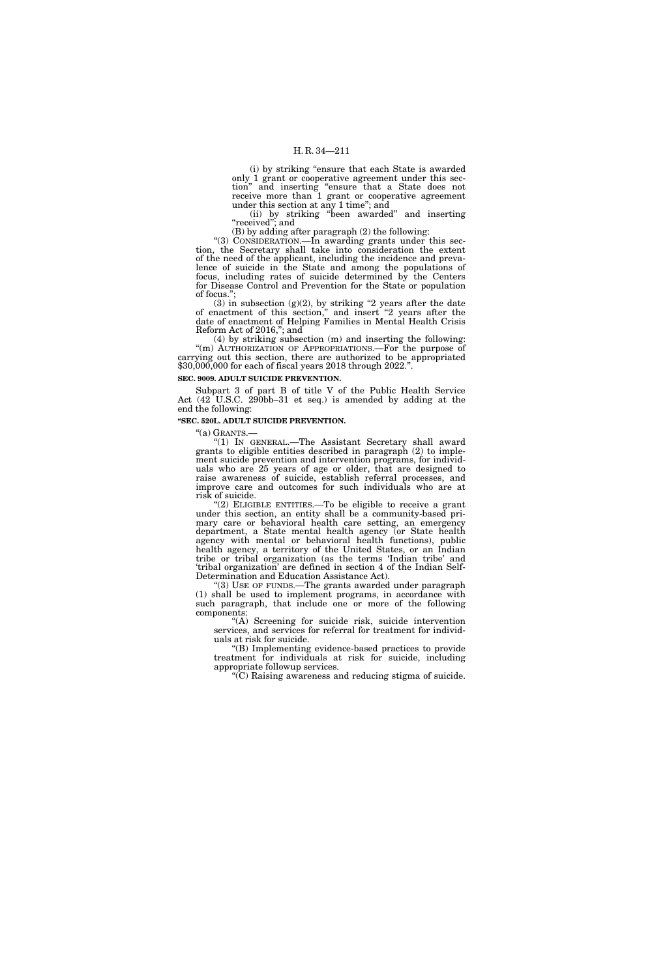(i) by striking ''ensure that each State is awarded only 1 grant or cooperative agreement under this section'' and inserting ''ensure that a State does not receive more than 1 grant or cooperative agreement under this section at any 1 time''; and

(ii) by striking ''been awarded'' and inserting ''received''; and

(B) by adding after paragraph (2) the following:

"(3) CONSIDERATION.—In awarding grants under this section, the Secretary shall take into consideration the extent of the need of the applicant, including the incidence and prevalence of suicide in the State and among the populations of focus, including rates of suicide determined by the Centers for Disease Control and Prevention for the State or population of focus.'';

 $(3)$  in subsection  $(g)(2)$ , by striking "2 years after the date of enactment of this section,'' and insert ''2 years after the date of enactment of Helping Families in Mental Health Crisis Reform Act of 2016,''; and

(4) by striking subsection (m) and inserting the following: "(m) AUTHORIZATION OF APPROPRIATIONS.—For the purpose of carrying out this section, there are authorized to be appropriated \$30,000,000 for each of fiscal years 2018 through 2022."

## **SEC. 9009. ADULT SUICIDE PREVENTION.**

Subpart 3 of part B of title V of the Public Health Service Act  $(42^{\circ}$ U.S.C. 290bb–31 et seq.) is amended by adding at the end the following:

#### **''SEC. 520L. ADULT SUICIDE PREVENTION.**

''(a) GRANTS.— ''(1) IN GENERAL.—The Assistant Secretary shall award grants to eligible entities described in paragraph (2) to implement suicide prevention and intervention programs, for individuals who are 25 years of age or older, that are designed to raise awareness of suicide, establish referral processes, and improve care and outcomes for such individuals who are at risk of suicide.

"(2) ELIGIBLE ENTITIES.—To be eligible to receive a grant under this section, an entity shall be a community-based primary care or behavioral health care setting, an emergency department, a State mental health agency (or State health agency with mental or behavioral health functions), public health agency, a territory of the United States, or an Indian tribe or tribal organization (as the terms 'Indian tribe' and 'tribal organization' are defined in section 4 of the Indian Self-Determination and Education Assistance Act).

''(3) USE OF FUNDS.—The grants awarded under paragraph (1) shall be used to implement programs, in accordance with such paragraph, that include one or more of the following components:

''(A) Screening for suicide risk, suicide intervention services, and services for referral for treatment for individuals at risk for suicide.

''(B) Implementing evidence-based practices to provide treatment for individuals at risk for suicide, including appropriate followup services.

''(C) Raising awareness and reducing stigma of suicide.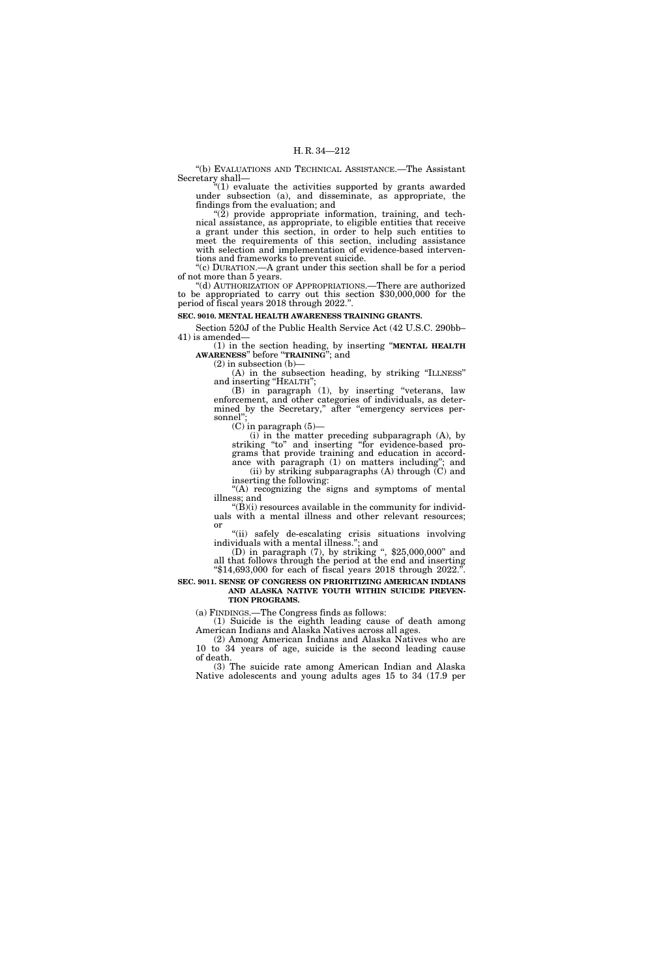''(b) EVALUATIONS AND TECHNICAL ASSISTANCE.—The Assistant Secretary shall—

''(1) evaluate the activities supported by grants awarded under subsection (a), and disseminate, as appropriate, the findings from the evaluation; and

 $\degree$ (2) provide appropriate information, training, and technical assistance, as appropriate, to eligible entities that receive a grant under this section, in order to help such entities to meet the requirements of this section, including assistance with selection and implementation of evidence-based interventions and frameworks to prevent suicide.

''(c) DURATION.—A grant under this section shall be for a period of not more than 5 years.

''(d) AUTHORIZATION OF APPROPRIATIONS.—There are authorized to be appropriated to carry out this section \$30,000,000 for the period of fiscal years 2018 through 2022.''.

## **SEC. 9010. MENTAL HEALTH AWARENESS TRAINING GRANTS.**

Section 520J of the Public Health Service Act (42 U.S.C. 290bb– 41) is amended—

(1) in the section heading, by inserting ''**MENTAL HEALTH AWARENESS**'' before ''**TRAINING**''; and

 $(2)$  in subsection  $(b)$ – (A) in the subsection heading, by striking ''ILLNESS'' and inserting "HEALTH";

(B) in paragraph (1), by inserting ''veterans, law enforcement, and other categories of individuals, as determined by the Secretary," after "emergency services personnel'';

 $(C)$  in paragraph  $(5)$ —

(i) in the matter preceding subparagraph (A), by striking ''to'' and inserting ''for evidence-based programs that provide training and education in accordance with paragraph (1) on matters including''; and (ii) by striking subparagraphs  $(A)$  through  $(C)$  and inserting the following:

"(A) recognizing the signs and symptoms of mental illness; and

 $\mathcal{L}(\hat{\mathbf{B}})(i)$  resources available in the community for individuals with a mental illness and other relevant resources; or

"(ii) safely de-escalating crisis situations involving individuals with a mental illness."; and (D) in paragraph (7), by striking ", \$25,000,000" and

all that follows through the period at the end and inserting ''\$14,693,000 for each of fiscal years 2018 through 2022.''.

**SEC. 9011. SENSE OF CONGRESS ON PRIORITIZING AMERICAN INDIANS AND ALASKA NATIVE YOUTH WITHIN SUICIDE PREVEN-TION PROGRAMS.** 

(a) FINDINGS.—The Congress finds as follows:

(1) Suicide is the eighth leading cause of death among American Indians and Alaska Natives across all ages.

(2) Among American Indians and Alaska Natives who are 10 to 34 years of age, suicide is the second leading cause of death.

(3) The suicide rate among American Indian and Alaska Native adolescents and young adults ages 15 to 34 (17.9 per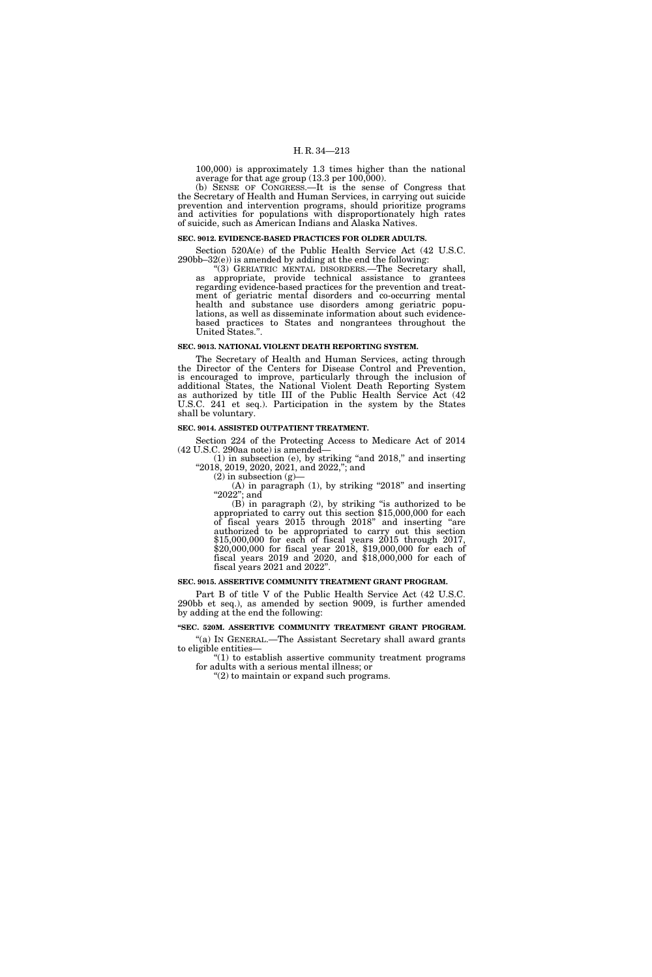100,000) is approximately 1.3 times higher than the national average for that age group  $(13.3 \text{ per } 100,000)$ .

(b) SENSE OF CONGRESS.—It is the sense of Congress that the Secretary of Health and Human Services, in carrying out suicide prevention and intervention programs, should prioritize programs and activities for populations with disproportionately high rates of suicide, such as American Indians and Alaska Natives.

#### **SEC. 9012. EVIDENCE-BASED PRACTICES FOR OLDER ADULTS.**

Section 520A(e) of the Public Health Service Act (42 U.S.C. 290bb–32(e)) is amended by adding at the end the following:

''(3) GERIATRIC MENTAL DISORDERS.—The Secretary shall, as appropriate, provide technical assistance to grantees regarding evidence-based practices for the prevention and treatment of geriatric mental disorders and co-occurring mental health and substance use disorders among geriatric populations, as well as disseminate information about such evidencebased practices to States and nongrantees throughout the United States.''.

#### **SEC. 9013. NATIONAL VIOLENT DEATH REPORTING SYSTEM.**

The Secretary of Health and Human Services, acting through the Director of the Centers for Disease Control and Prevention, is encouraged to improve, particularly through the inclusion of additional States, the National Violent Death Reporting System as authorized by title III of the Public Health Service Act (42 U.S.C. 241 et seq.). Participation in the system by the States shall be voluntary.

#### **SEC. 9014. ASSISTED OUTPATIENT TREATMENT.**

Section 224 of the Protecting Access to Medicare Act of 2014 (42 U.S.C. 290aa note) is amended—

(1) in subsection (e), by striking ''and 2018,'' and inserting ''2018, 2019, 2020, 2021, and 2022,''; and

 $(2)$  in subsection  $(g)$ 

(A) in paragraph  $(1)$ , by striking "2018" and inserting " $2022$ "; and

 $(B)$  in paragraph  $(2)$ , by striking "is authorized to be appropriated to carry out this section \$15,000,000 for each of fiscal years 2015 through 2018'' and inserting ''are authorized to be appropriated to carry out this section \$15,000,000 for each of fiscal years 2015 through 2017, \$20,000,000 for fiscal year 2018, \$19,000,000 for each of fiscal years 2019 and 2020, and \$18,000,000 for each of fiscal years 2021 and 2022''.

#### **SEC. 9015. ASSERTIVE COMMUNITY TREATMENT GRANT PROGRAM.**

Part B of title V of the Public Health Service Act (42 U.S.C. 290bb et seq.), as amended by section 9009, is further amended by adding at the end the following:

## **''SEC. 520M. ASSERTIVE COMMUNITY TREATMENT GRANT PROGRAM.**

''(a) IN GENERAL.—The Assistant Secretary shall award grants to eligible entities—

''(1) to establish assertive community treatment programs for adults with a serious mental illness; or

''(2) to maintain or expand such programs.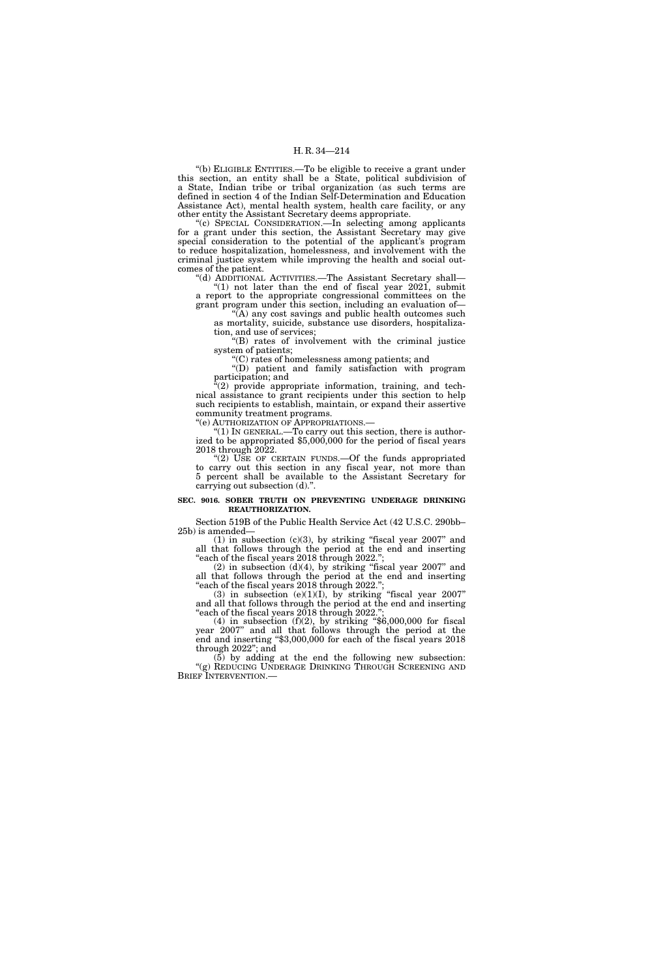''(b) ELIGIBLE ENTITIES.—To be eligible to receive a grant under this section, an entity shall be a State, political subdivision of a State, Indian tribe or tribal organization (as such terms are defined in section 4 of the Indian Self-Determination and Education Assistance Act), mental health system, health care facility, or any other entity the Assistant Secretary deems appropriate.

''(c) SPECIAL CONSIDERATION.—In selecting among applicants for a grant under this section, the Assistant Secretary may give special consideration to the potential of the applicant's program to reduce hospitalization, homelessness, and involvement with the criminal justice system while improving the health and social outcomes of the patient.

''(d) ADDITIONAL ACTIVITIES.—The Assistant Secretary shall—  $(1)$  not later than the end of fiscal year 2021, submit a report to the appropriate congressional committees on the

grant program under this section, including an evaluation of— ''(A) any cost savings and public health outcomes such

as mortality, suicide, substance use disorders, hospitalization, and use of services;

''(B) rates of involvement with the criminal justice system of patients;

''(C) rates of homelessness among patients; and

''(D) patient and family satisfaction with program participation; and

(2) provide appropriate information, training, and technical assistance to grant recipients under this section to help such recipients to establish, maintain, or expand their assertive community treatment programs.

''(e) AUTHORIZATION OF APPROPRIATIONS.—

''(1) IN GENERAL.—To carry out this section, there is authorized to be appropriated \$5,000,000 for the period of fiscal years 2018 through 2022.

" $(2)$  USE OF CERTAIN FUNDS.—Of the funds appropriated to carry out this section in any fiscal year, not more than 5 percent shall be available to the Assistant Secretary for carrying out subsection (d).''.

#### **SEC. 9016. SOBER TRUTH ON PREVENTING UNDERAGE DRINKING REAUTHORIZATION.**

Section 519B of the Public Health Service Act (42 U.S.C. 290bb– 25b) is amended—

 $(1)$  in subsection  $(c)(3)$ , by striking "fiscal year 2007" and all that follows through the period at the end and inserting ''each of the fiscal years 2018 through 2022.'';

 $(2)$  in subsection  $(d)(4)$ , by striking "fiscal year 2007" and all that follows through the period at the end and inserting ''each of the fiscal years 2018 through 2022.'';

(3) in subsection (e)(1)(I), by striking "fiscal year  $2007"$ and all that follows through the period at the end and inserting

"each of the fiscal years 2018 through 2022.";<br>(4) in subsection (f)(2), by striking "\$6,000,000 for fiscal year 2007'' and all that follows through the period at the end and inserting ''\$3,000,000 for each of the fiscal years 2018 through 2022''; and

 $(5)$  by adding at the end the following new subsection: "(g) REDUCING UNDERAGE DRINKING THROUGH SCREENING AND BRIEF INTERVENTION.—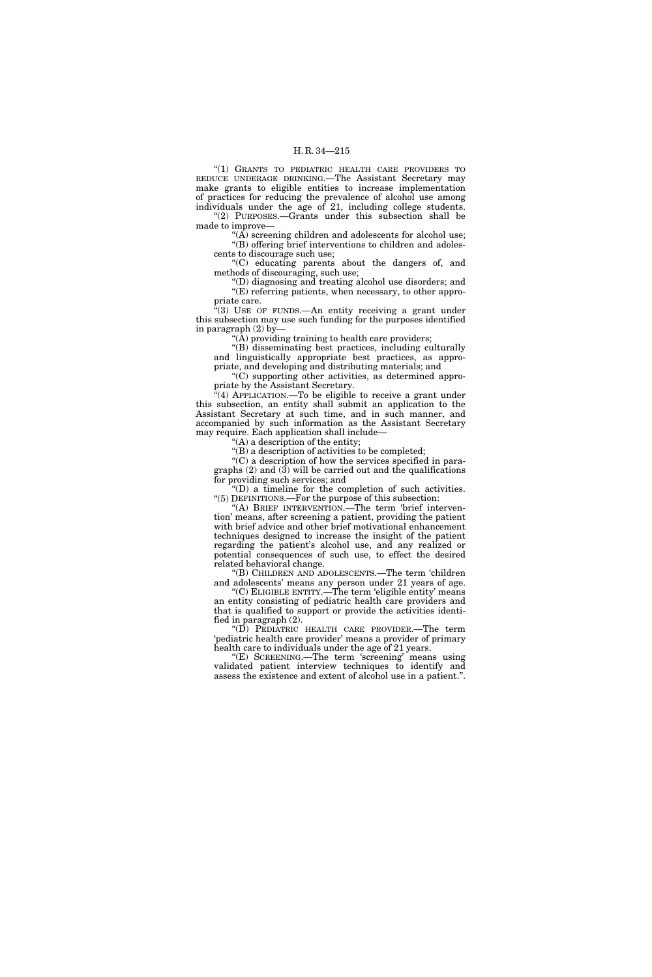''(1) GRANTS TO PEDIATRIC HEALTH CARE PROVIDERS TO REDUCE UNDERAGE DRINKING.—The Assistant Secretary may make grants to eligible entities to increase implementation of practices for reducing the prevalence of alcohol use among individuals under the age of 21, including college students. ''(2) PURPOSES.—Grants under this subsection shall be made to improve—

"(A) screening children and adolescents for alcohol use; ''(B) offering brief interventions to children and adolescents to discourage such use;

''(C) educating parents about the dangers of, and methods of discouraging, such use;

''(D) diagnosing and treating alcohol use disorders; and ''(E) referring patients, when necessary, to other appropriate care.

 $(3)$  USE OF FUNDS.—An entity receiving a grant under this subsection may use such funding for the purposes identified in paragraph (2) by—

"( $\bar{A}$ ) providing training to health care providers;

''(B) disseminating best practices, including culturally and linguistically appropriate best practices, as appropriate, and developing and distributing materials; and

''(C) supporting other activities, as determined appropriate by the Assistant Secretary.

''(4) APPLICATION.—To be eligible to receive a grant under this subsection, an entity shall submit an application to the Assistant Secretary at such time, and in such manner, and accompanied by such information as the Assistant Secretary may require. Each application shall include—

''(A) a description of the entity;

 $\mathrm{``(B)}$  a description of activities to be completed;

''(C) a description of how the services specified in paragraphs  $(2)$  and  $(3)$  will be carried out and the qualifications for providing such services; and

''(D) a timeline for the completion of such activities. ''(5) DEFINITIONS.—For the purpose of this subsection:

"(A) BRIEF INTERVENTION.—The term 'brief intervention' means, after screening a patient, providing the patient with brief advice and other brief motivational enhancement techniques designed to increase the insight of the patient regarding the patient's alcohol use, and any realized or potential consequences of such use, to effect the desired related behavioral change.

''(B) CHILDREN AND ADOLESCENTS.—The term 'children and adolescents' means any person under 21 years of age.

''(C) ELIGIBLE ENTITY.—The term 'eligible entity' means an entity consisting of pediatric health care providers and that is qualified to support or provide the activities identified in paragraph (2).

''(D) PEDIATRIC HEALTH CARE PROVIDER.—The term 'pediatric health care provider' means a provider of primary health care to individuals under the age of 21 years.

''(E) SCREENING.—The term 'screening' means using validated patient interview techniques to identify and assess the existence and extent of alcohol use in a patient.''.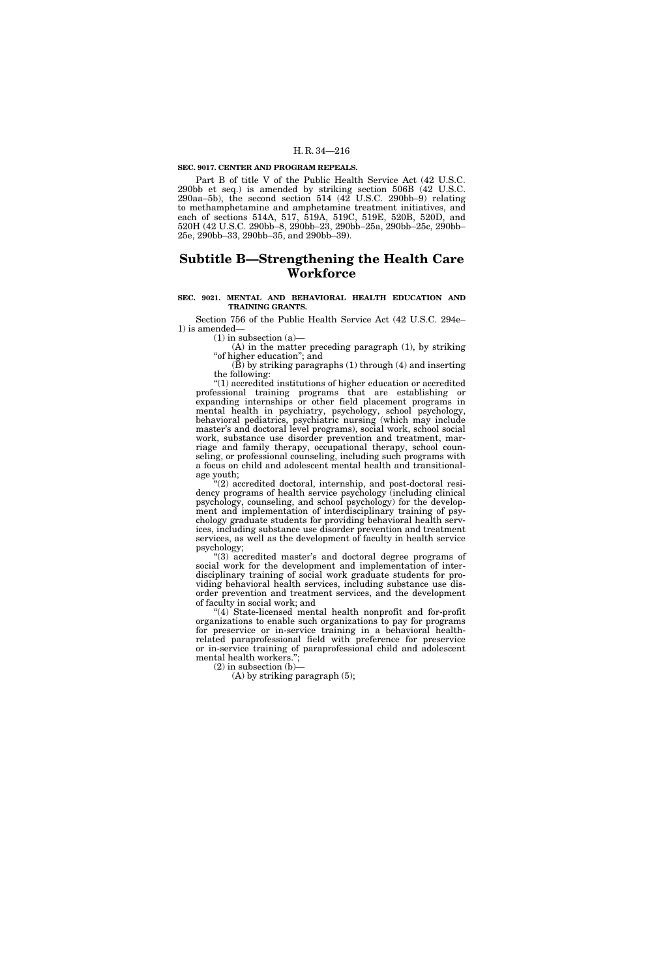#### **SEC. 9017. CENTER AND PROGRAM REPEALS.**

Part B of title V of the Public Health Service Act (42 U.S.C. 290bb et seq.) is amended by striking section 506B (42 U.S.C. 290aa–5b), the second section 514 (42 U.S.C. 290bb–9) relating to methamphetamine and amphetamine treatment initiatives, and each of sections 514A, 517, 519A, 519C, 519E, 520B, 520D, and 520H (42 U.S.C. 290bb–8, 290bb–23, 290bb–25a, 290bb–25c, 290bb– 25e, 290bb–33, 290bb–35, and 290bb–39).

## **Subtitle B—Strengthening the Health Care Workforce**

## **SEC. 9021. MENTAL AND BEHAVIORAL HEALTH EDUCATION AND TRAINING GRANTS.**

Section 756 of the Public Health Service Act (42 U.S.C. 294e– 1) is amended—

(1) in subsection (a)—

(A) in the matter preceding paragraph (1), by striking ''of higher education''; and

(B) by striking paragraphs (1) through (4) and inserting the following:

''(1) accredited institutions of higher education or accredited professional training programs that are establishing or expanding internships or other field placement programs in mental health in psychiatry, psychology, school psychology, behavioral pediatrics, psychiatric nursing (which may include master's and doctoral level programs), social work, school social work, substance use disorder prevention and treatment, marriage and family therapy, occupational therapy, school counseling, or professional counseling, including such programs with a focus on child and adolescent mental health and transitionalage youth;

''(2) accredited doctoral, internship, and post-doctoral residency programs of health service psychology (including clinical psychology, counseling, and school psychology) for the development and implementation of interdisciplinary training of psychology graduate students for providing behavioral health services, including substance use disorder prevention and treatment services, as well as the development of faculty in health service psychology;

''(3) accredited master's and doctoral degree programs of social work for the development and implementation of interdisciplinary training of social work graduate students for providing behavioral health services, including substance use disorder prevention and treatment services, and the development of faculty in social work; and

"(4) State-licensed mental health nonprofit and for-profit organizations to enable such organizations to pay for programs for preservice or in-service training in a behavioral healthrelated paraprofessional field with preference for preservice or in-service training of paraprofessional child and adolescent mental health workers.'';

(2) in subsection (b)—

 $(A)$  by striking paragraph  $(5)$ ;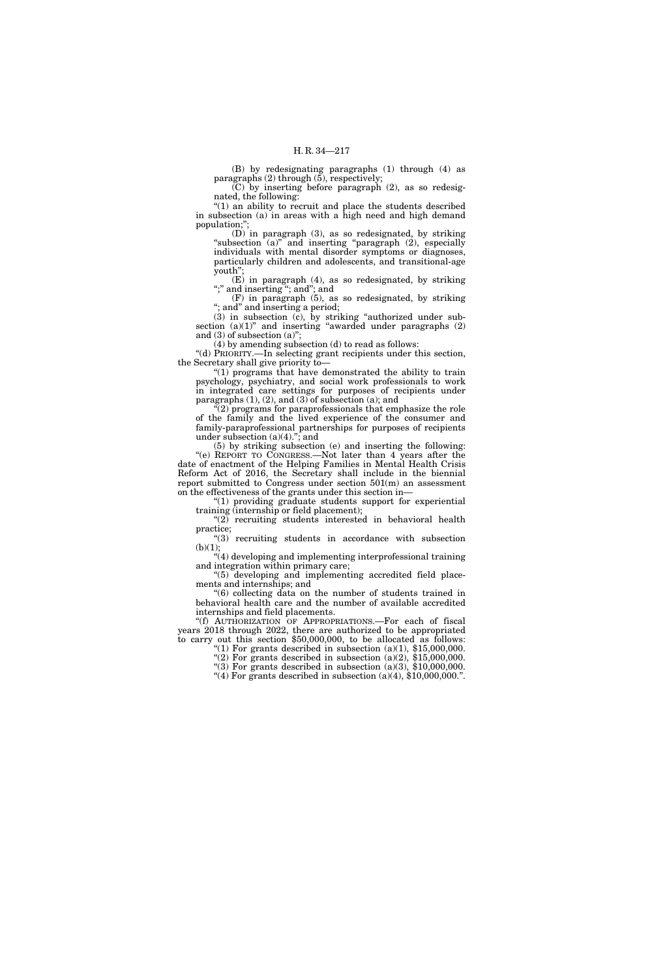(B) by redesignating paragraphs (1) through (4) as paragraphs (2) through (5), respectively;

(C) by inserting before paragraph (2), as so redesignated, the following:

 $''(1)$  an ability to recruit and place the students described in subsection (a) in areas with a high need and high demand population;'';

(D) in paragraph (3), as so redesignated, by striking "subsection (a)" and inserting "paragraph (2), especially individuals with mental disorder symptoms or diagnoses, particularly children and adolescents, and transitional-age youth'';

 $(E)$  in paragraph  $(4)$ , as so redesignated, by striking ";" and inserting "; and"; and

(F) in paragraph (5), as so redesignated, by striking ''; and'' and inserting a period;

(3) in subsection (c), by striking ''authorized under subsection  $(a)(1)$ " and inserting "awarded under paragraphs  $(2)$ and (3) of subsection (a)";

(4) by amending subsection (d) to read as follows:

''(d) PRIORITY.—In selecting grant recipients under this section, the Secretary shall give priority to—

''(1) programs that have demonstrated the ability to train psychology, psychiatry, and social work professionals to work in integrated care settings for purposes of recipients under paragraphs  $(1)$ ,  $(2)$ , and  $(3)$  of subsection  $(a)$ ; and

''(2) programs for paraprofessionals that emphasize the role of the family and the lived experience of the consumer and family-paraprofessional partnerships for purposes of recipients under subsection  $(a)(4)$ ."; and

(5) by striking subsection (e) and inserting the following: ''(e) REPORT TO CONGRESS.—Not later than 4 years after the date of enactment of the Helping Families in Mental Health Crisis Reform Act of 2016, the Secretary shall include in the biennial report submitted to Congress under section 501(m) an assessment on the effectiveness of the grants under this section in—

''(1) providing graduate students support for experiential training (internship or field placement);

"(2) recruiting students interested in behavioral health practice;

"(3) recruiting students in accordance with subsection  $(b)(1);$ 

 $*(4)$  developing and implementing interprofessional training and integration within primary care;

''(5) developing and implementing accredited field placements and internships; and

''(6) collecting data on the number of students trained in behavioral health care and the number of available accredited internships and field placements.

''(f) AUTHORIZATION OF APPROPRIATIONS.—For each of fiscal years 2018 through 2022, there are authorized to be appropriated to carry out this section \$50,000,000, to be allocated as follows:

"(1) For grants described in subsection  $(a)(1)$ , \$15,000,000. "(2) For grants described in subsection  $(a)(2)$ , \$15,000,000.

"(3) For grants described in subsection  $(a)(3)$ , \$10,000,000.

"(4) For grants described in subsection  $(a)(4)$ , \$10,000,000.".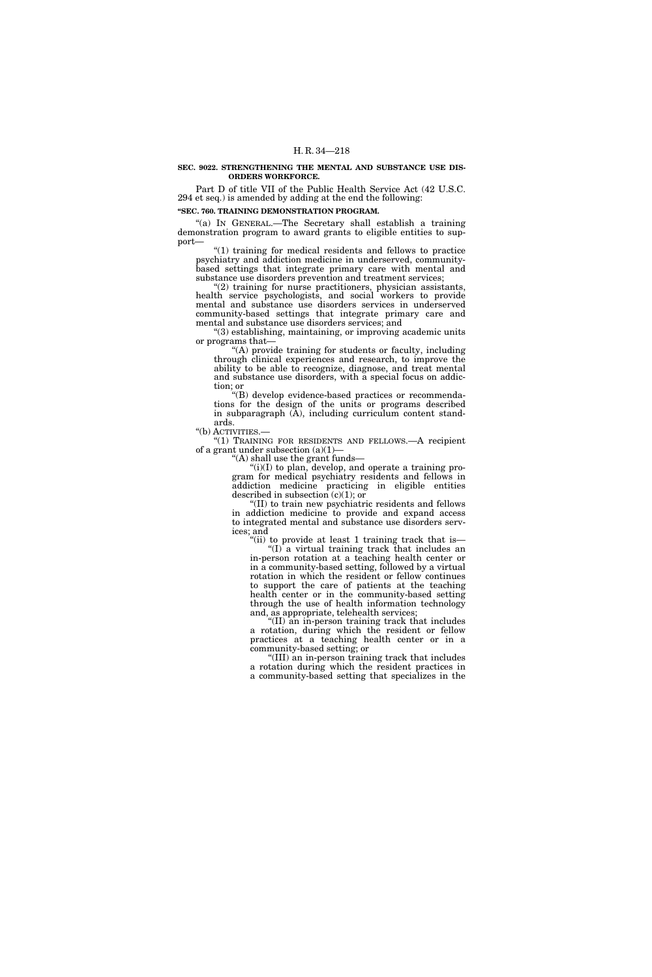#### **SEC. 9022. STRENGTHENING THE MENTAL AND SUBSTANCE USE DIS-ORDERS WORKFORCE.**

Part D of title VII of the Public Health Service Act (42 U.S.C. 294 et seq.) is amended by adding at the end the following:

## **''SEC. 760. TRAINING DEMONSTRATION PROGRAM.**

''(a) IN GENERAL.—The Secretary shall establish a training demonstration program to award grants to eligible entities to support—

 $''(1)$  training for medical residents and fellows to practice psychiatry and addiction medicine in underserved, communitybased settings that integrate primary care with mental and substance use disorders prevention and treatment services;

 $\mathcal{C}(2)$  training for nurse practitioners, physician assistants, health service psychologists, and social workers to provide mental and substance use disorders services in underserved community-based settings that integrate primary care and mental and substance use disorders services; and

''(3) establishing, maintaining, or improving academic units or programs that—

''(A) provide training for students or faculty, including through clinical experiences and research, to improve the ability to be able to recognize, diagnose, and treat mental and substance use disorders, with a special focus on addiction; or

''(B) develop evidence-based practices or recommendations for the design of the units or programs described in subparagraph (A), including curriculum content standards.

''(b) ACTIVITIES.—

''(1) TRAINING FOR RESIDENTS AND FELLOWS.—A recipient of a grant under subsection  $(a)(1)$ –

''(A) shall use the grant funds—

 $\binom{1}{i}$ (I) to plan, develop, and operate a training program for medical psychiatry residents and fellows in addiction medicine practicing in eligible entities described in subsection  $(c)(1)$ ; or

''(II) to train new psychiatric residents and fellows in addiction medicine to provide and expand access to integrated mental and substance use disorders services; and

''(ii) to provide at least 1 training track that is—

''(I) a virtual training track that includes an in-person rotation at a teaching health center or in a community-based setting, followed by a virtual rotation in which the resident or fellow continues to support the care of patients at the teaching health center or in the community-based setting through the use of health information technology and, as appropriate, telehealth services;

''(II) an in-person training track that includes a rotation, during which the resident or fellow practices at a teaching health center or in a community-based setting; or

''(III) an in-person training track that includes a rotation during which the resident practices in a community-based setting that specializes in the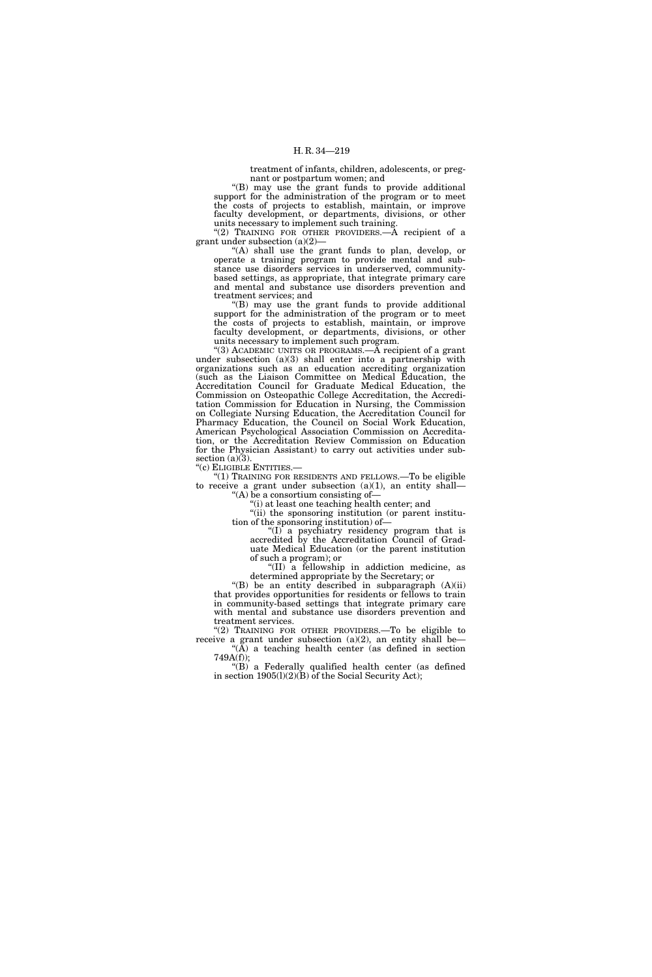treatment of infants, children, adolescents, or pregnant or postpartum women; and

''(B) may use the grant funds to provide additional support for the administration of the program or to meet the costs of projects to establish, maintain, or improve faculty development, or departments, divisions, or other units necessary to implement such training.

"(2) TRAINING FOR OTHER PROVIDERS.— $\overline{A}$  recipient of a grant under subsection (a)(2)—

''(A) shall use the grant funds to plan, develop, or operate a training program to provide mental and substance use disorders services in underserved, communitybased settings, as appropriate, that integrate primary care and mental and substance use disorders prevention and treatment services; and

''(B) may use the grant funds to provide additional support for the administration of the program or to meet the costs of projects to establish, maintain, or improve faculty development, or departments, divisions, or other units necessary to implement such program.

"(3) ACADEMIC UNITS OR PROGRAMS.—A recipient of a grant under subsection (a)(3) shall enter into a partnership with organizations such as an education accrediting organization (such as the Liaison Committee on Medical Education, the Accreditation Council for Graduate Medical Education, the Commission on Osteopathic College Accreditation, the Accreditation Commission for Education in Nursing, the Commission on Collegiate Nursing Education, the Accreditation Council for Pharmacy Education, the Council on Social Work Education, American Psychological Association Commission on Accreditation, or the Accreditation Review Commission on Education for the Physician Assistant) to carry out activities under subsection  $(a)(3)$ .

''(c) ELIGIBLE ENTITIES.—

''(1) TRAINING FOR RESIDENTS AND FELLOWS.—To be eligible to receive a grant under subsection  $(a)(1)$ , an entity shall-"(A) be a consortium consisting of  $-$ 

(i) at least one teaching health center; and

''(ii) the sponsoring institution (or parent institution of the sponsoring institution) of—

" $(I)$  a psychiatry residency program that is accredited by the Accreditation Council of Graduate Medical Education (or the parent institution of such a program); or

''(II) a fellowship in addiction medicine, as determined appropriate by the Secretary; or

''(B) be an entity described in subparagraph (A)(ii) that provides opportunities for residents or fellows to train in community-based settings that integrate primary care with mental and substance use disorders prevention and treatment services.

''(2) TRAINING FOR OTHER PROVIDERS.—To be eligible to receive a grant under subsection  $(a)(2)$ , an entity shall be-" $(\overline{A})$  a teaching health center (as defined in section

749A(f)); ''(B) a Federally qualified health center (as defined in section  $1905(l)(2)(B)$  of the Social Security Act);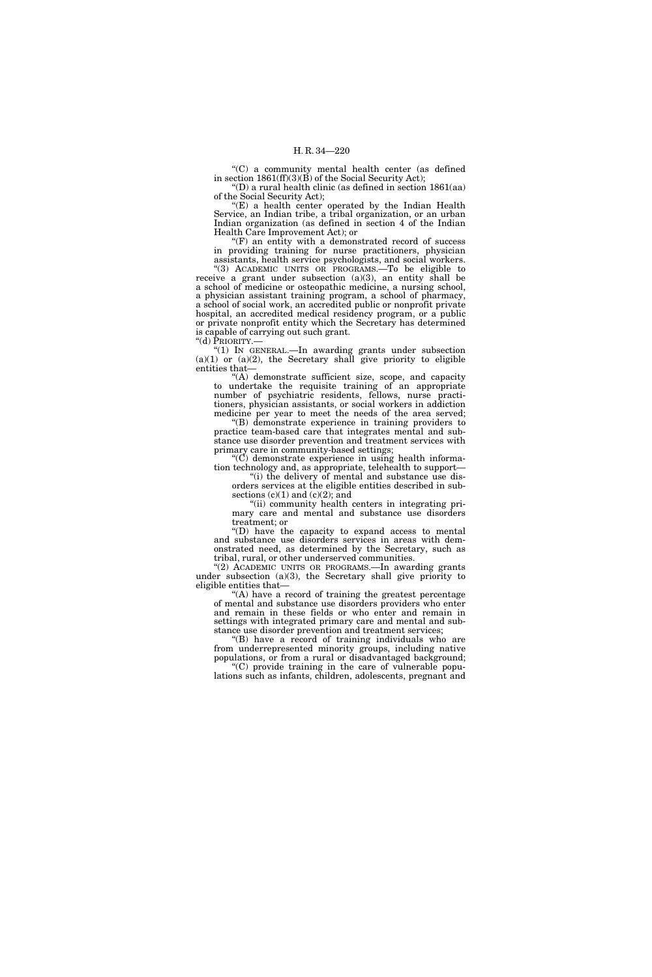''(C) a community mental health center (as defined in section 1861(ff)(3)(B) of the Social Security Act);

''(D) a rural health clinic (as defined in section 1861(aa) of the Social Security Act);

"(E) a health center operated by the Indian Health Service, an Indian tribe, a tribal organization, or an urban Indian organization (as defined in section 4 of the Indian Health Care Improvement Act); or

" $(F)$  an entity with a demonstrated record of success" in providing training for nurse practitioners, physician assistants, health service psychologists, and social workers.

''(3) ACADEMIC UNITS OR PROGRAMS.—To be eligible to receive a grant under subsection (a)(3), an entity shall be a school of medicine or osteopathic medicine, a nursing school, a physician assistant training program, a school of pharmacy, a school of social work, an accredited public or nonprofit private hospital, an accredited medical residency program, or a public or private nonprofit entity which the Secretary has determined is capable of carrying out such grant. "(d) PRIORITY.-

''(1) IN GENERAL.—In awarding grants under subsection  $(a)(1)$  or  $(a)(2)$ , the Secretary shall give priority to eligible entities that—

''(A) demonstrate sufficient size, scope, and capacity to undertake the requisite training of an appropriate number of psychiatric residents, fellows, nurse practitioners, physician assistants, or social workers in addiction medicine per year to meet the needs of the area served;

''(B) demonstrate experience in training providers to practice team-based care that integrates mental and substance use disorder prevention and treatment services with primary care in community-based settings;

" $(\check{C})$  demonstrate experience in using health information technology and, as appropriate, telehealth to support—

''(i) the delivery of mental and substance use disorders services at the eligible entities described in subsections  $(c)(1)$  and  $(c)(2)$ ; and

(ii) community health centers in integrating primary care and mental and substance use disorders treatment; or

''(D) have the capacity to expand access to mental and substance use disorders services in areas with demonstrated need, as determined by the Secretary, such as tribal, rural, or other underserved communities.

"(2) ACADEMIC UNITS OR PROGRAMS.—In awarding grants under subsection (a)(3), the Secretary shall give priority to eligible entities that—

''(A) have a record of training the greatest percentage of mental and substance use disorders providers who enter and remain in these fields or who enter and remain in settings with integrated primary care and mental and substance use disorder prevention and treatment services;

''(B) have a record of training individuals who are from underrepresented minority groups, including native populations, or from a rural or disadvantaged background;

 $(C)$  provide training in the care of vulnerable populations such as infants, children, adolescents, pregnant and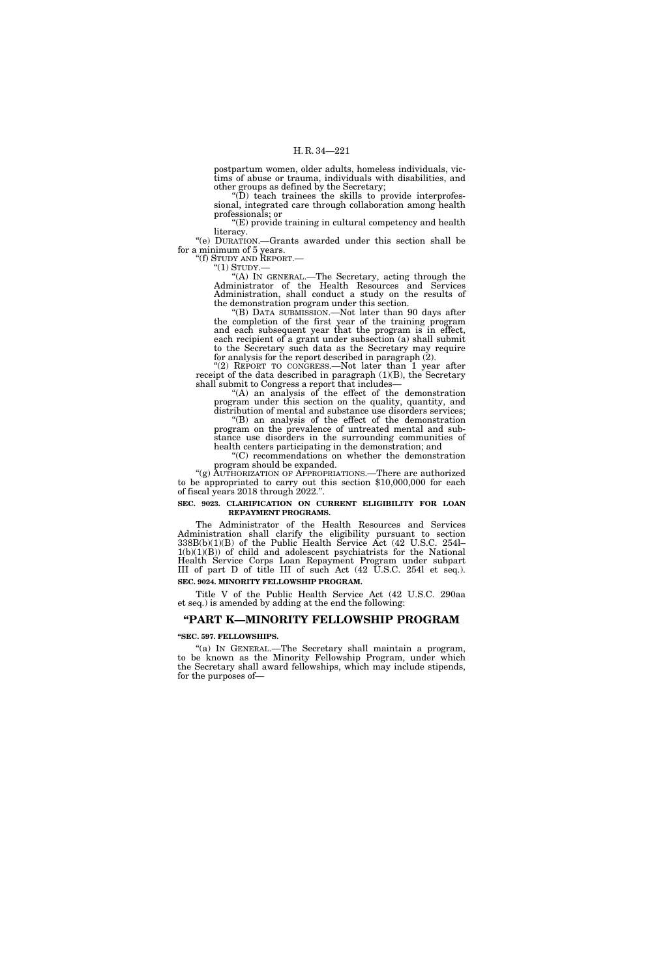postpartum women, older adults, homeless individuals, victims of abuse or trauma, individuals with disabilities, and other groups as defined by the Secretary;

''(D) teach trainees the skills to provide interprofessional, integrated care through collaboration among health professionals; or

 $(E)$  provide training in cultural competency and health literacy.

''(e) DURATION.—Grants awarded under this section shall be for a minimum of 5 years.<br>"(f) STUDY AND REPORT.—

"(1) STUDY.—<br>"(A) IN GENERAL.—The Secretary, acting through the Administrator of the Health Resources and Services Administration, shall conduct a study on the results of the demonstration program under this section.

''(B) DATA SUBMISSION.—Not later than 90 days after the completion of the first year of the training program and each subsequent year that the program is in effect, each recipient of a grant under subsection (a) shall submit to the Secretary such data as the Secretary may require for analysis for the report described in paragraph (2).

"(2) REPORT TO CONGRESS.—Not later than 1 year after receipt of the data described in paragraph  $(1)(B)$ , the Secretary shall submit to Congress a report that includes—

''(A) an analysis of the effect of the demonstration program under this section on the quality, quantity, and distribution of mental and substance use disorders services;

''(B) an analysis of the effect of the demonstration program on the prevalence of untreated mental and substance use disorders in the surrounding communities of

health centers participating in the demonstration; and ''(C) recommendations on whether the demonstration program should be expanded.

"(g) AUTHORIZATION OF APPROPRIATIONS.—There are authorized to be appropriated to carry out this section \$10,000,000 for each of fiscal years 2018 through 2022.''.

## **SEC. 9023. CLARIFICATION ON CURRENT ELIGIBILITY FOR LOAN REPAYMENT PROGRAMS.**

The Administrator of the Health Resources and Services Administration shall clarify the eligibility pursuant to section 338B(b)(1)(B) of the Public Health Service Act (42 U.S.C. 254l–  $1(b)(1)(B)$  of child and adolescent psychiatrists for the National Health Service Corps Loan Repayment Program under subpart III of part D of title III of such Act (42 U.S.C. 254l et seq.).

## **SEC. 9024. MINORITY FELLOWSHIP PROGRAM.**

Title V of the Public Health Service Act (42 U.S.C. 290aa et seq.) is amended by adding at the end the following:

## **''PART K—MINORITY FELLOWSHIP PROGRAM**

#### **''SEC. 597. FELLOWSHIPS.**

"(a) IN GENERAL.—The Secretary shall maintain a program, to be known as the Minority Fellowship Program, under which the Secretary shall award fellowships, which may include stipends, for the purposes of—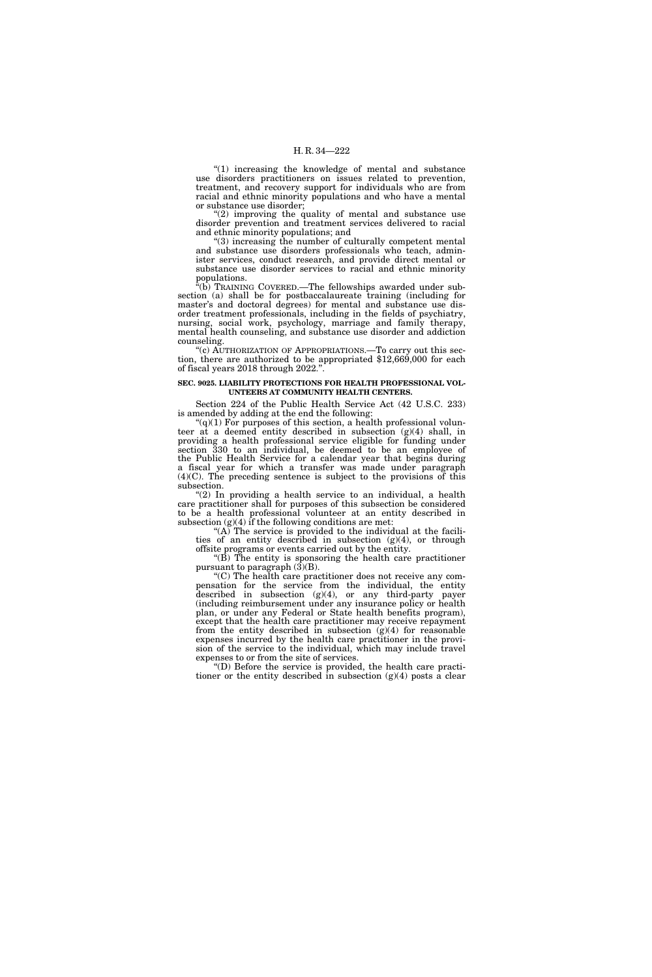"(1) increasing the knowledge of mental and substance use disorders practitioners on issues related to prevention, treatment, and recovery support for individuals who are from racial and ethnic minority populations and who have a mental or substance use disorder;

" $(2)$  improving the quality of mental and substance use disorder prevention and treatment services delivered to racial and ethnic minority populations; and

''(3) increasing the number of culturally competent mental and substance use disorders professionals who teach, administer services, conduct research, and provide direct mental or substance use disorder services to racial and ethnic minority populations.

''(b) TRAINING COVERED.—The fellowships awarded under subsection (a) shall be for postbaccalaureate training (including for master's and doctoral degrees) for mental and substance use disorder treatment professionals, including in the fields of psychiatry, nursing, social work, psychology, marriage and family therapy, mental health counseling, and substance use disorder and addiction counseling.

"(c) AUTHORIZATION OF APPROPRIATIONS.—To carry out this section, there are authorized to be appropriated \$12,669,000 for each of fiscal years 2018 through 2022.

### **SEC. 9025. LIABILITY PROTECTIONS FOR HEALTH PROFESSIONAL VOL-UNTEERS AT COMMUNITY HEALTH CENTERS.**

Section 224 of the Public Health Service Act (42 U.S.C. 233) is amended by adding at the end the following:

 $(q(1)$  For purposes of this section, a health professional volunteer at a deemed entity described in subsection (g)(4) shall, in providing a health professional service eligible for funding under section 330 to an individual, be deemed to be an employee of the Public Health Service for a calendar year that begins during a fiscal year for which a transfer was made under paragraph (4)(C). The preceding sentence is subject to the provisions of this subsection.

"(2) In providing a health service to an individual, a health care practitioner shall for purposes of this subsection be considered to be a health professional volunteer at an entity described in subsection  $(g)(4)$  if the following conditions are met:

"(A) The service is provided to the individual at the facilities of an entity described in subsection (g)(4), or through offsite programs or events carried out by the entity.

''(B) The entity is sponsoring the health care practitioner pursuant to paragraph  $(\hat{3})(B)$ .

''(C) The health care practitioner does not receive any compensation for the service from the individual, the entity described in subsection (g)(4), or any third-party payer (including reimbursement under any insurance policy or health plan, or under any Federal or State health benefits program), except that the health care practitioner may receive repayment from the entity described in subsection  $(g)(4)$  for reasonable expenses incurred by the health care practitioner in the provision of the service to the individual, which may include travel expenses to or from the site of services.

''(D) Before the service is provided, the health care practitioner or the entity described in subsection (g)(4) posts a clear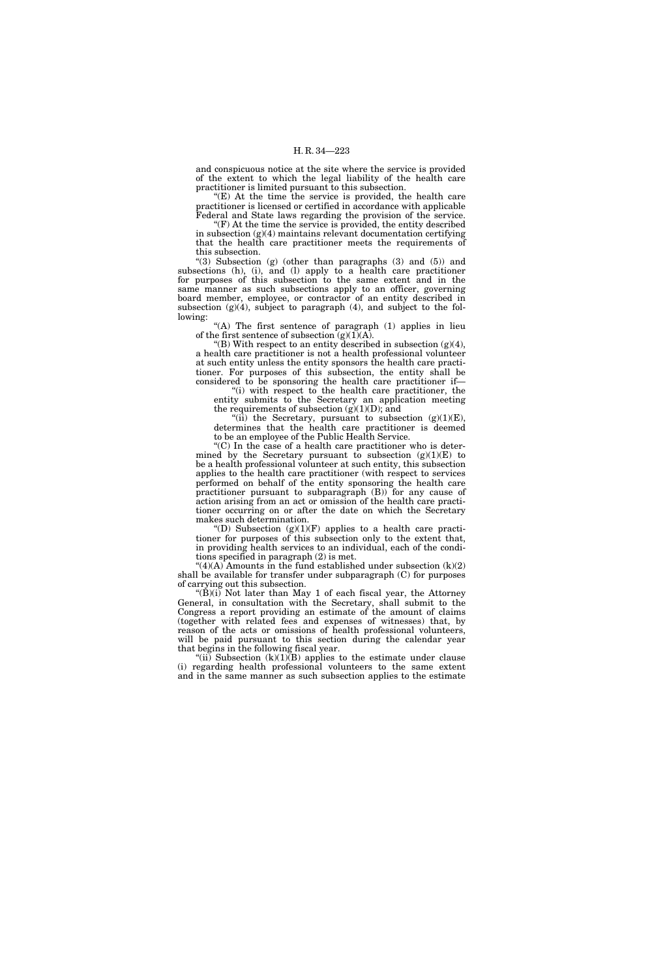and conspicuous notice at the site where the service is provided of the extent to which the legal liability of the health care practitioner is limited pursuant to this subsection.

''(E) At the time the service is provided, the health care practitioner is licensed or certified in accordance with applicable Federal and State laws regarding the provision of the service.

 $F(F)$  At the time the service is provided, the entity described in subsection  $(g)(4)$  maintains relevant documentation certifying that the health care practitioner meets the requirements of this subsection.

''(3) Subsection (g) (other than paragraphs (3) and (5)) and subsections (h), (i), and (l) apply to a health care practitioner for purposes of this subsection to the same extent and in the same manner as such subsections apply to an officer, governing board member, employee, or contractor of an entity described in subsection  $(g)(4)$ , subject to paragraph  $(4)$ , and subject to the following:

"(A) The first sentence of paragraph (1) applies in lieu of the first sentence of subsection  $(g)(1)(A)$ .

"(B) With respect to an entity described in subsection  $(g)(4)$ , a health care practitioner is not a health professional volunteer at such entity unless the entity sponsors the health care practitioner. For purposes of this subsection, the entity shall be considered to be sponsoring the health care practitioner if—

"(i) with respect to the health care practitioner, the entity submits to the Secretary an application meeting the requirements of subsection  $(g)(1)(D)$ ; and

"(ii) the Secretary, pursuant to subsection  $(g)(1)(E)$ , determines that the health care practitioner is deemed to be an employee of the Public Health Service.

 $(C)$  In the case of a health care practitioner who is determined by the Secretary pursuant to subsection  $(g)(1)(E)$  to be a health professional volunteer at such entity, this subsection applies to the health care practitioner (with respect to services performed on behalf of the entity sponsoring the health care practitioner pursuant to subparagraph (B)) for any cause of action arising from an act or omission of the health care practitioner occurring on or after the date on which the Secretary makes such determination.

"(D) Subsection  $(g)(1)(F)$  applies to a health care practitioner for purposes of this subsection only to the extent that, in providing health services to an individual, each of the conditions specified in paragraph (2) is met.

" $(4)(A)$  Amounts in the fund established under subsection  $(k)(2)$ shall be available for transfer under subparagraph (C) for purposes of carrying out this subsection.

''(B)(i) Not later than May 1 of each fiscal year, the Attorney General, in consultation with the Secretary, shall submit to the Congress a report providing an estimate of the amount of claims (together with related fees and expenses of witnesses) that, by reason of the acts or omissions of health professional volunteers, will be paid pursuant to this section during the calendar year that begins in the following fiscal year.

"(ii) Subsection  $(k)(1)(B)$  applies to the estimate under clause (i) regarding health professional volunteers to the same extent and in the same manner as such subsection applies to the estimate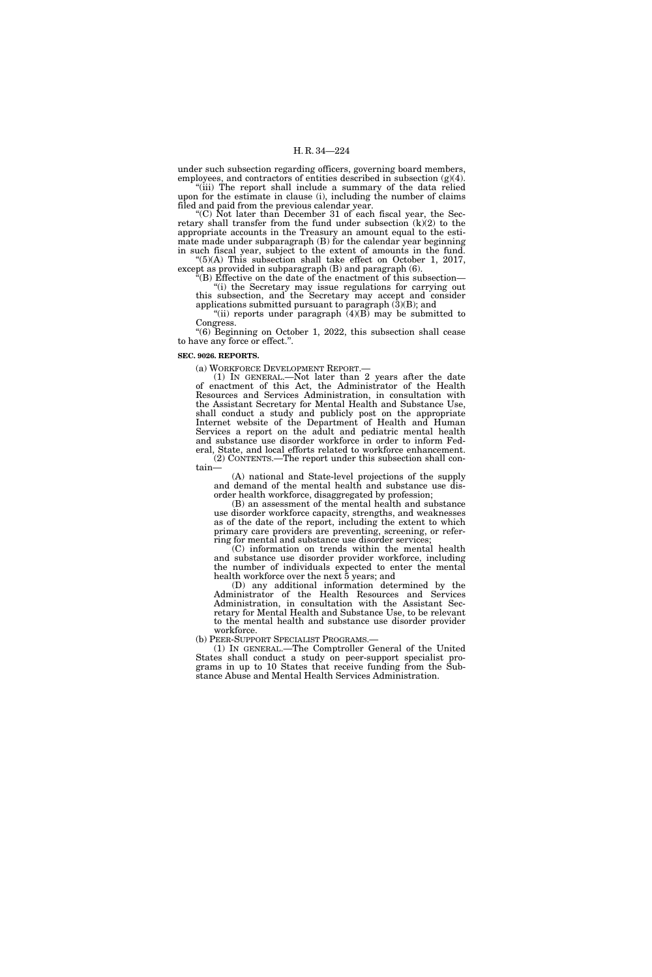under such subsection regarding officers, governing board members, employees, and contractors of entities described in subsection (g)(4).

"(iii) The report shall include a summary of the data relied upon for the estimate in clause (i), including the number of claims filed and paid from the previous calendar year.

"(C) Not later than December 31 of each fiscal year, the Secretary shall transfer from the fund under subsection (k)(2) to the appropriate accounts in the Treasury an amount equal to the estimate made under subparagraph (B) for the calendar year beginning in such fiscal year, subject to the extent of amounts in the fund.  $f'(5)$ (A) This subsection shall take effect on October 1, 2017,

 $\text{except as provided in subparagraph (B) and paragraph (6).}$ ''(B) Effective on the date of the enactment of this subsection—

"(i) the Secretary may issue regulations for carrying out this subsection, and the Secretary may accept and consider applications submitted pursuant to paragraph  $(3)(B)$ ; and

"(ii) reports under paragraph  $(4)(B)$  may be submitted to Congress.

''(6) Beginning on October 1, 2022, this subsection shall cease to have any force or effect.''.

#### **SEC. 9026. REPORTS.**

(a) WORKFORCE DEVELOPMENT REPORT.—

(1) IN GENERAL.—Not later than 2 years after the date of enactment of this Act, the Administrator of the Health Resources and Services Administration, in consultation with the Assistant Secretary for Mental Health and Substance Use, shall conduct a study and publicly post on the appropriate Internet website of the Department of Health and Human Services a report on the adult and pediatric mental health and substance use disorder workforce in order to inform Federal, State, and local efforts related to workforce enhancement.

(2) CONTENTS.—The report under this subsection shall contain—

(A) national and State-level projections of the supply and demand of the mental health and substance use disorder health workforce, disaggregated by profession;

(B) an assessment of the mental health and substance use disorder workforce capacity, strengths, and weaknesses as of the date of the report, including the extent to which primary care providers are preventing, screening, or referring for mental and substance use disorder services;

(C) information on trends within the mental health and substance use disorder provider workforce, including the number of individuals expected to enter the mental health workforce over the next 5 years; and

(D) any additional information determined by the Administrator of the Health Resources and Services Administration, in consultation with the Assistant Secretary for Mental Health and Substance Use, to be relevant to the mental health and substance use disorder provider workforce.

(b) PEER-SUPPORT SPECIALIST PROGRAMS.—

(1) IN GENERAL.—The Comptroller General of the United States shall conduct a study on peer-support specialist programs in up to 10 States that receive funding from the Substance Abuse and Mental Health Services Administration.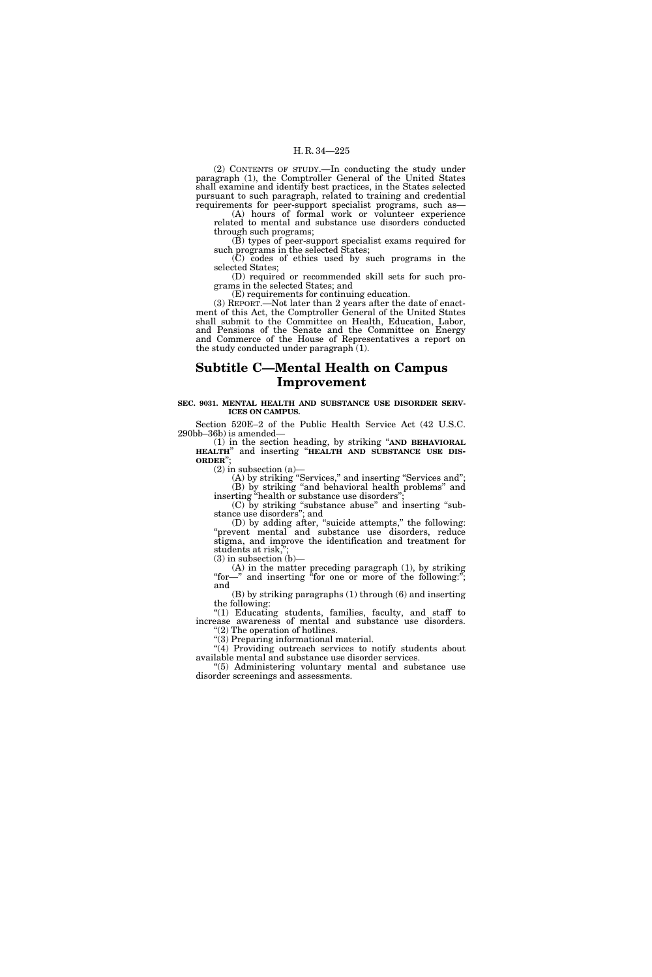(2) CONTENTS OF STUDY.—In conducting the study under paragraph (1), the Comptroller General of the United States shall examine and identify best practices, in the States selected pursuant to such paragraph, related to training and credential requirements for peer-support specialist programs, such as—

(A) hours of formal work or volunteer experience related to mental and substance use disorders conducted through such programs;

(B) types of peer-support specialist exams required for such programs in the selected States;

(C) codes of ethics used by such programs in the selected States;

(D) required or recommended skill sets for such programs in the selected States; and

(E) requirements for continuing education.

(3) REPORT.—Not later than 2 years after the date of enactment of this Act, the Comptroller General of the United States shall submit to the Committee on Health, Education, Labor, and Pensions of the Senate and the Committee on Energy and Commerce of the House of Representatives a report on the study conducted under paragraph (1).

# **Subtitle C—Mental Health on Campus Improvement**

## **SEC. 9031. MENTAL HEALTH AND SUBSTANCE USE DISORDER SERV-ICES ON CAMPUS.**

Section 520E–2 of the Public Health Service Act (42 U.S.C. 290bb–36b) is amended—

(1) in the section heading, by striking ''**AND BEHAVIORAL HEALTH**'' and inserting ''**HEALTH AND SUBSTANCE USE DIS- ORDER**'';

 $(2)$  in subsection  $(a)$ 

(A) by striking ''Services,'' and inserting ''Services and''; (B) by striking ''and behavioral health problems'' and inserting "health or substance use disorders"

(C) by striking ''substance abuse'' and inserting ''substance use disorders''; and

(D) by adding after, ''suicide attempts,'' the following: ''prevent mental and substance use disorders, reduce stigma, and improve the identification and treatment for students at risk,'';

(3) in subsection (b)—

(A) in the matter preceding paragraph (1), by striking "for—" and inserting "for one or more of the following:"; and

(B) by striking paragraphs (1) through (6) and inserting the following:

"(1) Educating students, families, faculty, and staff to increase awareness of mental and substance use disorders. ''(2) The operation of hotlines.

''(3) Preparing informational material.

"(4) Providing outreach services to notify students about available mental and substance use disorder services.

''(5) Administering voluntary mental and substance use disorder screenings and assessments.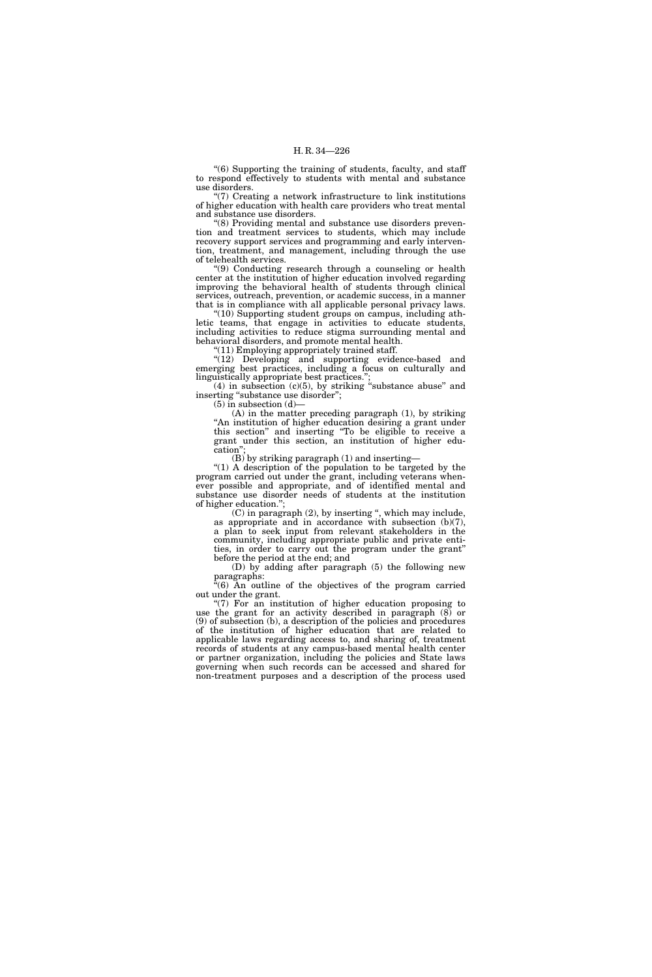''(6) Supporting the training of students, faculty, and staff to respond effectively to students with mental and substance use disorders.

''(7) Creating a network infrastructure to link institutions of higher education with health care providers who treat mental and substance use disorders.

'(8) Providing mental and substance use disorders prevention and treatment services to students, which may include recovery support services and programming and early intervention, treatment, and management, including through the use of telehealth services.

''(9) Conducting research through a counseling or health center at the institution of higher education involved regarding improving the behavioral health of students through clinical services, outreach, prevention, or academic success, in a manner that is in compliance with all applicable personal privacy laws.

"(10) Supporting student groups on campus, including athletic teams, that engage in activities to educate students, including activities to reduce stigma surrounding mental and behavioral disorders, and promote mental health.

''(11) Employing appropriately trained staff.

"(12) Developing and supporting evidence-based and emerging best practices, including a focus on culturally and linguistically appropriate best practices.'';

 $(4)$  in subsection  $(c)(5)$ , by striking "substance abuse" and inserting "substance use disorder";

(5) in subsection (d)—

(A) in the matter preceding paragraph (1), by striking ''An institution of higher education desiring a grant under this section'' and inserting ''To be eligible to receive a grant under this section, an institution of higher education'

 $(B)$  by striking paragraph (1) and inserting-

''(1) A description of the population to be targeted by the program carried out under the grant, including veterans whenever possible and appropriate, and of identified mental and substance use disorder needs of students at the institution of higher education.'';

(C) in paragraph (2), by inserting '', which may include, as appropriate and in accordance with subsection (b)(7), a plan to seek input from relevant stakeholders in the community, including appropriate public and private entities, in order to carry out the program under the grant'' before the period at the end; and

(D) by adding after paragraph (5) the following new paragraphs:

 $(6)$  An outline of the objectives of the program carried out under the grant.

 $(7)$  For an institution of higher education proposing to use the grant for an activity described in paragraph (8) or (9) of subsection (b), a description of the policies and procedures of the institution of higher education that are related to applicable laws regarding access to, and sharing of, treatment records of students at any campus-based mental health center or partner organization, including the policies and State laws governing when such records can be accessed and shared for non-treatment purposes and a description of the process used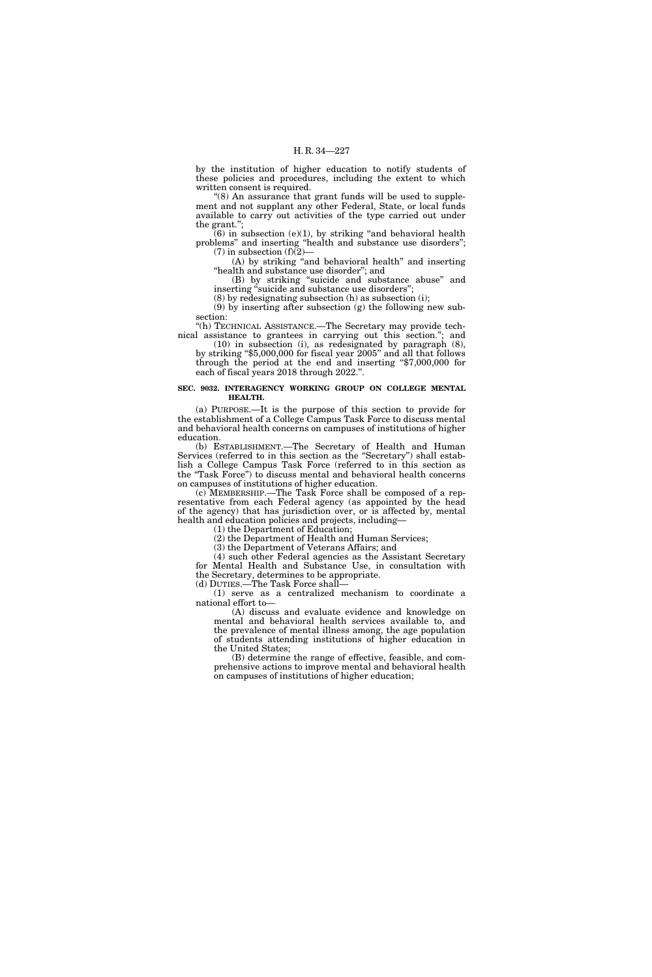by the institution of higher education to notify students of these policies and procedures, including the extent to which written consent is required.

"(8) An assurance that grant funds will be used to supplement and not supplant any other Federal, State, or local funds available to carry out activities of the type carried out under the grant.'';

 $(6)$  in subsection  $(e)(1)$ , by striking "and behavioral health problems'' and inserting ''health and substance use disorders'';  $(7)$  in subsection  $(f)(2)$ —

(A) by striking ''and behavioral health'' and inserting "health and substance use disorder"; and

(B) by striking "suicide and substance abuse" and inserting "suicide and substance use disorders";

(8) by redesignating subsection (h) as subsection (i);

(9) by inserting after subsection (g) the following new subsection:

''(h) TECHNICAL ASSISTANCE.—The Secretary may provide technical assistance to grantees in carrying out this section.''; and

(10) in subsection (i), as redesignated by paragraph (8), by striking ''\$5,000,000 for fiscal year 2005'' and all that follows through the period at the end and inserting ''\$7,000,000 for each of fiscal years 2018 through 2022.''.

## **SEC. 9032. INTERAGENCY WORKING GROUP ON COLLEGE MENTAL HEALTH.**

(a) PURPOSE.—It is the purpose of this section to provide for the establishment of a College Campus Task Force to discuss mental and behavioral health concerns on campuses of institutions of higher education.

(b) ESTABLISHMENT.—The Secretary of Health and Human Services (referred to in this section as the "Secretary") shall establish a College Campus Task Force (referred to in this section as the ''Task Force'') to discuss mental and behavioral health concerns on campuses of institutions of higher education.

(c) MEMBERSHIP.—The Task Force shall be composed of a representative from each Federal agency (as appointed by the head of the agency) that has jurisdiction over, or is affected by, mental health and education policies and projects, including—

(1) the Department of Education;

(2) the Department of Health and Human Services;

(3) the Department of Veterans Affairs; and

(4) such other Federal agencies as the Assistant Secretary for Mental Health and Substance Use, in consultation with the Secretary, determines to be appropriate.

(d) DUTIES.—The Task Force shall—

(1) serve as a centralized mechanism to coordinate a national effort to—

(A) discuss and evaluate evidence and knowledge on mental and behavioral health services available to, and the prevalence of mental illness among, the age population of students attending institutions of higher education in the United States;

(B) determine the range of effective, feasible, and comprehensive actions to improve mental and behavioral health on campuses of institutions of higher education;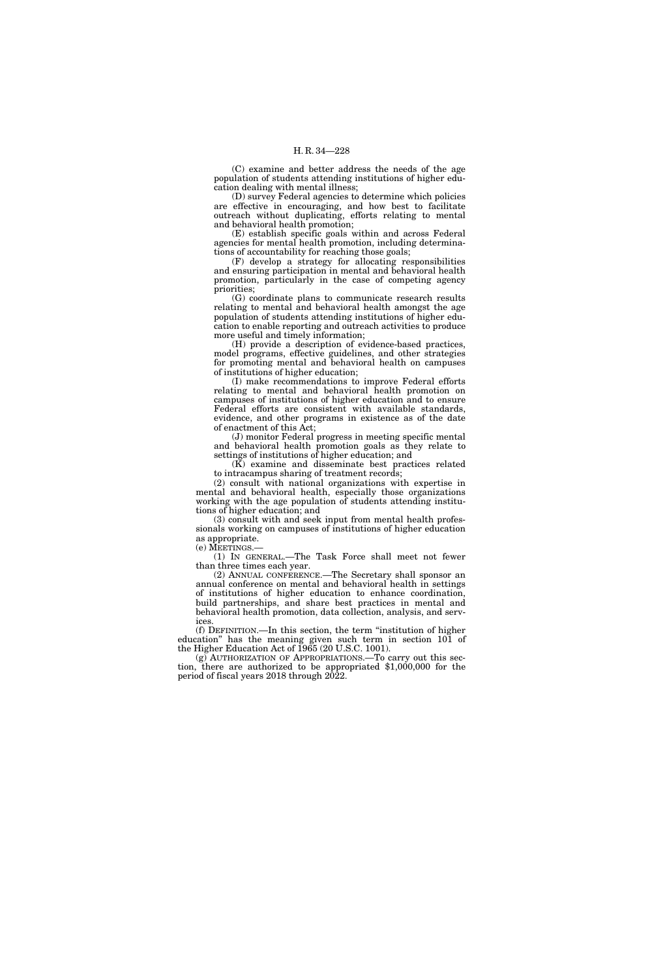(C) examine and better address the needs of the age population of students attending institutions of higher education dealing with mental illness;

(D) survey Federal agencies to determine which policies are effective in encouraging, and how best to facilitate outreach without duplicating, efforts relating to mental and behavioral health promotion;

(E) establish specific goals within and across Federal agencies for mental health promotion, including determinations of accountability for reaching those goals;

(F) develop a strategy for allocating responsibilities and ensuring participation in mental and behavioral health promotion, particularly in the case of competing agency priorities;

(G) coordinate plans to communicate research results relating to mental and behavioral health amongst the age population of students attending institutions of higher education to enable reporting and outreach activities to produce more useful and timely information;

(H) provide a description of evidence-based practices, model programs, effective guidelines, and other strategies for promoting mental and behavioral health on campuses of institutions of higher education;

(I) make recommendations to improve Federal efforts relating to mental and behavioral health promotion on campuses of institutions of higher education and to ensure Federal efforts are consistent with available standards, evidence, and other programs in existence as of the date of enactment of this Act;

(J) monitor Federal progress in meeting specific mental and behavioral health promotion goals as they relate to settings of institutions of higher education; and

 $(K)$  examine and disseminate best practices related to intracampus sharing of treatment records;

(2) consult with national organizations with expertise in mental and behavioral health, especially those organizations working with the age population of students attending institutions of higher education; and

(3) consult with and seek input from mental health professionals working on campuses of institutions of higher education as appropriate.

(e) MEETINGS.—

(1) IN GENERAL.—The Task Force shall meet not fewer than three times each year.

(2) ANNUAL CONFERENCE.—The Secretary shall sponsor an annual conference on mental and behavioral health in settings of institutions of higher education to enhance coordination, build partnerships, and share best practices in mental and behavioral health promotion, data collection, analysis, and services.

(f) DEFINITION.—In this section, the term ''institution of higher education'' has the meaning given such term in section 101 of the Higher Education Act of 1965 (20 U.S.C. 1001).

(g) AUTHORIZATION OF APPROPRIATIONS.—To carry out this section, there are authorized to be appropriated \$1,000,000 for the period of fiscal years 2018 through 2022.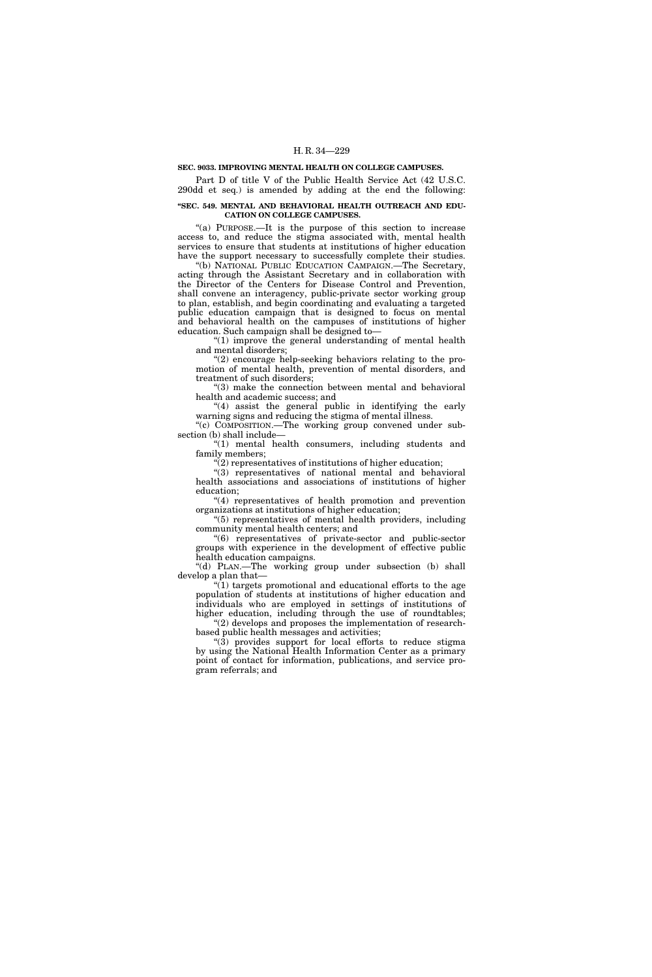## **SEC. 9033. IMPROVING MENTAL HEALTH ON COLLEGE CAMPUSES.**

Part D of title V of the Public Health Service Act (42 U.S.C. 290dd et seq.) is amended by adding at the end the following:

## **''SEC. 549. MENTAL AND BEHAVIORAL HEALTH OUTREACH AND EDU-CATION ON COLLEGE CAMPUSES.**

''(a) PURPOSE.—It is the purpose of this section to increase access to, and reduce the stigma associated with, mental health services to ensure that students at institutions of higher education have the support necessary to successfully complete their studies.

''(b) NATIONAL PUBLIC EDUCATION CAMPAIGN.—The Secretary, acting through the Assistant Secretary and in collaboration with the Director of the Centers for Disease Control and Prevention, shall convene an interagency, public-private sector working group to plan, establish, and begin coordinating and evaluating a targeted public education campaign that is designed to focus on mental and behavioral health on the campuses of institutions of higher education. Such campaign shall be designed to—

" $(1)$  improve the general understanding of mental health and mental disorders;

''(2) encourage help-seeking behaviors relating to the promotion of mental health, prevention of mental disorders, and treatment of such disorders;

''(3) make the connection between mental and behavioral health and academic success; and

"(4) assist the general public in identifying the early warning signs and reducing the stigma of mental illness. "(c) COMPOSITION.—The working group convened under sub-

section (b) shall include— "(1) mental health consumers, including students and

family members;

''(2) representatives of institutions of higher education; ''(3) representatives of national mental and behavioral

health associations and associations of institutions of higher education;

''(4) representatives of health promotion and prevention organizations at institutions of higher education;

''(5) representatives of mental health providers, including community mental health centers; and

''(6) representatives of private-sector and public-sector groups with experience in the development of effective public health education campaigns.

''(d) PLAN.—The working group under subsection (b) shall develop a plan that—

" $(1)$  targets promotional and educational efforts to the age population of students at institutions of higher education and individuals who are employed in settings of institutions of higher education, including through the use of roundtables;

"(2) develops and proposes the implementation of researchbased public health messages and activities;

''(3) provides support for local efforts to reduce stigma by using the National Health Information Center as a primary point of contact for information, publications, and service program referrals; and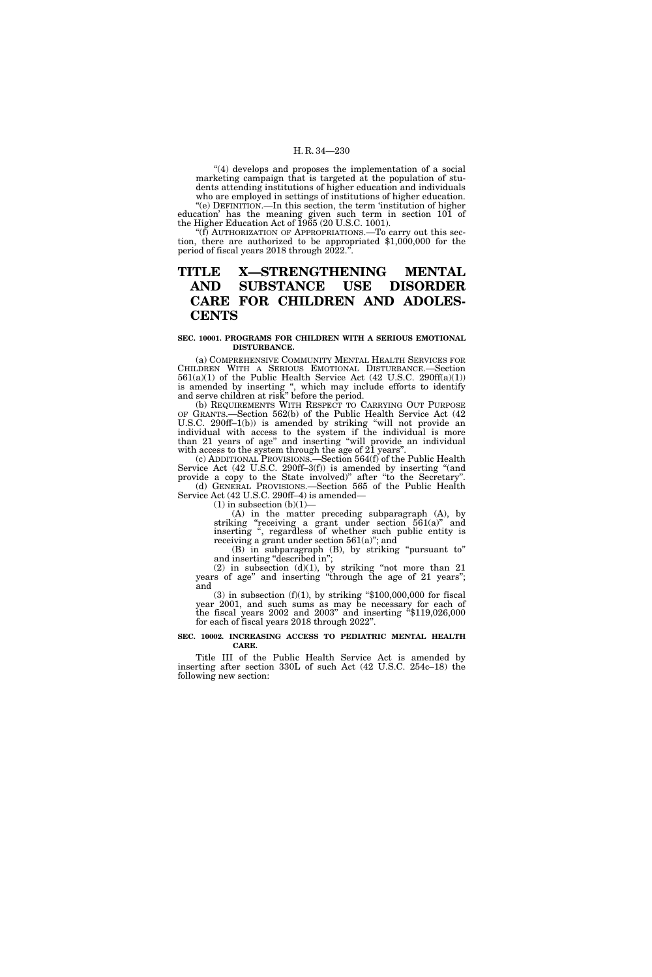"(4) develops and proposes the implementation of a social marketing campaign that is targeted at the population of students attending institutions of higher education and individuals who are employed in settings of institutions of higher education. ''(e) DEFINITION.—In this section, the term 'institution of higher

education' has the meaning given such term in section 101 of the Higher Education Act of 1965 (20 U.S.C. 1001).

 $f(f)$  AUTHORIZATION OF APPROPRIATIONS.—To carry out this section, there are authorized to be appropriated \$1,000,000 for the period of fiscal years 2018 through  $2022$ .".

# **TITLE X—STRENGTHENING MENTAL AND SUBSTANCE USE DISORDER CARE FOR CHILDREN AND ADOLES-CENTS**

#### **SEC. 10001. PROGRAMS FOR CHILDREN WITH A SERIOUS EMOTIONAL DISTURBANCE.**

(a) COMPREHENSIVE COMMUNITY MENTAL HEALTH SERVICES FOR CHILDREN WITH A SERIOUS EMOTIONAL DISTURBANCE.—Section  $561(a)(1)$  of the Public Health Service Act (42 U.S.C. 290ff(a)(1)) is amended by inserting ", which may include efforts to identify and serve children at risk'' before the period.

(b) REQUIREMENTS WITH RESPECT TO CARRYING OUT PURPOSE OF GRANTS.—Section 562(b) of the Public Health Service Act (42 U.S.C. 290ff–1(b)) is amended by striking ''will not provide an individual with access to the system if the individual is more than 21 years of age'' and inserting ''will provide an individual with access to the system through the age of 21 years".

(c) ADDITIONAL PROVISIONS.—Section 564(f) of the Public Health Service Act (42 U.S.C. 290ff-3(f)) is amended by inserting "(and provide a copy to the State involved)'' after ''to the Secretary''. (d) GENERAL PROVISIONS.—Section 565 of the Public Health Service Act (42 U.S.C. 290ff–4) is amended—

 $(1)$  in subsection  $(b)(1)$ —

(A) in the matter preceding subparagraph (A), by striking "receiving a grant under section  $561(a)$ " and inserting '', regardless of whether such public entity is receiving a grant under section 561(a)''; and

(B) in subparagraph (B), by striking ''pursuant to'' and inserting "described in";

(2) in subsection  $(d)(1)$ , by striking "not more than 21 years of age'' and inserting ''through the age of 21 years''; and

(3) in subsection (f)(1), by striking " $$100,000,000$  for fiscal year 2001, and such sums as may be necessary for each of the fiscal years 2002 and 2003'' and inserting ''\$119,026,000 for each of fiscal years 2018 through 2022''.

## **SEC. 10002. INCREASING ACCESS TO PEDIATRIC MENTAL HEALTH CARE.**

Title III of the Public Health Service Act is amended by inserting after section 330L of such Act (42 U.S.C. 254c–18) the following new section: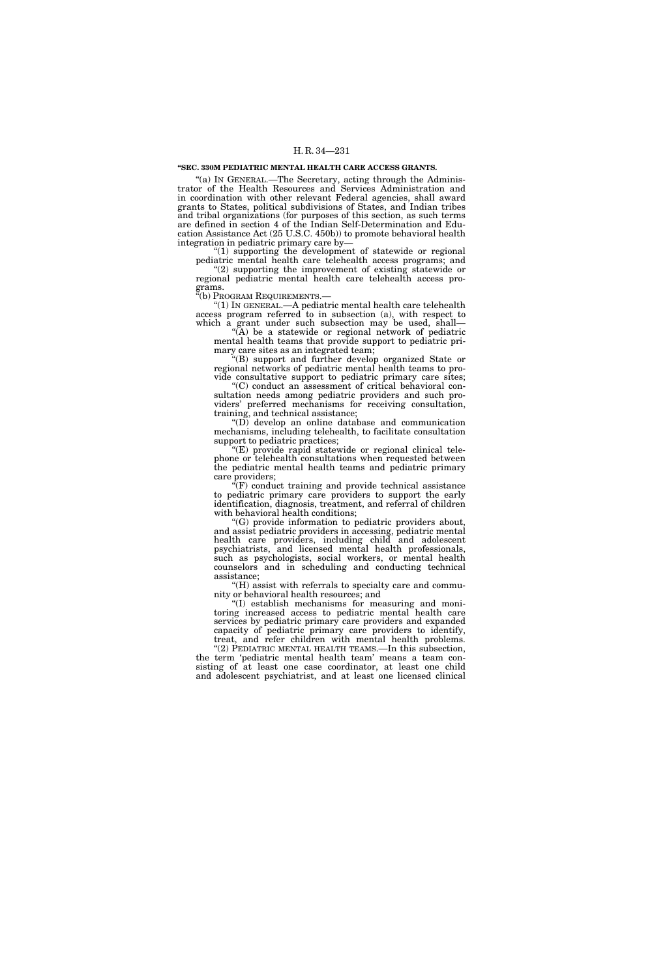#### **''SEC. 330M PEDIATRIC MENTAL HEALTH CARE ACCESS GRANTS.**

"(a) IN GENERAL.—The Secretary, acting through the Administrator of the Health Resources and Services Administration and in coordination with other relevant Federal agencies, shall award grants to States, political subdivisions of States, and Indian tribes and tribal organizations (for purposes of this section, as such terms are defined in section 4 of the Indian Self-Determination and Education Assistance Act (25 U.S.C. 450b)) to promote behavioral health integration in pediatric primary care by—

"(1) supporting the development of statewide or regional pediatric mental health care telehealth access programs; and "(2) supporting the improvement of existing statewide or

regional pediatric mental health care telehealth access programs.<br>"(b) PROGRAM REQUIREMENTS.

"(1) IN GENERAL  $-A$  pediatric mental health care telehealth access program referred to in subsection (a), with respect to which a grant under such subsection may be used, shall—

''(A) be a statewide or regional network of pediatric mental health teams that provide support to pediatric primary care sites as an integrated team;

'(B) support and further develop organized State or regional networks of pediatric mental health teams to provide consultative support to pediatric primary care sites;

'(C) conduct an assessment of critical behavioral consultation needs among pediatric providers and such providers' preferred mechanisms for receiving consultation, training, and technical assistance;

''(D) develop an online database and communication mechanisms, including telehealth, to facilitate consultation support to pediatric practices;

 $E(E)$  provide rapid statewide or regional clinical telephone or telehealth consultations when requested between the pediatric mental health teams and pediatric primary care providers;

 $f(F)$  conduct training and provide technical assistance to pediatric primary care providers to support the early identification, diagnosis, treatment, and referral of children with behavioral health conditions;

''(G) provide information to pediatric providers about, and assist pediatric providers in accessing, pediatric mental health care providers, including child and adolescent psychiatrists, and licensed mental health professionals, such as psychologists, social workers, or mental health counselors and in scheduling and conducting technical assistance;

''(H) assist with referrals to specialty care and community or behavioral health resources; and

''(I) establish mechanisms for measuring and monitoring increased access to pediatric mental health care services by pediatric primary care providers and expanded capacity of pediatric primary care providers to identify, treat, and refer children with mental health problems.

"(2) PEDIATRIC MENTAL HEALTH TEAMS.—In this subsection, the term 'pediatric mental health team' means a team consisting of at least one case coordinator, at least one child and adolescent psychiatrist, and at least one licensed clinical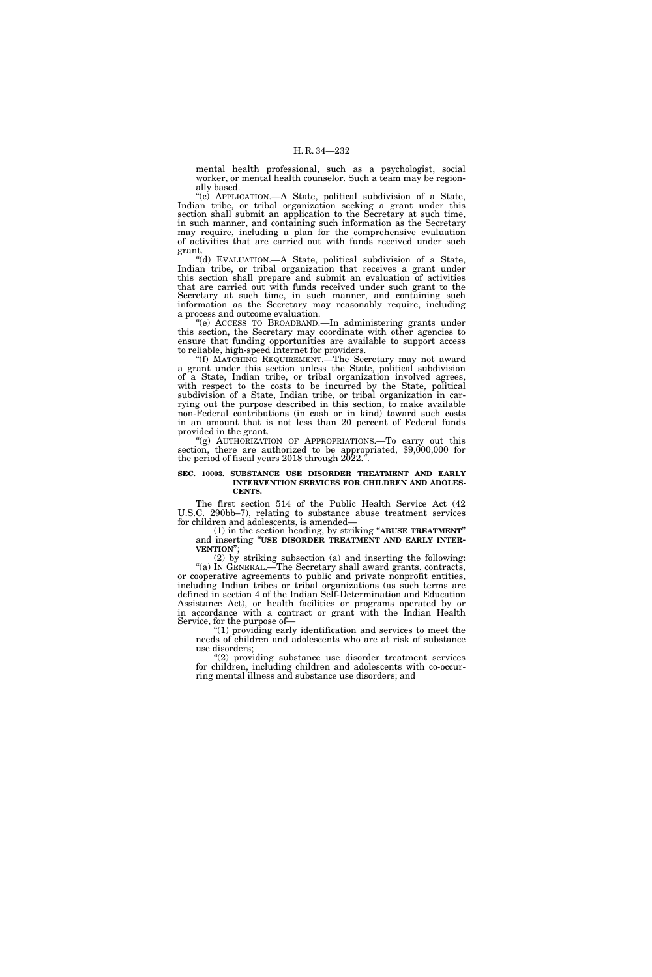mental health professional, such as a psychologist, social worker, or mental health counselor. Such a team may be regionally based.

''(c) APPLICATION.—A State, political subdivision of a State, Indian tribe, or tribal organization seeking a grant under this section shall submit an application to the Secretary at such time, in such manner, and containing such information as the Secretary may require, including a plan for the comprehensive evaluation of activities that are carried out with funds received under such grant.

''(d) EVALUATION.—A State, political subdivision of a State, Indian tribe, or tribal organization that receives a grant under this section shall prepare and submit an evaluation of activities that are carried out with funds received under such grant to the Secretary at such time, in such manner, and containing such information as the Secretary may reasonably require, including a process and outcome evaluation.

''(e) ACCESS TO BROADBAND.—In administering grants under this section, the Secretary may coordinate with other agencies to ensure that funding opportunities are available to support access to reliable, high-speed Internet for providers.

''(f) MATCHING REQUIREMENT.—The Secretary may not award a grant under this section unless the State, political subdivision of a State, Indian tribe, or tribal organization involved agrees, with respect to the costs to be incurred by the State, political subdivision of a State, Indian tribe, or tribal organization in carrying out the purpose described in this section, to make available non-Federal contributions (in cash or in kind) toward such costs in an amount that is not less than 20 percent of Federal funds provided in the grant.

''(g) AUTHORIZATION OF APPROPRIATIONS.—To carry out this section, there are authorized to be appropriated, \$9,000,000 for the period of fiscal years 2018 through 2022.''.

#### **SEC. 10003. SUBSTANCE USE DISORDER TREATMENT AND EARLY INTERVENTION SERVICES FOR CHILDREN AND ADOLES-CENTS.**

The first section 514 of the Public Health Service Act (42 U.S.C. 290bb–7), relating to substance abuse treatment services for children and adolescents, is amended—

(1) in the section heading, by striking ''**ABUSE TREATMENT**'' and inserting ''**USE DISORDER TREATMENT AND EARLY INTER- VENTION**'';

(2) by striking subsection (a) and inserting the following: "(a) IN GENERAL.—The Secretary shall award grants, contracts, or cooperative agreements to public and private nonprofit entities, including Indian tribes or tribal organizations (as such terms are defined in section 4 of the Indian Self-Determination and Education Assistance Act), or health facilities or programs operated by or in accordance with a contract or grant with the Indian Health Service, for the purpose of—

''(1) providing early identification and services to meet the needs of children and adolescents who are at risk of substance use disorders;

'(2) providing substance use disorder treatment services for children, including children and adolescents with co-occurring mental illness and substance use disorders; and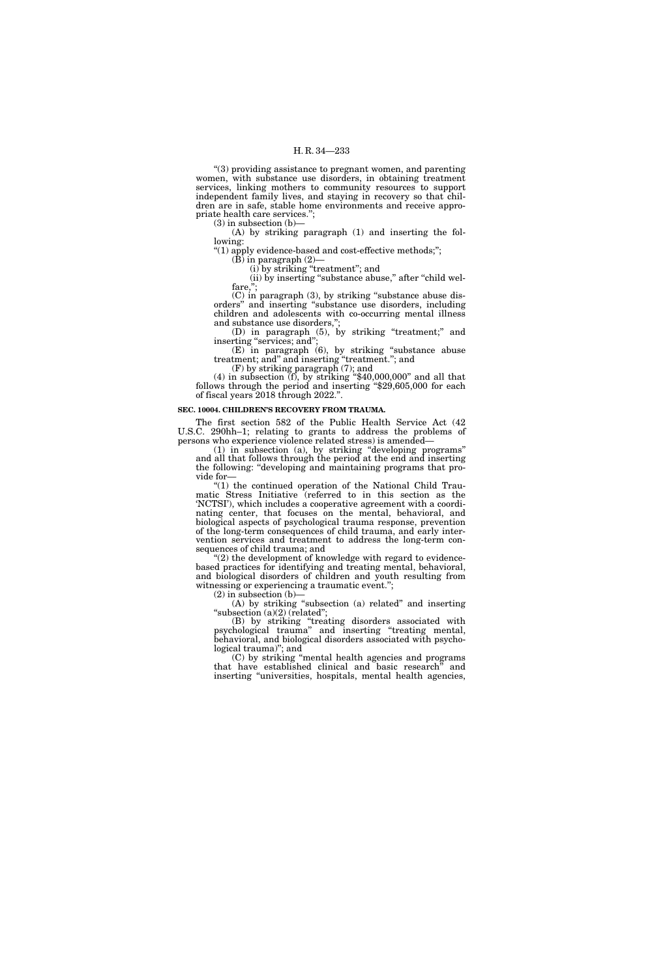''(3) providing assistance to pregnant women, and parenting women, with substance use disorders, in obtaining treatment services, linking mothers to community resources to support independent family lives, and staying in recovery so that children are in safe, stable home environments and receive appropriate health care services.'';

(3) in subsection (b)—

(A) by striking paragraph (1) and inserting the following:

''(1) apply evidence-based and cost-effective methods;'';

 $(B)$  in paragraph  $(2)$ – (i) by striking ''treatment''; and

(ii) by inserting "substance abuse," after "child welfare,'';

(C) in paragraph (3), by striking ''substance abuse disorders'' and inserting ''substance use disorders, including children and adolescents with co-occurring mental illness and substance use disorders,'';

(D) in paragraph (5), by striking ''treatment;'' and inserting "services; and";

(E) in paragraph (6), by striking ''substance abuse treatment; and'' and inserting ''treatment.''; and

(F) by striking paragraph (7); and

(4) in subsection  $\overline{(f)}$ , by striking "\$40,000,000" and all that follows through the period and inserting "\$29,605,000 for each of fiscal years 2018 through 2022.''.

## **SEC. 10004. CHILDREN'S RECOVERY FROM TRAUMA.**

The first section 582 of the Public Health Service Act (42 U.S.C. 290hh–1; relating to grants to address the problems of persons who experience violence related stress) is amended—

(1) in subsection (a), by striking ''developing programs'' and all that follows through the period at the end and inserting the following: ''developing and maintaining programs that provide for—

" $(1)$  the continued operation of the National Child Traumatic Stress Initiative (referred to in this section as the 'NCTSI'), which includes a cooperative agreement with a coordinating center, that focuses on the mental, behavioral, and biological aspects of psychological trauma response, prevention of the long-term consequences of child trauma, and early intervention services and treatment to address the long-term consequences of child trauma; and

 $(2)$  the development of knowledge with regard to evidencebased practices for identifying and treating mental, behavioral, and biological disorders of children and youth resulting from witnessing or experiencing a traumatic event.'';

(2) in subsection (b)—

(A) by striking ''subsection (a) related'' and inserting "subsection (a)(2) (related";

(B) by striking "treating disorders associated with psychological trauma'' and inserting ''treating mental, behavioral, and biological disorders associated with psychological trauma)"; and

(C) by striking ''mental health agencies and programs that have established clinical and basic research'' and inserting "universities, hospitals, mental health agencies,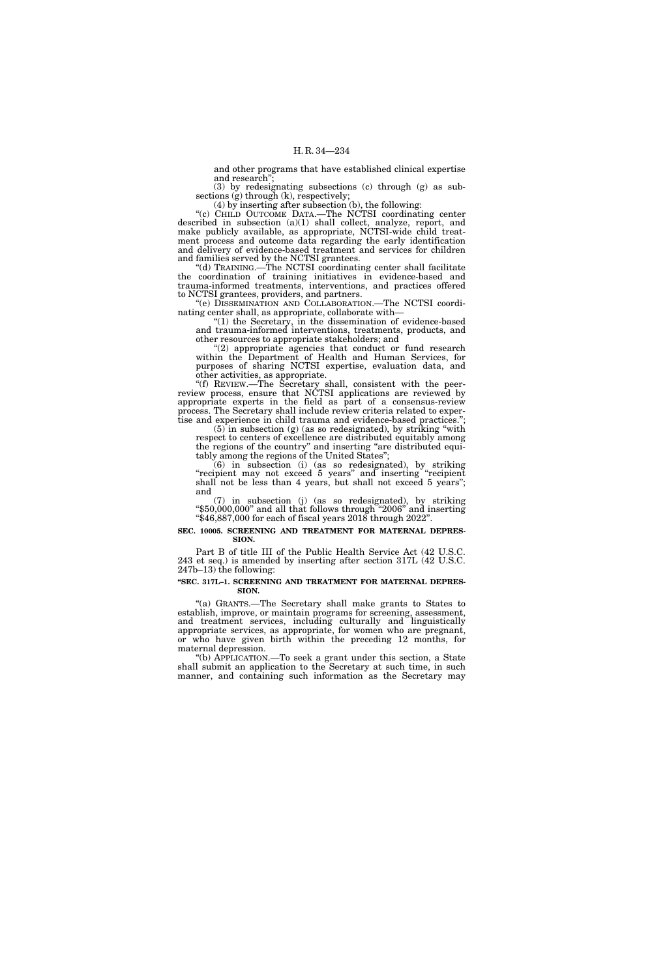and other programs that have established clinical expertise and research'';

(3) by redesignating subsections (c) through (g) as subsections (g) through (k), respectively;

(4) by inserting after subsection (b), the following:

"(c) CHILD OUTCOME DATA.—The NCTSI coordinating center described in subsection (a)(1) shall collect, analyze, report, and make publicly available, as appropriate, NCTSI-wide child treatment process and outcome data regarding the early identification and delivery of evidence-based treatment and services for children and families served by the NCTSI grantees.

''(d) TRAINING.—The NCTSI coordinating center shall facilitate the coordination of training initiatives in evidence-based and trauma-informed treatments, interventions, and practices offered to NCTSI grantees, providers, and partners.

''(e) DISSEMINATION AND COLLABORATION.—The NCTSI coordinating center shall, as appropriate, collaborate with—

''(1) the Secretary, in the dissemination of evidence-based and trauma-informed interventions, treatments, products, and other resources to appropriate stakeholders; and

''(2) appropriate agencies that conduct or fund research within the Department of Health and Human Services, for purposes of sharing NCTSI expertise, evaluation data, and other activities, as appropriate.

''(f) REVIEW.—The Secretary shall, consistent with the peerreview process, ensure that NCTSI applications are reviewed by appropriate experts in the field as part of a consensus-review process. The Secretary shall include review criteria related to expertise and experience in child trauma and evidence-based practices.'';

 $(5)$  in subsection (g) (as so redesignated), by striking "with respect to centers of excellence are distributed equitably among the regions of the country'' and inserting ''are distributed equitably among the regions of the United States'';

(6) in subsection (i) (as so redesignated), by striking "recipient may not exceed 5 years" and inserting "recipient shall not be less than 4 years, but shall not exceed 5 years''; and

(7) in subsection (j) (as so redesignated), by striking " $$50,000,000$ " and all that follows through "2006" and inserting " $$46,887,000$  for each of fiscal years  $2018$  through  $2022$ ".

## **SEC. 10005. SCREENING AND TREATMENT FOR MATERNAL DEPRES-SION.**

Part B of title III of the Public Health Service Act (42 U.S.C. 243 et seq.) is amended by inserting after section 317L (42 U.S.C.  $247b-13$ ) the following:

## **''SEC. 317L–1. SCREENING AND TREATMENT FOR MATERNAL DEPRES-SION.**

''(a) GRANTS.—The Secretary shall make grants to States to establish, improve, or maintain programs for screening, assessment, and treatment services, including culturally and linguistically appropriate services, as appropriate, for women who are pregnant, or who have given birth within the preceding 12 months, for maternal depression.

''(b) APPLICATION.—To seek a grant under this section, a State shall submit an application to the Secretary at such time, in such manner, and containing such information as the Secretary may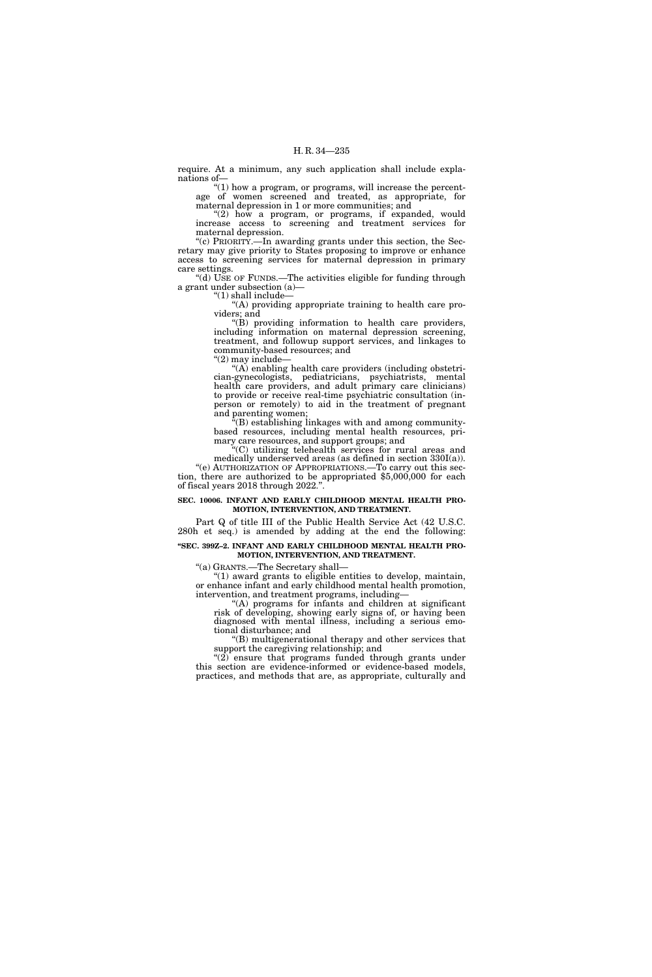require. At a minimum, any such application shall include explanations of—

"(1) how a program, or programs, will increase the percentage of women screened and treated, as appropriate, for maternal depression in 1 or more communities; and

"(2) how a program, or programs, if expanded, would increase access to screening and treatment services for maternal depression.

"(c) PRIORITY.—In awarding grants under this section, the Secretary may give priority to States proposing to improve or enhance access to screening services for maternal depression in primary care settings.

"(d) USE OF FUNDS.—The activities eligible for funding through a grant under subsection (a)—

" $(1)$  shall include-

''(A) providing appropriate training to health care providers; and

''(B) providing information to health care providers, including information on maternal depression screening, treatment, and followup support services, and linkages to community-based resources; and

''(2) may include—

 $(A)$  enabling health care providers (including obstetrician-gynecologists, pediatricians, psychiatrists, mental health care providers, and adult primary care clinicians) to provide or receive real-time psychiatric consultation (inperson or remotely) to aid in the treatment of pregnant and parenting women;

''(B) establishing linkages with and among communitybased resources, including mental health resources, primary care resources, and support groups; and

 $(C)$  utilizing telehealth services for rural areas and medically underserved areas (as defined in section 330I(a)). ''(e) AUTHORIZATION OF APPROPRIATIONS.—To carry out this section, there are authorized to be appropriated \$5,000,000 for each of fiscal years 2018 through 2022.''.

## **SEC. 10006. INFANT AND EARLY CHILDHOOD MENTAL HEALTH PRO-MOTION, INTERVENTION, AND TREATMENT.**

Part Q of title III of the Public Health Service Act (42 U.S.C. 280h et seq.) is amended by adding at the end the following:

## **''SEC. 399Z–2. INFANT AND EARLY CHILDHOOD MENTAL HEALTH PRO-MOTION, INTERVENTION, AND TREATMENT.**

''(a) GRANTS.—The Secretary shall—

''(1) award grants to eligible entities to develop, maintain, or enhance infant and early childhood mental health promotion, intervention, and treatment programs, including—

''(A) programs for infants and children at significant risk of developing, showing early signs of, or having been diagnosed with mental illness, including a serious emotional disturbance; and

''(B) multigenerational therapy and other services that support the caregiving relationship; and

" $(2)$  ensure that programs funded through grants under this section are evidence-informed or evidence-based models, practices, and methods that are, as appropriate, culturally and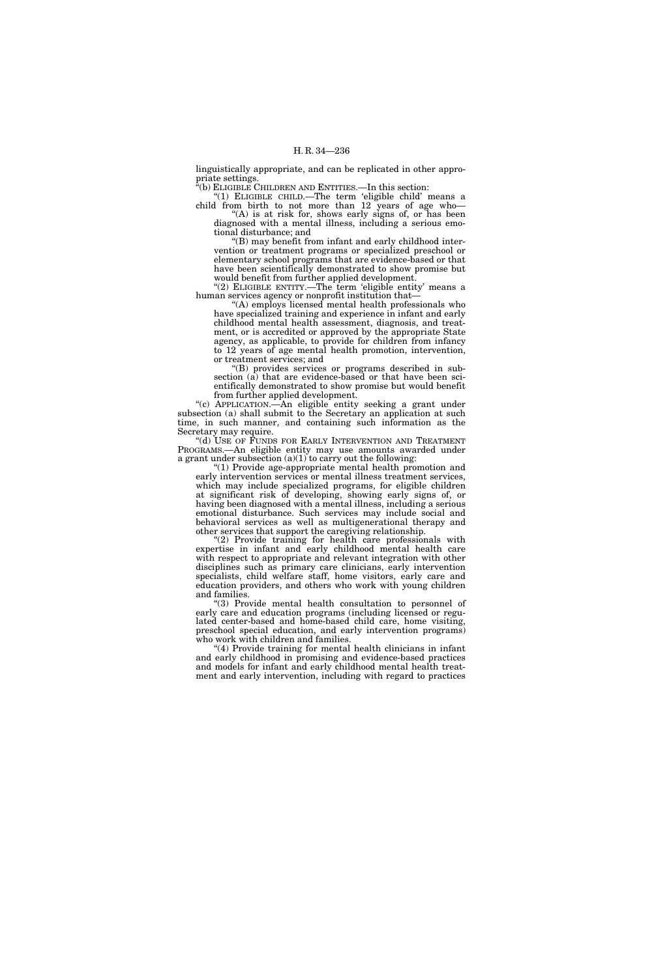linguistically appropriate, and can be replicated in other appropriate settings.

 $^{2}(b)$  ELIGIBLE CHILDREN AND ENTITIES.—In this section:

''(1) ELIGIBLE CHILD.—The term 'eligible child' means a child from birth to not more than 12 years of age who— "(A) is at risk for, shows early signs of, or has been

diagnosed with a mental illness, including a serious emotional disturbance; and

''(B) may benefit from infant and early childhood intervention or treatment programs or specialized preschool or elementary school programs that are evidence-based or that have been scientifically demonstrated to show promise but would benefit from further applied development.

"(2) ELIGIBLE ENTITY.—The term 'eligible entity' means a human services agency or nonprofit institution that—

''(A) employs licensed mental health professionals who have specialized training and experience in infant and early childhood mental health assessment, diagnosis, and treatment, or is accredited or approved by the appropriate State agency, as applicable, to provide for children from infancy to 12 years of age mental health promotion, intervention, or treatment services; and

''(B) provides services or programs described in subsection (a) that are evidence-based or that have been scientifically demonstrated to show promise but would benefit from further applied development.

''(c) APPLICATION.—An eligible entity seeking a grant under subsection (a) shall submit to the Secretary an application at such time, in such manner, and containing such information as the Secretary may require.

''(d) USE OF FUNDS FOR EARLY INTERVENTION AND TREATMENT PROGRAMS.—An eligible entity may use amounts awarded under a grant under subsection  $(a)(1)$  to carry out the following:

''(1) Provide age-appropriate mental health promotion and early intervention services or mental illness treatment services, which may include specialized programs, for eligible children at significant risk of developing, showing early signs of, or having been diagnosed with a mental illness, including a serious emotional disturbance. Such services may include social and behavioral services as well as multigenerational therapy and other services that support the caregiving relationship.

"(2) Provide training for health care professionals with expertise in infant and early childhood mental health care with respect to appropriate and relevant integration with other disciplines such as primary care clinicians, early intervention specialists, child welfare staff, home visitors, early care and education providers, and others who work with young children and families.

''(3) Provide mental health consultation to personnel of early care and education programs (including licensed or regulated center-based and home-based child care, home visiting, preschool special education, and early intervention programs) who work with children and families.

''(4) Provide training for mental health clinicians in infant and early childhood in promising and evidence-based practices and models for infant and early childhood mental health treatment and early intervention, including with regard to practices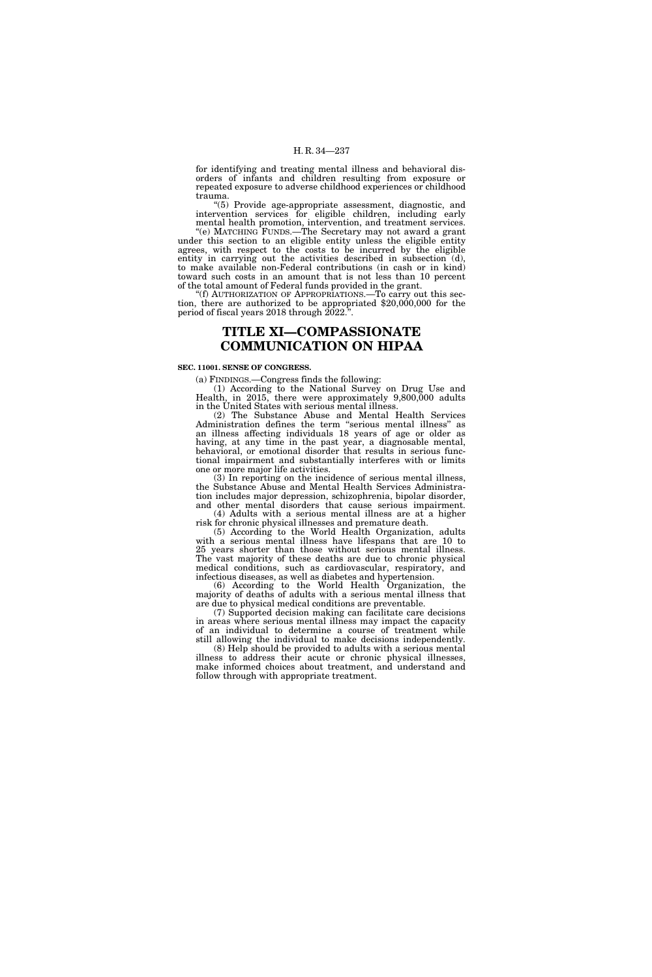for identifying and treating mental illness and behavioral disorders of infants and children resulting from exposure or repeated exposure to adverse childhood experiences or childhood trauma.

''(5) Provide age-appropriate assessment, diagnostic, and intervention services for eligible children, including early mental health promotion, intervention, and treatment services.

''(e) MATCHING FUNDS.—The Secretary may not award a grant under this section to an eligible entity unless the eligible entity agrees, with respect to the costs to be incurred by the eligible entity in carrying out the activities described in subsection (d), to make available non-Federal contributions (in cash or in kind) toward such costs in an amount that is not less than 10 percent of the total amount of Federal funds provided in the grant. "(f) AUTHORIZATION OF APPROPRIATIONS.—To carry out this sec-

tion, there are authorized to be appropriated \$20,000,000 for the period of fiscal years 2018 through  $2022$ .

# **TITLE XI—COMPASSIONATE COMMUNICATION ON HIPAA**

## **SEC. 11001. SENSE OF CONGRESS.**

(a) FINDINGS.—Congress finds the following:

(1) According to the National Survey on Drug Use and Health, in 2015, there were approximately 9,800,000 adults in the United States with serious mental illness.

(2) The Substance Abuse and Mental Health Services Administration defines the term ''serious mental illness'' as an illness affecting individuals 18 years of age or older as having, at any time in the past year, a diagnosable mental, behavioral, or emotional disorder that results in serious functional impairment and substantially interferes with or limits one or more major life activities.

(3) In reporting on the incidence of serious mental illness, the Substance Abuse and Mental Health Services Administration includes major depression, schizophrenia, bipolar disorder, and other mental disorders that cause serious impairment.  $(4)$  Adults with a serious mental illness are at a higher

risk for chronic physical illnesses and premature death. (5) According to the World Health Organization, adults

with a serious mental illness have lifespans that are 10 to 25 years shorter than those without serious mental illness. The vast majority of these deaths are due to chronic physical medical conditions, such as cardiovascular, respiratory, and infectious diseases, as well as diabetes and hypertension.

(6) According to the World Health Organization, the majority of deaths of adults with a serious mental illness that are due to physical medical conditions are preventable.

(7) Supported decision making can facilitate care decisions in areas where serious mental illness may impact the capacity of an individual to determine a course of treatment while still allowing the individual to make decisions independently. (8) Help should be provided to adults with a serious mental illness to address their acute or chronic physical illnesses, make informed choices about treatment, and understand and follow through with appropriate treatment.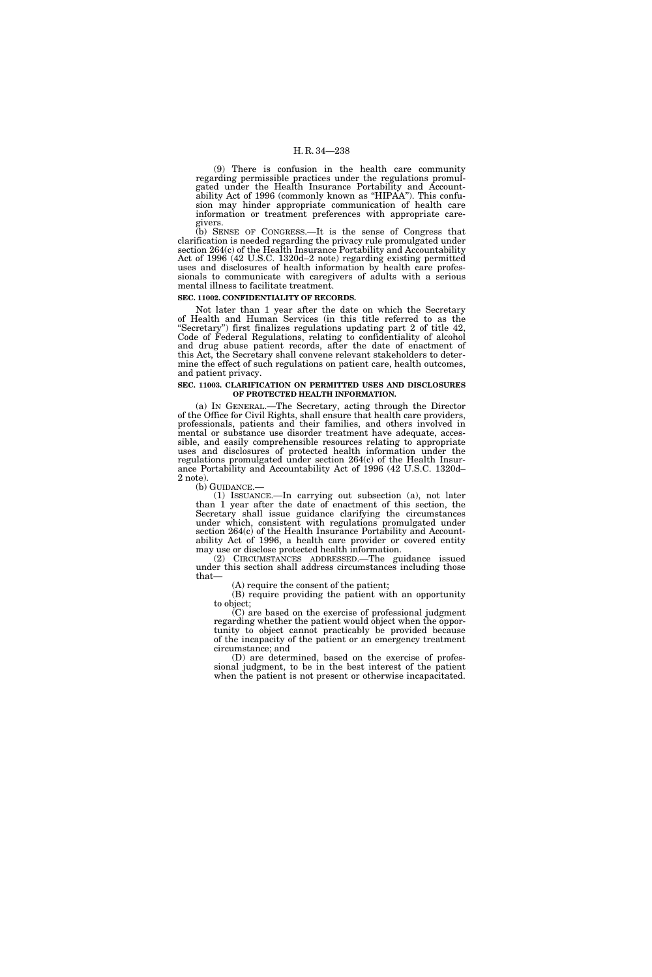(9) There is confusion in the health care community regarding permissible practices under the regulations promulgated under the Health Insurance Portability and Accountability Act of 1996 (commonly known as "HIPAA"). This confusion may hinder appropriate communication of health care information or treatment preferences with appropriate caregivers.

(b) SENSE OF CONGRESS.—It is the sense of Congress that clarification is needed regarding the privacy rule promulgated under section 264(c) of the Health Insurance Portability and Accountability Act of 1996 (42 U.S.C. 1320d–2 note) regarding existing permitted uses and disclosures of health information by health care professionals to communicate with caregivers of adults with a serious mental illness to facilitate treatment.

## **SEC. 11002. CONFIDENTIALITY OF RECORDS.**

Not later than 1 year after the date on which the Secretary of Health and Human Services (in this title referred to as the "Secretary") first finalizes regulations updating part 2 of title 42, Code of Federal Regulations, relating to confidentiality of alcohol and drug abuse patient records, after the date of enactment of this Act, the Secretary shall convene relevant stakeholders to determine the effect of such regulations on patient care, health outcomes, and patient privacy.

#### **SEC. 11003. CLARIFICATION ON PERMITTED USES AND DISCLOSURES OF PROTECTED HEALTH INFORMATION.**

(a) IN GENERAL.—The Secretary, acting through the Director of the Office for Civil Rights, shall ensure that health care providers, professionals, patients and their families, and others involved in mental or substance use disorder treatment have adequate, accessible, and easily comprehensible resources relating to appropriate uses and disclosures of protected health information under the regulations promulgated under section 264(c) of the Health Insurance Portability and Accountability Act of 1996 (42 U.S.C. 1320d– 2 note).<br>(b) GUIDANCE.—

 $(1)$  ISSUANCE.—In carrying out subsection  $(a)$ , not later than 1 year after the date of enactment of this section, the Secretary shall issue guidance clarifying the circumstances under which, consistent with regulations promulgated under section 264(c) of the Health Insurance Portability and Accountability Act of 1996, a health care provider or covered entity may use or disclose protected health information.

(2) CIRCUMSTANCES ADDRESSED.—The guidance issued under this section shall address circumstances including those that—

(A) require the consent of the patient;

(B) require providing the patient with an opportunity to object;

(C) are based on the exercise of professional judgment regarding whether the patient would object when the opportunity to object cannot practicably be provided because of the incapacity of the patient or an emergency treatment circumstance; and

(D) are determined, based on the exercise of professional judgment, to be in the best interest of the patient when the patient is not present or otherwise incapacitated.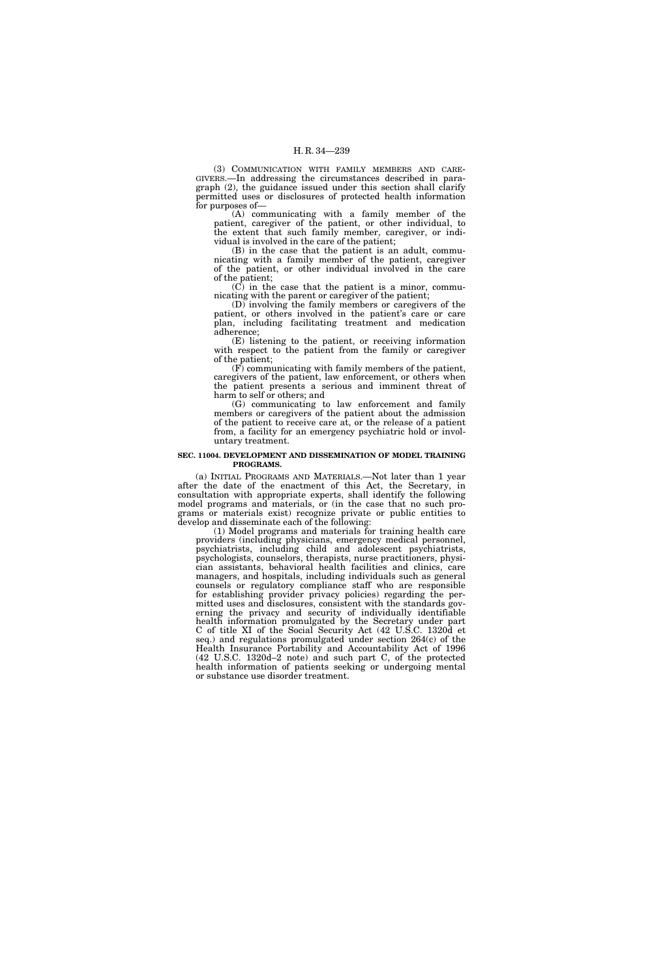(3) COMMUNICATION WITH FAMILY MEMBERS AND CARE-GIVERS.—In addressing the circumstances described in paragraph (2), the guidance issued under this section shall clarify permitted uses or disclosures of protected health information for purposes of—

(A) communicating with a family member of the patient, caregiver of the patient, or other individual, to the extent that such family member, caregiver, or individual is involved in the care of the patient;

(B) in the case that the patient is an adult, communicating with a family member of the patient, caregiver of the patient, or other individual involved in the care of the patient;

(C) in the case that the patient is a minor, communicating with the parent or caregiver of the patient;

(D) involving the family members or caregivers of the patient, or others involved in the patient's care or care plan, including facilitating treatment and medication adherence;

(E) listening to the patient, or receiving information with respect to the patient from the family or caregiver of the patient;

(F) communicating with family members of the patient, caregivers of the patient, law enforcement, or others when the patient presents a serious and imminent threat of harm to self or others; and

(G) communicating to law enforcement and family members or caregivers of the patient about the admission of the patient to receive care at, or the release of a patient from, a facility for an emergency psychiatric hold or involuntary treatment.

#### **SEC. 11004. DEVELOPMENT AND DISSEMINATION OF MODEL TRAINING PROGRAMS.**

(a) INITIAL PROGRAMS AND MATERIALS.—Not later than 1 year after the date of the enactment of this Act, the Secretary, in consultation with appropriate experts, shall identify the following model programs and materials, or (in the case that no such programs or materials exist) recognize private or public entities to develop and disseminate each of the following:

(1) Model programs and materials for training health care providers (including physicians, emergency medical personnel, psychiatrists, including child and adolescent psychiatrists, psychologists, counselors, therapists, nurse practitioners, physician assistants, behavioral health facilities and clinics, care managers, and hospitals, including individuals such as general counsels or regulatory compliance staff who are responsible for establishing provider privacy policies) regarding the permitted uses and disclosures, consistent with the standards governing the privacy and security of individually identifiable health information promulgated by the Secretary under part C of title XI of the Social Security Act (42 U.S.C. 1320d et seq.) and regulations promulgated under section 264(c) of the Health Insurance Portability and Accountability Act of 1996 (42 U.S.C. 1320d–2 note) and such part C, of the protected health information of patients seeking or undergoing mental or substance use disorder treatment.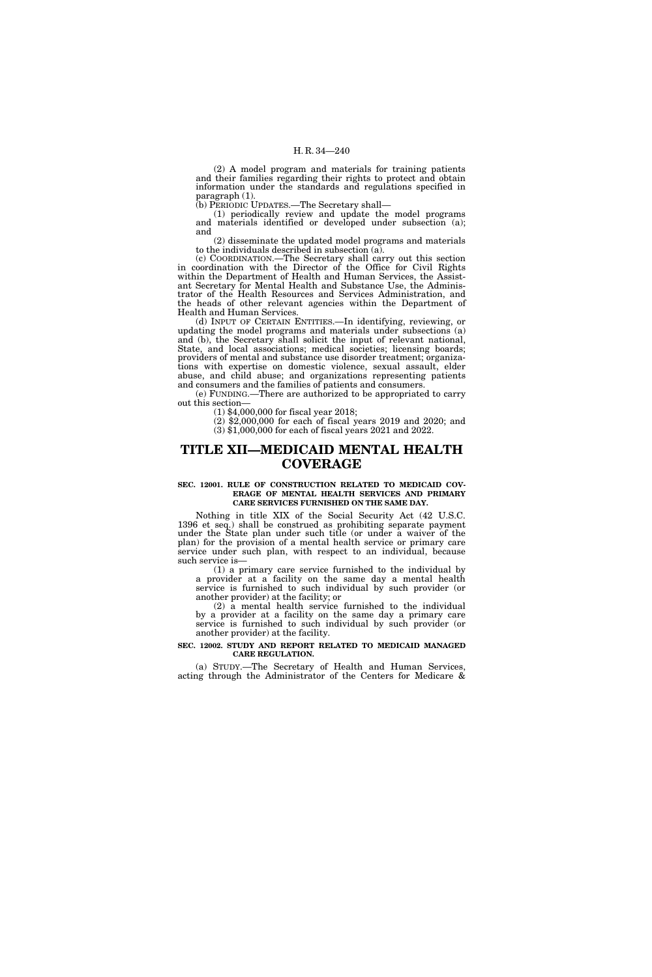(2) A model program and materials for training patients and their families regarding their rights to protect and obtain information under the standards and regulations specified in paragraph (1).

(b) PERIODIC UPDATES.—The Secretary shall—

(1) periodically review and update the model programs and materials identified or developed under subsection (a); and

(2) disseminate the updated model programs and materials to the individuals described in subsection (a).

(c) COORDINATION.—The Secretary shall carry out this section in coordination with the Director of the Office for Civil Rights within the Department of Health and Human Services, the Assistant Secretary for Mental Health and Substance Use, the Administrator of the Health Resources and Services Administration, and the heads of other relevant agencies within the Department of Health and Human Services.

(d) INPUT OF CERTAIN ENTITIES.—In identifying, reviewing, or updating the model programs and materials under subsections (a) and (b), the Secretary shall solicit the input of relevant national, State, and local associations; medical societies; licensing boards; providers of mental and substance use disorder treatment; organizations with expertise on domestic violence, sexual assault, elder abuse, and child abuse; and organizations representing patients and consumers and the families of patients and consumers.

(e) FUNDING.—There are authorized to be appropriated to carry out this section—

(1) \$4,000,000 for fiscal year 2018;

(2) \$2,000,000 for each of fiscal years 2019 and 2020; and (3) \$1,000,000 for each of fiscal years 2021 and 2022.

# **TITLE XII—MEDICAID MENTAL HEALTH COVERAGE**

#### **SEC. 12001. RULE OF CONSTRUCTION RELATED TO MEDICAID COV-ERAGE OF MENTAL HEALTH SERVICES AND PRIMARY CARE SERVICES FURNISHED ON THE SAME DAY.**

Nothing in title XIX of the Social Security Act (42 U.S.C. 1396 et seq.) shall be construed as prohibiting separate payment under the State plan under such title (or under a waiver of the plan) for the provision of a mental health service or primary care service under such plan, with respect to an individual, because such service is—

(1) a primary care service furnished to the individual by a provider at a facility on the same day a mental health service is furnished to such individual by such provider (or another provider) at the facility; or

(2) a mental health service furnished to the individual by a provider at a facility on the same day a primary care service is furnished to such individual by such provider (or another provider) at the facility.

## **SEC. 12002. STUDY AND REPORT RELATED TO MEDICAID MANAGED CARE REGULATION.**

(a) STUDY.—The Secretary of Health and Human Services, acting through the Administrator of the Centers for Medicare &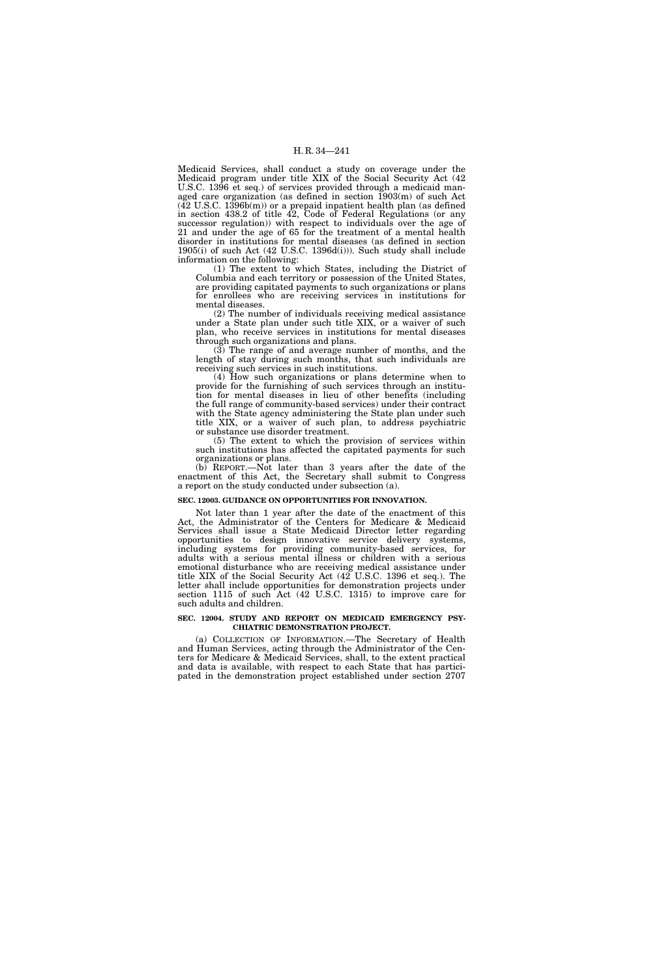Medicaid Services, shall conduct a study on coverage under the Medicaid program under title XIX of the Social Security Act (42 U.S.C. 1396 et seq.) of services provided through a medicaid managed care organization (as defined in section 1903(m) of such Act  $(42 \text{ U.S.C. } 1396b(m))$  or a prepaid inpatient health plan (as defined in section 438.2 of title 42, Code of Federal Regulations (or any successor regulation)) with respect to individuals over the age of 21 and under the age of 65 for the treatment of a mental health disorder in institutions for mental diseases (as defined in section 1905(i) of such Act (42 U.S.C. 1396d(i))). Such study shall include information on the following:

(1) The extent to which States, including the District of Columbia and each territory or possession of the United States, are providing capitated payments to such organizations or plans for enrollees who are receiving services in institutions for mental diseases.

(2) The number of individuals receiving medical assistance under a State plan under such title XIX, or a waiver of such plan, who receive services in institutions for mental diseases through such organizations and plans.

(3) The range of and average number of months, and the length of stay during such months, that such individuals are receiving such services in such institutions.

(4) How such organizations or plans determine when to provide for the furnishing of such services through an institution for mental diseases in lieu of other benefits (including the full range of community-based services) under their contract with the State agency administering the State plan under such title XIX, or a waiver of such plan, to address psychiatric or substance use disorder treatment.

(5) The extent to which the provision of services within such institutions has affected the capitated payments for such organizations or plans.

(b) REPORT.—Not later than 3 years after the date of the enactment of this Act, the Secretary shall submit to Congress a report on the study conducted under subsection (a).

#### **SEC. 12003. GUIDANCE ON OPPORTUNITIES FOR INNOVATION.**

Not later than 1 year after the date of the enactment of this Act, the Administrator of the Centers for Medicare & Medicaid Services shall issue a State Medicaid Director letter regarding opportunities to design innovative service delivery systems, including systems for providing community-based services, for adults with a serious mental illness or children with a serious emotional disturbance who are receiving medical assistance under title XIX of the Social Security Act (42 U.S.C. 1396 et seq.). The letter shall include opportunities for demonstration projects under section 1115 of such Act (42 U.S.C. 1315) to improve care for such adults and children.

## **SEC. 12004. STUDY AND REPORT ON MEDICAID EMERGENCY PSY-CHIATRIC DEMONSTRATION PROJECT.**

(a) COLLECTION OF INFORMATION.—The Secretary of Health and Human Services, acting through the Administrator of the Centers for Medicare & Medicaid Services, shall, to the extent practical and data is available, with respect to each State that has participated in the demonstration project established under section 2707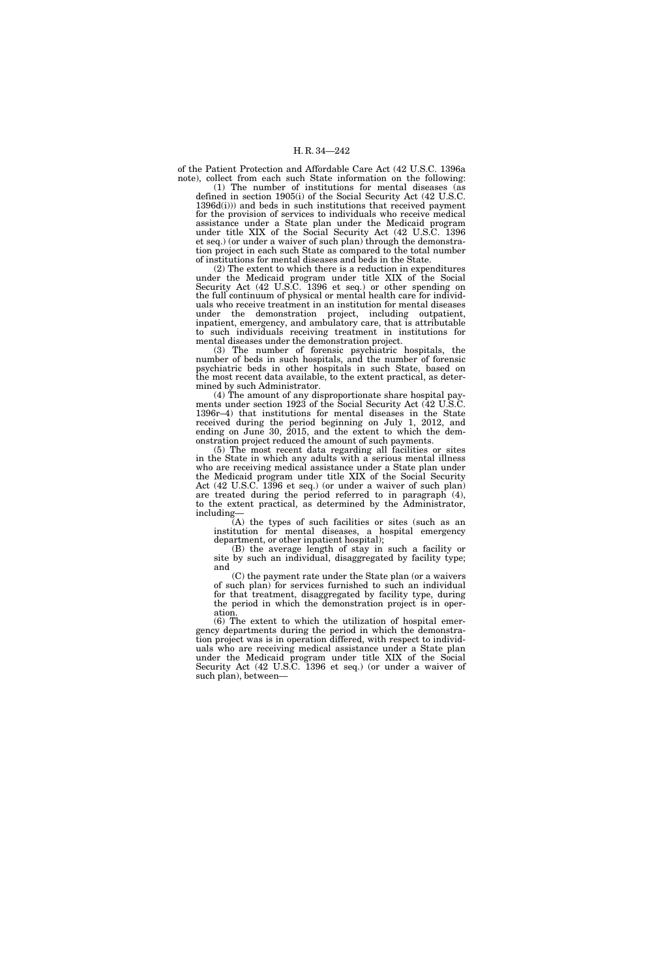of the Patient Protection and Affordable Care Act (42 U.S.C. 1396a note), collect from each such State information on the following:

(1) The number of institutions for mental diseases (as defined in section 1905(i) of the Social Security Act (42 U.S.C. 1396d(i))) and beds in such institutions that received payment for the provision of services to individuals who receive medical assistance under a State plan under the Medicaid program under title XIX of the Social Security Act (42 U.S.C. 1396 et seq.) (or under a waiver of such plan) through the demonstration project in each such State as compared to the total number of institutions for mental diseases and beds in the State.

(2) The extent to which there is a reduction in expenditures under the Medicaid program under title XIX of the Social Security Act (42 U.S.C. 1396 et seq.) or other spending on the full continuum of physical or mental health care for individuals who receive treatment in an institution for mental diseases under the demonstration project, including outpatient, inpatient, emergency, and ambulatory care, that is attributable to such individuals receiving treatment in institutions for mental diseases under the demonstration project.

(3) The number of forensic psychiatric hospitals, the number of beds in such hospitals, and the number of forensic psychiatric beds in other hospitals in such State, based on the most recent data available, to the extent practical, as determined by such Administrator.

(4) The amount of any disproportionate share hospital payments under section 1923 of the Social Security Act (42 U.S.C. 1396r–4) that institutions for mental diseases in the State received during the period beginning on July 1, 2012, and ending on June 30, 2015, and the extent to which the demonstration project reduced the amount of such payments.

(5) The most recent data regarding all facilities or sites in the State in which any adults with a serious mental illness who are receiving medical assistance under a State plan under the Medicaid program under title XIX of the Social Security Act (42 U.S.C. 1396 et seq.) (or under a waiver of such plan) are treated during the period referred to in paragraph (4), to the extent practical, as determined by the Administrator, including—

(A) the types of such facilities or sites (such as an institution for mental diseases, a hospital emergency department, or other inpatient hospital);

(B) the average length of stay in such a facility or site by such an individual, disaggregated by facility type; and

(C) the payment rate under the State plan (or a waivers of such plan) for services furnished to such an individual for that treatment, disaggregated by facility type, during the period in which the demonstration project is in operation.

(6) The extent to which the utilization of hospital emergency departments during the period in which the demonstration project was is in operation differed, with respect to individuals who are receiving medical assistance under a State plan under the Medicaid program under title XIX of the Social Security Act (42 U.S.C. 1396 et seq.) (or under a waiver of such plan), between—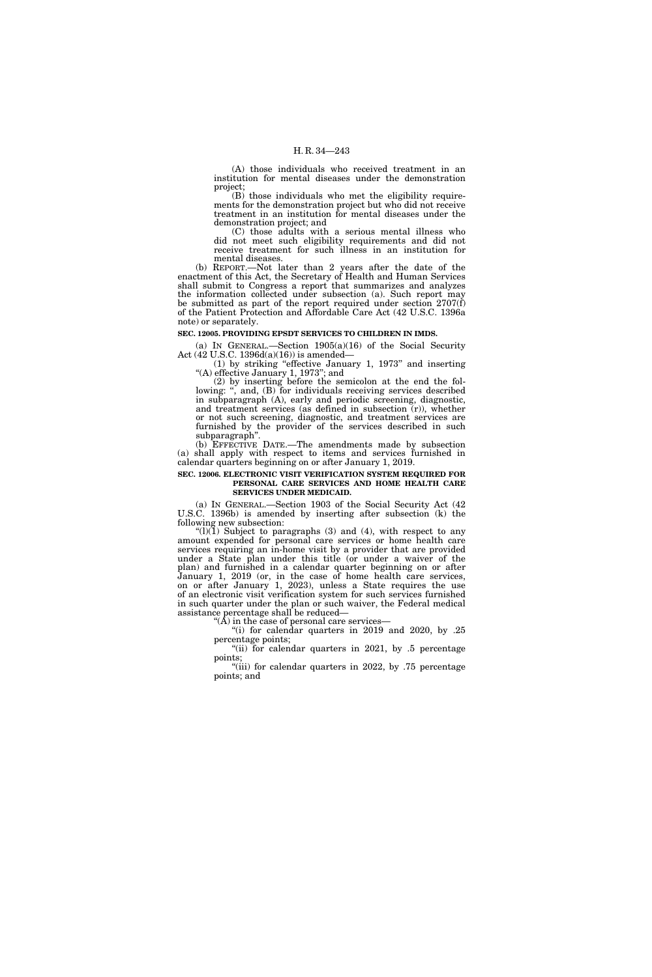(A) those individuals who received treatment in an institution for mental diseases under the demonstration project;

(B) those individuals who met the eligibility requirements for the demonstration project but who did not receive treatment in an institution for mental diseases under the demonstration project; and

(C) those adults with a serious mental illness who did not meet such eligibility requirements and did not receive treatment for such illness in an institution for mental diseases.

(b) REPORT.—Not later than 2 years after the date of the enactment of this Act, the Secretary of Health and Human Services shall submit to Congress a report that summarizes and analyzes the information collected under subsection (a). Such report may be submitted as part of the report required under section  $2707(f)$ of the Patient Protection and Affordable Care Act (42 U.S.C. 1396a note) or separately.

#### **SEC. 12005. PROVIDING EPSDT SERVICES TO CHILDREN IN IMDS.**

(a) IN GENERAL.—Section 1905(a)(16) of the Social Security Act (42 U.S.C. 1396d(a)(16)) is amended—

(1) by striking ''effective January 1, 1973'' and inserting ''(A) effective January 1, 1973''; and

(2) by inserting before the semicolon at the end the following: ", and, (B) for individuals receiving services described in subparagraph (A), early and periodic screening, diagnostic, and treatment services (as defined in subsection (r)), whether or not such screening, diagnostic, and treatment services are furnished by the provider of the services described in such subparagraph''.

(b) EFFECTIVE DATE.—The amendments made by subsection (a) shall apply with respect to items and services furnished in calendar quarters beginning on or after January 1, 2019.

#### **SEC. 12006. ELECTRONIC VISIT VERIFICATION SYSTEM REQUIRED FOR PERSONAL CARE SERVICES AND HOME HEALTH CARE SERVICES UNDER MEDICAID.**

(a) IN GENERAL.—Section 1903 of the Social Security Act (42 U.S.C. 1396b) is amended by inserting after subsection (k) the following new subsection:

" $(l)(1)$  Subject to paragraphs (3) and (4), with respect to any amount expended for personal care services or home health care services requiring an in-home visit by a provider that are provided under a State plan under this title (or under a waiver of the plan) and furnished in a calendar quarter beginning on or after January 1, 2019 (or, in the case of home health care services, on or after January 1, 2023), unless a State requires the use of an electronic visit verification system for such services furnished in such quarter under the plan or such waiver, the Federal medical assistance percentage shall be reduced—

''(A) in the case of personal care services—

''(i) for calendar quarters in 2019 and 2020, by .25 percentage points;

"(ii) for calendar quarters in 2021, by .5 percentage points;

''(iii) for calendar quarters in 2022, by .75 percentage points; and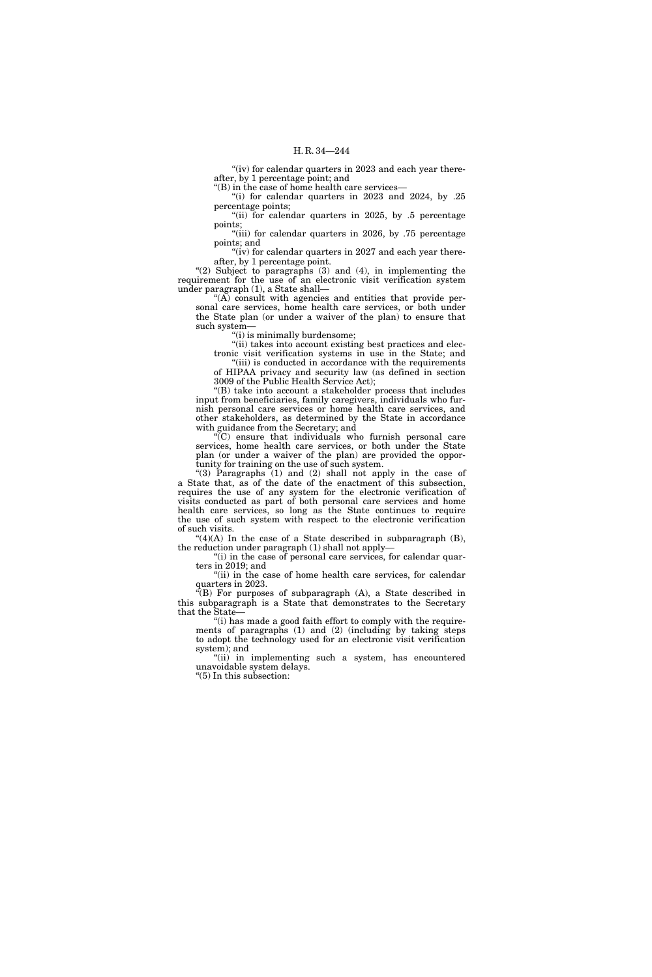"(iv) for calendar quarters in 2023 and each year thereafter, by 1 percentage point; and

''(B) in the case of home health care services—

"(i) for calendar quarters in  $2023$  and  $2024$ , by  $.25$ percentage points;

"(ii) for calendar quarters in 2025, by .5 percentage points;

"(iii) for calendar quarters in 2026, by .75 percentage points; and

" $(iv)$  for calendar quarters in 2027 and each year thereafter, by 1 percentage point.

"(2) Subject to paragraphs (3) and (4), in implementing the requirement for the use of an electronic visit verification system under paragraph (1), a State shall—

 $f(A)$  consult with agencies and entities that provide personal care services, home health care services, or both under the State plan (or under a waiver of the plan) to ensure that such system—

''(i) is minimally burdensome;

''(ii) takes into account existing best practices and electronic visit verification systems in use in the State; and

'(iii) is conducted in accordance with the requirements of HIPAA privacy and security law (as defined in section 3009 of the Public Health Service Act);

''(B) take into account a stakeholder process that includes input from beneficiaries, family caregivers, individuals who furnish personal care services or home health care services, and other stakeholders, as determined by the State in accordance with guidance from the Secretary; and

 $\sqrt{\rm C}$  ensure that individuals who furnish personal care services, home health care services, or both under the State plan (or under a waiver of the plan) are provided the opportunity for training on the use of such system.

''(3) Paragraphs (1) and (2) shall not apply in the case of a State that, as of the date of the enactment of this subsection, requires the use of any system for the electronic verification of visits conducted as part of both personal care services and home health care services, so long as the State continues to require the use of such system with respect to the electronic verification of such visits.

 $^{\prime\prime}(4)(A)$  In the case of a State described in subparagraph (B), the reduction under paragraph (1) shall not apply—

"(i) in the case of personal care services, for calendar quar-

ters in 2019; and "(ii) in the case of home health care services, for calendar quarters in 2023.

 $\mathcal{L}(B)$  For purposes of subparagraph  $(A)$ , a State described in this subparagraph is a State that demonstrates to the Secretary that the State—

"(i) has made a good faith effort to comply with the requirements of paragraphs (1) and (2) (including by taking steps to adopt the technology used for an electronic visit verification system); and

"(ii) in implementing such a system, has encountered unavoidable system delays.

''(5) In this subsection: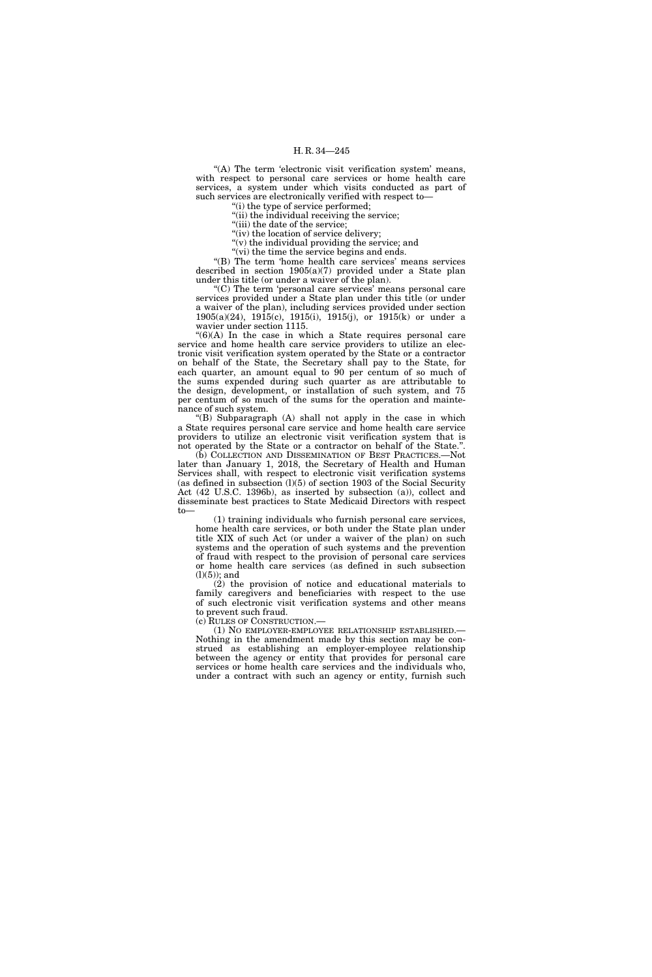"(A) The term 'electronic visit verification system' means, with respect to personal care services or home health care services, a system under which visits conducted as part of such services are electronically verified with respect to—

(i) the type of service performed; "(ii) the individual receiving the service;

"(iii) the date of the service;

"(iv) the location of service delivery;

''(v) the individual providing the service; and

"(vi) the time the service begins and ends.

''(B) The term 'home health care services' means services described in section 1905(a)(7) provided under a State plan under this title (or under a waiver of the plan).

''(C) The term 'personal care services' means personal care services provided under a State plan under this title (or under a waiver of the plan), including services provided under section 1905(a)(24), 1915(c), 1915(i), 1915(j), or 1915(k) or under a wavier under section 1115.

 $"(6)(A)$  In the case in which a State requires personal care service and home health care service providers to utilize an electronic visit verification system operated by the State or a contractor on behalf of the State, the Secretary shall pay to the State, for each quarter, an amount equal to 90 per centum of so much of the sums expended during such quarter as are attributable to the design, development, or installation of such system, and 75 per centum of so much of the sums for the operation and maintenance of such system.

 $f(B)$  Subparagraph  $(A)$  shall not apply in the case in which a State requires personal care service and home health care service providers to utilize an electronic visit verification system that is not operated by the State or a contractor on behalf of the State.''.

(b) COLLECTION AND DISSEMINATION OF BEST PRACTICES.—Not later than January 1, 2018, the Secretary of Health and Human Services shall, with respect to electronic visit verification systems (as defined in subsection  $(l)(5)$  of section 1903 of the Social Security Act (42 U.S.C. 1396b), as inserted by subsection (a)), collect and disseminate best practices to State Medicaid Directors with respect to—

(1) training individuals who furnish personal care services, home health care services, or both under the State plan under title XIX of such Act (or under a waiver of the plan) on such systems and the operation of such systems and the prevention of fraud with respect to the provision of personal care services or home health care services (as defined in such subsection  $(l)(5)$ ; and

(2) the provision of notice and educational materials to family caregivers and beneficiaries with respect to the use of such electronic visit verification systems and other means to prevent such fraud.

(c) RULES OF CONSTRUCTION.—

(1) NO EMPLOYER-EMPLOYEE RELATIONSHIP ESTABLISHED.— Nothing in the amendment made by this section may be construed as establishing an employer-employee relationship between the agency or entity that provides for personal care services or home health care services and the individuals who, under a contract with such an agency or entity, furnish such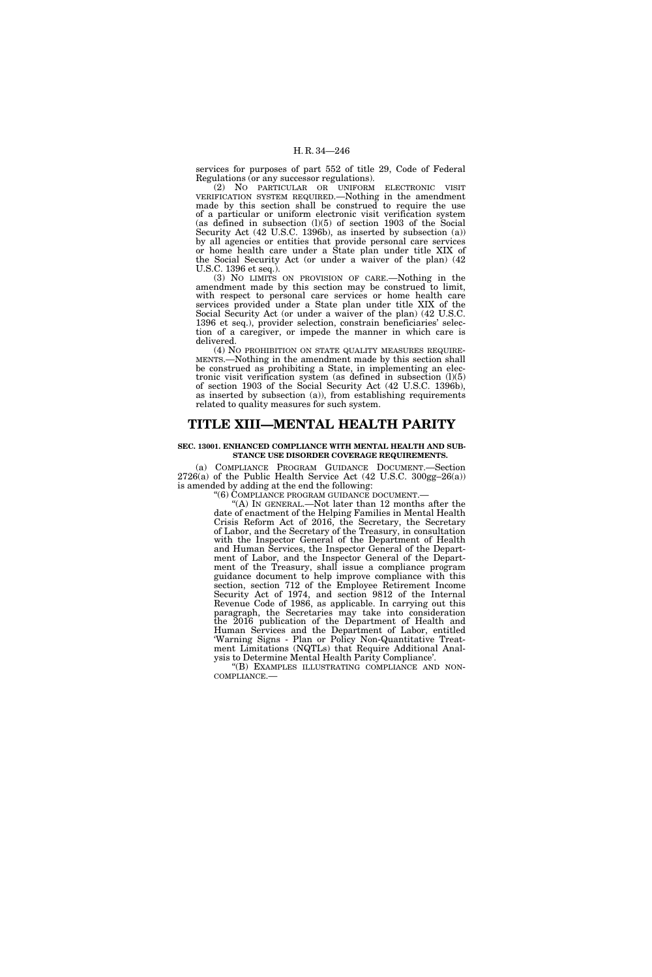services for purposes of part 552 of title 29, Code of Federal Regulations (or any successor regulations).

(2) NO PARTICULAR OR UNIFORM ELECTRONIC VISIT VERIFICATION SYSTEM REQUIRED.—Nothing in the amendment made by this section shall be construed to require the use of a particular or uniform electronic visit verification system (as defined in subsection (l)(5) of section 1903 of the Social Security Act (42 U.S.C. 1396b), as inserted by subsection (a)) by all agencies or entities that provide personal care services or home health care under a State plan under title XIX of the Social Security Act (or under a waiver of the plan) (42 U.S.C. 1396 et seq.).

(3) NO LIMITS ON PROVISION OF CARE.—Nothing in the amendment made by this section may be construed to limit, with respect to personal care services or home health care services provided under a State plan under title XIX of the Social Security Act (or under a waiver of the plan) (42 U.S.C. 1396 et seq.), provider selection, constrain beneficiaries' selection of a caregiver, or impede the manner in which care is delivered.

(4) NO PROHIBITION ON STATE QUALITY MEASURES REQUIRE-MENTS.—Nothing in the amendment made by this section shall be construed as prohibiting a State, in implementing an electronic visit verification system (as defined in subsection  $(l)(5)$ ) of section 1903 of the Social Security Act (42 U.S.C. 1396b), as inserted by subsection (a)), from establishing requirements related to quality measures for such system.

## **TITLE XIII—MENTAL HEALTH PARITY**

## **SEC. 13001. ENHANCED COMPLIANCE WITH MENTAL HEALTH AND SUB-STANCE USE DISORDER COVERAGE REQUIREMENTS.**

(a) COMPLIANCE PROGRAM GUIDANCE DOCUMENT.—Section 2726(a) of the Public Health Service Act (42 U.S.C. 300gg–26(a)) is amended by adding at the end the following:

''(6) COMPLIANCE PROGRAM GUIDANCE DOCUMENT.—

''(A) IN GENERAL.—Not later than 12 months after the date of enactment of the Helping Families in Mental Health Crisis Reform Act of 2016, the Secretary, the Secretary of Labor, and the Secretary of the Treasury, in consultation with the Inspector General of the Department of Health and Human Services, the Inspector General of the Department of Labor, and the Inspector General of the Department of the Treasury, shall issue a compliance program guidance document to help improve compliance with this section, section 712 of the Employee Retirement Income Security Act of 1974, and section 9812 of the Internal Revenue Code of 1986, as applicable. In carrying out this paragraph, the Secretaries may take into consideration the 2016 publication of the Department of Health and Human Services and the Department of Labor, entitled 'Warning Signs - Plan or Policy Non-Quantitative Treatment Limitations (NQTLs) that Require Additional Analysis to Determine Mental Health Parity Compliance'.

''(B) EXAMPLES ILLUSTRATING COMPLIANCE AND NON-COMPLIANCE.—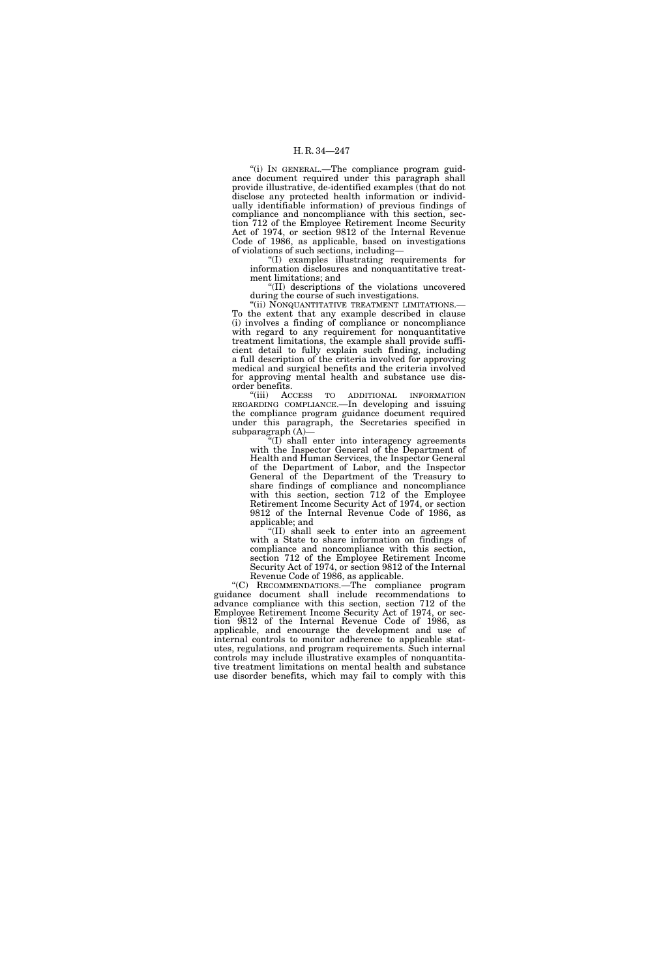''(i) IN GENERAL.—The compliance program guidance document required under this paragraph shall provide illustrative, de-identified examples (that do not disclose any protected health information or individually identifiable information) of previous findings of compliance and noncompliance with this section, section 712 of the Employee Retirement Income Security Act of 1974, or section 9812 of the Internal Revenue Code of 1986, as applicable, based on investigations of violations of such sections, including—

''(I) examples illustrating requirements for information disclosures and nonquantitative treatment limitations; and

''(II) descriptions of the violations uncovered during the course of such investigations.

''(ii) NONQUANTITATIVE TREATMENT LIMITATIONS.— To the extent that any example described in clause (i) involves a finding of compliance or noncompliance with regard to any requirement for nonquantitative treatment limitations, the example shall provide sufficient detail to fully explain such finding, including a full description of the criteria involved for approving medical and surgical benefits and the criteria involved for approving mental health and substance use disorder benefits.

''(iii) ACCESS TO ADDITIONAL INFORMATION REGARDING COMPLIANCE.—In developing and issuing the compliance program guidance document required under this paragraph, the Secretaries specified in subparagraph (A)—

 $f(I)$  shall enter into interagency agreements with the Inspector General of the Department of Health and Human Services, the Inspector General of the Department of Labor, and the Inspector General of the Department of the Treasury to share findings of compliance and noncompliance with this section, section 712 of the Employee Retirement Income Security Act of 1974, or section 9812 of the Internal Revenue Code of 1986, as applicable; and

''(II) shall seek to enter into an agreement with a State to share information on findings of compliance and noncompliance with this section, section 712 of the Employee Retirement Income Security Act of 1974, or section 9812 of the Internal Revenue Code of 1986, as applicable.

''(C) RECOMMENDATIONS.—The compliance program guidance document shall include recommendations to advance compliance with this section, section 712 of the Employee Retirement Income Security Act of 1974, or section 9812 of the Internal Revenue Code of 1986, as applicable, and encourage the development and use of internal controls to monitor adherence to applicable statutes, regulations, and program requirements. Such internal controls may include illustrative examples of nonquantitative treatment limitations on mental health and substance use disorder benefits, which may fail to comply with this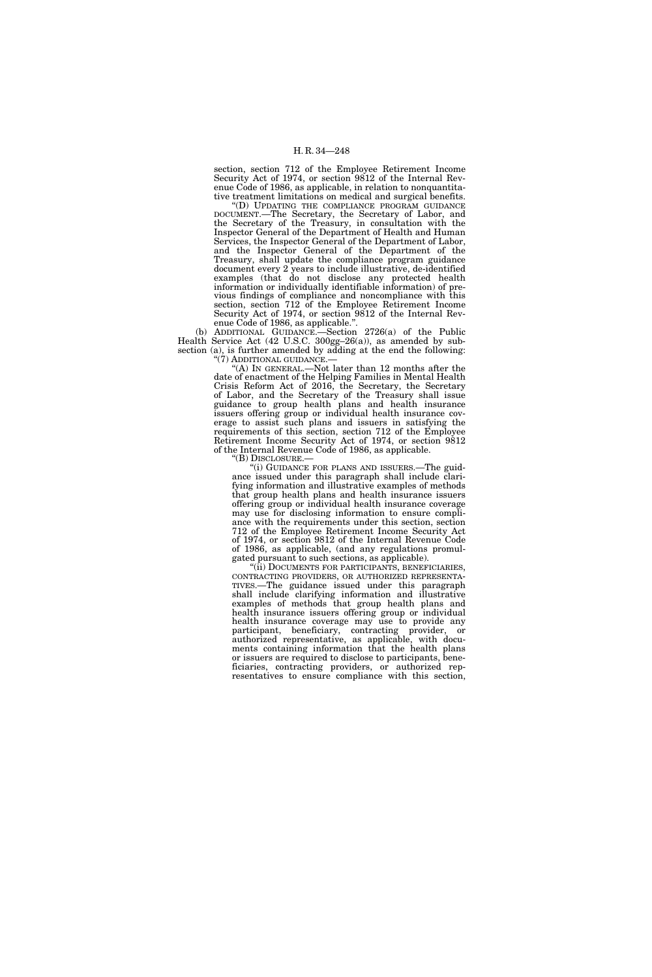section, section 712 of the Employee Retirement Income Security Act of 1974, or section 9812 of the Internal Revenue Code of 1986, as applicable, in relation to nonquantitative treatment limitations on medical and surgical benefits.

''(D) UPDATING THE COMPLIANCE PROGRAM GUIDANCE DOCUMENT.—The Secretary, the Secretary of Labor, and the Secretary of the Treasury, in consultation with the Inspector General of the Department of Health and Human Services, the Inspector General of the Department of Labor, and the Inspector General of the Department of the Treasury, shall update the compliance program guidance document every 2 years to include illustrative, de-identified examples (that do not disclose any protected health information or individually identifiable information) of previous findings of compliance and noncompliance with this section, section 712 of the Employee Retirement Income Security Act of 1974, or section 9812 of the Internal Revenue Code of 1986, as applicable.''.

(b) ADDITIONAL GUIDANCE.—Section 2726(a) of the Public Health Service Act (42 U.S.C. 300gg–26(a)), as amended by subsection (a), is further amended by adding at the end the following: ''(7) ADDITIONAL GUIDANCE.—

"(A) In GENERAL.—Not later than 12 months after the date of enactment of the Helping Families in Mental Health Crisis Reform Act of 2016, the Secretary, the Secretary of Labor, and the Secretary of the Treasury shall issue guidance to group health plans and health insurance issuers offering group or individual health insurance coverage to assist such plans and issuers in satisfying the requirements of this section, section 712 of the Employee Retirement Income Security Act of 1974, or section 9812 of the Internal Revenue Code of 1986, as applicable.

''(B) DISCLOSURE.—

''(i) GUIDANCE FOR PLANS AND ISSUERS.—The guidance issued under this paragraph shall include clarifying information and illustrative examples of methods that group health plans and health insurance issuers offering group or individual health insurance coverage may use for disclosing information to ensure compliance with the requirements under this section, section 712 of the Employee Retirement Income Security Act of 1974, or section 9812 of the Internal Revenue Code of 1986, as applicable, (and any regulations promul-

gated pursuant to such sections, as applicable). CONTRACTING PROVIDERS, OR AUTHORIZED REPRESENTA-<br>TIVES.—The guidance issued under this paragraph shall include clarifying information and illustrative examples of methods that group health plans and health insurance issuers offering group or individual health insurance coverage may use to provide any participant, beneficiary, contracting provider, or authorized representative, as applicable, with documents containing information that the health plans or issuers are required to disclose to participants, beneficiaries, contracting providers, or authorized representatives to ensure compliance with this section,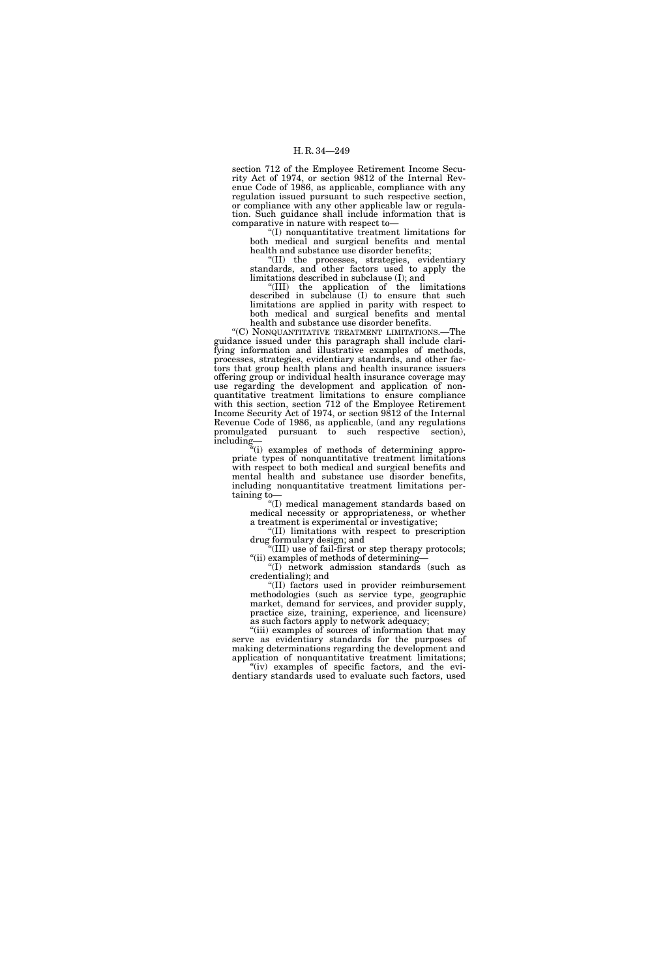section 712 of the Employee Retirement Income Security Act of 1974, or section 9812 of the Internal Revenue Code of 1986, as applicable, compliance with any regulation issued pursuant to such respective section, or compliance with any other applicable law or regulation. Such guidance shall include information that is comparative in nature with respect to—

''(I) nonquantitative treatment limitations for both medical and surgical benefits and mental health and substance use disorder benefits;

''(II) the processes, strategies, evidentiary standards, and other factors used to apply the limitations described in subclause (I); and

''(III) the application of the limitations described in subclause (I) to ensure that such limitations are applied in parity with respect to both medical and surgical benefits and mental health and substance use disorder benefits.

''(C) NONQUANTITATIVE TREATMENT LIMITATIONS.—The guidance issued under this paragraph shall include clarifying information and illustrative examples of methods, processes, strategies, evidentiary standards, and other factors that group health plans and health insurance issuers offering group or individual health insurance coverage may use regarding the development and application of nonquantitative treatment limitations to ensure compliance with this section, section 712 of the Employee Retirement Income Security Act of 1974, or section 9812 of the Internal Revenue Code of 1986, as applicable, (and any regulations promulgated pursuant to such respective section), including—

''(i) examples of methods of determining appropriate types of nonquantitative treatment limitations with respect to both medical and surgical benefits and mental health and substance use disorder benefits, including nonquantitative treatment limitations pertaining to—

''(I) medical management standards based on medical necessity or appropriateness, or whether a treatment is experimental or investigative;

''(II) limitations with respect to prescription drug formulary design; and

''(III) use of fail-first or step therapy protocols; "(ii) examples of methods of determining-

''(I) network admission standards (such as credentialing); and

''(II) factors used in provider reimbursement methodologies (such as service type, geographic market, demand for services, and provider supply, practice size, training, experience, and licensure) as such factors apply to network adequacy;

"(iii) examples of sources of information that may serve as evidentiary standards for the purposes of making determinations regarding the development and application of nonquantitative treatment limitations;

"(iv) examples of specific factors, and the evidentiary standards used to evaluate such factors, used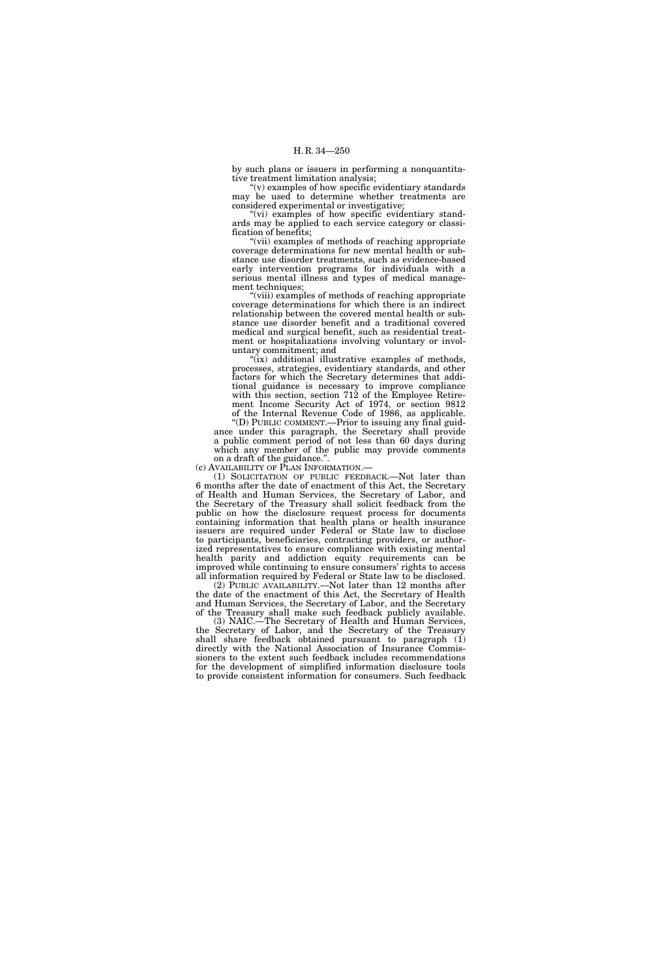by such plans or issuers in performing a nonquantitative treatment limitation analysis;

 $''(v)$  examples of how specific evidentiary standards may be used to determine whether treatments are considered experimental or investigative;

"(vi) examples of how specific evidentiary standards may be applied to each service category or classification of benefits;

''(vii) examples of methods of reaching appropriate coverage determinations for new mental health or substance use disorder treatments, such as evidence-based early intervention programs for individuals with a serious mental illness and types of medical management techniques;

''(viii) examples of methods of reaching appropriate coverage determinations for which there is an indirect relationship between the covered mental health or substance use disorder benefit and a traditional covered medical and surgical benefit, such as residential treatment or hospitalizations involving voluntary or involuntary commitment; and

"(ix) additional illustrative examples of methods, processes, strategies, evidentiary standards, and other factors for which the Secretary determines that additional guidance is necessary to improve compliance with this section, section 712 of the Employee Retirement Income Security Act of 1974, or section 9812 of the Internal Revenue Code of 1986, as applicable.

''(D) PUBLIC COMMENT.—Prior to issuing any final guidance under this paragraph, the Secretary shall provide a public comment period of not less than 60 days during which any member of the public may provide comments

on a draft of the guidance.''.

(c) AVAILABILITY OF PLAN INFORMATION.—

(1) SOLICITATION OF PUBLIC FEEDBACK.—Not later than 6 months after the date of enactment of this Act, the Secretary of Health and Human Services, the Secretary of Labor, and the Secretary of the Treasury shall solicit feedback from the public on how the disclosure request process for documents containing information that health plans or health insurance issuers are required under Federal or State law to disclose to participants, beneficiaries, contracting providers, or authorized representatives to ensure compliance with existing mental health parity and addiction equity requirements can be improved while continuing to ensure consumers' rights to access all information required by Federal or State law to be disclosed.

(2) PUBLIC AVAILABILITY.—Not later than 12 months after the date of the enactment of this Act, the Secretary of Health and Human Services, the Secretary of Labor, and the Secretary of the Treasury shall make such feedback publicly available.

(3) NAIC.—The Secretary of Health and Human Services, the Secretary of Labor, and the Secretary of the Treasury shall share feedback obtained pursuant to paragraph (1) directly with the National Association of Insurance Commissioners to the extent such feedback includes recommendations for the development of simplified information disclosure tools to provide consistent information for consumers. Such feedback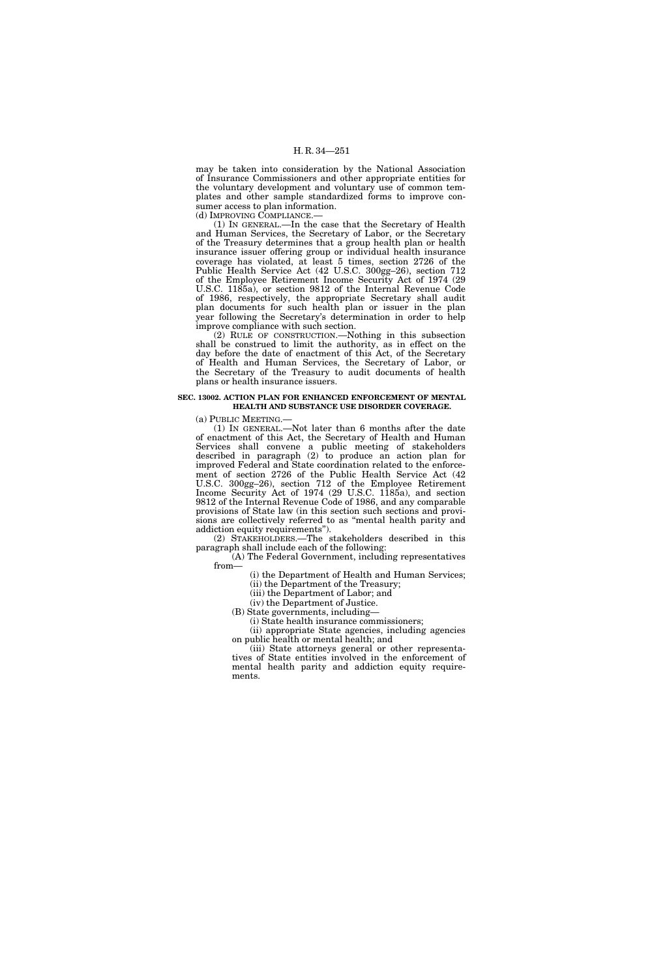may be taken into consideration by the National Association of Insurance Commissioners and other appropriate entities for the voluntary development and voluntary use of common templates and other sample standardized forms to improve consumer access to plan information. (d) IMPROVING COMPLIANCE.—

(1) IN GENERAL.—In the case that the Secretary of Health and Human Services, the Secretary of Labor, or the Secretary of the Treasury determines that a group health plan or health insurance issuer offering group or individual health insurance coverage has violated, at least 5 times, section 2726 of the Public Health Service Act (42 U.S.C. 300gg–26), section 712 of the Employee Retirement Income Security Act of 1974 (29 U.S.C. 1185a), or section 9812 of the Internal Revenue Code of 1986, respectively, the appropriate Secretary shall audit plan documents for such health plan or issuer in the plan year following the Secretary's determination in order to help improve compliance with such section.

(2) RULE OF CONSTRUCTION.—Nothing in this subsection shall be construed to limit the authority, as in effect on the day before the date of enactment of this Act, of the Secretary of Health and Human Services, the Secretary of Labor, or the Secretary of the Treasury to audit documents of health plans or health insurance issuers.

#### **SEC. 13002. ACTION PLAN FOR ENHANCED ENFORCEMENT OF MENTAL HEALTH AND SUBSTANCE USE DISORDER COVERAGE.**

(a) PUBLIC MEETING.—

(1) IN GENERAL.—Not later than 6 months after the date of enactment of this Act, the Secretary of Health and Human Services shall convene a public meeting of stakeholders described in paragraph (2) to produce an action plan for improved Federal and State coordination related to the enforcement of section 2726 of the Public Health Service Act (42 U.S.C. 300gg–26), section 712 of the Employee Retirement Income Security Act of 1974 (29 U.S.C. 1185a), and section 9812 of the Internal Revenue Code of 1986, and any comparable provisions of State law (in this section such sections and provisions are collectively referred to as ''mental health parity and addiction equity requirements'').

(2) STAKEHOLDERS.—The stakeholders described in this paragraph shall include each of the following:

(A) The Federal Government, including representatives from—

(i) the Department of Health and Human Services;

(ii) the Department of the Treasury;

(iii) the Department of Labor; and (iv) the Department of Justice.

(B) State governments, including—

(i) State health insurance commissioners;

(ii) appropriate State agencies, including agencies on public health or mental health; and

(iii) State attorneys general or other representatives of State entities involved in the enforcement of mental health parity and addiction equity requirements.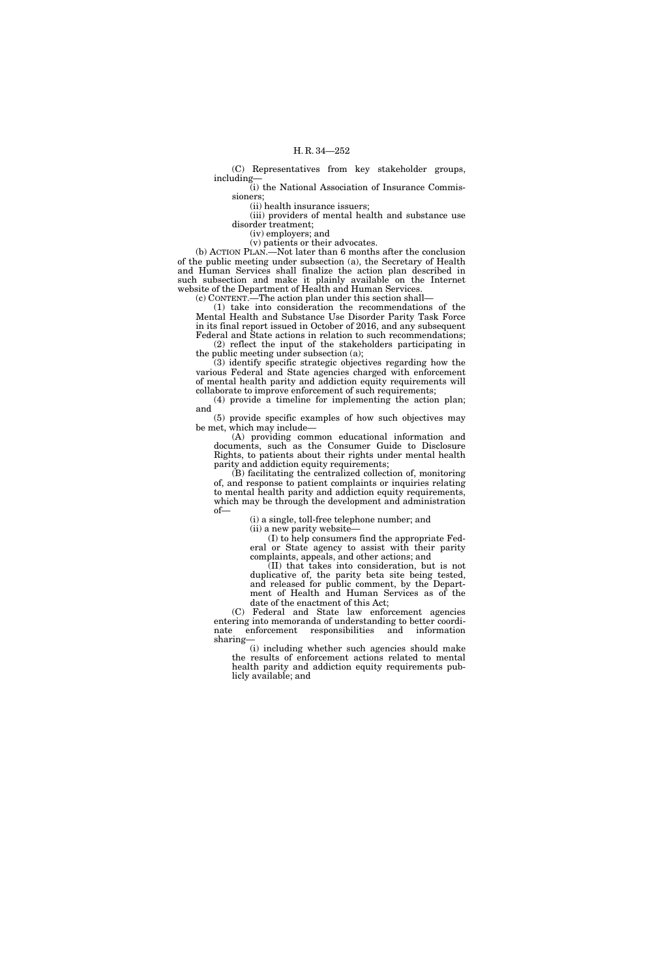(C) Representatives from key stakeholder groups, including—

(i) the National Association of Insurance Commissioners;

(ii) health insurance issuers;

(iii) providers of mental health and substance use disorder treatment;

(iv) employers; and

(v) patients or their advocates.

(b) ACTION PLAN.—Not later than 6 months after the conclusion of the public meeting under subsection (a), the Secretary of Health and Human Services shall finalize the action plan described in such subsection and make it plainly available on the Internet website of the Department of Health and Human Services.

(c) CONTENT.—The action plan under this section shall—

(1) take into consideration the recommendations of the Mental Health and Substance Use Disorder Parity Task Force in its final report issued in October of 2016, and any subsequent Federal and State actions in relation to such recommendations; (2) reflect the input of the stakeholders participating in

the public meeting under subsection (a); (3) identify specific strategic objectives regarding how the various Federal and State agencies charged with enforcement of mental health parity and addiction equity requirements will collaborate to improve enforcement of such requirements;

(4) provide a timeline for implementing the action plan; and

(5) provide specific examples of how such objectives may be met, which may include—

(A) providing common educational information and documents, such as the Consumer Guide to Disclosure Rights, to patients about their rights under mental health parity and addiction equity requirements;

(B) facilitating the centralized collection of, monitoring of, and response to patient complaints or inquiries relating to mental health parity and addiction equity requirements, which may be through the development and administration of—

(i) a single, toll-free telephone number; and

(ii) a new parity website—

(I) to help consumers find the appropriate Federal or State agency to assist with their parity complaints, appeals, and other actions; and

(II) that takes into consideration, but is not duplicative of, the parity beta site being tested, and released for public comment, by the Department of Health and Human Services as of the date of the enactment of this Act;

(C) Federal and State law enforcement agencies entering into memoranda of understanding to better coordinate enforcement responsibilities and information enforcement responsibilities sharing—

(i) including whether such agencies should make the results of enforcement actions related to mental health parity and addiction equity requirements publicly available; and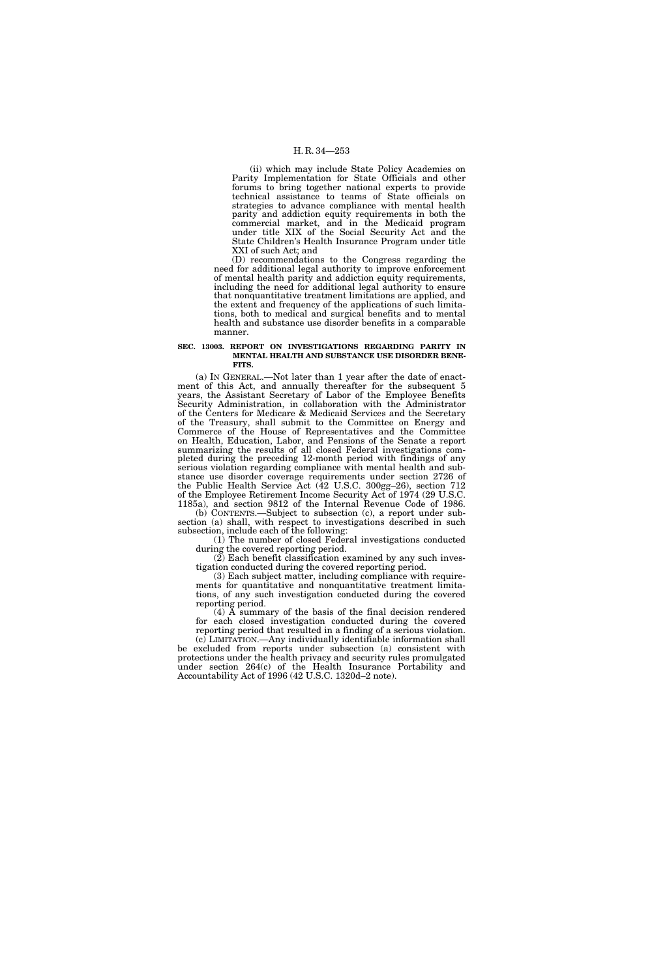(ii) which may include State Policy Academies on Parity Implementation for State Officials and other forums to bring together national experts to provide technical assistance to teams of State officials on strategies to advance compliance with mental health parity and addiction equity requirements in both the commercial market, and in the Medicaid program under title XIX of the Social Security Act and the State Children's Health Insurance Program under title XXI of such Act; and

(D) recommendations to the Congress regarding the need for additional legal authority to improve enforcement of mental health parity and addiction equity requirements, including the need for additional legal authority to ensure that nonquantitative treatment limitations are applied, and the extent and frequency of the applications of such limitations, both to medical and surgical benefits and to mental health and substance use disorder benefits in a comparable manner.

#### **SEC. 13003. REPORT ON INVESTIGATIONS REGARDING PARITY IN MENTAL HEALTH AND SUBSTANCE USE DISORDER BENE-FITS.**

(a) IN GENERAL.—Not later than 1 year after the date of enactment of this Act, and annually thereafter for the subsequent 5 years, the Assistant Secretary of Labor of the Employee Benefits Security Administration, in collaboration with the Administrator of the Centers for Medicare & Medicaid Services and the Secretary of the Treasury, shall submit to the Committee on Energy and Commerce of the House of Representatives and the Committee on Health, Education, Labor, and Pensions of the Senate a report summarizing the results of all closed Federal investigations completed during the preceding 12-month period with findings of any serious violation regarding compliance with mental health and substance use disorder coverage requirements under section 2726 of the Public Health Service Act (42 U.S.C. 300gg–26), section 712 of the Employee Retirement Income Security Act of 1974 (29 U.S.C. 1185a), and section 9812 of the Internal Revenue Code of 1986.

(b) CONTENTS.—Subject to subsection (c), a report under subsection (a) shall, with respect to investigations described in such subsection, include each of the following:

(1) The number of closed Federal investigations conducted during the covered reporting period.

(2) Each benefit classification examined by any such investigation conducted during the covered reporting period.

(3) Each subject matter, including compliance with requirements for quantitative and nonquantitative treatment limitations, of any such investigation conducted during the covered reporting period.

 $(4)$   $\overline{A}$  summary of the basis of the final decision rendered for each closed investigation conducted during the covered reporting period that resulted in a finding of a serious violation.

(c) LIMITATION.—Any individually identifiable information shall be excluded from reports under subsection (a) consistent with protections under the health privacy and security rules promulgated under section 264(c) of the Health Insurance Portability and Accountability Act of 1996 (42 U.S.C. 1320d–2 note).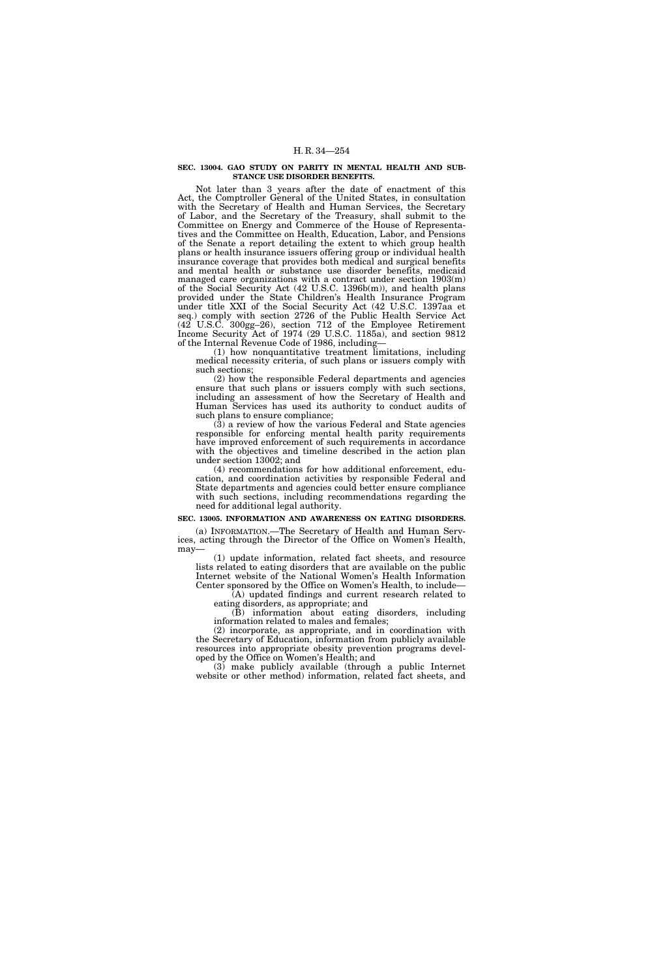#### **SEC. 13004. GAO STUDY ON PARITY IN MENTAL HEALTH AND SUB-STANCE USE DISORDER BENEFITS.**

Not later than 3 years after the date of enactment of this Act, the Comptroller General of the United States, in consultation with the Secretary of Health and Human Services, the Secretary of Labor, and the Secretary of the Treasury, shall submit to the Committee on Energy and Commerce of the House of Representatives and the Committee on Health, Education, Labor, and Pensions of the Senate a report detailing the extent to which group health plans or health insurance issuers offering group or individual health insurance coverage that provides both medical and surgical benefits and mental health or substance use disorder benefits, medicaid managed care organizations with a contract under section 1903(m) of the Social Security Act (42 U.S.C. 1396b(m)), and health plans provided under the State Children's Health Insurance Program under title XXI of the Social Security Act (42 U.S.C. 1397aa et seq.) comply with section 2726 of the Public Health Service Act (42 U.S.C. 300gg–26), section 712 of the Employee Retirement Income Security Act of 1974 (29 U.S.C. 1185a), and section 9812 of the Internal Revenue Code of 1986, including—

(1) how nonquantitative treatment limitations, including medical necessity criteria, of such plans or issuers comply with such sections;

(2) how the responsible Federal departments and agencies ensure that such plans or issuers comply with such sections, including an assessment of how the Secretary of Health and Human Services has used its authority to conduct audits of such plans to ensure compliance;

 $(3)$  a review of how the various Federal and State agencies responsible for enforcing mental health parity requirements have improved enforcement of such requirements in accordance with the objectives and timeline described in the action plan under section 13002; and

(4) recommendations for how additional enforcement, education, and coordination activities by responsible Federal and State departments and agencies could better ensure compliance with such sections, including recommendations regarding the need for additional legal authority.

#### **SEC. 13005. INFORMATION AND AWARENESS ON EATING DISORDERS.**

(a) INFORMATION.—The Secretary of Health and Human Services, acting through the Director of the Office on Women's Health, may—

(1) update information, related fact sheets, and resource lists related to eating disorders that are available on the public Internet website of the National Women's Health Information Center sponsored by the Office on Women's Health, to include— (A) updated findings and current research related to

eating disorders, as appropriate; and

(B) information about eating disorders, including information related to males and females;

(2) incorporate, as appropriate, and in coordination with the Secretary of Education, information from publicly available resources into appropriate obesity prevention programs developed by the Office on Women's Health; and

(3) make publicly available (through a public Internet website or other method) information, related fact sheets, and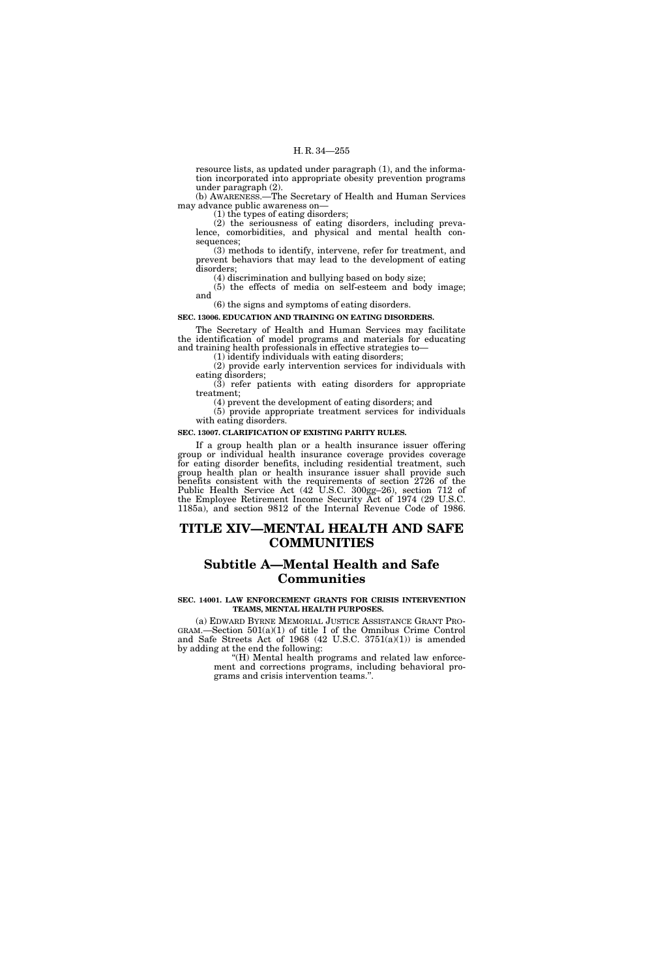resource lists, as updated under paragraph (1), and the information incorporated into appropriate obesity prevention programs under paragraph (2).

(b) AWARENESS.—The Secretary of Health and Human Services may advance public awareness on—

(1) the types of eating disorders;

(2) the seriousness of eating disorders, including prevalence, comorbidities, and physical and mental health consequences;

(3) methods to identify, intervene, refer for treatment, and prevent behaviors that may lead to the development of eating disorders;

(4) discrimination and bullying based on body size;

(5) the effects of media on self-esteem and body image; and

(6) the signs and symptoms of eating disorders.

# **SEC. 13006. EDUCATION AND TRAINING ON EATING DISORDERS.**

The Secretary of Health and Human Services may facilitate the identification of model programs and materials for educating and training health professionals in effective strategies to—

(1) identify individuals with eating disorders;

(2) provide early intervention services for individuals with eating disorders;

(3) refer patients with eating disorders for appropriate treatment; (4) prevent the development of eating disorders; and

(5) provide appropriate treatment services for individuals with eating disorders.

### **SEC. 13007. CLARIFICATION OF EXISTING PARITY RULES.**

If a group health plan or a health insurance issuer offering group or individual health insurance coverage provides coverage for eating disorder benefits, including residential treatment, such group health plan or health insurance issuer shall provide such benefits consistent with the requirements of section 2726 of the Public Health Service Act (42 U.S.C. 300gg–26), section 712 of the Employee Retirement Income Security Act of 1974 (29 U.S.C. 1185a), and section 9812 of the Internal Revenue Code of 1986.

# **TITLE XIV—MENTAL HEALTH AND SAFE COMMUNITIES**

# **Subtitle A—Mental Health and Safe Communities**

# **SEC. 14001. LAW ENFORCEMENT GRANTS FOR CRISIS INTERVENTION TEAMS, MENTAL HEALTH PURPOSES.**

(a) EDWARD BYRNE MEMORIAL JUSTICE ASSISTANCE GRANT PRO- GRAM.—Section  $501(a)(1)$  of title I of the Omnibus Crime Control and Safe Streets Act of 1968 (42 U.S.C. 3751(a)(1)) is amended by adding at the end the following:

"(H) Mental health programs and related law enforcement and corrections programs, including behavioral programs and crisis intervention teams.''.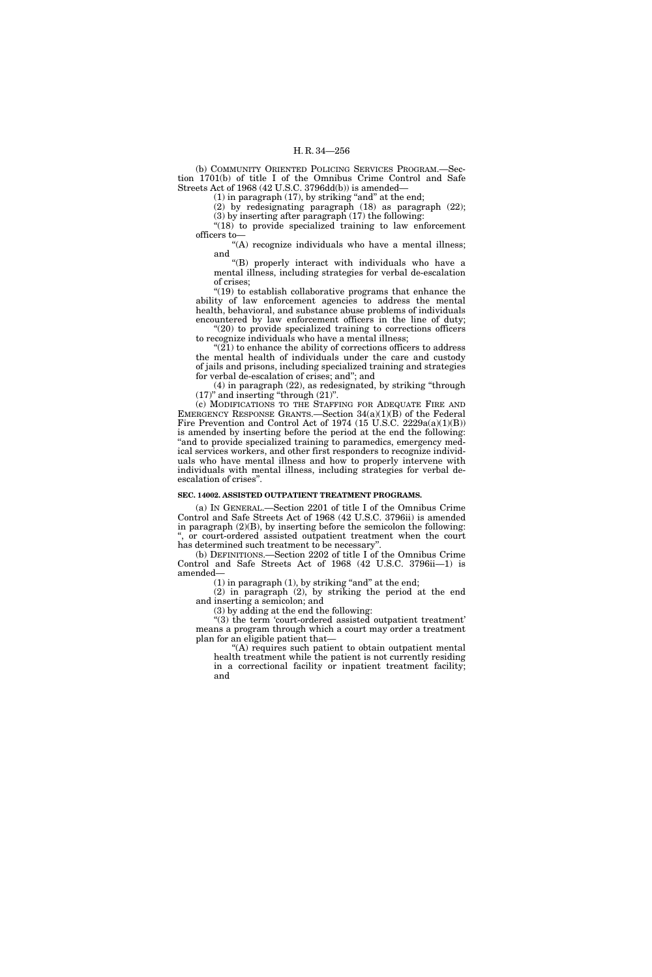(b) COMMUNITY ORIENTED POLICING SERVICES PROGRAM.—Section 1701(b) of title I of the Omnibus Crime Control and Safe Streets Act of 1968 (42 U.S.C. 3796dd(b)) is amended—

 $(1)$  in paragraph  $(17)$ , by striking "and" at the end;

(2) by redesignating paragraph (18) as paragraph (22);

(3) by inserting after paragraph (17) the following: "(18) to provide specialized training to law enforcement officers to—

''(A) recognize individuals who have a mental illness; and

''(B) properly interact with individuals who have a mental illness, including strategies for verbal de-escalation of crises;

''(19) to establish collaborative programs that enhance the ability of law enforcement agencies to address the mental health, behavioral, and substance abuse problems of individuals encountered by law enforcement officers in the line of duty; "(20) to provide specialized training to corrections officers

to recognize individuals who have a mental illness;  $\sqrt[4]{(21)}$  to enhance the ability of corrections officers to address

the mental health of individuals under the care and custody of jails and prisons, including specialized training and strategies for verbal de-escalation of crises; and''; and

(4) in paragraph (22), as redesignated, by striking ''through (17)'' and inserting ''through (21)''.

(c) MODIFICATIONS TO THE STAFFING FOR ADEQUATE FIRE AND EMERGENCY RESPONSE GRANTS.—Section 34(a)(1)(B) of the Federal Fire Prevention and Control Act of 1974 (15 U.S.C. 2229a(a)(1)(B)) is amended by inserting before the period at the end the following: "and to provide specialized training to paramedics, emergency medical services workers, and other first responders to recognize individuals who have mental illness and how to properly intervene with individuals with mental illness, including strategies for verbal deescalation of crises''.

# **SEC. 14002. ASSISTED OUTPATIENT TREATMENT PROGRAMS.**

(a) IN GENERAL.—Section 2201 of title I of the Omnibus Crime Control and Safe Streets Act of 1968 (42 U.S.C. 3796ii) is amended in paragraph (2)(B), by inserting before the semicolon the following: or court-ordered assisted outpatient treatment when the court has determined such treatment to be necessary''.

(b) DEFINITIONS.—Section 2202 of title I of the Omnibus Crime Control and Safe Streets Act of 1968 (42 U.S.C. 3796ii—1) is amended—

 $(1)$  in paragraph  $(1)$ , by striking "and" at the end;

(2) in paragraph (2), by striking the period at the end and inserting a semicolon; and

(3) by adding at the end the following:

''(3) the term 'court-ordered assisted outpatient treatment' means a program through which a court may order a treatment plan for an eligible patient that—

''(A) requires such patient to obtain outpatient mental health treatment while the patient is not currently residing in a correctional facility or inpatient treatment facility; and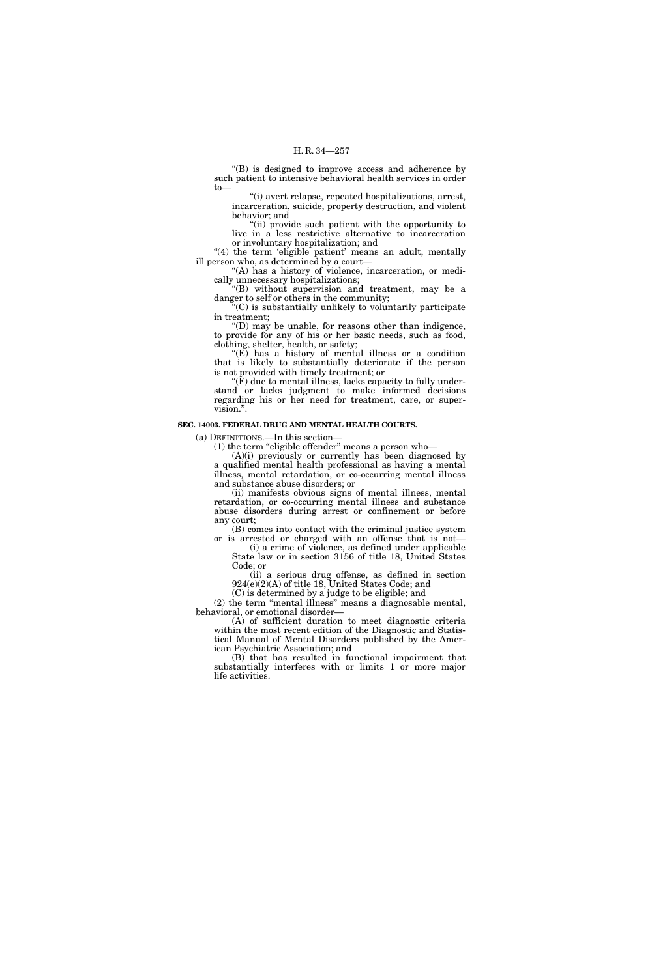''(B) is designed to improve access and adherence by such patient to intensive behavioral health services in order to—

''(i) avert relapse, repeated hospitalizations, arrest, incarceration, suicide, property destruction, and violent behavior; and

''(ii) provide such patient with the opportunity to live in a less restrictive alternative to incarceration or involuntary hospitalization; and

"(4) the term 'eligible patient' means an adult, mentally ill person who, as determined by a court—

"(A) has a history of violence, incarceration, or medically unnecessary hospitalizations;

''(B) without supervision and treatment, may be a danger to self or others in the community;

''(C) is substantially unlikely to voluntarily participate in treatment;

 $'(D)$  may be unable, for reasons other than indigence, to provide for any of his or her basic needs, such as food, clothing, shelter, health, or safety;

" $(E)$  has a history of mental illness or a condition that is likely to substantially deteriorate if the person is not provided with timely treatment; or

''(F) due to mental illness, lacks capacity to fully understand or lacks judgment to make informed decisions regarding his or her need for treatment, care, or supervision.''.

# **SEC. 14003. FEDERAL DRUG AND MENTAL HEALTH COURTS.**

(a) DEFINITIONS.—In this section—

(1) the term ''eligible offender'' means a person who—

(A)(i) previously or currently has been diagnosed by a qualified mental health professional as having a mental illness, mental retardation, or co-occurring mental illness and substance abuse disorders; or

(ii) manifests obvious signs of mental illness, mental retardation, or co-occurring mental illness and substance abuse disorders during arrest or confinement or before any court;

(B) comes into contact with the criminal justice system or is arrested or charged with an offense that is not—

(i) a crime of violence, as defined under applicable State law or in section 3156 of title 18, United States Code; or

(ii) a serious drug offense, as defined in section 924(e)(2)(A) of title 18, United States Code; and

(C) is determined by a judge to be eligible; and (2) the term ''mental illness'' means a diagnosable mental, behavioral, or emotional disorder—

(A) of sufficient duration to meet diagnostic criteria within the most recent edition of the Diagnostic and Statistical Manual of Mental Disorders published by the American Psychiatric Association; and

(B) that has resulted in functional impairment that substantially interferes with or limits 1 or more major life activities.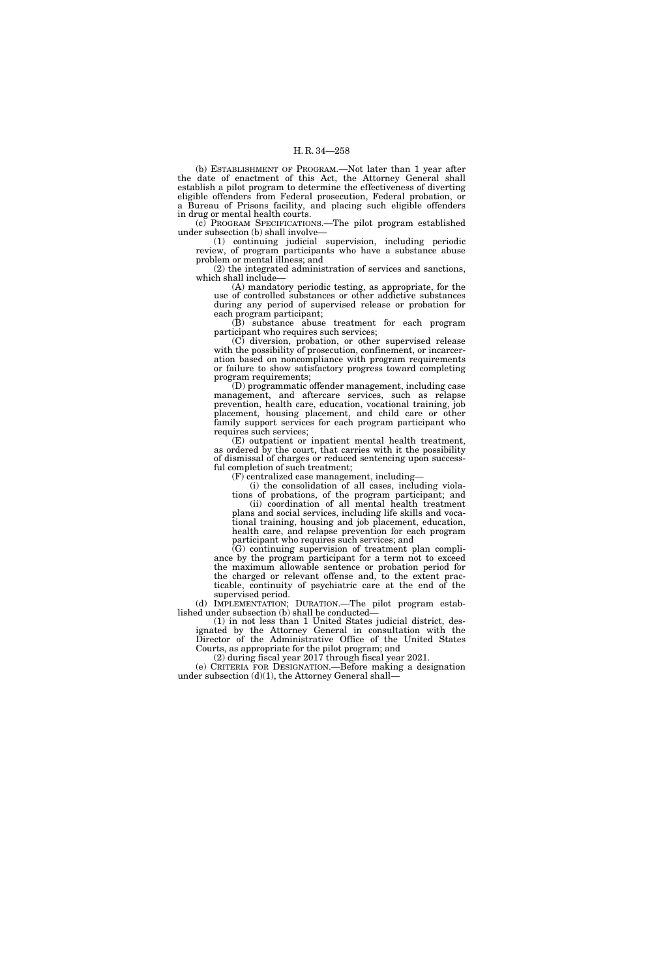(b) ESTABLISHMENT OF PROGRAM.—Not later than 1 year after the date of enactment of this Act, the Attorney General shall establish a pilot program to determine the effectiveness of diverting eligible offenders from Federal prosecution, Federal probation, or a Bureau of Prisons facility, and placing such eligible offenders in drug or mental health courts.

(c) PROGRAM SPECIFICATIONS.—The pilot program established under subsection (b) shall involve—

(1) continuing judicial supervision, including periodic review, of program participants who have a substance abuse problem or mental illness; and

(2) the integrated administration of services and sanctions, which shall include—

(A) mandatory periodic testing, as appropriate, for the use of controlled substances or other addictive substances during any period of supervised release or probation for each program participant;

(B) substance abuse treatment for each program participant who requires such services;

(C) diversion, probation, or other supervised release with the possibility of prosecution, confinement, or incarceration based on noncompliance with program requirements or failure to show satisfactory progress toward completing program requirements;

(D) programmatic offender management, including case management, and aftercare services, such as relapse prevention, health care, education, vocational training, job placement, housing placement, and child care or other family support services for each program participant who requires such services;

(E) outpatient or inpatient mental health treatment, as ordered by the court, that carries with it the possibility of dismissal of charges or reduced sentencing upon successful completion of such treatment;

(F) centralized case management, including—

(i) the consolidation of all cases, including violations of probations, of the program participant; and

(ii) coordination of all mental health treatment plans and social services, including life skills and vocational training, housing and job placement, education, health care, and relapse prevention for each program participant who requires such services; and

(G) continuing supervision of treatment plan compliance by the program participant for a term not to exceed the maximum allowable sentence or probation period for the charged or relevant offense and, to the extent practicable, continuity of psychiatric care at the end of the supervised period.

(d) IMPLEMENTATION; DURATION.—The pilot program established under subsection (b) shall be conducted—

(1) in not less than 1 United States judicial district, designated by the Attorney General in consultation with the Director of the Administrative Office of the United States Courts, as appropriate for the pilot program; and

(2) during fiscal year 2017 through fiscal year 2021.

(e) CRITERIA FOR DESIGNATION.—Before making a designation under subsection (d)(1), the Attorney General shall—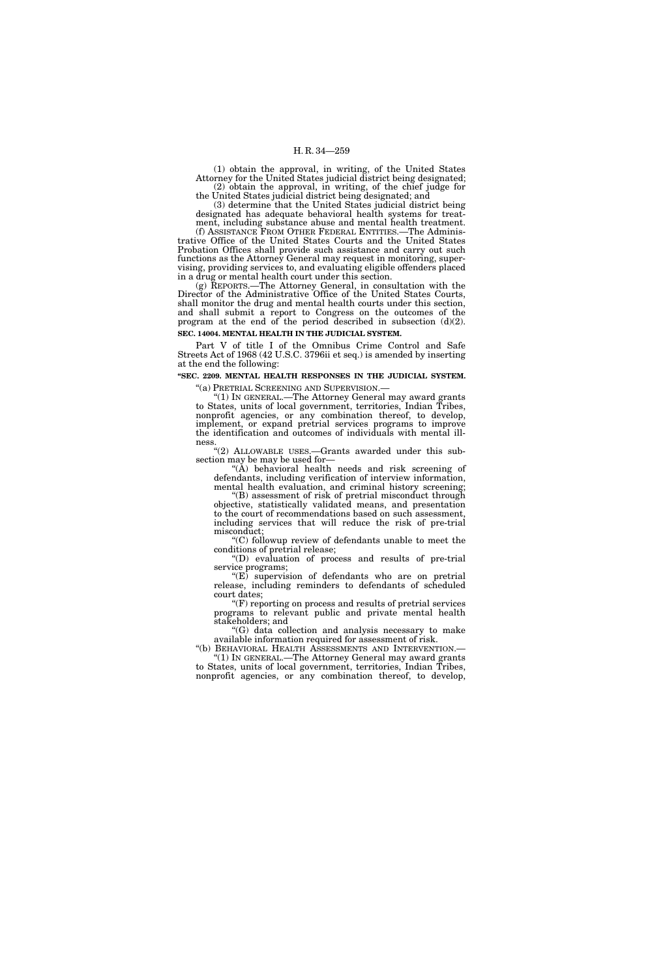(1) obtain the approval, in writing, of the United States Attorney for the United States judicial district being designated; (2) obtain the approval, in writing, of the chief judge for the United States judicial district being designated; and

(3) determine that the United States judicial district being designated has adequate behavioral health systems for treat-

ment, including substance abuse and mental health treatment. (f) ASSISTANCE FROM OTHER FEDERAL ENTITIES.—The Administrative Office of the United States Courts and the United States Probation Offices shall provide such assistance and carry out such functions as the Attorney General may request in monitoring, supervising, providing services to, and evaluating eligible offenders placed in a drug or mental health court under this section.

(g) REPORTS.—The Attorney General, in consultation with the Director of the Administrative Office of the United States Courts, shall monitor the drug and mental health courts under this section, and shall submit a report to Congress on the outcomes of the program at the end of the period described in subsection (d)(2). **SEC. 14004. MENTAL HEALTH IN THE JUDICIAL SYSTEM.** 

Part V of title I of the Omnibus Crime Control and Safe Streets Act of 1968 (42 U.S.C. 3796ii et seq.) is amended by inserting at the end the following:

**''SEC. 2209. MENTAL HEALTH RESPONSES IN THE JUDICIAL SYSTEM.** 

''(a) PRETRIAL SCREENING AND SUPERVISION.— ''(1) IN GENERAL.—The Attorney General may award grants to States, units of local government, territories, Indian Tribes, nonprofit agencies, or any combination thereof, to develop, implement, or expand pretrial services programs to improve the identification and outcomes of individuals with mental illness.

''(2) ALLOWABLE USES.—Grants awarded under this subsection may be may be used for—

"(A) behavioral health needs and risk screening of defendants, including verification of interview information, mental health evaluation, and criminal history screening;

''(B) assessment of risk of pretrial misconduct through objective, statistically validated means, and presentation to the court of recommendations based on such assessment, including services that will reduce the risk of pre-trial misconduct;

''(C) followup review of defendants unable to meet the conditions of pretrial release;

''(D) evaluation of process and results of pre-trial service programs;

 $E$ <sup>"(E)</sup> supervision of defendants who are on pretrial release, including reminders to defendants of scheduled court dates;

''(F) reporting on process and results of pretrial services programs to relevant public and private mental health stakeholders; and

''(G) data collection and analysis necessary to make available information required for assessment of risk.

"(1) In GENERAL.—The Attorney General may award grants to States, units of local government, territories, Indian Tribes, nonprofit agencies, or any combination thereof, to develop,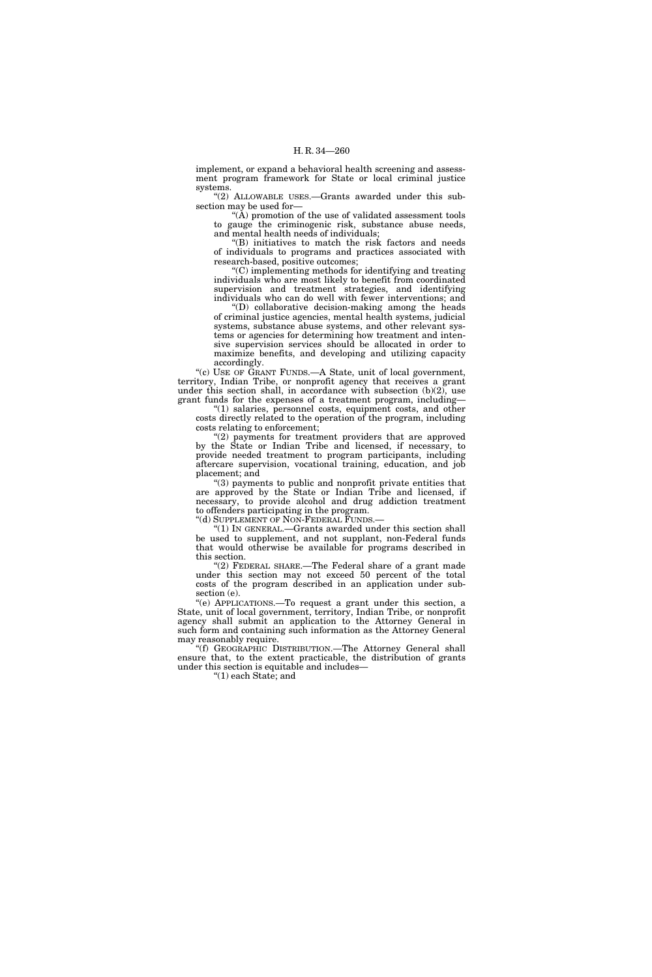implement, or expand a behavioral health screening and assessment program framework for State or local criminal justice systems.

"(2) ALLOWABLE USES.—Grants awarded under this subsection may be used for—

" $(\tilde{A})$  promotion of the use of validated assessment tools to gauge the criminogenic risk, substance abuse needs, and mental health needs of individuals;

(B) initiatives to match the risk factors and needs of individuals to programs and practices associated with research-based, positive outcomes;

''(C) implementing methods for identifying and treating individuals who are most likely to benefit from coordinated supervision and treatment strategies, and identifying individuals who can do well with fewer interventions; and

''(D) collaborative decision-making among the heads of criminal justice agencies, mental health systems, judicial systems, substance abuse systems, and other relevant systems or agencies for determining how treatment and intensive supervision services should be allocated in order to maximize benefits, and developing and utilizing capacity accordingly.

''(c) USE OF GRANT FUNDS.—A State, unit of local government, territory, Indian Tribe, or nonprofit agency that receives a grant under this section shall, in accordance with subsection  $(b)(2)$ , use grant funds for the expenses of a treatment program, including—

''(1) salaries, personnel costs, equipment costs, and other costs directly related to the operation of the program, including costs relating to enforcement;

"(2) payments for treatment providers that are approved by the State or Indian Tribe and licensed, if necessary, to provide needed treatment to program participants, including aftercare supervision, vocational training, education, and job placement; and

''(3) payments to public and nonprofit private entities that are approved by the State or Indian Tribe and licensed, if necessary, to provide alcohol and drug addiction treatment to offenders participating in the program.

"(d) SUPPLEMENT OF NON-FEDERAL FUNDS.

''(1) IN GENERAL.—Grants awarded under this section shall be used to supplement, and not supplant, non-Federal funds that would otherwise be available for programs described in this section.

"(2) FEDERAL SHARE.—The Federal share of a grant made under this section may not exceed 50 percent of the total costs of the program described in an application under subsection (e).

''(e) APPLICATIONS.—To request a grant under this section, a State, unit of local government, territory, Indian Tribe, or nonprofit agency shall submit an application to the Attorney General in such form and containing such information as the Attorney General may reasonably require.

''(f) GEOGRAPHIC DISTRIBUTION.—The Attorney General shall ensure that, to the extent practicable, the distribution of grants under this section is equitable and includes—

''(1) each State; and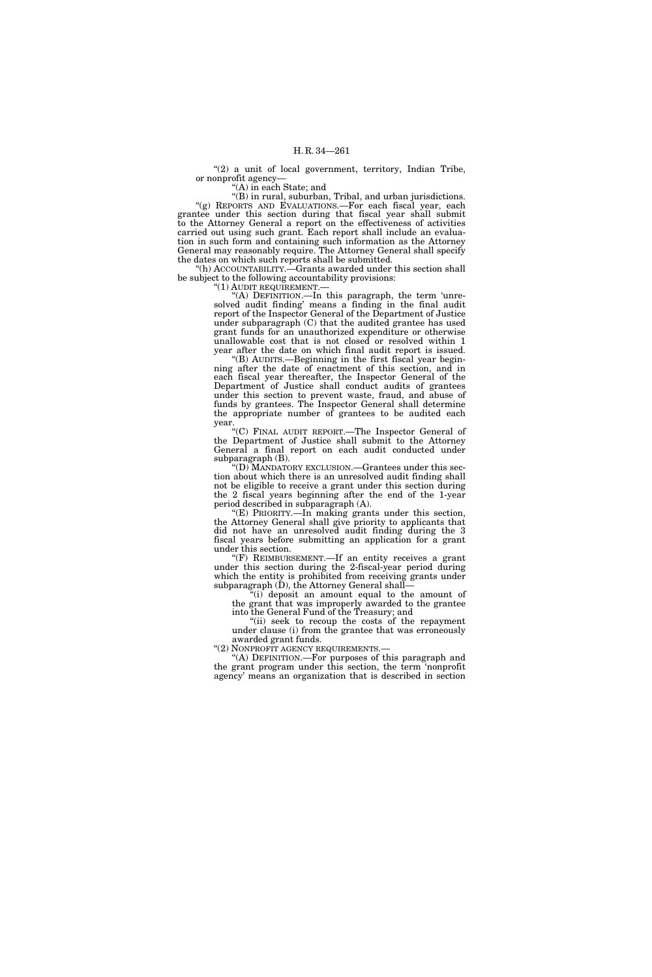"(2) a unit of local government, territory, Indian Tribe, or nonprofit agency—

"(A) in each State; and

''(B) in rural, suburban, Tribal, and urban jurisdictions. "(g) REPORTS AND EVALUATIONS.-For each fiscal year, each grantee under this section during that fiscal year shall submit to the Attorney General a report on the effectiveness of activities carried out using such grant. Each report shall include an evaluation in such form and containing such information as the Attorney General may reasonably require. The Attorney General shall specify the dates on which such reports shall be submitted.

''(h) ACCOUNTABILITY.—Grants awarded under this section shall be subject to the following accountability provisions:

''(1) AUDIT REQUIREMENT.—

''(A) DEFINITION.—In this paragraph, the term 'unresolved audit finding' means a finding in the final audit report of the Inspector General of the Department of Justice under subparagraph (C) that the audited grantee has used grant funds for an unauthorized expenditure or otherwise unallowable cost that is not closed or resolved within 1 year after the date on which final audit report is issued.

''(B) AUDITS.—Beginning in the first fiscal year beginning after the date of enactment of this section, and in each fiscal year thereafter, the Inspector General of the Department of Justice shall conduct audits of grantees under this section to prevent waste, fraud, and abuse of funds by grantees. The Inspector General shall determine the appropriate number of grantees to be audited each year.

''(C) FINAL AUDIT REPORT.—The Inspector General of the Department of Justice shall submit to the Attorney General a final report on each audit conducted under subparagraph (B).

''(D) MANDATORY EXCLUSION.—Grantees under this section about which there is an unresolved audit finding shall not be eligible to receive a grant under this section during the 2 fiscal years beginning after the end of the 1-year period described in subparagraph (A).

''(E) PRIORITY.—In making grants under this section, the Attorney General shall give priority to applicants that did not have an unresolved audit finding during the 3 fiscal years before submitting an application for a grant under this section.

 $f(F)$  REIMBURSEMENT.—If an entity receives a grant under this section during the 2-fiscal-year period during which the entity is prohibited from receiving grants under subparagraph (D), the Attorney General shall—

''(i) deposit an amount equal to the amount of the grant that was improperly awarded to the grantee into the General Fund of the Treasury; and

"(ii) seek to recoup the costs of the repayment under clause (i) from the grantee that was erroneously

awarded grant funds.<br>"(2) NONPROFIT AGENCY REQUIREMENTS.-

"(A) DEFINITION.—For purposes of this paragraph and the grant program under this section, the term 'nonprofit agency' means an organization that is described in section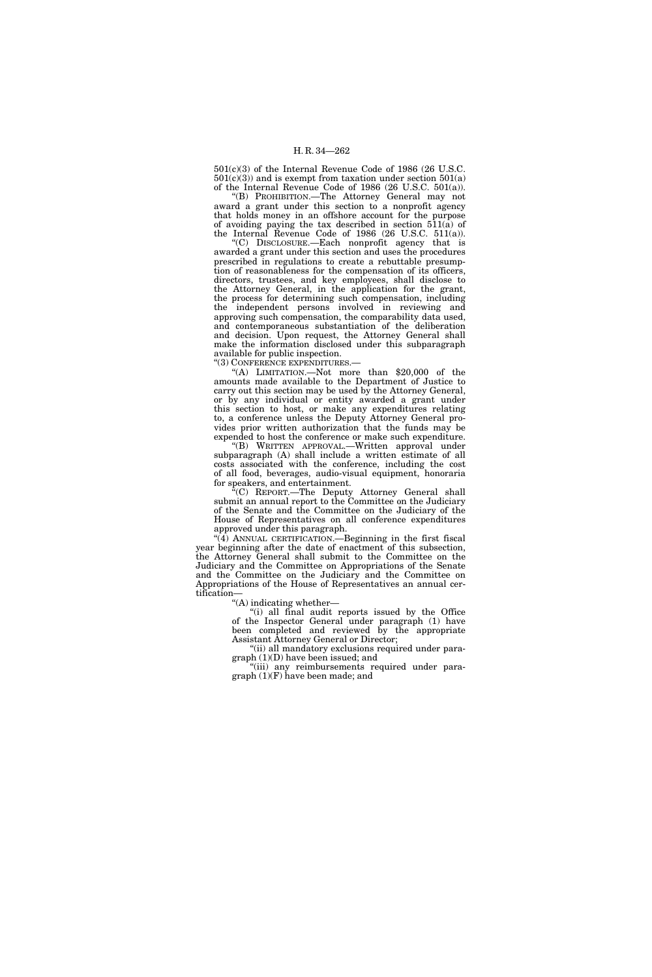501(c)(3) of the Internal Revenue Code of 1986 (26 U.S.C.  $501(c)(3)$  and is exempt from taxation under section  $501(a)$ of the Internal Revenue Code of 1986 (26 U.S.C. 501(a)).

''(B) PROHIBITION.—The Attorney General may not award a grant under this section to a nonprofit agency that holds money in an offshore account for the purpose of avoiding paying the tax described in section 511(a) of the Internal Revenue Code of 1986 (26 U.S.C. 511(a)).

''(C) DISCLOSURE.—Each nonprofit agency that is awarded a grant under this section and uses the procedures prescribed in regulations to create a rebuttable presumption of reasonableness for the compensation of its officers, directors, trustees, and key employees, shall disclose to the Attorney General, in the application for the grant, the process for determining such compensation, including the independent persons involved in reviewing and approving such compensation, the comparability data used, and contemporaneous substantiation of the deliberation and decision. Upon request, the Attorney General shall make the information disclosed under this subparagraph available for public inspection.

''(3) CONFERENCE EXPENDITURES.—

''(A) LIMITATION.—Not more than \$20,000 of the amounts made available to the Department of Justice to carry out this section may be used by the Attorney General, or by any individual or entity awarded a grant under this section to host, or make any expenditures relating to, a conference unless the Deputy Attorney General provides prior written authorization that the funds may be expended to host the conference or make such expenditure.

''(B) WRITTEN APPROVAL.—Written approval under subparagraph (A) shall include a written estimate of all costs associated with the conference, including the cost of all food, beverages, audio-visual equipment, honoraria for speakers, and entertainment.

<sup>"</sup>(C) REPORT.—The Deputy Attorney General shall submit an annual report to the Committee on the Judiciary of the Senate and the Committee on the Judiciary of the House of Representatives on all conference expenditures approved under this paragraph.

 $(4)$  ANNUAL CERTIFICATION.—Beginning in the first fiscal year beginning after the date of enactment of this subsection, the Attorney General shall submit to the Committee on the Judiciary and the Committee on Appropriations of the Senate and the Committee on the Judiciary and the Committee on Appropriations of the House of Representatives an annual certification—

''(A) indicating whether—

''(i) all final audit reports issued by the Office of the Inspector General under paragraph (1) have been completed and reviewed by the appropriate Assistant Attorney General or Director;

"(ii) all mandatory exclusions required under paragraph (1)(D) have been issued; and

''(iii) any reimbursements required under paragraph (1)(F) have been made; and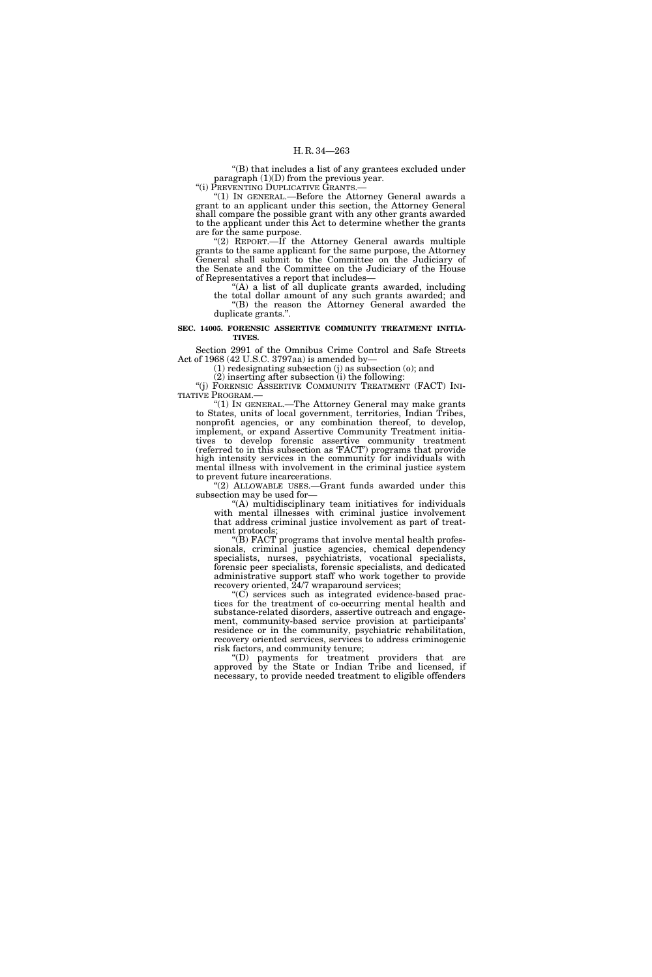''(B) that includes a list of any grantees excluded under paragraph (1)(D) from the previous year.

"(i) PREVENTING DUPLICATIVE GRANTS.—

''(1) IN GENERAL.—Before the Attorney General awards a grant to an applicant under this section, the Attorney General shall compare the possible grant with any other grants awarded to the applicant under this Act to determine whether the grants are for the same purpose.

"(2) REPORT.—If the Attorney General awards multiple grants to the same applicant for the same purpose, the Attorney General shall submit to the Committee on the Judiciary of the Senate and the Committee on the Judiciary of the House of Representatives a report that includes—

 $(A)$  a list of all duplicate grants awarded, including the total dollar amount of any such grants awarded; and ''(B) the reason the Attorney General awarded the duplicate grants.''.

# **SEC. 14005. FORENSIC ASSERTIVE COMMUNITY TREATMENT INITIA-TIVES.**

Section 2991 of the Omnibus Crime Control and Safe Streets Act of 1968 (42 U.S.C. 3797aa) is amended by—

(1) redesignating subsection (j) as subsection (o); and

(2) inserting after subsection (i) the following: "(j) FORENSIC ASSERTIVE COMMUNITY TREATMENT (FACT) INI-

TIATIVE PROGRAM.— ''(1) IN GENERAL.—The Attorney General may make grants to States, units of local government, territories, Indian Tribes, nonprofit agencies, or any combination thereof, to develop, implement, or expand Assertive Community Treatment initiatives to develop forensic assertive community treatment (referred to in this subsection as 'FACT') programs that provide high intensity services in the community for individuals with mental illness with involvement in the criminal justice system to prevent future incarcerations.

"(2) ALLOWABLE USES.—Grant funds awarded under this subsection may be used for—

 $f(A)$  multidisciplinary team initiatives for individuals with mental illnesses with criminal justice involvement that address criminal justice involvement as part of treatment protocols;

''(B) FACT programs that involve mental health professionals, criminal justice agencies, chemical dependency specialists, nurses, psychiatrists, vocational specialists, forensic peer specialists, forensic specialists, and dedicated administrative support staff who work together to provide recovery oriented,  $24/7$  wraparound services;

 $(C)$  services such as integrated evidence-based practices for the treatment of co-occurring mental health and substance-related disorders, assertive outreach and engagement, community-based service provision at participants' residence or in the community, psychiatric rehabilitation, recovery oriented services, services to address criminogenic risk factors, and community tenure;

''(D) payments for treatment providers that are approved by the State or Indian Tribe and licensed, if necessary, to provide needed treatment to eligible offenders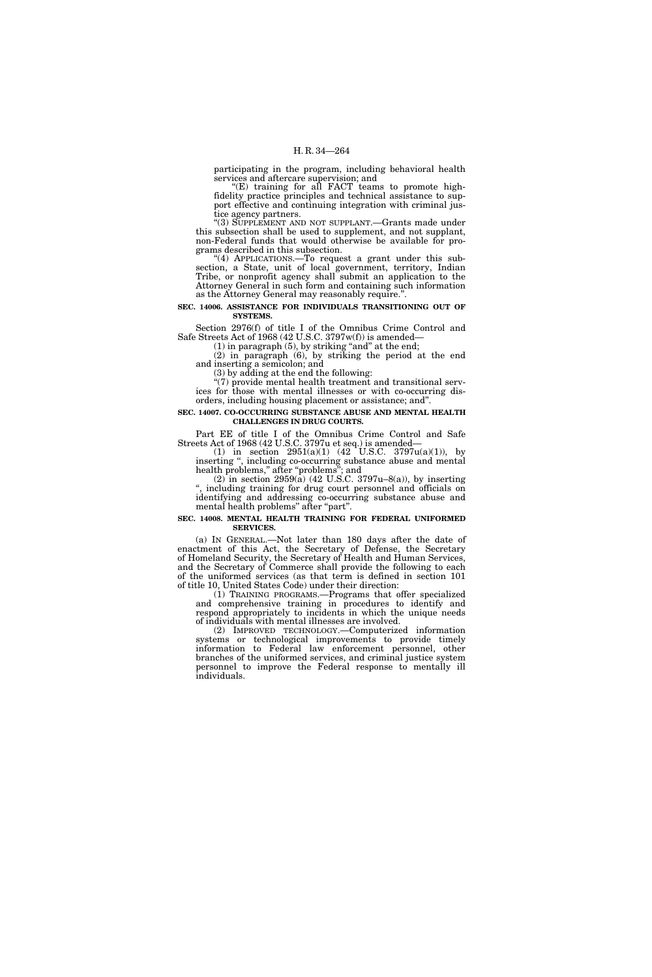participating in the program, including behavioral health services and aftercare supervision; and

 $E(E)$  training for all FACT teams to promote highfidelity practice principles and technical assistance to support effective and continuing integration with criminal justice agency partners.

''(3) SUPPLEMENT AND NOT SUPPLANT.—Grants made under this subsection shall be used to supplement, and not supplant, non-Federal funds that would otherwise be available for programs described in this subsection.

(4) APPLICATIONS.—To request a grant under this subsection, a State, unit of local government, territory, Indian Tribe, or nonprofit agency shall submit an application to the Attorney General in such form and containing such information as the Attorney General may reasonably require.''.

**SEC. 14006. ASSISTANCE FOR INDIVIDUALS TRANSITIONING OUT OF SYSTEMS.** 

Section 2976(f) of title I of the Omnibus Crime Control and Safe Streets Act of 1968 (42 U.S.C. 3797w(f)) is amended—

 $(1)$  in paragraph  $(5)$ , by striking "and" at the end;

(2) in paragraph (6), by striking the period at the end and inserting a semicolon; and

(3) by adding at the end the following:

''(7) provide mental health treatment and transitional services for those with mental illnesses or with co-occurring disorders, including housing placement or assistance; and''.

**SEC. 14007. CO-OCCURRING SUBSTANCE ABUSE AND MENTAL HEALTH CHALLENGES IN DRUG COURTS.** 

Part EE of title I of the Omnibus Crime Control and Safe Streets Act of 1968 (42 U.S.C. 3797u et seq.) is amended—

(1) in section  $2951(a)(1)$  (42 U.S.C. 3797 $u(a)(1)$ ), by inserting '', including co-occurring substance abuse and mental health problems,'' after ''problems''; and

(2) in section 2959(a) (42 U.S.C. 3797u–8(a)), by inserting including training for drug court personnel and officials on identifying and addressing co-occurring substance abuse and mental health problems" after "part".

### **SEC. 14008. MENTAL HEALTH TRAINING FOR FEDERAL UNIFORMED SERVICES.**

(a) IN GENERAL.—Not later than 180 days after the date of enactment of this Act, the Secretary of Defense, the Secretary of Homeland Security, the Secretary of Health and Human Services, and the Secretary of Commerce shall provide the following to each of the uniformed services (as that term is defined in section 101 of title 10, United States Code) under their direction:

(1) TRAINING PROGRAMS.—Programs that offer specialized and comprehensive training in procedures to identify and respond appropriately to incidents in which the unique needs of individuals with mental illnesses are involved.

(2) IMPROVED TECHNOLOGY.—Computerized information systems or technological improvements to provide timely information to Federal law enforcement personnel, other branches of the uniformed services, and criminal justice system personnel to improve the Federal response to mentally ill individuals.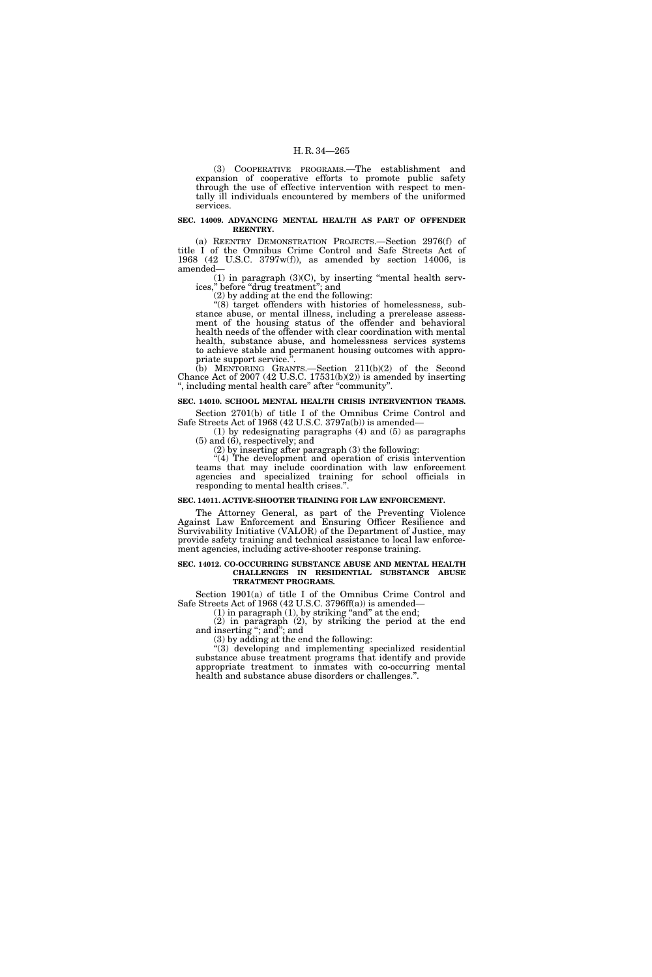(3) COOPERATIVE PROGRAMS.—The establishment and expansion of cooperative efforts to promote public safety through the use of effective intervention with respect to mentally ill individuals encountered by members of the uniformed services.

# **SEC. 14009. ADVANCING MENTAL HEALTH AS PART OF OFFENDER REENTRY.**

(a) REENTRY DEMONSTRATION PROJECTS.—Section 2976(f) of title I of the Omnibus Crime Control and Safe Streets Act of 1968 (42 U.S.C. 3797w(f)), as amended by section 14006, is amended—

 $(1)$  in paragraph  $(3)(C)$ , by inserting "mental health services,'' before ''drug treatment''; and

(2) by adding at the end the following:

''(8) target offenders with histories of homelessness, substance abuse, or mental illness, including a prerelease assessment of the housing status of the offender and behavioral health needs of the offender with clear coordination with mental health, substance abuse, and homelessness services systems to achieve stable and permanent housing outcomes with appropriate support service.''.

(b) MENTORING GRANTS.—Section 211(b)(2) of the Second Chance Act of 2007 (42 U.S.C. 17531(b)(2)) is amended by inserting '', including mental health care'' after ''community''.

# **SEC. 14010. SCHOOL MENTAL HEALTH CRISIS INTERVENTION TEAMS.**

Section 2701(b) of title I of the Omnibus Crime Control and Safe Streets Act of 1968 (42 U.S.C. 3797a(b)) is amended—

(1) by redesignating paragraphs (4) and (5) as paragraphs (5) and (6), respectively; and

(2) by inserting after paragraph (3) the following:

''(4) The development and operation of crisis intervention teams that may include coordination with law enforcement agencies and specialized training for school officials in responding to mental health crises.''.

#### **SEC. 14011. ACTIVE-SHOOTER TRAINING FOR LAW ENFORCEMENT.**

The Attorney General, as part of the Preventing Violence Against Law Enforcement and Ensuring Officer Resilience and Survivability Initiative (VALOR) of the Department of Justice, may provide safety training and technical assistance to local law enforcement agencies, including active-shooter response training.

#### **SEC. 14012. CO-OCCURRING SUBSTANCE ABUSE AND MENTAL HEALTH CHALLENGES IN RESIDENTIAL SUBSTANCE ABUSE TREATMENT PROGRAMS.**

Section 1901(a) of title I of the Omnibus Crime Control and Safe Streets Act of 1968 (42 U.S.C. 3796ff(a)) is amended—

 $(1)$  in paragraph  $(1)$ , by striking "and" at the end;

(2) in paragraph (2), by striking the period at the end and inserting ''; and''; and

(3) by adding at the end the following:

''(3) developing and implementing specialized residential substance abuse treatment programs that identify and provide appropriate treatment to inmates with co-occurring mental health and substance abuse disorders or challenges.''.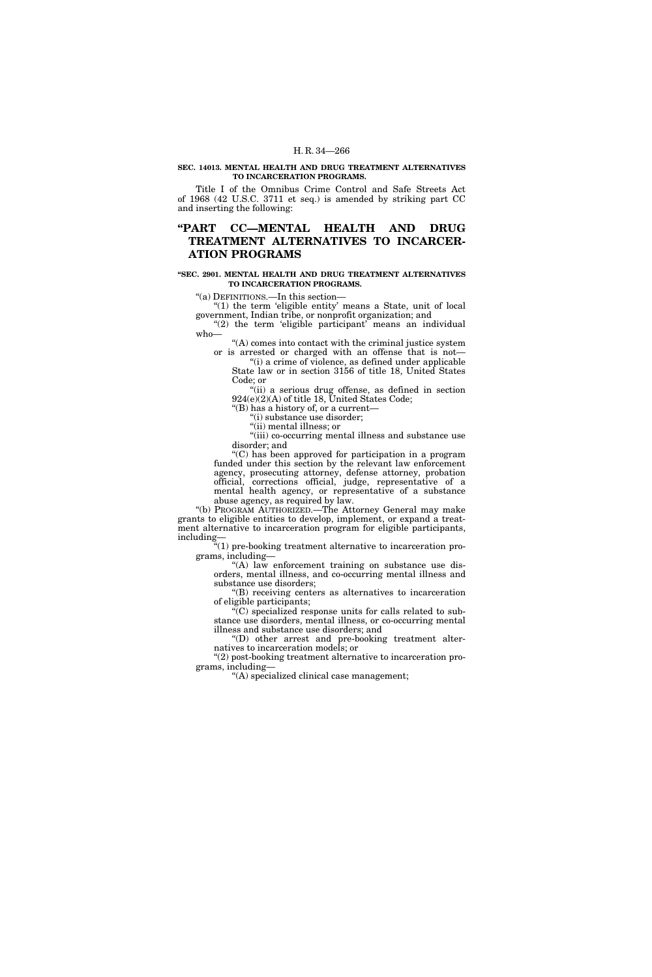# **SEC. 14013. MENTAL HEALTH AND DRUG TREATMENT ALTERNATIVES TO INCARCERATION PROGRAMS.**

Title I of the Omnibus Crime Control and Safe Streets Act of 1968 (42 U.S.C. 3711 et seq.) is amended by striking part CC and inserting the following:

# **''PART CC—MENTAL HEALTH AND DRUG TREATMENT ALTERNATIVES TO INCARCER-ATION PROGRAMS**

# **''SEC. 2901. MENTAL HEALTH AND DRUG TREATMENT ALTERNATIVES TO INCARCERATION PROGRAMS.**

''(a) DEFINITIONS.—In this section—

" $(1)$  the term 'eligible entity' means a State, unit of local government, Indian tribe, or nonprofit organization; and

" $(2)$  the term 'eligible participant' means an individual who—

''(A) comes into contact with the criminal justice system or is arrested or charged with an offense that is not—

"(i) a crime of violence, as defined under applicable State law or in section 3156 of title 18, United States Code; or

"(ii) a serious drug offense, as defined in section 924(e)(2)(A) of title 18, United States Code;

''(B) has a history of, or a current—

''(i) substance use disorder; ''(ii) mental illness; or

''(iii) co-occurring mental illness and substance use

disorder; and

''(C) has been approved for participation in a program funded under this section by the relevant law enforcement agency, prosecuting attorney, defense attorney, probation official, corrections official, judge, representative of a mental health agency, or representative of a substance abuse agency, as required by law.

"(b) PROGRAM AUTHORIZED.—The Attorney General may make grants to eligible entities to develop, implement, or expand a treatment alternative to incarceration program for eligible participants, including—

''(1) pre-booking treatment alternative to incarceration programs, including—

 $(A)$  law enforcement training on substance use disorders, mental illness, and co-occurring mental illness and substance use disorders;

''(B) receiving centers as alternatives to incarceration of eligible participants;

 $\widetilde{C}(C)$  specialized response units for calls related to substance use disorders, mental illness, or co-occurring mental illness and substance use disorders; and

''(D) other arrest and pre-booking treatment alternatives to incarceration models; or

''(2) post-booking treatment alternative to incarceration programs, including—

''(A) specialized clinical case management;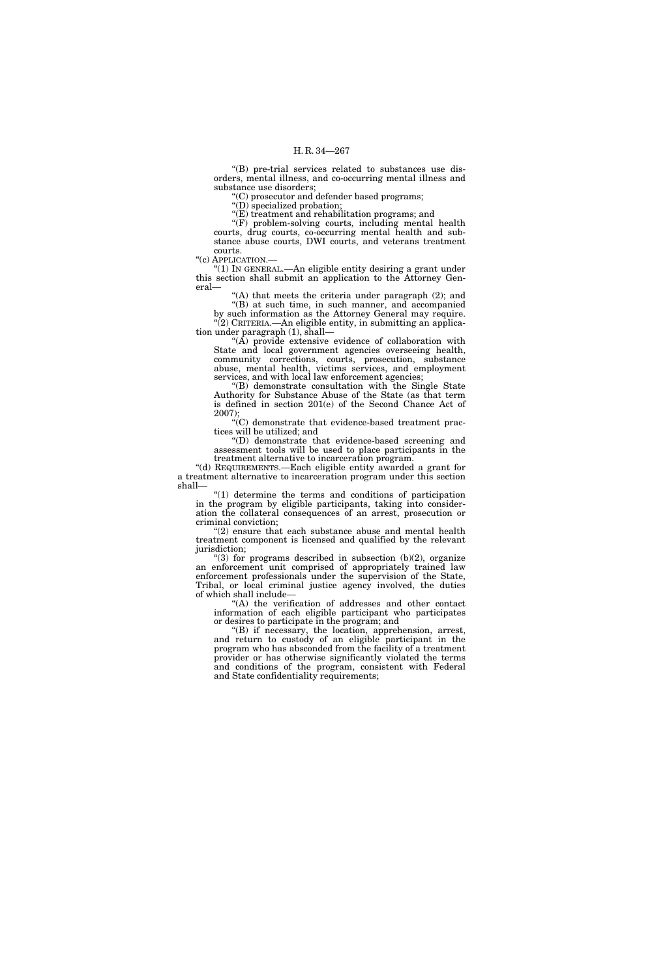''(B) pre-trial services related to substances use disorders, mental illness, and co-occurring mental illness and substance use disorders;

''(C) prosecutor and defender based programs;

''(D) specialized probation;

''(E) treatment and rehabilitation programs; and

''(F) problem-solving courts, including mental health courts, drug courts, co-occurring mental health and substance abuse courts, DWI courts, and veterans treatment courts.

"(c) APPLICATION.-

''(1) IN GENERAL.—An eligible entity desiring a grant under this section shall submit an application to the Attorney General—

 $(A)$  that meets the criteria under paragraph  $(2)$ ; and ''(B) at such time, in such manner, and accompanied

by such information as the Attorney General may require.  $\cdot$ (2) CRITERIA.—An eligible entity, in submitting an application under paragraph (1), shall—

''(A) provide extensive evidence of collaboration with State and local government agencies overseeing health, community corrections, courts, prosecution, substance abuse, mental health, victims services, and employment services, and with local law enforcement agencies;

 $H(B)$  demonstrate consultation with the Single State Authority for Substance Abuse of the State (as that term is defined in section 201(e) of the Second Chance Act of 2007);

''(C) demonstrate that evidence-based treatment practices will be utilized; and

''(D) demonstrate that evidence-based screening and assessment tools will be used to place participants in the treatment alternative to incarceration program.

''(d) REQUIREMENTS.—Each eligible entity awarded a grant for a treatment alternative to incarceration program under this section shall—

''(1) determine the terms and conditions of participation in the program by eligible participants, taking into consideration the collateral consequences of an arrest, prosecution or criminal conviction;

 $\degree$ (2) ensure that each substance abuse and mental health treatment component is licensed and qualified by the relevant jurisdiction;

 $(3)$  for programs described in subsection  $(b)(2)$ , organize an enforcement unit comprised of appropriately trained law enforcement professionals under the supervision of the State, Tribal, or local criminal justice agency involved, the duties of which shall include—

''(A) the verification of addresses and other contact information of each eligible participant who participates or desires to participate in the program; and

''(B) if necessary, the location, apprehension, arrest, and return to custody of an eligible participant in the program who has absconded from the facility of a treatment provider or has otherwise significantly violated the terms and conditions of the program, consistent with Federal and State confidentiality requirements;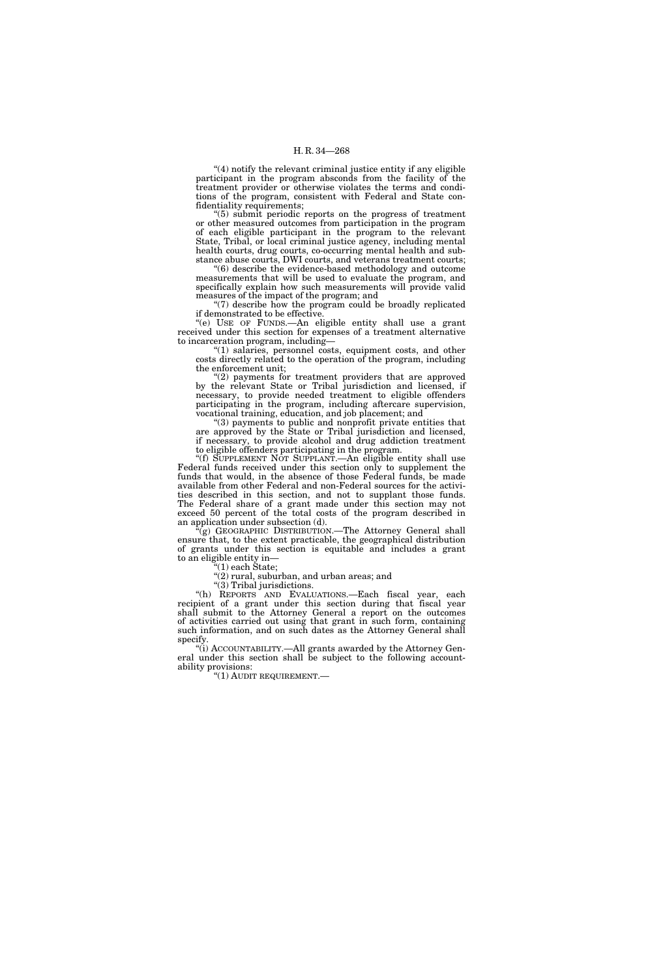''(4) notify the relevant criminal justice entity if any eligible participant in the program absconds from the facility of the treatment provider or otherwise violates the terms and conditions of the program, consistent with Federal and State confidentiality requirements;

''(5) submit periodic reports on the progress of treatment or other measured outcomes from participation in the program of each eligible participant in the program to the relevant State, Tribal, or local criminal justice agency, including mental health courts, drug courts, co-occurring mental health and substance abuse courts, DWI courts, and veterans treatment courts;

''(6) describe the evidence-based methodology and outcome measurements that will be used to evaluate the program, and specifically explain how such measurements will provide valid measures of the impact of the program; and

''(7) describe how the program could be broadly replicated if demonstrated to be effective.

''(e) USE OF FUNDS.—An eligible entity shall use a grant received under this section for expenses of a treatment alternative to incarceration program, including—

''(1) salaries, personnel costs, equipment costs, and other costs directly related to the operation of the program, including the enforcement unit;

"(2) payments for treatment providers that are approved by the relevant State or Tribal jurisdiction and licensed, if necessary, to provide needed treatment to eligible offenders participating in the program, including aftercare supervision, vocational training, education, and job placement; and

''(3) payments to public and nonprofit private entities that are approved by the State or Tribal jurisdiction and licensed, if necessary, to provide alcohol and drug addiction treatment to eligible offenders participating in the program.

''(f) SUPPLEMENT NOT SUPPLANT.—An eligible entity shall use Federal funds received under this section only to supplement the funds that would, in the absence of those Federal funds, be made available from other Federal and non-Federal sources for the activities described in this section, and not to supplant those funds. The Federal share of a grant made under this section may not exceed 50 percent of the total costs of the program described in an application under subsection (d).

'(g) GEOGRAPHIC DISTRIBUTION.—The Attorney General shall ensure that, to the extent practicable, the geographical distribution of grants under this section is equitable and includes a grant to an eligible entity in—

''(1) each State;

" $(2)$  rural, suburban, and urban areas; and

 $\sqrt{\left(3\right)}$  Tribal jurisdictions.

''(h) REPORTS AND EVALUATIONS.—Each fiscal year, each recipient of a grant under this section during that fiscal year shall submit to the Attorney General a report on the outcomes of activities carried out using that grant in such form, containing such information, and on such dates as the Attorney General shall specify.

"(i) ACCOUNTABILITY.—All grants awarded by the Attorney General under this section shall be subject to the following accountability provisions:

 $''(1)$  AUDIT REQUIREMENT.—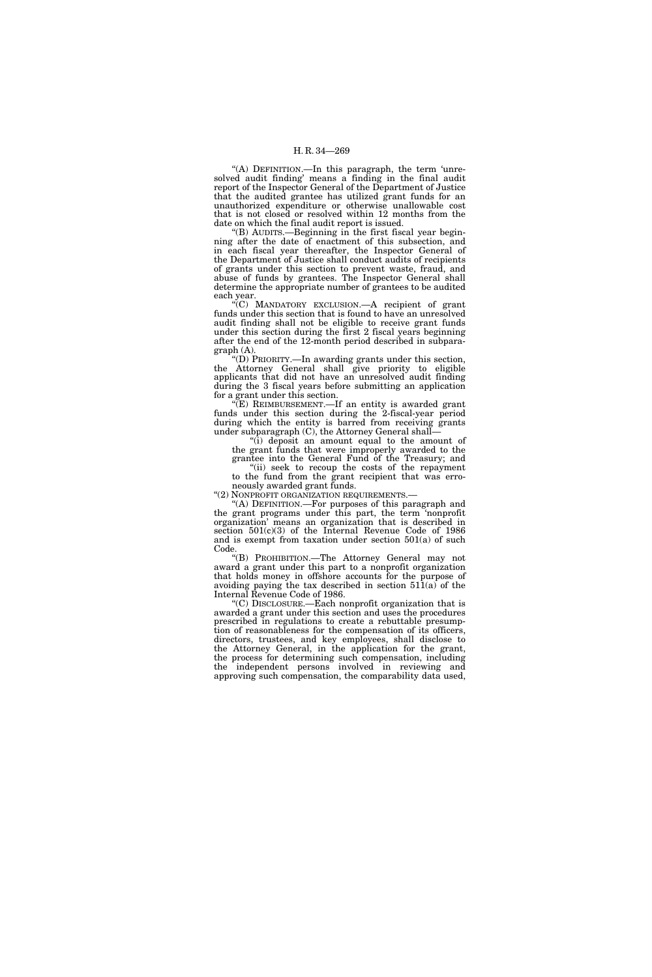''(A) DEFINITION.—In this paragraph, the term 'unresolved audit finding' means a finding in the final audit report of the Inspector General of the Department of Justice that the audited grantee has utilized grant funds for an unauthorized expenditure or otherwise unallowable cost that is not closed or resolved within 12 months from the date on which the final audit report is issued.

'(B) AUDITS.—Beginning in the first fiscal year beginning after the date of enactment of this subsection, and in each fiscal year thereafter, the Inspector General of the Department of Justice shall conduct audits of recipients of grants under this section to prevent waste, fraud, and abuse of funds by grantees. The Inspector General shall determine the appropriate number of grantees to be audited each year.

''(C) MANDATORY EXCLUSION.—A recipient of grant funds under this section that is found to have an unresolved audit finding shall not be eligible to receive grant funds under this section during the first 2 fiscal years beginning after the end of the 12-month period described in subparagraph (A).

''(D) PRIORITY.—In awarding grants under this section, the Attorney General shall give priority to eligible applicants that did not have an unresolved audit finding during the 3 fiscal years before submitting an application for a grant under this section.

''(E) REIMBURSEMENT.—If an entity is awarded grant funds under this section during the 2-fiscal-year period during which the entity is barred from receiving grants under subparagraph (C), the Attorney General shall—

''(i) deposit an amount equal to the amount of the grant funds that were improperly awarded to the grantee into the General Fund of the Treasury; and

"(ii) seek to recoup the costs of the repayment to the fund from the grant recipient that was erro-

neously awarded grant funds.<br>"(2) NONPROFIT ORGANIZATION REQUIREMENTS.

"(A) DEFINITION.—For purposes of this paragraph and the grant programs under this part, the term 'nonprofit organization' means an organization that is described in section 501(c)(3) of the Internal Revenue Code of 1986 and is exempt from taxation under section 501(a) of such Code.

''(B) PROHIBITION.—The Attorney General may not award a grant under this part to a nonprofit organization that holds money in offshore accounts for the purpose of avoiding paying the tax described in section 511(a) of the Internal Revenue Code of 1986.

''(C) DISCLOSURE.—Each nonprofit organization that is awarded a grant under this section and uses the procedures prescribed in regulations to create a rebuttable presumption of reasonableness for the compensation of its officers, directors, trustees, and key employees, shall disclose to the Attorney General, in the application for the grant, the process for determining such compensation, including the independent persons involved in reviewing and approving such compensation, the comparability data used,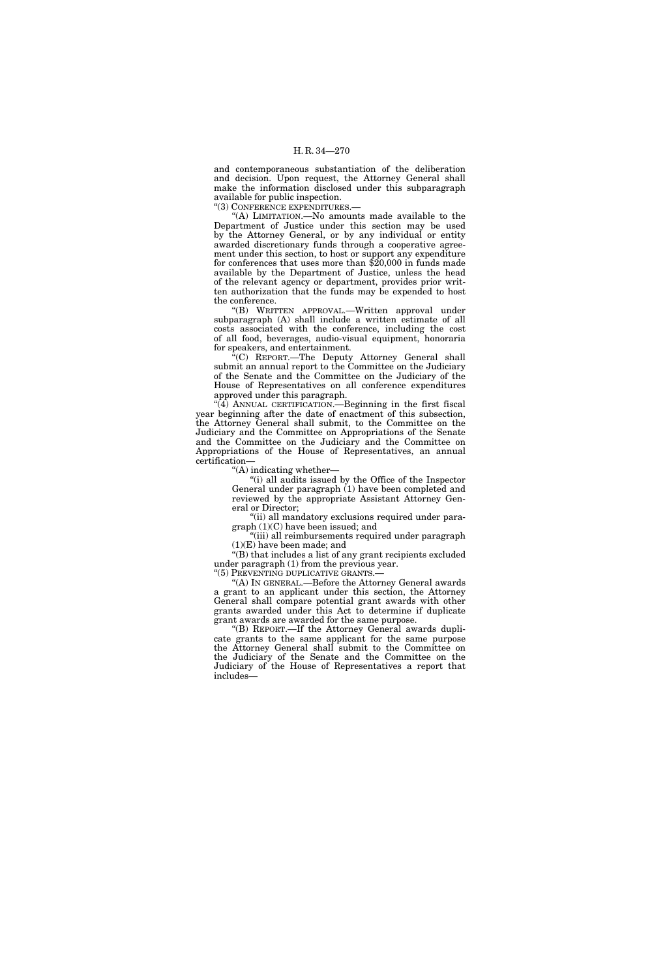and contemporaneous substantiation of the deliberation and decision. Upon request, the Attorney General shall make the information disclosed under this subparagraph available for public inspection.

''(3) CONFERENCE EXPENDITURES.—

''(A) LIMITATION.—No amounts made available to the Department of Justice under this section may be used by the Attorney General, or by any individual or entity awarded discretionary funds through a cooperative agreement under this section, to host or support any expenditure for conferences that uses more than \$20,000 in funds made available by the Department of Justice, unless the head of the relevant agency or department, provides prior written authorization that the funds may be expended to host the conference.

''(B) WRITTEN APPROVAL.—Written approval under subparagraph (A) shall include a written estimate of all costs associated with the conference, including the cost of all food, beverages, audio-visual equipment, honoraria for speakers, and entertainment.

<sup>\*</sup>(C) REPORT.—The Deputy Attorney General shall submit an annual report to the Committee on the Judiciary of the Senate and the Committee on the Judiciary of the House of Representatives on all conference expenditures approved under this paragraph.

 $\sqrt[4]{4}$ ) ANNUAL CERTIFICATION.—Beginning in the first fiscal year beginning after the date of enactment of this subsection, the Attorney General shall submit, to the Committee on the Judiciary and the Committee on Appropriations of the Senate and the Committee on the Judiciary and the Committee on Appropriations of the House of Representatives, an annual certification—

''(A) indicating whether—

''(i) all audits issued by the Office of the Inspector General under paragraph (1) have been completed and reviewed by the appropriate Assistant Attorney General or Director;

"(ii) all mandatory exclusions required under paragraph (1)(C) have been issued; and

''(iii) all reimbursements required under paragraph (1)(E) have been made; and

''(B) that includes a list of any grant recipients excluded under paragraph (1) from the previous year.

"(5) PREVENTING DUPLICATIVE GRANTS.-

''(A) IN GENERAL.—Before the Attorney General awards a grant to an applicant under this section, the Attorney General shall compare potential grant awards with other grants awarded under this Act to determine if duplicate grant awards are awarded for the same purpose.

''(B) REPORT.—If the Attorney General awards duplicate grants to the same applicant for the same purpose the Attorney General shall submit to the Committee on the Judiciary of the Senate and the Committee on the Judiciary of the House of Representatives a report that includes—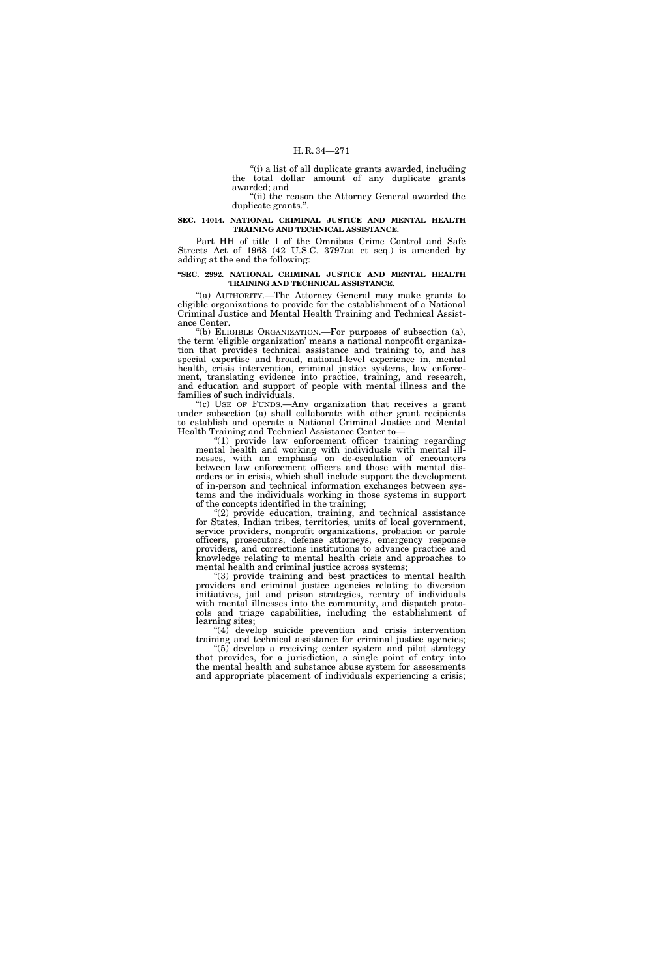''(i) a list of all duplicate grants awarded, including the total dollar amount of any duplicate grants awarded; and

''(ii) the reason the Attorney General awarded the duplicate grants.''.

# **SEC. 14014. NATIONAL CRIMINAL JUSTICE AND MENTAL HEALTH TRAINING AND TECHNICAL ASSISTANCE.**

Part HH of title I of the Omnibus Crime Control and Safe Streets Act of 1968 (42 U.S.C. 3797aa et seq.) is amended by adding at the end the following:

# **''SEC. 2992. NATIONAL CRIMINAL JUSTICE AND MENTAL HEALTH TRAINING AND TECHNICAL ASSISTANCE.**

"(a) AUTHORITY.-The Attorney General may make grants to eligible organizations to provide for the establishment of a National Criminal Justice and Mental Health Training and Technical Assistance Center.

''(b) ELIGIBLE ORGANIZATION.—For purposes of subsection (a), the term 'eligible organization' means a national nonprofit organization that provides technical assistance and training to, and has special expertise and broad, national-level experience in, mental health, crisis intervention, criminal justice systems, law enforcement, translating evidence into practice, training, and research, and education and support of people with mental illness and the families of such individuals.

"(c) USE OF FUNDS.—Any organization that receives a grant under subsection (a) shall collaborate with other grant recipients to establish and operate a National Criminal Justice and Mental Health Training and Technical Assistance Center to—

''(1) provide law enforcement officer training regarding mental health and working with individuals with mental illnesses, with an emphasis on de-escalation of encounters between law enforcement officers and those with mental disorders or in crisis, which shall include support the development of in-person and technical information exchanges between systems and the individuals working in those systems in support of the concepts identified in the training;

''(2) provide education, training, and technical assistance for States, Indian tribes, territories, units of local government, service providers, nonprofit organizations, probation or parole officers, prosecutors, defense attorneys, emergency response providers, and corrections institutions to advance practice and knowledge relating to mental health crisis and approaches to mental health and criminal justice across systems;

''(3) provide training and best practices to mental health providers and criminal justice agencies relating to diversion initiatives, jail and prison strategies, reentry of individuals with mental illnesses into the community, and dispatch protocols and triage capabilities, including the establishment of learning sites;

"(4) develop suicide prevention and crisis intervention training and technical assistance for criminal justice agencies;

''(5) develop a receiving center system and pilot strategy that provides, for a jurisdiction, a single point of entry into the mental health and substance abuse system for assessments and appropriate placement of individuals experiencing a crisis;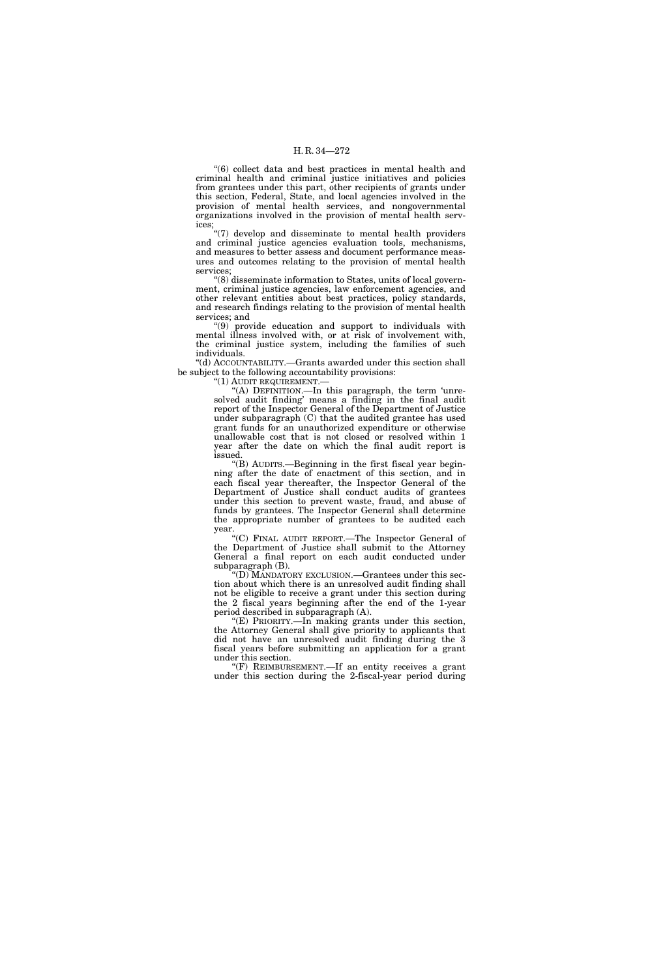''(6) collect data and best practices in mental health and criminal health and criminal justice initiatives and policies from grantees under this part, other recipients of grants under this section, Federal, State, and local agencies involved in the provision of mental health services, and nongovernmental organizations involved in the provision of mental health services;

''(7) develop and disseminate to mental health providers and criminal justice agencies evaluation tools, mechanisms, and measures to better assess and document performance measures and outcomes relating to the provision of mental health services;

''(8) disseminate information to States, units of local government, criminal justice agencies, law enforcement agencies, and other relevant entities about best practices, policy standards, and research findings relating to the provision of mental health services; and

''(9) provide education and support to individuals with mental illness involved with, or at risk of involvement with, the criminal justice system, including the families of such individuals.

''(d) ACCOUNTABILITY.—Grants awarded under this section shall be subject to the following accountability provisions:

"(1) AUDIT REQUIREMENT.-

''(A) DEFINITION.—In this paragraph, the term 'unresolved audit finding' means a finding in the final audit report of the Inspector General of the Department of Justice under subparagraph (C) that the audited grantee has used grant funds for an unauthorized expenditure or otherwise unallowable cost that is not closed or resolved within 1 year after the date on which the final audit report is issued.

''(B) AUDITS.—Beginning in the first fiscal year beginning after the date of enactment of this section, and in each fiscal year thereafter, the Inspector General of the Department of Justice shall conduct audits of grantees under this section to prevent waste, fraud, and abuse of funds by grantees. The Inspector General shall determine the appropriate number of grantees to be audited each year.

''(C) FINAL AUDIT REPORT.—The Inspector General of the Department of Justice shall submit to the Attorney General a final report on each audit conducted under subparagraph (B).

'(D) MANDATORY EXCLUSION.—Grantees under this section about which there is an unresolved audit finding shall not be eligible to receive a grant under this section during the 2 fiscal years beginning after the end of the 1-year period described in subparagraph (A).

''(E) PRIORITY.—In making grants under this section, the Attorney General shall give priority to applicants that did not have an unresolved audit finding during the 3 fiscal years before submitting an application for a grant under this section.

 $(F)$  REIMBURSEMENT.—If an entity receives a grant under this section during the 2-fiscal-year period during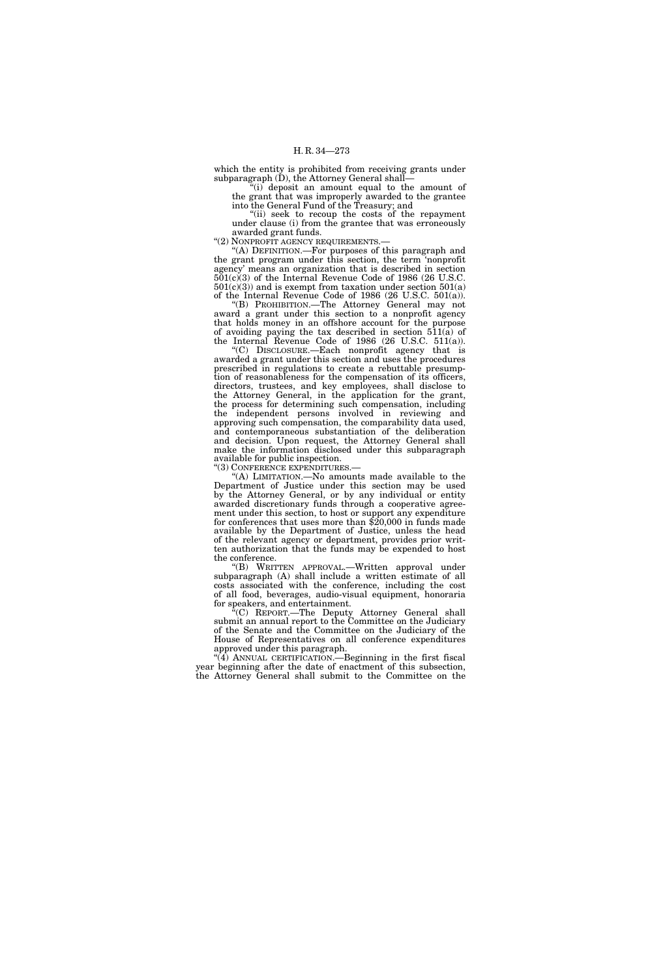which the entity is prohibited from receiving grants under subparagraph  $(D)$ , the Attorney General shall-

 $f'(i)$  deposit an amount equal to the amount of the grant that was improperly awarded to the grantee into the General Fund of the Treasury; and

"(ii) seek to recoup the costs of the repayment under clause (i) from the grantee that was erroneously awarded grant funds.

"(2) NONPROFIT AGENCY REQUIREMENTS.-

''(A) DEFINITION.—For purposes of this paragraph and the grant program under this section, the term 'nonprofit agency' means an organization that is described in section 501(c)(3) of the Internal Revenue Code of 1986 (26 U.S.C.  $501(c)(3)$  and is exempt from taxation under section  $501(a)$ of the Internal Revenue Code of 1986 (26 U.S.C. 501(a)).

''(B) PROHIBITION.—The Attorney General may not award a grant under this section to a nonprofit agency that holds money in an offshore account for the purpose of avoiding paying the tax described in section 511(a) of the Internal Revenue Code of 1986 (26 U.S.C. 511(a)).

''(C) DISCLOSURE.—Each nonprofit agency that is awarded a grant under this section and uses the procedures prescribed in regulations to create a rebuttable presumption of reasonableness for the compensation of its officers, directors, trustees, and key employees, shall disclose to the Attorney General, in the application for the grant, the process for determining such compensation, including the independent persons involved in reviewing and approving such compensation, the comparability data used, and contemporaneous substantiation of the deliberation and decision. Upon request, the Attorney General shall make the information disclosed under this subparagraph available for public inspection.

''(3) CONFERENCE EXPENDITURES.—

"(A) LIMITATION.—No amounts made available to the Department of Justice under this section may be used by the Attorney General, or by any individual or entity awarded discretionary funds through a cooperative agreement under this section, to host or support any expenditure for conferences that uses more than \$20,000 in funds made available by the Department of Justice, unless the head of the relevant agency or department, provides prior written authorization that the funds may be expended to host the conference.

''(B) WRITTEN APPROVAL.—Written approval under subparagraph (A) shall include a written estimate of all costs associated with the conference, including the cost of all food, beverages, audio-visual equipment, honoraria for speakers, and entertainment.

''(C) REPORT.—The Deputy Attorney General shall submit an annual report to the Committee on the Judiciary of the Senate and the Committee on the Judiciary of the House of Representatives on all conference expenditures approved under this paragraph.

 $(4)$  ANNUAL CERTIFICATION.—Beginning in the first fiscal year beginning after the date of enactment of this subsection, the Attorney General shall submit to the Committee on the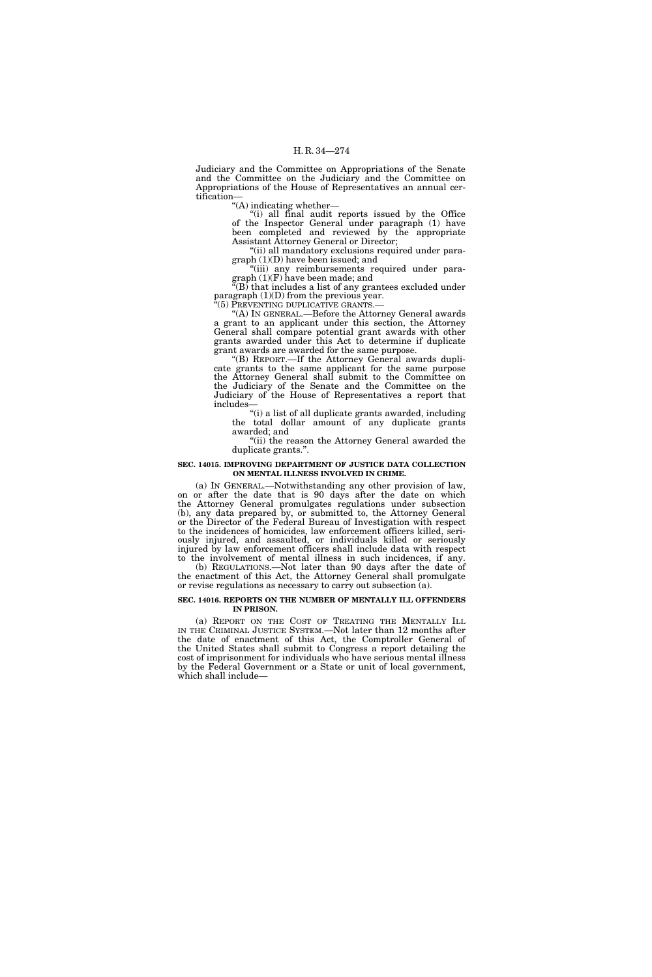Judiciary and the Committee on Appropriations of the Senate and the Committee on the Judiciary and the Committee on Appropriations of the House of Representatives an annual certification—

 $\cdot$ "(A) indicating whether—

"(i) all final audit reports issued by the Office of the Inspector General under paragraph (1) have been completed and reviewed by the appropriate Assistant Attorney General or Director;

"(ii) all mandatory exclusions required under paragraph (1)(D) have been issued; and

"(iii) any reimbursements required under paragraph (1)(F) have been made; and

 $\rm ^{4}(B)$  that includes a list of any grantees excluded under paragraph (1)(D) from the previous year.

(5) PREVENTING DUPLICATIVE GRANTS.

''(A) IN GENERAL.—Before the Attorney General awards a grant to an applicant under this section, the Attorney General shall compare potential grant awards with other grants awarded under this Act to determine if duplicate grant awards are awarded for the same purpose.

''(B) REPORT.—If the Attorney General awards duplicate grants to the same applicant for the same purpose the Attorney General shall submit to the Committee on the Judiciary of the Senate and the Committee on the Judiciary of the House of Representatives a report that includes—

"(i) a list of all duplicate grants awarded, including the total dollar amount of any duplicate grants awarded; and

"(ii) the reason the Attorney General awarded the duplicate grants.''.

# **SEC. 14015. IMPROVING DEPARTMENT OF JUSTICE DATA COLLECTION ON MENTAL ILLNESS INVOLVED IN CRIME.**

(a) IN GENERAL.—Notwithstanding any other provision of law, on or after the date that is 90 days after the date on which the Attorney General promulgates regulations under subsection (b), any data prepared by, or submitted to, the Attorney General or the Director of the Federal Bureau of Investigation with respect to the incidences of homicides, law enforcement officers killed, seriously injured, and assaulted, or individuals killed or seriously injured by law enforcement officers shall include data with respect to the involvement of mental illness in such incidences, if any.

(b) REGULATIONS.—Not later than 90 days after the date of the enactment of this Act, the Attorney General shall promulgate or revise regulations as necessary to carry out subsection (a).

#### **SEC. 14016. REPORTS ON THE NUMBER OF MENTALLY ILL OFFENDERS IN PRISON.**

(a) REPORT ON THE COST OF TREATING THE MENTALLY ILL IN THE CRIMINAL JUSTICE SYSTEM.—Not later than 12 months after the date of enactment of this Act, the Comptroller General of the United States shall submit to Congress a report detailing the cost of imprisonment for individuals who have serious mental illness by the Federal Government or a State or unit of local government, which shall include—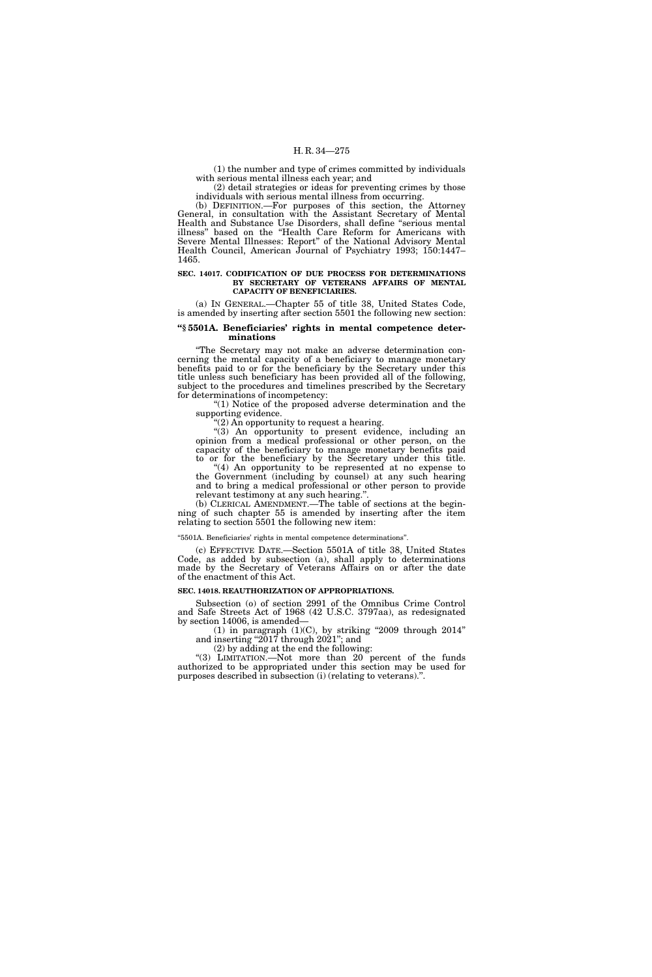(1) the number and type of crimes committed by individuals with serious mental illness each year; and

(2) detail strategies or ideas for preventing crimes by those individuals with serious mental illness from occurring.

(b) DEFINITION.—For purposes of this section, the Attorney General, in consultation with the Assistant Secretary of Mental Health and Substance Use Disorders, shall define ''serious mental illness'' based on the ''Health Care Reform for Americans with Severe Mental Illnesses: Report'' of the National Advisory Mental Health Council, American Journal of Psychiatry 1993; 150:1447– 1465.

#### **SEC. 14017. CODIFICATION OF DUE PROCESS FOR DETERMINATIONS BY SECRETARY OF VETERANS AFFAIRS OF MENTAL CAPACITY OF BENEFICIARIES.**

(a) IN GENERAL.—Chapter 55 of title 38, United States Code, is amended by inserting after section 5501 the following new section:

#### **''§ 5501A. Beneficiaries' rights in mental competence determinations**

''The Secretary may not make an adverse determination concerning the mental capacity of a beneficiary to manage monetary benefits paid to or for the beneficiary by the Secretary under this title unless such beneficiary has been provided all of the following, subject to the procedures and timelines prescribed by the Secretary for determinations of incompetency:

''(1) Notice of the proposed adverse determination and the supporting evidence.

''(2) An opportunity to request a hearing.

''(3) An opportunity to present evidence, including an opinion from a medical professional or other person, on the capacity of the beneficiary to manage monetary benefits paid to or for the beneficiary by the Secretary under this title.

''(4) An opportunity to be represented at no expense to the Government (including by counsel) at any such hearing and to bring a medical professional or other person to provide relevant testimony at any such hearing.''.

(b) CLERICAL AMENDMENT.—The table of sections at the beginning of such chapter 55 is amended by inserting after the item relating to section 5501 the following new item:

# ''5501A. Beneficiaries' rights in mental competence determinations''.

(c) EFFECTIVE DATE.—Section 5501A of title 38, United States Code, as added by subsection (a), shall apply to determinations made by the Secretary of Veterans Affairs on or after the date of the enactment of this Act.

#### **SEC. 14018. REAUTHORIZATION OF APPROPRIATIONS.**

Subsection (o) of section 2991 of the Omnibus Crime Control and Safe Streets Act of 1968 (42 U.S.C. 3797aa), as redesignated by section 14006, is amended—

 $(1)$  in paragraph  $(1)(C)$ , by striking "2009 through 2014" and inserting "2017 through 2021"; and

(2) by adding at the end the following:

''(3) LIMITATION.—Not more than 20 percent of the funds authorized to be appropriated under this section may be used for purposes described in subsection (i) (relating to veterans).''.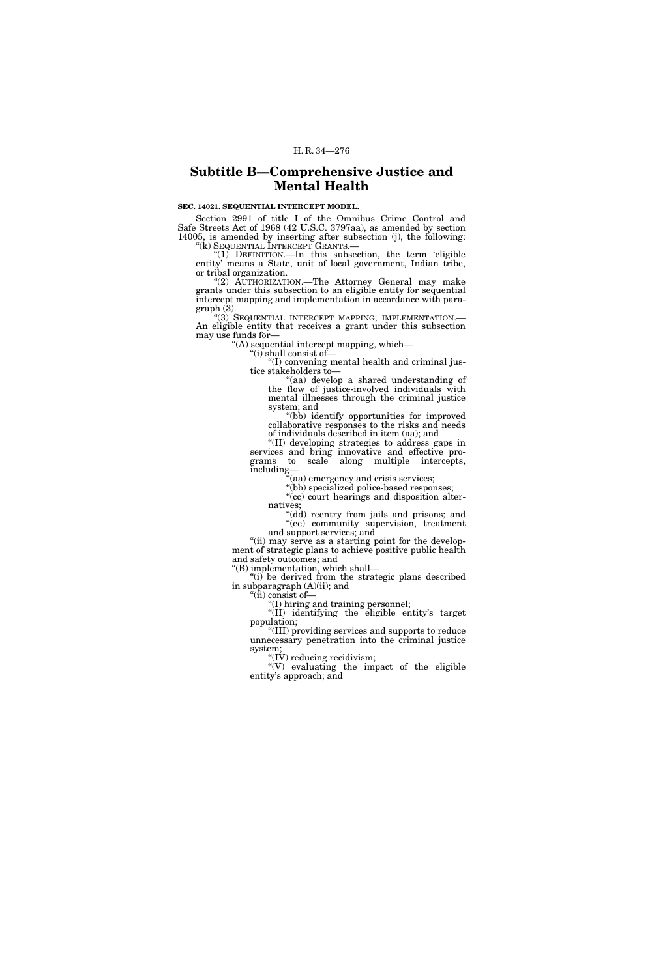# **Subtitle B—Comprehensive Justice and Mental Health**

# **SEC. 14021. SEQUENTIAL INTERCEPT MODEL.**

Section 2991 of title I of the Omnibus Crime Control and Safe Streets Act of 1968 (42 U.S.C. 3797aa), as amended by section 14005, is amended by inserting after subsection  $(j)$ , the following:

''(k) SEQUENTIAL INTERCEPT GRANTS.— ''(1) DEFINITION.—In this subsection, the term 'eligible entity' means a State, unit of local government, Indian tribe, or tribal organization.

"(2) AUTHORIZATION.—The Attorney General may make grants under this subsection to an eligible entity for sequential intercept mapping and implementation in accordance with paragraph (3).<br>"(3) SEQUENTIAL INTERCEPT MAPPING; IMPLEMENTATION.—

An eligible entity that receives a grant under this subsection may use funds for—

''(A) sequential intercept mapping, which—

''(i) shall consist of—

''(I) convening mental health and criminal justice stakeholders to—

''(aa) develop a shared understanding of the flow of justice-involved individuals with mental illnesses through the criminal justice system; and

"(bb) identify opportunities for improved collaborative responses to the risks and needs of individuals described in item (aa); and

''(II) developing strategies to address gaps in services and bring innovative and effective programs to scale along multiple intercepts, grams to scale along multiple intercepts, including—

''(aa) emergency and crisis services;

"(bb) specialized police-based responses; "(cc) court hearings and disposition alter-

natives; "(dd) reentry from jails and prisons; and ''(ee) community supervision, treatment and support services; and

"(ii) may serve as a starting point for the development of strategic plans to achieve positive public health and safety outcomes; and ''(B) implementation, which shall—

"(i) be derived from the strategic plans described in subparagraph (A)(ii); and

''(ii) consist of—

''(I) hiring and training personnel;

"(II) identifying the eligible entity's target population;

''(III) providing services and supports to reduce unnecessary penetration into the criminal justice system;

 $'(\vec{IV})$  reducing recidivism;

''(V) evaluating the impact of the eligible entity's approach; and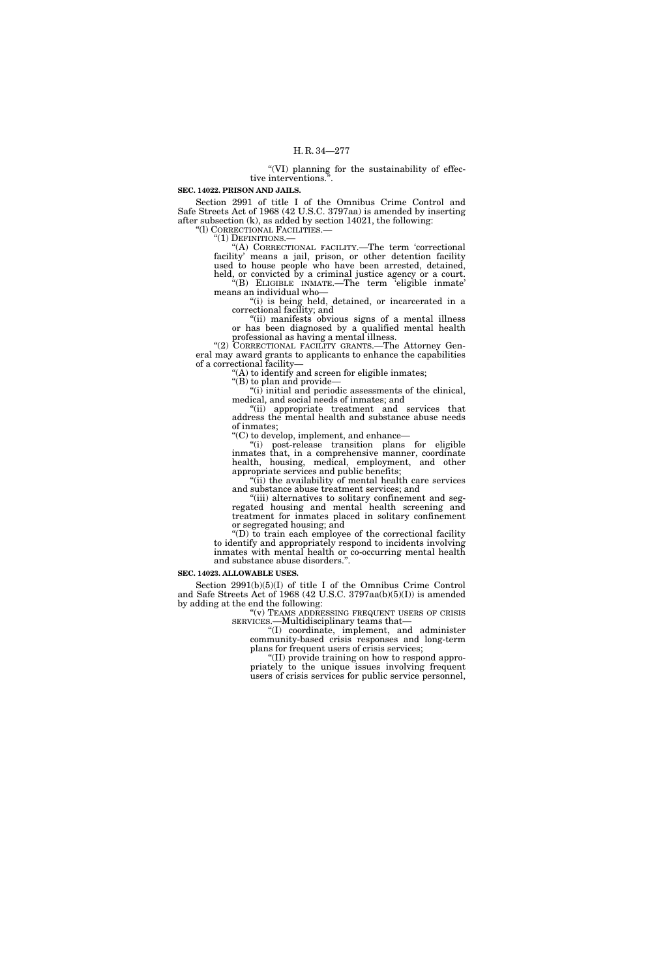''(VI) planning for the sustainability of effective interventions.''.

# **SEC. 14022. PRISON AND JAILS.**

Section 2991 of title I of the Omnibus Crime Control and Safe Streets Act of 1968 (42 U.S.C. 3797aa) is amended by inserting after subsection (k), as added by section 14021, the following: "(1) CORRECTIONAL FACILITIES.—

"(1) DEFINITIONS.—<br>"(A) CORRECTIONAL FACILITY.—The term 'correctional facility' means a jail, prison, or other detention facility used to house people who have been arrested, detained, held, or convicted by a criminal justice agency or a court. ''(B) ELIGIBLE INMATE.—The term 'eligible inmate'

means an individual who— "(i) is being held, detained, or incarcerated in a correctional facility; and

"(ii) manifests obvious signs of a mental illness or has been diagnosed by a qualified mental health professional as having a mental illness.

"(2) CORRECTIONAL FACILITY GRANTS.—The Attorney General may award grants to applicants to enhance the capabilities of a correctional facility—

 $(A)$  to identify and screen for eligible inmates;

" $(B)$  to plan and provide-

" $(i)$  initial and periodic assessments of the clinical, medical, and social needs of inmates; and

''(ii) appropriate treatment and services that address the mental health and substance abuse needs of inmates;

''(C) to develop, implement, and enhance—

''(i) post-release transition plans for eligible inmates that, in a comprehensive manner, coordinate health, housing, medical, employment, and other appropriate services and public benefits;

"(ii) the availability of mental health care services and substance abuse treatment services; and

"(iii) alternatives to solitary confinement and segregated housing and mental health screening and treatment for inmates placed in solitary confinement or segregated housing; and

''(D) to train each employee of the correctional facility to identify and appropriately respond to incidents involving inmates with mental health or co-occurring mental health and substance abuse disorders.''.

**SEC. 14023. ALLOWABLE USES.** 

Section 2991(b)(5)(I) of title I of the Omnibus Crime Control and Safe Streets Act of 1968 (42 U.S.C. 3797aa(b)(5)(I)) is amended by adding at the end the following:

''(v) TEAMS ADDRESSING FREQUENT USERS OF CRISIS SERVICES.—Multidisciplinary teams that—

''(I) coordinate, implement, and administer community-based crisis responses and long-term plans for frequent users of crisis services;

''(II) provide training on how to respond appropriately to the unique issues involving frequent users of crisis services for public service personnel,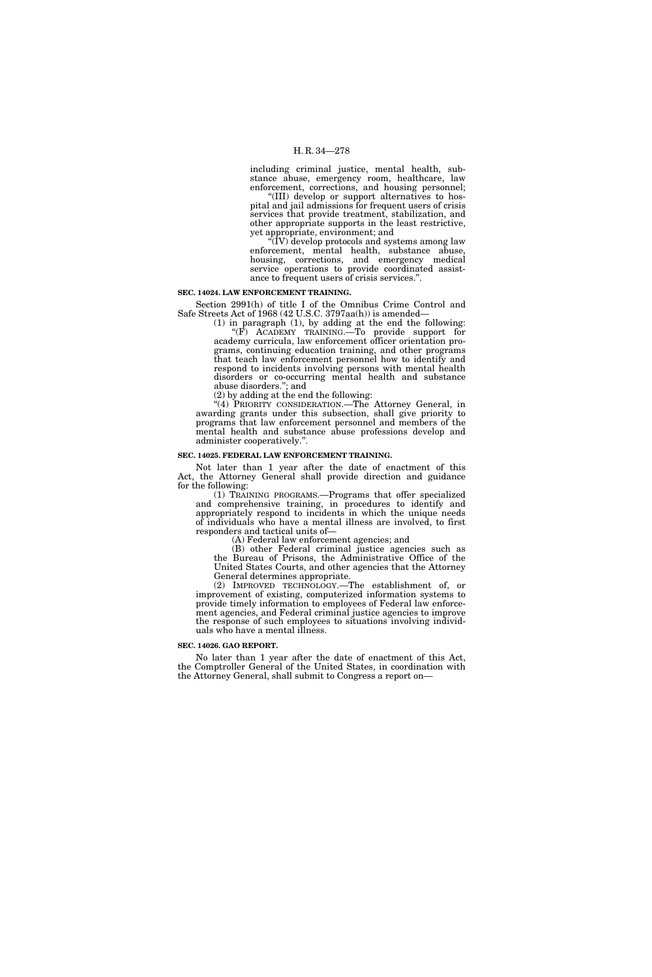including criminal justice, mental health, substance abuse, emergency room, healthcare, law enforcement, corrections, and housing personnel; '(III) develop or support alternatives to hos-

pital and jail admissions for frequent users of crisis services that provide treatment, stabilization, and other appropriate supports in the least restrictive, yet appropriate, environment; and

 $\sqrt{\text{i}}$  (IV) develop protocols and systems among law enforcement, mental health, substance abuse, housing, corrections, and emergency medical service operations to provide coordinated assistance to frequent users of crisis services.''.

#### **SEC. 14024. LAW ENFORCEMENT TRAINING.**

Section 2991(h) of title I of the Omnibus Crime Control and Safe Streets Act of 1968 (42 U.S.C. 3797aa(h)) is amended—

(1) in paragraph (1), by adding at the end the following: " $(F)$  ACADEMY TRAINING. To provide support for academy curricula, law enforcement officer orientation programs, continuing education training, and other programs that teach law enforcement personnel how to identify and respond to incidents involving persons with mental health disorders or co-occurring mental health and substance abuse disorders.''; and

(2) by adding at the end the following:

"(4) PRIORITY CONSIDERATION.—The Attorney General, in awarding grants under this subsection, shall give priority to programs that law enforcement personnel and members of the mental health and substance abuse professions develop and administer cooperatively.''.

#### **SEC. 14025. FEDERAL LAW ENFORCEMENT TRAINING.**

Not later than 1 year after the date of enactment of this Act, the Attorney General shall provide direction and guidance for the following:

(1) TRAINING PROGRAMS.—Programs that offer specialized and comprehensive training, in procedures to identify and appropriately respond to incidents in which the unique needs of individuals who have a mental illness are involved, to first responders and tactical units of—

(A) Federal law enforcement agencies; and

(B) other Federal criminal justice agencies such as the Bureau of Prisons, the Administrative Office of the United States Courts, and other agencies that the Attorney General determines appropriate.

(2) IMPROVED TECHNOLOGY.—The establishment of, or improvement of existing, computerized information systems to provide timely information to employees of Federal law enforcement agencies, and Federal criminal justice agencies to improve the response of such employees to situations involving individuals who have a mental illness.

#### **SEC. 14026. GAO REPORT.**

No later than 1 year after the date of enactment of this Act, the Comptroller General of the United States, in coordination with the Attorney General, shall submit to Congress a report on—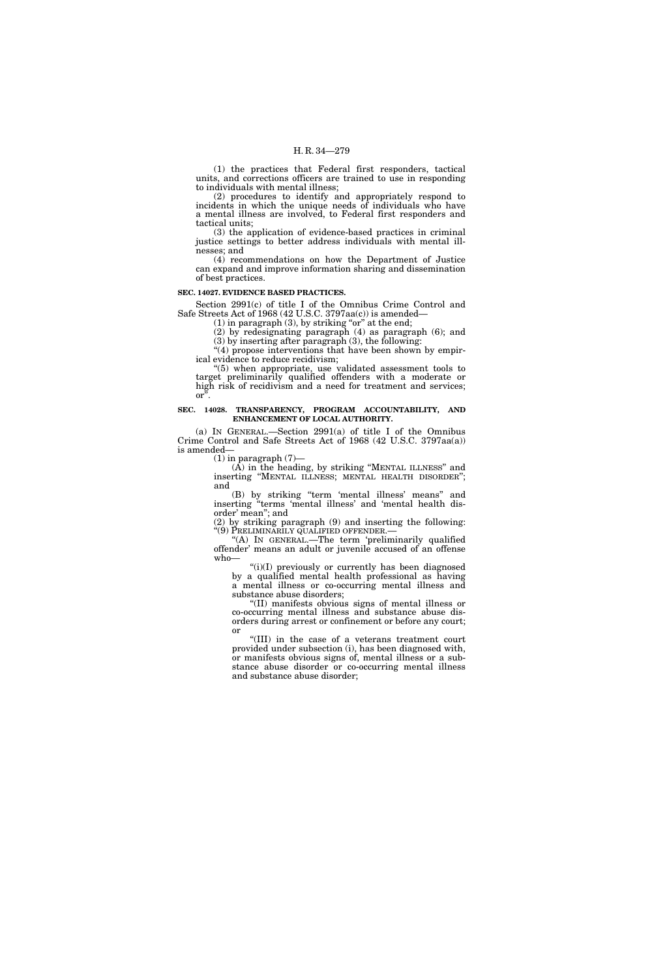(1) the practices that Federal first responders, tactical units, and corrections officers are trained to use in responding to individuals with mental illness;

(2) procedures to identify and appropriately respond to incidents in which the unique needs of individuals who have a mental illness are involved, to Federal first responders and tactical units;

(3) the application of evidence-based practices in criminal justice settings to better address individuals with mental illnesses; and

(4) recommendations on how the Department of Justice can expand and improve information sharing and dissemination of best practices.

#### **SEC. 14027. EVIDENCE BASED PRACTICES.**

Section 2991(c) of title I of the Omnibus Crime Control and Safe Streets Act of 1968 (42 U.S.C. 3797aa(c)) is amended—

 $(1)$  in paragraph  $(3)$ , by striking "or" at the end;

(2) by redesignating paragraph (4) as paragraph (6); and (3) by inserting after paragraph (3), the following:

"(4) propose interventions that have been shown by empirical evidence to reduce recidivism;<br>"(5) when appropriate, use validated assessment tools to

''(5) when appropriate, use validated assessment tools to target preliminarily qualified offenders with a moderate or high risk of recidivism and a need for treatment and services; or''.

# **SEC. 14028. TRANSPARENCY, PROGRAM ACCOUNTABILITY, AND ENHANCEMENT OF LOCAL AUTHORITY.**

(a) IN GENERAL.—Section 2991(a) of title I of the Omnibus Crime Control and Safe Streets Act of 1968 (42 U.S.C. 3797aa(a)) is amended—

 $(1)$  in paragraph  $(7)$ —

(A) in the heading, by striking ''MENTAL ILLNESS'' and inserting ''MENTAL ILLNESS; MENTAL HEALTH DISORDER''; and

(B) by striking ''term 'mental illness' means'' and inserting ''terms 'mental illness' and 'mental health disorder' mean''; and

(2) by striking paragraph (9) and inserting the following: ''(9) PRELIMINARILY QUALIFIED OFFENDER.—

"(A) In GENERAL.—The term 'preliminarily qualified offender' means an adult or juvenile accused of an offense who—

 $(ii)(I)$  previously or currently has been diagnosed by a qualified mental health professional as having a mental illness or co-occurring mental illness and substance abuse disorders;

''(II) manifests obvious signs of mental illness or co-occurring mental illness and substance abuse disorders during arrest or confinement or before any court; or

''(III) in the case of a veterans treatment court provided under subsection (i), has been diagnosed with, or manifests obvious signs of, mental illness or a substance abuse disorder or co-occurring mental illness and substance abuse disorder;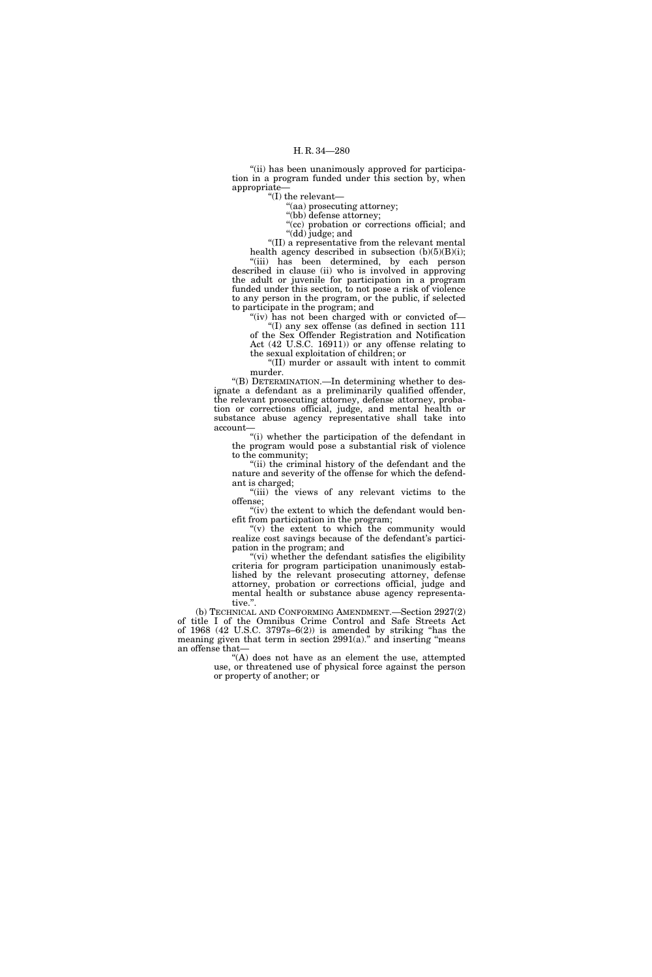"(ii) has been unanimously approved for participation in a program funded under this section by, when appropriate—

''(I) the relevant—

''(aa) prosecuting attorney;

''(bb) defense attorney;

''(cc) probation or corrections official; and ''(dd) judge; and

''(II) a representative from the relevant mental health agency described in subsection  $(b)(5)(B)(i)$ ; ''(iii) has been determined, by each person described in clause (ii) who is involved in approving the adult or juvenile for participation in a program funded under this section, to not pose a risk of violence

to any person in the program, or the public, if selected to participate in the program; and "(iv) has not been charged with or convicted of-

''(I) any sex offense (as defined in section 111 of the Sex Offender Registration and Notification Act (42 U.S.C. 16911)) or any offense relating to

the sexual exploitation of children; or ''(II) murder or assault with intent to commit murder.

''(B) DETERMINATION.—In determining whether to designate a defendant as a preliminarily qualified offender, the relevant prosecuting attorney, defense attorney, probation or corrections official, judge, and mental health or substance abuse agency representative shall take into account—

''(i) whether the participation of the defendant in the program would pose a substantial risk of violence to the community;

''(ii) the criminal history of the defendant and the nature and severity of the offense for which the defendant is charged;

"(iii) the views of any relevant victims to the offense;

"(iv) the extent to which the defendant would benefit from participation in the program;

" $(v)$  the extent to which the community would realize cost savings because of the defendant's participation in the program; and

"(vi) whether the defendant satisfies the eligibility criteria for program participation unanimously established by the relevant prosecuting attorney, defense attorney, probation or corrections official, judge and mental health or substance abuse agency representative.''.

(b) TECHNICAL AND CONFORMING AMENDMENT.—Section 2927(2) of title I of the Omnibus Crime Control and Safe Streets Act of  $1968$  (42 U.S.C.  $3797s-6(2)$ ) is amended by striking "has the meaning given that term in section 2991(a)." and inserting "means an offense that—

> $(A)$  does not have as an element the use, attempted use, or threatened use of physical force against the person or property of another; or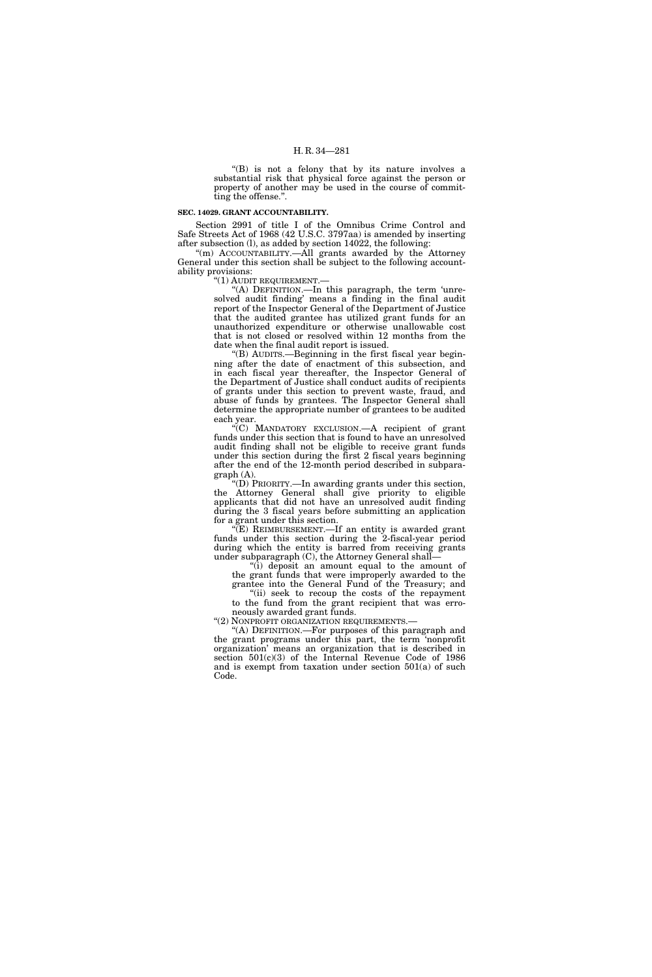"(B) is not a felony that by its nature involves a substantial risk that physical force against the person or property of another may be used in the course of committing the offense.''.

# **SEC. 14029. GRANT ACCOUNTABILITY.**

Section 2991 of title I of the Omnibus Crime Control and Safe Streets Act of 1968 (42 U.S.C. 3797aa) is amended by inserting after subsection (l), as added by section 14022, the following:

''(m) ACCOUNTABILITY.—All grants awarded by the Attorney General under this section shall be subject to the following accountability provisions:

"(1) AUDIT REQUIREMENT.-

''(A) DEFINITION.—In this paragraph, the term 'unresolved audit finding' means a finding in the final audit report of the Inspector General of the Department of Justice that the audited grantee has utilized grant funds for an unauthorized expenditure or otherwise unallowable cost that is not closed or resolved within 12 months from the date when the final audit report is issued.

''(B) AUDITS.—Beginning in the first fiscal year beginning after the date of enactment of this subsection, and in each fiscal year thereafter, the Inspector General of the Department of Justice shall conduct audits of recipients of grants under this section to prevent waste, fraud, and abuse of funds by grantees. The Inspector General shall determine the appropriate number of grantees to be audited each year.

''(C) MANDATORY EXCLUSION.—A recipient of grant funds under this section that is found to have an unresolved audit finding shall not be eligible to receive grant funds under this section during the first 2 fiscal years beginning after the end of the 12-month period described in subparagraph (A).

''(D) PRIORITY.—In awarding grants under this section, the Attorney General shall give priority to eligible applicants that did not have an unresolved audit finding during the 3 fiscal years before submitting an application for a grant under this section.

 $\sqrt{\text{E}}$ ) REIMBURSEMENT.—If an entity is awarded grant funds under this section during the 2-fiscal-year period during which the entity is barred from receiving grants under subparagraph  $(C)$ , the Attorney General shall-

''(i) deposit an amount equal to the amount of the grant funds that were improperly awarded to the grantee into the General Fund of the Treasury; and

''(ii) seek to recoup the costs of the repayment to the fund from the grant recipient that was erroneously awarded grant funds.

"(2) NONPROFIT ORGANIZATION REQUIREMENTS.

''(A) DEFINITION.—For purposes of this paragraph and the grant programs under this part, the term 'nonprofit organization' means an organization that is described in section 501(c)(3) of the Internal Revenue Code of 1986 and is exempt from taxation under section 501(a) of such Code.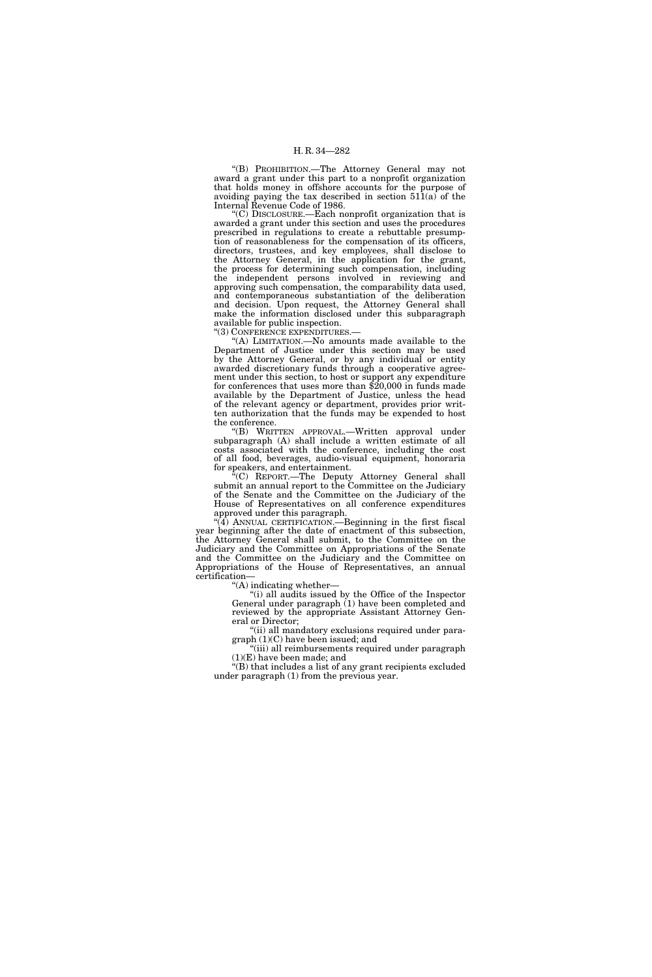''(B) PROHIBITION.—The Attorney General may not award a grant under this part to a nonprofit organization that holds money in offshore accounts for the purpose of avoiding paying the tax described in section  $511(a)$  of the Internal Revenue Code of 1986.

''(C) DISCLOSURE.—Each nonprofit organization that is awarded a grant under this section and uses the procedures prescribed in regulations to create a rebuttable presumption of reasonableness for the compensation of its officers, directors, trustees, and key employees, shall disclose to the Attorney General, in the application for the grant, the process for determining such compensation, including the independent persons involved in reviewing and approving such compensation, the comparability data used, and contemporaneous substantiation of the deliberation and decision. Upon request, the Attorney General shall make the information disclosed under this subparagraph available for public inspection.

''(3) CONFERENCE EXPENDITURES.—

 $(A)$  LIMITATION.—No amounts made available to the Department of Justice under this section may be used by the Attorney General, or by any individual or entity awarded discretionary funds through a cooperative agreement under this section, to host or support any expenditure for conferences that uses more than \$20,000 in funds made available by the Department of Justice, unless the head of the relevant agency or department, provides prior written authorization that the funds may be expended to host the conference.

''(B) WRITTEN APPROVAL.—Written approval under subparagraph (A) shall include a written estimate of all costs associated with the conference, including the cost of all food, beverages, audio-visual equipment, honoraria for speakers, and entertainment.

''(C) REPORT.—The Deputy Attorney General shall submit an annual report to the Committee on the Judiciary of the Senate and the Committee on the Judiciary of the House of Representatives on all conference expenditures approved under this paragraph.

 $(4)$  ANNUAL CERTIFICATION.—Beginning in the first fiscal year beginning after the date of enactment of this subsection, the Attorney General shall submit, to the Committee on the Judiciary and the Committee on Appropriations of the Senate and the Committee on the Judiciary and the Committee on Appropriations of the House of Representatives, an annual certification—

''(A) indicating whether—

''(i) all audits issued by the Office of the Inspector General under paragraph (1) have been completed and reviewed by the appropriate Assistant Attorney General or Director;

''(ii) all mandatory exclusions required under paragraph (1)(C) have been issued; and

''(iii) all reimbursements required under paragraph  $(1)(E)$  have been made; and

 $\sqrt[4]{(B)}$  that includes a list of any grant recipients excluded under paragraph (1) from the previous year.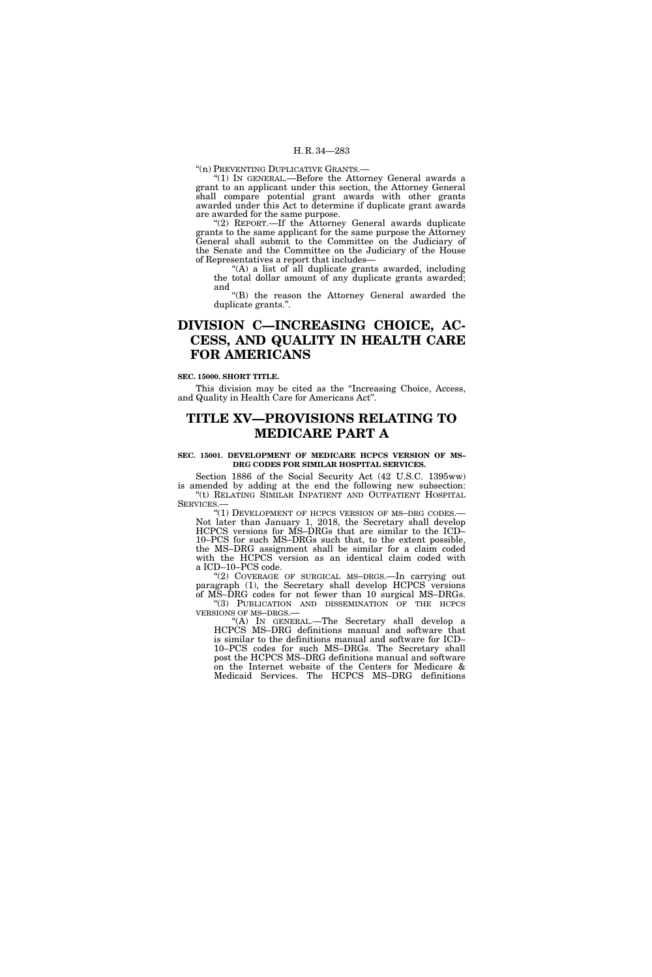''(n) PREVENTING DUPLICATIVE GRANTS.—

'(1) In GENERAL.—Before the Attorney General awards a grant to an applicant under this section, the Attorney General shall compare potential grant awards with other grants awarded under this Act to determine if duplicate grant awards are awarded for the same purpose.

"(2) REPORT.—If the Attorney General awards duplicate grants to the same applicant for the same purpose the Attorney General shall submit to the Committee on the Judiciary of the Senate and the Committee on the Judiciary of the House of Representatives a report that includes—

''(A) a list of all duplicate grants awarded, including the total dollar amount of any duplicate grants awarded; and

''(B) the reason the Attorney General awarded the duplicate grants.''.

# **DIVISION C—INCREASING CHOICE, AC-CESS, AND QUALITY IN HEALTH CARE FOR AMERICANS**

**SEC. 15000. SHORT TITLE.** 

This division may be cited as the ''Increasing Choice, Access, and Quality in Health Care for Americans Act''.

# **TITLE XV—PROVISIONS RELATING TO MEDICARE PART A**

# SEC. 15001. DEVELOPMENT OF MEDICARE HCPCS VERSION OF MS-**DRG CODES FOR SIMILAR HOSPITAL SERVICES.**

Section 1886 of the Social Security Act (42 U.S.C. 1395ww) is amended by adding at the end the following new subsection: ''(t) RELATING SIMILAR INPATIENT AND OUTPATIENT HOSPITAL SERVICES.

"(1) DEVELOPMENT OF HCPCS VERSION OF MS-DRG CODES.-Not later than January 1, 2018, the Secretary shall develop HCPCS versions for MS–DRGs that are similar to the ICD– 10–PCS for such MS–DRGs such that, to the extent possible, the MS–DRG assignment shall be similar for a claim coded with the HCPCS version as an identical claim coded with a ICD–10–PCS code.

''(2) COVERAGE OF SURGICAL MS–DRGS.—In carrying out paragraph (1), the Secretary shall develop HCPCS versions of MS–DRG codes for not fewer than 10 surgical MS–DRGs. "(3) PUBLICATION AND DISSEMINATION OF THE HCPCS

VERSIONS OF MS–DRGS.—

''(A) IN GENERAL.—The Secretary shall develop a HCPCS MS–DRG definitions manual and software that is similar to the definitions manual and software for ICD– 10–PCS codes for such MS–DRGs. The Secretary shall post the HCPCS MS–DRG definitions manual and software on the Internet website of the Centers for Medicare & Medicaid Services. The HCPCS MS–DRG definitions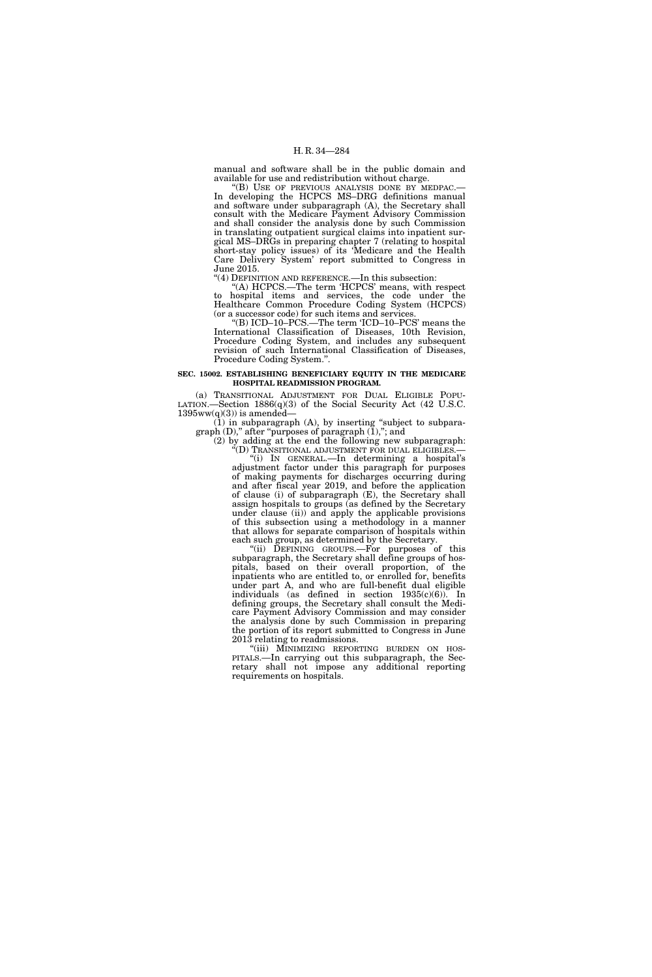manual and software shall be in the public domain and available for use and redistribution without charge.

''(B) USE OF PREVIOUS ANALYSIS DONE BY MEDPAC.— In developing the HCPCS MS–DRG definitions manual and software under subparagraph (A), the Secretary shall consult with the Medicare Payment Advisory Commission and shall consider the analysis done by such Commission in translating outpatient surgical claims into inpatient surgical MS–DRGs in preparing chapter 7 (relating to hospital short-stay policy issues) of its 'Medicare and the Health Care Delivery System' report submitted to Congress in June 2015.

''(4) DEFINITION AND REFERENCE.—In this subsection:

''(A) HCPCS.—The term 'HCPCS' means, with respect to hospital items and services, the code under the Healthcare Common Procedure Coding System (HCPCS) (or a successor code) for such items and services.

''(B) ICD–10–PCS.—The term 'ICD–10–PCS' means the International Classification of Diseases, 10th Revision, Procedure Coding System, and includes any subsequent revision of such International Classification of Diseases, Procedure Coding System.''.

# **SEC. 15002. ESTABLISHING BENEFICIARY EQUITY IN THE MEDICARE HOSPITAL READMISSION PROGRAM.**

(a) TRANSITIONAL ADJUSTMENT FOR DUAL ELIGIBLE POPU-LATION.—Section 1886(q)(3) of the Social Security Act (42 U.S.C.  $1395ww(q)(3)$  is amended-

(1) in subparagraph (A), by inserting ''subject to subparagraph (D),'' after ''purposes of paragraph (1),''; and

(2) by adding at the end the following new subparagraph: (D) TRANSITIONAL ADJUSTMENT FOR DUAL ELIGIBLES.

''(i) IN GENERAL.—In determining a hospital's adjustment factor under this paragraph for purposes of making payments for discharges occurring during and after fiscal year 2019, and before the application of clause (i) of subparagraph (E), the Secretary shall assign hospitals to groups (as defined by the Secretary under clause (ii)) and apply the applicable provisions of this subsection using a methodology in a manner that allows for separate comparison of hospitals within each such group, as determined by the Secretary.

"(ii) DEFINING GROUPS.—For purposes of this subparagraph, the Secretary shall define groups of hospitals, based on their overall proportion, of the inpatients who are entitled to, or enrolled for, benefits under part A, and who are full-benefit dual eligible individuals (as defined in section 1935(c)(6)). In defining groups, the Secretary shall consult the Medicare Payment Advisory Commission and may consider the analysis done by such Commission in preparing the portion of its report submitted to Congress in June 2013 relating to readmissions.<br>"(iii) MINIMIZING REPORTING BURDEN ON HOS-

PITALS.—In carrying out this subparagraph, the Secretary shall not impose any additional reporting requirements on hospitals.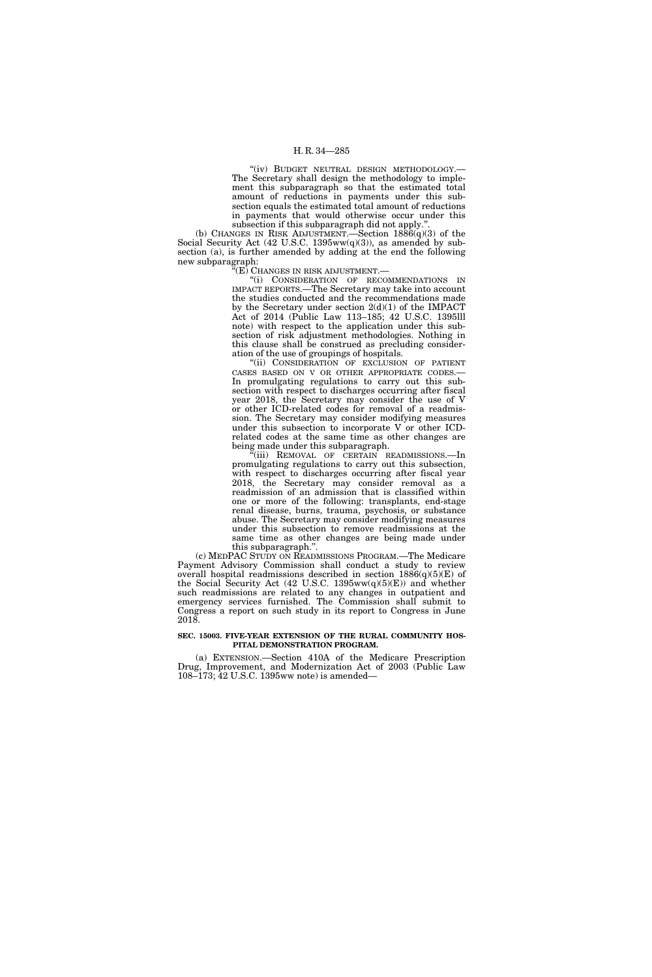"(iv) BUDGET NEUTRAL DESIGN METHODOLOGY.-The Secretary shall design the methodology to implement this subparagraph so that the estimated total amount of reductions in payments under this subsection equals the estimated total amount of reductions in payments that would otherwise occur under this subsection if this subparagraph did not apply.'

(b) CHANGES IN RISK ADJUSTMENT.—Section  $1886(q)(3)$  of the Social Security Act (42 U.S.C. 1395ww(q)(3)), as amended by subsection (a), is further amended by adding at the end the following new subparagraph:

''(E) CHANGES IN RISK ADJUSTMENT.—

''(i) CONSIDERATION OF RECOMMENDATIONS IN IMPACT REPORTS.—The Secretary may take into account the studies conducted and the recommendations made by the Secretary under section  $2(d)(1)$  of the IMPACT Act of 2014 (Public Law 113–185; 42 U.S.C. 1395lll note) with respect to the application under this subsection of risk adjustment methodologies. Nothing in this clause shall be construed as precluding consideration of the use of groupings of hospitals.

'(ii) CONSIDERATION OF EXCLUSION OF PATIENT CASES BASED ON V OR OTHER APPROPRIATE CODES.— In promulgating regulations to carry out this subsection with respect to discharges occurring after fiscal year 2018, the Secretary may consider the use of V or other ICD-related codes for removal of a readmission. The Secretary may consider modifying measures under this subsection to incorporate V or other ICDrelated codes at the same time as other changes are being made under this subparagraph.

'(iii) REMOVAL OF CERTAIN READMISSIONS.—In promulgating regulations to carry out this subsection, with respect to discharges occurring after fiscal year 2018, the Secretary may consider removal as a readmission of an admission that is classified within one or more of the following: transplants, end-stage renal disease, burns, trauma, psychosis, or substance abuse. The Secretary may consider modifying measures under this subsection to remove readmissions at the same time as other changes are being made under this subparagraph.''.

(c) MEDPAC STUDY ON READMISSIONS PROGRAM.—The Medicare Payment Advisory Commission shall conduct a study to review overall hospital readmissions described in section  $1886(q)(5)(E)$  of the Social Security Act (42 U.S.C. 1395ww(q)(5)(E)) and whether such readmissions are related to any changes in outpatient and emergency services furnished. The Commission shall submit to Congress a report on such study in its report to Congress in June 2018.

# **SEC. 15003. FIVE-YEAR EXTENSION OF THE RURAL COMMUNITY HOS-PITAL DEMONSTRATION PROGRAM.**

(a) EXTENSION.—Section 410A of the Medicare Prescription Drug, Improvement, and Modernization Act of 2003 (Public Law 108–173; 42 U.S.C. 1395ww note) is amended—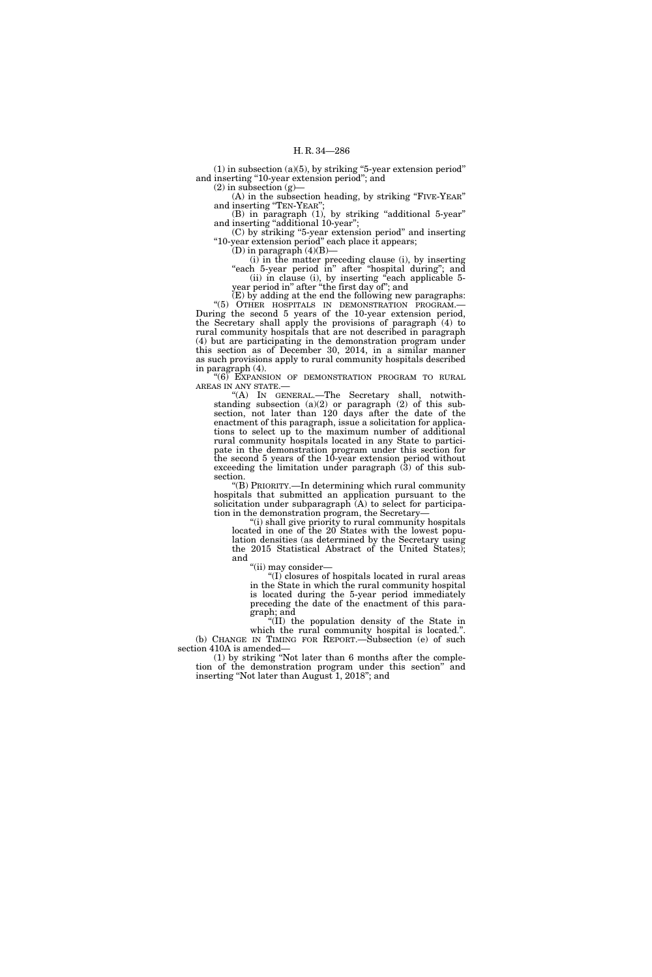(1) in subsection (a)(5), by striking ''5-year extension period'' and inserting ''10-year extension period''; and

 $(2)$  in subsection  $(g)$ —

(A) in the subsection heading, by striking ''FIVE-YEAR'' and inserting ''TEN-YEAR'';

(B) in paragraph (1), by striking "additional 5-year" and inserting "additional 10-year";

(C) by striking ''5-year extension period'' and inserting ''10-year extension period'' each place it appears;

(D) in paragraph  $(4)(B)$ -

(i) in the matter preceding clause (i), by inserting "each 5-year period in" after "hospital during"; and (ii) in clause (i), by inserting ''each applicable 5 year period in'' after ''the first day of''; and

 $(E)$  by adding at the end the following new paragraphs: ''(5) OTHER HOSPITALS IN DEMONSTRATION PROGRAM.— During the second 5 years of the 10-year extension period, the Secretary shall apply the provisions of paragraph (4) to rural community hospitals that are not described in paragraph (4) but are participating in the demonstration program under this section as of December 30, 2014, in a similar manner as such provisions apply to rural community hospitals described in paragraph (4).

"(6) EXPANSION OF DEMONSTRATION PROGRAM TO RURAL AREAS IN ANY STATE.—

''(A) IN GENERAL.—The Secretary shall, notwithstanding subsection (a)(2) or paragraph (2) of this subsection, not later than 120 days after the date of the enactment of this paragraph, issue a solicitation for applications to select up to the maximum number of additional rural community hospitals located in any State to participate in the demonstration program under this section for the second 5 years of the 10-year extension period without exceeding the limitation under paragraph (3) of this subsection.

''(B) PRIORITY.—In determining which rural community hospitals that submitted an application pursuant to the solicitation under subparagraph  $(A)$  to select for participation in the demonstration program, the Secretary—

''(i) shall give priority to rural community hospitals located in one of the 20 States with the lowest population densities (as determined by the Secretary using the 2015 Statistical Abstract of the United States); and

"(ii) may consider-

''(I) closures of hospitals located in rural areas in the State in which the rural community hospital is located during the 5-year period immediately preceding the date of the enactment of this paragraph; and

''(II) the population density of the State in which the rural community hospital is located.". (b) CHANGE IN TIMING FOR REPORT.—Subsection (e) of such section 410A is amended—

(1) by striking ''Not later than 6 months after the completion of the demonstration program under this section'' and inserting ''Not later than August 1, 2018''; and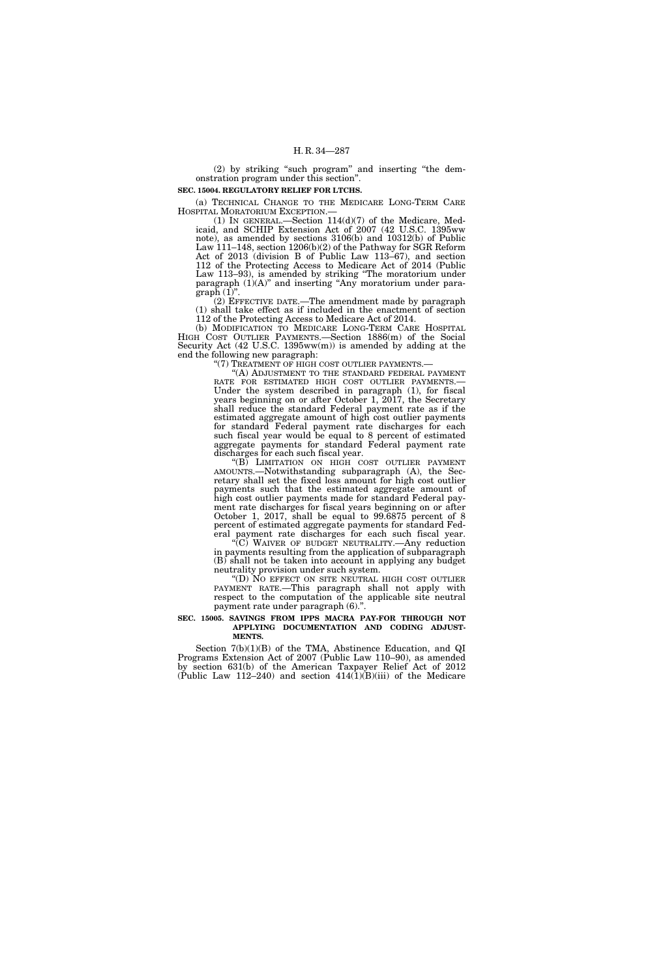(2) by striking ''such program'' and inserting ''the demonstration program under this section''.

# **SEC. 15004. REGULATORY RELIEF FOR LTCHS.**

(a) TECHNICAL CHANGE TO THE MEDICARE LONG-TERM CARE HOSPITAL MORATORIUM EXCEPTION.—

(1) IN GENERAL.—Section  $114(d)(7)$  of the Medicare, Medicaid, and SCHIP Extension Act of 2007 (42 U.S.C. 1395ww note), as amended by sections 3106(b) and 10312(b) of Public Law 111–148, section 1206(b)(2) of the Pathway for SGR Reform Act of 2013 (division B of Public Law 113–67), and section 112 of the Protecting Access to Medicare Act of 2014 (Public Law 113–93), is amended by striking ''The moratorium under paragraph  $(1)(A)$ " and inserting "Any moratorium under para $graph (1)$ ".

(2) EFFECTIVE DATE.—The amendment made by paragraph (1) shall take effect as if included in the enactment of section 112 of the Protecting Access to Medicare Act of 2014.

(b) MODIFICATION TO MEDICARE LONG-TERM CARE HOSPITAL HIGH COST OUTLIER PAYMENTS.—Section 1886(m) of the Social Security Act (42 U.S.C. 1395ww(m)) is amended by adding at the end the following new paragraph:<br>"(7) TREATMENT OF HIGH COST OUTLIER PAYMENTS.-

"(A) ADJUSTMENT TO THE STANDARD FEDERAL PAYMENT RATE FOR ESTIMATED HIGH COST OUTLIER PAYMENTS.—<br>Under the system described in paragraph (1), for fiscal years beginning on or after October 1, 2017, the Secretary shall reduce the standard Federal payment rate as if the estimated aggregate amount of high cost outlier payments for standard Federal payment rate discharges for each such fiscal year would be equal to 8 percent of estimated aggregate payments for standard Federal payment rate discharges for each such fiscal year.

''(B) LIMITATION ON HIGH COST OUTLIER PAYMENT AMOUNTS.—Notwithstanding subparagraph (A), the Secretary shall set the fixed loss amount for high cost outlier payments such that the estimated aggregate amount of high cost outlier payments made for standard Federal payment rate discharges for fiscal years beginning on or after October 1, 2017, shall be equal to 99.6875 percent of 8 percent of estimated aggregate payments for standard Federal payment rate discharges for each such fiscal year.

(C) WAIVER OF BUDGET NEUTRALITY.—Any reduction in payments resulting from the application of subparagraph (B) shall not be taken into account in applying any budget neutrality provision under such system.

''(D) NO EFFECT ON SITE NEUTRAL HIGH COST OUTLIER PAYMENT RATE.—This paragraph shall not apply with respect to the computation of the applicable site neutral payment rate under paragraph (6)."

#### **SEC. 15005. SAVINGS FROM IPPS MACRA PAY-FOR THROUGH NOT APPLYING DOCUMENTATION AND CODING ADJUST-MENTS.**

Section 7(b)(1)(B) of the TMA, Abstinence Education, and QI Programs Extension Act of 2007 (Public Law 110–90), as amended by section 631(b) of the American Taxpayer Relief Act of 2012 (Public Law 112–240) and section  $414(1)(B)(iii)$  of the Medicare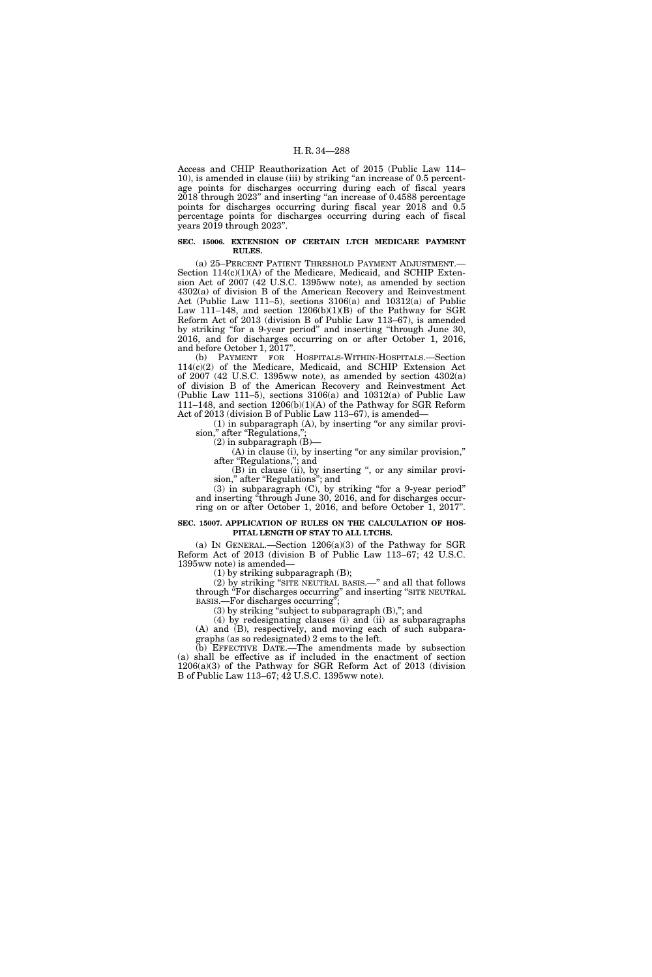Access and CHIP Reauthorization Act of 2015 (Public Law 114– 10), is amended in clause (iii) by striking ''an increase of 0.5 percentage points for discharges occurring during each of fiscal years 2018 through 2023'' and inserting ''an increase of 0.4588 percentage points for discharges occurring during fiscal year 2018 and 0.5 percentage points for discharges occurring during each of fiscal years 2019 through 2023''.

# **SEC. 15006. EXTENSION OF CERTAIN LTCH MEDICARE PAYMENT RULES.**

(a) 25–PERCENT PATIENT THRESHOLD PAYMENT ADJUSTMENT.— Section 114(c)(1)(A) of the Medicare, Medicaid, and SCHIP Extension Act of 2007 (42 U.S.C. 1395ww note), as amended by section 4302(a) of division B of the American Recovery and Reinvestment Act (Public Law 111–5), sections 3106(a) and 10312(a) of Public Law 111–148, and section 1206(b)(1)(B) of the Pathway for SGR Reform Act of 2013 (division B of Public Law 113–67), is amended by striking ''for a 9-year period'' and inserting ''through June 30, 2016, and for discharges occurring on or after October 1, 2016, and before October 1, 2017".

(b) PAYMENT FOR HOSPITALS-WITHIN-HOSPITALS.—Section 114(c)(2) of the Medicare, Medicaid, and SCHIP Extension Act of 2007 (42 U.S.C. 1395ww note), as amended by section 4302(a) of division B of the American Recovery and Reinvestment Act (Public Law 111–5), sections 3106(a) and 10312(a) of Public Law 111–148, and section 1206(b)(1)(A) of the Pathway for SGR Reform Act of 2013 (division B of Public Law 113–67), is amended—

 $(1)$  in subparagraph  $(A)$ , by inserting "or any similar provision," after "Regulations,

(2) in subparagraph  $(B)$ -

(A) in clause (i), by inserting "or any similar provision," after ''Regulations,''; and

(B) in clause (ii), by inserting ", or any similar provision," after "Regulations"; and

(3) in subparagraph (C), by striking ''for a 9-year period'' and inserting ''through June 30, 2016, and for discharges occurring on or after October 1, 2016, and before October 1, 2017''.

#### **SEC. 15007. APPLICATION OF RULES ON THE CALCULATION OF HOS-PITAL LENGTH OF STAY TO ALL LTCHS.**

(a) IN GENERAL.—Section  $1206(a)(3)$  of the Pathway for SGR Reform Act of 2013 (division B of Public Law 113–67; 42 U.S.C. 1395ww note) is amended—

(1) by striking subparagraph (B);

(2) by striking ''SITE NEUTRAL BASIS.—'' and all that follows through ''For discharges occurring'' and inserting ''SITE NEUTRAL BASIS.—For discharges occurring'';

(3) by striking ''subject to subparagraph (B),''; and

(4) by redesignating clauses (i) and (ii) as subparagraphs (A) and (B), respectively, and moving each of such subparagraphs (as so redesignated) 2 ems to the left.

(b) EFFECTIVE DATE.—The amendments made by subsection (a) shall be effective as if included in the enactment of section 1206(a)(3) of the Pathway for SGR Reform Act of 2013 (division B of Public Law 113–67; 42 U.S.C. 1395ww note).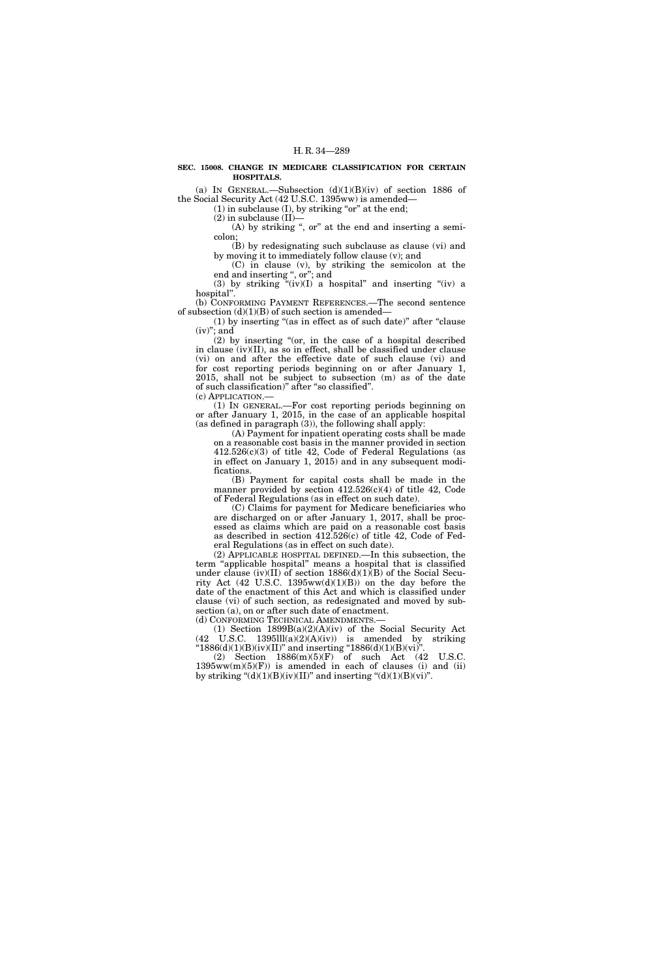#### **SEC. 15008. CHANGE IN MEDICARE CLASSIFICATION FOR CERTAIN HOSPITALS.**

(a) IN GENERAL.—Subsection  $(d)(1)(B)(iv)$  of section 1886 of the Social Security Act (42 U.S.C. 1395ww) is amended—

 $(1)$  in subclause  $(I)$ , by striking "or" at the end;

(2) in subclause (II)—

(A) by striking ", or" at the end and inserting a semicolon;

(B) by redesignating such subclause as clause (vi) and by moving it to immediately follow clause (v); and

(C) in clause (v), by striking the semicolon at the end and inserting ", or"; and

(3) by striking " $(iv)(I)$  a hospital" and inserting " $(iv)$  a hospital''.

(b) CONFORMING PAYMENT REFERENCES.—The second sentence of subsection  $(d)(1)(B)$  of such section is amended-

(1) by inserting "(as in effect as of such date)" after "clause  $(iv)$ "; and

 $(2)$  by inserting "(or, in the case of a hospital described in clause (iv)(II), as so in effect, shall be classified under clause (vi) on and after the effective date of such clause (vi) and for cost reporting periods beginning on or after January 1, 2015, shall not be subject to subsection (m) as of the date of such classification)'' after ''so classified''.

(c) APPLICATION.—

(1) IN GENERAL.—For cost reporting periods beginning on or after January 1, 2015, in the case of an applicable hospital (as defined in paragraph  $(3)$ ), the following shall apply:

(A) Payment for inpatient operating costs shall be made on a reasonable cost basis in the manner provided in section  $412.526(c)(3)$  of title 42, Code of Federal Regulations (as in effect on January 1, 2015) and in any subsequent modifications.

(B) Payment for capital costs shall be made in the manner provided by section  $412.526(c)(4)$  of title 42, Code of Federal Regulations (as in effect on such date).

(C) Claims for payment for Medicare beneficiaries who are discharged on or after January 1, 2017, shall be processed as claims which are paid on a reasonable cost basis as described in section 412.526(c) of title 42, Code of Federal Regulations (as in effect on such date).

(2) APPLICABLE HOSPITAL DEFINED.—In this subsection, the term ''applicable hospital'' means a hospital that is classified under clause (iv)(II) of section 1886(d)(1)(B) of the Social Security Act  $(42 \text{ U.S.C. } 1395 \text{ww}(d)(1)(B))$  on the day before the date of the enactment of this Act and which is classified under clause (vi) of such section, as redesignated and moved by subsection (a), on or after such date of enactment.

(d) CONFORMING TECHNICAL AMENDMENTS.—

(1) Section 1899B(a)(2)(A)(iv) of the Social Security Act  $(42 \text{ U.S.C. } 1395 \text{III}(a)(2)(A)(iv))$  is amended by striking " $1886(d)(1)(B)(iv)(II)$ " and inserting " $1886(d)(1)(B)(vi)$ ".

(2) Section 1886(m)(5)(F) of such Act (42 U.S.C.  $1395ww(m)(5)(F)$  is amended in each of clauses (i) and (ii) by striking " $(d)(1)(B)(iv)(II)$ " and inserting " $(d)(1)(B)(vi)$ ".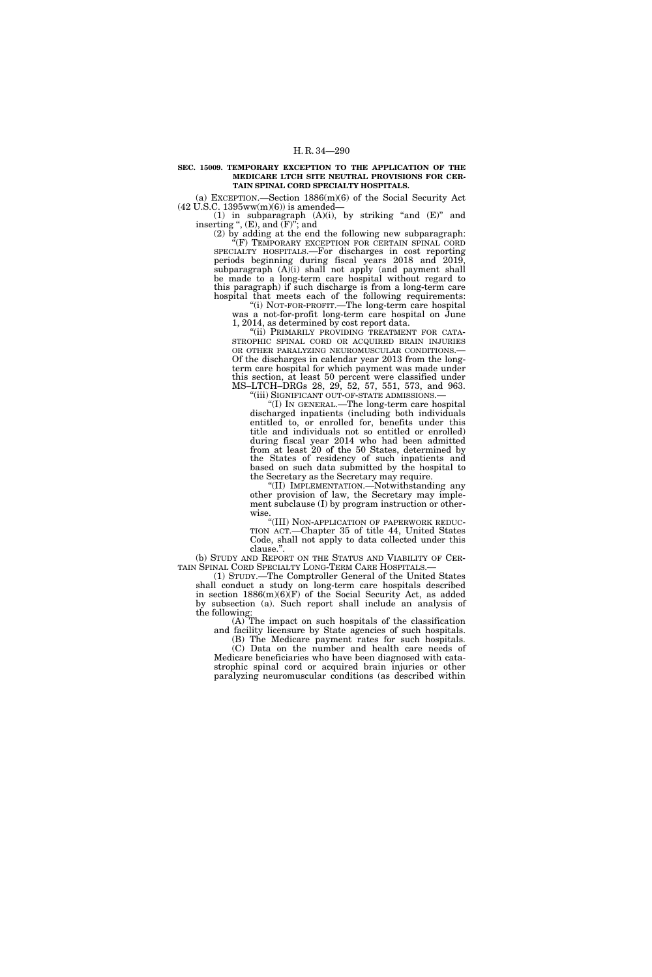#### **SEC. 15009. TEMPORARY EXCEPTION TO THE APPLICATION OF THE MEDICARE LTCH SITE NEUTRAL PROVISIONS FOR CER-TAIN SPINAL CORD SPECIALTY HOSPITALS.**

(a) EXCEPTION.—Section 1886(m)(6) of the Social Security Act  $(42 \text{ U.S.C. } 1395 \text{ww(m)}(6))$  is amended—

(1) in subparagraph  $(A)(i)$ , by striking "and  $(E)$ " and inserting ",  $(E)$ , and  $(F)$ "; and

(2) by adding at the end the following new subparagraph: ''(F) TEMPORARY EXCEPTION FOR CERTAIN SPINAL CORD SPECIALTY HOSPITALS.—For discharges in cost reporting periods beginning during fiscal years 2018 and 2019, subparagraph (A)(i) shall not apply (and payment shall be made to a long-term care hospital without regard to this paragraph) if such discharge is from a long-term care hospital that meets each of the following requirements:

''(i) NOT-FOR-PROFIT.—The long-term care hospital was a not-for-profit long-term care hospital on June 1, 2014, as determined by cost report data.

"(ii) PRIMARILY PROVIDING TREATMENT FOR CATA-STROPHIC SPINAL CORD OR ACQUIRED BRAIN INJURIES OR OTHER PARALYZING NEUROMUSCULAR CONDITIONS.— Of the discharges in calendar year 2013 from the longterm care hospital for which payment was made under this section, at least 50 percent were classified under MS–LTCH–DRGs 28, 29, 52, 57, 551, 573, and 963. ''(iii) SIGNIFICANT OUT-OF-STATE ADMISSIONS.—

''(I) IN GENERAL.—The long-term care hospital discharged inpatients (including both individuals entitled to, or enrolled for, benefits under this title and individuals not so entitled or enrolled) during fiscal year 2014 who had been admitted from at least 20 of the 50 States, determined by the States of residency of such inpatients and based on such data submitted by the hospital to the Secretary as the Secretary may require.

''(II) IMPLEMENTATION.—Notwithstanding any other provision of law, the Secretary may implement subclause (I) by program instruction or otherwise.

''(III) NON-APPLICATION OF PAPERWORK REDUC-TION ACT.—Chapter 35 of title 44, United States Code, shall not apply to data collected under this clause.''.

(b) STUDY AND REPORT ON THE STATUS AND VIABILITY OF CERTAIN SPINAL CORD SPECIALTY LONG-TERM CARE HOSPITALS.—

(1) STUDY.—The Comptroller General of the United States shall conduct a study on long-term care hospitals described in section  $1886(m)(6)$ <sup>(</sup>F) of the Social Security Act, as added by subsection (a). Such report shall include an analysis of the following:

(A) The impact on such hospitals of the classification and facility licensure by State agencies of such hospitals.

(B) The Medicare payment rates for such hospitals. (C) Data on the number and health care needs of Medicare beneficiaries who have been diagnosed with catastrophic spinal cord or acquired brain injuries or other paralyzing neuromuscular conditions (as described within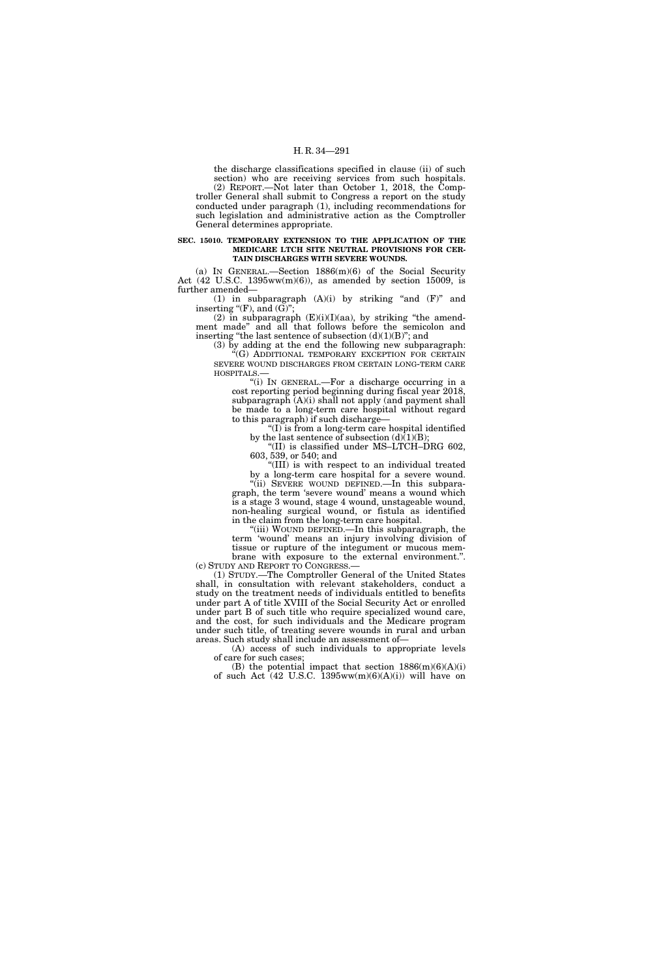the discharge classifications specified in clause (ii) of such section) who are receiving services from such hospitals. (2) REPORT.—Not later than October 1, 2018, the Comptroller General shall submit to Congress a report on the study conducted under paragraph (1), including recommendations for such legislation and administrative action as the Comptroller General determines appropriate.

#### **SEC. 15010. TEMPORARY EXTENSION TO THE APPLICATION OF THE MEDICARE LTCH SITE NEUTRAL PROVISIONS FOR CER-TAIN DISCHARGES WITH SEVERE WOUNDS.**

(a) IN GENERAL.—Section 1886(m)(6) of the Social Security Act  $(42 \text{ U.S.C. } 1395 \text{ww(m)}(6))$ , as amended by section 15009, is further amended—

(1) in subparagraph  $(A)(i)$  by striking "and  $(F)$ " and inserting " $(F)$ , and  $(G)$ ";

(2) in subparagraph  $(E)(i)(I)(aa)$ , by striking "the amendment made'' and all that follows before the semicolon and inserting "the last sentence of subsection  $(d)(1)(B)$ "; and

(3) by adding at the end the following new subparagraph: ''(G) ADDITIONAL TEMPORARY EXCEPTION FOR CERTAIN SEVERE WOUND DISCHARGES FROM CERTAIN LONG-TERM CARE HOSPITALS.—

''(i) IN GENERAL.—For a discharge occurring in a cost reporting period beginning during fiscal year 2018, subparagraph  $(A)(i)$  shall not apply (and payment shall be made to a long-term care hospital without regard to this paragraph) if such discharge—

''(I) is from a long-term care hospital identified by the last sentence of subsection  $(d)(1)(B)$ :

''(II) is classified under MS–LTCH–DRG 602, 603, 539, or 540; and

''(III) is with respect to an individual treated by a long-term care hospital for a severe wound. "(ii) SEVERE WOUND DEFINED. In this subparagraph, the term 'severe wound' means a wound which is a stage 3 wound, stage 4 wound, unstageable wound, non-healing surgical wound, or fistula as identified in the claim from the long-term care hospital.

''(iii) WOUND DEFINED.—In this subparagraph, the term 'wound' means an injury involving division of tissue or rupture of the integument or mucous membrane with exposure to the external environment.''.

(c) STUDY AND REPORT TO CONGRESS.— (1) STUDY.—The Comptroller General of the United States shall, in consultation with relevant stakeholders, conduct a study on the treatment needs of individuals entitled to benefits under part A of title XVIII of the Social Security Act or enrolled under part B of such title who require specialized wound care, and the cost, for such individuals and the Medicare program under such title, of treating severe wounds in rural and urban

areas. Such study shall include an assessment of— (A) access of such individuals to appropriate levels

of care for such cases; (B) the potential impact that section  $1886(m)(6)(A)(i)$ of such Act  $(42 \text{ U.S.C. } 1395 \text{ww}(m)(6)(A)(i))$  will have on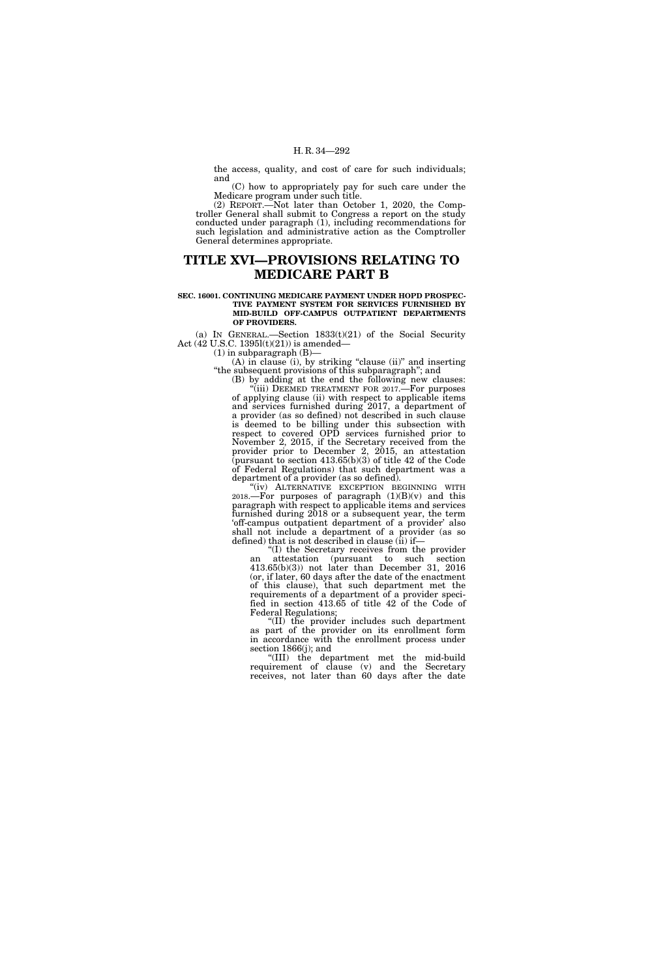the access, quality, and cost of care for such individuals; and

(C) how to appropriately pay for such care under the Medicare program under such title.

(2) REPORT.—Not later than October 1, 2020, the Comptroller General shall submit to Congress a report on the study conducted under paragraph (1), including recommendations for such legislation and administrative action as the Comptroller General determines appropriate.

## **TITLE XVI—PROVISIONS RELATING TO MEDICARE PART B**

#### **SEC. 16001. CONTINUING MEDICARE PAYMENT UNDER HOPD PROSPEC-TIVE PAYMENT SYSTEM FOR SERVICES FURNISHED BY MID-BUILD OFF-CAMPUS OUTPATIENT DEPARTMENTS OF PROVIDERS.**

(a) IN GENERAL.—Section  $1833(t)(21)$  of the Social Security Act (42 U.S.C. 1395l(t)(21)) is amended—

 $(1)$  in subparagraph  $(B)$ –

(A) in clause (i), by striking "clause (ii)" and inserting ''the subsequent provisions of this subparagraph''; and

(B) by adding at the end the following new clauses: "(iii) DEEMED TREATMENT FOR 2017.—For purposes of applying clause (ii) with respect to applicable items and services furnished during 2017, a department of a provider (as so defined) not described in such clause is deemed to be billing under this subsection with respect to covered OPD services furnished prior to November 2, 2015, if the Secretary received from the provider prior to December 2, 2015, an attestation  $\bar{p}$  (pursuant to section 413.65(b)(3) of title 42 of the Code of Federal Regulations) that such department was a department of a provider (as so defined).

"(iv) ALTERNATIVE EXCEPTION BEGINNING WITH 2018.—For purposes of paragraph  $(1)(B)(v)$  and this paragraph with respect to applicable items and services furnished during 2018 or a subsequent year, the term 'off-campus outpatient department of a provider' also shall not include a department of a provider (as so defined) that is not described in clause  $(ii)$  if-

''(I) the Secretary receives from the provider an attestation (pursuant to such section 413.65(b)(3)) not later than December 31, 2016 (or, if later, 60 days after the date of the enactment of this clause), that such department met the requirements of a department of a provider specified in section 413.65 of title 42 of the Code of Federal Regulations;

''(II) the provider includes such department as part of the provider on its enrollment form in accordance with the enrollment process under section 1866(j); and

''(III) the department met the mid-build requirement of clause (v) and the Secretary receives, not later than 60 days after the date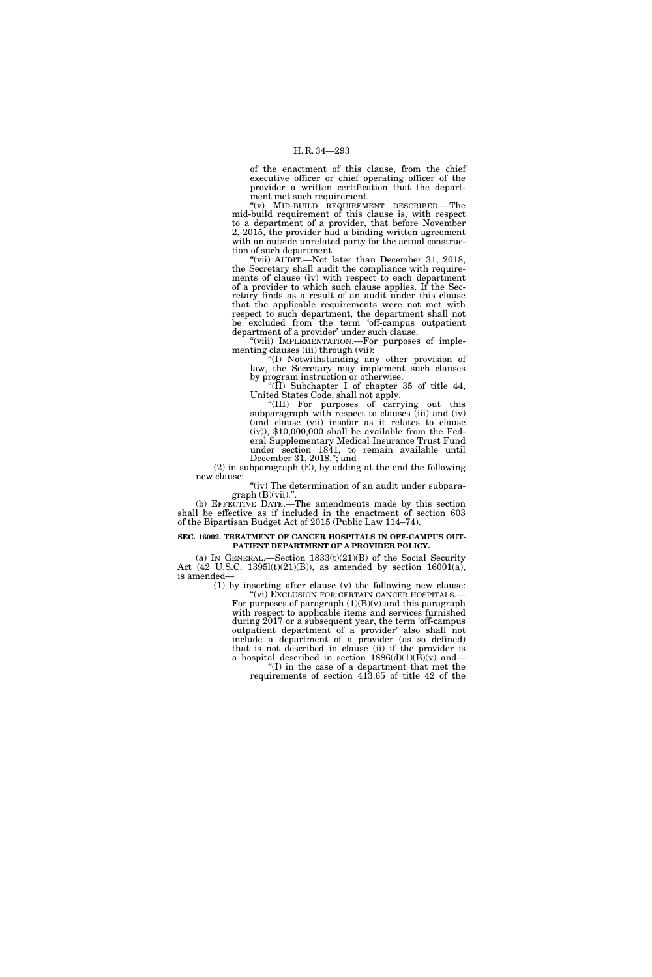of the enactment of this clause, from the chief executive officer or chief operating officer of the provider a written certification that the department met such requirement.

''(v) MID-BUILD REQUIREMENT DESCRIBED.—The mid-build requirement of this clause is, with respect to a department of a provider, that before November 2, 2015, the provider had a binding written agreement with an outside unrelated party for the actual construction of such department.

''(vii) AUDIT.—Not later than December 31, 2018, the Secretary shall audit the compliance with requirements of clause (iv) with respect to each department of a provider to which such clause applies. If the Secretary finds as a result of an audit under this clause that the applicable requirements were not met with respect to such department, the department shall not be excluded from the term 'off-campus outpatient department of a provider' under such clause.

'(viii) IMPLEMENTATION.—For purposes of implementing clauses (iii) through (vii):

''(I) Notwithstanding any other provision of law, the Secretary may implement such clauses by program instruction or otherwise.

"(II) Subchapter I of chapter 35 of title 44, United States Code, shall not apply.

''(III) For purposes of carrying out this subparagraph with respect to clauses (iii) and (iv) (and clause (vii) insofar as it relates to clause  $(iv)$ , \$10,000,000 shall be available from the Federal Supplementary Medical Insurance Trust Fund under section 1841, to remain available until December 31, 2018.''; and

(2) in subparagraph (E), by adding at the end the following new clause:

"(iv) The determination of an audit under subpara $graph(B)(vii).".$ 

(b) EFFECTIVE DATE.—The amendments made by this section shall be effective as if included in the enactment of section 603 of the Bipartisan Budget Act of 2015 (Public Law 114–74).

#### **SEC. 16002. TREATMENT OF CANCER HOSPITALS IN OFF-CAMPUS OUT-PATIENT DEPARTMENT OF A PROVIDER POLICY.**

(a) IN GENERAL.—Section  $1833(t)(21)(B)$  of the Social Security Act (42 U.S.C. 1395l(t)(21)(B)), as amended by section 16001(a), is amended—

(1) by inserting after clause (v) the following new clause: For purposes of paragraph  $(1)(B)(v)$  and this paragraph with respect to applicable items and services furnished during 2017 or a subsequent year, the term 'off-campus outpatient department of a provider' also shall not include a department of a provider (as so defined) that is not described in clause (ii) if the provider is a hospital described in section  $1886(d)(1)(B)(v)$  and— ''(I) in the case of a department that met the

requirements of section 413.65 of title 42 of the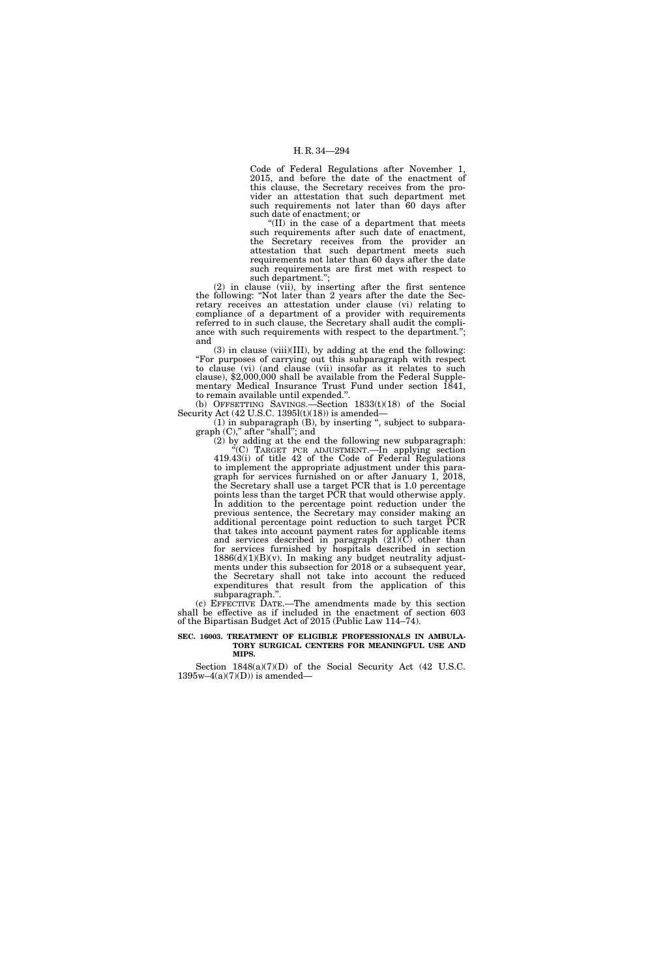Code of Federal Regulations after November 1, 2015, and before the date of the enactment of this clause, the Secretary receives from the provider an attestation that such department met such requirements not later than 60 days after such date of enactment; or

''(II) in the case of a department that meets such requirements after such date of enactment, the Secretary receives from the provider an attestation that such department meets such requirements not later than 60 days after the date such requirements are first met with respect to such department.'';

(2) in clause (vii), by inserting after the first sentence the following: ''Not later than 2 years after the date the Secretary receives an attestation under clause (vi) relating to compliance of a department of a provider with requirements referred to in such clause, the Secretary shall audit the compliance with such requirements with respect to the department.''; and

(3) in clause (viii)(III), by adding at the end the following: ''For purposes of carrying out this subparagraph with respect to clause (vi) (and clause (vii) insofar as it relates to such clause), \$2,000,000 shall be available from the Federal Supplementary Medical Insurance Trust Fund under section 1841, to remain available until expended.''.

(b) OFFSETTING SAVINGS.—Section 1833(t)(18) of the Social Security Act  $(42 \text{ U.S.C. } 1395 \text{I(t)}(18))$  is amended—

(1) in subparagraph  $(B)$ , by inserting ", subject to subparagraph (C)," after "shall"; and

(2) by adding at the end the following new subparagraph: ''(C) TARGET PCR ADJUSTMENT.—In applying section 419.43(i) of title 42 of the Code of Federal Regulations to implement the appropriate adjustment under this paragraph for services furnished on or after January 1, 2018, the Secretary shall use a target PCR that is 1.0 percentage points less than the target PCR that would otherwise apply. In addition to the percentage point reduction under the previous sentence, the Secretary may consider making an additional percentage point reduction to such target PCR that takes into account payment rates for applicable items and services described in paragraph (21)(C) other than for services furnished by hospitals described in section  $1886(d)(1)(B)(v)$ . In making any budget neutrality adjustments under this subsection for 2018 or a subsequent year, the Secretary shall not take into account the reduced expenditures that result from the application of this subparagraph.''.

(c) EFFECTIVE DATE.—The amendments made by this section shall be effective as if included in the enactment of section 603 of the Bipartisan Budget Act of 2015 (Public Law 114–74).

#### **SEC. 16003. TREATMENT OF ELIGIBLE PROFESSIONALS IN AMBULA-TORY SURGICAL CENTERS FOR MEANINGFUL USE AND MIPS.**

Section 1848(a)(7)(D) of the Social Security Act (42 U.S.C.  $1395w-4(a)(7)(D)$ ) is amended—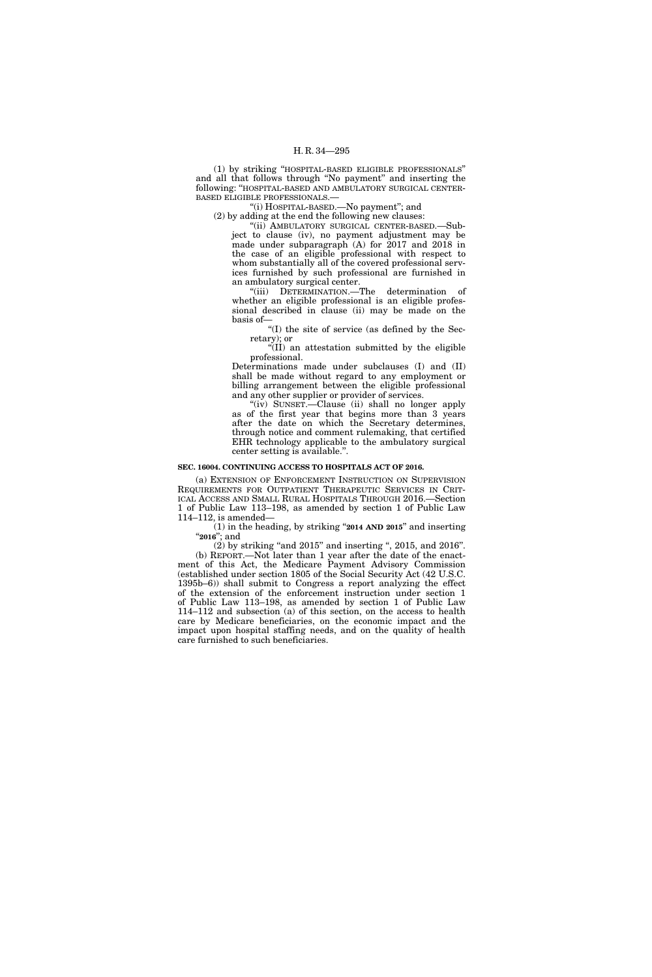(1) by striking ''HOSPITAL-BASED ELIGIBLE PROFESSIONALS'' and all that follows through ''No payment'' and inserting the following: ''HOSPITAL-BASED AND AMBULATORY SURGICAL CENTER-BASED ELIGIBLE PROFESSIONALS.—

''(i) HOSPITAL-BASED.—No payment''; and

(2) by adding at the end the following new clauses:

''(ii) AMBULATORY SURGICAL CENTER-BASED.—Subject to clause (iv), no payment adjustment may be made under subparagraph (A) for 2017 and 2018 in the case of an eligible professional with respect to whom substantially all of the covered professional services furnished by such professional are furnished in an ambulatory surgical center.

''(iii) DETERMINATION.—The determination of whether an eligible professional is an eligible professional described in clause (ii) may be made on the basis of—

''(I) the site of service (as defined by the Secretary); or

 $\sqrt{\text{III}}$  an attestation submitted by the eligible professional.

Determinations made under subclauses (I) and (II) shall be made without regard to any employment or billing arrangement between the eligible professional and any other supplier or provider of services.

"(iv) SUNSET.—Clause (ii) shall no longer apply as of the first year that begins more than 3 years after the date on which the Secretary determines, through notice and comment rulemaking, that certified EHR technology applicable to the ambulatory surgical center setting is available.''.

#### **SEC. 16004. CONTINUING ACCESS TO HOSPITALS ACT OF 2016.**

(a) EXTENSION OF ENFORCEMENT INSTRUCTION ON SUPERVISION REQUIREMENTS FOR OUTPATIENT THERAPEUTIC SERVICES IN CRIT-ICAL ACCESS AND SMALL RURAL HOSPITALS THROUGH 2016.—Section 1 of Public Law 113–198, as amended by section 1 of Public Law 114–112, is amended—

(1) in the heading, by striking ''**2014 AND 2015**'' and inserting ''**2016**''; and

 $(2)$  by striking "and  $2015$ " and inserting ",  $2015$ , and  $2016$ ". (b) REPORT.—Not later than 1 year after the date of the enactment of this Act, the Medicare Payment Advisory Commission (established under section 1805 of the Social Security Act (42 U.S.C. 1395b–6)) shall submit to Congress a report analyzing the effect of the extension of the enforcement instruction under section 1 of Public Law 113–198, as amended by section 1 of Public Law 114–112 and subsection (a) of this section, on the access to health care by Medicare beneficiaries, on the economic impact and the impact upon hospital staffing needs, and on the quality of health care furnished to such beneficiaries.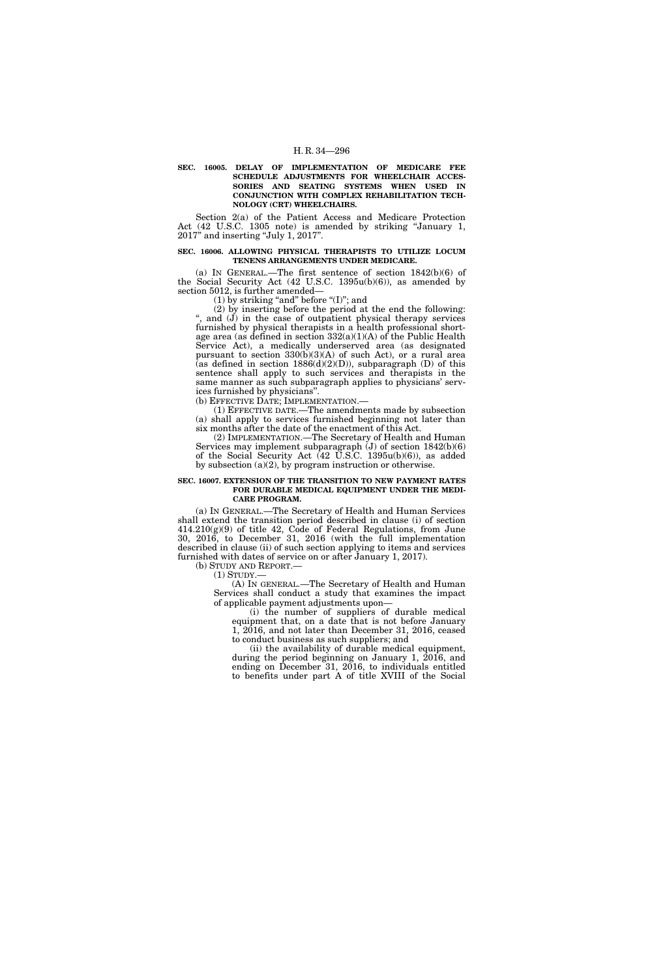**SEC. 16005. DELAY OF IMPLEMENTATION OF MEDICARE FEE SCHEDULE ADJUSTMENTS FOR WHEELCHAIR ACCES-SORIES AND SEATING SYSTEMS WHEN USED IN CONJUNCTION WITH COMPLEX REHABILITATION TECH-NOLOGY (CRT) WHEELCHAIRS.** 

Section 2(a) of the Patient Access and Medicare Protection Act (42 U.S.C. 1305 note) is amended by striking ''January 1, 2017'' and inserting ''July 1, 2017''.

#### **SEC. 16006. ALLOWING PHYSICAL THERAPISTS TO UTILIZE LOCUM TENENS ARRANGEMENTS UNDER MEDICARE.**

(a) IN GENERAL.—The first sentence of section  $1842(b)(6)$  of the Social Security Act (42 U.S.C. 1395u(b)(6)), as amended by section 5012, is further amended—

(1) by striking "and" before " $(I)$ "; and

(2) by inserting before the period at the end the following: '', and (J) in the case of outpatient physical therapy services furnished by physical therapists in a health professional shortage area (as defined in section  $332(a)(1)(A)$  of the Public Health Service Act), a medically underserved area (as designated pursuant to section 330(b)(3)(A) of such Act), or a rural area (as defined in section  $1886(d)(2)(D)$ ), subparagraph (D) of this sentence shall apply to such services and therapists in the same manner as such subparagraph applies to physicians' services furnished by physicians''.

(b) EFFECTIVE DATE; IMPLEMENTATION.—

(1) EFFECTIVE DATE.—The amendments made by subsection (a) shall apply to services furnished beginning not later than six months after the date of the enactment of this Act.

(2) IMPLEMENTATION.—The Secretary of Health and Human Services may implement subparagraph (J) of section 1842(b)(6) of the Social Security Act (42 U.S.C. 1395u(b)(6)), as added by subsection (a)(2), by program instruction or otherwise.

#### **SEC. 16007. EXTENSION OF THE TRANSITION TO NEW PAYMENT RATES FOR DURABLE MEDICAL EQUIPMENT UNDER THE MEDI-CARE PROGRAM.**

(a) IN GENERAL.—The Secretary of Health and Human Services shall extend the transition period described in clause (i) of section 414.210(g)(9) of title 42, Code of Federal Regulations, from June 30, 2016, to December 31, 2016 (with the full implementation described in clause (ii) of such section applying to items and services furnished with dates of service on or after January 1, 2017).

(b) STUDY AND REPORT.—

 $(1)$  STUDY.-

(A) IN GENERAL.—The Secretary of Health and Human Services shall conduct a study that examines the impact of applicable payment adjustments upon—

(i) the number of suppliers of durable medical equipment that, on a date that is not before January 1, 2016, and not later than December 31, 2016, ceased to conduct business as such suppliers; and

(ii) the availability of durable medical equipment, during the period beginning on January 1, 2016, and ending on December 31, 2016, to individuals entitled to benefits under part A of title XVIII of the Social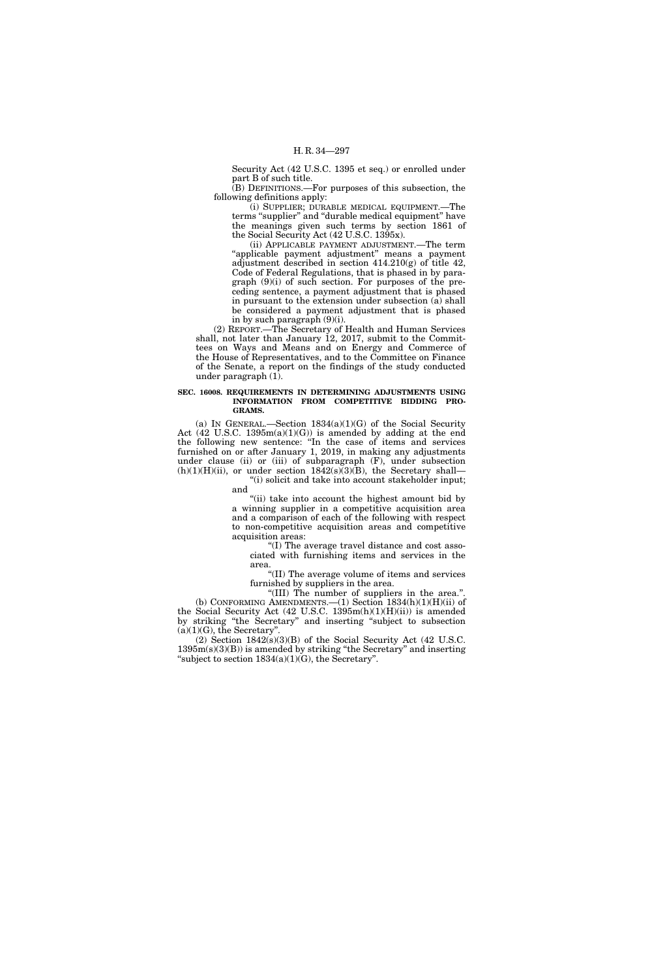Security Act (42 U.S.C. 1395 et seq.) or enrolled under part B of such title.

(B) DEFINITIONS.—For purposes of this subsection, the following definitions apply:

(i) SUPPLIER; DURABLE MEDICAL EQUIPMENT.—The terms "supplier" and "durable medical equipment" have the meanings given such terms by section 1861 of the Social Security Act (42 U.S.C. 1395x).

(ii) APPLICABLE PAYMENT ADJUSTMENT.—The term "applicable payment adjustment" means a payment adjustment described in section 414.210(g) of title 42, Code of Federal Regulations, that is phased in by paragraph (9)(i) of such section. For purposes of the preceding sentence, a payment adjustment that is phased in pursuant to the extension under subsection (a) shall be considered a payment adjustment that is phased in by such paragraph (9)(i).

(2) REPORT.—The Secretary of Health and Human Services shall, not later than January 12, 2017, submit to the Committees on Ways and Means and on Energy and Commerce of the House of Representatives, and to the Committee on Finance of the Senate, a report on the findings of the study conducted under paragraph (1).

#### **SEC. 16008. REQUIREMENTS IN DETERMINING ADJUSTMENTS USING INFORMATION FROM COMPETITIVE BIDDING PRO-GRAMS.**

(a) IN GENERAL.—Section  $1834(a)(1)(G)$  of the Social Security Act  $(42 \text{ U.S.C. } 1395 \text{m(a)}(1)(G))$  is amended by adding at the end the following new sentence: ''In the case of items and services furnished on or after January 1, 2019, in making any adjustments under clause (ii) or (iii) of subparagraph (F), under subsection  $(h)(1)(H)(ii)$ , or under section  $1842(s)(3)(B)$ , the Secretary shall—

''(i) solicit and take into account stakeholder input; and

"(ii) take into account the highest amount bid by a winning supplier in a competitive acquisition area and a comparison of each of the following with respect to non-competitive acquisition areas and competitive acquisition areas:

''(I) The average travel distance and cost associated with furnishing items and services in the area.

''(II) The average volume of items and services furnished by suppliers in the area.

"(III) The number of suppliers in the area.". (b) CONFORMING AMENDMENTS.  $-(1)$  Section 1834(h)(1)(H)(ii) of the Social Security Act (42 U.S.C. 1395m(h)(1)(H)(ii)) is amended by striking ''the Secretary'' and inserting ''subject to subsection  $(a)(1)(G)$ , the Secretary".

(2) Section 1842(s)(3)(B) of the Social Security Act (42 U.S.C. 1395m(s)(3)(B)) is amended by striking ''the Secretary'' and inserting "subject to section  $1834(a)(1)(G)$ , the Secretary".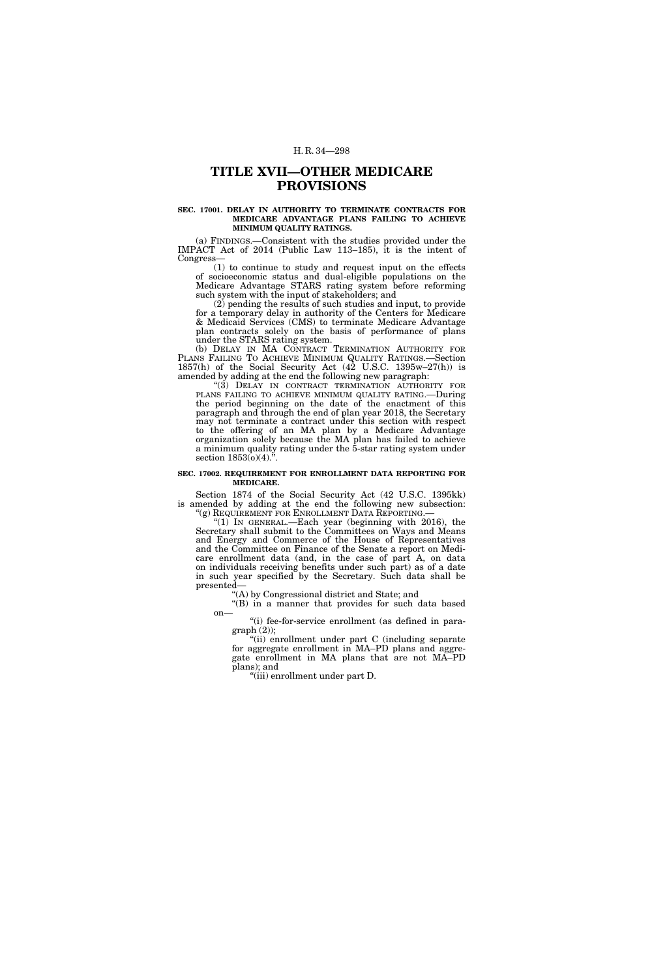# **TITLE XVII—OTHER MEDICARE PROVISIONS**

#### **SEC. 17001. DELAY IN AUTHORITY TO TERMINATE CONTRACTS FOR MEDICARE ADVANTAGE PLANS FAILING TO ACHIEVE MINIMUM QUALITY RATINGS.**

(a) FINDINGS.—Consistent with the studies provided under the IMPACT Act of 2014 (Public Law 113–185), it is the intent of Congress—

(1) to continue to study and request input on the effects of socioeconomic status and dual-eligible populations on the Medicare Advantage STARS rating system before reforming such system with the input of stakeholders; and

(2) pending the results of such studies and input, to provide for a temporary delay in authority of the Centers for Medicare & Medicaid Services (CMS) to terminate Medicare Advantage plan contracts solely on the basis of performance of plans under the STARS rating system.

(b) DELAY IN MA CONTRACT TERMINATION AUTHORITY FOR PLANS FAILING TO ACHIEVE MINIMUM QUALITY RATINGS.—Section 1857(h) of the Social Security Act (42 U.S.C. 1395w–27(h)) is amended by adding at the end the following new paragraph:

"(3) DELAY IN CONTRACT TERMINATION AUTHORITY FOR PLANS FAILING TO ACHIEVE MINIMUM QUALITY RATING.—During the period beginning on the date of the enactment of this paragraph and through the end of plan year 2018, the Secretary may not terminate a contract under this section with respect to the offering of an MA plan by a Medicare Advantage organization solely because the MA plan has failed to achieve a minimum quality rating under the 5-star rating system under section  $1853(0)(4)$ ."

#### **SEC. 17002. REQUIREMENT FOR ENROLLMENT DATA REPORTING FOR MEDICARE.**

Section 1874 of the Social Security Act (42 U.S.C. 1395kk) is amended by adding at the end the following new subsection: ''(g) REQUIREMENT FOR ENROLLMENT DATA REPORTING.—

" $(1)$  In GENERAL.—Each year (beginning with 2016), the Secretary shall submit to the Committees on Ways and Means and Energy and Commerce of the House of Representatives and the Committee on Finance of the Senate a report on Medicare enrollment data (and, in the case of part A, on data on individuals receiving benefits under such part) as of a date in such year specified by the Secretary. Such data shall be presented—

''(A) by Congressional district and State; and

"(B) in a manner that provides for such data based on—

''(i) fee-for-service enrollment (as defined in para $graph (2);$ 

"(ii) enrollment under part C (including separate for aggregate enrollment in MA–PD plans and aggregate enrollment in MA plans that are not MA–PD plans); and

''(iii) enrollment under part D.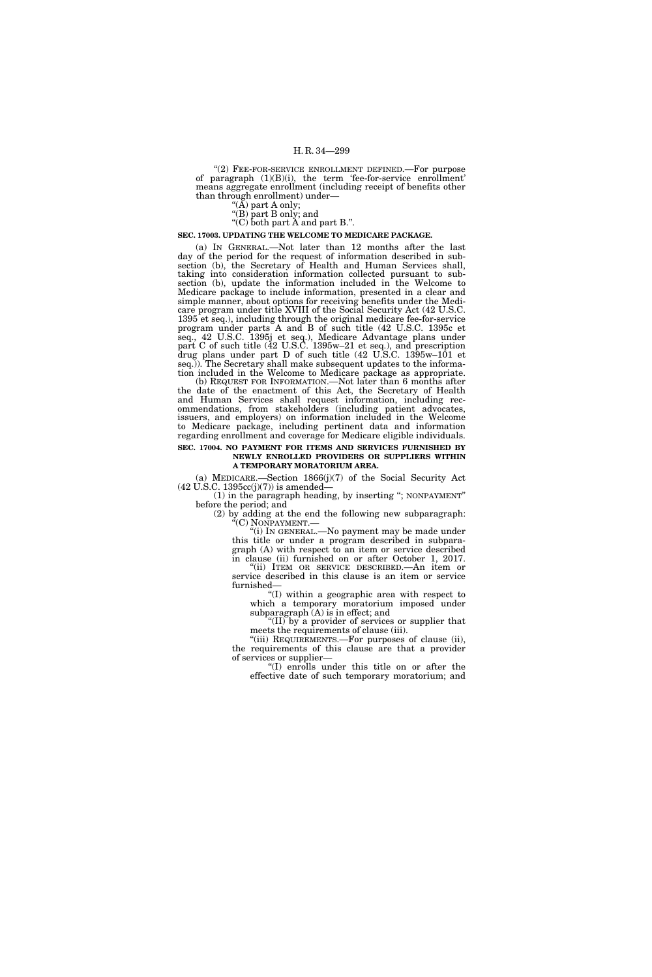"(2) FEE-FOR-SERVICE ENROLLMENT DEFINED. For purpose of paragraph (1)(B)(i), the term 'fee-for-service enrollment' means aggregate enrollment (including receipt of benefits other than through enrollment) under—

''(A) part A only;

''(B) part B only; and

" $(C)$  both part  $A$  and part B.".

#### **SEC. 17003. UPDATING THE WELCOME TO MEDICARE PACKAGE.**

(a) IN GENERAL.—Not later than 12 months after the last day of the period for the request of information described in subsection (b), the Secretary of Health and Human Services shall, taking into consideration information collected pursuant to subsection (b), update the information included in the Welcome to Medicare package to include information, presented in a clear and simple manner, about options for receiving benefits under the Medicare program under title XVIII of the Social Security Act (42 U.S.C. 1395 et seq.), including through the original medicare fee-for-service program under parts A and B of such title (42 U.S.C. 1395c et seq., 42 U.S.C. 1395j et seq.), Medicare Advantage plans under part C of such title (42 U.S.C. 1395w–21 et seq.), and prescription drug plans under part D of such title (42 U.S.C. 1395w–101 et seq.)). The Secretary shall make subsequent updates to the information included in the Welcome to Medicare package as appropriate.

(b) REQUEST FOR INFORMATION.—Not later than 6 months after the date of the enactment of this Act, the Secretary of Health and Human Services shall request information, including recommendations, from stakeholders (including patient advocates, issuers, and employers) on information included in the Welcome to Medicare package, including pertinent data and information regarding enrollment and coverage for Medicare eligible individuals. **SEC. 17004. NO PAYMENT FOR ITEMS AND SERVICES FURNISHED BY** 

### **NEWLY ENROLLED PROVIDERS OR SUPPLIERS WITHIN A TEMPORARY MORATORIUM AREA.**

(a) MEDICARE.—Section 1866(j)(7) of the Social Security Act  $(42 \text{ U.S.C. } 1395 \text{cc}(j)(7))$  is amended—

(1) in the paragraph heading, by inserting ''; NONPAYMENT'' before the period; and

(2) by adding at the end the following new subparagraph: "(C) NONPAYMENT.—

"(i) In GENERAL.—No payment may be made under this title or under a program described in subparagraph (A) with respect to an item or service described in clause (ii) furnished on or after October 1, 2017.

''(ii) ITEM OR SERVICE DESCRIBED.—An item or service described in this clause is an item or service furnished—

''(I) within a geographic area with respect to which a temporary moratorium imposed under subparagraph (A) is in effect; and

''(II) by a provider of services or supplier that meets the requirements of clause (iii).

''(iii) REQUIREMENTS.—For purposes of clause (ii), the requirements of this clause are that a provider of services or supplier—

''(I) enrolls under this title on or after the effective date of such temporary moratorium; and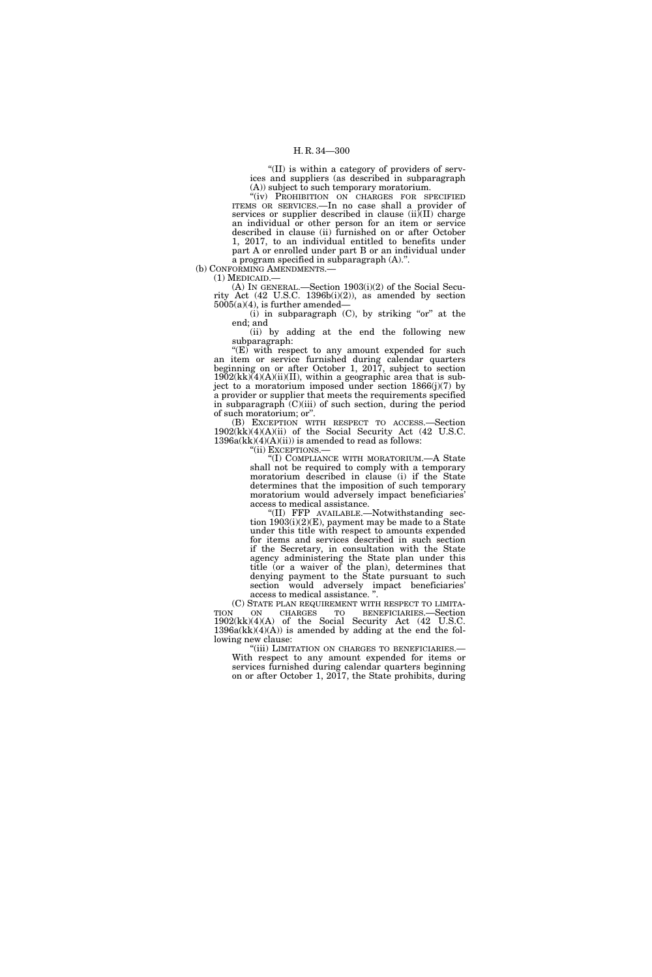''(II) is within a category of providers of services and suppliers (as described in subparagraph  $(A)$ ) subject to such temporary moratorium.

"(iv) PROHIBITION ON CHARGES FOR SPECIFIED ITEMS OR SERVICES.—In no case shall a provider of services or supplier described in clause (ii)(II) charge an individual or other person for an item or service described in clause (ii) furnished on or after October 1, 2017, to an individual entitled to benefits under part A or enrolled under part B or an individual under a program specified in subparagraph (A).''.

(b) CONFORMING AMENDMENTS.—

(1) MEDICAID.—

(A) IN GENERAL.—Section 1903(i)(2) of the Social Security  $Act$  (42 U.S.C. 1396b(i)(2)), as amended by section  $5005(a)(4)$ , is further amended–

(i) in subparagraph  $(C)$ , by striking "or" at the end; and

(ii) by adding at the end the following new subparagraph:

" $(E)$  with respect to any amount expended for such an item or service furnished during calendar quarters beginning on or after October 1, 2017, subject to section  $1902$ (kk)(4)(A)(ii)(II), within a geographic area that is subject to a moratorium imposed under section 1866(j)(7) by a provider or supplier that meets the requirements specified in subparagraph  $(C)(iii)$  of such section, during the period of such moratorium; or''.

(B) EXCEPTION WITH RESPECT TO ACCESS.—Section 1902(kk)(4)(A)(ii) of the Social Security Act (42 U.S.C.  $1396a(kk)(4)(A)(ii)$  is amended to read as follows:

''(ii) EXCEPTIONS.—

''(I) COMPLIANCE WITH MORATORIUM.—A State shall not be required to comply with a temporary moratorium described in clause (i) if the State determines that the imposition of such temporary moratorium would adversely impact beneficiaries' access to medical assistance.

''(II) FFP AVAILABLE.—Notwithstanding section 1903(i)(2)(E), payment may be made to a State under this title with respect to amounts expended for items and services described in such section if the Secretary, in consultation with the State agency administering the State plan under this title (or a waiver of the plan), determines that denying payment to the State pursuant to such section would adversely impact beneficiaries' access to medical assistance. ''.

(C) STATE PLAN REQUIREMENT WITH RESPECT TO LIMITA-TION ON CHARGES TO BENEFICIARIES.—Section 1902(kk)(4)(A) of the Social Security Act (42 U.S.C.  $1396a(kk)(4)(A)$  is amended by adding at the end the following new clause:<br>"(iii) LIMITATION ON CHARGES TO BENEFICIARIES.—

With respect to any amount expended for items or services furnished during calendar quarters beginning on or after October 1, 2017, the State prohibits, during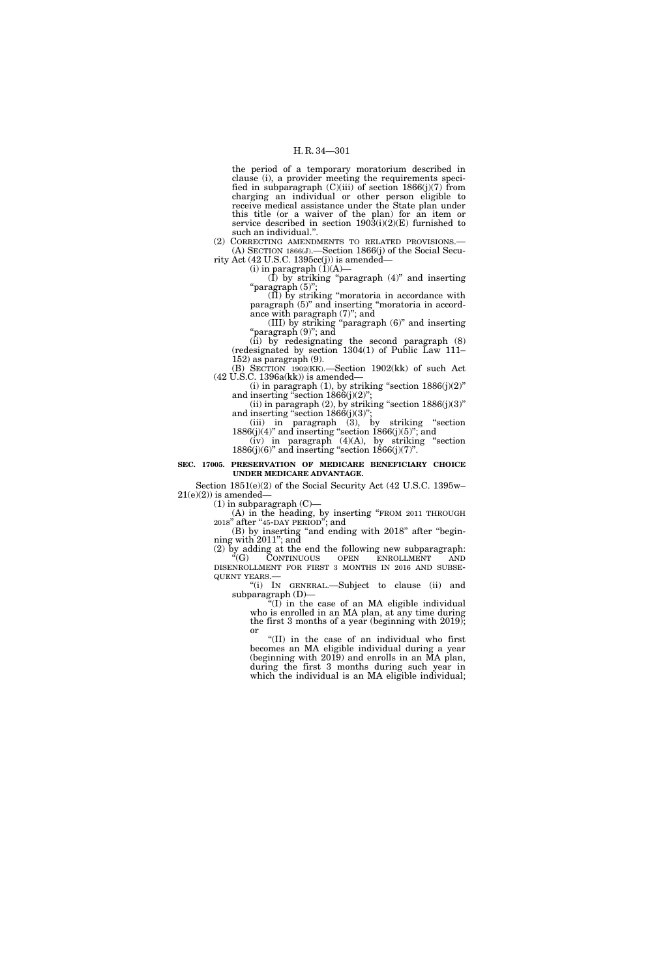the period of a temporary moratorium described in clause (i), a provider meeting the requirements specified in subparagraph  $(C)(iii)$  of section 1866 $(j)(7)$  from charging an individual or other person eligible to receive medical assistance under the State plan under this title (or a waiver of the plan) for an item or service described in section  $190\overline{3}$ (i)(2)(E) furnished to such an individual.

(2) CORRECTING AMENDMENTS TO RELATED PROVISIONS.— (A) SECTION 1866(J).—Section 1866(j) of the Social Security Act  $(42 \text{ U.S.C. } 1395\text{cc}(j))$  is amended-

(i) in paragraph  $(1)(A)$ —

 $(I)$  by striking "paragraph  $(4)$ " and inserting ''paragraph (5)'';

(II) by striking ''moratoria in accordance with paragraph (5)'' and inserting ''moratoria in accordance with paragraph (7)''; and

(III) by striking ''paragraph (6)'' and inserting "paragraph (9)"; and

(ii) by redesignating the second paragraph (8) (redesignated by section 1304(1) of Public Law 111– 152) as paragraph (9).

(B) SECTION 1902(KK).—Section 1902(kk) of such Act (42 U.S.C. 1396a(kk)) is amended—

(i) in paragraph  $(1)$ , by striking "section  $1886(j)(2)$ " and inserting "section  $1866(j)(2)$ "; (ii) in paragraph (2), by striking "section  $1886(j)(3)$ "

and inserting "section  $1866(j)(3)$ "; (iii) in paragraph (3), by striking ''section

 $1886(j)(4)$ " and inserting "section  $1866(j)(5)$ "; and  $(iv)$  in paragraph  $(4)(A)$ , by striking "section  $1886(j)(6)$ " and inserting "section  $1866(j)(7)$ ".

**SEC. 17005. PRESERVATION OF MEDICARE BENEFICIARY CHOICE UNDER MEDICARE ADVANTAGE.** 

Section 1851(e)(2) of the Social Security Act (42 U.S.C. 1395w–  $21(e)(2)$ ) is amended—

 $(1)$  in subparagraph  $(C)$ —

(A) in the heading, by inserting "FROM 2011 THROUGH 2018" after "45-DAY PERIOD"; and

(B) by inserting "and ending with 2018" after "beginning with 2011''; and

(2) by adding at the end the following new subparagraph: "(G) CONTINUOUS OPEN ENROLLMENT AND

DISENROLLMENT FOR FIRST 3 MONTHS IN 2016 AND SUBSE-QUENT YEARS.—<br>"(i) IN GENERAL.—Subject to clause (ii) and subparagraph (D)—

 $\sqrt[\text{H}(I)]$  in the case of an MA eligible individual who is enrolled in an MA plan, at any time during the first 3 months of a year (beginning with 2019); or

''(II) in the case of an individual who first becomes an MA eligible individual during a year (beginning with 2019) and enrolls in an MA plan, during the first 3 months during such year in which the individual is an MA eligible individual;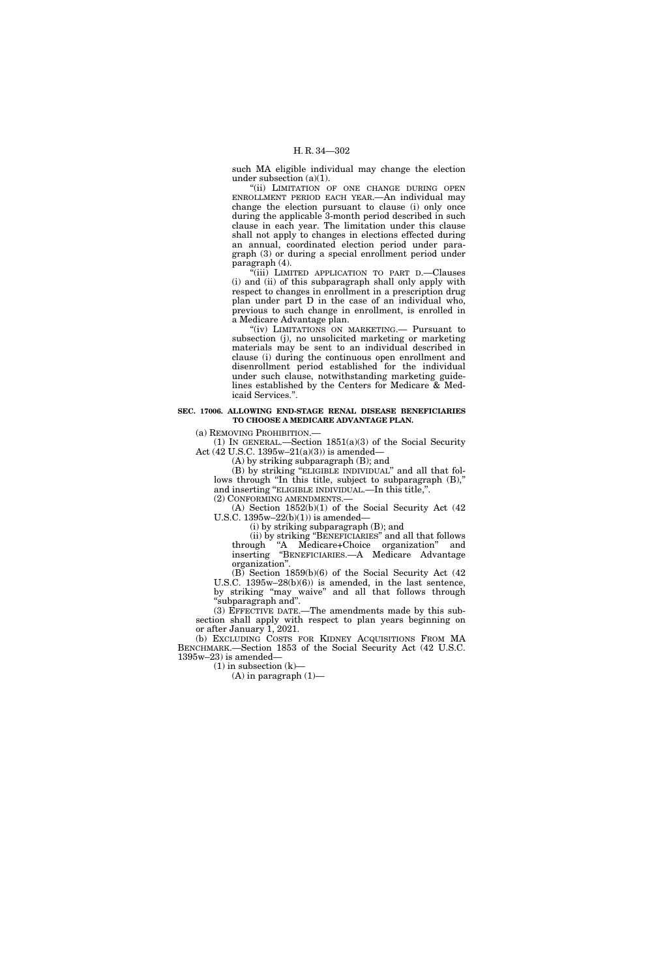such MA eligible individual may change the election under subsection (a)(1).

''(ii) LIMITATION OF ONE CHANGE DURING OPEN ENROLLMENT PERIOD EACH YEAR.—An individual may change the election pursuant to clause (i) only once during the applicable 3-month period described in such clause in each year. The limitation under this clause shall not apply to changes in elections effected during an annual, coordinated election period under paragraph (3) or during a special enrollment period under paragraph (4).

''(iii) LIMITED APPLICATION TO PART D.—Clauses (i) and (ii) of this subparagraph shall only apply with respect to changes in enrollment in a prescription drug plan under part D in the case of an individual who, previous to such change in enrollment, is enrolled in a Medicare Advantage plan.

"(iv) LIMITATIONS ON MARKETING.— Pursuant to subsection (j), no unsolicited marketing or marketing materials may be sent to an individual described in clause (i) during the continuous open enrollment and disenrollment period established for the individual under such clause, notwithstanding marketing guidelines established by the Centers for Medicare & Medicaid Services.''.

#### **SEC. 17006. ALLOWING END-STAGE RENAL DISEASE BENEFICIARIES TO CHOOSE A MEDICARE ADVANTAGE PLAN.**

(a) REMOVING PROHIBITION.—

(1) IN GENERAL.—Section  $1851(a)(3)$  of the Social Security Act (42 U.S.C. 1395w–21(a)(3)) is amended—

(A) by striking subparagraph (B); and

(B) by striking ''ELIGIBLE INDIVIDUAL'' and all that follows through "In this title, subject to subparagraph  $(B)$ ," and inserting ''ELIGIBLE INDIVIDUAL.—In this title,''. (2) CONFORMING AMENDMENTS.—

(A) Section 1852(b)(1) of the Social Security Act (42 U.S.C. 1395w–22(b)(1)) is amended—

(i) by striking subparagraph (B); and

(ii) by striking ''BENEFICIARIES'' and all that follows through ''A Medicare+Choice organization'' and inserting ''BENEFICIARIES.—A Medicare Advantage organization''.

(B) Section 1859(b)(6) of the Social Security Act (42 U.S.C. 1395w–28(b)(6)) is amended, in the last sentence, by striking ''may waive'' and all that follows through ''subparagraph and''.

(3) EFFECTIVE DATE.—The amendments made by this subsection shall apply with respect to plan years beginning on or after January 1, 2021.

(b) EXCLUDING COSTS FOR KIDNEY ACQUISITIONS FROM MA BENCHMARK.—Section 1853 of the Social Security Act (42 U.S.C.  $1395w-23$ ) is amended—

(1) in subsection (k)—

 $(A)$  in paragraph  $(1)$ —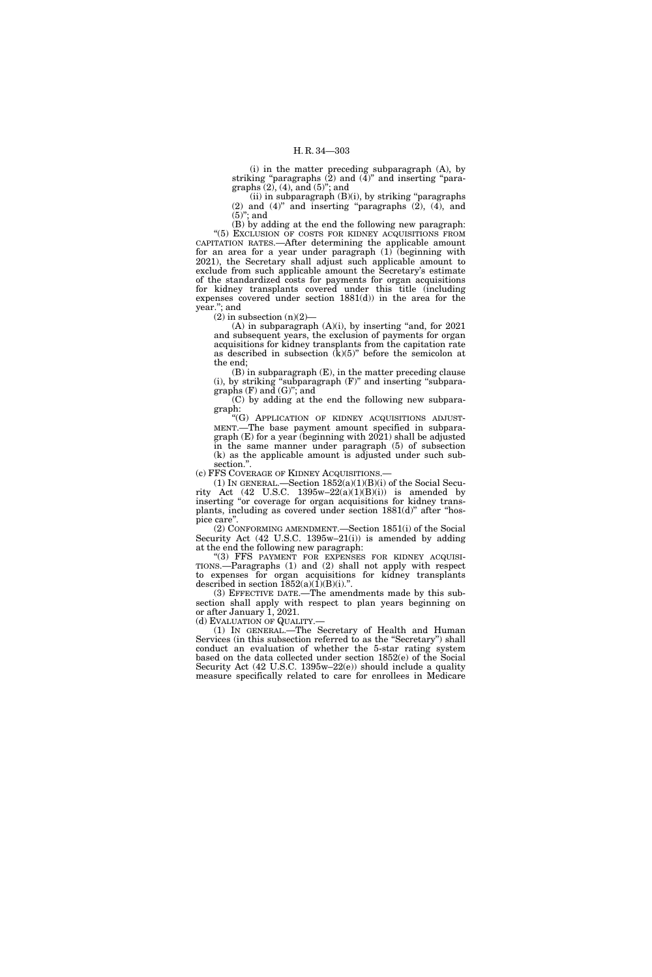(i) in the matter preceding subparagraph (A), by striking "paragraphs (2) and (4)" and inserting "paragraphs  $(2)$ ,  $(4)$ , and  $(5)$ "; and

 $(ii)$  in subparagraph  $(B)(i)$ , by striking "paragraphs" (2) and  $(4)$ " and inserting "paragraphs  $(2)$ ,  $(4)$ , and  $(5)$ "; and

(B) by adding at the end the following new paragraph: "(5) EXCLUSION OF COSTS FOR KIDNEY ACQUISITIONS FROM CAPITATION RATES.—After determining the applicable amount for an area for a year under paragraph  $(1)$  (beginning with 2021), the Secretary shall adjust such applicable amount to exclude from such applicable amount the Secretary's estimate of the standardized costs for payments for organ acquisitions for kidney transplants covered under this title (including expenses covered under section 1881(d)) in the area for the year.''; and

 $(2)$  in subsection  $(n)(2)$ —

 $(A)$  in subparagraph  $(A)(i)$ , by inserting "and, for 2021 and subsequent years, the exclusion of payments for organ acquisitions for kidney transplants from the capitation rate as described in subsection  $(k)(5)$ " before the semicolon at the end;

 $(B)$  in subparagraph  $(E)$ , in the matter preceding clause (i), by striking ''subparagraph (F)'' and inserting ''subparagraphs  $(F)$  and  $(G)$ "; and

(C) by adding at the end the following new subparagraph:

''(G) APPLICATION OF KIDNEY ACQUISITIONS ADJUST-MENT.—The base payment amount specified in subparagraph (E) for a year (beginning with 2021) shall be adjusted in the same manner under paragraph (5) of subsection (k) as the applicable amount is adjusted under such subsection.''.

(c) FFS COVERAGE OF KIDNEY ACQUISITIONS.—

(1) IN GENERAL.—Section  $1852(a)(1)(B)(i)$  of the Social Security Act (42 U.S.C. 1395w–22(a)(1)(B)(i)) is amended by inserting "or coverage for organ acquisitions for kidney transplants, including as covered under section 1881(d)'' after ''hospice care''.

(2) CONFORMING AMENDMENT.—Section 1851(i) of the Social Security Act (42 U.S.C. 1395w–21(i)) is amended by adding at the end the following new paragraph:

"(3) FFS PAYMENT FOR EXPENSES FOR KIDNEY ACQUISI-TIONS.—Paragraphs (1) and (2) shall not apply with respect to expenses for organ acquisitions for kidney transplants described in section  $\overline{1852(a)(1)}(B)(i)$ .".

(3) EFFECTIVE DATE.—The amendments made by this subsection shall apply with respect to plan years beginning on or after January 1, 2021.

(d) EVALUATION OF QUALITY.—

(1) IN GENERAL.—The Secretary of Health and Human Services (in this subsection referred to as the "Secretary") shall conduct an evaluation of whether the 5-star rating system based on the data collected under section 1852(e) of the Social Security Act (42 U.S.C. 1395w–22(e)) should include a quality measure specifically related to care for enrollees in Medicare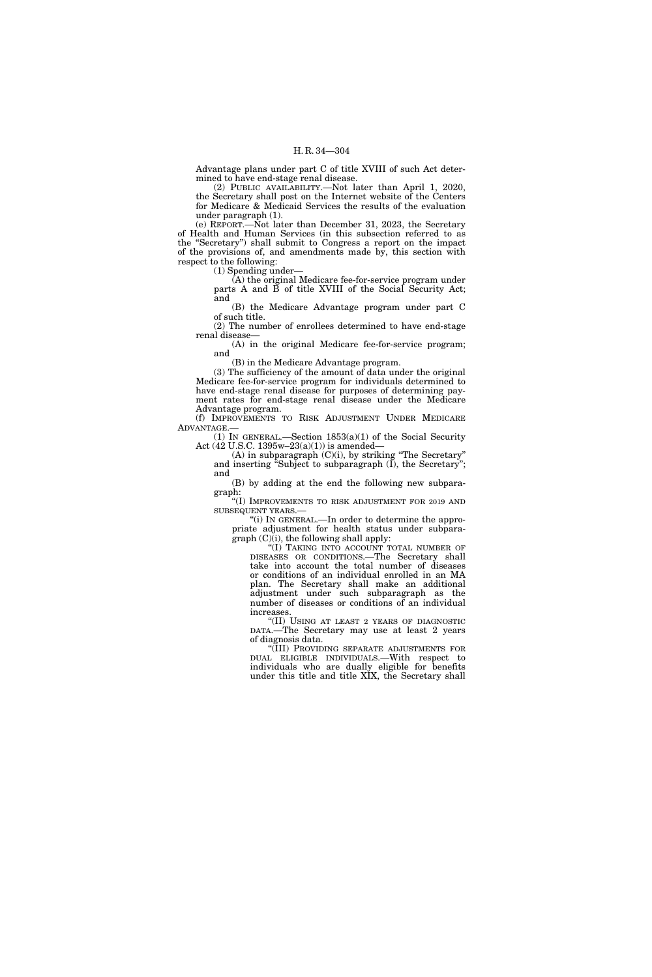Advantage plans under part C of title XVIII of such Act determined to have end-stage renal disease.

(2) PUBLIC AVAILABILITY.—Not later than April 1, 2020, the Secretary shall post on the Internet website of the Centers for Medicare & Medicaid Services the results of the evaluation under paragraph (1).

(e) REPORT.—Not later than December 31, 2023, the Secretary of Health and Human Services (in this subsection referred to as the ''Secretary'') shall submit to Congress a report on the impact of the provisions of, and amendments made by, this section with respect to the following:

(1) Spending under—

(A) the original Medicare fee-for-service program under parts A and B of title XVIII of the Social Security Act; and

(B) the Medicare Advantage program under part C of such title.

(2) The number of enrollees determined to have end-stage renal disease—

(A) in the original Medicare fee-for-service program; and

(B) in the Medicare Advantage program.

(3) The sufficiency of the amount of data under the original Medicare fee-for-service program for individuals determined to have end-stage renal disease for purposes of determining payment rates for end-stage renal disease under the Medicare Advantage program.

(f) IMPROVEMENTS TO RISK ADJUSTMENT UNDER MEDICARE ADVANTAGE.—

(1) IN GENERAL.—Section 1853(a)(1) of the Social Security Act (42 U.S.C. 1395w–23(a)(1)) is amended—

(A) in subparagraph  $(C)(i)$ , by striking "The Secretary" and inserting "Subject to subparagraph  $(I)$ , the Secretary"; and

(B) by adding at the end the following new subparagraph:

''(I) IMPROVEMENTS TO RISK ADJUSTMENT FOR 2019 AND SUBSEQUENT YEARS.—

''(i) IN GENERAL.—In order to determine the appropriate adjustment for health status under subparagraph (C)(i), the following shall apply:

''(I) TAKING INTO ACCOUNT TOTAL NUMBER OF DISEASES OR CONDITIONS.—The Secretary shall take into account the total number of diseases or conditions of an individual enrolled in an MA plan. The Secretary shall make an additional adjustment under such subparagraph as the number of diseases or conditions of an individual increases.

''(II) USING AT LEAST 2 YEARS OF DIAGNOSTIC DATA.—The Secretary may use at least 2 years of diagnosis data.

''(III) PROVIDING SEPARATE ADJUSTMENTS FOR DUAL ELIGIBLE INDIVIDUALS.—With respect to individuals who are dually eligible for benefits under this title and title XIX, the Secretary shall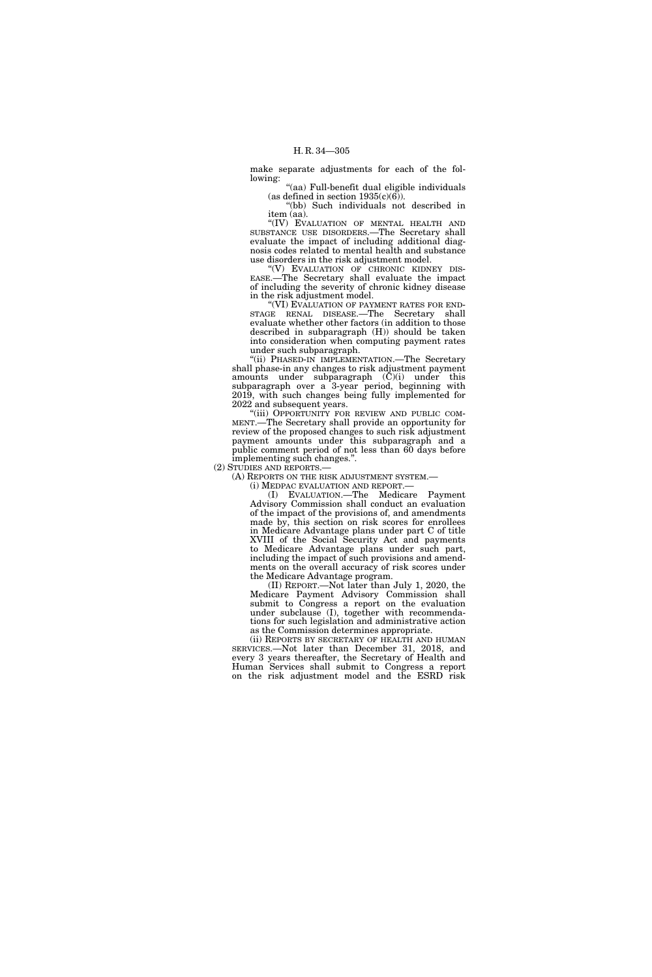make separate adjustments for each of the following:

''(aa) Full-benefit dual eligible individuals (as defined in section  $1935(c)(6)$ ).

''(bb) Such individuals not described in item (aa).

"(IV) EVALUATION OF MENTAL HEALTH AND SUBSTANCE USE DISORDERS.—The Secretary shall evaluate the impact of including additional diagnosis codes related to mental health and substance use disorders in the risk adjustment model.

''(V) EVALUATION OF CHRONIC KIDNEY DIS-EASE.—The Secretary shall evaluate the impact of including the severity of chronic kidney disease in the risk adjustment model.

"(VI) EVALUATION OF PAYMENT RATES FOR END-STAGE RENAL DISEASE.—The Secretary shall evaluate whether other factors (in addition to those described in subparagraph (H)) should be taken into consideration when computing payment rates under such subparagraph.

''(ii) PHASED-IN IMPLEMENTATION.—The Secretary shall phase-in any changes to risk adjustment payment amounts under subparagraph (C)(i) under this subparagraph over a 3-year period, beginning with 2019, with such changes being fully implemented for 2022 and subsequent years.

"(iii) OPPORTUNITY FOR REVIEW AND PUBLIC COM-MENT.—The Secretary shall provide an opportunity for review of the proposed changes to such risk adjustment payment amounts under this subparagraph and a public comment period of not less than 60 days before implementing such changes.''.

(2) STUDIES AND REPORTS.—

(A) REPORTS ON THE RISK ADJUSTMENT SYSTEM.—

(i) MEDPAC EVALUATION AND REPORT.—

(I) EVALUATION.—The Medicare Payment Advisory Commission shall conduct an evaluation of the impact of the provisions of, and amendments made by, this section on risk scores for enrollees in Medicare Advantage plans under part C of title XVIII of the Social Security Act and payments to Medicare Advantage plans under such part, including the impact of such provisions and amendments on the overall accuracy of risk scores under the Medicare Advantage program.

(II) REPORT.—Not later than July 1, 2020, the Medicare Payment Advisory Commission shall submit to Congress a report on the evaluation under subclause (I), together with recommendations for such legislation and administrative action as the Commission determines appropriate.

(ii) REPORTS BY SECRETARY OF HEALTH AND HUMAN SERVICES.—Not later than December 31, 2018, and every 3 years thereafter, the Secretary of Health and Human Services shall submit to Congress a report on the risk adjustment model and the ESRD risk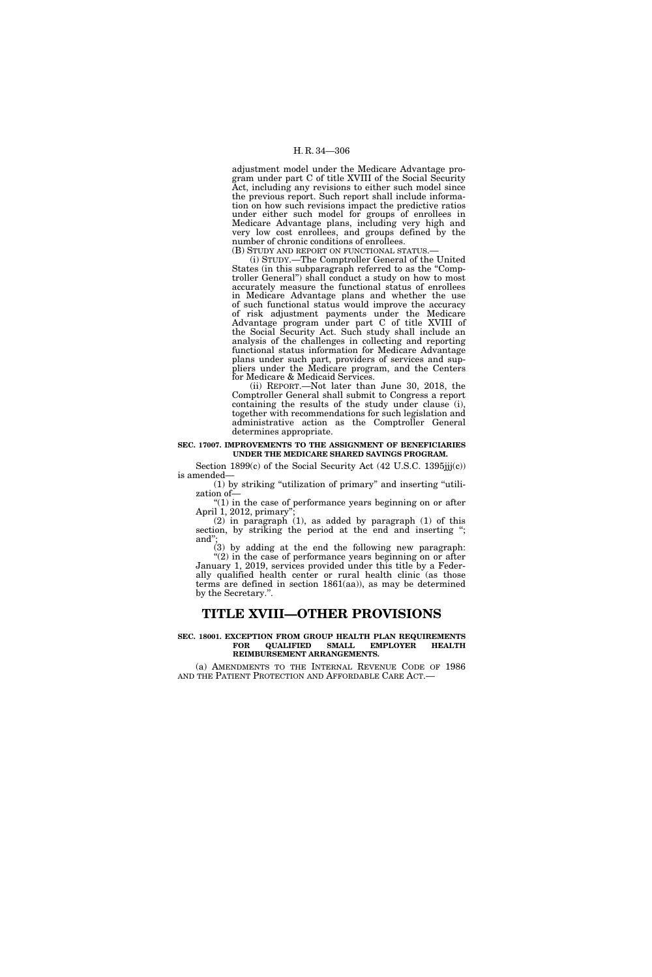adjustment model under the Medicare Advantage program under part C of title XVIII of the Social Security Act, including any revisions to either such model since the previous report. Such report shall include information on how such revisions impact the predictive ratios under either such model for groups of enrollees in Medicare Advantage plans, including very high and very low cost enrollees, and groups defined by the number of chronic conditions of enrollees.

(B) STUDY AND REPORT ON FUNCTIONAL STATUS.— (i) STUDY.—The Comptroller General of the United States (in this subparagraph referred to as the ''Comptroller General'') shall conduct a study on how to most accurately measure the functional status of enrollees in Medicare Advantage plans and whether the use of such functional status would improve the accuracy of risk adjustment payments under the Medicare Advantage program under part C of title XVIII of the Social Security Act. Such study shall include an analysis of the challenges in collecting and reporting functional status information for Medicare Advantage plans under such part, providers of services and suppliers under the Medicare program, and the Centers for Medicare & Medicaid Services.

(ii) REPORT.—Not later than June 30, 2018, the Comptroller General shall submit to Congress a report containing the results of the study under clause (i), together with recommendations for such legislation and administrative action as the Comptroller General determines appropriate.

#### **SEC. 17007. IMPROVEMENTS TO THE ASSIGNMENT OF BENEFICIARIES UNDER THE MEDICARE SHARED SAVINGS PROGRAM.**

Section  $1899(c)$  of the Social Security Act (42 U.S.C.  $1395jjj(c)$ ) is amended—

(1) by striking ''utilization of primary'' and inserting ''utilization of—  $''(1)$  in the case of performance years beginning on or after

April 1, 2012, primary' (2) in paragraph (1), as added by paragraph (1) of this

section, by striking the period at the end and inserting "; and'';

(3) by adding at the end the following new paragraph:  $(2)$  in the case of performance years beginning on or after January 1, 2019, services provided under this title by a Federally qualified health center or rural health clinic (as those terms are defined in section 1861(aa)), as may be determined by the Secretary.''.

## **TITLE XVIII—OTHER PROVISIONS**

#### **SEC. 18001. EXCEPTION FROM GROUP HEALTH PLAN REQUIREMENTS FOR QUALIFIED SMALL EMPLOYER HEALTH REIMBURSEMENT ARRANGEMENTS.**

(a) AMENDMENTS TO THE INTERNAL REVENUE CODE OF 1986 AND THE PATIENT PROTECTION AND AFFORDABLE CARE ACT.—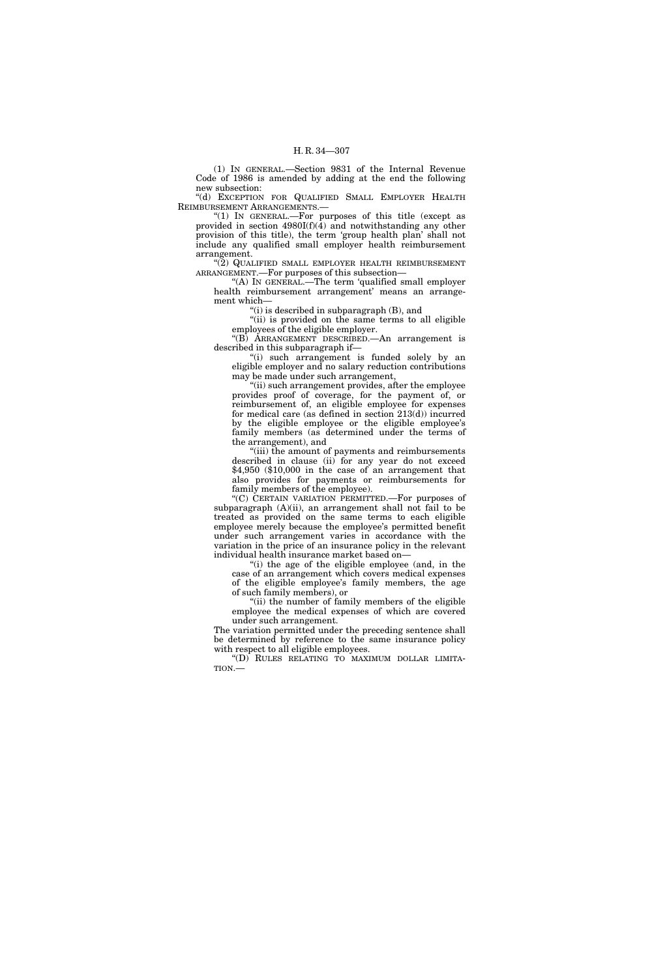(1) IN GENERAL.—Section 9831 of the Internal Revenue Code of 1986 is amended by adding at the end the following new subsection:

''(d) EXCEPTION FOR QUALIFIED SMALL EMPLOYER HEALTH REIMBURSEMENT ARRANGEMENTS.—

"(1) IN GENERAL.—For purposes of this title (except as provided in section  $4980I(f)(4)$  and notwithstanding any other provision of this title), the term 'group health plan' shall not include any qualified small employer health reimbursement arrangement.

"(2) QUALIFIED SMALL EMPLOYER HEALTH REIMBURSEMENT ARRANGEMENT.—For purposes of this subsection—

''(A) IN GENERAL.—The term 'qualified small employer health reimbursement arrangement' means an arrangement which—

''(i) is described in subparagraph (B), and

"(ii) is provided on the same terms to all eligible employees of the eligible employer.

''(B) ARRANGEMENT DESCRIBED.—An arrangement is described in this subparagraph if—

"(i) such arrangement is funded solely by an eligible employer and no salary reduction contributions may be made under such arrangement,

"(ii) such arrangement provides, after the employee provides proof of coverage, for the payment of, or reimbursement of, an eligible employee for expenses for medical care (as defined in section 213(d)) incurred by the eligible employee or the eligible employee's family members (as determined under the terms of the arrangement), and

"(iii) the amount of payments and reimbursements described in clause (ii) for any year do not exceed \$4,950 (\$10,000 in the case of an arrangement that also provides for payments or reimbursements for family members of the employee).

"(C) CERTAIN VARIATION PERMITTED.—For purposes of subparagraph  $(A)(ii)$ , an arrangement shall not fail to be treated as provided on the same terms to each eligible employee merely because the employee's permitted benefit under such arrangement varies in accordance with the variation in the price of an insurance policy in the relevant individual health insurance market based on—

''(i) the age of the eligible employee (and, in the case of an arrangement which covers medical expenses of the eligible employee's family members, the age of such family members), or

"(ii) the number of family members of the eligible employee the medical expenses of which are covered under such arrangement.

The variation permitted under the preceding sentence shall be determined by reference to the same insurance policy with respect to all eligible employees.

''(D) RULES RELATING TO MAXIMUM DOLLAR LIMITA-TION.—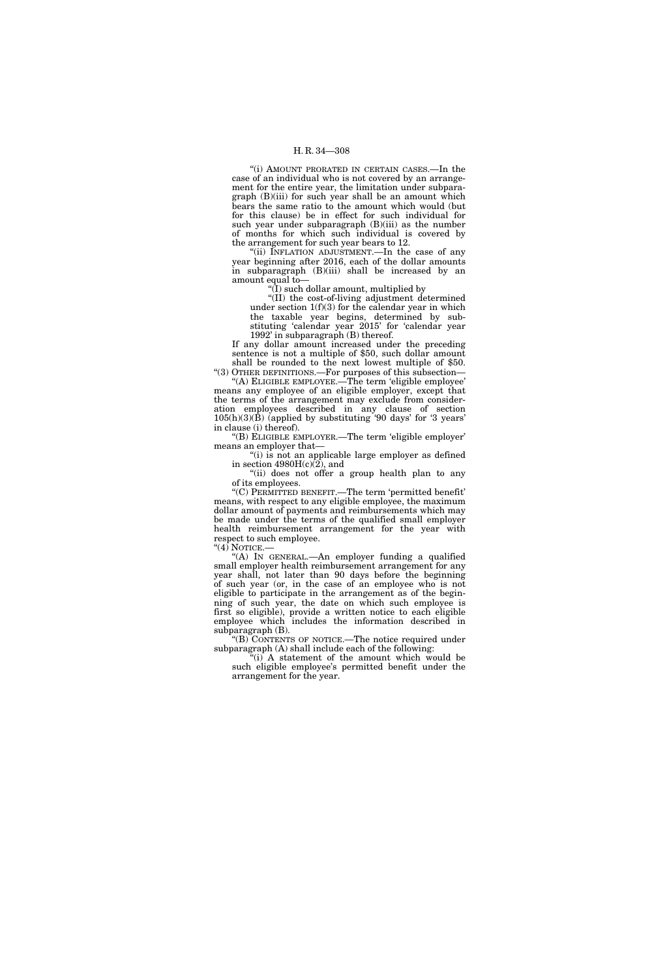''(i) AMOUNT PRORATED IN CERTAIN CASES.—In the case of an individual who is not covered by an arrangement for the entire year, the limitation under subparagraph (B)(iii) for such year shall be an amount which bears the same ratio to the amount which would (but for this clause) be in effect for such individual for such year under subparagraph (B)(iii) as the number of months for which such individual is covered by the arrangement for such year bears to 12.

''(ii) INFLATION ADJUSTMENT.—In the case of any year beginning after 2016, each of the dollar amounts in subparagraph (B)(iii) shall be increased by an amount equal to—

 $\H$ (I) such dollar amount, multiplied by

''(II) the cost-of-living adjustment determined under section  $1(f)(3)$  for the calendar year in which the taxable year begins, determined by substituting 'calendar year 2015' for 'calendar year 1992' in subparagraph (B) thereof.

If any dollar amount increased under the preceding sentence is not a multiple of \$50, such dollar amount shall be rounded to the next lowest multiple of \$50. ''(3) OTHER DEFINITIONS.—For purposes of this subsection—

''(A) ELIGIBLE EMPLOYEE.—The term 'eligible employee' means any employee of an eligible employer, except that the terms of the arrangement may exclude from consideration employees described in any clause of section  $105(h)(3)(\dot{B})$  (applied by substituting '90 days' for '3 years' in clause (i) thereof).

''(B) ELIGIBLE EMPLOYER.—The term 'eligible employer' means an employer that—

"(i) is not an applicable large employer as defined in section  $4980H(c)(2)$ , and

''(ii) does not offer a group health plan to any of its employees.

''(C) PERMITTED BENEFIT.—The term 'permitted benefit' means, with respect to any eligible employee, the maximum dollar amount of payments and reimbursements which may be made under the terms of the qualified small employer health reimbursement arrangement for the year with respect to such employee.

''(4) NOTICE.—

''(A) IN GENERAL.—An employer funding a qualified small employer health reimbursement arrangement for any year shall, not later than 90 days before the beginning of such year (or, in the case of an employee who is not eligible to participate in the arrangement as of the beginning of such year, the date on which such employee is first so eligible), provide a written notice to each eligible employee which includes the information described in subparagraph (B).

''(B) CONTENTS OF NOTICE.—The notice required under subparagraph (A) shall include each of the following:

 $\tilde{f}(i)$  A statement of the amount which would be such eligible employee's permitted benefit under the arrangement for the year.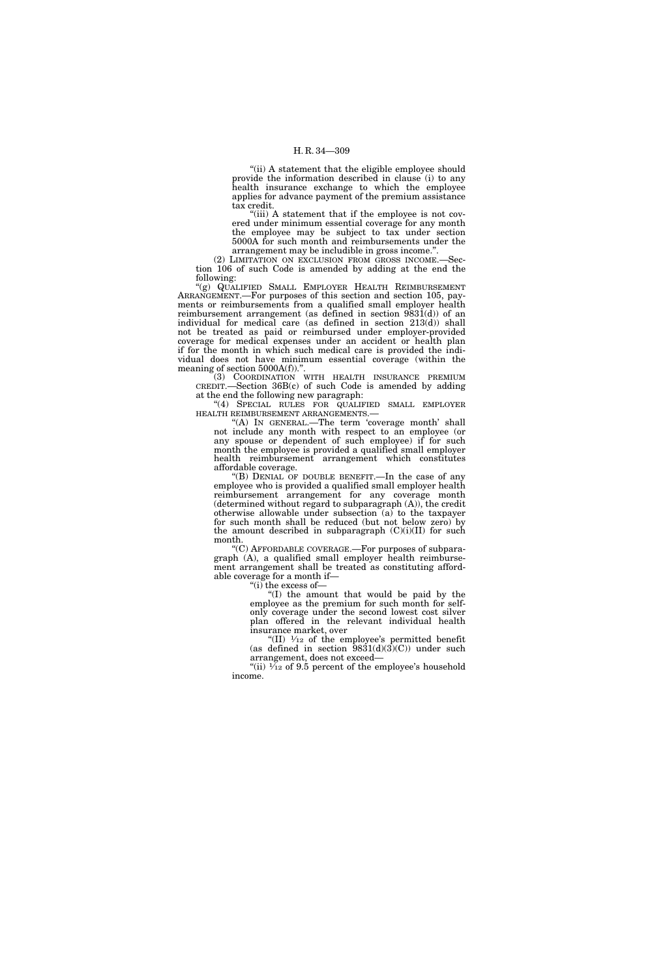"(ii) A statement that the eligible employee should provide the information described in clause (i) to any health insurance exchange to which the employee applies for advance payment of the premium assistance tax credit.

"(iii) A statement that if the employee is not covered under minimum essential coverage for any month the employee may be subject to tax under section 5000A for such month and reimbursements under the arrangement may be includible in gross income.''.

(2) LIMITATION ON EXCLUSION FROM GROSS INCOME.—Section 106 of such Code is amended by adding at the end the following:

''(g) QUALIFIED SMALL EMPLOYER HEALTH REIMBURSEMENT ARRANGEMENT.—For purposes of this section and section 105, payments or reimbursements from a qualified small employer health reimbursement arrangement (as defined in section 9831(d)) of an individual for medical care (as defined in section 213(d)) shall not be treated as paid or reimbursed under employer-provided coverage for medical expenses under an accident or health plan if for the month in which such medical care is provided the individual does not have minimum essential coverage (within the meaning of section  $5000A(f)$ ."

(3) COORDINATION WITH HEALTH INSURANCE PREMIUM CREDIT.—Section 36B(c) of such Code is amended by adding at the end the following new paragraph:

''(4) SPECIAL RULES FOR QUALIFIED SMALL EMPLOYER HEALTH REIMBURSEMENT ARRANGEMENTS.—

"(A) In GENERAL.—The term 'coverage month' shall not include any month with respect to an employee (or any spouse or dependent of such employee) if for such month the employee is provided a qualified small employer health reimbursement arrangement which constitutes affordable coverage.

(B) DENIAL OF DOUBLE BENEFIT.—In the case of any employee who is provided a qualified small employer health reimbursement arrangement for any coverage month (determined without regard to subparagraph (A)), the credit otherwise allowable under subsection (a) to the taxpayer for such month shall be reduced (but not below zero) by the amount described in subparagraph  $(C)(i)(II)$  for such month.

''(C) AFFORDABLE COVERAGE.—For purposes of subparagraph (A), a qualified small employer health reimbursement arrangement shall be treated as constituting affordable coverage for a month if—

''(i) the excess of—

''(I) the amount that would be paid by the employee as the premium for such month for selfonly coverage under the second lowest cost silver plan offered in the relevant individual health insurance market, over

"(II)  $\mathcal{V}_{12}$  of the employee's permitted benefit (as defined in section  $\frac{9831(d)(3)(C)}{2}$  under such arrangement, does not exceed—

"(ii)  $\frac{1}{12}$  of 9.5 percent of the employee's household income.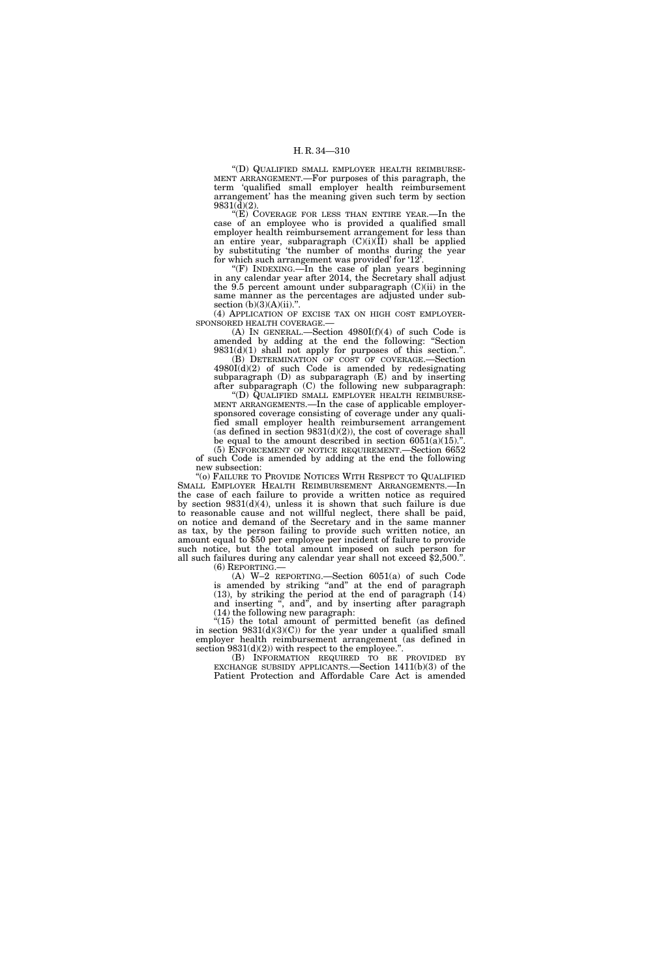''(D) QUALIFIED SMALL EMPLOYER HEALTH REIMBURSE-MENT ARRANGEMENT.—For purposes of this paragraph, the term 'qualified small employer health reimbursement arrangement' has the meaning given such term by section 9831(d)(2).

"(E) COVERAGE FOR LESS THAN ENTIRE YEAR.—In the case of an employee who is provided a qualified small employer health reimbursement arrangement for less than an entire year, subparagraph (C)(i)(II) shall be applied by substituting 'the number of months during the year for which such arrangement was provided' for '12'.

''(F) INDEXING.—In the case of plan years beginning in any calendar year after 2014, the Secretary shall adjust the 9.5 percent amount under subparagraph  $(C)(ii)$  in the same manner as the percentages are adjusted under subsection (b)(3)(A)(ii).".

(4) APPLICATION OF EXCISE TAX ON HIGH COST EMPLOYER-SPONSORED HEALTH COVERAGE.—

(A) IN GENERAL.—Section  $4980I(f)(4)$  of such Code is amended by adding at the end the following: ''Section  $9831(d)(1)$  shall not apply for purposes of this section.".

(B) DETERMINATION OF COST OF COVERAGE.—Section  $4980I(d)(2)$  of such Code is amended by redesignating subparagraph (D) as subparagraph (E) and by inserting after subparagraph (C) the following new subparagraph:

''(D) QUALIFIED SMALL EMPLOYER HEALTH REIMBURSE-MENT ARRANGEMENTS.—In the case of applicable employersponsored coverage consisting of coverage under any qualified small employer health reimbursement arrangement (as defined in section  $9831(d)(2)$ ), the cost of coverage shall be equal to the amount described in section  $6051(a)(15)$ .".

(5) ENFORCEMENT OF NOTICE REQUIREMENT.—Section 6652 of such Code is amended by adding at the end the following new subsection:

''(o) FAILURE TO PROVIDE NOTICES WITH RESPECT TO QUALIFIED SMALL EMPLOYER HEALTH REIMBURSEMENT ARRANGEMENTS.—In the case of each failure to provide a written notice as required by section 9831(d)(4), unless it is shown that such failure is due to reasonable cause and not willful neglect, there shall be paid, on notice and demand of the Secretary and in the same manner as tax, by the person failing to provide such written notice, an amount equal to \$50 per employee per incident of failure to provide such notice, but the total amount imposed on such person for all such failures during any calendar year shall not exceed \$2,500.''.

(6) REPORTING.— (A) W–2 REPORTING.—Section 6051(a) of such Code is amended by striking "and" at the end of paragraph (13), by striking the period at the end of paragraph (14) and inserting ", and", and by inserting after paragraph (14) the following new paragraph:

"(15) the total amount of permitted benefit (as defined in section 9831(d)(3)(C)) for the year under a qualified small employer health reimbursement arrangement (as defined in section  $9831(d)(2)$  with respect to the employee.".

(B) INFORMATION REQUIRED TO BE PROVIDED BY EXCHANGE SUBSIDY APPLICANTS.—Section 1411(b)(3) of the Patient Protection and Affordable Care Act is amended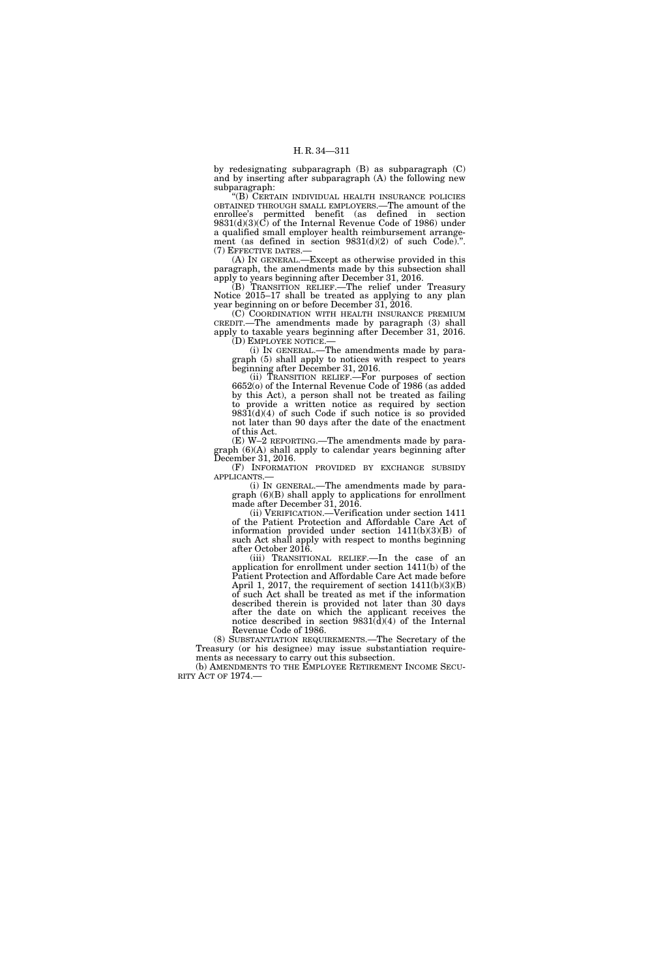by redesignating subparagraph (B) as subparagraph (C) and by inserting after subparagraph (A) the following new subparagraph:

''(B) CERTAIN INDIVIDUAL HEALTH INSURANCE POLICIES OBTAINED THROUGH SMALL EMPLOYERS.—The amount of the enrollee's permitted benefit (as defined in section 9831(d)(3)(C) of the Internal Revenue Code of 1986) under a qualified small employer health reimbursement arrangement (as defined in section 9831(d)(2) of such Code).''. (7) EFFECTIVE DATES.—

(A) IN GENERAL.—Except as otherwise provided in this paragraph, the amendments made by this subsection shall apply to years beginning after December 31, 2016.

(B) TRANSITION RELIEF.—The relief under Treasury Notice 2015–17 shall be treated as applying to any plan year beginning on or before December 31, 2016.

(C) COORDINATION WITH HEALTH INSURANCE PREMIUM CREDIT.—The amendments made by paragraph (3) shall apply to taxable years beginning after December 31, 2016. (D) EMPLOYEE NOTICE.—

(i) IN GENERAL.—The amendments made by paragraph (5) shall apply to notices with respect to years beginning after December 31, 2016.

(ii) TRANSITION RELIEF.—For purposes of section 6652(o) of the Internal Revenue Code of 1986 (as added by this Act), a person shall not be treated as failing to provide a written notice as required by section  $9831(d)(4)$  of such Code if such notice is so provided not later than 90 days after the date of the enactment of this Act.

(E) W–2 REPORTING.—The amendments made by paragraph (6)(A) shall apply to calendar years beginning after December 31, 2016.

(F) INFORMATION PROVIDED BY EXCHANGE SUBSIDY APPLICANTS.—

(i) IN GENERAL.—The amendments made by paragraph (6)(B) shall apply to applications for enrollment made after December 31, 2016.

(ii) VERIFICATION.—Verification under section 1411 of the Patient Protection and Affordable Care Act of information provided under section  $1411(b)(3)(B)$  of such Act shall apply with respect to months beginning after October 2016.

(iii) TRANSITIONAL RELIEF.—In the case of an application for enrollment under section 1411(b) of the Patient Protection and Affordable Care Act made before April 1, 2017, the requirement of section 1411(b)(3)(B) of such Act shall be treated as met if the information described therein is provided not later than 30 days after the date on which the applicant receives the notice described in section  $9831\overline{d}(4)$  of the Internal Revenue Code of 1986.

(8) SUBSTANTIATION REQUIREMENTS.—The Secretary of the Treasury (or his designee) may issue substantiation requirements as necessary to carry out this subsection.

(b) AMENDMENTS TO THE EMPLOYEE RETIREMENT INCOME SECU- RITY ACT OF 1974.—